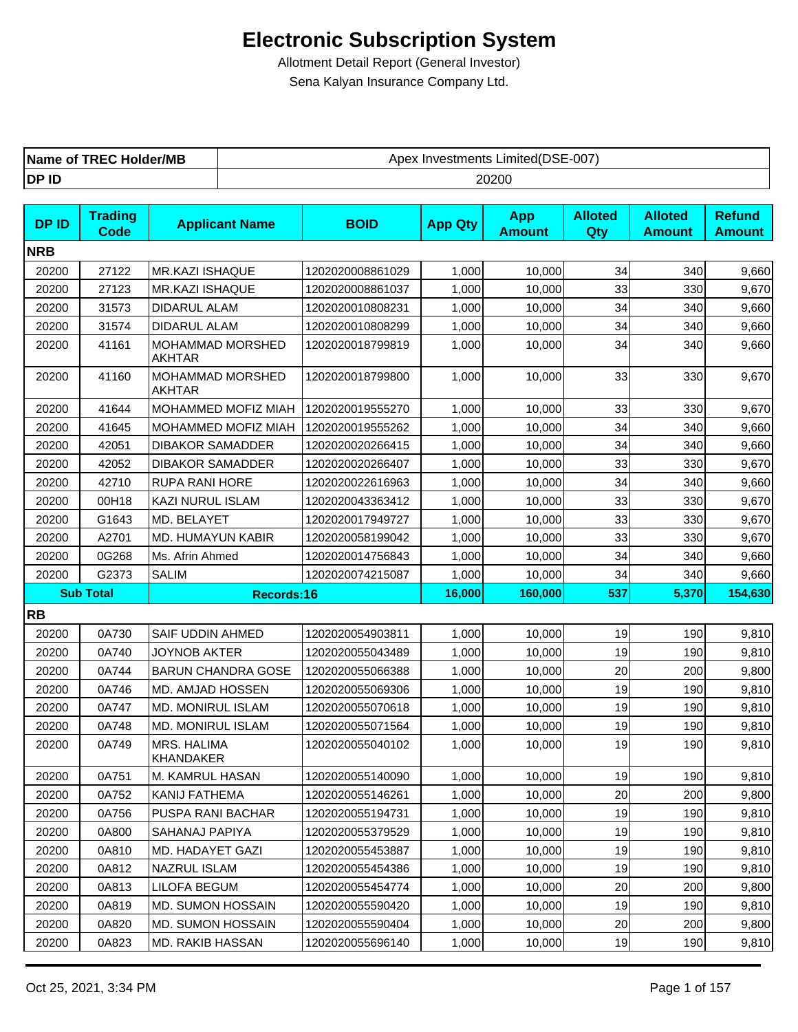| <b>TREC Holder/MB</b><br>Name of | Limited(DSE-007)<br>∶ Investments<br>Apex |
|----------------------------------|-------------------------------------------|
| DP ID                            | 20200                                     |

| <b>DPID</b> | <b>Trading</b><br>Code | <b>Applicant Name</b>                    | <b>BOID</b>      | <b>App Qty</b> | <b>App</b><br><b>Amount</b> | <b>Alloted</b><br>Qty | <b>Alloted</b><br><b>Amount</b> | <b>Refund</b><br><b>Amount</b>                     |
|-------------|------------------------|------------------------------------------|------------------|----------------|-----------------------------|-----------------------|---------------------------------|----------------------------------------------------|
| <b>NRB</b>  |                        |                                          |                  |                |                             |                       |                                 |                                                    |
| 20200       | 27122                  | <b>MR.KAZI ISHAQUE</b>                   | 1202020008861029 | 1,000          | 10,000                      | 34                    | 340                             | 9,660                                              |
| 20200       | 27123                  | MR.KAZI ISHAQUE                          | 1202020008861037 | 1,000          | 10,000                      | 33                    | 330                             | 9,670                                              |
| 20200       | 31573                  | DIDARUL ALAM                             | 1202020010808231 | 1,000          | 10,000                      | 34                    | 340                             | 9,660                                              |
| 20200       | 31574                  | DIDARUL ALAM                             | 1202020010808299 | 1,000          | 10,000                      | 34                    | 340                             | 9,660                                              |
| 20200       | 41161                  | <b>MOHAMMAD MORSHED</b><br><b>AKHTAR</b> | 1202020018799819 | 1,000          | 10.000                      | 34                    | 340                             | 9,660                                              |
| 20200       | 41160                  | MOHAMMAD MORSHED<br><b>AKHTAR</b>        | 1202020018799800 | 1,000          | 10,000                      | 33                    | 330                             | 9,670                                              |
| 20200       | 41644                  | MOHAMMED MOFIZ MIAH                      | 1202020019555270 | 1,000          | 10,000                      | 33                    | 330                             | 9,670                                              |
| 20200       | 41645                  | <b>MOHAMMED MOFIZ MIAH</b>               | 1202020019555262 | 1,000          | 10,000                      | 34                    | 340                             | 9,660                                              |
| 20200       | 42051                  | <b>DIBAKOR SAMADDER</b>                  | 1202020020266415 | 1,000          | 10,000                      | 34                    | 340                             | 9,660                                              |
| 20200       | 42052                  | <b>DIBAKOR SAMADDER</b>                  | 1202020020266407 | 1,000          | 10,000                      | 33                    | 330                             | 9,670                                              |
| 20200       | 42710                  | <b>RUPA RANI HORE</b>                    | 1202020022616963 | 1,000          | 10,000                      | 34                    | 340                             | 9,660                                              |
| 20200       | 00H18                  | KAZI NURUL ISLAM                         | 1202020043363412 | 1,000          | 10,000                      | 33                    | 330                             | 9,670                                              |
| 20200       | G1643                  | MD. BELAYET                              | 1202020017949727 | 1,000          | 10,000                      | 33                    | 330                             | 9,670                                              |
| 20200       | A2701                  | MD. HUMAYUN KABIR                        | 1202020058199042 | 1,000          | 10,000                      | 33                    | 330                             | 9,670                                              |
| 20200       | 0G268                  | Ms. Afrin Ahmed                          | 1202020014756843 | 1,000          | 10,000                      | 34                    | 340                             | 9,660                                              |
| 20200       | G2373                  | <b>SALIM</b>                             | 1202020074215087 | 1,000          | 10,000                      | 34                    | 340                             | 9,660                                              |
|             |                        |                                          |                  |                |                             |                       |                                 |                                                    |
|             | <b>Sub Total</b>       | Records:16                               |                  | 16,000         | 160,000                     | 537                   | 5,370                           |                                                    |
| <b>RB</b>   |                        |                                          |                  |                |                             |                       |                                 |                                                    |
| 20200       | 0A730                  | SAIF UDDIN AHMED                         | 1202020054903811 | 1,000          | 10,000                      | 19                    | 190                             |                                                    |
| 20200       | 0A740                  | <b>JOYNOB AKTER</b>                      | 1202020055043489 | 1,000          | 10,000                      | 19                    | 190                             | 154,630<br>9,810<br>9,810                          |
| 20200       | 0A744                  | <b>BARUN CHANDRA GOSE</b>                | 1202020055066388 | 1,000          | 10,000                      | 20                    | 200                             |                                                    |
| 20200       | 0A746                  | MD. AMJAD HOSSEN                         | 1202020055069306 | 1,000          | 10,000                      | 19                    | 190                             |                                                    |
| 20200       | 0A747                  | <b>MD. MONIRUL ISLAM</b>                 | 1202020055070618 | 1,000          | 10,000                      | 19                    | 190                             |                                                    |
| 20200       | 0A748                  | MD. MONIRUL ISLAM                        | 1202020055071564 | 1,000          | 10,000                      | 19                    | 190                             |                                                    |
| 20200       | 0A749                  | MRS. HALIMA<br>KHANDAKER                 | 1202020055040102 | 1,000          | 10,000                      | 19                    | 190                             |                                                    |
| 20200       | 0A751                  | M. KAMRUL HASAN                          | 1202020055140090 | 1,000          | 10,000                      | 19                    | 190                             | 9,800<br>9,810<br>9,810<br>9,810<br>9,810<br>9,810 |
| 20200       | 0A752                  | KANIJ FATHEMA                            | 1202020055146261 | 1,000          | 10,000                      | 20                    | 200                             |                                                    |
| 20200       | 0A756                  | PUSPA RANI BACHAR                        | 1202020055194731 | 1,000          | 10,000                      | 19                    | 190                             |                                                    |
| 20200       | 0A800                  | SAHANAJ PAPIYA                           | 1202020055379529 | 1,000          | 10,000                      | 19                    | 190                             | 9,800<br>9,810<br>9,810                            |
| 20200       | 0A810                  | MD. HADAYET GAZI                         | 1202020055453887 | 1,000          | 10,000                      | 19                    | 190                             |                                                    |
| 20200       | 0A812                  | NAZRUL ISLAM                             | 1202020055454386 | 1,000          | 10,000                      | 19                    | 190                             |                                                    |
| 20200       | 0A813                  | LILOFA BEGUM                             | 1202020055454774 | 1,000          | 10,000                      | 20                    | 200                             |                                                    |
| 20200       | 0A819                  | MD. SUMON HOSSAIN                        | 1202020055590420 | 1,000          | 10,000                      | 19                    | 190                             |                                                    |
| 20200       | 0A820                  | <b>MD. SUMON HOSSAIN</b>                 | 1202020055590404 | 1,000          | 10,000                      | 20                    | 200                             | 9,810<br>9,810<br>9,800<br>9,810<br>9,800          |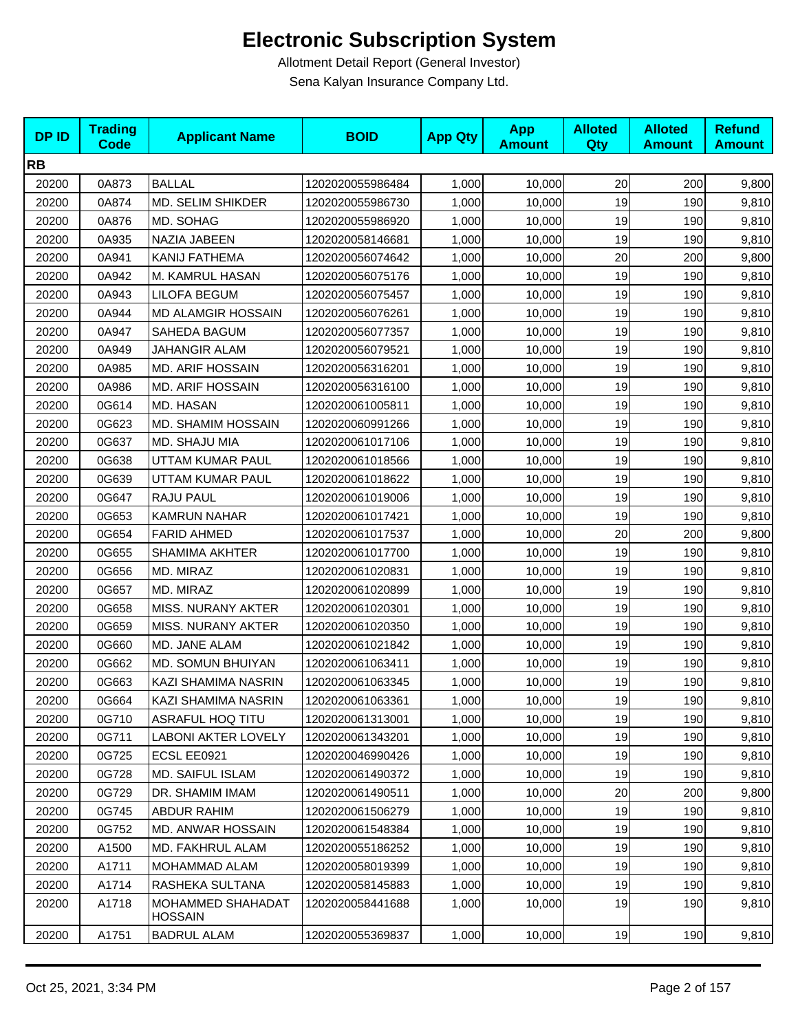| <b>DPID</b> | <b>Trading</b><br><b>Code</b> | <b>Applicant Name</b>               | <b>BOID</b>      | <b>App Qty</b> | <b>App</b><br><b>Amount</b> | <b>Alloted</b><br>Qty | <b>Alloted</b><br><b>Amount</b> | <b>Refund</b><br><b>Amount</b> |
|-------------|-------------------------------|-------------------------------------|------------------|----------------|-----------------------------|-----------------------|---------------------------------|--------------------------------|
| <b>RB</b>   |                               |                                     |                  |                |                             |                       |                                 |                                |
| 20200       | 0A873                         | <b>BALLAL</b>                       | 1202020055986484 | 1,000          | 10,000                      | 20                    | 200                             | 9,800                          |
| 20200       | 0A874                         | <b>MD. SELIM SHIKDER</b>            | 1202020055986730 | 1,000          | 10,000                      | 19                    | 190                             | 9,810                          |
| 20200       | 0A876                         | MD. SOHAG                           | 1202020055986920 | 1,000          | 10,000                      | 19                    | 190                             | 9,810                          |
| 20200       | 0A935                         | NAZIA JABEEN                        | 1202020058146681 | 1,000          | 10,000                      | 19                    | 190                             | 9,810                          |
| 20200       | 0A941                         | KANIJ FATHEMA                       | 1202020056074642 | 1,000          | 10,000                      | 20                    | 200                             | 9,800                          |
| 20200       | 0A942                         | M. KAMRUL HASAN                     | 1202020056075176 | 1,000          | 10,000                      | 19                    | 190                             | 9,810                          |
| 20200       | 0A943                         | <b>LILOFA BEGUM</b>                 | 1202020056075457 | 1,000          | 10,000                      | 19                    | 190                             | 9,810                          |
| 20200       | 0A944                         | <b>MD ALAMGIR HOSSAIN</b>           | 1202020056076261 | 1,000          | 10,000                      | 19                    | 190                             | 9,810                          |
| 20200       | 0A947                         | SAHEDA BAGUM                        | 1202020056077357 | 1,000          | 10,000                      | 19                    | 190                             | 9,810                          |
| 20200       | 0A949                         | JAHANGIR ALAM                       | 1202020056079521 | 1,000          | 10,000                      | 19                    | 190                             | 9,810                          |
| 20200       | 0A985                         | MD. ARIF HOSSAIN                    | 1202020056316201 | 1,000          | 10,000                      | 19                    | 190                             | 9,810                          |
| 20200       | 0A986                         | <b>MD. ARIF HOSSAIN</b>             | 1202020056316100 | 1,000          | 10,000                      | 19                    | 190                             | 9,810                          |
| 20200       | 0G614                         | MD. HASAN                           | 1202020061005811 | 1,000          | 10,000                      | 19                    | 190                             | 9,810                          |
| 20200       | 0G623                         | MD. SHAMIM HOSSAIN                  | 1202020060991266 | 1,000          | 10,000                      | 19                    | 190                             | 9,810                          |
| 20200       | 0G637                         | MD. SHAJU MIA                       | 1202020061017106 | 1,000          | 10,000                      | 19                    | 190                             | 9,810                          |
| 20200       | 0G638                         | UTTAM KUMAR PAUL                    | 1202020061018566 | 1,000          | 10,000                      | 19                    | 190                             | 9,810                          |
| 20200       | 0G639                         | UTTAM KUMAR PAUL                    | 1202020061018622 | 1,000          | 10,000                      | 19                    | 190                             | 9,810                          |
| 20200       | 0G647                         | RAJU PAUL                           | 1202020061019006 | 1,000          | 10,000                      | 19                    | 190                             | 9,810                          |
| 20200       | 0G653                         | <b>KAMRUN NAHAR</b>                 | 1202020061017421 | 1,000          | 10,000                      | 19                    | 190                             | 9,810                          |
| 20200       | 0G654                         | <b>FARID AHMED</b>                  | 1202020061017537 | 1,000          | 10,000                      | 20                    | 200                             | 9,800                          |
| 20200       | 0G655                         | <b>SHAMIMA AKHTER</b>               | 1202020061017700 | 1,000          | 10,000                      | 19                    | 190                             | 9,810                          |
| 20200       | 0G656                         | MD. MIRAZ                           | 1202020061020831 | 1,000          | 10,000                      | 19                    | 190                             | 9,810                          |
| 20200       | 0G657                         | MD. MIRAZ                           | 1202020061020899 | 1,000          | 10,000                      | 19                    | 190                             | 9,810                          |
| 20200       | 0G658                         | MISS. NURANY AKTER                  | 1202020061020301 | 1,000          | 10,000                      | 19                    | 190                             | 9,810                          |
| 20200       | 0G659                         | MISS. NURANY AKTER                  | 1202020061020350 | 1,000          | 10,000                      | 19                    | 190                             | 9,810                          |
| 20200       | 0G660                         | MD. JANE ALAM                       | 1202020061021842 | 1,000          | 10,000                      | 19                    | 190                             | 9,810                          |
| 20200       | 0G662                         | MD. SOMUN BHUIYAN                   | 1202020061063411 | 1,000          | 10,000                      | 19                    | 190                             | 9,810                          |
| 20200       | 0G663                         | KAZI SHAMIMA NASRIN                 | 1202020061063345 | 1,000          | 10,000                      | 19                    | 190                             | 9,810                          |
| 20200       | 0G664                         | KAZI SHAMIMA NASRIN                 | 1202020061063361 | 1,000          | 10,000                      | 19                    | 190                             | 9,810                          |
| 20200       | 0G710                         | <b>ASRAFUL HOQ TITU</b>             | 1202020061313001 | 1,000          | 10,000                      | 19                    | 190                             | 9,810                          |
| 20200       | 0G711                         | <b>LABONI AKTER LOVELY</b>          | 1202020061343201 | 1,000          | 10,000                      | 19                    | 190                             | 9,810                          |
| 20200       | 0G725                         | ECSL EE0921                         | 1202020046990426 | 1,000          | 10,000                      | 19                    | 190                             | 9,810                          |
| 20200       | 0G728                         | MD. SAIFUL ISLAM                    | 1202020061490372 | 1,000          | 10,000                      | 19                    | 190                             | 9,810                          |
| 20200       | 0G729                         | DR. SHAMIM IMAM                     | 1202020061490511 | 1,000          | 10,000                      | 20                    | 200                             | 9,800                          |
| 20200       | 0G745                         | ABDUR RAHIM                         | 1202020061506279 | 1,000          | 10,000                      | 19                    | 190                             | 9,810                          |
| 20200       | 0G752                         | MD. ANWAR HOSSAIN                   | 1202020061548384 | 1,000          | 10,000                      | 19                    | 190                             | 9,810                          |
| 20200       | A1500                         | MD. FAKHRUL ALAM                    | 1202020055186252 | 1,000          | 10,000                      | 19                    | 190                             | 9,810                          |
| 20200       | A1711                         | MOHAMMAD ALAM                       | 1202020058019399 | 1,000          | 10,000                      | 19                    | 190                             | 9,810                          |
| 20200       | A1714                         | RASHEKA SULTANA                     | 1202020058145883 | 1,000          | 10,000                      | 19                    | 190                             | 9,810                          |
| 20200       | A1718                         | <b>MOHAMMED SHAHADAT</b><br>HOSSAIN | 1202020058441688 | 1,000          | 10,000                      | 19                    | 190                             | 9,810                          |
| 20200       | A1751                         | <b>BADRUL ALAM</b>                  | 1202020055369837 | 1,000          | 10,000                      | 19                    | 190                             | 9,810                          |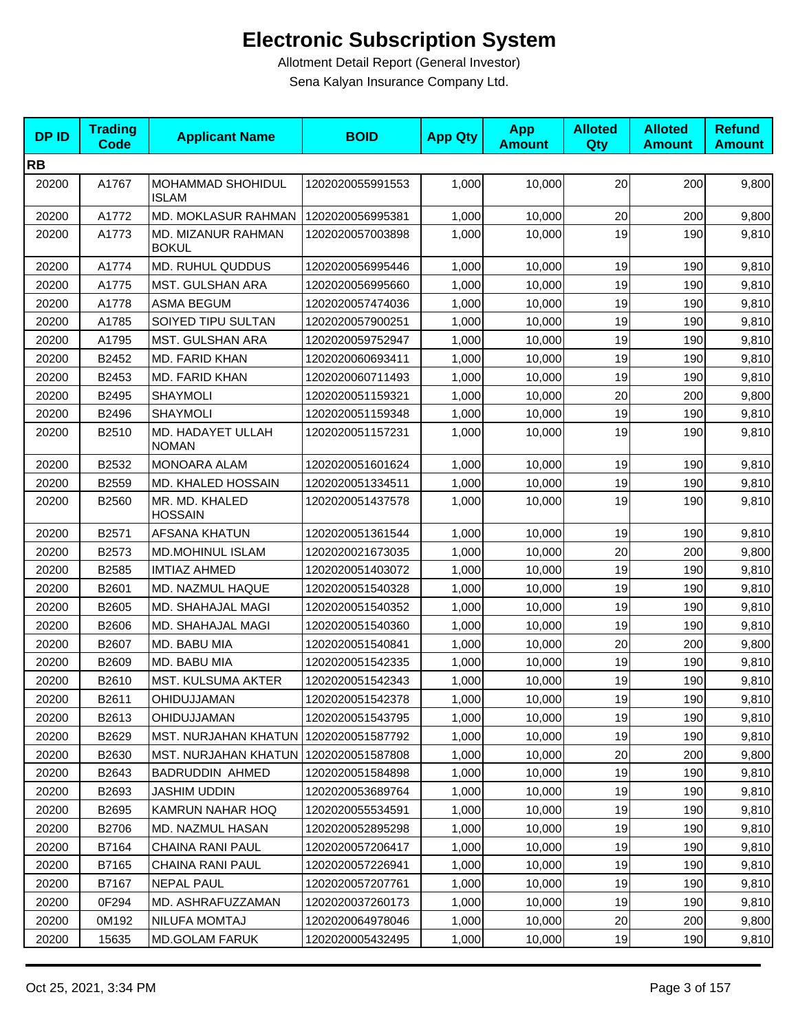| <b>DPID</b> | <b>Trading</b><br><b>Code</b> | <b>Applicant Name</b>                   | <b>BOID</b>      | <b>App Qty</b> | <b>App</b><br><b>Amount</b> | <b>Alloted</b><br>Qty | <b>Alloted</b><br><b>Amount</b> | <b>Refund</b><br><b>Amount</b> |
|-------------|-------------------------------|-----------------------------------------|------------------|----------------|-----------------------------|-----------------------|---------------------------------|--------------------------------|
| <b>RB</b>   |                               |                                         |                  |                |                             |                       |                                 |                                |
| 20200       | A1767                         | MOHAMMAD SHOHIDUL<br><b>ISLAM</b>       | 1202020055991553 | 1,000          | 10,000                      | 20                    | 200                             | 9,800                          |
| 20200       | A1772                         | <b>MD. MOKLASUR RAHMAN</b>              | 1202020056995381 | 1,000          | 10,000                      | 20                    | 200                             | 9,800                          |
| 20200       | A1773                         | MD. MIZANUR RAHMAN<br><b>BOKUL</b>      | 1202020057003898 | 1,000          | 10,000                      | 19                    | 190                             | 9,810                          |
| 20200       | A1774                         | <b>MD. RUHUL QUDDUS</b>                 | 1202020056995446 | 1,000          | 10,000                      | 19                    | 190                             | 9,810                          |
| 20200       | A1775                         | MST. GULSHAN ARA                        | 1202020056995660 | 1,000          | 10,000                      | 19                    | 190                             | 9,810                          |
| 20200       | A1778                         | <b>ASMA BEGUM</b>                       | 1202020057474036 | 1,000          | 10,000                      | 19                    | 190                             | 9,810                          |
| 20200       | A1785                         | SOIYED TIPU SULTAN                      | 1202020057900251 | 1,000          | 10,000                      | 19                    | 190                             | 9,810                          |
| 20200       | A1795                         | MST. GULSHAN ARA                        | 1202020059752947 | 1,000          | 10,000                      | 19                    | 190                             | 9,810                          |
| 20200       | B2452                         | MD. FARID KHAN                          | 1202020060693411 | 1,000          | 10,000                      | 19                    | 190                             | 9,810                          |
| 20200       | B2453                         | MD. FARID KHAN                          | 1202020060711493 | 1,000          | 10,000                      | 19                    | 190                             | 9,810                          |
| 20200       | B2495                         | SHAYMOLI                                | 1202020051159321 | 1,000          | 10,000                      | 20                    | 200                             | 9,800                          |
| 20200       | B2496                         | <b>SHAYMOLI</b>                         | 1202020051159348 | 1,000          | 10,000                      | 19                    | 190                             | 9,810                          |
| 20200       | B2510                         | MD. HADAYET ULLAH<br><b>NOMAN</b>       | 1202020051157231 | 1,000          | 10,000                      | 19                    | 190                             | 9,810                          |
| 20200       | B2532                         | <b>MONOARA ALAM</b>                     | 1202020051601624 | 1,000          | 10,000                      | 19                    | 190                             | 9,810                          |
| 20200       | B2559                         | MD. KHALED HOSSAIN                      | 1202020051334511 | 1,000          | 10,000                      | 19                    | 190                             | 9,810                          |
| 20200       | B2560                         | MR. MD. KHALED<br><b>HOSSAIN</b>        | 1202020051437578 | 1,000          | 10,000                      | 19                    | 190                             | 9,810                          |
| 20200       | B2571                         | AFSANA KHATUN                           | 1202020051361544 | 1,000          | 10,000                      | 19                    | 190                             | 9,810                          |
| 20200       | B2573                         | <b>MD.MOHINUL ISLAM</b>                 | 1202020021673035 | 1,000          | 10,000                      | 20                    | 200                             | 9,800                          |
| 20200       | B2585                         | <b>IMTIAZ AHMED</b>                     | 1202020051403072 | 1,000          | 10,000                      | 19                    | 190                             | 9,810                          |
| 20200       | B2601                         | MD. NAZMUL HAQUE                        | 1202020051540328 | 1,000          | 10,000                      | 19                    | 190                             | 9,810                          |
| 20200       | B2605                         | MD. SHAHAJAL MAGI                       | 1202020051540352 | 1,000          | 10,000                      | 19                    | 190                             | 9,810                          |
| 20200       | B2606                         | MD. SHAHAJAL MAGI                       | 1202020051540360 | 1,000          | 10,000                      | 19                    | 190                             | 9,810                          |
| 20200       | B2607                         | MD. BABU MIA                            | 1202020051540841 | 1,000          | 10,000                      | 20                    | 200                             | 9,800                          |
| 20200       | B2609                         | MD. BABU MIA                            | 1202020051542335 | 1,000          | 10,000                      | 19                    | 190                             | 9,810                          |
| 20200       | B2610                         | <b>MST. KULSUMA AKTER</b>               | 1202020051542343 | 1,000          | 10,000                      | 19                    | 190                             | 9,810                          |
| 20200       | B2611                         | OHIDUJJAMAN                             | 1202020051542378 | 1,000          | 10,000                      | 19                    | 190                             | 9,810                          |
| 20200       | B2613                         | OHIDUJJAMAN                             | 1202020051543795 | 1,000          | 10,000                      | 19                    | 190                             | 9,810                          |
| 20200       | B2629                         | MST. NURJAHAN KHATUN   1202020051587792 |                  | 1,000          | 10,000                      | 19                    | 190                             | 9,810                          |
| 20200       | B2630                         | <b>MST. NURJAHAN KHATUN  </b>           | 1202020051587808 | 1,000          | 10.000                      | 20                    | 200                             | 9,800                          |
| 20200       | B2643                         | <b>BADRUDDIN AHMED</b>                  | 1202020051584898 | 1,000          | 10,000                      | 19                    | 190                             | 9,810                          |
| 20200       | B2693                         | JASHIM UDDIN                            | 1202020053689764 | 1,000          | 10,000                      | 19                    | 190                             | 9,810                          |
| 20200       | B2695                         | KAMRUN NAHAR HOQ                        | 1202020055534591 | 1,000          | 10,000                      | 19                    | 190                             | 9,810                          |
| 20200       | B2706                         | MD. NAZMUL HASAN                        | 1202020052895298 | 1,000          | 10,000                      | 19                    | 190                             | 9,810                          |
| 20200       | B7164                         | CHAINA RANI PAUL                        | 1202020057206417 | 1,000          | 10,000                      | 19                    | 190                             | 9,810                          |
| 20200       | B7165                         | CHAINA RANI PAUL                        | 1202020057226941 | 1,000          | 10,000                      | 19                    | 190                             | 9,810                          |
| 20200       | B7167                         | <b>NEPAL PAUL</b>                       | 1202020057207761 | 1,000          | 10,000                      | 19                    | 190                             | 9,810                          |
| 20200       | 0F294                         | MD. ASHRAFUZZAMAN                       | 1202020037260173 | 1,000          | 10,000                      | 19                    | 190                             | 9,810                          |
| 20200       | 0M192                         | NILUFA MOMTAJ                           | 1202020064978046 | 1,000          | 10,000                      | 20                    | 200                             | 9,800                          |
| 20200       | 15635                         | <b>MD.GOLAM FARUK</b>                   | 1202020005432495 | 1,000          | 10,000                      | 19                    | 190                             | 9,810                          |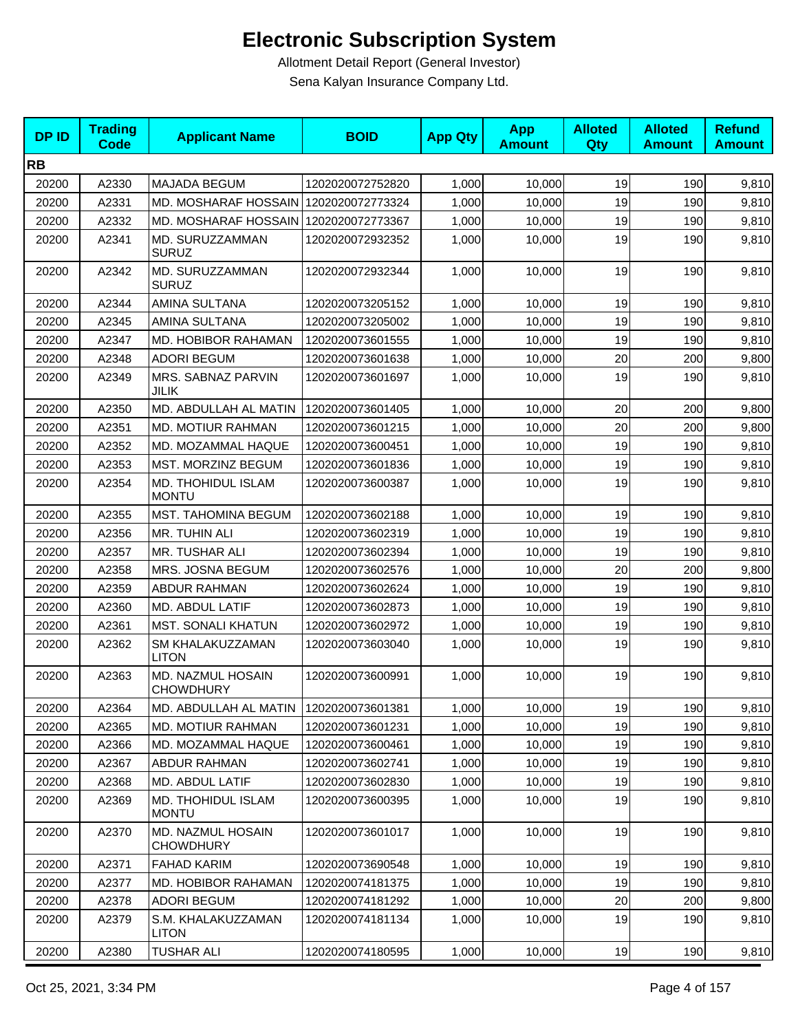| <b>DPID</b> | <b>Trading</b><br><b>Code</b> | <b>Applicant Name</b>                 | <b>BOID</b>      | <b>App Qty</b> | <b>App</b><br><b>Amount</b> | <b>Alloted</b><br><b>Qty</b> | <b>Alloted</b><br><b>Amount</b> | <b>Refund</b><br><b>Amount</b> |
|-------------|-------------------------------|---------------------------------------|------------------|----------------|-----------------------------|------------------------------|---------------------------------|--------------------------------|
| <b>RB</b>   |                               |                                       |                  |                |                             |                              |                                 |                                |
| 20200       | A2330                         | <b>MAJADA BEGUM</b>                   | 1202020072752820 | 1,000          | 10,000                      | 19                           | 190                             | 9,810                          |
| 20200       | A2331                         | MD. MOSHARAF HOSSAIN 1202020072773324 |                  | 1,000          | 10,000                      | 19                           | 190                             | 9,810                          |
| 20200       | A2332                         | MD. MOSHARAF HOSSAIN 1202020072773367 |                  | 1,000          | 10,000                      | 19                           | 190                             | 9,810                          |
| 20200       | A2341                         | MD. SURUZZAMMAN<br><b>SURUZ</b>       | 1202020072932352 | 1,000          | 10,000                      | 19                           | 190                             | 9,810                          |
| 20200       | A2342                         | MD. SURUZZAMMAN<br><b>SURUZ</b>       | 1202020072932344 | 1,000          | 10,000                      | 19                           | 190                             | 9,810                          |
| 20200       | A2344                         | <b>AMINA SULTANA</b>                  | 1202020073205152 | 1,000          | 10,000                      | 19                           | 190                             | 9,810                          |
| 20200       | A2345                         | AMINA SULTANA                         | 1202020073205002 | 1,000          | 10,000                      | 19                           | 190                             | 9,810                          |
| 20200       | A2347                         | MD. HOBIBOR RAHAMAN                   | 1202020073601555 | 1,000          | 10,000                      | 19                           | 190                             | 9,810                          |
| 20200       | A2348                         | <b>ADORI BEGUM</b>                    | 1202020073601638 | 1,000          | 10,000                      | 20                           | 200                             | 9,800                          |
| 20200       | A2349                         | MRS. SABNAZ PARVIN<br><b>JILIK</b>    | 1202020073601697 | 1,000          | 10,000                      | 19                           | 190                             | 9,810                          |
| 20200       | A2350                         | MD. ABDULLAH AL MATIN                 | 1202020073601405 | 1,000          | 10,000                      | 20                           | 200                             | 9,800                          |
| 20200       | A2351                         | MD. MOTIUR RAHMAN                     | 1202020073601215 | 1,000          | 10,000                      | 20                           | 200                             | 9,800                          |
| 20200       | A2352                         | MD. MOZAMMAL HAQUE                    | 1202020073600451 | 1,000          | 10,000                      | 19                           | 190                             | 9,810                          |
| 20200       | A2353                         | MST. MORZINZ BEGUM                    | 1202020073601836 | 1,000          | 10,000                      | 19                           | 190                             | 9,810                          |
| 20200       | A2354                         | MD. THOHIDUL ISLAM<br><b>MONTU</b>    | 1202020073600387 | 1,000          | 10,000                      | 19                           | 190                             | 9,810                          |
| 20200       | A2355                         | MST. TAHOMINA BEGUM                   | 1202020073602188 | 1,000          | 10,000                      | 19                           | 190                             | 9,810                          |
| 20200       | A2356                         | MR. TUHIN ALI                         | 1202020073602319 | 1,000          | 10,000                      | 19                           | 190                             | 9,810                          |
| 20200       | A2357                         | MR. TUSHAR ALI                        | 1202020073602394 | 1,000          | 10,000                      | 19                           | 190                             | 9,810                          |
| 20200       | A2358                         | MRS. JOSNA BEGUM                      | 1202020073602576 | 1,000          | 10,000                      | 20                           | 200                             | 9,800                          |
| 20200       | A2359                         | <b>ABDUR RAHMAN</b>                   | 1202020073602624 | 1,000          | 10,000                      | 19                           | 190                             | 9,810                          |
| 20200       | A2360                         | MD. ABDUL LATIF                       | 1202020073602873 | 1,000          | 10,000                      | 19                           | 190                             | 9,810                          |
| 20200       | A2361                         | <b>MST. SONALI KHATUN</b>             | 1202020073602972 | 1,000          | 10,000                      | 19                           | 190                             | 9,810                          |
| 20200       | A2362                         | SM KHALAKUZZAMAN<br><b>LITON</b>      | 1202020073603040 | 1,000          | 10,000                      | 19                           | 190                             | 9,810                          |
| 20200       | A2363                         | MD. NAZMUL HOSAIN<br><b>CHOWDHURY</b> | 1202020073600991 | 1,000          | 10,000                      | 19                           | 190                             | 9,810                          |
| 20200       | A2364                         | MD. ABDULLAH AL MATIN                 | 1202020073601381 | 1,000          | 10,000                      | 19                           | 190                             | 9,810                          |
| 20200       | A2365                         | MD. MOTIUR RAHMAN                     | 1202020073601231 | 1,000          | 10,000                      | 19                           | 190                             | 9,810                          |
| 20200       | A2366                         | MD. MOZAMMAL HAQUE                    | 1202020073600461 | 1,000          | 10,000                      | 19                           | 190                             | 9,810                          |
| 20200       | A2367                         | ABDUR RAHMAN                          | 1202020073602741 | 1,000          | 10,000                      | 19                           | 190                             | 9,810                          |
| 20200       | A2368                         | MD. ABDUL LATIF                       | 1202020073602830 | 1,000          | 10,000                      | 19                           | 190                             | 9,810                          |
| 20200       | A2369                         | MD. THOHIDUL ISLAM<br><b>MONTU</b>    | 1202020073600395 | 1,000          | 10,000                      | 19                           | 190                             | 9,810                          |
| 20200       | A2370                         | MD. NAZMUL HOSAIN<br><b>CHOWDHURY</b> | 1202020073601017 | 1,000          | 10,000                      | 19                           | 190                             | 9,810                          |
| 20200       | A2371                         | <b>FAHAD KARIM</b>                    | 1202020073690548 | 1,000          | 10,000                      | 19                           | 190                             | 9,810                          |
| 20200       | A2377                         | MD. HOBIBOR RAHAMAN                   | 1202020074181375 | 1,000          | 10,000                      | 19                           | 190                             | 9,810                          |
| 20200       | A2378                         | <b>ADORI BEGUM</b>                    | 1202020074181292 | 1,000          | 10,000                      | 20                           | 200                             | 9,800                          |
| 20200       | A2379                         | S.M. KHALAKUZZAMAN<br><b>LITON</b>    | 1202020074181134 | 1,000          | 10,000                      | 19                           | 190                             | 9,810                          |
| 20200       | A2380                         | <b>TUSHAR ALI</b>                     | 1202020074180595 | 1,000          | 10,000                      | 19                           | 190                             | 9,810                          |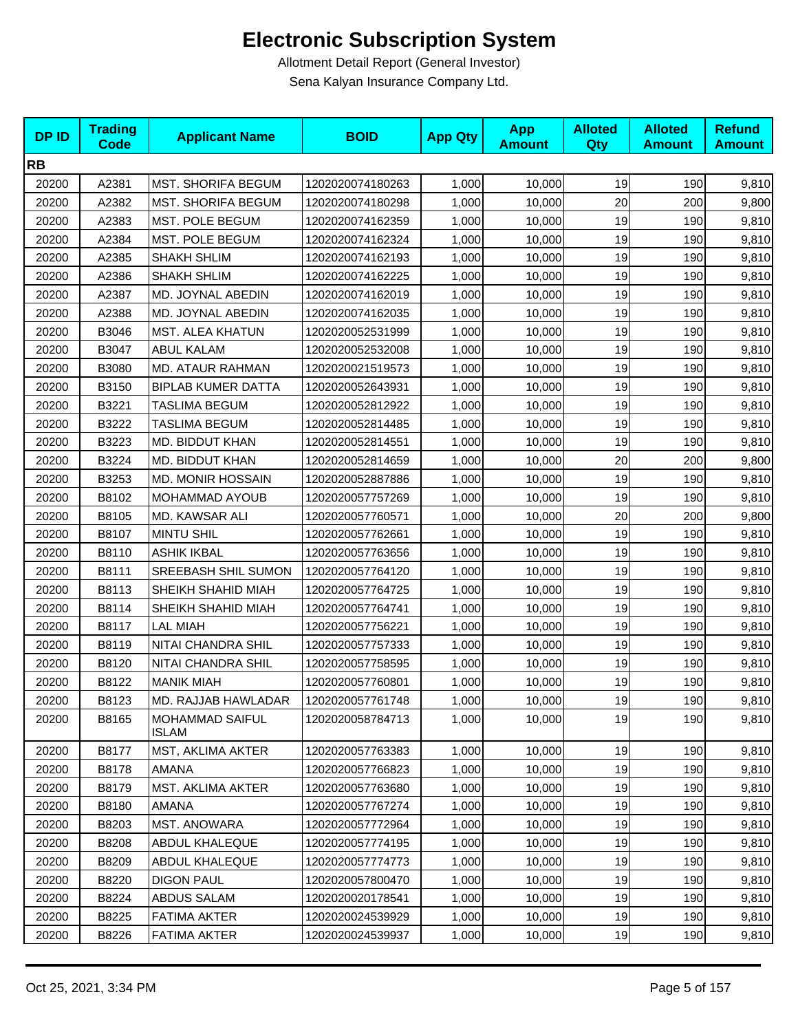| <b>DPID</b> | <b>Trading</b><br><b>Code</b> | <b>Applicant Name</b>           | <b>BOID</b>      | <b>App Qty</b> | <b>App</b><br><b>Amount</b> | <b>Alloted</b><br><b>Qty</b> | <b>Alloted</b><br><b>Amount</b> | <b>Refund</b><br><b>Amount</b> |
|-------------|-------------------------------|---------------------------------|------------------|----------------|-----------------------------|------------------------------|---------------------------------|--------------------------------|
| <b>RB</b>   |                               |                                 |                  |                |                             |                              |                                 |                                |
| 20200       | A2381                         | <b>MST. SHORIFA BEGUM</b>       | 1202020074180263 | 1,000          | 10,000                      | 19                           | 190                             | 9,810                          |
| 20200       | A2382                         | <b>MST. SHORIFA BEGUM</b>       | 1202020074180298 | 1,000          | 10,000                      | 20                           | 200                             | 9,800                          |
| 20200       | A2383                         | MST. POLE BEGUM                 | 1202020074162359 | 1,000          | 10,000                      | 19                           | 190                             | 9,810                          |
| 20200       | A2384                         | MST. POLE BEGUM                 | 1202020074162324 | 1,000          | 10,000                      | 19                           | 190                             | 9,810                          |
| 20200       | A2385                         | SHAKH SHLIM                     | 1202020074162193 | 1,000          | 10,000                      | 19                           | 190                             | 9,810                          |
| 20200       | A2386                         | <b>SHAKH SHLIM</b>              | 1202020074162225 | 1,000          | 10,000                      | 19                           | 190                             | 9,810                          |
| 20200       | A2387                         | MD. JOYNAL ABEDIN               | 1202020074162019 | 1,000          | 10,000                      | 19                           | 190                             | 9,810                          |
| 20200       | A2388                         | MD. JOYNAL ABEDIN               | 1202020074162035 | 1,000          | 10,000                      | 19                           | 190                             | 9,810                          |
| 20200       | B3046                         | MST. ALEA KHATUN                | 1202020052531999 | 1,000          | 10,000                      | 19                           | 190                             | 9,810                          |
| 20200       | B3047                         | <b>ABUL KALAM</b>               | 1202020052532008 | 1,000          | 10,000                      | 19                           | 190                             | 9,810                          |
| 20200       | B3080                         | <b>MD. ATAUR RAHMAN</b>         | 1202020021519573 | 1,000          | 10,000                      | 19                           | 190                             | 9,810                          |
| 20200       | B3150                         | <b>BIPLAB KUMER DATTA</b>       | 1202020052643931 | 1,000          | 10,000                      | 19                           | 190                             | 9,810                          |
| 20200       | B3221                         | <b>TASLIMA BEGUM</b>            | 1202020052812922 | 1,000          | 10,000                      | 19                           | 190                             | 9,810                          |
| 20200       | B3222                         | <b>TASLIMA BEGUM</b>            | 1202020052814485 | 1,000          | 10,000                      | 19                           | 190                             | 9,810                          |
| 20200       | B3223                         | MD. BIDDUT KHAN                 | 1202020052814551 | 1,000          | 10,000                      | 19                           | 190                             | 9,810                          |
| 20200       | B3224                         | MD. BIDDUT KHAN                 | 1202020052814659 | 1,000          | 10,000                      | 20                           | 200                             | 9,800                          |
| 20200       | B3253                         | <b>MD. MONIR HOSSAIN</b>        | 1202020052887886 | 1,000          | 10,000                      | 19                           | 190                             | 9,810                          |
| 20200       | B8102                         | MOHAMMAD AYOUB                  | 1202020057757269 | 1,000          | 10,000                      | 19                           | 190                             | 9,810                          |
| 20200       | B8105                         | MD. KAWSAR ALI                  | 1202020057760571 | 1,000          | 10,000                      | 20                           | 200                             | 9,800                          |
| 20200       | B8107                         | <b>MINTU SHIL</b>               | 1202020057762661 | 1,000          | 10,000                      | 19                           | 190                             | 9,810                          |
| 20200       | B8110                         | <b>ASHIK IKBAL</b>              | 1202020057763656 | 1,000          | 10,000                      | 19                           | 190                             | 9,810                          |
| 20200       | B8111                         | SREEBASH SHIL SUMON             | 1202020057764120 | 1,000          | 10,000                      | 19                           | 190                             | 9,810                          |
| 20200       | B8113                         | SHEIKH SHAHID MIAH              | 1202020057764725 | 1,000          | 10,000                      | 19                           | 190                             | 9,810                          |
| 20200       | B8114                         | SHEIKH SHAHID MIAH              | 1202020057764741 | 1,000          | 10,000                      | 19                           | 190                             | 9,810                          |
| 20200       | B8117                         | <b>LAL MIAH</b>                 | 1202020057756221 | 1,000          | 10,000                      | 19                           | 190                             | 9,810                          |
| 20200       | B8119                         | NITAI CHANDRA SHIL              | 1202020057757333 | 1,000          | 10,000                      | 19                           | 190                             | 9,810                          |
| 20200       | B8120                         | NITAI CHANDRA SHIL              | 1202020057758595 | 1,000          | 10,000                      | 19                           | 190                             | 9,810                          |
| 20200       | B8122                         | <b>MANIK MIAH</b>               | 1202020057760801 | 1,000          | 10,000                      | 19                           | 190                             | 9,810                          |
| 20200       | B8123                         | MD. RAJJAB HAWLADAR             | 1202020057761748 | 1,000          | 10,000                      | 19                           | 190                             | 9,810                          |
| 20200       | B8165                         | <b>MOHAMMAD SAIFUL</b><br>ISLAM | 1202020058784713 | 1,000          | 10.000                      | 19                           | 190                             | 9,810                          |
| 20200       | B8177                         | MST, AKLIMA AKTER               | 1202020057763383 | 1,000          | 10,000                      | 19                           | 190                             | 9,810                          |
| 20200       | B8178                         | AMANA                           | 1202020057766823 | 1,000          | 10,000                      | 19                           | 190                             | 9,810                          |
| 20200       | B8179                         | MST. AKLIMA AKTER               | 1202020057763680 | 1,000          | 10,000                      | 19                           | 190                             | 9,810                          |
| 20200       | B8180                         | AMANA                           | 1202020057767274 | 1,000          | 10,000                      | 19                           | 190                             | 9,810                          |
| 20200       | B8203                         | <b>MST. ANOWARA</b>             | 1202020057772964 | 1,000          | 10,000                      | 19                           | 190                             | 9,810                          |
| 20200       | B8208                         | ABDUL KHALEQUE                  | 1202020057774195 | 1,000          | 10,000                      | 19                           | 190                             | 9,810                          |
| 20200       | B8209                         | <b>ABDUL KHALEQUE</b>           | 1202020057774773 | 1,000          | 10,000                      | 19                           | 190                             | 9,810                          |
| 20200       | B8220                         | <b>DIGON PAUL</b>               | 1202020057800470 | 1,000          | 10,000                      | 19                           | 190                             | 9,810                          |
| 20200       | B8224                         | ABDUS SALAM                     | 1202020020178541 | 1,000          | 10,000                      | 19                           | 190                             | 9,810                          |
| 20200       | B8225                         | FATIMA AKTER                    | 1202020024539929 | 1,000          | 10,000                      | 19                           | 190                             | 9,810                          |
| 20200       | B8226                         | FATIMA AKTER                    | 1202020024539937 | 1,000          | 10,000                      | 19                           | 190                             | 9,810                          |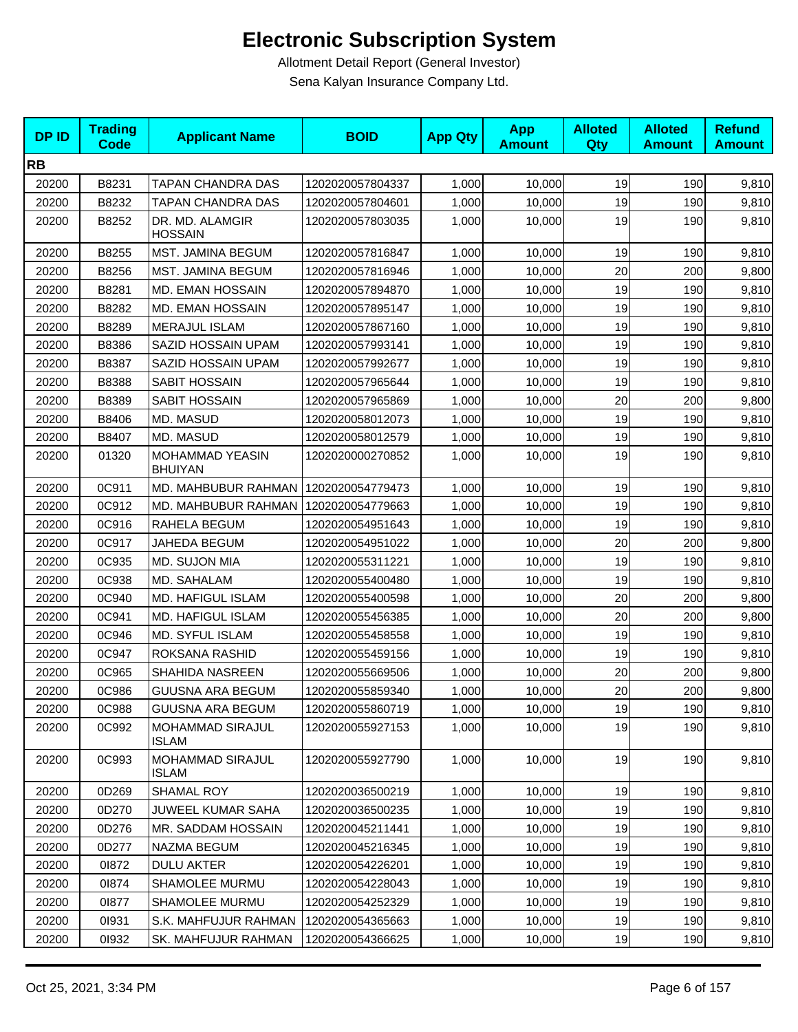| <b>DPID</b> | <b>Trading</b><br><b>Code</b> | <b>Applicant Name</b>             | <b>BOID</b>      | <b>App Qty</b> | <b>App</b><br><b>Amount</b> | <b>Alloted</b><br>Qty | <b>Alloted</b><br><b>Amount</b> | <b>Refund</b><br><b>Amount</b> |
|-------------|-------------------------------|-----------------------------------|------------------|----------------|-----------------------------|-----------------------|---------------------------------|--------------------------------|
| <b>RB</b>   |                               |                                   |                  |                |                             |                       |                                 |                                |
| 20200       | B8231                         | TAPAN CHANDRA DAS                 | 1202020057804337 | 1,000          | 10,000                      | 19                    | 190                             | 9,810                          |
| 20200       | B8232                         | TAPAN CHANDRA DAS                 | 1202020057804601 | 1,000          | 10,000                      | 19                    | 190                             | 9,810                          |
| 20200       | B8252                         | DR. MD. ALAMGIR<br><b>HOSSAIN</b> | 1202020057803035 | 1,000          | 10,000                      | 19                    | 190                             | 9,810                          |
| 20200       | B8255                         | MST. JAMINA BEGUM                 | 1202020057816847 | 1,000          | 10,000                      | 19                    | 190                             | 9,810                          |
| 20200       | B8256                         | MST. JAMINA BEGUM                 | 1202020057816946 | 1,000          | 10,000                      | 20                    | 200                             | 9,800                          |
| 20200       | B8281                         | MD. EMAN HOSSAIN                  | 1202020057894870 | 1,000          | 10,000                      | 19                    | 190                             | 9,810                          |
| 20200       | B8282                         | MD. EMAN HOSSAIN                  | 1202020057895147 | 1,000          | 10,000                      | 19                    | 190                             | 9,810                          |
| 20200       | B8289                         | <b>MERAJUL ISLAM</b>              | 1202020057867160 | 1,000          | 10,000                      | 19                    | 190                             | 9,810                          |
| 20200       | B8386                         | SAZID HOSSAIN UPAM                | 1202020057993141 | 1,000          | 10,000                      | 19                    | 190                             | 9,810                          |
| 20200       | B8387                         | SAZID HOSSAIN UPAM                | 1202020057992677 | 1,000          | 10,000                      | 19                    | 190                             | 9,810                          |
| 20200       | B8388                         | SABIT HOSSAIN                     | 1202020057965644 | 1,000          | 10,000                      | 19                    | 190                             | 9,810                          |
| 20200       | B8389                         | SABIT HOSSAIN                     | 1202020057965869 | 1,000          | 10,000                      | 20                    | 200                             | 9,800                          |
| 20200       | B8406                         | MD. MASUD                         | 1202020058012073 | 1,000          | 10,000                      | 19                    | 190                             | 9,810                          |
| 20200       | B8407                         | MD. MASUD                         | 1202020058012579 | 1,000          | 10,000                      | 19                    | 190                             | 9,810                          |
| 20200       | 01320                         | MOHAMMAD YEASIN<br><b>BHUIYAN</b> | 1202020000270852 | 1,000          | 10,000                      | 19                    | 190                             | 9,810                          |
| 20200       | 0C911                         | MD. MAHBUBUR RAHMAN               | 1202020054779473 | 1,000          | 10,000                      | 19                    | 190                             | 9,810                          |
| 20200       | 0C912                         | MD. MAHBUBUR RAHMAN               | 1202020054779663 | 1,000          | 10,000                      | 19                    | 190                             | 9,810                          |
| 20200       | 0C916                         | RAHELA BEGUM                      | 1202020054951643 | 1,000          | 10,000                      | 19                    | 190                             | 9,810                          |
| 20200       | 0C917                         | JAHEDA BEGUM                      | 1202020054951022 | 1,000          | 10,000                      | 20                    | 200                             | 9,800                          |
| 20200       | 0C935                         | MD. SUJON MIA                     | 1202020055311221 | 1,000          | 10,000                      | 19                    | 190                             | 9,810                          |
| 20200       | 0C938                         | MD. SAHALAM                       | 1202020055400480 | 1,000          | 10,000                      | 19                    | 190                             | 9,810                          |
| 20200       | 0C940                         | MD. HAFIGUL ISLAM                 | 1202020055400598 | 1,000          | 10,000                      | 20                    | 200                             | 9,800                          |
| 20200       | 0C941                         | MD. HAFIGUL ISLAM                 | 1202020055456385 | 1,000          | 10,000                      | 20                    | 200                             | 9,800                          |
| 20200       | 0C946                         | MD. SYFUL ISLAM                   | 1202020055458558 | 1,000          | 10,000                      | 19                    | 190                             | 9,810                          |
| 20200       | 0C947                         | ROKSANA RASHID                    | 1202020055459156 | 1,000          | 10,000                      | 19                    | 190                             | 9,810                          |
| 20200       | 0C965                         | SHAHIDA NASREEN                   | 1202020055669506 | 1,000          | 10,000                      | 20                    | 200                             | 9,800                          |
| 20200       | 0C986                         | <b>GUUSNA ARA BEGUM</b>           | 1202020055859340 | 1,000          | 10,000                      | 20                    | 200                             | 9,800                          |
| 20200       | 0C988                         | <b>GUUSNA ARA BEGUM</b>           | 1202020055860719 | 1,000          | 10,000                      | 19                    | 190                             | 9,810                          |
| 20200       | 0C992                         | MOHAMMAD SIRAJUL<br><b>ISLAM</b>  | 1202020055927153 | 1,000          | 10,000                      | 19                    | 190                             | 9,810                          |
| 20200       | 0C993                         | MOHAMMAD SIRAJUL<br>ISLAM         | 1202020055927790 | 1,000          | 10,000                      | 19                    | 190                             | 9,810                          |
| 20200       | 0D269                         | SHAMAL ROY                        | 1202020036500219 | 1,000          | 10,000                      | 19                    | 190                             | 9,810                          |
| 20200       | 0D270                         | JUWEEL KUMAR SAHA                 | 1202020036500235 | 1,000          | 10,000                      | 19                    | 190                             | 9,810                          |
| 20200       | 0D276                         | MR. SADDAM HOSSAIN                | 1202020045211441 | 1,000          | 10,000                      | 19                    | 190                             | 9,810                          |
| 20200       | 0D277                         | NAZMA BEGUM                       | 1202020045216345 | 1,000          | 10,000                      | 19                    | 190                             | 9,810                          |
| 20200       | 01872                         | <b>DULU AKTER</b>                 | 1202020054226201 | 1,000          | 10,000                      | 19                    | 190                             | 9,810                          |
| 20200       | 01874                         | SHAMOLEE MURMU                    | 1202020054228043 | 1,000          | 10,000                      | 19                    | 190                             | 9,810                          |
| 20200       | 01877                         | SHAMOLEE MURMU                    | 1202020054252329 | 1,000          | 10,000                      | 19                    | 190                             | 9,810                          |
| 20200       | 01931                         | S.K. MAHFUJUR RAHMAN              | 1202020054365663 | 1,000          | 10,000                      | 19                    | 190                             | 9,810                          |
| 20200       | 01932                         | SK. MAHFUJUR RAHMAN               | 1202020054366625 | 1,000          | 10,000                      | 19                    | 190                             | 9,810                          |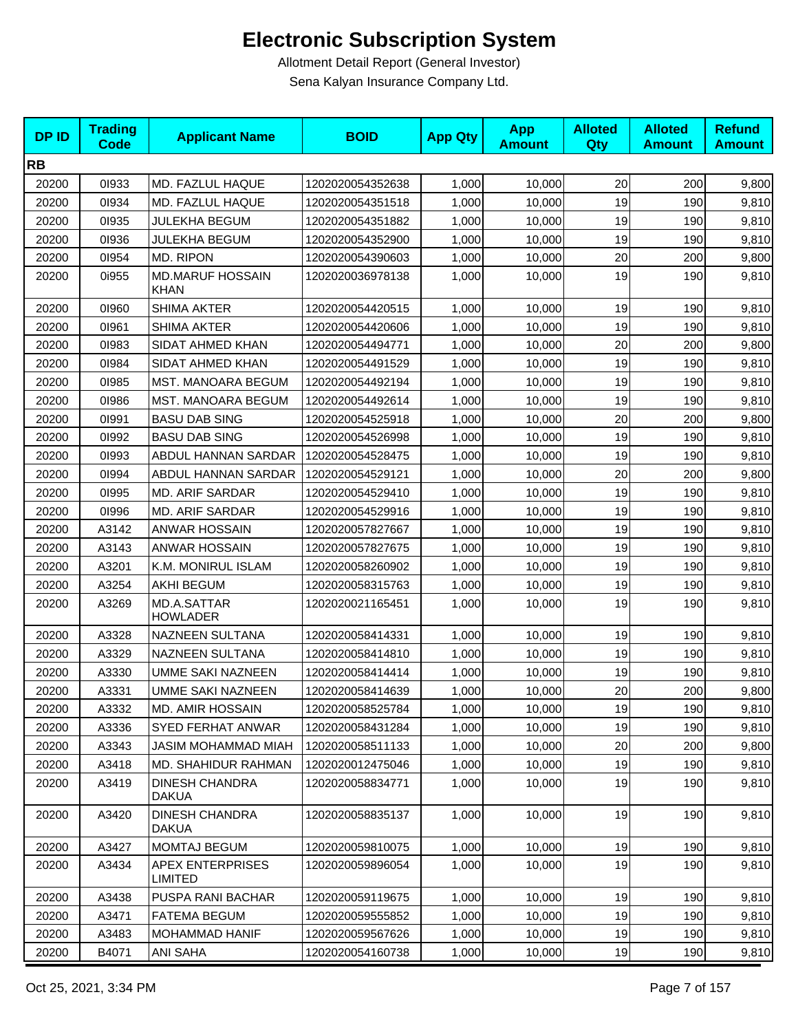| <b>DPID</b> | <b>Trading</b><br><b>Code</b> | <b>Applicant Name</b>                     | <b>BOID</b>      | <b>App Qty</b> | <b>App</b><br><b>Amount</b> | <b>Alloted</b><br>Qty | <b>Alloted</b><br><b>Amount</b> | <b>Refund</b><br><b>Amount</b> |
|-------------|-------------------------------|-------------------------------------------|------------------|----------------|-----------------------------|-----------------------|---------------------------------|--------------------------------|
| <b>RB</b>   |                               |                                           |                  |                |                             |                       |                                 |                                |
| 20200       | 01933                         | MD. FAZLUL HAQUE                          | 1202020054352638 | 1,000          | 10,000                      | 20                    | 200                             | 9,800                          |
| 20200       | 01934                         | MD. FAZLUL HAQUE                          | 1202020054351518 | 1,000          | 10,000                      | 19                    | 190                             | 9,810                          |
| 20200       | 01935                         | JULEKHA BEGUM                             | 1202020054351882 | 1,000          | 10,000                      | 19                    | 190                             | 9,810                          |
| 20200       | 01936                         | <b>JULEKHA BEGUM</b>                      | 1202020054352900 | 1,000          | 10,000                      | 19                    | 190                             | 9,810                          |
| 20200       | 01954                         | MD. RIPON                                 | 1202020054390603 | 1,000          | 10,000                      | 20                    | 200                             | 9,800                          |
| 20200       | 0i955                         | <b>MD.MARUF HOSSAIN</b><br><b>KHAN</b>    | 1202020036978138 | 1,000          | 10,000                      | 19                    | 190                             | 9,810                          |
| 20200       | 01960                         | <b>SHIMA AKTER</b>                        | 1202020054420515 | 1,000          | 10,000                      | 19                    | 190                             | 9,810                          |
| 20200       | 01961                         | <b>SHIMA AKTER</b>                        | 1202020054420606 | 1,000          | 10,000                      | 19                    | 190                             | 9,810                          |
| 20200       | 01983                         | SIDAT AHMED KHAN                          | 1202020054494771 | 1,000          | 10,000                      | 20                    | 200                             | 9,800                          |
| 20200       | 01984                         | SIDAT AHMED KHAN                          | 1202020054491529 | 1,000          | 10,000                      | 19                    | 190                             | 9,810                          |
| 20200       | 01985                         | MST. MANOARA BEGUM                        | 1202020054492194 | 1,000          | 10,000                      | 19                    | 190                             | 9,810                          |
| 20200       | 01986                         | MST. MANOARA BEGUM                        | 1202020054492614 | 1,000          | 10,000                      | 19                    | 190                             | 9,810                          |
| 20200       | 01991                         | <b>BASU DAB SING</b>                      | 1202020054525918 | 1,000          | 10,000                      | 20                    | 200                             | 9,800                          |
| 20200       | 01992                         | <b>BASU DAB SING</b>                      | 1202020054526998 | 1,000          | 10,000                      | 19                    | 190                             | 9,810                          |
| 20200       | 01993                         | ABDUL HANNAN SARDAR                       | 1202020054528475 | 1,000          | 10,000                      | 19                    | 190                             | 9,810                          |
| 20200       | 01994                         | ABDUL HANNAN SARDAR                       | 1202020054529121 | 1,000          | 10,000                      | 20                    | 200                             | 9,800                          |
| 20200       | 01995                         | MD. ARIF SARDAR                           | 1202020054529410 | 1,000          | 10,000                      | 19                    | 190                             | 9,810                          |
| 20200       | 01996                         | <b>MD. ARIF SARDAR</b>                    | 1202020054529916 | 1,000          | 10,000                      | 19                    | 190                             | 9,810                          |
| 20200       | A3142                         | <b>ANWAR HOSSAIN</b>                      | 1202020057827667 | 1,000          | 10,000                      | 19                    | 190                             | 9,810                          |
| 20200       | A3143                         | <b>ANWAR HOSSAIN</b>                      | 1202020057827675 | 1,000          | 10,000                      | 19                    | 190                             | 9,810                          |
| 20200       | A3201                         | K.M. MONIRUL ISLAM                        | 1202020058260902 | 1,000          | 10,000                      | 19                    | 190                             | 9,810                          |
| 20200       | A3254                         | <b>AKHI BEGUM</b>                         | 1202020058315763 | 1,000          | 10,000                      | 19                    | 190                             | 9,810                          |
| 20200       | A3269                         | MD.A.SATTAR<br><b>HOWLADER</b>            | 1202020021165451 | 1,000          | 10,000                      | 19                    | 190                             | 9,810                          |
| 20200       | A3328                         | NAZNEEN SULTANA                           | 1202020058414331 | 1,000          | 10,000                      | 19                    | 190                             | 9,810                          |
| 20200       | A3329                         | NAZNEEN SULTANA                           | 1202020058414810 | 1,000          | 10,000                      | 19                    | 190                             | 9,810                          |
| 20200       | A3330                         | <b>UMME SAKI NAZNEEN</b>                  | 1202020058414414 | 1,000          | 10,000                      | 19                    | 190                             | 9,810                          |
| 20200       | A3331                         | UMME SAKI NAZNEEN                         | 1202020058414639 | 1,000          | 10,000                      | 20                    | 200                             | 9,800                          |
| 20200       | A3332                         | <b>MD. AMIR HOSSAIN</b>                   | 1202020058525784 | 1,000          | 10,000                      | 19                    | 190                             | 9,810                          |
| 20200       | A3336                         | <b>SYED FERHAT ANWAR</b>                  | 1202020058431284 | 1,000          | 10,000                      | 19                    | 190                             | 9,810                          |
| 20200       | A3343                         | JASIM MOHAMMAD MIAH                       | 1202020058511133 | 1,000          | 10,000                      | 20                    | 200                             | 9,800                          |
| 20200       | A3418                         | MD. SHAHIDUR RAHMAN                       | 1202020012475046 | 1,000          | 10,000                      | 19                    | 190                             | 9,810                          |
| 20200       | A3419                         | <b>DINESH CHANDRA</b><br><b>DAKUA</b>     | 1202020058834771 | 1,000          | 10.000                      | 19                    | 190                             | 9,810                          |
| 20200       | A3420                         | <b>DINESH CHANDRA</b><br><b>DAKUA</b>     | 1202020058835137 | 1,000          | 10,000                      | 19                    | 190                             | 9,810                          |
| 20200       | A3427                         | <b>MOMTAJ BEGUM</b>                       | 1202020059810075 | 1,000          | 10,000                      | 19                    | 190                             | 9,810                          |
| 20200       | A3434                         | <b>APEX ENTERPRISES</b><br><b>LIMITED</b> | 1202020059896054 | 1,000          | 10,000                      | 19                    | 190                             | 9,810                          |
| 20200       | A3438                         | PUSPA RANI BACHAR                         | 1202020059119675 | 1,000          | 10,000                      | 19                    | 190                             | 9,810                          |
| 20200       | A3471                         | <b>FATEMA BEGUM</b>                       | 1202020059555852 | 1,000          | 10,000                      | 19                    | 190                             | 9,810                          |
| 20200       | A3483                         | <b>MOHAMMAD HANIF</b>                     | 1202020059567626 | 1,000          | 10,000                      | 19                    | 190                             | 9,810                          |
| 20200       | B4071                         | <b>ANI SAHA</b>                           | 1202020054160738 | 1,000          | 10,000                      | 19                    | 190                             | 9,810                          |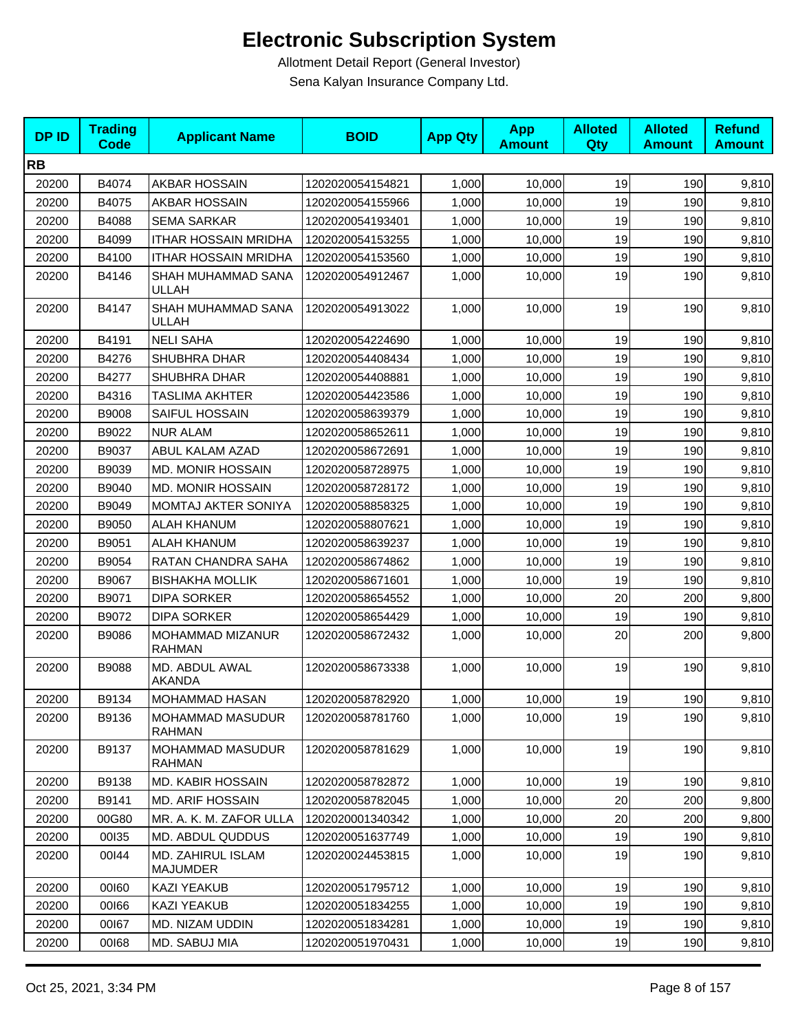| <b>DPID</b> | <b>Trading</b><br><b>Code</b> | <b>Applicant Name</b>              | <b>BOID</b>      | <b>App Qty</b> | <b>App</b><br><b>Amount</b> | <b>Alloted</b><br><b>Qty</b> | <b>Alloted</b><br><b>Amount</b> | <b>Refund</b><br><b>Amount</b> |
|-------------|-------------------------------|------------------------------------|------------------|----------------|-----------------------------|------------------------------|---------------------------------|--------------------------------|
| <b>RB</b>   |                               |                                    |                  |                |                             |                              |                                 |                                |
| 20200       | B4074                         | AKBAR HOSSAIN                      | 1202020054154821 | 1,000          | 10,000                      | 19                           | 190                             | 9,810                          |
| 20200       | B4075                         | AKBAR HOSSAIN                      | 1202020054155966 | 1,000          | 10,000                      | 19                           | 190                             | 9,810                          |
| 20200       | B4088                         | <b>SEMA SARKAR</b>                 | 1202020054193401 | 1,000          | 10,000                      | 19                           | 190                             | 9,810                          |
| 20200       | B4099                         | <b>ITHAR HOSSAIN MRIDHA</b>        | 1202020054153255 | 1,000          | 10,000                      | 19                           | 190                             | 9,810                          |
| 20200       | B4100                         | <b>ITHAR HOSSAIN MRIDHA</b>        | 1202020054153560 | 1,000          | 10,000                      | 19                           | 190                             | 9,810                          |
| 20200       | B4146                         | SHAH MUHAMMAD SANA<br><b>ULLAH</b> | 1202020054912467 | 1,000          | 10,000                      | 19                           | 190                             | 9,810                          |
| 20200       | B4147                         | SHAH MUHAMMAD SANA<br>ULLAH        | 1202020054913022 | 1,000          | 10,000                      | 19                           | 190                             | 9,810                          |
| 20200       | B4191                         | <b>NELI SAHA</b>                   | 1202020054224690 | 1,000          | 10,000                      | 19                           | 190                             | 9,810                          |
| 20200       | B4276                         | SHUBHRA DHAR                       | 1202020054408434 | 1,000          | 10,000                      | 19                           | 190                             | 9,810                          |
| 20200       | B4277                         | SHUBHRA DHAR                       | 1202020054408881 | 1,000          | 10,000                      | 19                           | 190                             | 9,810                          |
| 20200       | B4316                         | TASLIMA AKHTER                     | 1202020054423586 | 1,000          | 10,000                      | 19                           | 190                             | 9,810                          |
| 20200       | B9008                         | SAIFUL HOSSAIN                     | 1202020058639379 | 1,000          | 10,000                      | 19                           | 190                             | 9,810                          |
| 20200       | B9022                         | <b>NUR ALAM</b>                    | 1202020058652611 | 1,000          | 10,000                      | 19                           | 190                             | 9,810                          |
| 20200       | B9037                         | ABUL KALAM AZAD                    | 1202020058672691 | 1,000          | 10,000                      | 19                           | 190                             | 9,810                          |
| 20200       | B9039                         | <b>MD. MONIR HOSSAIN</b>           | 1202020058728975 | 1,000          | 10,000                      | 19                           | 190                             | 9,810                          |
| 20200       | B9040                         | <b>MD. MONIR HOSSAIN</b>           | 1202020058728172 | 1.000          | 10,000                      | 19                           | 190                             | 9,810                          |
| 20200       | B9049                         | MOMTAJ AKTER SONIYA                | 1202020058858325 | 1,000          | 10,000                      | 19                           | 190                             | 9,810                          |
| 20200       | B9050                         | <b>ALAH KHANUM</b>                 | 1202020058807621 | 1,000          | 10,000                      | 19                           | 190                             | 9,810                          |
| 20200       | B9051                         | <b>ALAH KHANUM</b>                 | 1202020058639237 | 1,000          | 10,000                      | 19                           | 190                             | 9,810                          |
| 20200       | B9054                         | RATAN CHANDRA SAHA                 | 1202020058674862 | 1,000          | 10,000                      | 19                           | 190                             | 9,810                          |
| 20200       | B9067                         | <b>BISHAKHA MOLLIK</b>             | 1202020058671601 | 1,000          | 10,000                      | 19                           | 190                             | 9,810                          |
| 20200       | B9071                         | <b>DIPA SORKER</b>                 | 1202020058654552 | 1,000          | 10,000                      | 20                           | 200                             | 9,800                          |
| 20200       | B9072                         | <b>DIPA SORKER</b>                 | 1202020058654429 | 1,000          | 10,000                      | 19                           | 190                             | 9,810                          |
| 20200       | B9086                         | MOHAMMAD MIZANUR<br><b>RAHMAN</b>  | 1202020058672432 | 1,000          | 10,000                      | 20                           | 200                             | 9,800                          |
| 20200       | B9088                         | MD. ABDUL AWAL<br><b>AKANDA</b>    | 1202020058673338 | 1,000          | 10,000                      | 19                           | 190                             | 9,810                          |
| 20200       | B9134                         | MOHAMMAD HASAN                     | 1202020058782920 | 1,000          | 10,000                      | 19                           | 190                             | 9,810                          |
| 20200       | B9136                         | MOHAMMAD MASUDUR<br><b>RAHMAN</b>  | 1202020058781760 | 1,000          | 10,000                      | 19                           | 190                             | 9,810                          |
| 20200       | B9137                         | MOHAMMAD MASUDUR<br><b>RAHMAN</b>  | 1202020058781629 | 1,000          | 10,000                      | 19                           | 190                             | 9,810                          |
| 20200       | B9138                         | <b>MD. KABIR HOSSAIN</b>           | 1202020058782872 | 1,000          | 10,000                      | 19                           | 190                             | 9,810                          |
| 20200       | B9141                         | <b>MD. ARIF HOSSAIN</b>            | 1202020058782045 | 1,000          | 10,000                      | 20                           | 200                             | 9,800                          |
| 20200       | 00G80                         | MR. A. K. M. ZAFOR ULLA            | 1202020001340342 | 1,000          | 10,000                      | 20                           | 200                             | 9,800                          |
| 20200       | 00135                         | MD. ABDUL QUDDUS                   | 1202020051637749 | 1,000          | 10,000                      | 19                           | 190                             | 9,810                          |
| 20200       | 00144                         | MD. ZAHIRUL ISLAM<br>MAJUMDER      | 1202020024453815 | 1,000          | 10,000                      | 19                           | 190                             | 9,810                          |
| 20200       | 00160                         | KAZI YEAKUB                        | 1202020051795712 | 1,000          | 10,000                      | 19                           | 190                             | 9,810                          |
| 20200       | 00166                         | KAZI YEAKUB                        | 1202020051834255 | 1,000          | 10,000                      | 19                           | 190                             | 9,810                          |
| 20200       | 00167                         | MD. NIZAM UDDIN                    | 1202020051834281 | 1,000          | 10,000                      | 19                           | 190                             | 9,810                          |
| 20200       | 00168                         | MD. SABUJ MIA                      | 1202020051970431 | 1,000          | 10,000                      | 19                           | 190                             | 9,810                          |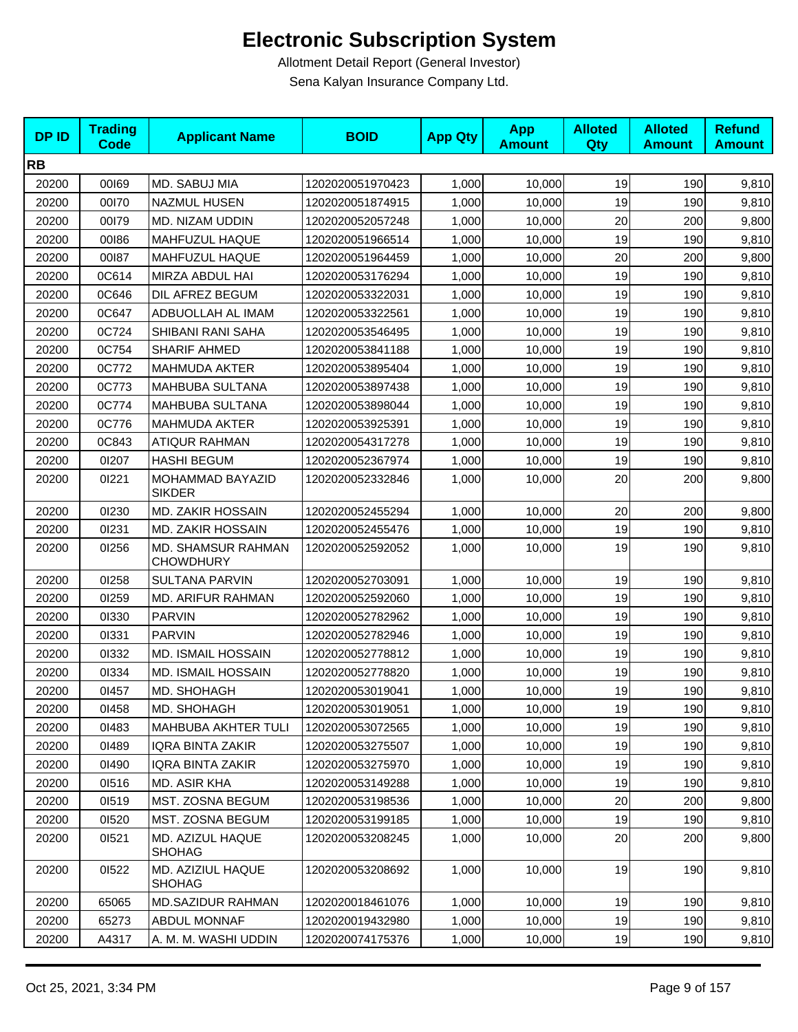| <b>DPID</b> | <b>Trading</b><br><b>Code</b> | <b>Applicant Name</b>                         | <b>BOID</b>      | <b>App Qty</b> | <b>App</b><br><b>Amount</b> | <b>Alloted</b><br>Qty | <b>Alloted</b><br><b>Amount</b> | <b>Refund</b><br><b>Amount</b> |
|-------------|-------------------------------|-----------------------------------------------|------------------|----------------|-----------------------------|-----------------------|---------------------------------|--------------------------------|
| <b>RB</b>   |                               |                                               |                  |                |                             |                       |                                 |                                |
| 20200       | 00169                         | MD. SABUJ MIA                                 | 1202020051970423 | 1,000          | 10,000                      | 19                    | 190                             | 9,810                          |
| 20200       | 00170                         | <b>NAZMUL HUSEN</b>                           | 1202020051874915 | 1,000          | 10,000                      | 19                    | 190                             | 9,810                          |
| 20200       | 00179                         | MD. NIZAM UDDIN                               | 1202020052057248 | 1,000          | 10,000                      | 20                    | 200                             | 9,800                          |
| 20200       | 00186                         | MAHFUZUL HAQUE                                | 1202020051966514 | 1,000          | 10,000                      | 19                    | 190                             | 9,810                          |
| 20200       | 00187                         | MAHFUZUL HAQUE                                | 1202020051964459 | 1,000          | 10,000                      | 20                    | 200                             | 9,800                          |
| 20200       | 0C614                         | MIRZA ABDUL HAI                               | 1202020053176294 | 1,000          | 10,000                      | 19                    | 190                             | 9,810                          |
| 20200       | 0C646                         | DIL AFREZ BEGUM                               | 1202020053322031 | 1,000          | 10,000                      | 19                    | 190                             | 9,810                          |
| 20200       | 0C647                         | ADBUOLLAH AL IMAM                             | 1202020053322561 | 1,000          | 10,000                      | 19                    | 190                             | 9,810                          |
| 20200       | 0C724                         | SHIBANI RANI SAHA                             | 1202020053546495 | 1,000          | 10,000                      | 19                    | 190                             | 9,810                          |
| 20200       | 0C754                         | SHARIF AHMED                                  | 1202020053841188 | 1,000          | 10,000                      | 19                    | 190                             | 9,810                          |
| 20200       | 0C772                         | <b>MAHMUDA AKTER</b>                          | 1202020053895404 | 1,000          | 10,000                      | 19                    | 190                             | 9,810                          |
| 20200       | 0C773                         | MAHBUBA SULTANA                               | 1202020053897438 | 1,000          | 10,000                      | 19                    | 190                             | 9,810                          |
| 20200       | 0C774                         | MAHBUBA SULTANA                               | 1202020053898044 | 1,000          | 10,000                      | 19                    | 190                             | 9,810                          |
| 20200       | 0C776                         | <b>MAHMUDA AKTER</b>                          | 1202020053925391 | 1,000          | 10,000                      | 19                    | 190                             | 9,810                          |
| 20200       | 0C843                         | <b>ATIQUR RAHMAN</b>                          | 1202020054317278 | 1,000          | 10,000                      | 19                    | 190                             | 9,810                          |
| 20200       | 01207                         | <b>HASHI BEGUM</b>                            | 1202020052367974 | 1,000          | 10,000                      | 19                    | 190                             | 9,810                          |
| 20200       | 01221                         | MOHAMMAD BAYAZID<br><b>SIKDER</b>             | 1202020052332846 | 1,000          | 10,000                      | 20                    | 200                             | 9,800                          |
| 20200       | 01230                         | <b>MD. ZAKIR HOSSAIN</b>                      | 1202020052455294 | 1,000          | 10,000                      | 20                    | 200                             | 9,800                          |
| 20200       | 01231                         | <b>MD. ZAKIR HOSSAIN</b>                      | 1202020052455476 | 1,000          | 10,000                      | 19                    | 190                             | 9,810                          |
| 20200       | 01256                         | <b>MD. SHAMSUR RAHMAN</b><br><b>CHOWDHURY</b> | 1202020052592052 | 1,000          | 10,000                      | 19                    | 190                             | 9,810                          |
| 20200       | 01258                         | <b>SULTANA PARVIN</b>                         | 1202020052703091 | 1,000          | 10,000                      | 19                    | 190                             | 9,810                          |
| 20200       | 01259                         | MD. ARIFUR RAHMAN                             | 1202020052592060 | 1,000          | 10,000                      | 19                    | 190                             | 9,810                          |
| 20200       | 01330                         | <b>PARVIN</b>                                 | 1202020052782962 | 1,000          | 10,000                      | 19                    | 190                             | 9,810                          |
| 20200       | 01331                         | <b>PARVIN</b>                                 | 1202020052782946 | 1.000          | 10,000                      | 19                    | 190                             | 9,810                          |
| 20200       | 01332                         | <b>MD. ISMAIL HOSSAIN</b>                     | 1202020052778812 | 1,000          | 10,000                      | 19                    | 190                             | 9,810                          |
| 20200       | 01334                         | <b>MD. ISMAIL HOSSAIN</b>                     | 1202020052778820 | 1,000          | 10,000                      | 19                    | 190                             | 9,810                          |
| 20200       | 01457                         | MD. SHOHAGH                                   | 1202020053019041 | 1,000          | 10,000                      | 19                    | 190                             | 9,810                          |
| 20200       | 01458                         | MD. SHOHAGH                                   | 1202020053019051 | 1,000          | 10,000                      | 19                    | 190                             | 9,810                          |
| 20200       | 01483                         | MAHBUBA AKHTER TULI                           | 1202020053072565 | 1,000          | 10,000                      | 19                    | 190                             | 9,810                          |
| 20200       | 01489                         | <b>IQRA BINTA ZAKIR</b>                       | 1202020053275507 | 1,000          | 10,000                      | 19                    | 190                             | 9,810                          |
| 20200       | 01490                         | <b>IQRA BINTA ZAKIR</b>                       | 1202020053275970 | 1,000          | 10,000                      | 19                    | 190                             | 9,810                          |
| 20200       | 01516                         | MD. ASIR KHA                                  | 1202020053149288 | 1,000          | 10,000                      | 19                    | 190                             | 9,810                          |
| 20200       | 01519                         | MST. ZOSNA BEGUM                              | 1202020053198536 | 1,000          | 10,000                      | 20                    | 200                             | 9,800                          |
| 20200       | 01520                         | MST. ZOSNA BEGUM                              | 1202020053199185 | 1,000          | 10,000                      | 19                    | 190                             | 9,810                          |
| 20200       | 01521                         | MD. AZIZUL HAQUE<br><b>SHOHAG</b>             | 1202020053208245 | 1,000          | 10,000                      | 20                    | 200                             | 9,800                          |
| 20200       | 01522                         | MD. AZIZIUL HAQUE<br><b>SHOHAG</b>            | 1202020053208692 | 1,000          | 10,000                      | 19                    | 190                             | 9,810                          |
| 20200       | 65065                         | <b>MD.SAZIDUR RAHMAN</b>                      | 1202020018461076 | 1,000          | 10,000                      | 19                    | 190                             | 9,810                          |
| 20200       | 65273                         | <b>ABDUL MONNAF</b>                           | 1202020019432980 | 1,000          | 10,000                      | 19                    | 190                             | 9,810                          |
| 20200       | A4317                         | A. M. M. WASHI UDDIN                          | 1202020074175376 | 1,000          | 10,000                      | 19                    | 190                             | 9,810                          |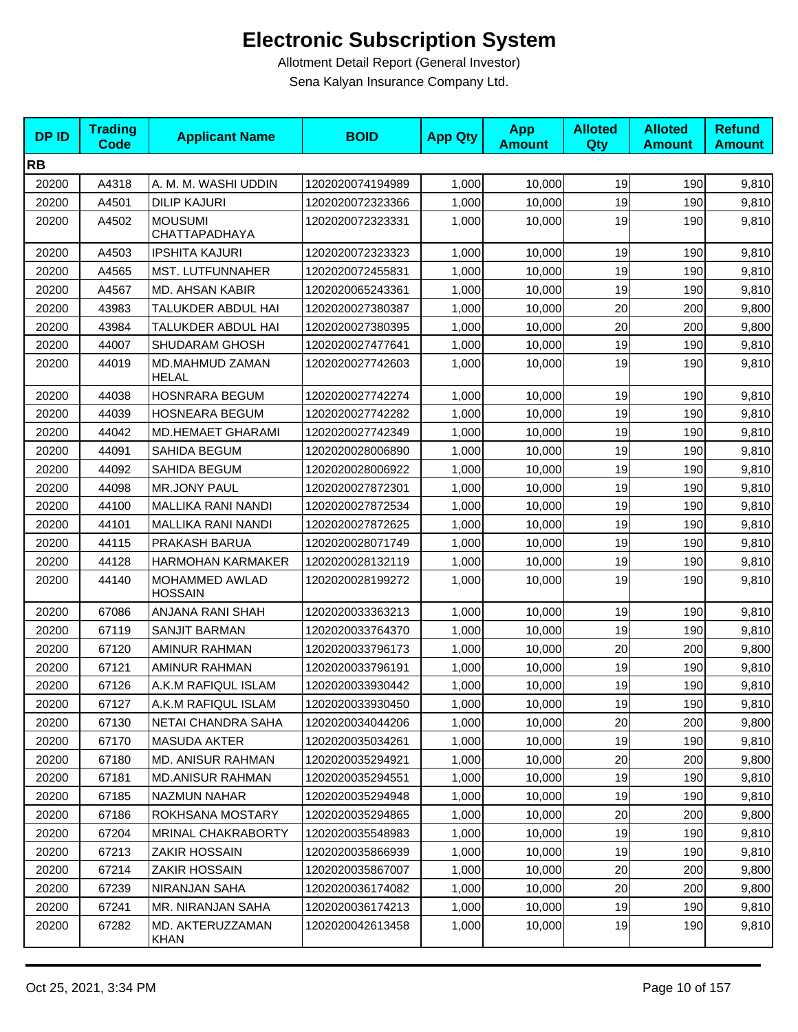| <b>DPID</b> | <b>Trading</b><br>Code | <b>Applicant Name</b>                   | <b>BOID</b>      | <b>App Qty</b> | <b>App</b><br><b>Amount</b> | <b>Alloted</b><br>Qty | <b>Alloted</b><br><b>Amount</b> | <b>Refund</b><br><b>Amount</b> |
|-------------|------------------------|-----------------------------------------|------------------|----------------|-----------------------------|-----------------------|---------------------------------|--------------------------------|
| <b>RB</b>   |                        |                                         |                  |                |                             |                       |                                 |                                |
| 20200       | A4318                  | A. M. M. WASHI UDDIN                    | 1202020074194989 | 1,000          | 10,000                      | 19                    | 190                             | 9,810                          |
| 20200       | A4501                  | <b>DILIP KAJURI</b>                     | 1202020072323366 | 1,000          | 10,000                      | 19                    | 190                             | 9,810                          |
| 20200       | A4502                  | <b>MOUSUMI</b><br>CHATTAPADHAYA         | 1202020072323331 | 1,000          | 10,000                      | 19                    | 190                             | 9,810                          |
| 20200       | A4503                  | <b>IPSHITA KAJURI</b>                   | 1202020072323323 | 1,000          | 10,000                      | 19                    | 190                             | 9,810                          |
| 20200       | A4565                  | MST. LUTFUNNAHER                        | 1202020072455831 | 1,000          | 10,000                      | 19                    | 190                             | 9,810                          |
| 20200       | A4567                  | MD. AHSAN KABIR                         | 1202020065243361 | 1,000          | 10,000                      | 19                    | 190                             | 9,810                          |
| 20200       | 43983                  | TALUKDER ABDUL HAI                      | 1202020027380387 | 1,000          | 10,000                      | 20                    | 200                             | 9,800                          |
| 20200       | 43984                  | TALUKDER ABDUL HAI                      | 1202020027380395 | 1,000          | 10,000                      | 20                    | 200                             | 9,800                          |
| 20200       | 44007                  | <b>SHUDARAM GHOSH</b>                   | 1202020027477641 | 1,000          | 10,000                      | 19                    | 190                             | 9,810                          |
| 20200       | 44019                  | MD.MAHMUD ZAMAN<br><b>HELAL</b>         | 1202020027742603 | 1,000          | 10,000                      | 19                    | 190                             | 9,810                          |
| 20200       | 44038                  | <b>HOSNRARA BEGUM</b>                   | 1202020027742274 | 1,000          | 10,000                      | 19                    | 190                             | 9,810                          |
| 20200       | 44039                  | <b>HOSNEARA BEGUM</b>                   | 1202020027742282 | 1,000          | 10,000                      | 19                    | 190                             | 9,810                          |
| 20200       | 44042                  | <b>MD.HEMAET GHARAMI</b>                | 1202020027742349 | 1,000          | 10,000                      | 19                    | 190                             | 9,810                          |
| 20200       | 44091                  | SAHIDA BEGUM                            | 1202020028006890 | 1,000          | 10,000                      | 19                    | 190                             | 9,810                          |
| 20200       | 44092                  | SAHIDA BEGUM                            | 1202020028006922 | 1,000          | 10,000                      | 19                    | 190                             | 9,810                          |
| 20200       | 44098                  | <b>MR.JONY PAUL</b>                     | 1202020027872301 | 1,000          | 10,000                      | 19                    | 190                             | 9,810                          |
| 20200       | 44100                  | <b>MALLIKA RANI NANDI</b>               | 1202020027872534 | 1,000          | 10,000                      | 19                    | 190                             | 9,810                          |
| 20200       | 44101                  | <b>MALLIKA RANI NANDI</b>               | 1202020027872625 | 1,000          | 10,000                      | 19                    | 190                             | 9,810                          |
| 20200       | 44115                  | PRAKASH BARUA                           | 1202020028071749 | 1,000          | 10,000                      | 19                    | 190                             | 9,810                          |
| 20200       | 44128                  | <b>HARMOHAN KARMAKER</b>                | 1202020028132119 | 1,000          | 10,000                      | 19                    | 190                             | 9,810                          |
| 20200       | 44140                  | <b>MOHAMMED AWLAD</b><br><b>HOSSAIN</b> | 1202020028199272 | 1,000          | 10,000                      | 19                    | 190                             | 9,810                          |
| 20200       | 67086                  | ANJANA RANI SHAH                        | 1202020033363213 | 1,000          | 10,000                      | 19                    | 190                             | 9,810                          |
| 20200       | 67119                  | <b>SANJIT BARMAN</b>                    | 1202020033764370 | 1,000          | 10,000                      | 19                    | 190                             | 9,810                          |
| 20200       | 67120                  | AMINUR RAHMAN                           | 1202020033796173 | 1,000          | 10,000                      | 20                    | 200                             | 9,800                          |
| 20200       | 67121                  | AMINUR RAHMAN                           | 1202020033796191 | 1,000          | 10,000                      | 19                    | 190                             | 9,810                          |
| 20200       | 67126                  | A.K.M RAFIQUL ISLAM                     | 1202020033930442 | 1,000          | 10,000                      | 19                    | 190                             | 9,810                          |
| 20200       | 67127                  | A.K.M RAFIQUL ISLAM                     | 1202020033930450 | 1,000          | 10,000                      | 19                    | 190                             | 9,810                          |
| 20200       | 67130                  | NETAI CHANDRA SAHA                      | 1202020034044206 | 1,000          | 10,000                      | 20                    | 200                             | 9,800                          |
| 20200       | 67170                  | <b>MASUDA AKTER</b>                     | 1202020035034261 | 1,000          | 10,000                      | 19                    | 190                             | 9,810                          |
| 20200       | 67180                  | <b>MD. ANISUR RAHMAN</b>                | 1202020035294921 | 1,000          | 10,000                      | 20                    | 200                             | 9,800                          |
| 20200       | 67181                  | <b>MD.ANISUR RAHMAN</b>                 | 1202020035294551 | 1,000          | 10,000                      | 19                    | 190                             | 9,810                          |
| 20200       | 67185                  | NAZMUN NAHAR                            | 1202020035294948 | 1,000          | 10,000                      | 19                    | 190                             | 9,810                          |
| 20200       | 67186                  | ROKHSANA MOSTARY                        | 1202020035294865 | 1,000          | 10,000                      | 20                    | 200                             | 9,800                          |
| 20200       | 67204                  | <b>MRINAL CHAKRABORTY</b>               | 1202020035548983 | 1,000          | 10,000                      | 19                    | 190                             | 9,810                          |
| 20200       | 67213                  | ZAKIR HOSSAIN                           | 1202020035866939 | 1,000          | 10,000                      | 19                    | 190                             | 9,810                          |
| 20200       | 67214                  | ZAKIR HOSSAIN                           | 1202020035867007 | 1,000          | 10,000                      | 20                    | 200                             | 9,800                          |
| 20200       | 67239                  | NIRANJAN SAHA                           | 1202020036174082 | 1,000          | 10,000                      | 20                    | 200                             | 9,800                          |
| 20200       | 67241                  | MR. NIRANJAN SAHA                       | 1202020036174213 | 1,000          | 10,000                      | 19                    | 190                             | 9,810                          |
| 20200       | 67282                  | MD. AKTERUZZAMAN<br>KHAN                | 1202020042613458 | 1,000          | 10,000                      | 19                    | 190                             | 9,810                          |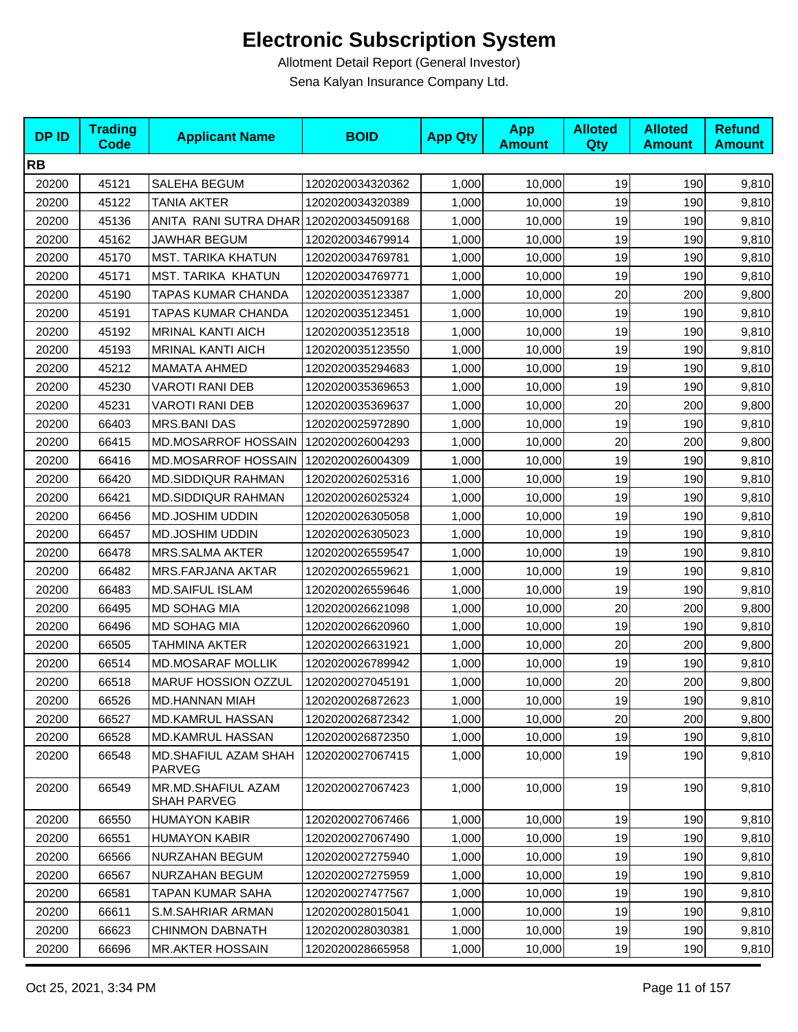| <b>DPID</b> | <b>Trading</b><br><b>Code</b> | <b>Applicant Name</b>                    | <b>BOID</b>      | <b>App Qty</b> | <b>App</b><br><b>Amount</b> | <b>Alloted</b><br>Qty | <b>Alloted</b><br><b>Amount</b> | <b>Refund</b><br><b>Amount</b> |
|-------------|-------------------------------|------------------------------------------|------------------|----------------|-----------------------------|-----------------------|---------------------------------|--------------------------------|
| <b>RB</b>   |                               |                                          |                  |                |                             |                       |                                 |                                |
| 20200       | 45121                         | SALEHA BEGUM                             | 1202020034320362 | 1,000          | 10,000                      | 19                    | 190                             | 9,810                          |
| 20200       | 45122                         | <b>TANIA AKTER</b>                       | 1202020034320389 | 1,000          | 10,000                      | 19                    | 190                             | 9,810                          |
| 20200       | 45136                         | ANITA RANI SUTRA DHAR 1202020034509168   |                  | 1,000          | 10,000                      | 19                    | 190                             | 9,810                          |
| 20200       | 45162                         | <b>JAWHAR BEGUM</b>                      | 1202020034679914 | 1,000          | 10,000                      | 19                    | 190                             | 9,810                          |
| 20200       | 45170                         | <b>MST. TARIKA KHATUN</b>                | 1202020034769781 | 1,000          | 10,000                      | 19                    | 190                             | 9,810                          |
| 20200       | 45171                         | MST. TARIKA KHATUN                       | 1202020034769771 | 1,000          | 10,000                      | 19                    | 190                             | 9,810                          |
| 20200       | 45190                         | <b>TAPAS KUMAR CHANDA</b>                | 1202020035123387 | 1,000          | 10,000                      | 20                    | 200                             | 9,800                          |
| 20200       | 45191                         | TAPAS KUMAR CHANDA                       | 1202020035123451 | 1,000          | 10,000                      | 19                    | 190                             | 9,810                          |
| 20200       | 45192                         | <b>MRINAL KANTI AICH</b>                 | 1202020035123518 | 1,000          | 10,000                      | 19                    | 190                             | 9,810                          |
| 20200       | 45193                         | <b>MRINAL KANTI AICH</b>                 | 1202020035123550 | 1,000          | 10,000                      | 19                    | 190                             | 9,810                          |
| 20200       | 45212                         | <b>MAMATA AHMED</b>                      | 1202020035294683 | 1,000          | 10,000                      | 19                    | 190                             | 9,810                          |
| 20200       | 45230                         | <b>VAROTI RANI DEB</b>                   | 1202020035369653 | 1,000          | 10,000                      | 19                    | 190                             | 9,810                          |
| 20200       | 45231                         | <b>VAROTI RANI DEB</b>                   | 1202020035369637 | 1,000          | 10,000                      | 20                    | 200                             | 9,800                          |
| 20200       | 66403                         | <b>MRS.BANI DAS</b>                      | 1202020025972890 | 1,000          | 10,000                      | 19                    | 190                             | 9,810                          |
| 20200       | 66415                         | <b>MD.MOSARROF HOSSAIN</b>               | 1202020026004293 | 1,000          | 10,000                      | 20                    | 200                             | 9,800                          |
| 20200       | 66416                         | MD.MOSARROF HOSSAIN                      | 1202020026004309 | 1,000          | 10,000                      | 19                    | 190                             | 9,810                          |
| 20200       | 66420                         | MD.SIDDIQUR RAHMAN                       | 1202020026025316 | 1,000          | 10,000                      | 19                    | 190                             | 9,810                          |
| 20200       | 66421                         | <b>MD.SIDDIQUR RAHMAN</b>                | 1202020026025324 | 1,000          | 10,000                      | 19                    | 190                             | 9,810                          |
| 20200       | 66456                         | MD.JOSHIM UDDIN                          | 1202020026305058 | 1,000          | 10,000                      | 19                    | 190                             | 9,810                          |
| 20200       | 66457                         | MD.JOSHIM UDDIN                          | 1202020026305023 | 1,000          | 10,000                      | 19                    | 190                             | 9,810                          |
| 20200       | 66478                         | MRS.SALMA AKTER                          | 1202020026559547 | 1,000          | 10,000                      | 19                    | 190                             | 9,810                          |
| 20200       | 66482                         | <b>MRS.FARJANA AKTAR</b>                 | 1202020026559621 | 1,000          | 10,000                      | 19                    | 190                             | 9,810                          |
| 20200       | 66483                         | <b>MD.SAIFUL ISLAM</b>                   | 1202020026559646 | 1,000          | 10,000                      | 19                    | 190                             | 9,810                          |
| 20200       | 66495                         | MD SOHAG MIA                             | 1202020026621098 | 1,000          | 10,000                      | 20                    | 200                             | 9,800                          |
| 20200       | 66496                         | <b>MD SOHAG MIA</b>                      | 1202020026620960 | 1,000          | 10,000                      | 19                    | 190                             | 9,810                          |
| 20200       | 66505                         | <b>TAHMINA AKTER</b>                     | 1202020026631921 | 1,000          | 10,000                      | 20                    | 200                             | 9,800                          |
| 20200       | 66514                         | <b>MD.MOSARAF MOLLIK</b>                 | 1202020026789942 | 1,000          | 10,000                      | 19                    | 190                             | 9,810                          |
| 20200       | 66518                         | MARUF HOSSION OZZUL                      | 1202020027045191 | 1,000          | 10,000                      | 20                    | 200                             | 9,800                          |
| 20200       | 66526                         | MD.HANNAN MIAH                           | 1202020026872623 | 1,000          | 10,000                      | 19                    | 190                             | 9,810                          |
| 20200       | 66527                         | MD.KAMRUL HASSAN                         | 1202020026872342 | 1,000          | 10,000                      | 20                    | 200                             | 9,800                          |
| 20200       | 66528                         | MD.KAMRUL HASSAN                         | 1202020026872350 | 1,000          | 10,000                      | 19                    | 190                             | 9,810                          |
| 20200       | 66548                         | <b>MD.SHAFIUL AZAM SHAH</b><br>PARVEG    | 1202020027067415 | 1,000          | 10,000                      | 19                    | 190                             | 9,810                          |
| 20200       | 66549                         | MR.MD.SHAFIUL AZAM<br><b>SHAH PARVEG</b> | 1202020027067423 | 1,000          | 10,000                      | 19                    | 190                             | 9,810                          |
| 20200       | 66550                         | <b>HUMAYON KABIR</b>                     | 1202020027067466 | 1,000          | 10,000                      | 19                    | 190                             | 9,810                          |
| 20200       | 66551                         | <b>HUMAYON KABIR</b>                     | 1202020027067490 | 1,000          | 10,000                      | 19                    | 190                             | 9,810                          |
| 20200       | 66566                         | NURZAHAN BEGUM                           | 1202020027275940 | 1,000          | 10,000                      | 19                    | 190                             | 9,810                          |
| 20200       | 66567                         | NURZAHAN BEGUM                           | 1202020027275959 | 1,000          | 10,000                      | 19                    | 190                             | 9,810                          |
| 20200       | 66581                         | TAPAN KUMAR SAHA                         | 1202020027477567 | 1,000          | 10,000                      | 19                    | 190                             | 9,810                          |
| 20200       | 66611                         | S.M.SAHRIAR ARMAN                        | 1202020028015041 | 1,000          | 10,000                      | 19                    | 190                             | 9,810                          |
| 20200       | 66623                         | <b>CHINMON DABNATH</b>                   | 1202020028030381 | 1,000          | 10,000                      | 19                    | 190                             | 9,810                          |
| 20200       | 66696                         | <b>MR.AKTER HOSSAIN</b>                  | 1202020028665958 | 1,000          | 10,000                      | 19                    | 190                             | 9,810                          |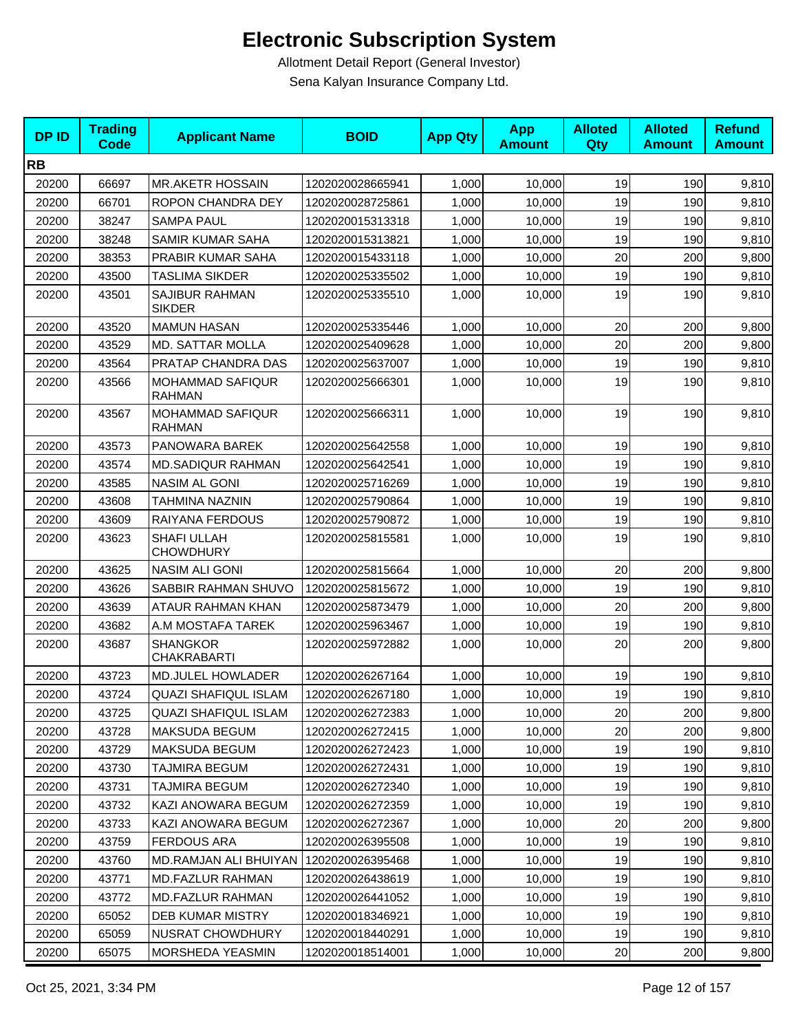| <b>DPID</b> | <b>Trading</b><br><b>Code</b> | <b>Applicant Name</b>                    | <b>BOID</b>      | <b>App Qty</b> | App<br><b>Amount</b> | <b>Alloted</b><br>Qty | <b>Alloted</b><br><b>Amount</b> | <b>Refund</b><br><b>Amount</b> |
|-------------|-------------------------------|------------------------------------------|------------------|----------------|----------------------|-----------------------|---------------------------------|--------------------------------|
| <b>RB</b>   |                               |                                          |                  |                |                      |                       |                                 |                                |
| 20200       | 66697                         | <b>MR.AKETR HOSSAIN</b>                  | 1202020028665941 | 1,000          | 10,000               | 19                    | 190                             | 9,810                          |
| 20200       | 66701                         | ROPON CHANDRA DEY                        | 1202020028725861 | 1,000          | 10,000               | 19                    | 190                             | 9,810                          |
| 20200       | 38247                         | <b>SAMPA PAUL</b>                        | 1202020015313318 | 1,000          | 10,000               | 19                    | 190                             | 9,810                          |
| 20200       | 38248                         | <b>SAMIR KUMAR SAHA</b>                  | 1202020015313821 | 1,000          | 10,000               | 19                    | 190                             | 9,810                          |
| 20200       | 38353                         | PRABIR KUMAR SAHA                        | 1202020015433118 | 1,000          | 10,000               | 20                    | 200                             | 9,800                          |
| 20200       | 43500                         | TASLIMA SIKDER                           | 1202020025335502 | 1,000          | 10,000               | 19                    | 190                             | 9,810                          |
| 20200       | 43501                         | SAJIBUR RAHMAN<br><b>SIKDER</b>          | 1202020025335510 | 1,000          | 10,000               | 19                    | 190                             | 9,810                          |
| 20200       | 43520                         | <b>MAMUN HASAN</b>                       | 1202020025335446 | 1,000          | 10,000               | 20                    | 200                             | 9,800                          |
| 20200       | 43529                         | <b>MD. SATTAR MOLLA</b>                  | 1202020025409628 | 1,000          | 10,000               | 20                    | 200                             | 9,800                          |
| 20200       | 43564                         | PRATAP CHANDRA DAS                       | 1202020025637007 | 1,000          | 10,000               | 19                    | 190                             | 9,810                          |
| 20200       | 43566                         | MOHAMMAD SAFIQUR<br>RAHMAN               | 1202020025666301 | 1,000          | 10,000               | 19                    | 190                             | 9,810                          |
| 20200       | 43567                         | <b>MOHAMMAD SAFIQUR</b><br><b>RAHMAN</b> | 1202020025666311 | 1,000          | 10,000               | 19                    | 190                             | 9,810                          |
| 20200       | 43573                         | PANOWARA BAREK                           | 1202020025642558 | 1,000          | 10,000               | 19                    | 190                             | 9,810                          |
| 20200       | 43574                         | MD.SADIQUR RAHMAN                        | 1202020025642541 | 1,000          | 10,000               | 19                    | 190                             | 9,810                          |
| 20200       | 43585                         | <b>NASIM AL GONI</b>                     | 1202020025716269 | 1,000          | 10,000               | 19                    | 190                             | 9,810                          |
| 20200       | 43608                         | TAHMINA NAZNIN                           | 1202020025790864 | 1,000          | 10,000               | 19                    | 190                             | 9,810                          |
| 20200       | 43609                         | RAIYANA FERDOUS                          | 1202020025790872 | 1,000          | 10,000               | 19                    | 190                             | 9,810                          |
| 20200       | 43623                         | SHAFI ULLAH<br><b>CHOWDHURY</b>          | 1202020025815581 | 1,000          | 10,000               | 19                    | 190                             | 9,810                          |
| 20200       | 43625                         | <b>NASIM ALI GONI</b>                    | 1202020025815664 | 1,000          | 10,000               | 20                    | 200                             | 9,800                          |
| 20200       | 43626                         | SABBIR RAHMAN SHUVO                      | 1202020025815672 | 1,000          | 10,000               | 19                    | 190                             | 9,810                          |
| 20200       | 43639                         | ATAUR RAHMAN KHAN                        | 1202020025873479 | 1,000          | 10,000               | 20                    | 200                             | 9,800                          |
| 20200       | 43682                         | A.M MOSTAFA TAREK                        | 1202020025963467 | 1,000          | 10,000               | 19                    | 190                             | 9,810                          |
| 20200       | 43687                         | <b>SHANGKOR</b><br><b>CHAKRABARTI</b>    | 1202020025972882 | 1,000          | 10,000               | 20                    | 200                             | 9,800                          |
| 20200       | 43723                         | <b>MD.JULEL HOWLADER</b>                 | 1202020026267164 | 1,000          | 10,000               | 19                    | 190                             | 9,810                          |
| 20200       | 43724                         | <b>QUAZI SHAFIQUL ISLAM</b>              | 1202020026267180 | 1,000          | 10,000               | 19                    | 190                             | 9,810                          |
| 20200       | 43725                         | <b>QUAZI SHAFIQUL ISLAM</b>              | 1202020026272383 | 1,000          | 10,000               | 20                    | 200                             | 9,800                          |
| 20200       | 43728                         | <b>MAKSUDA BEGUM</b>                     | 1202020026272415 | 1,000          | 10,000               | 20                    | 200                             | 9,800                          |
| 20200       | 43729                         | MAKSUDA BEGUM                            | 1202020026272423 | 1,000          | 10,000               | 19                    | 190                             | 9,810                          |
| 20200       | 43730                         | TAJMIRA BEGUM                            | 1202020026272431 | 1,000          | 10,000               | 19                    | 190                             | 9,810                          |
| 20200       | 43731                         | TAJMIRA BEGUM                            | 1202020026272340 | 1,000          | 10,000               | 19                    | 190                             | 9,810                          |
| 20200       | 43732                         | KAZI ANOWARA BEGUM                       | 1202020026272359 | 1,000          | 10,000               | 19                    | 190                             | 9,810                          |
| 20200       | 43733                         | KAZI ANOWARA BEGUM                       | 1202020026272367 | 1,000          | 10,000               | 20                    | 200                             | 9,800                          |
| 20200       | 43759                         | <b>FERDOUS ARA</b>                       | 1202020026395508 | 1,000          | 10,000               | 19                    | 190                             | 9,810                          |
| 20200       | 43760                         | MD.RAMJAN ALI BHUIYAN                    | 1202020026395468 | 1,000          | 10,000               | 19                    | 190                             | 9,810                          |
| 20200       | 43771                         | <b>MD.FAZLUR RAHMAN</b>                  | 1202020026438619 | 1,000          | 10,000               | 19                    | 190                             | 9,810                          |
| 20200       | 43772                         | <b>MD.FAZLUR RAHMAN</b>                  | 1202020026441052 | 1,000          | 10,000               | 19                    | 190                             | 9,810                          |
| 20200       | 65052                         | <b>DEB KUMAR MISTRY</b>                  | 1202020018346921 | 1,000          | 10,000               | 19                    | 190                             | 9,810                          |
| 20200       | 65059                         | NUSRAT CHOWDHURY                         | 1202020018440291 | 1,000          | 10,000               | 19                    | 190                             | 9,810                          |
| 20200       | 65075                         | MORSHEDA YEASMIN                         | 1202020018514001 | 1,000          | 10,000               | $20\,$                | 200                             | 9,800                          |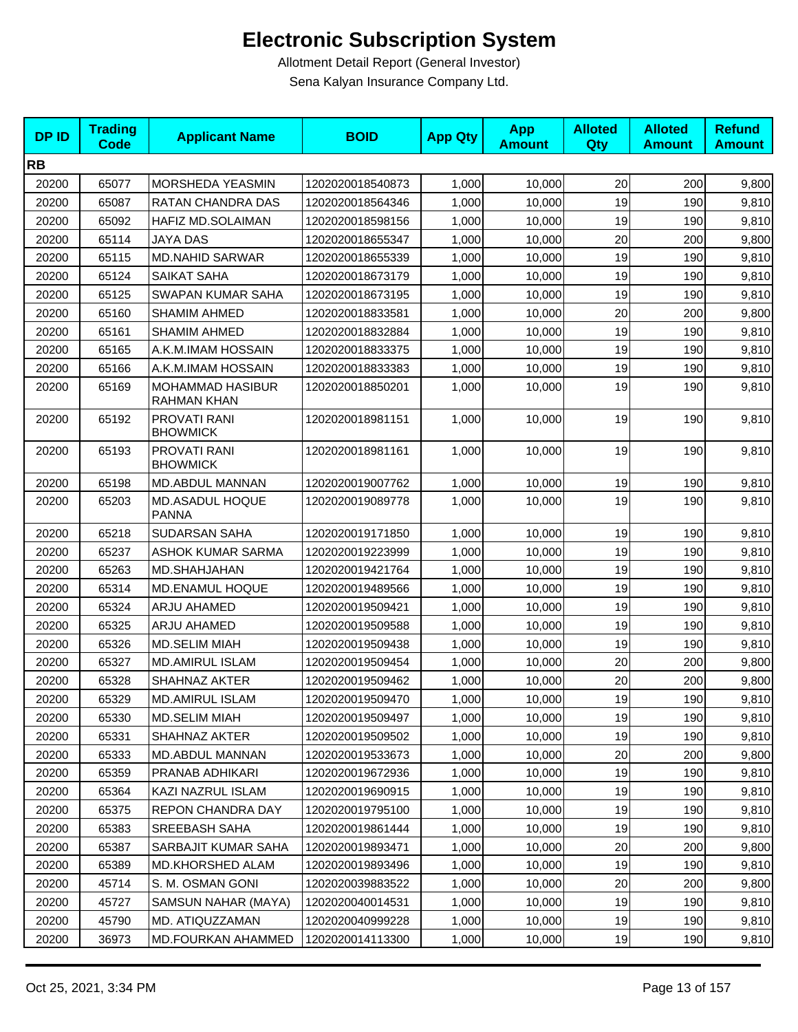| <b>DPID</b> | <b>Trading</b><br><b>Code</b> | <b>Applicant Name</b>                  | <b>BOID</b>      | <b>App Qty</b> | <b>App</b><br><b>Amount</b> | <b>Alloted</b><br>Qty | <b>Alloted</b><br><b>Amount</b> | <b>Refund</b><br><b>Amount</b> |
|-------------|-------------------------------|----------------------------------------|------------------|----------------|-----------------------------|-----------------------|---------------------------------|--------------------------------|
| <b>RB</b>   |                               |                                        |                  |                |                             |                       |                                 |                                |
| 20200       | 65077                         | MORSHEDA YEASMIN                       | 1202020018540873 | 1,000          | 10,000                      | 20                    | 200                             | 9,800                          |
| 20200       | 65087                         | RATAN CHANDRA DAS                      | 1202020018564346 | 1,000          | 10,000                      | 19                    | 190                             | 9,810                          |
| 20200       | 65092                         | HAFIZ MD.SOLAIMAN                      | 1202020018598156 | 1,000          | 10,000                      | 19                    | 190                             | 9,810                          |
| 20200       | 65114                         | JAYA DAS                               | 1202020018655347 | 1,000          | 10,000                      | 20                    | 200                             | 9,800                          |
| 20200       | 65115                         | <b>MD.NAHID SARWAR</b>                 | 1202020018655339 | 1,000          | 10,000                      | 19                    | 190                             | 9,810                          |
| 20200       | 65124                         | SAIKAT SAHA                            | 1202020018673179 | 1,000          | 10,000                      | 19                    | 190                             | 9,810                          |
| 20200       | 65125                         | SWAPAN KUMAR SAHA                      | 1202020018673195 | 1,000          | 10,000                      | 19                    | 190                             | 9,810                          |
| 20200       | 65160                         | <b>SHAMIM AHMED</b>                    | 1202020018833581 | 1,000          | 10,000                      | 20                    | 200                             | 9,800                          |
| 20200       | 65161                         | <b>SHAMIM AHMED</b>                    | 1202020018832884 | 1,000          | 10,000                      | 19                    | 190                             | 9,810                          |
| 20200       | 65165                         | A.K.M.IMAM HOSSAIN                     | 1202020018833375 | 1,000          | 10,000                      | 19                    | 190                             | 9,810                          |
| 20200       | 65166                         | A.K.M.IMAM HOSSAIN                     | 1202020018833383 | 1,000          | 10,000                      | 19                    | 190                             | 9,810                          |
| 20200       | 65169                         | <b>MOHAMMAD HASIBUR</b><br>RAHMAN KHAN | 1202020018850201 | 1,000          | 10,000                      | 19                    | 190                             | 9,810                          |
| 20200       | 65192                         | PROVATI RANI<br><b>BHOWMICK</b>        | 1202020018981151 | 1,000          | 10,000                      | 19                    | 190                             | 9,810                          |
| 20200       | 65193                         | PROVATI RANI<br><b>BHOWMICK</b>        | 1202020018981161 | 1,000          | 10,000                      | 19                    | 190                             | 9,810                          |
| 20200       | 65198                         | MD.ABDUL MANNAN                        | 1202020019007762 | 1,000          | 10,000                      | 19                    | 190                             | 9,810                          |
| 20200       | 65203                         | MD.ASADUL HOQUE<br><b>PANNA</b>        | 1202020019089778 | 1,000          | 10,000                      | 19                    | 190                             | 9,810                          |
| 20200       | 65218                         | <b>SUDARSAN SAHA</b>                   | 1202020019171850 | 1,000          | 10,000                      | 19                    | 190                             | 9,810                          |
| 20200       | 65237                         | <b>ASHOK KUMAR SARMA</b>               | 1202020019223999 | 1,000          | 10,000                      | 19                    | 190                             | 9,810                          |
| 20200       | 65263                         | MD.SHAHJAHAN                           | 1202020019421764 | 1,000          | 10,000                      | 19                    | 190                             | 9,810                          |
| 20200       | 65314                         | MD.ENAMUL HOQUE                        | 1202020019489566 | 1,000          | 10,000                      | 19                    | 190                             | 9,810                          |
| 20200       | 65324                         | ARJU AHAMED                            | 1202020019509421 | 1,000          | 10,000                      | 19                    | 190                             | 9,810                          |
| 20200       | 65325                         | ARJU AHAMED                            | 1202020019509588 | 1,000          | 10,000                      | 19                    | 190                             | 9,810                          |
| 20200       | 65326                         | <b>MD.SELIM MIAH</b>                   | 1202020019509438 | 1,000          | 10,000                      | 19                    | 190                             | 9,810                          |
| 20200       | 65327                         | <b>MD.AMIRUL ISLAM</b>                 | 1202020019509454 | 1,000          | 10,000                      | 20                    | 200                             | 9,800                          |
| 20200       | 65328                         | <b>SHAHNAZ AKTER</b>                   | 1202020019509462 | 1,000          | 10,000                      | 20                    | 200                             | 9,800                          |
| 20200       | 65329                         | MD.AMIRUL ISLAM                        | 1202020019509470 | 1,000          | 10,000                      | 19                    | 190                             | 9,810                          |
| 20200       | 65330                         | MD.SELIM MIAH                          | 1202020019509497 | 1,000          | 10,000                      | 19                    | 190                             | 9,810                          |
| 20200       | 65331                         | SHAHNAZ AKTER                          | 1202020019509502 | 1,000          | 10,000                      | 19                    | 190                             | 9,810                          |
| 20200       | 65333                         | <b>MD.ABDUL MANNAN</b>                 | 1202020019533673 | 1,000          | 10.000                      | 20                    | 200                             | 9,800                          |
| 20200       | 65359                         | PRANAB ADHIKARI                        | 1202020019672936 | 1,000          | 10,000                      | 19                    | 190                             | 9,810                          |
| 20200       | 65364                         | <b>KAZI NAZRUL ISLAM</b>               | 1202020019690915 | 1,000          | 10,000                      | 19                    | 190                             | 9,810                          |
| 20200       | 65375                         | REPON CHANDRA DAY                      | 1202020019795100 | 1,000          | 10,000                      | 19                    | 190                             | 9,810                          |
| 20200       | 65383                         | <b>SREEBASH SAHA</b>                   | 1202020019861444 | 1,000          | 10,000                      | 19                    | 190                             | 9,810                          |
| 20200       | 65387                         | SARBAJIT KUMAR SAHA                    | 1202020019893471 | 1,000          | 10,000                      | 20                    | 200                             | 9,800                          |
| 20200       | 65389                         | MD.KHORSHED ALAM                       | 1202020019893496 | 1,000          | 10,000                      | 19                    | 190                             | 9,810                          |
| 20200       | 45714                         | S. M. OSMAN GONI                       | 1202020039883522 | 1,000          | 10,000                      | 20                    | 200                             | 9,800                          |
| 20200       | 45727                         | SAMSUN NAHAR (MAYA)                    | 1202020040014531 | 1,000          | 10,000                      | 19                    | 190                             | 9,810                          |
| 20200       | 45790                         | MD. ATIQUZZAMAN                        | 1202020040999228 | 1,000          | 10,000                      | 19                    | 190                             | 9,810                          |
| 20200       | 36973                         | MD.FOURKAN AHAMMED                     | 1202020014113300 | 1,000          | 10,000                      | 19                    | 190                             | 9,810                          |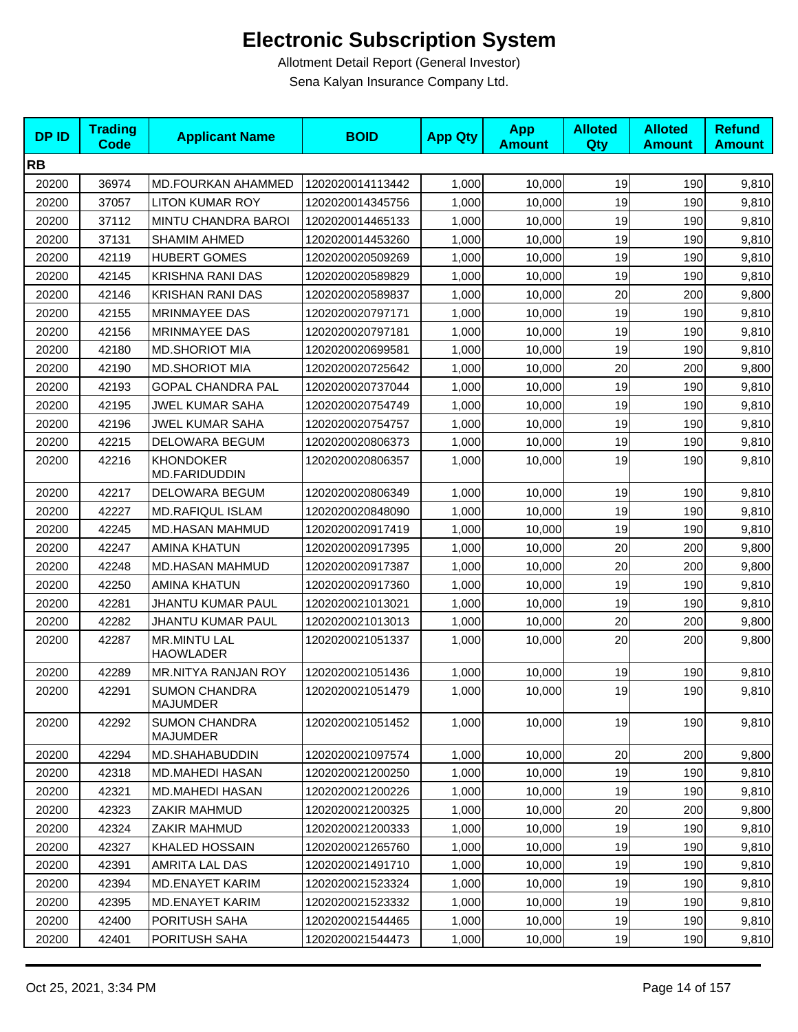| <b>DPID</b> | <b>Trading</b><br><b>Code</b> | <b>Applicant Name</b>                   | <b>BOID</b>      | <b>App Qty</b> | <b>App</b><br><b>Amount</b> | <b>Alloted</b><br><b>Qty</b> | <b>Alloted</b><br><b>Amount</b> | <b>Refund</b><br><b>Amount</b> |
|-------------|-------------------------------|-----------------------------------------|------------------|----------------|-----------------------------|------------------------------|---------------------------------|--------------------------------|
| <b>RB</b>   |                               |                                         |                  |                |                             |                              |                                 |                                |
| 20200       | 36974                         | MD.FOURKAN AHAMMED                      | 1202020014113442 | 1,000          | 10,000                      | 19                           | 190                             | 9,810                          |
| 20200       | 37057                         | <b>LITON KUMAR ROY</b>                  | 1202020014345756 | 1,000          | 10.000                      | 19                           | 190                             | 9,810                          |
| 20200       | 37112                         | MINTU CHANDRA BAROI                     | 1202020014465133 | 1,000          | 10,000                      | 19                           | 190                             | 9,810                          |
| 20200       | 37131                         | <b>SHAMIM AHMED</b>                     | 1202020014453260 | 1,000          | 10,000                      | 19                           | 190                             | 9,810                          |
| 20200       | 42119                         | <b>HUBERT GOMES</b>                     | 1202020020509269 | 1,000          | 10,000                      | 19                           | 190                             | 9,810                          |
| 20200       | 42145                         | <b>KRISHNA RANI DAS</b>                 | 1202020020589829 | 1,000          | 10,000                      | 19                           | 190                             | 9,810                          |
| 20200       | 42146                         | <b>KRISHAN RANI DAS</b>                 | 1202020020589837 | 1,000          | 10,000                      | 20                           | 200                             | 9,800                          |
| 20200       | 42155                         | <b>MRINMAYEE DAS</b>                    | 1202020020797171 | 1,000          | 10,000                      | 19                           | 190                             | 9,810                          |
| 20200       | 42156                         | MRINMAYEE DAS                           | 1202020020797181 | 1,000          | 10,000                      | 19                           | 190                             | 9,810                          |
| 20200       | 42180                         | <b>MD.SHORIOT MIA</b>                   | 1202020020699581 | 1,000          | 10,000                      | 19                           | 190                             | 9,810                          |
| 20200       | 42190                         | <b>MD.SHORIOT MIA</b>                   | 1202020020725642 | 1,000          | 10,000                      | 20                           | 200                             | 9,800                          |
| 20200       | 42193                         | <b>GOPAL CHANDRA PAL</b>                | 1202020020737044 | 1,000          | 10,000                      | 19                           | 190                             | 9,810                          |
| 20200       | 42195                         | JWEL KUMAR SAHA                         | 1202020020754749 | 1,000          | 10,000                      | 19                           | 190                             | 9,810                          |
| 20200       | 42196                         | JWEL KUMAR SAHA                         | 1202020020754757 | 1,000          | 10.000                      | 19                           | 190                             | 9,810                          |
| 20200       | 42215                         | DELOWARA BEGUM                          | 1202020020806373 | 1,000          | 10,000                      | 19                           | 190                             | 9,810                          |
| 20200       | 42216                         | <b>KHONDOKER</b><br>MD.FARIDUDDIN       | 1202020020806357 | 1,000          | 10,000                      | 19                           | 190                             | 9,810                          |
| 20200       | 42217                         | DELOWARA BEGUM                          | 1202020020806349 | 1,000          | 10,000                      | 19                           | 190                             | 9,810                          |
| 20200       | 42227                         | <b>MD.RAFIQUL ISLAM</b>                 | 1202020020848090 | 1,000          | 10,000                      | 19                           | 190                             | 9,810                          |
| 20200       | 42245                         | MD.HASAN MAHMUD                         | 1202020020917419 | 1,000          | 10,000                      | 19                           | 190                             | 9,810                          |
| 20200       | 42247                         | <b>AMINA KHATUN</b>                     | 1202020020917395 | 1,000          | 10,000                      | 20                           | 200                             | 9,800                          |
| 20200       | 42248                         | MD.HASAN MAHMUD                         | 1202020020917387 | 1,000          | 10,000                      | 20                           | 200                             | 9,800                          |
| 20200       | 42250                         | <b>AMINA KHATUN</b>                     | 1202020020917360 | 1,000          | 10,000                      | 19                           | 190                             | 9,810                          |
| 20200       | 42281                         | JHANTU KUMAR PAUL                       | 1202020021013021 | 1,000          | 10,000                      | 19                           | 190                             | 9,810                          |
| 20200       | 42282                         | JHANTU KUMAR PAUL                       | 1202020021013013 | 1,000          | 10,000                      | 20                           | 200                             | 9,800                          |
| 20200       | 42287                         | <b>MR.MINTU LAL</b><br><b>HAOWLADER</b> | 1202020021051337 | 1,000          | 10,000                      | 20                           | 200                             | 9,800                          |
| 20200       | 42289                         | MR.NITYA RANJAN ROY                     | 1202020021051436 | 1,000          | 10,000                      | 19                           | 190                             | 9,810                          |
| 20200       | 42291                         | <b>SUMON CHANDRA</b><br><b>MAJUMDER</b> | 1202020021051479 | 1,000          | 10,000                      | 19                           | 190                             | 9,810                          |
| 20200       | 42292                         | <b>SUMON CHANDRA</b><br><b>MAJUMDER</b> | 1202020021051452 | 1,000          | 10,000                      | 19                           | 190                             | 9,810                          |
| 20200       | 42294                         | MD.SHAHABUDDIN                          | 1202020021097574 | 1,000          | 10,000                      | 20                           | 200                             | 9,800                          |
| 20200       | 42318                         | <b>MD.MAHEDI HASAN</b>                  | 1202020021200250 | 1,000          | 10.000                      | 19                           | 190                             | 9,810                          |
| 20200       | 42321                         | <b>MD.MAHEDI HASAN</b>                  | 1202020021200226 | 1,000          | 10.000                      | 19                           | 190                             | 9,810                          |
| 20200       | 42323                         | ZAKIR MAHMUD                            | 1202020021200325 | 1,000          | 10,000                      | 20                           | 200                             | 9,800                          |
| 20200       | 42324                         | ZAKIR MAHMUD                            | 1202020021200333 | 1,000          | 10.000                      | 19                           | 190                             | 9,810                          |
| 20200       | 42327                         | <b>KHALED HOSSAIN</b>                   | 1202020021265760 | 1,000          | 10,000                      | 19                           | 190                             | 9,810                          |
| 20200       | 42391                         | AMRITA LAL DAS                          | 1202020021491710 | 1,000          | 10,000                      | 19                           | 190                             | 9,810                          |
| 20200       | 42394                         | <b>MD.ENAYET KARIM</b>                  | 1202020021523324 | 1,000          | 10,000                      | 19                           | 190                             | 9,810                          |
| 20200       | 42395                         | MD.ENAYET KARIM                         | 1202020021523332 | 1,000          | 10,000                      | 19                           | 190                             | 9,810                          |
| 20200       | 42400                         | PORITUSH SAHA                           | 1202020021544465 | 1,000          | 10,000                      | 19                           | 190                             | 9,810                          |
| 20200       | 42401                         | PORITUSH SAHA                           | 1202020021544473 | 1,000          | 10,000                      | 19                           | 190                             | 9,810                          |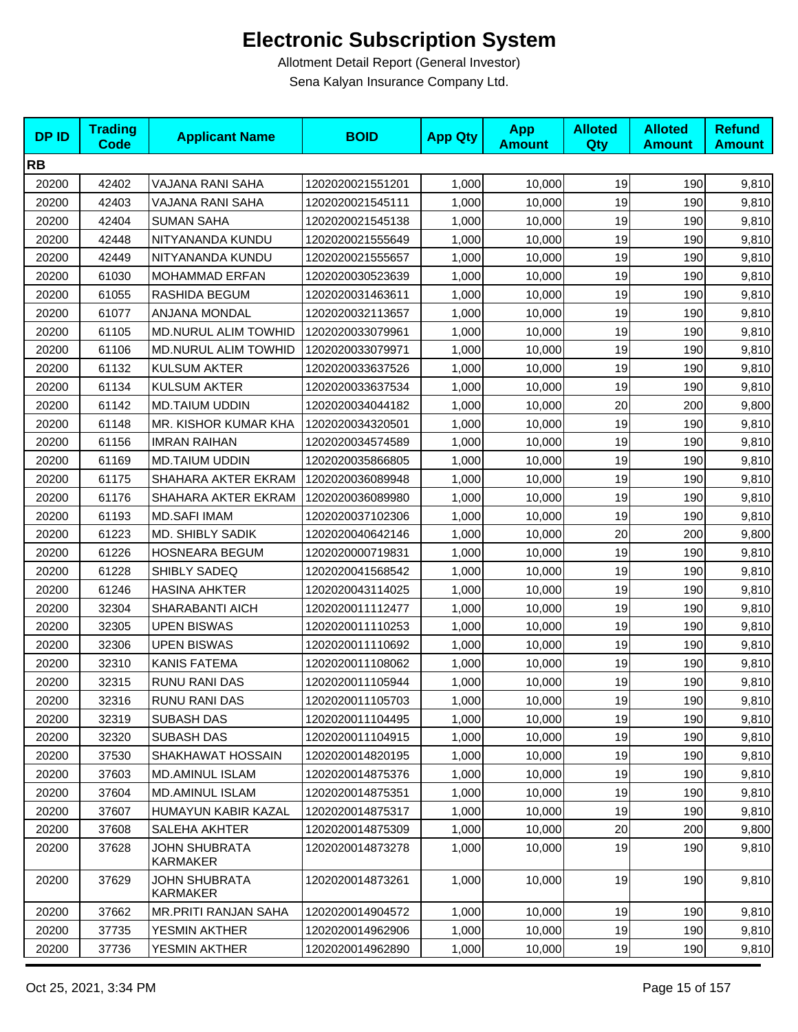| <b>DPID</b> | <b>Trading</b><br><b>Code</b> | <b>Applicant Name</b>            | <b>BOID</b>      | <b>App Qty</b> | <b>App</b><br><b>Amount</b> | <b>Alloted</b><br><b>Qty</b> | <b>Alloted</b><br><b>Amount</b> | <b>Refund</b><br><b>Amount</b> |
|-------------|-------------------------------|----------------------------------|------------------|----------------|-----------------------------|------------------------------|---------------------------------|--------------------------------|
| <b>RB</b>   |                               |                                  |                  |                |                             |                              |                                 |                                |
| 20200       | 42402                         | VAJANA RANI SAHA                 | 1202020021551201 | 1,000          | 10,000                      | 19                           | 190                             | 9,810                          |
| 20200       | 42403                         | VAJANA RANI SAHA                 | 1202020021545111 | 1,000          | 10,000                      | 19                           | 190                             | 9,810                          |
| 20200       | 42404                         | <b>SUMAN SAHA</b>                | 1202020021545138 | 1,000          | 10,000                      | 19                           | 190                             | 9,810                          |
| 20200       | 42448                         | NITYANANDA KUNDU                 | 1202020021555649 | 1,000          | 10,000                      | 19                           | 190                             | 9,810                          |
| 20200       | 42449                         | NITYANANDA KUNDU                 | 1202020021555657 | 1,000          | 10,000                      | 19                           | 190                             | 9,810                          |
| 20200       | 61030                         | <b>MOHAMMAD ERFAN</b>            | 1202020030523639 | 1,000          | 10,000                      | 19                           | 190                             | 9,810                          |
| 20200       | 61055                         | RASHIDA BEGUM                    | 1202020031463611 | 1,000          | 10,000                      | 19                           | 190                             | 9,810                          |
| 20200       | 61077                         | ANJANA MONDAL                    | 1202020032113657 | 1,000          | 10,000                      | 19                           | 190                             | 9,810                          |
| 20200       | 61105                         | <b>MD.NURUL ALIM TOWHID</b>      | 1202020033079961 | 1,000          | 10,000                      | 19                           | 190                             | 9,810                          |
| 20200       | 61106                         | MD.NURUL ALIM TOWHID             | 1202020033079971 | 1,000          | 10,000                      | 19                           | 190                             | 9,810                          |
| 20200       | 61132                         | <b>KULSUM AKTER</b>              | 1202020033637526 | 1,000          | 10,000                      | 19                           | 190                             | 9,810                          |
| 20200       | 61134                         | <b>KULSUM AKTER</b>              | 1202020033637534 | 1,000          | 10,000                      | 19                           | 190                             | 9,810                          |
| 20200       | 61142                         | <b>MD.TAIUM UDDIN</b>            | 1202020034044182 | 1,000          | 10,000                      | 20                           | 200                             | 9,800                          |
| 20200       | 61148                         | MR. KISHOR KUMAR KHA             | 1202020034320501 | 1,000          | 10,000                      | 19                           | 190                             | 9,810                          |
| 20200       | 61156                         | <b>IMRAN RAIHAN</b>              | 1202020034574589 | 1,000          | 10,000                      | 19                           | 190                             | 9,810                          |
| 20200       | 61169                         | <b>MD.TAIUM UDDIN</b>            | 1202020035866805 | 1,000          | 10,000                      | 19                           | 190                             | 9,810                          |
| 20200       | 61175                         | SHAHARA AKTER EKRAM              | 1202020036089948 | 1,000          | 10,000                      | 19                           | 190                             | 9,810                          |
| 20200       | 61176                         | SHAHARA AKTER EKRAM              | 1202020036089980 | 1,000          | 10,000                      | 19                           | 190                             | 9,810                          |
| 20200       | 61193                         | <b>MD.SAFI IMAM</b>              | 1202020037102306 | 1,000          | 10,000                      | 19                           | 190                             | 9,810                          |
| 20200       | 61223                         | MD. SHIBLY SADIK                 | 1202020040642146 | 1,000          | 10,000                      | 20                           | 200                             | 9,800                          |
| 20200       | 61226                         | HOSNEARA BEGUM                   | 1202020000719831 | 1,000          | 10,000                      | 19                           | 190                             | 9,810                          |
| 20200       | 61228                         | SHIBLY SADEQ                     | 1202020041568542 | 1,000          | 10,000                      | 19                           | 190                             | 9,810                          |
| 20200       | 61246                         | <b>HASINA AHKTER</b>             | 1202020043114025 | 1,000          | 10,000                      | 19                           | 190                             | 9,810                          |
| 20200       | 32304                         | SHARABANTI AICH                  | 1202020011112477 | 1,000          | 10,000                      | 19                           | 190                             | 9,810                          |
| 20200       | 32305                         | <b>UPEN BISWAS</b>               | 1202020011110253 | 1,000          | 10,000                      | 19                           | 190                             | 9,810                          |
| 20200       | 32306                         | <b>UPEN BISWAS</b>               | 1202020011110692 | 1,000          | 10,000                      | 19                           | 190                             | 9,810                          |
| 20200       | 32310                         | KANIS FATEMA                     | 1202020011108062 | 1,000          | 10,000                      | 19                           | 190                             | 9,810                          |
| 20200       | 32315                         | RUNU RANI DAS                    | 1202020011105944 | 1,000          | 10,000                      | 19                           | 190                             | 9,810                          |
| 20200       | 32316                         | RUNU RANI DAS                    | 1202020011105703 | 1,000          | 10,000                      | 19                           | 190                             | 9,810                          |
| 20200       | 32319                         | SUBASH DAS                       | 1202020011104495 | 1,000          | 10,000                      | 19                           | 190                             | 9,810                          |
| 20200       | 32320                         | SUBASH DAS                       | 1202020011104915 | 1,000          | 10,000                      | 19                           | 190                             | 9,810                          |
| 20200       | 37530                         | SHAKHAWAT HOSSAIN                | 1202020014820195 | 1,000          | 10,000                      | 19                           | 190                             | 9,810                          |
| 20200       | 37603                         | <b>MD.AMINUL ISLAM</b>           | 1202020014875376 | 1,000          | 10,000                      | 19                           | 190                             | 9,810                          |
| 20200       | 37604                         | <b>MD.AMINUL ISLAM</b>           | 1202020014875351 | 1,000          | 10,000                      | 19                           | 190                             | 9,810                          |
| 20200       | 37607                         | HUMAYUN KABIR KAZAL              | 1202020014875317 | 1,000          | 10,000                      | 19                           | 190                             | 9,810                          |
| 20200       | 37608                         | SALEHA AKHTER                    | 1202020014875309 | 1,000          | 10,000                      | 20                           | 200                             | 9,800                          |
| 20200       | 37628                         | <b>JOHN SHUBRATA</b><br>KARMAKER | 1202020014873278 | 1,000          | 10,000                      | 19                           | 190                             | 9,810                          |
| 20200       | 37629                         | <b>JOHN SHUBRATA</b><br>KARMAKER | 1202020014873261 | 1,000          | 10,000                      | 19                           | 190                             | 9,810                          |
| 20200       | 37662                         | MR.PRITI RANJAN SAHA             | 1202020014904572 | 1,000          | 10,000                      | 19                           | 190                             | 9,810                          |
| 20200       | 37735                         | YESMIN AKTHER                    | 1202020014962906 | 1,000          | 10,000                      | 19                           | 190                             | 9,810                          |
| 20200       | 37736                         | YESMIN AKTHER                    | 1202020014962890 | 1,000          | 10,000                      | 19                           | 190                             | 9,810                          |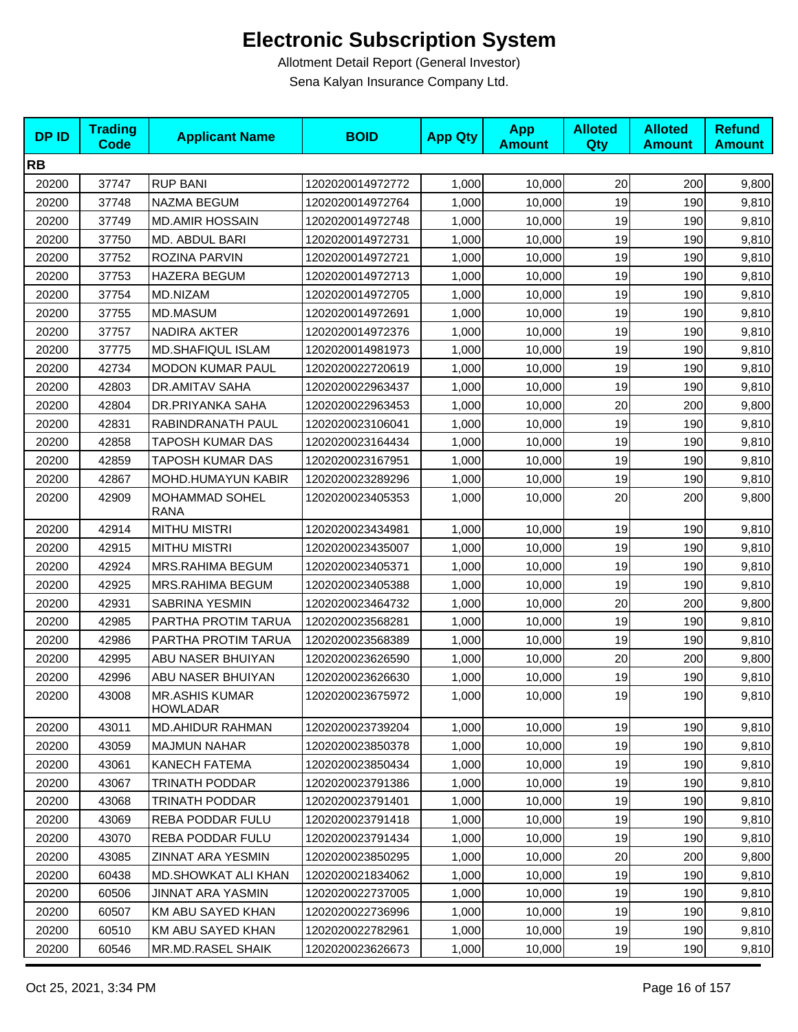| <b>DPID</b> | <b>Trading</b><br>Code | <b>Applicant Name</b>                    | <b>BOID</b>      | <b>App Qty</b> | <b>App</b><br><b>Amount</b> | <b>Alloted</b><br>Qty | <b>Alloted</b><br><b>Amount</b> | <b>Refund</b><br><b>Amount</b> |
|-------------|------------------------|------------------------------------------|------------------|----------------|-----------------------------|-----------------------|---------------------------------|--------------------------------|
| <b>RB</b>   |                        |                                          |                  |                |                             |                       |                                 |                                |
| 20200       | 37747                  | <b>RUP BANI</b>                          | 1202020014972772 | 1,000          | 10,000                      | 20                    | 200                             | 9,800                          |
| 20200       | 37748                  | NAZMA BEGUM                              | 1202020014972764 | 1,000          | 10,000                      | 19                    | 190                             | 9,810                          |
| 20200       | 37749                  | <b>MD.AMIR HOSSAIN</b>                   | 1202020014972748 | 1,000          | 10,000                      | 19                    | 190                             | 9,810                          |
| 20200       | 37750                  | MD. ABDUL BARI                           | 1202020014972731 | 1,000          | 10,000                      | 19                    | 190                             | 9,810                          |
| 20200       | 37752                  | ROZINA PARVIN                            | 1202020014972721 | 1,000          | 10,000                      | 19                    | 190                             | 9,810                          |
| 20200       | 37753                  | <b>HAZERA BEGUM</b>                      | 1202020014972713 | 1,000          | 10,000                      | 19                    | 190                             | 9,810                          |
| 20200       | 37754                  | MD.NIZAM                                 | 1202020014972705 | 1,000          | 10,000                      | 19                    | 190                             | 9,810                          |
| 20200       | 37755                  | MD.MASUM                                 | 1202020014972691 | 1,000          | 10,000                      | 19                    | 190                             | 9,810                          |
| 20200       | 37757                  | NADIRA AKTER                             | 1202020014972376 | 1,000          | 10,000                      | 19                    | 190                             | 9,810                          |
| 20200       | 37775                  | MD.SHAFIQUL ISLAM                        | 1202020014981973 | 1,000          | 10,000                      | 19                    | 190                             | 9,810                          |
| 20200       | 42734                  | <b>MODON KUMAR PAUL</b>                  | 1202020022720619 | 1,000          | 10,000                      | 19                    | 190                             | 9,810                          |
| 20200       | 42803                  | DR.AMITAV SAHA                           | 1202020022963437 | 1,000          | 10,000                      | 19                    | 190                             | 9,810                          |
| 20200       | 42804                  | DR.PRIYANKA SAHA                         | 1202020022963453 | 1,000          | 10,000                      | 20                    | 200                             | 9,800                          |
| 20200       | 42831                  | RABINDRANATH PAUL                        | 1202020023106041 | 1,000          | 10,000                      | 19                    | 190                             | 9,810                          |
| 20200       | 42858                  | TAPOSH KUMAR DAS                         | 1202020023164434 | 1,000          | 10,000                      | 19                    | 190                             | 9,810                          |
| 20200       | 42859                  | TAPOSH KUMAR DAS                         | 1202020023167951 | 1,000          | 10,000                      | 19                    | 190                             | 9,810                          |
| 20200       | 42867                  | MOHD.HUMAYUN KABIR                       | 1202020023289296 | 1,000          | 10,000                      | 19                    | 190                             | 9,810                          |
| 20200       | 42909                  | <b>MOHAMMAD SOHEL</b><br><b>RANA</b>     | 1202020023405353 | 1,000          | 10,000                      | 20                    | 200                             | 9,800                          |
| 20200       | 42914                  | <b>MITHU MISTRI</b>                      | 1202020023434981 | 1,000          | 10,000                      | 19                    | 190                             | 9,810                          |
| 20200       | 42915                  | <b>MITHU MISTRI</b>                      | 1202020023435007 | 1,000          | 10,000                      | 19                    | 190                             | 9,810                          |
| 20200       | 42924                  | MRS.RAHIMA BEGUM                         | 1202020023405371 | 1,000          | 10,000                      | 19                    | 190                             | 9,810                          |
| 20200       | 42925                  | MRS.RAHIMA BEGUM                         | 1202020023405388 | 1,000          | 10,000                      | 19                    | 190                             | 9,810                          |
| 20200       | 42931                  | SABRINA YESMIN                           | 1202020023464732 | 1,000          | 10,000                      | 20                    | 200                             | 9,800                          |
| 20200       | 42985                  | PARTHA PROTIM TARUA                      | 1202020023568281 | 1,000          | 10,000                      | 19                    | 190                             | 9,810                          |
| 20200       | 42986                  | PARTHA PROTIM TARUA                      | 1202020023568389 | 1,000          | 10,000                      | 19                    | 190                             | 9,810                          |
| 20200       | 42995                  | ABU NASER BHUIYAN                        | 1202020023626590 | 1,000          | 10,000                      | 20                    | 200                             | 9,800                          |
| 20200       | 42996                  | ABU NASER BHUIYAN                        | 1202020023626630 | 1,000          | 10,000                      | 19                    | 190                             | 9,810                          |
| 20200       | 43008                  | <b>MR.ASHIS KUMAR</b><br><b>HOWLADAR</b> | 1202020023675972 | 1,000          | 10,000                      | 19                    | 190                             | 9,810                          |
| 20200       | 43011                  | <b>MD.AHIDUR RAHMAN</b>                  | 1202020023739204 | 1,000          | 10,000                      | 19                    | 190                             | 9,810                          |
| 20200       | 43059                  | <b>MAJMUN NAHAR</b>                      | 1202020023850378 | 1,000          | 10,000                      | 19                    | 190                             | 9,810                          |
| 20200       | 43061                  | KANECH FATEMA                            | 1202020023850434 | 1,000          | 10,000                      | 19                    | 190                             | 9,810                          |
| 20200       | 43067                  | TRINATH PODDAR                           | 1202020023791386 | 1,000          | 10,000                      | 19                    | 190                             | 9,810                          |
| 20200       | 43068                  | <b>TRINATH PODDAR</b>                    | 1202020023791401 | 1,000          | 10,000                      | 19                    | 190                             | 9,810                          |
| 20200       | 43069                  | REBA PODDAR FULU                         | 1202020023791418 | 1,000          | 10,000                      | 19                    | 190                             | 9,810                          |
| 20200       | 43070                  | REBA PODDAR FULU                         | 1202020023791434 | 1,000          | 10,000                      | 19                    | 190                             | 9,810                          |
| 20200       | 43085                  | ZINNAT ARA YESMIN                        | 1202020023850295 | 1,000          | 10,000                      | 20                    | 200                             | 9,800                          |
| 20200       | 60438                  | MD.SHOWKAT ALI KHAN                      | 1202020021834062 | 1,000          | 10,000                      | 19                    | 190                             | 9,810                          |
| 20200       | 60506                  | JINNAT ARA YASMIN                        | 1202020022737005 | 1,000          | 10,000                      | 19                    | 190                             | 9,810                          |
| 20200       | 60507                  | KM ABU SAYED KHAN                        | 1202020022736996 | 1,000          | 10,000                      | 19                    | 190                             | 9,810                          |
| 20200       | 60510                  | KM ABU SAYED KHAN                        | 1202020022782961 | 1,000          | 10,000                      | 19                    | 190                             | 9,810                          |
| 20200       | 60546                  | MR.MD.RASEL SHAIK                        | 1202020023626673 | 1,000          | 10,000                      | 19                    | 190                             | 9,810                          |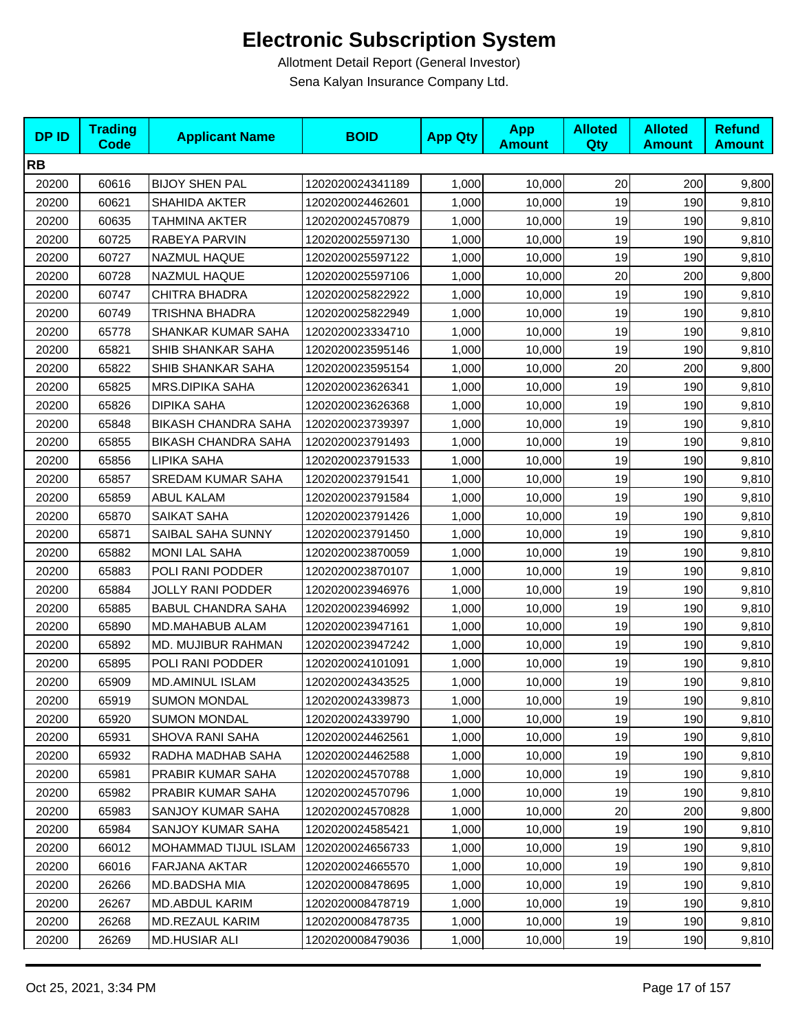| <b>DPID</b> | <b>Trading</b><br><b>Code</b> | <b>Applicant Name</b>       | <b>BOID</b>      | <b>App Qty</b> | <b>App</b><br><b>Amount</b> | <b>Alloted</b><br>Qty | <b>Alloted</b><br><b>Amount</b> | <b>Refund</b><br><b>Amount</b> |
|-------------|-------------------------------|-----------------------------|------------------|----------------|-----------------------------|-----------------------|---------------------------------|--------------------------------|
| <b>RB</b>   |                               |                             |                  |                |                             |                       |                                 |                                |
| 20200       | 60616                         | <b>BIJOY SHEN PAL</b>       | 1202020024341189 | 1,000          | 10,000                      | 20                    | 200                             | 9,800                          |
| 20200       | 60621                         | <b>SHAHIDA AKTER</b>        | 1202020024462601 | 1,000          | 10,000                      | 19                    | 190                             | 9,810                          |
| 20200       | 60635                         | TAHMINA AKTER               | 1202020024570879 | 1,000          | 10,000                      | 19                    | 190                             | 9,810                          |
| 20200       | 60725                         | RABEYA PARVIN               | 1202020025597130 | 1,000          | 10,000                      | 19                    | 190                             | 9,810                          |
| 20200       | 60727                         | NAZMUL HAQUE                | 1202020025597122 | 1,000          | 10,000                      | 19                    | 190                             | 9,810                          |
| 20200       | 60728                         | NAZMUL HAQUE                | 1202020025597106 | 1,000          | 10,000                      | 20                    | 200                             | 9,800                          |
| 20200       | 60747                         | <b>CHITRA BHADRA</b>        | 1202020025822922 | 1,000          | 10,000                      | 19                    | 190                             | 9,810                          |
| 20200       | 60749                         | TRISHNA BHADRA              | 1202020025822949 | 1,000          | 10,000                      | 19                    | 190                             | 9,810                          |
| 20200       | 65778                         | SHANKAR KUMAR SAHA          | 1202020023334710 | 1,000          | 10,000                      | 19                    | 190                             | 9,810                          |
| 20200       | 65821                         | SHIB SHANKAR SAHA           | 1202020023595146 | 1,000          | 10,000                      | 19                    | 190                             | 9,810                          |
| 20200       | 65822                         | SHIB SHANKAR SAHA           | 1202020023595154 | 1,000          | 10,000                      | 20                    | 200                             | 9,800                          |
| 20200       | 65825                         | MRS.DIPIKA SAHA             | 1202020023626341 | 1,000          | 10,000                      | 19                    | 190                             | 9,810                          |
| 20200       | 65826                         | <b>DIPIKA SAHA</b>          | 1202020023626368 | 1,000          | 10,000                      | 19                    | 190                             | 9,810                          |
| 20200       | 65848                         | <b>BIKASH CHANDRA SAHA</b>  | 1202020023739397 | 1,000          | 10,000                      | 19                    | 190                             | 9,810                          |
| 20200       | 65855                         | <b>BIKASH CHANDRA SAHA</b>  | 1202020023791493 | 1,000          | 10,000                      | 19                    | 190                             | 9,810                          |
| 20200       | 65856                         | LIPIKA SAHA                 | 1202020023791533 | 1,000          | 10,000                      | 19                    | 190                             | 9,810                          |
| 20200       | 65857                         | <b>SREDAM KUMAR SAHA</b>    | 1202020023791541 | 1,000          | 10,000                      | 19                    | 190                             | 9,810                          |
| 20200       | 65859                         | <b>ABUL KALAM</b>           | 1202020023791584 | 1,000          | 10,000                      | 19                    | 190                             | 9,810                          |
| 20200       | 65870                         | SAIKAT SAHA                 | 1202020023791426 | 1,000          | 10,000                      | 19                    | 190                             | 9,810                          |
| 20200       | 65871                         | SAIBAL SAHA SUNNY           | 1202020023791450 | 1,000          | 10,000                      | 19                    | 190                             | 9,810                          |
| 20200       | 65882                         | <b>MONI LAL SAHA</b>        | 1202020023870059 | 1,000          | 10,000                      | 19                    | 190                             | 9,810                          |
| 20200       | 65883                         | POLI RANI PODDER            | 1202020023870107 | 1,000          | 10,000                      | 19                    | 190                             | 9,810                          |
| 20200       | 65884                         | <b>JOLLY RANI PODDER</b>    | 1202020023946976 | 1,000          | 10,000                      | 19                    | 190                             | 9,810                          |
| 20200       | 65885                         | <b>BABUL CHANDRA SAHA</b>   | 1202020023946992 | 1,000          | 10,000                      | 19                    | 190                             | 9,810                          |
| 20200       | 65890                         | MD.MAHABUB ALAM             | 1202020023947161 | 1,000          | 10,000                      | 19                    | 190                             | 9,810                          |
| 20200       | 65892                         | MD. MUJIBUR RAHMAN          | 1202020023947242 | 1,000          | 10,000                      | 19                    | 190                             | 9,810                          |
| 20200       | 65895                         | POLI RANI PODDER            | 1202020024101091 | 1,000          | 10,000                      | 19                    | 190                             | 9,810                          |
| 20200       | 65909                         | MD.AMINUL ISLAM             | 1202020024343525 | 1,000          | 10,000                      | 19                    | 190                             | 9,810                          |
| 20200       | 65919                         | <b>SUMON MONDAL</b>         | 1202020024339873 | 1,000          | 10,000                      | 19                    | 190                             | 9,810                          |
| 20200       | 65920                         | <b>SUMON MONDAL</b>         | 1202020024339790 | 1,000          | 10,000                      | 19                    | 190                             | 9,810                          |
| 20200       | 65931                         | SHOVA RANI SAHA             | 1202020024462561 | 1,000          | 10,000                      | 19                    | 190                             | 9,810                          |
| 20200       | 65932                         | RADHA MADHAB SAHA           | 1202020024462588 | 1,000          | 10,000                      | 19                    | 190                             | 9,810                          |
| 20200       | 65981                         | PRABIR KUMAR SAHA           | 1202020024570788 | 1,000          | 10,000                      | 19                    | 190                             | 9,810                          |
| 20200       | 65982                         | PRABIR KUMAR SAHA           | 1202020024570796 | 1,000          | 10,000                      | 19                    | 190                             | 9,810                          |
| 20200       | 65983                         | SANJOY KUMAR SAHA           | 1202020024570828 | 1,000          | 10,000                      | 20                    | 200                             | 9,800                          |
| 20200       | 65984                         | SANJOY KUMAR SAHA           | 1202020024585421 | 1,000          | 10,000                      | 19                    | 190                             | 9,810                          |
| 20200       | 66012                         | <b>MOHAMMAD TIJUL ISLAM</b> | 1202020024656733 | 1,000          | 10,000                      | 19                    | 190                             | 9,810                          |
| 20200       | 66016                         | <b>FARJANA AKTAR</b>        | 1202020024665570 | 1,000          | 10,000                      | 19                    | 190                             | 9,810                          |
| 20200       | 26266                         | MD.BADSHA MIA               | 1202020008478695 | 1,000          | 10,000                      | 19                    | 190                             | 9,810                          |
| 20200       | 26267                         | MD.ABDUL KARIM              | 1202020008478719 | 1,000          | 10,000                      | 19                    | 190                             | 9,810                          |
| 20200       | 26268                         | MD.REZAUL KARIM             | 1202020008478735 | 1,000          | 10,000                      | 19                    | 190                             | 9,810                          |
| 20200       | 26269                         | <b>MD.HUSIAR ALI</b>        | 1202020008479036 | 1,000          | 10,000                      | 19                    | 190                             | 9,810                          |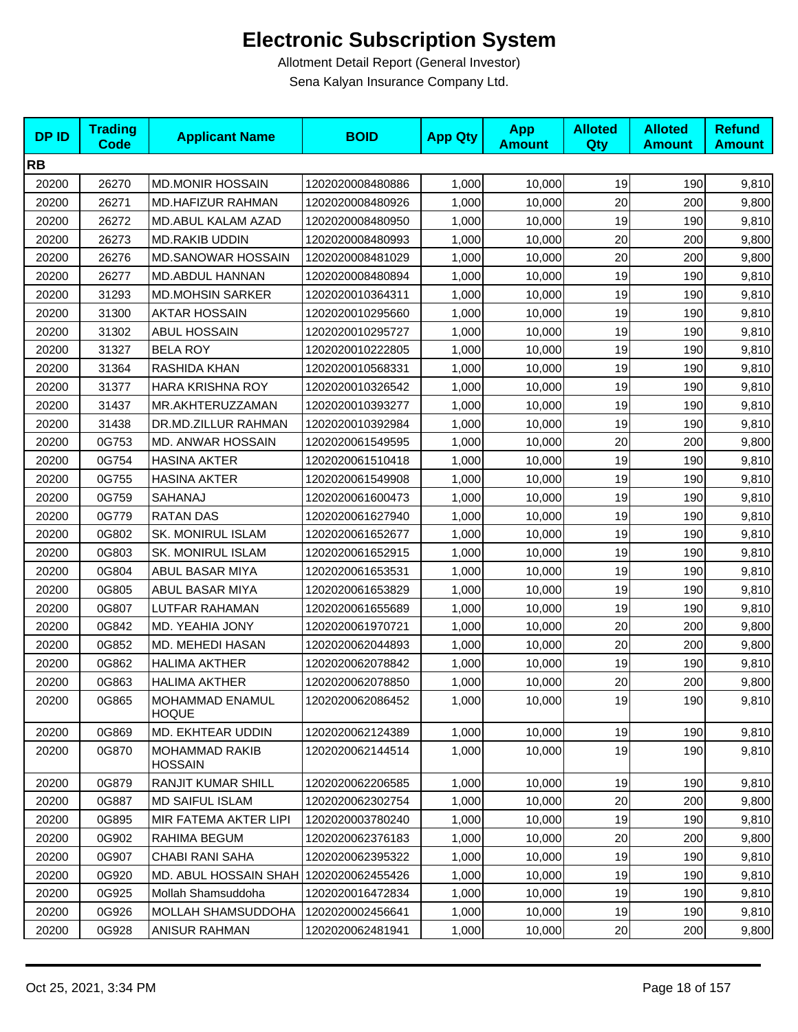| <b>DPID</b> | <b>Trading</b><br><b>Code</b> | <b>Applicant Name</b>                   | <b>BOID</b>      | <b>App Qty</b> | <b>App</b><br><b>Amount</b> | <b>Alloted</b><br><b>Qty</b> | <b>Alloted</b><br><b>Amount</b> | <b>Refund</b><br><b>Amount</b> |
|-------------|-------------------------------|-----------------------------------------|------------------|----------------|-----------------------------|------------------------------|---------------------------------|--------------------------------|
| <b>RB</b>   |                               |                                         |                  |                |                             |                              |                                 |                                |
| 20200       | 26270                         | <b>MD.MONIR HOSSAIN</b>                 | 1202020008480886 | 1,000          | 10,000                      | 19                           | 190                             | 9,810                          |
| 20200       | 26271                         | <b>MD.HAFIZUR RAHMAN</b>                | 1202020008480926 | 1,000          | 10,000                      | 20                           | 200                             | 9,800                          |
| 20200       | 26272                         | MD.ABUL KALAM AZAD                      | 1202020008480950 | 1,000          | 10,000                      | 19                           | 190                             | 9,810                          |
| 20200       | 26273                         | <b>MD.RAKIB UDDIN</b>                   | 1202020008480993 | 1,000          | 10,000                      | 20                           | 200                             | 9,800                          |
| 20200       | 26276                         | <b>MD.SANOWAR HOSSAIN</b>               | 1202020008481029 | 1,000          | 10,000                      | 20                           | 200                             | 9,800                          |
| 20200       | 26277                         | <b>MD.ABDUL HANNAN</b>                  | 1202020008480894 | 1,000          | 10,000                      | 19                           | 190                             | 9,810                          |
| 20200       | 31293                         | <b>MD.MOHSIN SARKER</b>                 | 1202020010364311 | 1,000          | 10,000                      | 19                           | 190                             | 9,810                          |
| 20200       | 31300                         | <b>AKTAR HOSSAIN</b>                    | 1202020010295660 | 1,000          | 10,000                      | 19                           | 190                             | 9,810                          |
| 20200       | 31302                         | ABUL HOSSAIN                            | 1202020010295727 | 1,000          | 10,000                      | 19                           | 190                             | 9,810                          |
| 20200       | 31327                         | <b>BELA ROY</b>                         | 1202020010222805 | 1,000          | 10,000                      | 19                           | 190                             | 9,810                          |
| 20200       | 31364                         | RASHIDA KHAN                            | 1202020010568331 | 1,000          | 10,000                      | 19                           | 190                             | 9,810                          |
| 20200       | 31377                         | <b>HARA KRISHNA ROY</b>                 | 1202020010326542 | 1,000          | 10,000                      | 19                           | 190                             | 9,810                          |
| 20200       | 31437                         | MR.AKHTERUZZAMAN                        | 1202020010393277 | 1,000          | 10,000                      | 19                           | 190                             | 9,810                          |
| 20200       | 31438                         | DR.MD.ZILLUR RAHMAN                     | 1202020010392984 | 1,000          | 10,000                      | 19                           | 190                             | 9,810                          |
| 20200       | 0G753                         | MD. ANWAR HOSSAIN                       | 1202020061549595 | 1,000          | 10,000                      | 20                           | 200                             | 9,800                          |
| 20200       | 0G754                         | <b>HASINA AKTER</b>                     | 1202020061510418 | 1,000          | 10,000                      | 19                           | 190                             | 9,810                          |
| 20200       | 0G755                         | <b>HASINA AKTER</b>                     | 1202020061549908 | 1,000          | 10,000                      | 19                           | 190                             | 9,810                          |
| 20200       | 0G759                         | SAHANAJ                                 | 1202020061600473 | 1,000          | 10,000                      | 19                           | 190                             | 9,810                          |
| 20200       | 0G779                         | <b>RATAN DAS</b>                        | 1202020061627940 | 1,000          | 10,000                      | 19                           | 190                             | 9,810                          |
| 20200       | 0G802                         | <b>SK. MONIRUL ISLAM</b>                | 1202020061652677 | 1,000          | 10,000                      | 19                           | 190                             | 9,810                          |
| 20200       | 0G803                         | SK. MONIRUL ISLAM                       | 1202020061652915 | 1,000          | 10,000                      | 19                           | 190                             | 9,810                          |
| 20200       | 0G804                         | ABUL BASAR MIYA                         | 1202020061653531 | 1,000          | 10,000                      | 19                           | 190                             | 9,810                          |
| 20200       | 0G805                         | ABUL BASAR MIYA                         | 1202020061653829 | 1,000          | 10,000                      | 19                           | 190                             | 9,810                          |
| 20200       | 0G807                         | LUTFAR RAHAMAN                          | 1202020061655689 | 1,000          | 10,000                      | 19                           | 190                             | 9,810                          |
| 20200       | 0G842                         | MD. YEAHIA JONY                         | 1202020061970721 | 1,000          | 10,000                      | 20                           | 200                             | 9,800                          |
| 20200       | 0G852                         | MD. MEHEDI HASAN                        | 1202020062044893 | 1,000          | 10,000                      | 20                           | 200                             | 9,800                          |
| 20200       | 0G862                         | HALIMA AKTHER                           | 1202020062078842 | 1,000          | 10,000                      | 19                           | 190                             | 9,810                          |
| 20200       | 0G863                         | <b>HALIMA AKTHER</b>                    | 1202020062078850 | 1,000          | 10,000                      | 20                           | 200                             | 9,800                          |
| 20200       | 0G865                         | MOHAMMAD ENAMUL<br><b>HOQUE</b>         | 1202020062086452 | 1,000          | 10,000                      | 19                           | 190                             | 9,810                          |
| 20200       | 0G869                         | MD. EKHTEAR UDDIN                       | 1202020062124389 | 1,000          | 10,000                      | 19                           | 190                             | 9,810                          |
| 20200       | 0G870                         | <b>MOHAMMAD RAKIB</b><br><b>HOSSAIN</b> | 1202020062144514 | 1,000          | 10,000                      | 19                           | 190                             | 9,810                          |
| 20200       | 0G879                         | RANJIT KUMAR SHILL                      | 1202020062206585 | 1,000          | 10,000                      | 19                           | 190                             | 9,810                          |
| 20200       | 0G887                         | <b>MD SAIFUL ISLAM</b>                  | 1202020062302754 | 1,000          | 10,000                      | 20                           | 200                             | 9,800                          |
| 20200       | 0G895                         | MIR FATEMA AKTER LIPI                   | 1202020003780240 | 1,000          | 10,000                      | 19                           | 190                             | 9,810                          |
| 20200       | 0G902                         | RAHIMA BEGUM                            | 1202020062376183 | 1,000          | 10,000                      | 20                           | 200                             | 9,800                          |
| 20200       | 0G907                         | CHABI RANI SAHA                         | 1202020062395322 | 1,000          | 10,000                      | 19                           | 190                             | 9,810                          |
| 20200       | 0G920                         | MD. ABUL HOSSAIN SHAH                   | 1202020062455426 | 1,000          | 10,000                      | 19                           | 190                             | 9,810                          |
| 20200       | 0G925                         | Mollah Shamsuddoha                      | 1202020016472834 | 1,000          | 10,000                      | 19                           | 190                             | 9,810                          |
| 20200       | 0G926                         | MOLLAH SHAMSUDDOHA                      | 1202020002456641 | 1,000          | 10,000                      | 19                           | 190                             | 9,810                          |
| 20200       | 0G928                         | ANISUR RAHMAN                           | 1202020062481941 | 1,000          | 10,000                      | 20                           | 200                             | 9,800                          |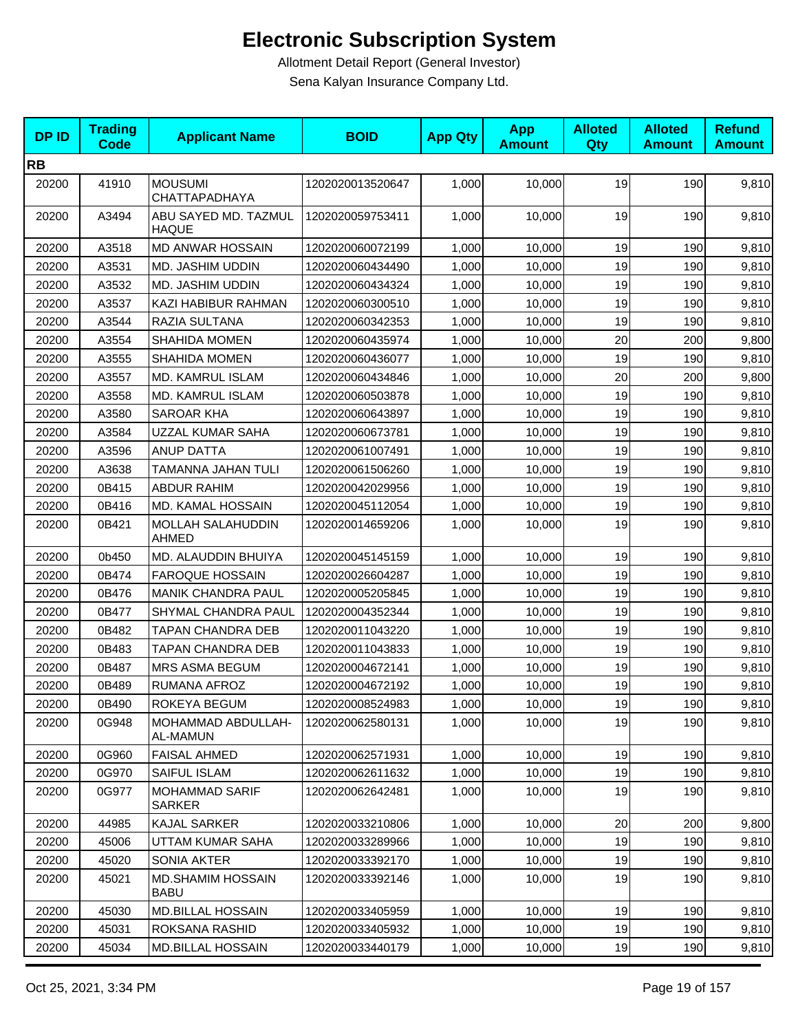| <b>DPID</b> | <b>Trading</b><br><b>Code</b> | <b>Applicant Name</b>                   | <b>BOID</b>      | <b>App Qty</b> | <b>App</b><br><b>Amount</b> | <b>Alloted</b><br><b>Qty</b> | <b>Alloted</b><br><b>Amount</b> | <b>Refund</b><br><b>Amount</b> |
|-------------|-------------------------------|-----------------------------------------|------------------|----------------|-----------------------------|------------------------------|---------------------------------|--------------------------------|
| <b>RB</b>   |                               |                                         |                  |                |                             |                              |                                 |                                |
| 20200       | 41910                         | <b>MOUSUMI</b><br>CHATTAPADHAYA         | 1202020013520647 | 1,000          | 10,000                      | 19                           | 190                             | 9,810                          |
| 20200       | A3494                         | ABU SAYED MD. TAZMUL<br><b>HAQUE</b>    | 1202020059753411 | 1,000          | 10,000                      | 19                           | 190                             | 9,810                          |
| 20200       | A3518                         | <b>MD ANWAR HOSSAIN</b>                 | 1202020060072199 | 1,000          | 10,000                      | 19                           | 190                             | 9,810                          |
| 20200       | A3531                         | <b>MD. JASHIM UDDIN</b>                 | 1202020060434490 | 1,000          | 10,000                      | 19                           | 190                             | 9,810                          |
| 20200       | A3532                         | MD. JASHIM UDDIN                        | 1202020060434324 | 1,000          | 10,000                      | 19                           | 190                             | 9,810                          |
| 20200       | A3537                         | KAZI HABIBUR RAHMAN                     | 1202020060300510 | 1,000          | 10,000                      | 19                           | 190                             | 9,810                          |
| 20200       | A3544                         | RAZIA SULTANA                           | 1202020060342353 | 1,000          | 10,000                      | 19                           | 190                             | 9,810                          |
| 20200       | A3554                         | <b>SHAHIDA MOMEN</b>                    | 1202020060435974 | 1,000          | 10,000                      | 20                           | 200                             | 9,800                          |
| 20200       | A3555                         | <b>SHAHIDA MOMEN</b>                    | 1202020060436077 | 1,000          | 10,000                      | 19                           | 190                             | 9,810                          |
| 20200       | A3557                         | MD. KAMRUL ISLAM                        | 1202020060434846 | 1,000          | 10,000                      | 20                           | 200                             | 9,800                          |
| 20200       | A3558                         | MD. KAMRUL ISLAM                        | 1202020060503878 | 1,000          | 10,000                      | 19                           | 190                             | 9,810                          |
| 20200       | A3580                         | SAROAR KHA                              | 1202020060643897 | 1,000          | 10,000                      | 19                           | 190                             | 9,810                          |
| 20200       | A3584                         | UZZAL KUMAR SAHA                        | 1202020060673781 | 1,000          | 10,000                      | 19                           | 190                             | 9,810                          |
| 20200       | A3596                         | <b>ANUP DATTA</b>                       | 1202020061007491 | 1,000          | 10,000                      | 19                           | 190                             | 9,810                          |
| 20200       | A3638                         | TAMANNA JAHAN TULI                      | 1202020061506260 | 1,000          | 10,000                      | 19                           | 190                             | 9,810                          |
| 20200       | 0B415                         | ABDUR RAHIM                             | 1202020042029956 | 1,000          | 10,000                      | 19                           | 190                             | 9,810                          |
| 20200       | 0B416                         | MD. KAMAL HOSSAIN                       | 1202020045112054 | 1,000          | 10,000                      | 19                           | 190                             | 9,810                          |
| 20200       | 0B421                         | MOLLAH SALAHUDDIN<br><b>AHMED</b>       | 1202020014659206 | 1,000          | 10,000                      | 19                           | 190                             | 9,810                          |
| 20200       | 0b450                         | MD. ALAUDDIN BHUIYA                     | 1202020045145159 | 1,000          | 10,000                      | 19                           | 190                             | 9,810                          |
| 20200       | 0B474                         | <b>FAROQUE HOSSAIN</b>                  | 1202020026604287 | 1,000          | 10,000                      | 19                           | 190                             | 9,810                          |
| 20200       | 0B476                         | <b>MANIK CHANDRA PAUL</b>               | 1202020005205845 | 1,000          | 10,000                      | 19                           | 190                             | 9,810                          |
| 20200       | 0B477                         | SHYMAL CHANDRA PAUL                     | 1202020004352344 | 1,000          | 10,000                      | 19                           | 190                             | 9,810                          |
| 20200       | 0B482                         | TAPAN CHANDRA DEB                       | 1202020011043220 | 1,000          | 10,000                      | 19                           | 190                             | 9,810                          |
| 20200       | 0B483                         | TAPAN CHANDRA DEB                       | 1202020011043833 | 1,000          | 10,000                      | 19                           | 190                             | 9,810                          |
| 20200       | 0B487                         | <b>MRS ASMA BEGUM</b>                   | 1202020004672141 | 1,000          | 10,000                      | 19                           | 190                             | 9,810                          |
| 20200       | 0B489                         | RUMANA AFROZ                            | 1202020004672192 | 1,000          | 10,000                      | 19                           | 190                             | 9,810                          |
| 20200       | 0B490                         | ROKEYA BEGUM                            | 1202020008524983 | 1,000          | 10,000                      | 19                           | 190                             | 9,810                          |
| 20200       | 0G948                         | <b>MOHAMMAD ABDULLAH-</b><br>AL-MAMUN   | 1202020062580131 | 1,000          | 10,000                      | 19                           | 190                             | 9,810                          |
| 20200       | 0G960                         | FAISAL AHMED                            | 1202020062571931 | 1,000          | 10,000                      | 19                           | 190                             | 9,810                          |
| 20200       | 0G970                         | SAIFUL ISLAM                            | 1202020062611632 | 1,000          | 10,000                      | 19                           | 190                             | 9,810                          |
| 20200       | 0G977                         | MOHAMMAD SARIF<br>SARKER                | 1202020062642481 | 1,000          | 10,000                      | 19                           | 190                             | 9,810                          |
| 20200       | 44985                         | <b>KAJAL SARKER</b>                     | 1202020033210806 | 1,000          | 10,000                      | 20                           | 200                             | 9,800                          |
| 20200       | 45006                         | UTTAM KUMAR SAHA                        | 1202020033289966 | 1,000          | 10,000                      | 19                           | 190                             | 9,810                          |
| 20200       | 45020                         | SONIA AKTER                             | 1202020033392170 | 1,000          | 10,000                      | 19                           | 190                             | 9,810                          |
| 20200       | 45021                         | <b>MD.SHAMIM HOSSAIN</b><br><b>BABU</b> | 1202020033392146 | 1,000          | 10,000                      | 19                           | 190                             | 9,810                          |
| 20200       | 45030                         | <b>MD.BILLAL HOSSAIN</b>                | 1202020033405959 | 1,000          | 10,000                      | 19                           | 190                             | 9,810                          |
| 20200       | 45031                         | ROKSANA RASHID                          | 1202020033405932 | 1,000          | 10,000                      | 19                           | 190                             | 9,810                          |
| 20200       | 45034                         | MD.BILLAL HOSSAIN                       | 1202020033440179 | 1,000          | 10,000                      | 19                           | 190                             | 9,810                          |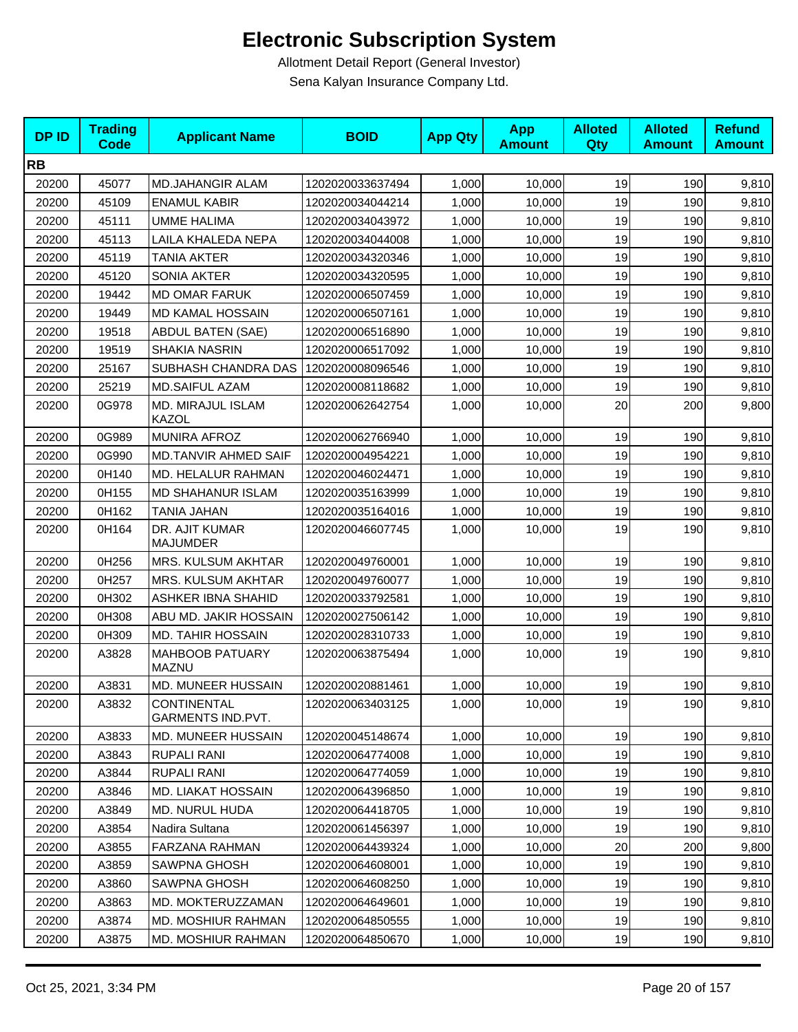| <b>DPID</b> | <b>Trading</b><br><b>Code</b> | <b>Applicant Name</b>             | <b>BOID</b>      | <b>App Qty</b> | <b>App</b><br><b>Amount</b> | <b>Alloted</b><br>Qty | <b>Alloted</b><br><b>Amount</b> | <b>Refund</b><br><b>Amount</b> |
|-------------|-------------------------------|-----------------------------------|------------------|----------------|-----------------------------|-----------------------|---------------------------------|--------------------------------|
| <b>RB</b>   |                               |                                   |                  |                |                             |                       |                                 |                                |
| 20200       | 45077                         | <b>MD.JAHANGIR ALAM</b>           | 1202020033637494 | 1,000          | 10,000                      | 19                    | 190                             | 9,810                          |
| 20200       | 45109                         | <b>ENAMUL KABIR</b>               | 1202020034044214 | 1,000          | 10,000                      | 19                    | 190                             | 9,810                          |
| 20200       | 45111                         | UMME HALIMA                       | 1202020034043972 | 1,000          | 10,000                      | 19                    | 190                             | 9,810                          |
| 20200       | 45113                         | LAILA KHALEDA NEPA                | 1202020034044008 | 1,000          | 10,000                      | 19                    | 190                             | 9,810                          |
| 20200       | 45119                         | TANIA AKTER                       | 1202020034320346 | 1,000          | 10,000                      | 19                    | 190                             | 9,810                          |
| 20200       | 45120                         | <b>SONIA AKTER</b>                | 1202020034320595 | 1,000          | 10,000                      | 19                    | 190                             | 9,810                          |
| 20200       | 19442                         | <b>MD OMAR FARUK</b>              | 1202020006507459 | 1,000          | 10,000                      | 19                    | 190                             | 9,810                          |
| 20200       | 19449                         | <b>MD KAMAL HOSSAIN</b>           | 1202020006507161 | 1,000          | 10,000                      | 19                    | 190                             | 9,810                          |
| 20200       | 19518                         | <b>ABDUL BATEN (SAE)</b>          | 1202020006516890 | 1,000          | 10,000                      | 19                    | 190                             | 9,810                          |
| 20200       | 19519                         | SHAKIA NASRIN                     | 1202020006517092 | 1,000          | 10,000                      | 19                    | 190                             | 9,810                          |
| 20200       | 25167                         | SUBHASH CHANDRA DAS               | 1202020008096546 | 1,000          | 10,000                      | 19                    | 190                             | 9,810                          |
| 20200       | 25219                         | <b>MD.SAIFUL AZAM</b>             | 1202020008118682 | 1,000          | 10,000                      | 19                    | 190                             | 9,810                          |
| 20200       | 0G978                         | MD. MIRAJUL ISLAM<br><b>KAZOL</b> | 1202020062642754 | 1,000          | 10,000                      | 20                    | 200                             | 9,800                          |
| 20200       | 0G989                         | <b>MUNIRA AFROZ</b>               | 1202020062766940 | 1,000          | 10,000                      | 19                    | 190                             | 9,810                          |
| 20200       | 0G990                         | <b>MD.TANVIR AHMED SAIF</b>       | 1202020004954221 | 1,000          | 10,000                      | 19                    | 190                             | 9,810                          |
| 20200       | 0H140                         | MD. HELALUR RAHMAN                | 1202020046024471 | 1,000          | 10,000                      | 19                    | 190                             | 9,810                          |
| 20200       | 0H155                         | <b>MD SHAHANUR ISLAM</b>          | 1202020035163999 | 1,000          | 10,000                      | 19                    | 190                             | 9,810                          |
| 20200       | 0H162                         | TANIA JAHAN                       | 1202020035164016 | 1,000          | 10,000                      | 19                    | 190                             | 9,810                          |
| 20200       | 0H164                         | DR. AJIT KUMAR<br><b>MAJUMDER</b> | 1202020046607745 | 1,000          | 10,000                      | 19                    | 190                             | 9,810                          |
| 20200       | 0H256                         | MRS. KULSUM AKHTAR                | 1202020049760001 | 1,000          | 10,000                      | 19                    | 190                             | 9,810                          |
| 20200       | 0H257                         | MRS. KULSUM AKHTAR                | 1202020049760077 | 1,000          | 10,000                      | 19                    | 190                             | 9,810                          |
| 20200       | 0H302                         | ASHKER IBNA SHAHID                | 1202020033792581 | 1,000          | 10,000                      | 19                    | 190                             | 9,810                          |
| 20200       | 0H308                         | ABU MD. JAKIR HOSSAIN             | 1202020027506142 | 1,000          | 10,000                      | 19                    | 190                             | 9,810                          |
| 20200       | 0H309                         | <b>MD. TAHIR HOSSAIN</b>          | 1202020028310733 | 1,000          | 10,000                      | 19                    | 190                             | 9,810                          |
| 20200       | A3828                         | <b>MAHBOOB PATUARY</b><br>MAZNU   | 1202020063875494 | 1,000          | 10,000                      | 19                    | 190                             | 9,810                          |
| 20200       | A3831                         | MD. MUNEER HUSSAIN                | 1202020020881461 | 1,000          | 10,000                      | 19                    | 190                             | 9,810                          |
| 20200       | A3832                         | CONTINENTAL<br>GARMENTS IND.PVT.  | 1202020063403125 | 1,000          | 10,000                      | 19                    | 190                             | 9,810                          |
| 20200       | A3833                         | MD. MUNEER HUSSAIN                | 1202020045148674 | 1,000          | 10,000                      | 19                    | 190                             | 9,810                          |
| 20200       | A3843                         | RUPALI RANI                       | 1202020064774008 | 1,000          | 10.000                      | 19                    | 190                             | 9,810                          |
| 20200       | A3844                         | <b>RUPALI RANI</b>                | 1202020064774059 | 1,000          | 10,000                      | 19                    | 190                             | 9,810                          |
| 20200       | A3846                         | <b>MD. LIAKAT HOSSAIN</b>         | 1202020064396850 | 1,000          | 10,000                      | 19                    | 190                             | 9,810                          |
| 20200       | A3849                         | <b>MD. NURUL HUDA</b>             | 1202020064418705 | 1,000          | 10,000                      | 19                    | 190                             | 9,810                          |
| 20200       | A3854                         | Nadira Sultana                    | 1202020061456397 | 1,000          | 10,000                      | 19                    | 190                             | 9,810                          |
| 20200       | A3855                         | FARZANA RAHMAN                    | 1202020064439324 | 1,000          | 10,000                      | 20                    | 200                             | 9,800                          |
| 20200       | A3859                         | <b>SAWPNA GHOSH</b>               | 1202020064608001 | 1,000          | 10,000                      | 19                    | 190                             | 9,810                          |
| 20200       | A3860                         | SAWPNA GHOSH                      | 1202020064608250 | 1,000          | 10,000                      | 19                    | 190                             | 9,810                          |
| 20200       | A3863                         | MD. MOKTERUZZAMAN                 | 1202020064649601 | 1,000          | 10,000                      | 19                    | 190                             | 9,810                          |
| 20200       | A3874                         | MD. MOSHIUR RAHMAN                | 1202020064850555 | 1,000          | 10,000                      | 19                    | 190                             | 9,810                          |
| 20200       | A3875                         | MD. MOSHIUR RAHMAN                | 1202020064850670 | 1,000          | 10,000                      | 19                    | 190                             | 9,810                          |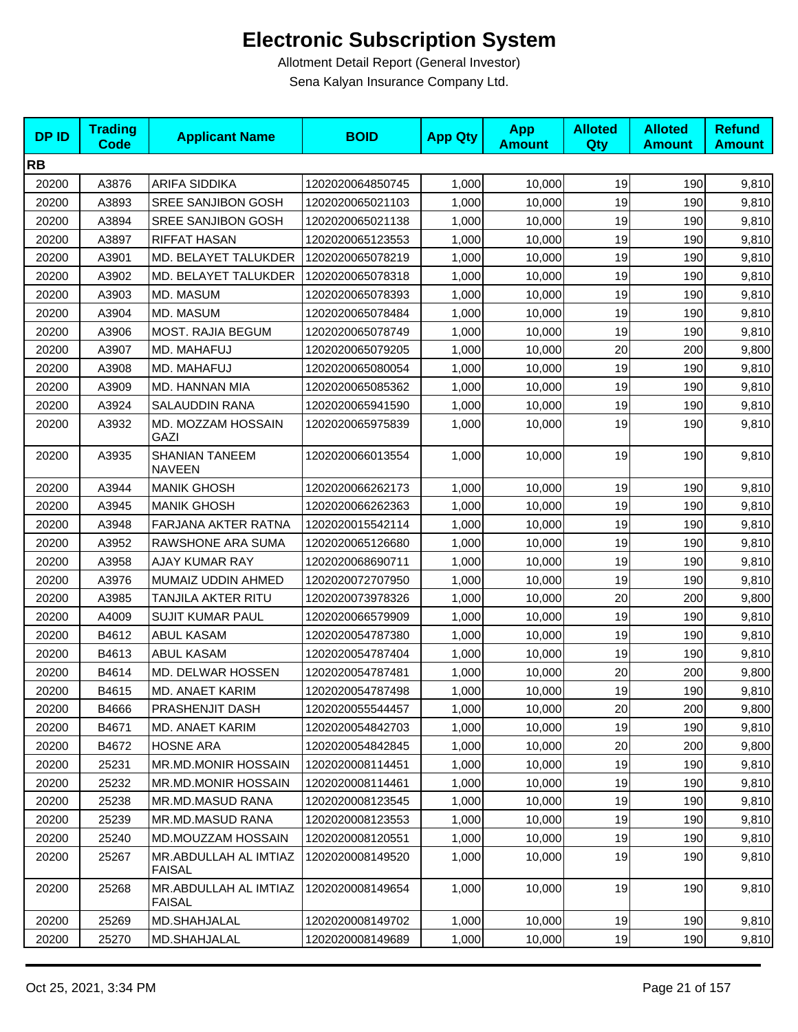| <b>DPID</b> | <b>Trading</b><br><b>Code</b> | <b>Applicant Name</b>                  | <b>BOID</b>      | <b>App Qty</b> | <b>App</b><br><b>Amount</b> | <b>Alloted</b><br>Qty | <b>Alloted</b><br><b>Amount</b> | <b>Refund</b><br><b>Amount</b> |
|-------------|-------------------------------|----------------------------------------|------------------|----------------|-----------------------------|-----------------------|---------------------------------|--------------------------------|
| <b>RB</b>   |                               |                                        |                  |                |                             |                       |                                 |                                |
| 20200       | A3876                         | <b>ARIFA SIDDIKA</b>                   | 1202020064850745 | 1,000          | 10,000                      | 19                    | 190                             | 9,810                          |
| 20200       | A3893                         | SREE SANJIBON GOSH                     | 1202020065021103 | 1,000          | 10,000                      | 19                    | 190                             | 9,810                          |
| 20200       | A3894                         | SREE SANJIBON GOSH                     | 1202020065021138 | 1,000          | 10,000                      | 19                    | 190                             | 9,810                          |
| 20200       | A3897                         | <b>RIFFAT HASAN</b>                    | 1202020065123553 | 1,000          | 10,000                      | 19                    | 190                             | 9,810                          |
| 20200       | A3901                         | MD. BELAYET TALUKDER                   | 1202020065078219 | 1,000          | 10,000                      | 19                    | 190                             | 9,810                          |
| 20200       | A3902                         | MD. BELAYET TALUKDER                   | 1202020065078318 | 1,000          | 10,000                      | 19                    | 190                             | 9,810                          |
| 20200       | A3903                         | MD. MASUM                              | 1202020065078393 | 1,000          | 10,000                      | 19                    | 190                             | 9,810                          |
| 20200       | A3904                         | MD. MASUM                              | 1202020065078484 | 1,000          | 10,000                      | 19                    | 190                             | 9,810                          |
| 20200       | A3906                         | <b>MOST. RAJIA BEGUM</b>               | 1202020065078749 | 1,000          | 10,000                      | 19                    | 190                             | 9,810                          |
| 20200       | A3907                         | MD. MAHAFUJ                            | 1202020065079205 | 1,000          | 10,000                      | 20                    | 200                             | 9,800                          |
| 20200       | A3908                         | MD. MAHAFUJ                            | 1202020065080054 | 1,000          | 10,000                      | 19                    | 190                             | 9,810                          |
| 20200       | A3909                         | MD. HANNAN MIA                         | 1202020065085362 | 1,000          | 10,000                      | 19                    | 190                             | 9,810                          |
| 20200       | A3924                         | SALAUDDIN RANA                         | 1202020065941590 | 1,000          | 10,000                      | 19                    | 190                             | 9,810                          |
| 20200       | A3932                         | MD. MOZZAM HOSSAIN<br><b>GAZI</b>      | 1202020065975839 | 1,000          | 10,000                      | 19                    | 190                             | 9,810                          |
| 20200       | A3935                         | <b>SHANIAN TANEEM</b><br><b>NAVEEN</b> | 1202020066013554 | 1,000          | 10,000                      | 19                    | 190                             | 9,810                          |
| 20200       | A3944                         | <b>MANIK GHOSH</b>                     | 1202020066262173 | 1,000          | 10,000                      | 19                    | 190                             | 9,810                          |
| 20200       | A3945                         | <b>MANIK GHOSH</b>                     | 1202020066262363 | 1,000          | 10,000                      | 19                    | 190                             | 9,810                          |
| 20200       | A3948                         | FARJANA AKTER RATNA                    | 1202020015542114 | 1,000          | 10,000                      | 19                    | 190                             | 9,810                          |
| 20200       | A3952                         | RAWSHONE ARA SUMA                      | 1202020065126680 | 1,000          | 10,000                      | 19                    | 190                             | 9,810                          |
| 20200       | A3958                         | <b>AJAY KUMAR RAY</b>                  | 1202020068690711 | 1,000          | 10,000                      | 19                    | 190                             | 9,810                          |
| 20200       | A3976                         | MUMAIZ UDDIN AHMED                     | 1202020072707950 | 1,000          | 10,000                      | 19                    | 190                             | 9,810                          |
| 20200       | A3985                         | TANJILA AKTER RITU                     | 1202020073978326 | 1,000          | 10,000                      | 20                    | 200                             | 9,800                          |
| 20200       | A4009                         | <b>SUJIT KUMAR PAUL</b>                | 1202020066579909 | 1,000          | 10,000                      | 19                    | 190                             | 9,810                          |
| 20200       | B4612                         | <b>ABUL KASAM</b>                      | 1202020054787380 | 1,000          | 10,000                      | 19                    | 190                             | 9,810                          |
| 20200       | B4613                         | <b>ABUL KASAM</b>                      | 1202020054787404 | 1,000          | 10,000                      | 19                    | 190                             | 9,810                          |
| 20200       | B4614                         | MD. DELWAR HOSSEN                      | 1202020054787481 | 1,000          | 10,000                      | 20                    | 200                             | 9,800                          |
| 20200       | B4615                         | MD. ANAET KARIM                        | 1202020054787498 | 1,000          | 10,000                      | 19                    | 190                             | 9,810                          |
| 20200       | B4666                         | PRASHENJIT DASH                        | 1202020055544457 | 1,000          | 10,000                      | 20                    | 200                             | 9,800                          |
| 20200       | B4671                         | <b>MD. ANAET KARIM</b>                 | 1202020054842703 | 1,000          | 10,000                      | 19                    | 190                             | 9,810                          |
| 20200       | B4672                         | <b>HOSNE ARA</b>                       | 1202020054842845 | 1,000          | 10,000                      | 20                    | 200                             | 9,800                          |
| 20200       | 25231                         | MR.MD.MONIR HOSSAIN                    | 1202020008114451 | 1,000          | 10,000                      | 19                    | 190                             | 9,810                          |
| 20200       | 25232                         | MR.MD.MONIR HOSSAIN                    | 1202020008114461 | 1,000          | 10,000                      | 19                    | 190                             | 9,810                          |
| 20200       | 25238                         | MR.MD.MASUD RANA                       | 1202020008123545 | 1,000          | 10,000                      | 19                    | 190                             | 9,810                          |
| 20200       | 25239                         | MR.MD.MASUD RANA                       | 1202020008123553 | 1,000          | 10,000                      | 19                    | 190                             | 9,810                          |
| 20200       | 25240                         | MD.MOUZZAM HOSSAIN                     | 1202020008120551 | 1,000          | 10,000                      | 19                    | 190                             | 9,810                          |
| 20200       | 25267                         | MR.ABDULLAH AL IMTIAZ<br><b>FAISAL</b> | 1202020008149520 | 1,000          | 10,000                      | 19                    | 190                             | 9,810                          |
| 20200       | 25268                         | MR.ABDULLAH AL IMTIAZ<br><b>FAISAL</b> | 1202020008149654 | 1,000          | 10,000                      | 19                    | 190                             | 9,810                          |
| 20200       | 25269                         | MD.SHAHJALAL                           | 1202020008149702 | 1,000          | 10,000                      | 19                    | 190                             | 9,810                          |
| 20200       | 25270                         | MD.SHAHJALAL                           | 1202020008149689 | 1,000          | 10,000                      | 19                    | 190                             | 9,810                          |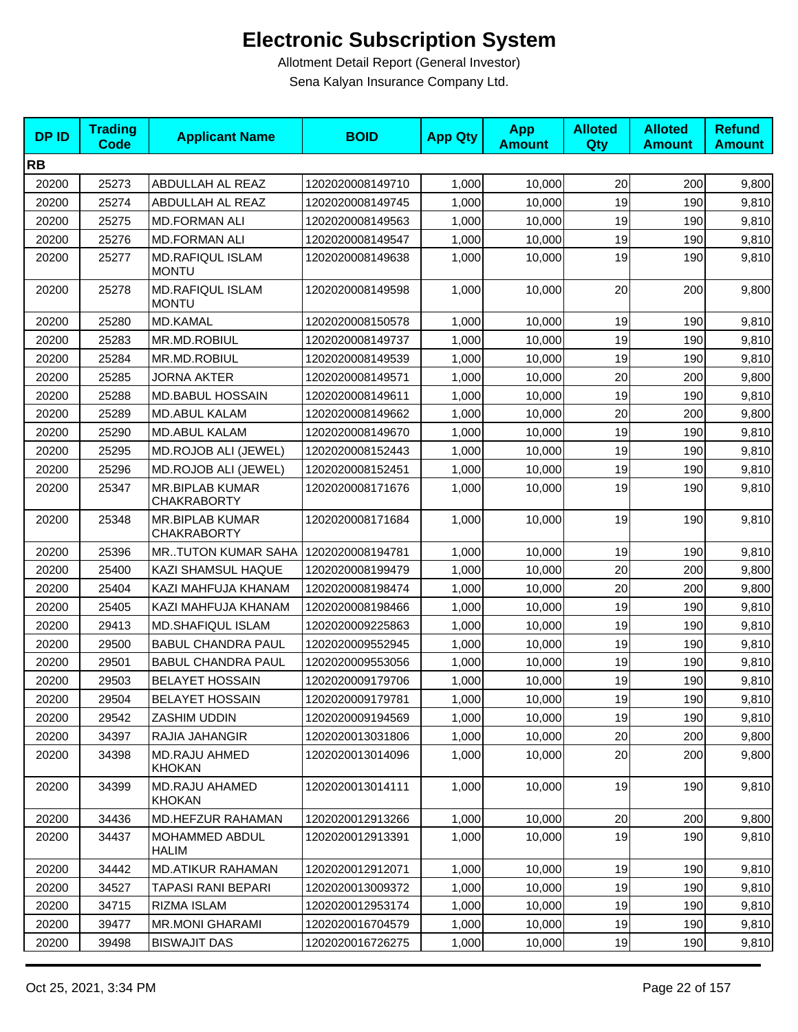| <b>DPID</b> | <b>Trading</b><br><b>Code</b> | <b>Applicant Name</b>                        | <b>BOID</b>      | <b>App Qty</b> | <b>App</b><br><b>Amount</b> | <b>Alloted</b><br>Qty | <b>Alloted</b><br><b>Amount</b> | <b>Refund</b><br><b>Amount</b> |
|-------------|-------------------------------|----------------------------------------------|------------------|----------------|-----------------------------|-----------------------|---------------------------------|--------------------------------|
| <b>RB</b>   |                               |                                              |                  |                |                             |                       |                                 |                                |
| 20200       | 25273                         | ABDULLAH AL REAZ                             | 1202020008149710 | 1,000          | 10,000                      | 20                    | 200                             | 9,800                          |
| 20200       | 25274                         | ABDULLAH AL REAZ                             | 1202020008149745 | 1,000          | 10,000                      | 19                    | 190                             | 9,810                          |
| 20200       | 25275                         | <b>MD.FORMAN ALI</b>                         | 1202020008149563 | 1,000          | 10,000                      | 19                    | 190                             | 9,810                          |
| 20200       | 25276                         | <b>MD.FORMAN ALI</b>                         | 1202020008149547 | 1,000          | 10,000                      | 19                    | 190                             | 9,810                          |
| 20200       | 25277                         | <b>MD.RAFIQUL ISLAM</b><br><b>MONTU</b>      | 1202020008149638 | 1,000          | 10,000                      | 19                    | 190                             | 9,810                          |
| 20200       | 25278                         | <b>MD.RAFIQUL ISLAM</b><br><b>MONTU</b>      | 1202020008149598 | 1,000          | 10,000                      | 20                    | 200                             | 9,800                          |
| 20200       | 25280                         | <b>MD.KAMAL</b>                              | 1202020008150578 | 1,000          | 10,000                      | 19                    | 190                             | 9,810                          |
| 20200       | 25283                         | MR.MD.ROBIUL                                 | 1202020008149737 | 1,000          | 10,000                      | 19                    | 190                             | 9,810                          |
| 20200       | 25284                         | MR.MD.ROBIUL                                 | 1202020008149539 | 1,000          | 10,000                      | 19                    | 190                             | 9,810                          |
| 20200       | 25285                         | JORNA AKTER                                  | 1202020008149571 | 1,000          | 10,000                      | 20                    | 200                             | 9,800                          |
| 20200       | 25288                         | <b>MD.BABUL HOSSAIN</b>                      | 1202020008149611 | 1,000          | 10,000                      | 19                    | 190                             | 9,810                          |
| 20200       | 25289                         | <b>MD.ABUL KALAM</b>                         | 1202020008149662 | 1,000          | 10,000                      | 20                    | 200                             | 9,800                          |
| 20200       | 25290                         | <b>MD.ABUL KALAM</b>                         | 1202020008149670 | 1,000          | 10,000                      | 19                    | 190                             | 9,810                          |
| 20200       | 25295                         | MD.ROJOB ALI (JEWEL)                         | 1202020008152443 | 1,000          | 10,000                      | 19                    | 190                             | 9,810                          |
| 20200       | 25296                         | <b>MD.ROJOB ALI (JEWEL)</b>                  | 1202020008152451 | 1,000          | 10,000                      | 19                    | 190                             | 9,810                          |
| 20200       | 25347                         | <b>MR.BIPLAB KUMAR</b><br><b>CHAKRABORTY</b> | 1202020008171676 | 1,000          | 10,000                      | 19                    | 190                             | 9,810                          |
| 20200       | 25348                         | <b>MR.BIPLAB KUMAR</b><br><b>CHAKRABORTY</b> | 1202020008171684 | 1,000          | 10,000                      | 19                    | 190                             | 9,810                          |
| 20200       | 25396                         | <b>MRTUTON KUMAR SAHA</b>                    | 1202020008194781 | 1,000          | 10,000                      | 19                    | 190                             | 9,810                          |
| 20200       | 25400                         | KAZI SHAMSUL HAQUE                           | 1202020008199479 | 1,000          | 10,000                      | 20                    | 200                             | 9,800                          |
| 20200       | 25404                         | KAZI MAHFUJA KHANAM                          | 1202020008198474 | 1,000          | 10,000                      | 20                    | 200                             | 9,800                          |
| 20200       | 25405                         | KAZI MAHFUJA KHANAM                          | 1202020008198466 | 1,000          | 10,000                      | 19                    | 190                             | 9,810                          |
| 20200       | 29413                         | <b>MD.SHAFIQUL ISLAM</b>                     | 1202020009225863 | 1,000          | 10,000                      | 19                    | 190                             | 9,810                          |
| 20200       | 29500                         | <b>BABUL CHANDRA PAUL</b>                    | 1202020009552945 | 1,000          | 10,000                      | 19                    | 190                             | 9,810                          |
| 20200       | 29501                         | <b>BABUL CHANDRA PAUL</b>                    | 1202020009553056 | 1,000          | 10,000                      | 19                    | 190                             | 9,810                          |
| 20200       | 29503                         | <b>BELAYET HOSSAIN</b>                       | 1202020009179706 | 1,000          | 10,000                      | 19                    | 190                             | 9,810                          |
| 20200       | 29504                         | <b>BELAYET HOSSAIN</b>                       | 1202020009179781 | 1,000          | 10,000                      | 19                    | 190                             | 9,810                          |
| 20200       | 29542                         | ZASHIM UDDIN                                 | 1202020009194569 | 1,000          | 10,000                      | 19                    | 190                             | 9,810                          |
| 20200       | 34397                         | RAJIA JAHANGIR                               | 1202020013031806 | 1,000          | 10,000                      | $20\,$                | 200                             | 9,800                          |
| 20200       | 34398                         | MD.RAJU AHMED<br><b>KHOKAN</b>               | 1202020013014096 | 1,000          | 10,000                      | 20                    | 200                             | 9,800                          |
| 20200       | 34399                         | MD.RAJU AHAMED<br><b>KHOKAN</b>              | 1202020013014111 | 1,000          | 10,000                      | 19                    | 190                             | 9,810                          |
| 20200       | 34436                         | MD.HEFZUR RAHAMAN                            | 1202020012913266 | 1,000          | 10,000                      | 20                    | 200                             | 9,800                          |
| 20200       | 34437                         | MOHAMMED ABDUL<br><b>HALIM</b>               | 1202020012913391 | 1,000          | 10,000                      | 19                    | 190                             | 9,810                          |
| 20200       | 34442                         | <b>MD.ATIKUR RAHAMAN</b>                     | 1202020012912071 | 1,000          | 10,000                      | 19                    | 190                             | 9,810                          |
| 20200       | 34527                         | TAPASI RANI BEPARI                           | 1202020013009372 | 1,000          | 10,000                      | 19                    | 190                             | 9,810                          |
| 20200       | 34715                         | RIZMA ISLAM                                  | 1202020012953174 | 1,000          | 10,000                      | 19                    | 190                             | 9,810                          |
| 20200       | 39477                         | <b>MR.MONI GHARAMI</b>                       | 1202020016704579 | 1,000          | 10,000                      | 19                    | 190                             | 9,810                          |
| 20200       | 39498                         | <b>BISWAJIT DAS</b>                          | 1202020016726275 | 1,000          | 10,000                      | 19                    | 190                             | 9,810                          |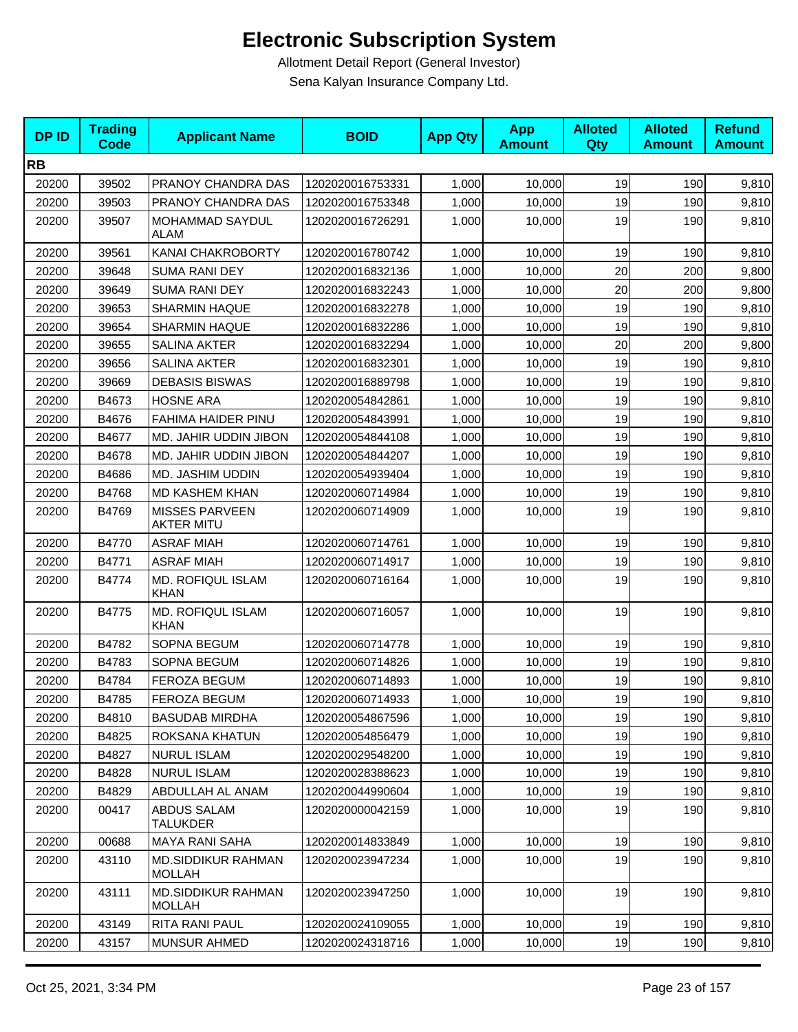| <b>DPID</b> | <b>Trading</b><br><b>Code</b> | <b>Applicant Name</b>                      | <b>BOID</b>      | <b>App Qty</b> | <b>App</b><br><b>Amount</b> | <b>Alloted</b><br>Qty | <b>Alloted</b><br><b>Amount</b> | <b>Refund</b><br><b>Amount</b> |
|-------------|-------------------------------|--------------------------------------------|------------------|----------------|-----------------------------|-----------------------|---------------------------------|--------------------------------|
| <b>RB</b>   |                               |                                            |                  |                |                             |                       |                                 |                                |
| 20200       | 39502                         | PRANOY CHANDRA DAS                         | 1202020016753331 | 1,000          | 10,000                      | 19                    | 190                             | 9,810                          |
| 20200       | 39503                         | PRANOY CHANDRA DAS                         | 1202020016753348 | 1,000          | 10,000                      | 19                    | 190                             | 9,810                          |
| 20200       | 39507                         | <b>MOHAMMAD SAYDUL</b><br>ALAM             | 1202020016726291 | 1,000          | 10,000                      | 19                    | 190                             | 9,810                          |
| 20200       | 39561                         | KANAI CHAKROBORTY                          | 1202020016780742 | 1,000          | 10,000                      | 19                    | 190                             | 9,810                          |
| 20200       | 39648                         | <b>SUMA RANI DEY</b>                       | 1202020016832136 | 1,000          | 10,000                      | 20                    | 200                             | 9,800                          |
| 20200       | 39649                         | <b>SUMA RANI DEY</b>                       | 1202020016832243 | 1,000          | 10,000                      | 20                    | 200                             | 9,800                          |
| 20200       | 39653                         | <b>SHARMIN HAQUE</b>                       | 1202020016832278 | 1,000          | 10,000                      | 19                    | 190                             | 9,810                          |
| 20200       | 39654                         | <b>SHARMIN HAQUE</b>                       | 1202020016832286 | 1,000          | 10,000                      | 19                    | 190                             | 9,810                          |
| 20200       | 39655                         | <b>SALINA AKTER</b>                        | 1202020016832294 | 1,000          | 10,000                      | 20                    | 200                             | 9,800                          |
| 20200       | 39656                         | <b>SALINA AKTER</b>                        | 1202020016832301 | 1,000          | 10,000                      | 19                    | 190                             | 9,810                          |
| 20200       | 39669                         | <b>DEBASIS BISWAS</b>                      | 1202020016889798 | 1,000          | 10,000                      | 19                    | 190                             | 9,810                          |
| 20200       | B4673                         | <b>HOSNE ARA</b>                           | 1202020054842861 | 1,000          | 10,000                      | 19                    | 190                             | 9,810                          |
| 20200       | B4676                         | FAHIMA HAIDER PINU                         | 1202020054843991 | 1,000          | 10,000                      | 19                    | 190                             | 9,810                          |
| 20200       | B4677                         | MD. JAHIR UDDIN JIBON                      | 1202020054844108 | 1,000          | 10,000                      | 19                    | 190                             | 9,810                          |
| 20200       | B4678                         | MD. JAHIR UDDIN JIBON                      | 1202020054844207 | 1,000          | 10,000                      | 19                    | 190                             | 9,810                          |
| 20200       | B4686                         | MD. JASHIM UDDIN                           | 1202020054939404 | 1,000          | 10,000                      | 19                    | 190                             | 9,810                          |
| 20200       | B4768                         | MD KASHEM KHAN                             | 1202020060714984 | 1,000          | 10,000                      | 19                    | 190                             | 9,810                          |
| 20200       | B4769                         | <b>MISSES PARVEEN</b><br><b>AKTER MITU</b> | 1202020060714909 | 1,000          | 10,000                      | 19                    | 190                             | 9,810                          |
| 20200       | B4770                         | <b>ASRAF MIAH</b>                          | 1202020060714761 | 1,000          | 10,000                      | 19                    | 190                             | 9,810                          |
| 20200       | B4771                         | <b>ASRAF MIAH</b>                          | 1202020060714917 | 1,000          | 10,000                      | 19                    | 190                             | 9,810                          |
| 20200       | B4774                         | MD. ROFIQUL ISLAM<br><b>KHAN</b>           | 1202020060716164 | 1,000          | 10,000                      | 19                    | 190                             | 9,810                          |
| 20200       | B4775                         | <b>MD. ROFIQUL ISLAM</b><br><b>KHAN</b>    | 1202020060716057 | 1,000          | 10,000                      | 19                    | 190                             | 9,810                          |
| 20200       | B4782                         | SOPNA BEGUM                                | 1202020060714778 | 1,000          | 10,000                      | 19                    | 190                             | 9,810                          |
| 20200       | B4783                         | SOPNA BEGUM                                | 1202020060714826 | 1,000          | 10,000                      | 19                    | 190                             | 9,810                          |
| 20200       | B4784                         | <b>FEROZA BEGUM</b>                        | 1202020060714893 | 1,000          | 10,000                      | 19                    | 190                             | 9,810                          |
| 20200       | B4785                         | FEROZA BEGUM                               | 1202020060714933 | 1,000          | 10,000                      | 19                    | 190                             | 9,810                          |
| 20200       | B4810                         | <b>BASUDAB MIRDHA</b>                      | 1202020054867596 | 1,000          | 10,000                      | 19                    | 190                             | 9,810                          |
| 20200       | B4825                         | ROKSANA KHATUN                             | 1202020054856479 | 1,000          | 10,000                      | 19                    | 190                             | 9,810                          |
| 20200       | B4827                         | <b>NURUL ISLAM</b>                         | 1202020029548200 | 1,000          | 10,000                      | 19                    | 190                             | 9,810                          |
| 20200       | B4828                         | <b>NURUL ISLAM</b>                         | 1202020028388623 | 1,000          | 10,000                      | 19                    | 190                             | 9,810                          |
| 20200       | B4829                         | ABDULLAH AL ANAM                           | 1202020044990604 | 1,000          | 10,000                      | 19                    | 190                             | 9,810                          |
| 20200       | 00417                         | ABDUS SALAM<br>TALUKDER                    | 1202020000042159 | 1,000          | 10,000                      | 19                    | 190                             | 9,810                          |
| 20200       | 00688                         | MAYA RANI SAHA                             | 1202020014833849 | 1,000          | 10,000                      | 19                    | 190                             | 9,810                          |
| 20200       | 43110                         | <b>MD.SIDDIKUR RAHMAN</b><br>MOLLAH        | 1202020023947234 | 1,000          | 10,000                      | 19                    | 190                             | 9,810                          |
| 20200       | 43111                         | <b>MD.SIDDIKUR RAHMAN</b><br><b>MOLLAH</b> | 1202020023947250 | 1,000          | 10,000                      | 19                    | 190                             | 9,810                          |
| 20200       | 43149                         | RITA RANI PAUL                             | 1202020024109055 | 1,000          | 10,000                      | 19                    | 190                             | 9,810                          |
| 20200       | 43157                         | <b>MUNSUR AHMED</b>                        | 1202020024318716 | 1,000          | 10,000                      | 19                    | 190                             | 9,810                          |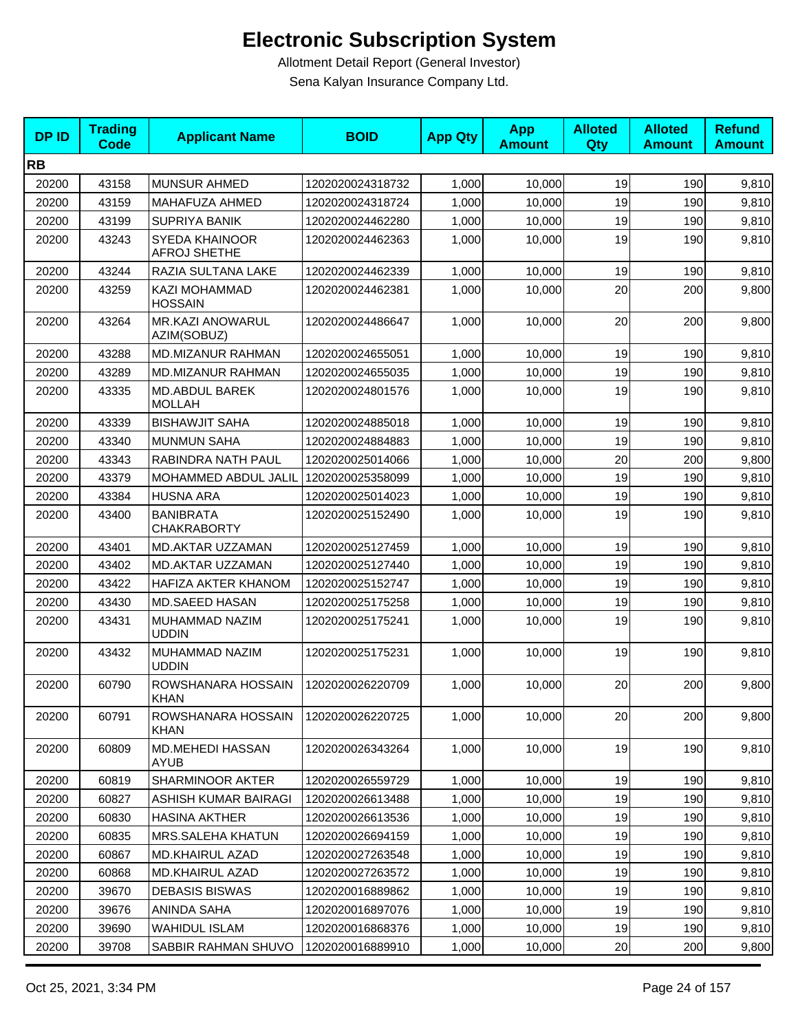| <b>DPID</b> | <b>Trading</b><br>Code | <b>Applicant Name</b>                        | <b>BOID</b>      | <b>App Qty</b> | <b>App</b><br><b>Amount</b> | <b>Alloted</b><br>Qty | <b>Alloted</b><br><b>Amount</b> | <b>Refund</b><br><b>Amount</b> |
|-------------|------------------------|----------------------------------------------|------------------|----------------|-----------------------------|-----------------------|---------------------------------|--------------------------------|
| <b>RB</b>   |                        |                                              |                  |                |                             |                       |                                 |                                |
| 20200       | 43158                  | <b>MUNSUR AHMED</b>                          | 1202020024318732 | 1,000          | 10,000                      | 19                    | 190                             | 9,810                          |
| 20200       | 43159                  | <b>MAHAFUZA AHMED</b>                        | 1202020024318724 | 1,000          | 10,000                      | 19                    | 190                             | 9,810                          |
| 20200       | 43199                  | <b>SUPRIYA BANIK</b>                         | 1202020024462280 | 1,000          | 10,000                      | 19                    | 190                             | 9,810                          |
| 20200       | 43243                  | <b>SYEDA KHAINOOR</b><br><b>AFROJ SHETHE</b> | 1202020024462363 | 1,000          | 10,000                      | 19                    | 190                             | 9,810                          |
| 20200       | 43244                  | RAZIA SULTANA LAKE                           | 1202020024462339 | 1,000          | 10,000                      | 19                    | 190                             | 9,810                          |
| 20200       | 43259                  | KAZI MOHAMMAD<br><b>HOSSAIN</b>              | 1202020024462381 | 1,000          | 10,000                      | 20                    | 200                             | 9,800                          |
| 20200       | 43264                  | <b>MR.KAZI ANOWARUL</b><br>AZIM(SOBUZ)       | 1202020024486647 | 1,000          | 10,000                      | 20                    | 200                             | 9,800                          |
| 20200       | 43288                  | MD.MIZANUR RAHMAN                            | 1202020024655051 | 1,000          | 10,000                      | 19                    | 190                             | 9,810                          |
| 20200       | 43289                  | MD.MIZANUR RAHMAN                            | 1202020024655035 | 1,000          | 10,000                      | 19                    | 190                             | 9,810                          |
| 20200       | 43335                  | MD.ABDUL BAREK<br><b>MOLLAH</b>              | 1202020024801576 | 1,000          | 10,000                      | 19                    | 190                             | 9,810                          |
| 20200       | 43339                  | <b>BISHAWJIT SAHA</b>                        | 1202020024885018 | 1,000          | 10,000                      | 19                    | 190                             | 9,810                          |
| 20200       | 43340                  | <b>MUNMUN SAHA</b>                           | 1202020024884883 | 1,000          | 10,000                      | 19                    | 190                             | 9,810                          |
| 20200       | 43343                  | RABINDRA NATH PAUL                           | 1202020025014066 | 1,000          | 10,000                      | 20                    | 200                             | 9,800                          |
| 20200       | 43379                  | MOHAMMED ABDUL JALIL                         | 1202020025358099 | 1,000          | 10,000                      | 19                    | 190                             | 9,810                          |
| 20200       | 43384                  | <b>HUSNA ARA</b>                             | 1202020025014023 | 1,000          | 10,000                      | 19                    | 190                             | 9,810                          |
| 20200       | 43400                  | <b>BANIBRATA</b><br><b>CHAKRABORTY</b>       | 1202020025152490 | 1,000          | 10,000                      | 19                    | 190                             | 9,810                          |
| 20200       | 43401                  | MD.AKTAR UZZAMAN                             | 1202020025127459 | 1,000          | 10,000                      | 19                    | 190                             | 9,810                          |
| 20200       | 43402                  | MD.AKTAR UZZAMAN                             | 1202020025127440 | 1,000          | 10,000                      | 19                    | 190                             | 9,810                          |
| 20200       | 43422                  | HAFIZA AKTER KHANOM                          | 1202020025152747 | 1,000          | 10,000                      | 19                    | 190                             | 9,810                          |
| 20200       | 43430                  | MD.SAEED HASAN                               | 1202020025175258 | 1,000          | 10,000                      | 19                    | 190                             | 9,810                          |
| 20200       | 43431                  | MUHAMMAD NAZIM<br><b>UDDIN</b>               | 1202020025175241 | 1,000          | 10,000                      | 19                    | 190                             | 9,810                          |
| 20200       | 43432                  | MUHAMMAD NAZIM<br><b>UDDIN</b>               | 1202020025175231 | 1,000          | 10,000                      | 19                    | 190                             | 9,810                          |
| 20200       | 60790                  | ROWSHANARA HOSSAIN<br><b>KHAN</b>            | 1202020026220709 | 1,000          | 10,000                      | 20                    | 200                             | 9,800                          |
| 20200       | 60791                  | ROWSHANARA HOSSAIN<br>KHAN                   | 1202020026220725 | 1,000          | 10,000                      | 20                    | 200                             | 9,800                          |
| 20200       | 60809                  | MD.MEHEDI HASSAN<br><b>AYUB</b>              | 1202020026343264 | 1,000          | 10,000                      | 19                    | 190                             | 9,810                          |
| 20200       | 60819                  | SHARMINOOR AKTER                             | 1202020026559729 | 1,000          | 10,000                      | 19                    | 190                             | 9,810                          |
| 20200       | 60827                  | ASHISH KUMAR BAIRAGI                         | 1202020026613488 | 1,000          | 10,000                      | 19                    | 190                             | 9,810                          |
| 20200       | 60830                  | <b>HASINA AKTHER</b>                         | 1202020026613536 | 1,000          | 10,000                      | 19                    | 190                             | 9,810                          |
| 20200       | 60835                  | MRS.SALEHA KHATUN                            | 1202020026694159 | 1,000          | 10,000                      | 19                    | 190                             | 9,810                          |
| 20200       | 60867                  | MD.KHAIRUL AZAD                              | 1202020027263548 | 1,000          | 10,000                      | 19                    | 190                             | 9,810                          |
| 20200       | 60868                  | MD.KHAIRUL AZAD                              | 1202020027263572 | 1,000          | 10,000                      | 19                    | 190                             | 9,810                          |
| 20200       | 39670                  | <b>DEBASIS BISWAS</b>                        | 1202020016889862 | 1,000          | 10,000                      | 19                    | 190                             | 9,810                          |
| 20200       | 39676                  | ANINDA SAHA                                  | 1202020016897076 | 1,000          | 10,000                      | 19                    | 190                             | 9,810                          |
| 20200       | 39690                  | <b>WAHIDUL ISLAM</b>                         | 1202020016868376 | 1,000          | 10,000                      | 19                    | 190                             | 9,810                          |
| 20200       | 39708                  | SABBIR RAHMAN SHUVO                          | 1202020016889910 | 1,000          | 10,000                      | 20                    | 200                             | 9,800                          |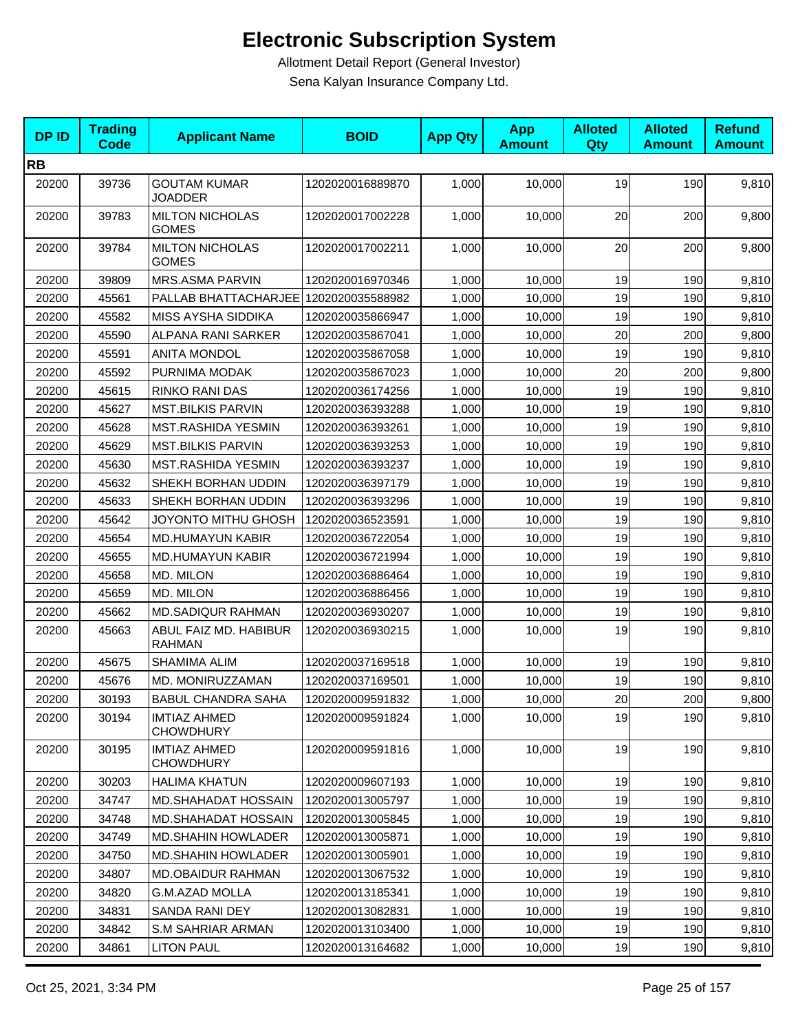| <b>DPID</b> | <b>Trading</b><br><b>Code</b> | <b>Applicant Name</b>                   | <b>BOID</b>      | <b>App Qty</b> | <b>App</b><br><b>Amount</b> | <b>Alloted</b><br>Qty | <b>Alloted</b><br><b>Amount</b> | <b>Refund</b><br><b>Amount</b> |
|-------------|-------------------------------|-----------------------------------------|------------------|----------------|-----------------------------|-----------------------|---------------------------------|--------------------------------|
| <b>RB</b>   |                               |                                         |                  |                |                             |                       |                                 |                                |
| 20200       | 39736                         | <b>GOUTAM KUMAR</b><br><b>JOADDER</b>   | 1202020016889870 | 1,000          | 10,000                      | 19                    | 190                             | 9,810                          |
| 20200       | 39783                         | <b>MILTON NICHOLAS</b><br><b>GOMES</b>  | 1202020017002228 | 1,000          | 10,000                      | 20                    | 200                             | 9,800                          |
| 20200       | 39784                         | <b>MILTON NICHOLAS</b><br><b>GOMES</b>  | 1202020017002211 | 1,000          | 10,000                      | 20                    | 200                             | 9,800                          |
| 20200       | 39809                         | <b>MRS.ASMA PARVIN</b>                  | 1202020016970346 | 1,000          | 10,000                      | 19                    | 190                             | 9,810                          |
| 20200       | 45561                         | PALLAB BHATTACHARJEE 1202020035588982   |                  | 1,000          | 10,000                      | 19                    | 190                             | 9,810                          |
| 20200       | 45582                         | <b>MISS AYSHA SIDDIKA</b>               | 1202020035866947 | 1,000          | 10,000                      | 19                    | 190                             | 9,810                          |
| 20200       | 45590                         | ALPANA RANI SARKER                      | 1202020035867041 | 1,000          | 10,000                      | 20                    | 200                             | 9,800                          |
| 20200       | 45591                         | <b>ANITA MONDOL</b>                     | 1202020035867058 | 1,000          | 10,000                      | 19                    | 190                             | 9,810                          |
| 20200       | 45592                         | PURNIMA MODAK                           | 1202020035867023 | 1,000          | 10,000                      | 20                    | 200                             | 9,800                          |
| 20200       | 45615                         | RINKO RANI DAS                          | 1202020036174256 | 1,000          | 10,000                      | 19                    | 190                             | 9,810                          |
| 20200       | 45627                         | <b>MST.BILKIS PARVIN</b>                | 1202020036393288 | 1,000          | 10,000                      | 19                    | 190                             | 9,810                          |
| 20200       | 45628                         | MST.RASHIDA YESMIN                      | 1202020036393261 | 1,000          | 10,000                      | 19                    | 190                             | 9,810                          |
| 20200       | 45629                         | <b>MST.BILKIS PARVIN</b>                | 1202020036393253 | 1,000          | 10,000                      | 19                    | 190                             | 9,810                          |
| 20200       | 45630                         | MST.RASHIDA YESMIN                      | 1202020036393237 | 1,000          | 10,000                      | 19                    | 190                             | 9,810                          |
| 20200       | 45632                         | SHEKH BORHAN UDDIN                      | 1202020036397179 | 1,000          | 10,000                      | 19                    | 190                             | 9,810                          |
| 20200       | 45633                         | SHEKH BORHAN UDDIN                      | 1202020036393296 | 1,000          | 10,000                      | 19                    | 190                             | 9,810                          |
| 20200       | 45642                         | JOYONTO MITHU GHOSH                     | 1202020036523591 | 1,000          | 10,000                      | 19                    | 190                             | 9,810                          |
| 20200       | 45654                         | <b>MD.HUMAYUN KABIR</b>                 | 1202020036722054 | 1,000          | 10,000                      | 19                    | 190                             | 9,810                          |
| 20200       | 45655                         | <b>MD.HUMAYUN KABIR</b>                 | 1202020036721994 | 1,000          | 10,000                      | 19                    | 190                             | 9,810                          |
| 20200       | 45658                         | MD. MILON                               | 1202020036886464 | 1,000          | 10,000                      | 19                    | 190                             | 9,810                          |
| 20200       | 45659                         | MD. MILON                               | 1202020036886456 | 1,000          | 10,000                      | 19                    | 190                             | 9,810                          |
| 20200       | 45662                         | MD.SADIQUR RAHMAN                       | 1202020036930207 | 1,000          | 10,000                      | 19                    | 190                             | 9,810                          |
| 20200       | 45663                         | ABUL FAIZ MD. HABIBUR<br><b>RAHMAN</b>  | 1202020036930215 | 1,000          | 10,000                      | 19                    | 190                             | 9,810                          |
| 20200       | 45675                         | SHAMIMA ALIM                            | 1202020037169518 | 1,000          | 10,000                      | 19                    | 190                             | 9,810                          |
| 20200       | 45676                         | MD. MONIRUZZAMAN                        | 1202020037169501 | 1,000          | 10,000                      | 19                    | 190                             | 9,810                          |
| 20200       | 30193                         | <b>BABUL CHANDRA SAHA</b>               | 1202020009591832 | 1,000          | 10,000                      | 20                    | 200                             | 9,800                          |
| 20200       | 30194                         | <b>IMTIAZ AHMED</b><br><b>CHOWDHURY</b> | 1202020009591824 | 1,000          | 10,000                      | 19                    | 190                             | 9,810                          |
| 20200       | 30195                         | <b>IMTIAZ AHMED</b><br><b>CHOWDHURY</b> | 1202020009591816 | 1,000          | 10,000                      | 19                    | 190                             | 9,810                          |
| 20200       | 30203                         | <b>HALIMA KHATUN</b>                    | 1202020009607193 | 1,000          | 10,000                      | 19                    | 190                             | 9,810                          |
| 20200       | 34747                         | <b>MD.SHAHADAT HOSSAIN</b>              | 1202020013005797 | 1,000          | 10,000                      | 19                    | 190                             | 9,810                          |
| 20200       | 34748                         | <b>MD.SHAHADAT HOSSAIN</b>              | 1202020013005845 | 1,000          | 10,000                      | 19                    | 190                             | 9,810                          |
| 20200       | 34749                         | <b>MD.SHAHIN HOWLADER</b>               | 1202020013005871 | 1,000          | 10,000                      | 19                    | 190                             | 9,810                          |
| 20200       | 34750                         | <b>MD.SHAHIN HOWLADER</b>               | 1202020013005901 | 1,000          | 10,000                      | 19                    | 190                             | 9,810                          |
| 20200       | 34807                         | MD.OBAIDUR RAHMAN                       | 1202020013067532 | 1,000          | 10,000                      | 19                    | 190                             | 9,810                          |
| 20200       | 34820                         | G.M.AZAD MOLLA                          | 1202020013185341 | 1,000          | 10,000                      | 19                    | 190                             | 9,810                          |
| 20200       | 34831                         | SANDA RANI DEY                          | 1202020013082831 | 1,000          | 10,000                      | 19                    | 190                             | 9,810                          |
| 20200       | 34842                         | <b>S.M SAHRIAR ARMAN</b>                | 1202020013103400 | 1,000          | 10,000                      | 19                    | 190                             | 9,810                          |
| 20200       | 34861                         | <b>LITON PAUL</b>                       | 1202020013164682 | 1,000          | 10,000                      | 19                    | 190                             | 9,810                          |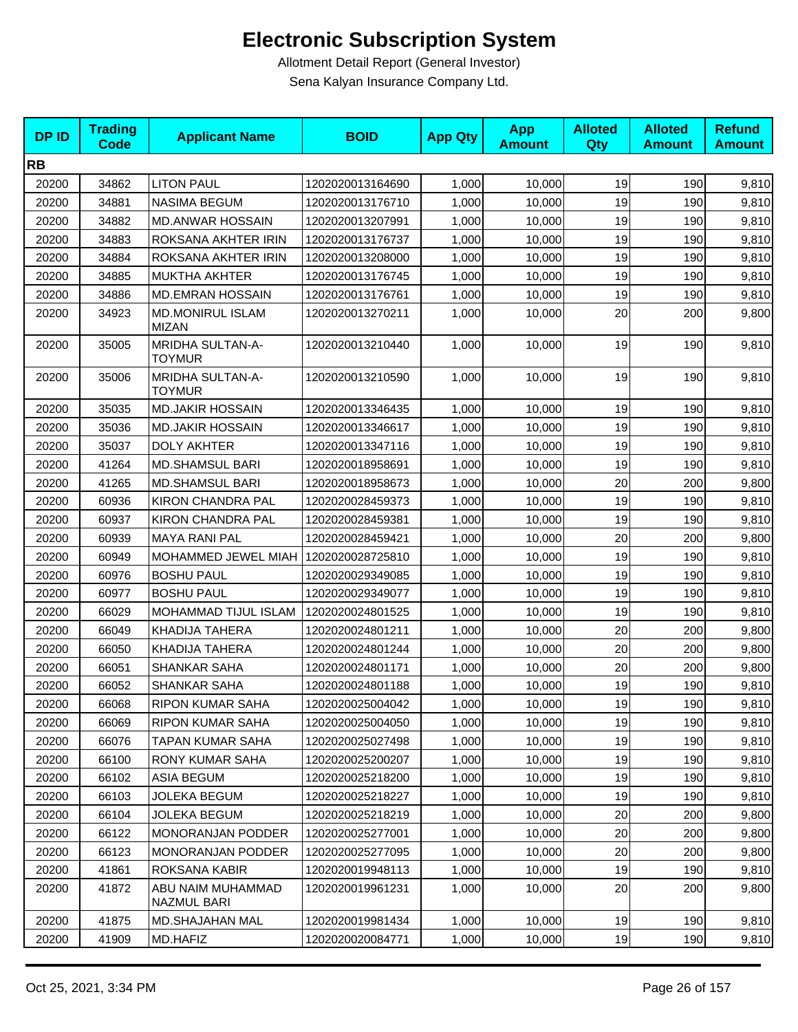| <b>DPID</b> | <b>Trading</b><br><b>Code</b> | <b>Applicant Name</b>                    | <b>BOID</b>      | <b>App Qty</b> | <b>App</b><br><b>Amount</b> | <b>Alloted</b><br>Qty | <b>Alloted</b><br><b>Amount</b> | <b>Refund</b><br><b>Amount</b> |
|-------------|-------------------------------|------------------------------------------|------------------|----------------|-----------------------------|-----------------------|---------------------------------|--------------------------------|
| <b>RB</b>   |                               |                                          |                  |                |                             |                       |                                 |                                |
| 20200       | 34862                         | <b>LITON PAUL</b>                        | 1202020013164690 | 1,000          | 10,000                      | 19                    | 190                             | 9,810                          |
| 20200       | 34881                         | <b>NASIMA BEGUM</b>                      | 1202020013176710 | 1,000          | 10,000                      | 19                    | 190                             | 9,810                          |
| 20200       | 34882                         | <b>MD.ANWAR HOSSAIN</b>                  | 1202020013207991 | 1,000          | 10,000                      | 19                    | 190                             | 9,810                          |
| 20200       | 34883                         | ROKSANA AKHTER IRIN                      | 1202020013176737 | 1,000          | 10,000                      | 19                    | 190                             | 9,810                          |
| 20200       | 34884                         | ROKSANA AKHTER IRIN                      | 1202020013208000 | 1,000          | 10,000                      | 19                    | 190                             | 9,810                          |
| 20200       | 34885                         | <b>MUKTHA AKHTER</b>                     | 1202020013176745 | 1,000          | 10,000                      | 19                    | 190                             | 9,810                          |
| 20200       | 34886                         | <b>MD.EMRAN HOSSAIN</b>                  | 1202020013176761 | 1,000          | 10,000                      | 19                    | 190                             | 9,810                          |
| 20200       | 34923                         | <b>MD.MONIRUL ISLAM</b><br><b>MIZAN</b>  | 1202020013270211 | 1,000          | 10,000                      | 20                    | 200                             | 9,800                          |
| 20200       | 35005                         | MRIDHA SULTAN-A-<br><b>TOYMUR</b>        | 1202020013210440 | 1,000          | 10,000                      | 19                    | 190                             | 9,810                          |
| 20200       | 35006                         | <b>MRIDHA SULTAN-A-</b><br><b>TOYMUR</b> | 1202020013210590 | 1,000          | 10,000                      | 19                    | 190                             | 9,810                          |
| 20200       | 35035                         | <b>MD.JAKIR HOSSAIN</b>                  | 1202020013346435 | 1,000          | 10,000                      | 19                    | 190                             | 9,810                          |
| 20200       | 35036                         | <b>MD.JAKIR HOSSAIN</b>                  | 1202020013346617 | 1,000          | 10,000                      | 19                    | 190                             | 9,810                          |
| 20200       | 35037                         | <b>DOLY AKHTER</b>                       | 1202020013347116 | 1,000          | 10,000                      | 19                    | 190                             | 9,810                          |
| 20200       | 41264                         | <b>MD.SHAMSUL BARI</b>                   | 1202020018958691 | 1,000          | 10,000                      | 19                    | 190                             | 9,810                          |
| 20200       | 41265                         | <b>MD.SHAMSUL BARI</b>                   | 1202020018958673 | 1,000          | 10,000                      | 20                    | 200                             | 9,800                          |
| 20200       | 60936                         | <b>KIRON CHANDRA PAL</b>                 | 1202020028459373 | 1,000          | 10,000                      | 19                    | 190                             | 9,810                          |
| 20200       | 60937                         | <b>KIRON CHANDRA PAL</b>                 | 1202020028459381 | 1,000          | 10,000                      | 19                    | 190                             | 9,810                          |
| 20200       | 60939                         | <b>MAYA RANI PAL</b>                     | 1202020028459421 | 1,000          | 10,000                      | 20                    | 200                             | 9,800                          |
| 20200       | 60949                         | MOHAMMED JEWEL MIAH                      | 1202020028725810 | 1,000          | 10,000                      | 19                    | 190                             | 9,810                          |
| 20200       | 60976                         | <b>BOSHU PAUL</b>                        | 1202020029349085 | 1,000          | 10,000                      | 19                    | 190                             | 9,810                          |
| 20200       | 60977                         | <b>BOSHU PAUL</b>                        | 1202020029349077 | 1,000          | 10,000                      | 19                    | 190                             | 9,810                          |
| 20200       | 66029                         | MOHAMMAD TIJUL ISLAM                     | 1202020024801525 | 1,000          | 10,000                      | 19                    | 190                             | 9,810                          |
| 20200       | 66049                         | KHADIJA TAHERA                           | 1202020024801211 | 1,000          | 10,000                      | 20                    | 200                             | 9,800                          |
| 20200       | 66050                         | KHADIJA TAHERA                           | 1202020024801244 | 1,000          | 10,000                      | 20                    | 200                             | 9,800                          |
| 20200       | 66051                         | <b>SHANKAR SAHA</b>                      | 1202020024801171 | 1,000          | 10,000                      | 20                    | 200                             | 9,800                          |
| 20200       | 66052                         | <b>SHANKAR SAHA</b>                      | 1202020024801188 | 1,000          | 10,000                      | 19                    | 190                             | 9,810                          |
| 20200       | 66068                         | RIPON KUMAR SAHA                         | 1202020025004042 | 1,000          | 10,000                      | 19                    | 190                             | 9,810                          |
| 20200       | 66069                         | <b>RIPON KUMAR SAHA</b>                  | 1202020025004050 | 1,000          | 10,000                      | 19                    | 190                             | 9,810                          |
| 20200       | 66076                         | TAPAN KUMAR SAHA                         | 1202020025027498 | 1,000          | 10,000                      | 19                    | 190                             | 9,810                          |
| 20200       | 66100                         | RONY KUMAR SAHA                          | 1202020025200207 | 1,000          | 10,000                      | 19                    | 190                             | 9,810                          |
| 20200       | 66102                         | <b>ASIA BEGUM</b>                        | 1202020025218200 | 1,000          | 10,000                      | 19                    | 190                             | 9,810                          |
| 20200       | 66103                         | <b>JOLEKA BEGUM</b>                      | 1202020025218227 | 1,000          | 10,000                      | 19                    | 190                             | 9,810                          |
| 20200       | 66104                         | <b>JOLEKA BEGUM</b>                      | 1202020025218219 | 1,000          | 10,000                      | 20                    | 200                             | 9,800                          |
| 20200       | 66122                         | <b>MONORANJAN PODDER</b>                 | 1202020025277001 | 1.000          | 10,000                      | 20                    | 200                             | 9,800                          |
| 20200       | 66123                         | <b>MONORANJAN PODDER</b>                 | 1202020025277095 | 1,000          | 10,000                      | 20                    | 200                             | 9,800                          |
| 20200       | 41861                         | ROKSANA KABIR                            | 1202020019948113 | 1,000          | 10,000                      | 19                    | 190                             | 9,810                          |
| 20200       | 41872                         | ABU NAIM MUHAMMAD<br>NAZMUL BARI         | 1202020019961231 | 1,000          | 10,000                      | 20                    | 200                             | 9,800                          |
| 20200       | 41875                         | MD.SHAJAHAN MAL                          | 1202020019981434 | 1,000          | 10,000                      | 19                    | 190                             | 9,810                          |
| 20200       | 41909                         | MD.HAFIZ                                 | 1202020020084771 | 1,000          | 10,000                      | 19                    | 190                             | 9,810                          |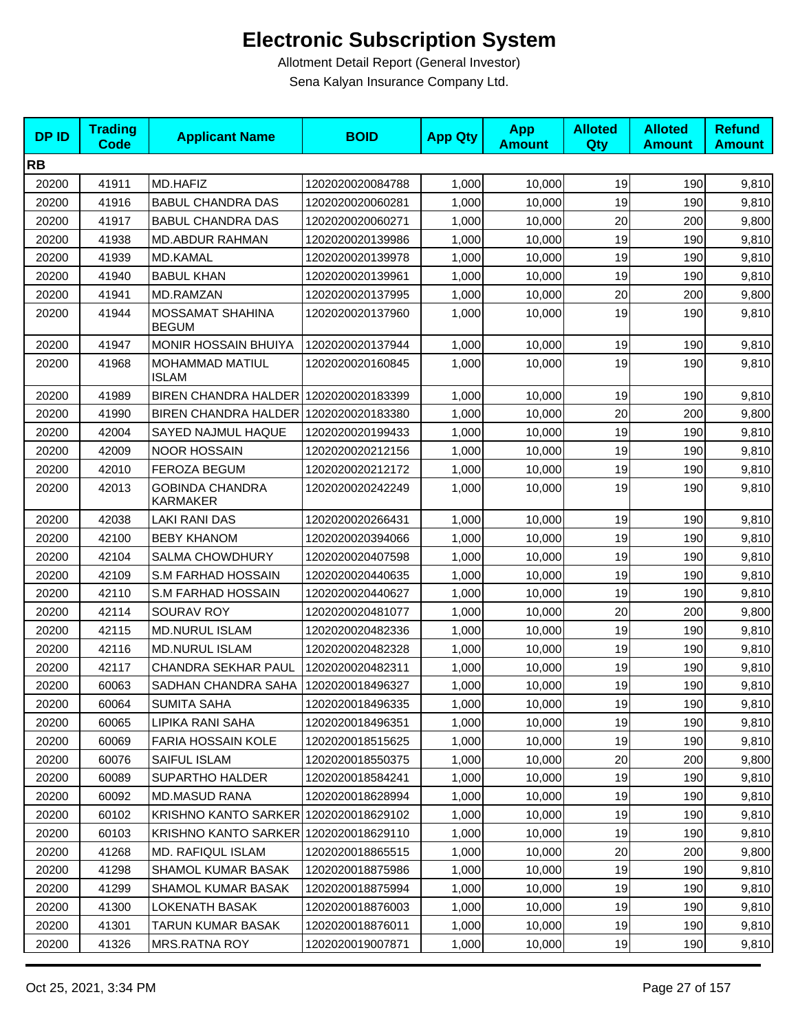| <b>DPID</b> | <b>Trading</b><br><b>Code</b> | <b>Applicant Name</b>                     | <b>BOID</b>      | <b>App Qty</b> | <b>App</b><br><b>Amount</b> | <b>Alloted</b><br>Qty | <b>Alloted</b><br><b>Amount</b> | <b>Refund</b><br><b>Amount</b> |
|-------------|-------------------------------|-------------------------------------------|------------------|----------------|-----------------------------|-----------------------|---------------------------------|--------------------------------|
| <b>RB</b>   |                               |                                           |                  |                |                             |                       |                                 |                                |
| 20200       | 41911                         | MD.HAFIZ                                  | 1202020020084788 | 1,000          | 10,000                      | 19                    | 190                             | 9,810                          |
| 20200       | 41916                         | <b>BABUL CHANDRA DAS</b>                  | 1202020020060281 | 1,000          | 10,000                      | 19                    | 190                             | 9,810                          |
| 20200       | 41917                         | <b>BABUL CHANDRA DAS</b>                  | 1202020020060271 | 1,000          | 10,000                      | 20                    | 200                             | 9,800                          |
| 20200       | 41938                         | <b>MD.ABDUR RAHMAN</b>                    | 1202020020139986 | 1,000          | 10,000                      | 19                    | 190                             | 9,810                          |
| 20200       | 41939                         | MD.KAMAL                                  | 1202020020139978 | 1,000          | 10,000                      | 19                    | 190                             | 9,810                          |
| 20200       | 41940                         | <b>BABUL KHAN</b>                         | 1202020020139961 | 1,000          | 10,000                      | 19                    | 190                             | 9,810                          |
| 20200       | 41941                         | MD.RAMZAN                                 | 1202020020137995 | 1,000          | 10,000                      | 20                    | 200                             | 9,800                          |
| 20200       | 41944                         | <b>MOSSAMAT SHAHINA</b><br><b>BEGUM</b>   | 1202020020137960 | 1,000          | 10,000                      | 19                    | 190                             | 9,810                          |
| 20200       | 41947                         | <b>MONIR HOSSAIN BHUIYA</b>               | 1202020020137944 | 1,000          | 10,000                      | 19                    | 190                             | 9,810                          |
| 20200       | 41968                         | MOHAMMAD MATIUL<br><b>ISLAM</b>           | 1202020020160845 | 1,000          | 10,000                      | 19                    | 190                             | 9,810                          |
| 20200       | 41989                         | BIREN CHANDRA HALDER 1202020020183399     |                  | 1,000          | 10,000                      | 19                    | 190                             | 9,810                          |
| 20200       | 41990                         | BIREN CHANDRA HALDER 1202020020183380     |                  | 1,000          | 10,000                      | 20                    | 200                             | 9,800                          |
| 20200       | 42004                         | SAYED NAJMUL HAQUE                        | 1202020020199433 | 1,000          | 10,000                      | 19                    | 190                             | 9,810                          |
| 20200       | 42009                         | <b>NOOR HOSSAIN</b>                       | 1202020020212156 | 1,000          | 10,000                      | 19                    | 190                             | 9,810                          |
| 20200       | 42010                         | <b>FEROZA BEGUM</b>                       | 1202020020212172 | 1,000          | 10,000                      | 19                    | 190                             | 9,810                          |
| 20200       | 42013                         | <b>GOBINDA CHANDRA</b><br><b>KARMAKER</b> | 1202020020242249 | 1,000          | 10,000                      | 19                    | 190                             | 9,810                          |
| 20200       | 42038                         | LAKI RANI DAS                             | 1202020020266431 | 1,000          | 10,000                      | 19                    | 190                             | 9,810                          |
| 20200       | 42100                         | <b>BEBY KHANOM</b>                        | 1202020020394066 | 1,000          | 10,000                      | 19                    | 190                             | 9,810                          |
| 20200       | 42104                         | <b>SALMA CHOWDHURY</b>                    | 1202020020407598 | 1,000          | 10,000                      | 19                    | 190                             | 9,810                          |
| 20200       | 42109                         | S.M FARHAD HOSSAIN                        | 1202020020440635 | 1,000          | 10,000                      | 19                    | 190                             | 9,810                          |
| 20200       | 42110                         | S.M FARHAD HOSSAIN                        | 1202020020440627 | 1,000          | 10,000                      | 19                    | 190                             | 9,810                          |
| 20200       | 42114                         | SOURAV ROY                                | 1202020020481077 | 1,000          | 10,000                      | 20                    | 200                             | 9,800                          |
| 20200       | 42115                         | <b>MD.NURUL ISLAM</b>                     | 1202020020482336 | 1,000          | 10,000                      | 19                    | 190                             | 9,810                          |
| 20200       | 42116                         | <b>MD.NURUL ISLAM</b>                     | 1202020020482328 | 1,000          | 10,000                      | 19                    | 190                             | 9,810                          |
| 20200       | 42117                         | CHANDRA SEKHAR PAUL                       | 1202020020482311 | 1,000          | 10,000                      | 19                    | 190                             | 9,810                          |
| 20200       | 60063                         | SADHAN CHANDRA SAHA                       | 1202020018496327 | 1,000          | 10,000                      | 19                    | 190                             | 9,810                          |
| 20200       | 60064                         | SUMITA SAHA                               | 1202020018496335 | 1,000          | 10,000                      | 19                    | 190                             | 9,810                          |
| 20200       | 60065                         | LIPIKA RANI SAHA                          | 1202020018496351 | 1,000          | 10,000                      | 19                    | 190                             | 9,810                          |
| 20200       | 60069                         | <b>FARIA HOSSAIN KOLE</b>                 | 1202020018515625 | 1,000          | 10,000                      | 19                    | 190                             | 9,810                          |
| 20200       | 60076                         | SAIFUL ISLAM                              | 1202020018550375 | 1,000          | 10,000                      | 20                    | 200                             | 9,800                          |
| 20200       | 60089                         | <b>SUPARTHO HALDER</b>                    | 1202020018584241 | 1,000          | 10,000                      | 19                    | 190                             | 9,810                          |
| 20200       | 60092                         | <b>MD.MASUD RANA</b>                      | 1202020018628994 | 1,000          | 10,000                      | 19                    | 190                             | 9,810                          |
| 20200       | 60102                         | KRISHNO KANTO SARKER 1202020018629102     |                  | 1,000          | 10,000                      | 19                    | 190                             | 9,810                          |
| 20200       | 60103                         | KRISHNO KANTO SARKER 1202020018629110     |                  | 1,000          | 10,000                      | 19                    | 190                             | 9,810                          |
| 20200       | 41268                         | <b>MD. RAFIQUL ISLAM</b>                  | 1202020018865515 | 1,000          | 10,000                      | 20                    | 200                             | 9,800                          |
| 20200       | 41298                         | SHAMOL KUMAR BASAK                        | 1202020018875986 | 1,000          | 10,000                      | 19                    | 190                             | 9,810                          |
| 20200       | 41299                         | <b>SHAMOL KUMAR BASAK</b>                 | 1202020018875994 | 1,000          | 10,000                      | 19                    | 190                             | 9,810                          |
| 20200       | 41300                         | LOKENATH BASAK                            | 1202020018876003 | 1,000          | 10,000                      | 19                    | 190                             | 9,810                          |
| 20200       | 41301                         | TARUN KUMAR BASAK                         | 1202020018876011 | 1,000          | 10,000                      | 19                    | 190                             | 9,810                          |
| 20200       | 41326                         | <b>MRS.RATNA ROY</b>                      | 1202020019007871 | 1,000          | 10,000                      | 19                    | 190                             | 9,810                          |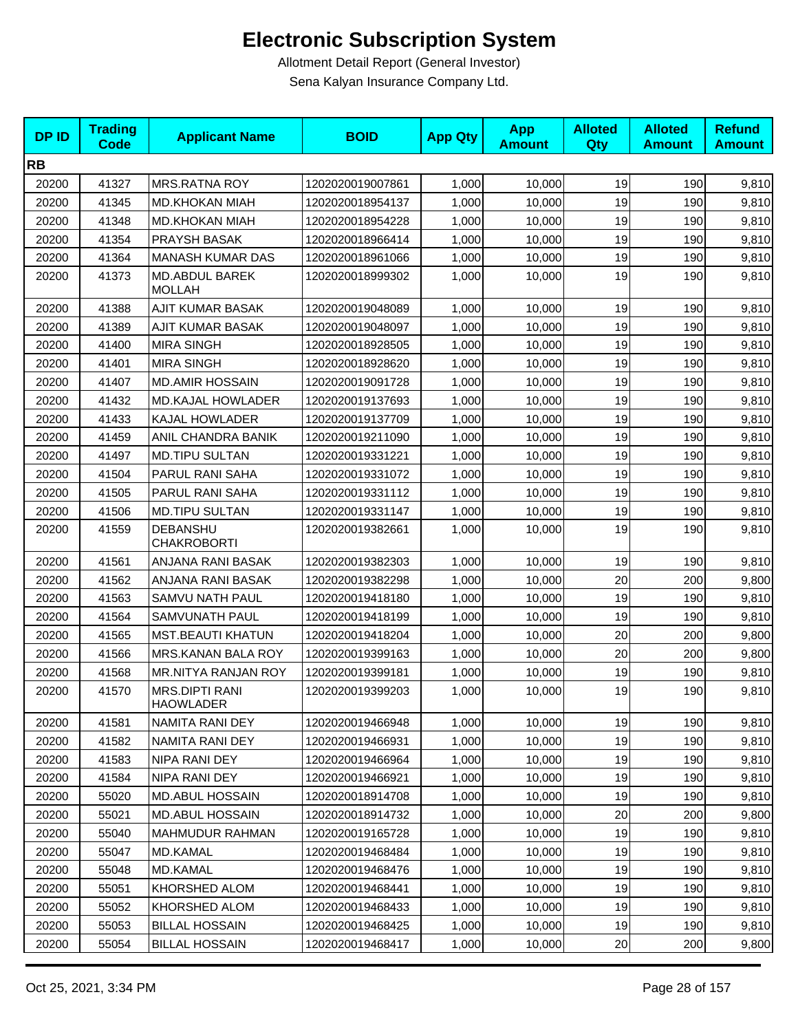| <b>DPID</b> | <b>Trading</b><br><b>Code</b> | <b>Applicant Name</b>                     | <b>BOID</b>      | <b>App Qty</b> | <b>App</b><br><b>Amount</b> | <b>Alloted</b><br>Qty | <b>Alloted</b><br><b>Amount</b> | <b>Refund</b><br><b>Amount</b> |
|-------------|-------------------------------|-------------------------------------------|------------------|----------------|-----------------------------|-----------------------|---------------------------------|--------------------------------|
| <b>RB</b>   |                               |                                           |                  |                |                             |                       |                                 |                                |
| 20200       | 41327                         | <b>MRS.RATNA ROY</b>                      | 1202020019007861 | 1,000          | 10,000                      | 19                    | 190                             | 9,810                          |
| 20200       | 41345                         | <b>MD.KHOKAN MIAH</b>                     | 1202020018954137 | 1,000          | 10,000                      | 19                    | 190                             | 9,810                          |
| 20200       | 41348                         | <b>MD.KHOKAN MIAH</b>                     | 1202020018954228 | 1,000          | 10,000                      | 19                    | 190                             | 9,810                          |
| 20200       | 41354                         | PRAYSH BASAK                              | 1202020018966414 | 1,000          | 10,000                      | 19                    | 190                             | 9,810                          |
| 20200       | 41364                         | <b>MANASH KUMAR DAS</b>                   | 1202020018961066 | 1,000          | 10,000                      | 19                    | 190                             | 9,810                          |
| 20200       | 41373                         | <b>MD.ABDUL BAREK</b><br><b>MOLLAH</b>    | 1202020018999302 | 1,000          | 10,000                      | 19                    | 190                             | 9,810                          |
| 20200       | 41388                         | <b>AJIT KUMAR BASAK</b>                   | 1202020019048089 | 1,000          | 10,000                      | 19                    | 190                             | 9,810                          |
| 20200       | 41389                         | AJIT KUMAR BASAK                          | 1202020019048097 | 1,000          | 10,000                      | 19                    | 190                             | 9,810                          |
| 20200       | 41400                         | <b>MIRA SINGH</b>                         | 1202020018928505 | 1,000          | 10,000                      | 19                    | 190                             | 9,810                          |
| 20200       | 41401                         | <b>MIRA SINGH</b>                         | 1202020018928620 | 1,000          | 10,000                      | 19                    | 190                             | 9,810                          |
| 20200       | 41407                         | <b>MD.AMIR HOSSAIN</b>                    | 1202020019091728 | 1,000          | 10,000                      | 19                    | 190                             | 9,810                          |
| 20200       | 41432                         | <b>MD.KAJAL HOWLADER</b>                  | 1202020019137693 | 1,000          | 10,000                      | 19                    | 190                             | 9,810                          |
| 20200       | 41433                         | KAJAL HOWLADER                            | 1202020019137709 | 1,000          | 10,000                      | 19                    | 190                             | 9,810                          |
| 20200       | 41459                         | ANIL CHANDRA BANIK                        | 1202020019211090 | 1,000          | 10,000                      | 19                    | 190                             | 9,810                          |
| 20200       | 41497                         | <b>MD.TIPU SULTAN</b>                     | 1202020019331221 | 1,000          | 10,000                      | 19                    | 190                             | 9,810                          |
| 20200       | 41504                         | PARUL RANI SAHA                           | 1202020019331072 | 1,000          | 10,000                      | 19                    | 190                             | 9,810                          |
| 20200       | 41505                         | PARUL RANI SAHA                           | 1202020019331112 | 1,000          | 10,000                      | 19                    | 190                             | 9,810                          |
| 20200       | 41506                         | <b>MD.TIPU SULTAN</b>                     | 1202020019331147 | 1,000          | 10,000                      | 19                    | 190                             | 9,810                          |
| 20200       | 41559                         | DEBANSHU<br><b>CHAKROBORTI</b>            | 1202020019382661 | 1,000          | 10,000                      | 19                    | 190                             | 9,810                          |
| 20200       | 41561                         | ANJANA RANI BASAK                         | 1202020019382303 | 1,000          | 10,000                      | 19                    | 190                             | 9,810                          |
| 20200       | 41562                         | ANJANA RANI BASAK                         | 1202020019382298 | 1,000          | 10,000                      | 20                    | 200                             | 9,800                          |
| 20200       | 41563                         | SAMVU NATH PAUL                           | 1202020019418180 | 1,000          | 10,000                      | 19                    | 190                             | 9,810                          |
| 20200       | 41564                         | SAMVUNATH PAUL                            | 1202020019418199 | 1,000          | 10,000                      | 19                    | 190                             | 9,810                          |
| 20200       | 41565                         | <b>MST.BEAUTI KHATUN</b>                  | 1202020019418204 | 1,000          | 10,000                      | 20                    | 200                             | 9,800                          |
| 20200       | 41566                         | MRS.KANAN BALA ROY                        | 1202020019399163 | 1,000          | 10,000                      | 20                    | 200                             | 9,800                          |
| 20200       | 41568                         | <b>MR.NITYA RANJAN ROY</b>                | 1202020019399181 | 1,000          | 10,000                      | 19                    | 190                             | 9,810                          |
| 20200       | 41570                         | <b>MRS.DIPTI RANI</b><br><b>HAOWLADER</b> | 1202020019399203 | 1,000          | 10,000                      | 19                    | 190                             | 9,810                          |
| 20200       | 41581                         | NAMITA RANI DEY                           | 1202020019466948 | 1,000          | 10,000                      | 19                    | 190                             | 9,810                          |
| 20200       | 41582                         | NAMITA RANI DEY                           | 1202020019466931 | 1,000          | 10,000                      | 19                    | 190                             | 9,810                          |
| 20200       | 41583                         | NIPA RANI DEY                             | 1202020019466964 | 1,000          | 10,000                      | 19                    | 190                             | 9,810                          |
| 20200       | 41584                         | NIPA RANI DEY                             | 1202020019466921 | 1,000          | 10,000                      | 19                    | 190                             | 9,810                          |
| 20200       | 55020                         | MD.ABUL HOSSAIN                           | 1202020018914708 | 1,000          | 10,000                      | 19                    | 190                             | 9,810                          |
| 20200       | 55021                         | <b>MD.ABUL HOSSAIN</b>                    | 1202020018914732 | 1,000          | 10,000                      | 20                    | 200                             | 9,800                          |
| 20200       | 55040                         | MAHMUDUR RAHMAN                           | 1202020019165728 | 1,000          | 10,000                      | 19                    | 190                             | 9,810                          |
| 20200       | 55047                         | <b>MD.KAMAL</b>                           | 1202020019468484 | 1,000          | 10,000                      | 19                    | 190                             | 9,810                          |
| 20200       | 55048                         | <b>MD.KAMAL</b>                           | 1202020019468476 | 1,000          | 10,000                      | 19                    | 190                             | 9,810                          |
| 20200       | 55051                         | KHORSHED ALOM                             | 1202020019468441 | 1,000          | 10,000                      | 19                    | 190                             | 9,810                          |
| 20200       | 55052                         | KHORSHED ALOM                             | 1202020019468433 | 1,000          | 10,000                      | 19                    | 190                             | 9,810                          |
| 20200       | 55053                         | <b>BILLAL HOSSAIN</b>                     | 1202020019468425 | 1,000          | 10,000                      | 19                    | 190                             | 9,810                          |
| 20200       | 55054                         | <b>BILLAL HOSSAIN</b>                     | 1202020019468417 | 1,000          | 10,000                      | 20                    | 200                             | 9,800                          |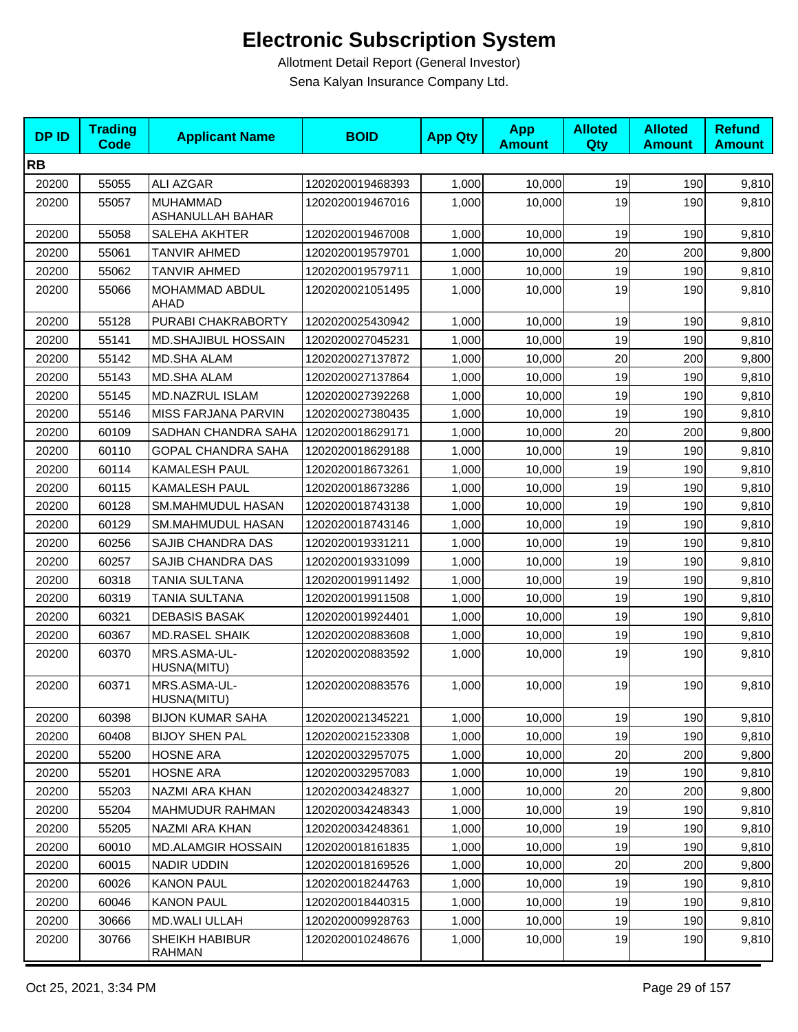| <b>DPID</b> | <b>Trading</b><br><b>Code</b> | <b>Applicant Name</b>                      | <b>BOID</b>      | <b>App Qty</b> | <b>App</b><br><b>Amount</b> | <b>Alloted</b><br>Qty | <b>Alloted</b><br><b>Amount</b> | <b>Refund</b><br><b>Amount</b> |
|-------------|-------------------------------|--------------------------------------------|------------------|----------------|-----------------------------|-----------------------|---------------------------------|--------------------------------|
| <b>RB</b>   |                               |                                            |                  |                |                             |                       |                                 |                                |
| 20200       | 55055                         | ALI AZGAR                                  | 1202020019468393 | 1,000          | 10,000                      | 19                    | 190                             | 9,810                          |
| 20200       | 55057                         | <b>MUHAMMAD</b><br><b>ASHANULLAH BAHAR</b> | 1202020019467016 | 1,000          | 10,000                      | 19                    | 190                             | 9,810                          |
| 20200       | 55058                         | SALEHA AKHTER                              | 1202020019467008 | 1,000          | 10,000                      | 19                    | 190                             | 9,810                          |
| 20200       | 55061                         | TANVIR AHMED                               | 1202020019579701 | 1,000          | 10,000                      | 20                    | 200                             | 9,800                          |
| 20200       | 55062                         | TANVIR AHMED                               | 1202020019579711 | 1,000          | 10,000                      | 19                    | 190                             | 9,810                          |
| 20200       | 55066                         | MOHAMMAD ABDUL<br>AHAD                     | 1202020021051495 | 1,000          | 10,000                      | 19                    | 190                             | 9,810                          |
| 20200       | 55128                         | PURABI CHAKRABORTY                         | 1202020025430942 | 1,000          | 10,000                      | 19                    | 190                             | 9,810                          |
| 20200       | 55141                         | MD.SHAJIBUL HOSSAIN                        | 1202020027045231 | 1,000          | 10,000                      | 19                    | 190                             | 9,810                          |
| 20200       | 55142                         | MD.SHA ALAM                                | 1202020027137872 | 1,000          | 10,000                      | 20                    | 200                             | 9,800                          |
| 20200       | 55143                         | MD.SHA ALAM                                | 1202020027137864 | 1,000          | 10,000                      | 19                    | 190                             | 9,810                          |
| 20200       | 55145                         | MD.NAZRUL ISLAM                            | 1202020027392268 | 1,000          | 10,000                      | 19                    | 190                             | 9,810                          |
| 20200       | 55146                         | MISS FARJANA PARVIN                        | 1202020027380435 | 1,000          | 10,000                      | 19                    | 190                             | 9,810                          |
| 20200       | 60109                         | SADHAN CHANDRA SAHA                        | 1202020018629171 | 1,000          | 10,000                      | 20                    | 200                             | 9,800                          |
| 20200       | 60110                         | <b>GOPAL CHANDRA SAHA</b>                  | 1202020018629188 | 1,000          | 10,000                      | 19                    | 190                             | 9,810                          |
| 20200       | 60114                         | KAMALESH PAUL                              | 1202020018673261 | 1,000          | 10,000                      | 19                    | 190                             | 9,810                          |
| 20200       | 60115                         | KAMALESH PAUL                              | 1202020018673286 | 1,000          | 10,000                      | 19                    | 190                             | 9,810                          |
| 20200       | 60128                         | SM.MAHMUDUL HASAN                          | 1202020018743138 | 1,000          | 10,000                      | 19                    | 190                             | 9,810                          |
| 20200       | 60129                         | SM.MAHMUDUL HASAN                          | 1202020018743146 | 1,000          | 10,000                      | 19                    | 190                             | 9,810                          |
| 20200       | 60256                         | SAJIB CHANDRA DAS                          | 1202020019331211 | 1,000          | 10,000                      | 19                    | 190                             | 9,810                          |
| 20200       | 60257                         | SAJIB CHANDRA DAS                          | 1202020019331099 | 1,000          | 10,000                      | 19                    | 190                             | 9,810                          |
| 20200       | 60318                         | <b>TANIA SULTANA</b>                       | 1202020019911492 | 1,000          | 10,000                      | 19                    | 190                             | 9,810                          |
| 20200       | 60319                         | TANIA SULTANA                              | 1202020019911508 | 1,000          | 10,000                      | 19                    | 190                             | 9,810                          |
| 20200       | 60321                         | DEBASIS BASAK                              | 1202020019924401 | 1,000          | 10,000                      | 19                    | 190                             | 9,810                          |
| 20200       | 60367                         | <b>MD.RASEL SHAIK</b>                      | 1202020020883608 | 1,000          | 10,000                      | 19                    | 190                             | 9,810                          |
| 20200       | 60370                         | MRS.ASMA-UL-<br>HUSNA(MITU)                | 1202020020883592 | 1,000          | 10,000                      | 19                    | 190                             | 9,810                          |
| 20200       | 60371                         | MRS.ASMA-UL-<br>HUSNA(MITU)                | 1202020020883576 | 1,000          | 10,000                      | 19                    | 190                             | 9,810                          |
| 20200       | 60398                         | <b>BIJON KUMAR SAHA</b>                    | 1202020021345221 | 1,000          | 10,000                      | 19                    | 190                             | 9,810                          |
| 20200       | 60408                         | <b>BIJOY SHEN PAL</b>                      | 1202020021523308 | 1,000          | 10,000                      | 19                    | 190                             | 9,810                          |
| 20200       | 55200                         | <b>HOSNE ARA</b>                           | 1202020032957075 | 1,000          | 10,000                      | 20                    | 200                             | 9,800                          |
| 20200       | 55201                         | <b>HOSNE ARA</b>                           | 1202020032957083 | 1,000          | 10.000                      | 19                    | 190                             | 9,810                          |
| 20200       | 55203                         | NAZMI ARA KHAN                             | 1202020034248327 | 1,000          | 10,000                      | 20                    | 200                             | 9,800                          |
| 20200       | 55204                         | MAHMUDUR RAHMAN                            | 1202020034248343 | 1,000          | 10,000                      | 19                    | 190                             | 9,810                          |
| 20200       | 55205                         | NAZMI ARA KHAN                             | 1202020034248361 | 1,000          | 10,000                      | 19                    | 190                             | 9,810                          |
| 20200       | 60010                         | <b>MD.ALAMGIR HOSSAIN</b>                  | 1202020018161835 | 1,000          | 10,000                      | 19                    | 190                             | 9,810                          |
| 20200       | 60015                         | <b>NADIR UDDIN</b>                         | 1202020018169526 | 1,000          | 10,000                      | 20                    | 200                             | 9,800                          |
| 20200       | 60026                         | <b>KANON PAUL</b>                          | 1202020018244763 | 1,000          | 10,000                      | 19                    | 190                             | 9,810                          |
| 20200       | 60046                         | <b>KANON PAUL</b>                          | 1202020018440315 | 1,000          | 10,000                      | 19                    | 190                             | 9,810                          |
| 20200       | 30666                         | MD.WALI ULLAH                              | 1202020009928763 | 1,000          | 10,000                      | 19                    | 190                             | 9,810                          |
| 20200       | 30766                         | SHEIKH HABIBUR<br><b>RAHMAN</b>            | 1202020010248676 | 1,000          | 10,000                      | 19                    | 190                             | 9,810                          |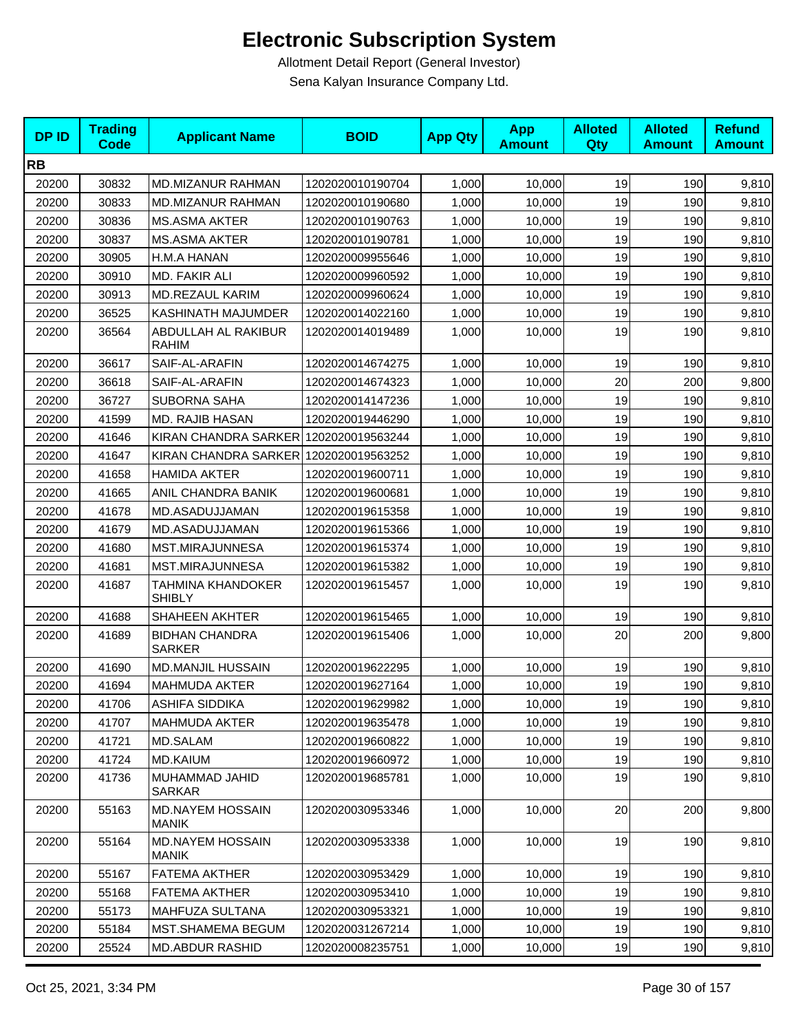| <b>DPID</b> | <b>Trading</b><br><b>Code</b> | <b>Applicant Name</b>                   | <b>BOID</b>      | <b>App Qty</b> | <b>App</b><br><b>Amount</b> | <b>Alloted</b><br>Qty | <b>Alloted</b><br><b>Amount</b> | <b>Refund</b><br><b>Amount</b> |
|-------------|-------------------------------|-----------------------------------------|------------------|----------------|-----------------------------|-----------------------|---------------------------------|--------------------------------|
| <b>RB</b>   |                               |                                         |                  |                |                             |                       |                                 |                                |
| 20200       | 30832                         | MD.MIZANUR RAHMAN                       | 1202020010190704 | 1,000          | 10,000                      | 19                    | 190                             | 9,810                          |
| 20200       | 30833                         | <b>MD.MIZANUR RAHMAN</b>                | 1202020010190680 | 1,000          | 10,000                      | 19                    | 190                             | 9,810                          |
| 20200       | 30836                         | <b>MS.ASMA AKTER</b>                    | 1202020010190763 | 1,000          | 10,000                      | 19                    | 190                             | 9,810                          |
| 20200       | 30837                         | <b>MS.ASMA AKTER</b>                    | 1202020010190781 | 1,000          | 10,000                      | 19                    | 190                             | 9,810                          |
| 20200       | 30905                         | H.M.A HANAN                             | 1202020009955646 | 1,000          | 10,000                      | 19                    | 190                             | 9,810                          |
| 20200       | 30910                         | MD. FAKIR ALI                           | 1202020009960592 | 1,000          | 10,000                      | 19                    | 190                             | 9,810                          |
| 20200       | 30913                         | <b>MD.REZAUL KARIM</b>                  | 1202020009960624 | 1,000          | 10,000                      | 19                    | 190                             | 9,810                          |
| 20200       | 36525                         | KASHINATH MAJUMDER                      | 1202020014022160 | 1,000          | 10,000                      | 19                    | 190                             | 9,810                          |
| 20200       | 36564                         | ABDULLAH AL RAKIBUR<br><b>RAHIM</b>     | 1202020014019489 | 1,000          | 10,000                      | 19                    | 190                             | 9,810                          |
| 20200       | 36617                         | SAIF-AL-ARAFIN                          | 1202020014674275 | 1,000          | 10,000                      | 19                    | 190                             | 9,810                          |
| 20200       | 36618                         | SAIF-AL-ARAFIN                          | 1202020014674323 | 1,000          | 10,000                      | 20                    | 200                             | 9,800                          |
| 20200       | 36727                         | SUBORNA SAHA                            | 1202020014147236 | 1,000          | 10,000                      | 19                    | 190                             | 9,810                          |
| 20200       | 41599                         | <b>MD. RAJIB HASAN</b>                  | 1202020019446290 | 1,000          | 10,000                      | 19                    | 190                             | 9,810                          |
| 20200       | 41646                         | KIRAN CHANDRA SARKER 1202020019563244   |                  | 1,000          | 10,000                      | 19                    | 190                             | 9,810                          |
| 20200       | 41647                         | KIRAN CHANDRA SARKER 1202020019563252   |                  | 1,000          | 10,000                      | 19                    | 190                             | 9,810                          |
| 20200       | 41658                         | <b>HAMIDA AKTER</b>                     | 1202020019600711 | 1,000          | 10,000                      | 19                    | 190                             | 9,810                          |
| 20200       | 41665                         | ANIL CHANDRA BANIK                      | 1202020019600681 | 1,000          | 10,000                      | 19                    | 190                             | 9,810                          |
| 20200       | 41678                         | MD.ASADUJJAMAN                          | 1202020019615358 | 1,000          | 10,000                      | 19                    | 190                             | 9,810                          |
| 20200       | 41679                         | MD.ASADUJJAMAN                          | 1202020019615366 | 1,000          | 10,000                      | 19                    | 190                             | 9,810                          |
| 20200       | 41680                         | MST.MIRAJUNNESA                         | 1202020019615374 | 1,000          | 10,000                      | 19                    | 190                             | 9,810                          |
| 20200       | 41681                         | MST.MIRAJUNNESA                         | 1202020019615382 | 1,000          | 10,000                      | 19                    | 190                             | 9,810                          |
| 20200       | 41687                         | TAHMINA KHANDOKER<br><b>SHIBLY</b>      | 1202020019615457 | 1,000          | 10,000                      | 19                    | 190                             | 9,810                          |
| 20200       | 41688                         | <b>SHAHEEN AKHTER</b>                   | 1202020019615465 | 1,000          | 10,000                      | 19                    | 190                             | 9,810                          |
| 20200       | 41689                         | <b>BIDHAN CHANDRA</b><br><b>SARKER</b>  | 1202020019615406 | 1,000          | 10,000                      | 20                    | 200                             | 9,800                          |
| 20200       | 41690                         | <b>MD.MANJIL HUSSAIN</b>                | 1202020019622295 | 1,000          | 10,000                      | 19                    | 190                             | 9,810                          |
| 20200       | 41694                         | MAHMUDA AKTER                           | 1202020019627164 | 1,000          | 10,000                      | 19                    | 190                             | 9,810                          |
| 20200       | 41706                         | ASHIFA SIDDIKA                          | 1202020019629982 | 1,000          | 10,000                      | 19                    | 190                             | 9,810                          |
| 20200       | 41707                         | <b>MAHMUDA AKTER</b>                    | 1202020019635478 | 1,000          | 10,000                      | 19                    | 190                             | 9,810                          |
| 20200       | 41721                         | MD.SALAM                                | 1202020019660822 | 1,000          | 10,000                      | 19                    | 190                             | 9,810                          |
| 20200       | 41724                         | <b>MD.KAIUM</b>                         | 1202020019660972 | 1,000          | 10,000                      | 19                    | 190                             | 9,810                          |
| 20200       | 41736                         | MUHAMMAD JAHID<br><b>SARKAR</b>         | 1202020019685781 | 1,000          | 10,000                      | 19                    | 190                             | 9,810                          |
| 20200       | 55163                         | <b>MD.NAYEM HOSSAIN</b><br><b>MANIK</b> | 1202020030953346 | 1,000          | 10,000                      | 20                    | 200                             | 9,800                          |
| 20200       | 55164                         | <b>MD.NAYEM HOSSAIN</b><br><b>MANIK</b> | 1202020030953338 | 1,000          | 10,000                      | 19                    | 190                             | 9,810                          |
| 20200       | 55167                         | FATEMA AKTHER                           | 1202020030953429 | 1,000          | 10,000                      | 19                    | 190                             | 9,810                          |
| 20200       | 55168                         | FATEMA AKTHER                           | 1202020030953410 | 1,000          | 10,000                      | 19                    | 190                             | 9,810                          |
| 20200       | 55173                         | MAHFUZA SULTANA                         | 1202020030953321 | 1,000          | 10,000                      | 19                    | 190                             | 9,810                          |
| 20200       | 55184                         | MST.SHAMEMA BEGUM                       | 1202020031267214 | 1,000          | 10,000                      | 19                    | 190                             | 9,810                          |
| 20200       | 25524                         | <b>MD.ABDUR RASHID</b>                  | 1202020008235751 | 1,000          | 10,000                      | 19                    | 190                             | 9,810                          |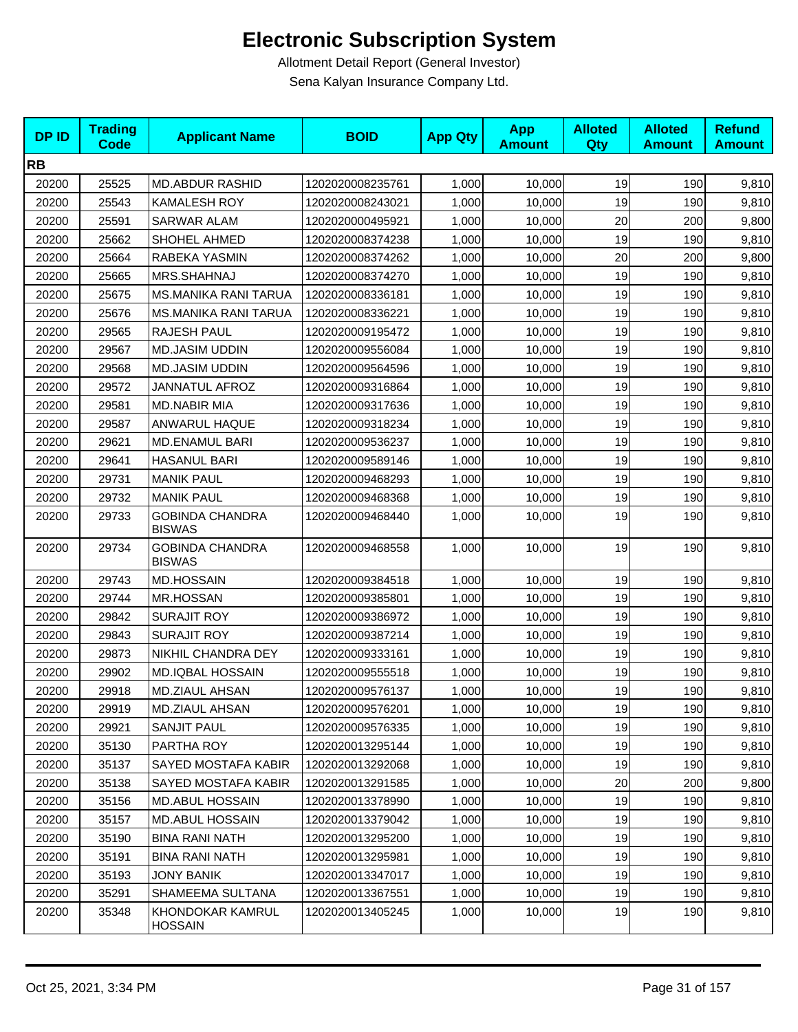| <b>DPID</b> | <b>Trading</b><br><b>Code</b> | <b>Applicant Name</b>                   | <b>BOID</b>      | <b>App Qty</b> | <b>App</b><br><b>Amount</b> | <b>Alloted</b><br>Qty | <b>Alloted</b><br><b>Amount</b> | <b>Refund</b><br><b>Amount</b> |
|-------------|-------------------------------|-----------------------------------------|------------------|----------------|-----------------------------|-----------------------|---------------------------------|--------------------------------|
| <b>RB</b>   |                               |                                         |                  |                |                             |                       |                                 |                                |
| 20200       | 25525                         | <b>MD.ABDUR RASHID</b>                  | 1202020008235761 | 1,000          | 10,000                      | 19                    | 190                             | 9,810                          |
| 20200       | 25543                         | <b>KAMALESH ROY</b>                     | 1202020008243021 | 1,000          | 10,000                      | 19                    | 190                             | 9,810                          |
| 20200       | 25591                         | <b>SARWAR ALAM</b>                      | 1202020000495921 | 1,000          | 10,000                      | 20                    | 200                             | 9,800                          |
| 20200       | 25662                         | SHOHEL AHMED                            | 1202020008374238 | 1,000          | 10,000                      | 19                    | 190                             | 9,810                          |
| 20200       | 25664                         | RABEKA YASMIN                           | 1202020008374262 | 1,000          | 10,000                      | 20                    | 200                             | 9,800                          |
| 20200       | 25665                         | MRS.SHAHNAJ                             | 1202020008374270 | 1,000          | 10,000                      | 19                    | 190                             | 9,810                          |
| 20200       | 25675                         | <b>MS.MANIKA RANI TARUA</b>             | 1202020008336181 | 1,000          | 10,000                      | 19                    | 190                             | 9,810                          |
| 20200       | 25676                         | <b>MS.MANIKA RANI TARUA</b>             | 1202020008336221 | 1,000          | 10,000                      | 19                    | 190                             | 9,810                          |
| 20200       | 29565                         | RAJESH PAUL                             | 1202020009195472 | 1,000          | 10,000                      | 19                    | 190                             | 9,810                          |
| 20200       | 29567                         | <b>MD.JASIM UDDIN</b>                   | 1202020009556084 | 1,000          | 10,000                      | 19                    | 190                             | 9,810                          |
| 20200       | 29568                         | <b>MD.JASIM UDDIN</b>                   | 1202020009564596 | 1,000          | 10,000                      | 19                    | 190                             | 9,810                          |
| 20200       | 29572                         | <b>JANNATUL AFROZ</b>                   | 1202020009316864 | 1,000          | 10,000                      | 19                    | 190                             | 9,810                          |
| 20200       | 29581                         | <b>MD.NABIR MIA</b>                     | 1202020009317636 | 1,000          | 10,000                      | 19                    | 190                             | 9,810                          |
| 20200       | 29587                         | ANWARUL HAQUE                           | 1202020009318234 | 1,000          | 10,000                      | 19                    | 190                             | 9,810                          |
| 20200       | 29621                         | MD.ENAMUL BARI                          | 1202020009536237 | 1,000          | 10,000                      | 19                    | 190                             | 9,810                          |
| 20200       | 29641                         | <b>HASANUL BARI</b>                     | 1202020009589146 | 1,000          | 10,000                      | 19                    | 190                             | 9,810                          |
| 20200       | 29731                         | <b>MANIK PAUL</b>                       | 1202020009468293 | 1,000          | 10,000                      | 19                    | 190                             | 9,810                          |
| 20200       | 29732                         | <b>MANIK PAUL</b>                       | 1202020009468368 | 1,000          | 10,000                      | 19                    | 190                             | 9,810                          |
| 20200       | 29733                         | <b>GOBINDA CHANDRA</b><br><b>BISWAS</b> | 1202020009468440 | 1,000          | 10,000                      | 19                    | 190                             | 9,810                          |
| 20200       | 29734                         | <b>GOBINDA CHANDRA</b><br><b>BISWAS</b> | 1202020009468558 | 1,000          | 10,000                      | 19                    | 190                             | 9,810                          |
| 20200       | 29743                         | <b>MD.HOSSAIN</b>                       | 1202020009384518 | 1,000          | 10,000                      | 19                    | 190                             | 9,810                          |
| 20200       | 29744                         | <b>MR.HOSSAN</b>                        | 1202020009385801 | 1,000          | 10,000                      | 19                    | 190                             | 9,810                          |
| 20200       | 29842                         | <b>SURAJIT ROY</b>                      | 1202020009386972 | 1,000          | 10,000                      | 19                    | 190                             | 9,810                          |
| 20200       | 29843                         | <b>SURAJIT ROY</b>                      | 1202020009387214 | 1,000          | 10,000                      | 19                    | 190                             | 9,810                          |
| 20200       | 29873                         | NIKHIL CHANDRA DEY                      | 1202020009333161 | 1,000          | 10,000                      | 19                    | 190                             | 9,810                          |
| 20200       | 29902                         | <b>MD.IQBAL HOSSAIN</b>                 | 1202020009555518 | 1,000          | 10,000                      | 19                    | 190                             | 9,810                          |
| 20200       | 29918                         | MD.ZIAUL AHSAN                          | 1202020009576137 | 1,000          | 10,000                      | 19                    | 190                             | 9,810                          |
| 20200       | 29919                         | MD.ZIAUL AHSAN                          | 1202020009576201 | 1,000          | 10,000                      | 19                    | 190                             | 9,810                          |
| 20200       | 29921                         | SANJIT PAUL                             | 1202020009576335 | 1,000          | 10,000                      | 19                    | 190                             | 9,810                          |
| 20200       | 35130                         | PARTHA ROY                              | 1202020013295144 | 1,000          | 10,000                      | 19                    | 190                             | 9,810                          |
| 20200       | 35137                         | SAYED MOSTAFA KABIR                     | 1202020013292068 | 1,000          | 10,000                      | 19                    | 190                             | 9,810                          |
| 20200       | 35138                         | SAYED MOSTAFA KABIR                     | 1202020013291585 | 1,000          | 10,000                      | 20                    | 200                             | 9,800                          |
| 20200       | 35156                         | <b>MD.ABUL HOSSAIN</b>                  | 1202020013378990 | 1,000          | 10,000                      | 19                    | 190                             | 9,810                          |
| 20200       | 35157                         | MD.ABUL HOSSAIN                         | 1202020013379042 | 1,000          | 10,000                      | 19                    | 190                             | 9,810                          |
| 20200       | 35190                         | <b>BINA RANI NATH</b>                   | 1202020013295200 | 1,000          | 10,000                      | 19                    | 190                             | 9,810                          |
| 20200       | 35191                         | <b>BINA RANI NATH</b>                   | 1202020013295981 | 1,000          | 10,000                      | 19                    | 190                             | 9,810                          |
| 20200       | 35193                         | JONY BANIK                              | 1202020013347017 | 1,000          | 10,000                      | 19                    | 190                             | 9,810                          |
| 20200       | 35291                         | SHAMEEMA SULTANA                        | 1202020013367551 | 1,000          | 10,000                      | 19                    | 190                             | 9,810                          |
| 20200       | 35348                         | KHONDOKAR KAMRUL<br><b>HOSSAIN</b>      | 1202020013405245 | 1,000          | 10,000                      | 19                    | 190                             | 9,810                          |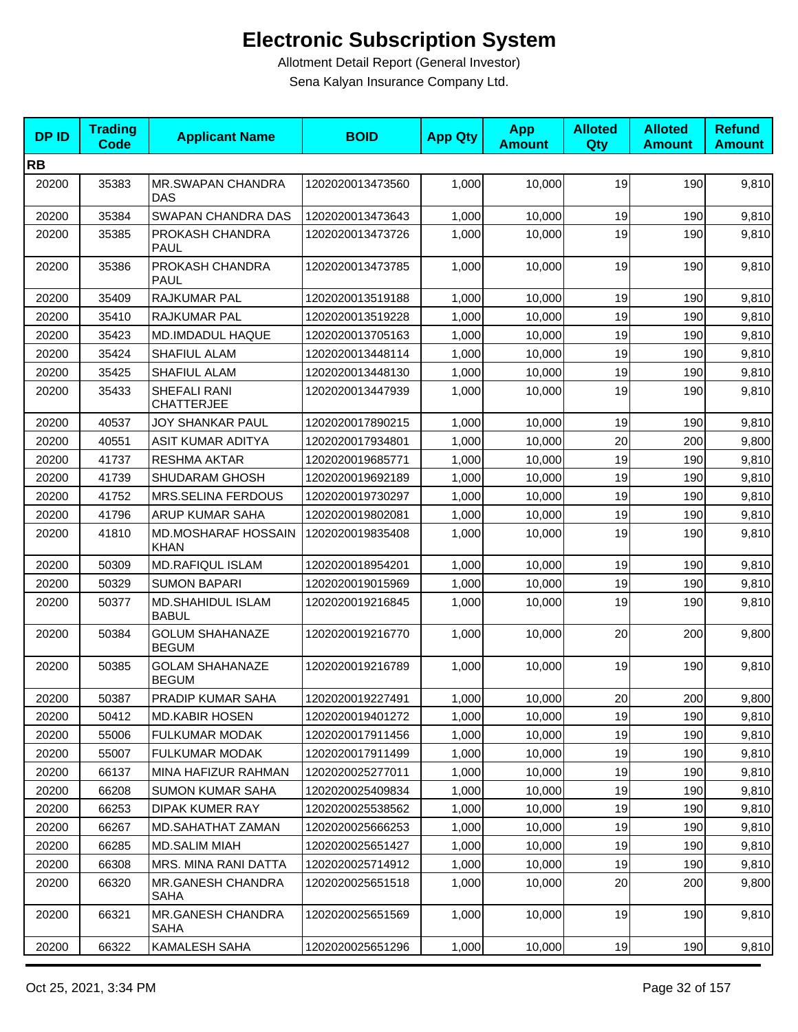| <b>DPID</b> | <b>Trading</b><br><b>Code</b> | <b>Applicant Name</b>                     | <b>BOID</b>      | <b>App Qty</b> | <b>App</b><br><b>Amount</b> | <b>Alloted</b><br>Qty | <b>Alloted</b><br><b>Amount</b> | <b>Refund</b><br><b>Amount</b> |
|-------------|-------------------------------|-------------------------------------------|------------------|----------------|-----------------------------|-----------------------|---------------------------------|--------------------------------|
| <b>RB</b>   |                               |                                           |                  |                |                             |                       |                                 |                                |
| 20200       | 35383                         | <b>MR.SWAPAN CHANDRA</b><br><b>DAS</b>    | 1202020013473560 | 1,000          | 10,000                      | 19                    | 190                             | 9,810                          |
| 20200       | 35384                         | SWAPAN CHANDRA DAS                        | 1202020013473643 | 1,000          | 10,000                      | 19                    | 190                             | 9,810                          |
| 20200       | 35385                         | PROKASH CHANDRA<br><b>PAUL</b>            | 1202020013473726 | 1,000          | 10,000                      | 19                    | 190                             | 9,810                          |
| 20200       | 35386                         | PROKASH CHANDRA<br><b>PAUL</b>            | 1202020013473785 | 1,000          | 10,000                      | 19                    | 190                             | 9,810                          |
| 20200       | 35409                         | RAJKUMAR PAL                              | 1202020013519188 | 1,000          | 10,000                      | 19                    | 190                             | 9,810                          |
| 20200       | 35410                         | <b>RAJKUMAR PAL</b>                       | 1202020013519228 | 1,000          | 10,000                      | 19                    | 190                             | 9,810                          |
| 20200       | 35423                         | MD.IMDADUL HAQUE                          | 1202020013705163 | 1,000          | 10,000                      | 19                    | 190                             | 9,810                          |
| 20200       | 35424                         | <b>SHAFIUL ALAM</b>                       | 1202020013448114 | 1,000          | 10,000                      | 19                    | 190                             | 9,810                          |
| 20200       | 35425                         | <b>SHAFIUL ALAM</b>                       | 1202020013448130 | 1,000          | 10,000                      | 19                    | 190                             | 9,810                          |
| 20200       | 35433                         | SHEFALI RANI<br><b>CHATTERJEE</b>         | 1202020013447939 | 1,000          | 10,000                      | 19                    | 190                             | 9,810                          |
| 20200       | 40537                         | JOY SHANKAR PAUL                          | 1202020017890215 | 1,000          | 10,000                      | 19                    | 190                             | 9,810                          |
| 20200       | 40551                         | ASIT KUMAR ADITYA                         | 1202020017934801 | 1,000          | 10,000                      | 20                    | 200                             | 9,800                          |
| 20200       | 41737                         | <b>RESHMA AKTAR</b>                       | 1202020019685771 | 1,000          | 10,000                      | 19                    | 190                             | 9,810                          |
| 20200       | 41739                         | <b>SHUDARAM GHOSH</b>                     | 1202020019692189 | 1,000          | 10,000                      | 19                    | 190                             | 9,810                          |
| 20200       | 41752                         | <b>MRS.SELINA FERDOUS</b>                 | 1202020019730297 | 1.000          | 10,000                      | 19                    | 190                             | 9,810                          |
| 20200       | 41796                         | ARUP KUMAR SAHA                           | 1202020019802081 | 1,000          | 10,000                      | 19                    | 190                             | 9,810                          |
| 20200       | 41810                         | <b>MD.MOSHARAF HOSSAIN</b><br><b>KHAN</b> | 1202020019835408 | 1,000          | 10,000                      | 19                    | 190                             | 9,810                          |
| 20200       | 50309                         | <b>MD.RAFIQUL ISLAM</b>                   | 1202020018954201 | 1,000          | 10,000                      | 19                    | 190                             | 9,810                          |
| 20200       | 50329                         | <b>SUMON BAPARI</b>                       | 1202020019015969 | 1,000          | 10,000                      | 19                    | 190                             | 9,810                          |
| 20200       | 50377                         | <b>MD.SHAHIDUL ISLAM</b><br><b>BABUL</b>  | 1202020019216845 | 1,000          | 10,000                      | 19                    | 190                             | 9,810                          |
| 20200       | 50384                         | <b>GOLUM SHAHANAZE</b><br><b>BEGUM</b>    | 1202020019216770 | 1,000          | 10,000                      | 20                    | 200                             | 9,800                          |
| 20200       | 50385                         | <b>GOLAM SHAHANAZE</b><br><b>BEGUM</b>    | 1202020019216789 | 1,000          | 10,000                      | 19                    | 190                             | 9,810                          |
| 20200       | 50387                         | PRADIP KUMAR SAHA                         | 1202020019227491 | 1,000          | 10,000                      | 20 <sub>l</sub>       | 200                             | 9,800                          |
| 20200       | 50412                         | <b>MD.KABIR HOSEN</b>                     | 1202020019401272 | 1,000          | 10,000                      | 19                    | 190                             | 9,810                          |
| 20200       | 55006                         | FULKUMAR MODAK                            | 1202020017911456 | 1,000          | 10,000                      | 19                    | 190                             | 9,810                          |
| 20200       | 55007                         | FULKUMAR MODAK                            | 1202020017911499 | 1,000          | 10,000                      | 19                    | 190                             | 9,810                          |
| 20200       | 66137                         | MINA HAFIZUR RAHMAN                       | 1202020025277011 | 1,000          | 10,000                      | 19                    | 190                             | 9,810                          |
| 20200       | 66208                         | <b>SUMON KUMAR SAHA</b>                   | 1202020025409834 | 1,000          | 10,000                      | 19                    | 190                             | 9,810                          |
| 20200       | 66253                         | DIPAK KUMER RAY                           | 1202020025538562 | 1,000          | 10,000                      | 19                    | 190                             | 9,810                          |
| 20200       | 66267                         | MD.SAHATHAT ZAMAN                         | 1202020025666253 | 1,000          | 10,000                      | 19                    | 190                             | 9,810                          |
| 20200       | 66285                         | <b>MD.SALIM MIAH</b>                      | 1202020025651427 | 1,000          | 10,000                      | 19                    | 190                             | 9,810                          |
| 20200       | 66308                         | MRS. MINA RANI DATTA                      | 1202020025714912 | 1,000          | 10,000                      | 19                    | 190                             | 9,810                          |
| 20200       | 66320                         | MR.GANESH CHANDRA<br><b>SAHA</b>          | 1202020025651518 | 1,000          | 10,000                      | 20                    | 200                             | 9,800                          |
| 20200       | 66321                         | MR.GANESH CHANDRA<br>SAHA                 | 1202020025651569 | 1,000          | 10,000                      | 19                    | 190                             | 9,810                          |
| 20200       | 66322                         | KAMALESH SAHA                             | 1202020025651296 | 1,000          | 10,000                      | 19                    | 190                             | 9,810                          |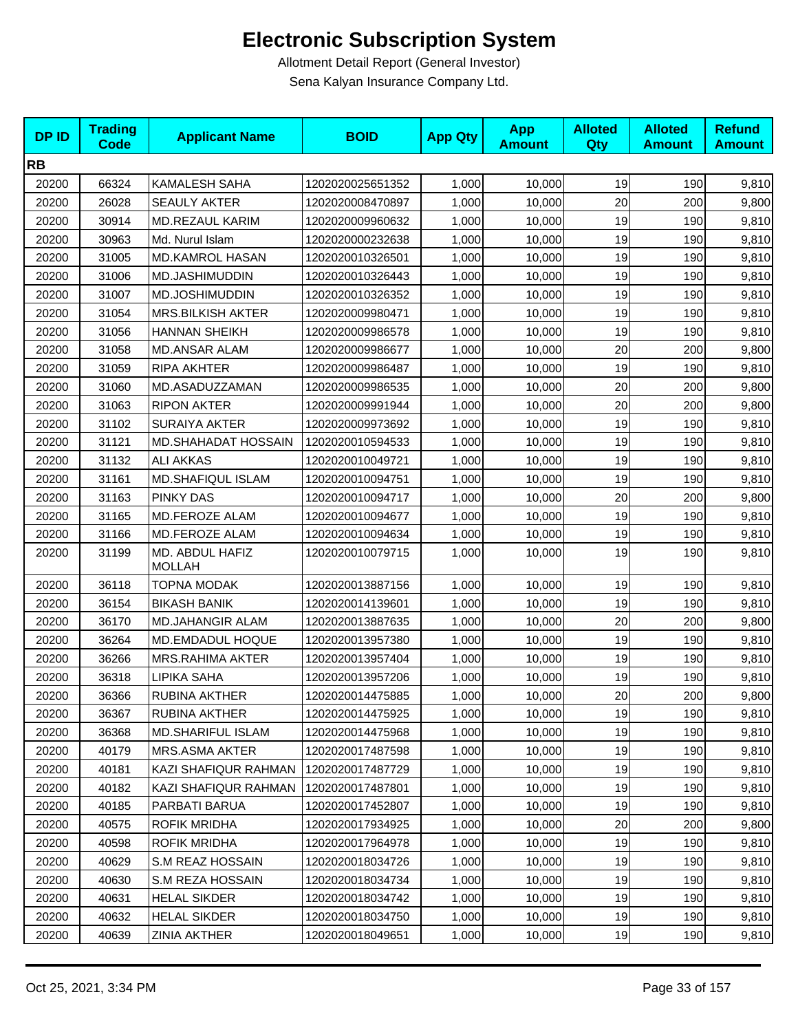| <b>DPID</b> | <b>Trading</b><br><b>Code</b> | <b>Applicant Name</b>            | <b>BOID</b>      | <b>App Qty</b> | <b>App</b><br><b>Amount</b> | <b>Alloted</b><br>Qty | <b>Alloted</b><br><b>Amount</b> | <b>Refund</b><br><b>Amount</b> |
|-------------|-------------------------------|----------------------------------|------------------|----------------|-----------------------------|-----------------------|---------------------------------|--------------------------------|
| <b>RB</b>   |                               |                                  |                  |                |                             |                       |                                 |                                |
| 20200       | 66324                         | KAMALESH SAHA                    | 1202020025651352 | 1,000          | 10,000                      | 19                    | 190                             | 9,810                          |
| 20200       | 26028                         | <b>SEAULY AKTER</b>              | 1202020008470897 | 1,000          | 10,000                      | 20                    | 200                             | 9,800                          |
| 20200       | 30914                         | <b>MD.REZAUL KARIM</b>           | 1202020009960632 | 1,000          | 10,000                      | 19                    | 190                             | 9,810                          |
| 20200       | 30963                         | Md. Nurul Islam                  | 1202020000232638 | 1,000          | 10,000                      | 19                    | 190                             | 9,810                          |
| 20200       | 31005                         | <b>MD.KAMROL HASAN</b>           | 1202020010326501 | 1,000          | 10,000                      | 19                    | 190                             | 9,810                          |
| 20200       | 31006                         | MD.JASHIMUDDIN                   | 1202020010326443 | 1,000          | 10,000                      | 19                    | 190                             | 9,810                          |
| 20200       | 31007                         | MD.JOSHIMUDDIN                   | 1202020010326352 | 1,000          | 10,000                      | 19                    | 190                             | 9,810                          |
| 20200       | 31054                         | <b>MRS.BILKISH AKTER</b>         | 1202020009980471 | 1,000          | 10,000                      | 19                    | 190                             | 9,810                          |
| 20200       | 31056                         | <b>HANNAN SHEIKH</b>             | 1202020009986578 | 1,000          | 10,000                      | 19                    | 190                             | 9,810                          |
| 20200       | 31058                         | <b>MD.ANSAR ALAM</b>             | 1202020009986677 | 1,000          | 10,000                      | 20                    | 200                             | 9,800                          |
| 20200       | 31059                         | RIPA AKHTER                      | 1202020009986487 | 1,000          | 10,000                      | 19                    | 190                             | 9,810                          |
| 20200       | 31060                         | MD.ASADUZZAMAN                   | 1202020009986535 | 1,000          | 10,000                      | 20                    | 200                             | 9,800                          |
| 20200       | 31063                         | <b>RIPON AKTER</b>               | 1202020009991944 | 1,000          | 10,000                      | 20                    | 200                             | 9,800                          |
| 20200       | 31102                         | <b>SURAIYA AKTER</b>             | 1202020009973692 | 1,000          | 10,000                      | 19                    | 190                             | 9,810                          |
| 20200       | 31121                         | MD.SHAHADAT HOSSAIN              | 1202020010594533 | 1,000          | 10,000                      | 19                    | 190                             | 9,810                          |
| 20200       | 31132                         | <b>ALI AKKAS</b>                 | 1202020010049721 | 1,000          | 10,000                      | 19                    | 190                             | 9,810                          |
| 20200       | 31161                         | MD.SHAFIQUL ISLAM                | 1202020010094751 | 1,000          | 10,000                      | 19                    | 190                             | 9,810                          |
| 20200       | 31163                         | <b>PINKY DAS</b>                 | 1202020010094717 | 1,000          | 10,000                      | 20                    | 200                             | 9,800                          |
| 20200       | 31165                         | MD.FEROZE ALAM                   | 1202020010094677 | 1,000          | 10,000                      | 19                    | 190                             | 9,810                          |
| 20200       | 31166                         | MD.FEROZE ALAM                   | 1202020010094634 | 1,000          | 10,000                      | 19                    | 190                             | 9,810                          |
| 20200       | 31199                         | MD. ABDUL HAFIZ<br><b>MOLLAH</b> | 1202020010079715 | 1,000          | 10,000                      | 19                    | 190                             | 9,810                          |
| 20200       | 36118                         | <b>TOPNA MODAK</b>               | 1202020013887156 | 1,000          | 10,000                      | 19                    | 190                             | 9,810                          |
| 20200       | 36154                         | <b>BIKASH BANIK</b>              | 1202020014139601 | 1,000          | 10,000                      | 19                    | 190                             | 9,810                          |
| 20200       | 36170                         | MD.JAHANGIR ALAM                 | 1202020013887635 | 1,000          | 10,000                      | 20                    | 200                             | 9,800                          |
| 20200       | 36264                         | MD.EMDADUL HOQUE                 | 1202020013957380 | 1,000          | 10,000                      | 19                    | 190                             | 9,810                          |
| 20200       | 36266                         | <b>MRS.RAHIMA AKTER</b>          | 1202020013957404 | 1,000          | 10,000                      | 19                    | 190                             | 9,810                          |
| 20200       | 36318                         | LIPIKA SAHA                      | 1202020013957206 | 1,000          | 10,000                      | 19                    | 190                             | 9,810                          |
| 20200       | 36366                         | <b>RUBINA AKTHER</b>             | 1202020014475885 | 1,000          | 10,000                      | 20                    | 200                             | 9,800                          |
| 20200       | 36367                         | RUBINA AKTHER                    | 1202020014475925 | 1,000          | 10,000                      | 19                    | 190                             | 9,810                          |
| 20200       | 36368                         | <b>MD.SHARIFUL ISLAM</b>         | 1202020014475968 | 1,000          | 10,000                      | 19                    | 190                             | 9,810                          |
| 20200       | 40179                         | MRS.ASMA AKTER                   | 1202020017487598 | 1,000          | 10,000                      | 19                    | 190                             | 9,810                          |
| 20200       | 40181                         | KAZI SHAFIQUR RAHMAN             | 1202020017487729 | 1,000          | 10,000                      | 19                    | 190                             | 9,810                          |
| 20200       | 40182                         | KAZI SHAFIQUR RAHMAN             | 1202020017487801 | 1,000          | 10,000                      | 19                    | 190                             | 9,810                          |
| 20200       | 40185                         | PARBATI BARUA                    | 1202020017452807 | 1,000          | 10,000                      | 19                    | 190                             | 9,810                          |
| 20200       | 40575                         | ROFIK MRIDHA                     | 1202020017934925 | 1,000          | 10,000                      | 20                    | 200                             | 9,800                          |
| 20200       | 40598                         | <b>ROFIK MRIDHA</b>              | 1202020017964978 | 1,000          | 10,000                      | 19                    | 190                             | 9,810                          |
| 20200       | 40629                         | S.M REAZ HOSSAIN                 | 1202020018034726 | 1,000          | 10,000                      | 19                    | 190                             | 9,810                          |
| 20200       | 40630                         | S.M REZA HOSSAIN                 | 1202020018034734 | 1,000          | 10,000                      | 19                    | 190                             | 9,810                          |
| 20200       | 40631                         | <b>HELAL SIKDER</b>              | 1202020018034742 | 1,000          | 10,000                      | 19                    | 190                             | 9,810                          |
| 20200       | 40632                         | <b>HELAL SIKDER</b>              | 1202020018034750 | 1,000          | 10,000                      | 19                    | 190                             | 9,810                          |
| 20200       | 40639                         | ZINIA AKTHER                     | 1202020018049651 | 1,000          | 10,000                      | 19                    | 190                             | 9,810                          |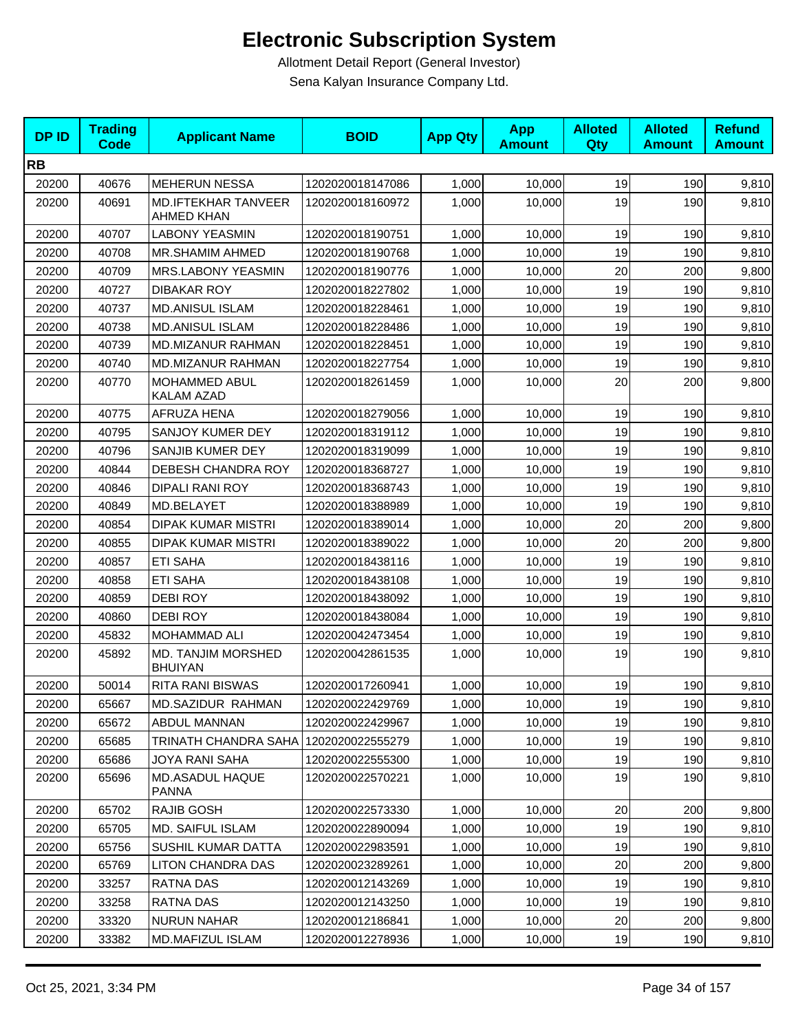| <b>DPID</b> | <b>Trading</b><br><b>Code</b> | <b>Applicant Name</b>                           | <b>BOID</b>      | <b>App Qty</b> | <b>App</b><br><b>Amount</b> | <b>Alloted</b><br>Qty | <b>Alloted</b><br><b>Amount</b> | <b>Refund</b><br><b>Amount</b> |
|-------------|-------------------------------|-------------------------------------------------|------------------|----------------|-----------------------------|-----------------------|---------------------------------|--------------------------------|
| <b>RB</b>   |                               |                                                 |                  |                |                             |                       |                                 |                                |
| 20200       | 40676                         | <b>MEHERUN NESSA</b>                            | 1202020018147086 | 1,000          | 10,000                      | 19                    | 190                             | 9,810                          |
| 20200       | 40691                         | <b>MD.IFTEKHAR TANVEER</b><br><b>AHMED KHAN</b> | 1202020018160972 | 1,000          | 10,000                      | 19                    | 190                             | 9,810                          |
| 20200       | 40707                         | <b>LABONY YEASMIN</b>                           | 1202020018190751 | 1,000          | 10,000                      | 19                    | 190                             | 9,810                          |
| 20200       | 40708                         | MR.SHAMIM AHMED                                 | 1202020018190768 | 1,000          | 10,000                      | 19                    | 190                             | 9,810                          |
| 20200       | 40709                         | MRS.LABONY YEASMIN                              | 1202020018190776 | 1,000          | 10,000                      | 20                    | 200                             | 9,800                          |
| 20200       | 40727                         | <b>DIBAKAR ROY</b>                              | 1202020018227802 | 1,000          | 10,000                      | 19                    | 190                             | 9,810                          |
| 20200       | 40737                         | <b>MD.ANISUL ISLAM</b>                          | 1202020018228461 | 1,000          | 10,000                      | 19                    | 190                             | 9,810                          |
| 20200       | 40738                         | <b>MD.ANISUL ISLAM</b>                          | 1202020018228486 | 1,000          | 10,000                      | 19                    | 190                             | 9,810                          |
| 20200       | 40739                         | MD.MIZANUR RAHMAN                               | 1202020018228451 | 1,000          | 10,000                      | 19                    | 190                             | 9,810                          |
| 20200       | 40740                         | MD.MIZANUR RAHMAN                               | 1202020018227754 | 1,000          | 10,000                      | 19                    | 190                             | 9,810                          |
| 20200       | 40770                         | MOHAMMED ABUL<br>KALAM AZAD                     | 1202020018261459 | 1,000          | 10,000                      | 20                    | 200                             | 9,800                          |
| 20200       | 40775                         | AFRUZA HENA                                     | 1202020018279056 | 1,000          | 10,000                      | 19                    | 190                             | 9,810                          |
| 20200       | 40795                         | SANJOY KUMER DEY                                | 1202020018319112 | 1,000          | 10,000                      | 19                    | 190                             | 9,810                          |
| 20200       | 40796                         | SANJIB KUMER DEY                                | 1202020018319099 | 1,000          | 10,000                      | 19                    | 190                             | 9,810                          |
| 20200       | 40844                         | DEBESH CHANDRA ROY                              | 1202020018368727 | 1,000          | 10,000                      | 19                    | 190                             | 9,810                          |
| 20200       | 40846                         | <b>DIPALI RANI ROY</b>                          | 1202020018368743 | 1,000          | 10,000                      | 19                    | 190                             | 9,810                          |
| 20200       | 40849                         | MD.BELAYET                                      | 1202020018388989 | 1,000          | 10,000                      | 19                    | 190                             | 9,810                          |
| 20200       | 40854                         | <b>DIPAK KUMAR MISTRI</b>                       | 1202020018389014 | 1,000          | 10,000                      | 20                    | 200                             | 9,800                          |
| 20200       | 40855                         | <b>DIPAK KUMAR MISTRI</b>                       | 1202020018389022 | 1,000          | 10,000                      | 20                    | 200                             | 9,800                          |
| 20200       | 40857                         | <b>ETI SAHA</b>                                 | 1202020018438116 | 1,000          | 10,000                      | 19                    | 190                             | 9,810                          |
| 20200       | 40858                         | <b>ETI SAHA</b>                                 | 1202020018438108 | 1,000          | 10,000                      | 19                    | 190                             | 9,810                          |
| 20200       | 40859                         | DEBI ROY                                        | 1202020018438092 | 1,000          | 10,000                      | 19                    | 190                             | 9,810                          |
| 20200       | 40860                         | <b>DEBI ROY</b>                                 | 1202020018438084 | 1,000          | 10,000                      | 19                    | 190                             | 9,810                          |
| 20200       | 45832                         | MOHAMMAD ALI                                    | 1202020042473454 | 1,000          | 10,000                      | 19                    | 190                             | 9,810                          |
| 20200       | 45892                         | <b>MD. TANJIM MORSHED</b><br><b>BHUIYAN</b>     | 1202020042861535 | 1,000          | 10,000                      | 19                    | 190                             | 9,810                          |
| 20200       | 50014                         | RITA RANI BISWAS                                | 1202020017260941 | 1,000          | 10,000                      | 19                    | 190                             | 9,810                          |
| 20200       | 65667                         | MD.SAZIDUR RAHMAN                               | 1202020022429769 | 1,000          | 10,000                      | 19                    | 190                             | 9,810                          |
| 20200       | 65672                         | <b>ABDUL MANNAN</b>                             | 1202020022429967 | 1,000          | 10.000                      | 19                    | 190                             | 9,810                          |
| 20200       | 65685                         | TRINATH CHANDRA SAHA 1202020022555279           |                  | 1,000          | 10,000                      | 19                    | 190                             | 9,810                          |
| 20200       | 65686                         | <b>JOYA RANI SAHA</b>                           | 1202020022555300 | 1,000          | 10,000                      | 19                    | 190                             | 9,810                          |
| 20200       | 65696                         | MD.ASADUL HAQUE<br>PANNA                        | 1202020022570221 | 1,000          | 10,000                      | 19                    | 190                             | 9,810                          |
| 20200       | 65702                         | RAJIB GOSH                                      | 1202020022573330 | 1,000          | 10,000                      | 20                    | 200                             | 9,800                          |
| 20200       | 65705                         | MD. SAIFUL ISLAM                                | 1202020022890094 | 1,000          | 10,000                      | 19                    | 190                             | 9,810                          |
| 20200       | 65756                         | SUSHIL KUMAR DATTA                              | 1202020022983591 | 1,000          | 10,000                      | 19                    | 190                             | 9,810                          |
| 20200       | 65769                         | LITON CHANDRA DAS                               | 1202020023289261 | 1,000          | 10,000                      | 20                    | 200                             | 9,800                          |
| 20200       | 33257                         | RATNA DAS                                       | 1202020012143269 | 1,000          | 10,000                      | 19                    | 190                             | 9,810                          |
| 20200       | 33258                         | <b>RATNA DAS</b>                                | 1202020012143250 | 1,000          | 10,000                      | 19                    | 190                             | 9,810                          |
| 20200       | 33320                         | <b>NURUN NAHAR</b>                              | 1202020012186841 | 1,000          | 10,000                      | 20                    | 200                             | 9,800                          |
| 20200       | 33382                         | <b>MD.MAFIZUL ISLAM</b>                         | 1202020012278936 | 1,000          | 10,000                      | 19                    | 190                             | 9,810                          |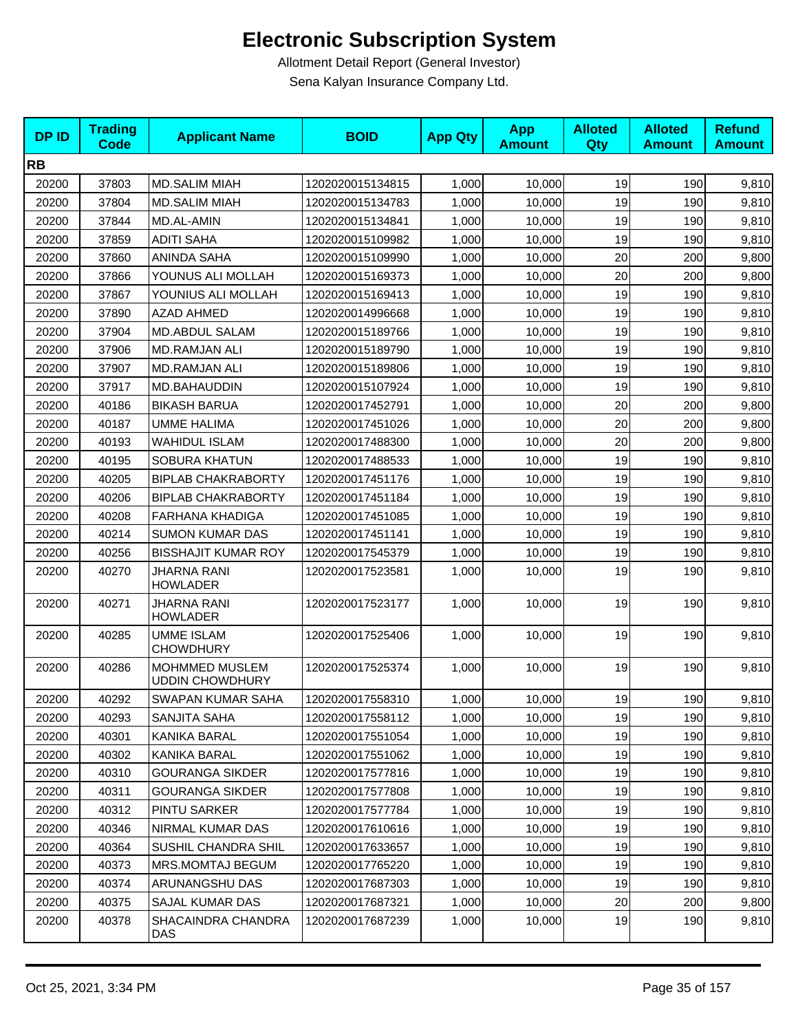| <b>DPID</b> | <b>Trading</b><br><b>Code</b> | <b>Applicant Name</b>                    | <b>BOID</b>      | <b>App Qty</b> | <b>App</b><br><b>Amount</b> | <b>Alloted</b><br><b>Qty</b> | <b>Alloted</b><br><b>Amount</b> | <b>Refund</b><br><b>Amount</b> |
|-------------|-------------------------------|------------------------------------------|------------------|----------------|-----------------------------|------------------------------|---------------------------------|--------------------------------|
| <b>RB</b>   |                               |                                          |                  |                |                             |                              |                                 |                                |
| 20200       | 37803                         | <b>MD.SALIM MIAH</b>                     | 1202020015134815 | 1,000          | 10,000                      | 19                           | 190                             | 9,810                          |
| 20200       | 37804                         | <b>MD.SALIM MIAH</b>                     | 1202020015134783 | 1,000          | 10,000                      | 19                           | 190                             | 9,810                          |
| 20200       | 37844                         | MD.AL-AMIN                               | 1202020015134841 | 1,000          | 10,000                      | 19                           | 190                             | 9,810                          |
| 20200       | 37859                         | <b>ADITI SAHA</b>                        | 1202020015109982 | 1,000          | 10,000                      | 19                           | 190                             | 9,810                          |
| 20200       | 37860                         | ANINDA SAHA                              | 1202020015109990 | 1,000          | 10,000                      | 20                           | 200                             | 9,800                          |
| 20200       | 37866                         | YOUNUS ALI MOLLAH                        | 1202020015169373 | 1,000          | 10,000                      | 20                           | 200                             | 9,800                          |
| 20200       | 37867                         | YOUNIUS ALI MOLLAH                       | 1202020015169413 | 1,000          | 10,000                      | 19                           | 190                             | 9,810                          |
| 20200       | 37890                         | <b>AZAD AHMED</b>                        | 1202020014996668 | 1,000          | 10,000                      | 19                           | 190                             | 9,810                          |
| 20200       | 37904                         | MD.ABDUL SALAM                           | 1202020015189766 | 1,000          | 10,000                      | 19                           | 190                             | 9,810                          |
| 20200       | 37906                         | <b>MD.RAMJAN ALI</b>                     | 1202020015189790 | 1,000          | 10,000                      | 19                           | 190                             | 9,810                          |
| 20200       | 37907                         | MD.RAMJAN ALI                            | 1202020015189806 | 1,000          | 10,000                      | 19                           | 190                             | 9,810                          |
| 20200       | 37917                         | MD.BAHAUDDIN                             | 1202020015107924 | 1,000          | 10,000                      | 19                           | 190                             | 9,810                          |
| 20200       | 40186                         | <b>BIKASH BARUA</b>                      | 1202020017452791 | 1,000          | 10,000                      | 20                           | 200                             | 9,800                          |
| 20200       | 40187                         | <b>UMME HALIMA</b>                       | 1202020017451026 | 1,000          | 10.000                      | 20                           | 200                             | 9,800                          |
| 20200       | 40193                         | <b>WAHIDUL ISLAM</b>                     | 1202020017488300 | 1,000          | 10,000                      | 20                           | 200                             | 9,800                          |
| 20200       | 40195                         | <b>SOBURA KHATUN</b>                     | 1202020017488533 | 1,000          | 10,000                      | 19                           | 190                             | 9,810                          |
| 20200       | 40205                         | <b>BIPLAB CHAKRABORTY</b>                | 1202020017451176 | 1,000          | 10,000                      | 19                           | 190                             | 9,810                          |
| 20200       | 40206                         | <b>BIPLAB CHAKRABORTY</b>                | 1202020017451184 | 1,000          | 10,000                      | 19                           | 190                             | 9,810                          |
| 20200       | 40208                         | <b>FARHANA KHADIGA</b>                   | 1202020017451085 | 1,000          | 10,000                      | 19                           | 190                             | 9,810                          |
| 20200       | 40214                         | <b>SUMON KUMAR DAS</b>                   | 1202020017451141 | 1,000          | 10,000                      | 19                           | 190                             | 9,810                          |
| 20200       | 40256                         | <b>BISSHAJIT KUMAR ROY</b>               | 1202020017545379 | 1,000          | 10,000                      | 19                           | 190                             | 9,810                          |
| 20200       | 40270                         | JHARNA RANI<br><b>HOWLADER</b>           | 1202020017523581 | 1,000          | 10,000                      | 19                           | 190                             | 9,810                          |
| 20200       | 40271                         | JHARNA RANI<br><b>HOWLADER</b>           | 1202020017523177 | 1,000          | 10,000                      | 19                           | 190                             | 9,810                          |
| 20200       | 40285                         | <b>UMME ISLAM</b><br><b>CHOWDHURY</b>    | 1202020017525406 | 1,000          | 10,000                      | 19                           | 190                             | 9,810                          |
| 20200       | 40286                         | MOHMMED MUSLEM<br><b>UDDIN CHOWDHURY</b> | 1202020017525374 | 1,000          | 10,000                      | 19                           | 190                             | 9,810                          |
| 20200       | 40292                         | SWAPAN KUMAR SAHA                        | 1202020017558310 | 1,000          | 10,000                      | 19                           | 190                             | 9,810                          |
| 20200       | 40293                         | SANJITA SAHA                             | 1202020017558112 | 1,000          | 10,000                      | 19                           | 190                             | 9,810                          |
| 20200       | 40301                         | KANIKA BARAL                             | 1202020017551054 | 1,000          | 10,000                      | 19                           | 190                             | 9,810                          |
| 20200       | 40302                         | KANIKA BARAL                             | 1202020017551062 | 1,000          | 10,000                      | 19                           | 190                             | 9,810                          |
| 20200       | 40310                         | <b>GOURANGA SIKDER</b>                   | 1202020017577816 | 1,000          | 10,000                      | 19                           | 190                             | 9,810                          |
| 20200       | 40311                         | <b>GOURANGA SIKDER</b>                   | 1202020017577808 | 1,000          | 10,000                      | 19                           | 190                             | 9,810                          |
| 20200       | 40312                         | PINTU SARKER                             | 1202020017577784 | 1,000          | 10,000                      | 19                           | 190                             | 9,810                          |
| 20200       | 40346                         | NIRMAL KUMAR DAS                         | 1202020017610616 | 1,000          | 10,000                      | 19                           | 190                             | 9,810                          |
| 20200       | 40364                         | <b>SUSHIL CHANDRA SHIL</b>               | 1202020017633657 | 1,000          | 10,000                      | 19                           | 190                             | 9,810                          |
| 20200       | 40373                         | MRS.MOMTAJ BEGUM                         | 1202020017765220 | 1,000          | 10,000                      | 19                           | 190                             | 9,810                          |
| 20200       | 40374                         | ARUNANGSHU DAS                           | 1202020017687303 | 1,000          | 10,000                      | 19                           | 190                             | 9,810                          |
| 20200       | 40375                         | SAJAL KUMAR DAS                          | 1202020017687321 | 1,000          | 10,000                      | 20                           | 200                             | 9,800                          |
| 20200       | 40378                         | SHACAINDRA CHANDRA<br>DAS                | 1202020017687239 | 1,000          | 10,000                      | 19                           | 190                             | 9,810                          |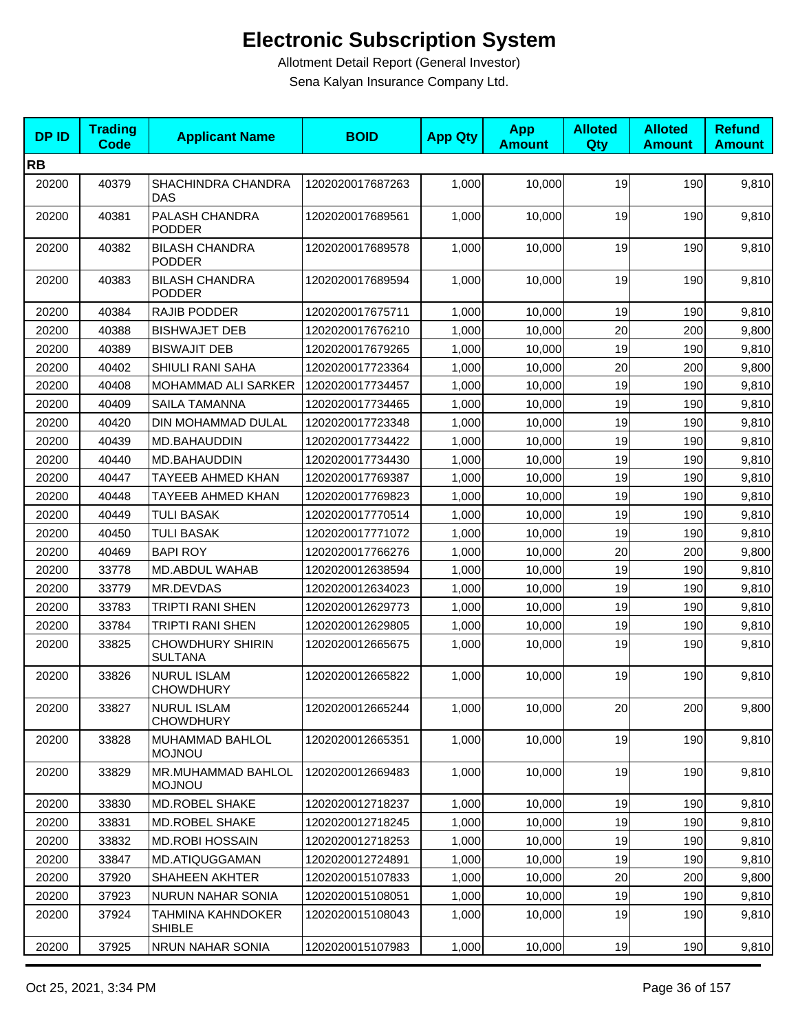| <b>DPID</b> | <b>Trading</b><br><b>Code</b> | <b>Applicant Name</b>                     | <b>BOID</b>      | <b>App Qty</b> | <b>App</b><br><b>Amount</b> | <b>Alloted</b><br>Qty | <b>Alloted</b><br><b>Amount</b> | <b>Refund</b><br><b>Amount</b> |
|-------------|-------------------------------|-------------------------------------------|------------------|----------------|-----------------------------|-----------------------|---------------------------------|--------------------------------|
| <b>RB</b>   |                               |                                           |                  |                |                             |                       |                                 |                                |
| 20200       | 40379                         | SHACHINDRA CHANDRA<br>DAS                 | 1202020017687263 | 1,000          | 10,000                      | 19                    | 190                             | 9,810                          |
| 20200       | 40381                         | PALASH CHANDRA<br><b>PODDER</b>           | 1202020017689561 | 1,000          | 10,000                      | 19                    | 190                             | 9,810                          |
| 20200       | 40382                         | <b>BILASH CHANDRA</b><br><b>PODDER</b>    | 1202020017689578 | 1,000          | 10,000                      | 19                    | 190                             | 9,810                          |
| 20200       | 40383                         | <b>BILASH CHANDRA</b><br><b>PODDER</b>    | 1202020017689594 | 1,000          | 10,000                      | 19                    | 190                             | 9,810                          |
| 20200       | 40384                         | RAJIB PODDER                              | 1202020017675711 | 1,000          | 10,000                      | 19                    | 190                             | 9,810                          |
| 20200       | 40388                         | <b>BISHWAJET DEB</b>                      | 1202020017676210 | 1,000          | 10,000                      | 20                    | 200                             | 9,800                          |
| 20200       | 40389                         | <b>BISWAJIT DEB</b>                       | 1202020017679265 | 1,000          | 10,000                      | 19                    | 190                             | 9,810                          |
| 20200       | 40402                         | SHIULI RANI SAHA                          | 1202020017723364 | 1,000          | 10,000                      | 20                    | 200                             | 9,800                          |
| 20200       | 40408                         | MOHAMMAD ALI SARKER                       | 1202020017734457 | 1,000          | 10.000                      | 19                    | 190                             | 9,810                          |
| 20200       | 40409                         | SAILA TAMANNA                             | 1202020017734465 | 1,000          | 10,000                      | 19                    | 190                             | 9,810                          |
| 20200       | 40420                         | DIN MOHAMMAD DULAL                        | 1202020017723348 | 1,000          | 10,000                      | 19                    | 190                             | 9,810                          |
| 20200       | 40439                         | MD.BAHAUDDIN                              | 1202020017734422 | 1,000          | 10,000                      | 19                    | 190                             | 9,810                          |
| 20200       | 40440                         | MD.BAHAUDDIN                              | 1202020017734430 | 1,000          | 10,000                      | 19                    | 190                             | 9,810                          |
| 20200       | 40447                         | <b>TAYEEB AHMED KHAN</b>                  | 1202020017769387 | 1,000          | 10,000                      | 19                    | 190                             | 9,810                          |
| 20200       | 40448                         | <b>TAYEEB AHMED KHAN</b>                  | 1202020017769823 | 1,000          | 10,000                      | 19                    | 190                             | 9,810                          |
| 20200       | 40449                         | <b>TULI BASAK</b>                         | 1202020017770514 | 1,000          | 10,000                      | 19                    | 190                             | 9,810                          |
| 20200       | 40450                         | <b>TULI BASAK</b>                         | 1202020017771072 | 1,000          | 10,000                      | 19                    | 190                             | 9,810                          |
| 20200       | 40469                         | <b>BAPI ROY</b>                           | 1202020017766276 | 1,000          | 10,000                      | 20                    | 200                             | 9,800                          |
| 20200       | 33778                         | MD.ABDUL WAHAB                            | 1202020012638594 | 1,000          | 10,000                      | 19                    | 190                             | 9,810                          |
| 20200       | 33779                         | MR.DEVDAS                                 | 1202020012634023 | 1,000          | 10,000                      | 19                    | 190                             | 9,810                          |
| 20200       | 33783                         | TRIPTI RANI SHEN                          | 1202020012629773 | 1,000          | 10,000                      | 19                    | 190                             | 9,810                          |
| 20200       | 33784                         | TRIPTI RANI SHEN                          | 1202020012629805 | 1,000          | 10,000                      | 19                    | 190                             | 9,810                          |
| 20200       | 33825                         | <b>CHOWDHURY SHIRIN</b><br><b>SULTANA</b> | 1202020012665675 | 1,000          | 10,000                      | 19                    | 190                             | 9,810                          |
| 20200       | 33826                         | <b>NURUL ISLAM</b><br><b>CHOWDHURY</b>    | 1202020012665822 | 1,000          | 10,000                      | 19                    | 190                             | 9,810                          |
| 20200       | 33827                         | NURUL ISLAM<br><b>CHOWDHURY</b>           | 1202020012665244 | 1,000          | 10,000                      | 20                    | 200                             | 9,800                          |
| 20200       | 33828                         | MUHAMMAD BAHLOL<br><b>MOJNOU</b>          | 1202020012665351 | 1,000          | 10,000                      | 19                    | 190                             | 9,810                          |
| 20200       | 33829                         | MR.MUHAMMAD BAHLOL<br><b>MOJNOU</b>       | 1202020012669483 | 1,000          | 10,000                      | 19                    | 190                             | 9,810                          |
| 20200       | 33830                         | MD.ROBEL SHAKE                            | 1202020012718237 | 1,000          | 10,000                      | 19                    | 190                             | 9,810                          |
| 20200       | 33831                         | MD.ROBEL SHAKE                            | 1202020012718245 | 1,000          | 10,000                      | 19                    | 190                             | 9,810                          |
| 20200       | 33832                         | <b>MD.ROBI HOSSAIN</b>                    | 1202020012718253 | 1,000          | 10,000                      | 19                    | 190                             | 9,810                          |
| 20200       | 33847                         | MD.ATIQUGGAMAN                            | 1202020012724891 | 1,000          | 10,000                      | 19                    | 190                             | 9,810                          |
| 20200       | 37920                         | SHAHEEN AKHTER                            | 1202020015107833 | 1,000          | 10,000                      | 20                    | 200                             | 9,800                          |
| 20200       | 37923                         | NURUN NAHAR SONIA                         | 1202020015108051 | 1,000          | 10,000                      | 19                    | 190                             | 9,810                          |
| 20200       | 37924                         | TAHMINA KAHNDOKER<br><b>SHIBLE</b>        | 1202020015108043 | 1,000          | 10,000                      | 19                    | 190                             | 9,810                          |
| 20200       | 37925                         | NRUN NAHAR SONIA                          | 1202020015107983 | 1,000          | 10,000                      | 19                    | 190                             | 9,810                          |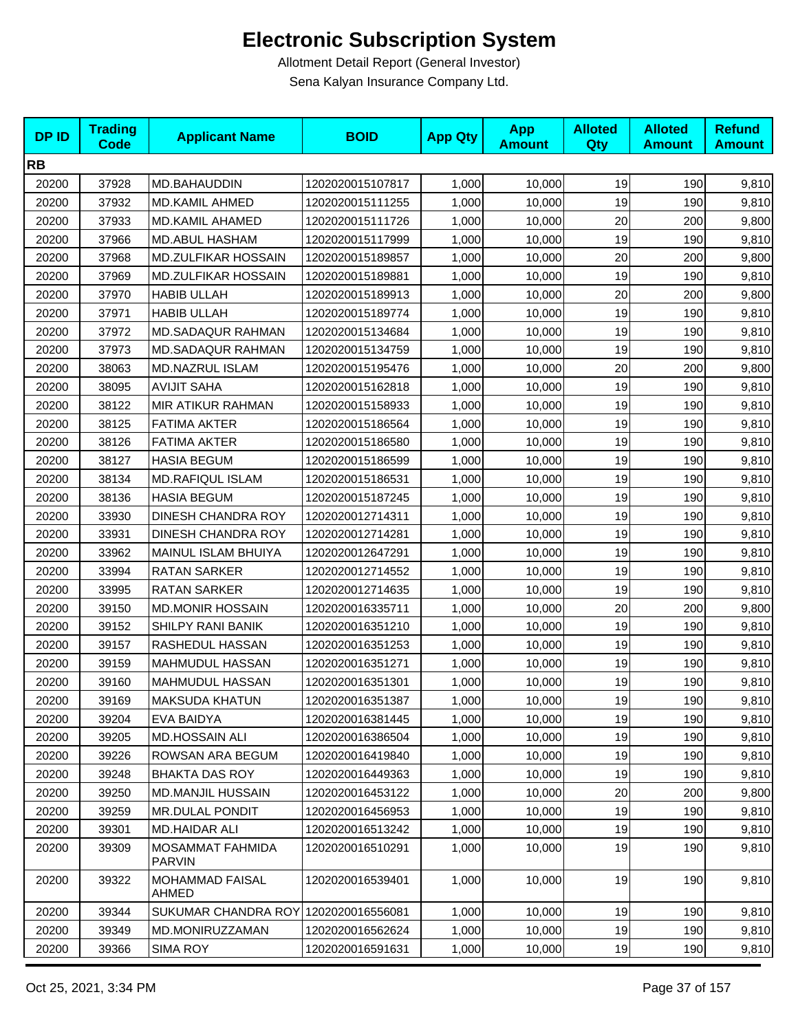| <b>DPID</b> | <b>Trading</b><br>Code | <b>Applicant Name</b>                    | <b>BOID</b>      | <b>App Qty</b> | <b>App</b><br><b>Amount</b> | <b>Alloted</b><br>Qty | <b>Alloted</b><br><b>Amount</b> | <b>Refund</b><br><b>Amount</b> |
|-------------|------------------------|------------------------------------------|------------------|----------------|-----------------------------|-----------------------|---------------------------------|--------------------------------|
| <b>RB</b>   |                        |                                          |                  |                |                             |                       |                                 |                                |
| 20200       | 37928                  | MD.BAHAUDDIN                             | 1202020015107817 | 1,000          | 10,000                      | 19                    | 190                             | 9,810                          |
| 20200       | 37932                  | <b>MD.KAMIL AHMED</b>                    | 1202020015111255 | 1,000          | 10,000                      | 19                    | 190                             | 9,810                          |
| 20200       | 37933                  | <b>MD.KAMIL AHAMED</b>                   | 1202020015111726 | 1,000          | 10,000                      | 20                    | 200                             | 9,800                          |
| 20200       | 37966                  | <b>MD.ABUL HASHAM</b>                    | 1202020015117999 | 1,000          | 10,000                      | 19                    | 190                             | 9,810                          |
| 20200       | 37968                  | <b>MD.ZULFIKAR HOSSAIN</b>               | 1202020015189857 | 1,000          | 10,000                      | 20                    | 200                             | 9,800                          |
| 20200       | 37969                  | <b>MD.ZULFIKAR HOSSAIN</b>               | 1202020015189881 | 1,000          | 10,000                      | 19                    | 190                             | 9,810                          |
| 20200       | 37970                  | <b>HABIB ULLAH</b>                       | 1202020015189913 | 1,000          | 10,000                      | 20                    | 200                             | 9,800                          |
| 20200       | 37971                  | <b>HABIB ULLAH</b>                       | 1202020015189774 | 1,000          | 10,000                      | 19                    | 190                             | 9,810                          |
| 20200       | 37972                  | MD.SADAQUR RAHMAN                        | 1202020015134684 | 1,000          | 10,000                      | 19                    | 190                             | 9,810                          |
| 20200       | 37973                  | <b>MD.SADAQUR RAHMAN</b>                 | 1202020015134759 | 1,000          | 10,000                      | 19                    | 190                             | 9,810                          |
| 20200       | 38063                  | MD.NAZRUL ISLAM                          | 1202020015195476 | 1,000          | 10,000                      | 20                    | 200                             | 9,800                          |
| 20200       | 38095                  | <b>AVIJIT SAHA</b>                       | 1202020015162818 | 1,000          | 10,000                      | 19                    | 190                             | 9,810                          |
| 20200       | 38122                  | MIR ATIKUR RAHMAN                        | 1202020015158933 | 1,000          | 10,000                      | 19                    | 190                             | 9,810                          |
| 20200       | 38125                  | <b>FATIMA AKTER</b>                      | 1202020015186564 | 1,000          | 10,000                      | 19                    | 190                             | 9,810                          |
| 20200       | 38126                  | <b>FATIMA AKTER</b>                      | 1202020015186580 | 1,000          | 10,000                      | 19                    | 190                             | 9,810                          |
| 20200       | 38127                  | <b>HASIA BEGUM</b>                       | 1202020015186599 | 1,000          | 10,000                      | 19                    | 190                             | 9,810                          |
| 20200       | 38134                  | <b>MD.RAFIQUL ISLAM</b>                  | 1202020015186531 | 1,000          | 10,000                      | 19                    | 190                             | 9,810                          |
| 20200       | 38136                  | <b>HASIA BEGUM</b>                       | 1202020015187245 | 1,000          | 10,000                      | 19                    | 190                             | 9,810                          |
| 20200       | 33930                  | <b>DINESH CHANDRA ROY</b>                | 1202020012714311 | 1,000          | 10,000                      | 19                    | 190                             | 9,810                          |
| 20200       | 33931                  | DINESH CHANDRA ROY                       | 1202020012714281 | 1,000          | 10,000                      | 19                    | 190                             | 9,810                          |
| 20200       | 33962                  | MAINUL ISLAM BHUIYA                      | 1202020012647291 | 1,000          | 10,000                      | 19                    | 190                             | 9,810                          |
| 20200       | 33994                  | RATAN SARKER                             | 1202020012714552 | 1,000          | 10,000                      | 19                    | 190                             | 9,810                          |
| 20200       | 33995                  | <b>RATAN SARKER</b>                      | 1202020012714635 | 1,000          | 10,000                      | 19                    | 190                             | 9,810                          |
| 20200       | 39150                  | <b>MD.MONIR HOSSAIN</b>                  | 1202020016335711 | 1,000          | 10,000                      | 20                    | 200                             | 9,800                          |
| 20200       | 39152                  | <b>SHILPY RANI BANIK</b>                 | 1202020016351210 | 1,000          | 10,000                      | 19                    | 190                             | 9,810                          |
| 20200       | 39157                  | RASHEDUL HASSAN                          | 1202020016351253 | 1,000          | 10,000                      | 19                    | 190                             | 9,810                          |
| 20200       | 39159                  | MAHMUDUL HASSAN                          | 1202020016351271 | 1,000          | 10,000                      | 19                    | 190                             | 9,810                          |
| 20200       | 39160                  | MAHMUDUL HASSAN                          | 1202020016351301 | 1,000          | 10,000                      | 19                    | 190                             | 9,810                          |
| 20200       | 39169                  | <b>MAKSUDA KHATUN</b>                    | 1202020016351387 | 1,000          | 10,000                      | 19                    | 190                             | 9,810                          |
| 20200       | 39204                  | EVA BAIDYA                               | 1202020016381445 | 1.000          | 10,000                      | 19                    | 190                             | 9,810                          |
| 20200       | 39205                  | <b>MD.HOSSAIN ALI</b>                    | 1202020016386504 | 1,000          | 10,000                      | 19                    | 190                             | 9,810                          |
| 20200       | 39226                  | ROWSAN ARA BEGUM                         | 1202020016419840 | 1,000          | 10,000                      | 19                    | 190                             | 9,810                          |
| 20200       | 39248                  | <b>BHAKTA DAS ROY</b>                    | 1202020016449363 | 1,000          | 10,000                      | 19                    | 190                             | 9,810                          |
| 20200       | 39250                  | <b>MD.MANJIL HUSSAIN</b>                 | 1202020016453122 | 1,000          | 10,000                      | 20                    | 200                             | 9,800                          |
| 20200       | 39259                  | <b>MR.DULAL PONDIT</b>                   | 1202020016456953 | 1,000          | 10,000                      | 19                    | 190                             | 9,810                          |
| 20200       | 39301                  | MD.HAIDAR ALI                            | 1202020016513242 | 1,000          | 10,000                      | 19                    | 190                             | 9,810                          |
| 20200       | 39309                  | <b>MOSAMMAT FAHMIDA</b><br><b>PARVIN</b> | 1202020016510291 | 1,000          | 10,000                      | 19                    | 190                             | 9,810                          |
| 20200       | 39322                  | <b>MOHAMMAD FAISAL</b><br>AHMED          | 1202020016539401 | 1,000          | 10,000                      | 19                    | 190                             | 9,810                          |
| 20200       | 39344                  | SUKUMAR CHANDRA ROY 1202020016556081     |                  | 1,000          | 10,000                      | 19                    | 190                             | 9,810                          |
| 20200       | 39349                  | MD.MONIRUZZAMAN                          | 1202020016562624 | 1,000          | 10,000                      | 19                    | 190                             | 9,810                          |
| 20200       | 39366                  | <b>SIMA ROY</b>                          | 1202020016591631 | 1,000          | 10,000                      | 19                    | 190                             | 9,810                          |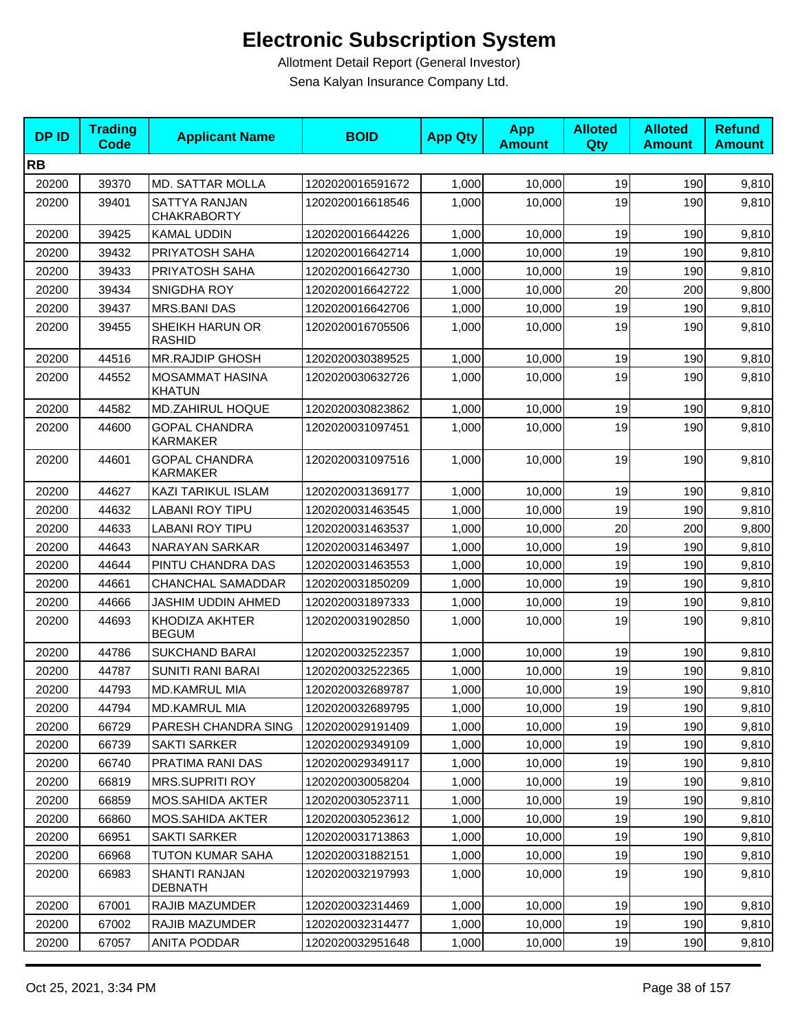| <b>DPID</b> | <b>Trading</b><br><b>Code</b> | <b>Applicant Name</b>                      | <b>BOID</b>      | <b>App Qty</b> | <b>App</b><br><b>Amount</b> | <b>Alloted</b><br><b>Qty</b> | <b>Alloted</b><br><b>Amount</b> | <b>Refund</b><br><b>Amount</b> |
|-------------|-------------------------------|--------------------------------------------|------------------|----------------|-----------------------------|------------------------------|---------------------------------|--------------------------------|
| <b>RB</b>   |                               |                                            |                  |                |                             |                              |                                 |                                |
| 20200       | 39370                         | <b>MD. SATTAR MOLLA</b>                    | 1202020016591672 | 1,000          | 10,000                      | 19                           | 190                             | 9,810                          |
| 20200       | 39401                         | <b>SATTYA RANJAN</b><br><b>CHAKRABORTY</b> | 1202020016618546 | 1,000          | 10,000                      | 19                           | 190                             | 9,810                          |
| 20200       | 39425                         | <b>KAMAL UDDIN</b>                         | 1202020016644226 | 1,000          | 10,000                      | 19                           | 190                             | 9,810                          |
| 20200       | 39432                         | PRIYATOSH SAHA                             | 1202020016642714 | 1,000          | 10,000                      | 19                           | 190                             | 9,810                          |
| 20200       | 39433                         | PRIYATOSH SAHA                             | 1202020016642730 | 1,000          | 10,000                      | 19                           | 190                             | 9,810                          |
| 20200       | 39434                         | SNIGDHA ROY                                | 1202020016642722 | 1,000          | 10,000                      | 20                           | 200                             | 9,800                          |
| 20200       | 39437                         | <b>MRS.BANI DAS</b>                        | 1202020016642706 | 1,000          | 10,000                      | 19                           | 190                             | 9,810                          |
| 20200       | 39455                         | SHEIKH HARUN OR<br><b>RASHID</b>           | 1202020016705506 | 1,000          | 10,000                      | 19                           | 190                             | 9,810                          |
| 20200       | 44516                         | <b>MR.RAJDIP GHOSH</b>                     | 1202020030389525 | 1,000          | 10,000                      | 19                           | 190                             | 9,810                          |
| 20200       | 44552                         | MOSAMMAT HASINA<br><b>KHATUN</b>           | 1202020030632726 | 1,000          | 10,000                      | 19                           | 190                             | 9,810                          |
| 20200       | 44582                         | <b>MD.ZAHIRUL HOQUE</b>                    | 1202020030823862 | 1,000          | 10,000                      | 19                           | 190                             | 9,810                          |
| 20200       | 44600                         | <b>GOPAL CHANDRA</b><br><b>KARMAKER</b>    | 1202020031097451 | 1,000          | 10,000                      | 19                           | 190                             | 9,810                          |
| 20200       | 44601                         | <b>GOPAL CHANDRA</b><br><b>KARMAKER</b>    | 1202020031097516 | 1,000          | 10,000                      | 19                           | 190                             | 9,810                          |
| 20200       | 44627                         | <b>KAZI TARIKUL ISLAM</b>                  | 1202020031369177 | 1,000          | 10,000                      | 19                           | 190                             | 9,810                          |
| 20200       | 44632                         | LABANI ROY TIPU                            | 1202020031463545 | 1,000          | 10,000                      | 19                           | 190                             | 9,810                          |
| 20200       | 44633                         | <b>LABANI ROY TIPU</b>                     | 1202020031463537 | 1,000          | 10,000                      | 20                           | 200                             | 9,800                          |
| 20200       | 44643                         | NARAYAN SARKAR                             | 1202020031463497 | 1,000          | 10,000                      | 19                           | 190                             | 9,810                          |
| 20200       | 44644                         | PINTU CHANDRA DAS                          | 1202020031463553 | 1,000          | 10,000                      | 19                           | 190                             | 9,810                          |
| 20200       | 44661                         | CHANCHAL SAMADDAR                          | 1202020031850209 | 1,000          | 10,000                      | 19                           | 190                             | 9,810                          |
| 20200       | 44666                         | JASHIM UDDIN AHMED                         | 1202020031897333 | 1,000          | 10,000                      | 19                           | 190                             | 9,810                          |
| 20200       | 44693                         | KHODIZA AKHTER<br><b>BEGUM</b>             | 1202020031902850 | 1,000          | 10,000                      | 19                           | 190                             | 9,810                          |
| 20200       | 44786                         | <b>SUKCHAND BARAI</b>                      | 1202020032522357 | 1,000          | 10,000                      | 19                           | 190                             | 9,810                          |
| 20200       | 44787                         | <b>SUNITI RANI BARAI</b>                   | 1202020032522365 | 1,000          | 10,000                      | 19                           | 190                             | 9,810                          |
| 20200       | 44793                         | <b>MD.KAMRUL MIA</b>                       | 1202020032689787 | 1,000          | 10,000                      | 19                           | 190                             | 9,810                          |
| 20200       | 44794                         | <b>MD.KAMRUL MIA</b>                       | 1202020032689795 | 1,000          | 10,000                      | 19                           | 190                             | 9,810                          |
| 20200       | 66729                         | PARESH CHANDRA SING                        | 1202020029191409 | 1,000          | 10,000                      | 19                           | 190                             | 9,810                          |
| 20200       | 66739                         | <b>SAKTI SARKER</b>                        | 1202020029349109 | 1,000          | 10,000                      | 19                           | 190                             | 9,810                          |
| 20200       | 66740                         | PRATIMA RANI DAS                           | 1202020029349117 | 1,000          | 10,000                      | 19                           | 190                             | 9,810                          |
| 20200       | 66819                         | <b>MRS.SUPRITI ROY</b>                     | 1202020030058204 | 1,000          | 10,000                      | 19                           | 190                             | 9,810                          |
| 20200       | 66859                         | <b>MOS.SAHIDA AKTER</b>                    | 1202020030523711 | 1,000          | 10,000                      | 19                           | 190                             | 9,810                          |
| 20200       | 66860                         | MOS.SAHIDA AKTER                           | 1202020030523612 | 1,000          | 10,000                      | 19                           | 190                             | 9,810                          |
| 20200       | 66951                         | <b>SAKTI SARKER</b>                        | 1202020031713863 | 1,000          | 10,000                      | 19                           | 190                             | 9,810                          |
| 20200       | 66968                         | TUTON KUMAR SAHA                           | 1202020031882151 | 1,000          | 10,000                      | 19                           | 190                             | 9,810                          |
| 20200       | 66983                         | <b>SHANTI RANJAN</b><br><b>DEBNATH</b>     | 1202020032197993 | 1,000          | 10,000                      | 19                           | 190                             | 9,810                          |
| 20200       | 67001                         | RAJIB MAZUMDER                             | 1202020032314469 | 1,000          | 10,000                      | 19                           | 190                             | 9,810                          |
| 20200       | 67002                         | RAJIB MAZUMDER                             | 1202020032314477 | 1,000          | 10,000                      | 19                           | 190                             | 9,810                          |
| 20200       | 67057                         | <b>ANITA PODDAR</b>                        | 1202020032951648 | 1,000          | 10,000                      | 19                           | 190                             | 9,810                          |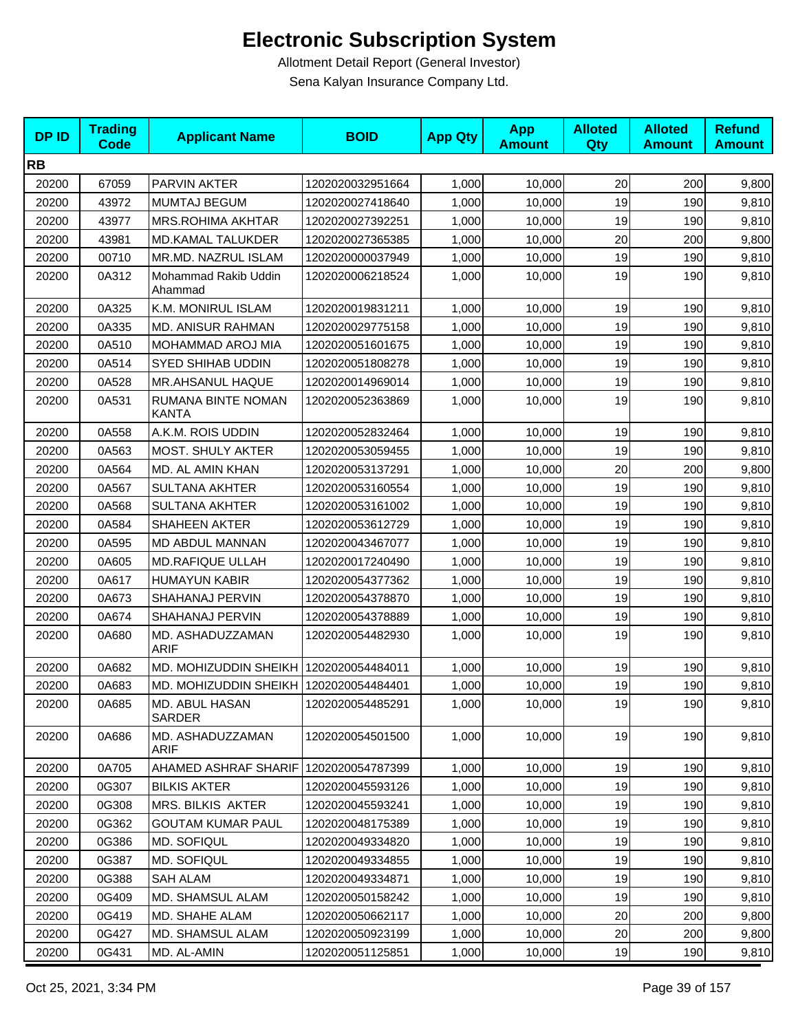| <b>DPID</b> | <b>Trading</b><br><b>Code</b> | <b>Applicant Name</b>                   | <b>BOID</b>      | <b>App Qty</b> | <b>App</b><br><b>Amount</b> | <b>Alloted</b><br>Qty | <b>Alloted</b><br><b>Amount</b> | <b>Refund</b><br><b>Amount</b> |
|-------------|-------------------------------|-----------------------------------------|------------------|----------------|-----------------------------|-----------------------|---------------------------------|--------------------------------|
| <b>RB</b>   |                               |                                         |                  |                |                             |                       |                                 |                                |
| 20200       | 67059                         | PARVIN AKTER                            | 1202020032951664 | 1,000          | 10,000                      | 20                    | 200                             | 9,800                          |
| 20200       | 43972                         | MUMTAJ BEGUM                            | 1202020027418640 | 1,000          | 10,000                      | 19                    | 190                             | 9,810                          |
| 20200       | 43977                         | MRS.ROHIMA AKHTAR                       | 1202020027392251 | 1,000          | 10,000                      | 19                    | 190                             | 9,810                          |
| 20200       | 43981                         | MD.KAMAL TALUKDER                       | 1202020027365385 | 1,000          | 10,000                      | 20                    | 200                             | 9,800                          |
| 20200       | 00710                         | MR.MD. NAZRUL ISLAM                     | 1202020000037949 | 1,000          | 10,000                      | 19                    | 190                             | 9,810                          |
| 20200       | 0A312                         | Mohammad Rakib Uddin<br>Ahammad         | 1202020006218524 | 1,000          | 10,000                      | 19                    | 190                             | 9,810                          |
| 20200       | 0A325                         | K.M. MONIRUL ISLAM                      | 1202020019831211 | 1,000          | 10,000                      | 19                    | 190                             | 9,810                          |
| 20200       | 0A335                         | MD. ANISUR RAHMAN                       | 1202020029775158 | 1,000          | 10,000                      | 19                    | 190                             | 9,810                          |
| 20200       | 0A510                         | MOHAMMAD AROJ MIA                       | 1202020051601675 | 1,000          | 10,000                      | 19                    | 190                             | 9,810                          |
| 20200       | 0A514                         | <b>SYED SHIHAB UDDIN</b>                | 1202020051808278 | 1,000          | 10,000                      | 19                    | 190                             | 9,810                          |
| 20200       | 0A528                         | MR.AHSANUL HAQUE                        | 1202020014969014 | 1,000          | 10,000                      | 19                    | 190                             | 9,810                          |
| 20200       | 0A531                         | RUMANA BINTE NOMAN<br><b>KANTA</b>      | 1202020052363869 | 1,000          | 10,000                      | 19                    | 190                             | 9,810                          |
| 20200       | 0A558                         | A.K.M. ROIS UDDIN                       | 1202020052832464 | 1,000          | 10,000                      | 19                    | 190                             | 9,810                          |
| 20200       | 0A563                         | MOST. SHULY AKTER                       | 1202020053059455 | 1,000          | 10,000                      | 19                    | 190                             | 9,810                          |
| 20200       | 0A564                         | MD. AL AMIN KHAN                        | 1202020053137291 | 1,000          | 10,000                      | 20                    | 200                             | 9,800                          |
| 20200       | 0A567                         | <b>SULTANA AKHTER</b>                   | 1202020053160554 | 1,000          | 10,000                      | 19                    | 190                             | 9,810                          |
| 20200       | 0A568                         | <b>SULTANA AKHTER</b>                   | 1202020053161002 | 1,000          | 10,000                      | 19                    | 190                             | 9,810                          |
| 20200       | 0A584                         | SHAHEEN AKTER                           | 1202020053612729 | 1,000          | 10,000                      | 19                    | 190                             | 9,810                          |
| 20200       | 0A595                         | MD ABDUL MANNAN                         | 1202020043467077 | 1,000          | 10,000                      | 19                    | 190                             | 9,810                          |
| 20200       | 0A605                         | MD.RAFIQUE ULLAH                        | 1202020017240490 | 1,000          | 10,000                      | 19                    | 190                             | 9,810                          |
| 20200       | 0A617                         | <b>HUMAYUN KABIR</b>                    | 1202020054377362 | 1,000          | 10,000                      | 19                    | 190                             | 9,810                          |
| 20200       | 0A673                         | SHAHANAJ PERVIN                         | 1202020054378870 | 1,000          | 10,000                      | 19                    | 190                             | 9,810                          |
| 20200       | 0A674                         | SHAHANAJ PERVIN                         | 1202020054378889 | 1,000          | 10,000                      | 19                    | 190                             | 9,810                          |
| 20200       | 0A680                         | MD. ASHADUZZAMAN<br><b>ARIF</b>         | 1202020054482930 | 1,000          | 10,000                      | 19                    | 190                             | 9,810                          |
| 20200       | 0A682                         | MD. MOHIZUDDIN SHEIKH 1202020054484011  |                  | 1,000          | 10,000                      | 19                    | 190                             | 9,810                          |
| 20200       | 0A683                         | MD. MOHIZUDDIN SHEIKH 1202020054484401  |                  | 1,000          | 10,000                      | 19                    | 190                             | 9,810                          |
| 20200       | 0A685                         | MD. ABUL HASAN<br><b>SARDER</b>         | 1202020054485291 | 1,000          | 10,000                      | 19                    | 190                             | 9,810                          |
| 20200       | 0A686                         | MD. ASHADUZZAMAN<br>ARIF                | 1202020054501500 | 1,000          | 10,000                      | 19                    | 190                             | 9,810                          |
| 20200       | 0A705                         | AHAMED ASHRAF SHARIF   1202020054787399 |                  | 1,000          | 10,000                      | 19                    | 190                             | 9,810                          |
| 20200       | 0G307                         | <b>BILKIS AKTER</b>                     | 1202020045593126 | 1,000          | 10,000                      | 19                    | 190                             | 9,810                          |
| 20200       | 0G308                         | <b>MRS. BILKIS AKTER</b>                | 1202020045593241 | 1,000          | 10,000                      | 19                    | 190                             | 9,810                          |
| 20200       | 0G362                         | <b>GOUTAM KUMAR PAUL</b>                | 1202020048175389 | 1,000          | 10,000                      | 19                    | 190                             | 9,810                          |
| 20200       | 0G386                         | MD. SOFIQUL                             | 1202020049334820 | 1,000          | 10,000                      | 19                    | 190                             | 9,810                          |
| 20200       | 0G387                         | MD. SOFIQUL                             | 1202020049334855 | 1,000          | 10,000                      | 19                    | 190                             | 9,810                          |
| 20200       | 0G388                         | SAH ALAM                                | 1202020049334871 | 1,000          | 10,000                      | 19                    | 190                             | 9,810                          |
| 20200       | 0G409                         | MD. SHAMSUL ALAM                        | 1202020050158242 | 1,000          | 10,000                      | 19                    | 190                             | 9,810                          |
| 20200       | 0G419                         | MD. SHAHE ALAM                          | 1202020050662117 | 1,000          | 10,000                      | 20                    | 200                             | 9,800                          |
| 20200       | 0G427                         | MD. SHAMSUL ALAM                        | 1202020050923199 | 1,000          | 10,000                      | 20                    | 200                             | 9,800                          |
| 20200       | 0G431                         | MD. AL-AMIN                             | 1202020051125851 | 1,000          | 10,000                      | 19                    | 190                             | 9,810                          |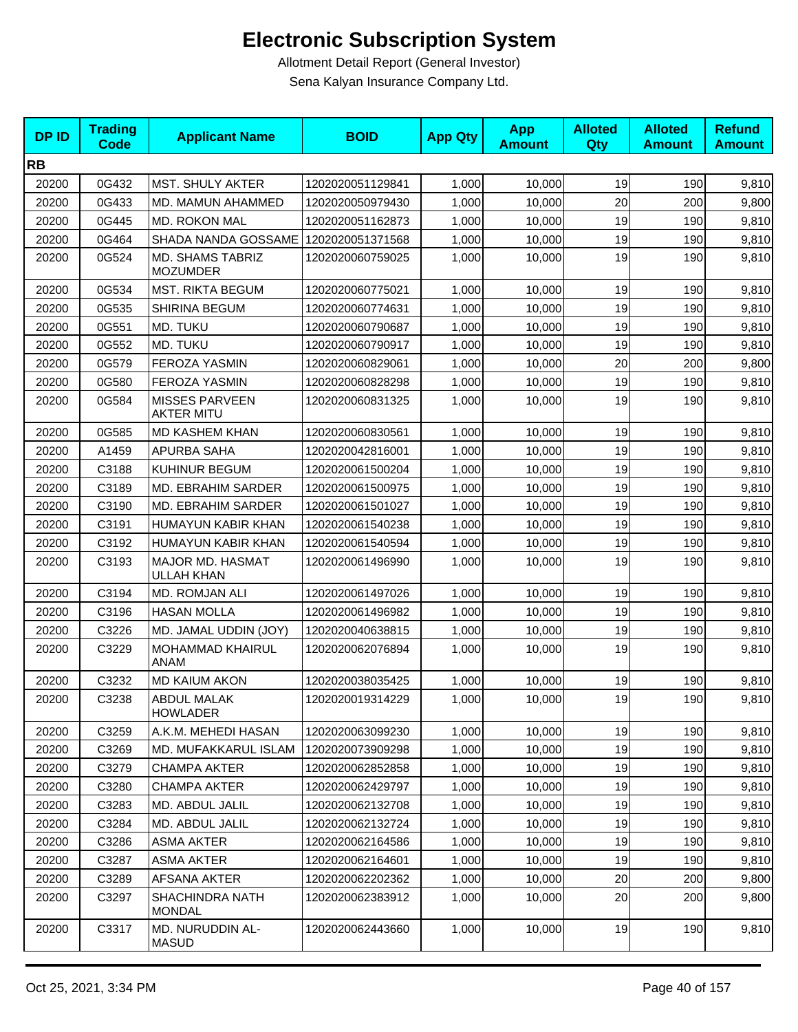| <b>DPID</b> | <b>Trading</b><br><b>Code</b> | <b>Applicant Name</b>                      | <b>BOID</b>      | <b>App Qty</b> | <b>App</b><br><b>Amount</b> | <b>Alloted</b><br><b>Qty</b> | <b>Alloted</b><br><b>Amount</b> | <b>Refund</b><br><b>Amount</b> |
|-------------|-------------------------------|--------------------------------------------|------------------|----------------|-----------------------------|------------------------------|---------------------------------|--------------------------------|
| <b>RB</b>   |                               |                                            |                  |                |                             |                              |                                 |                                |
| 20200       | 0G432                         | MST. SHULY AKTER                           | 1202020051129841 | 1,000          | 10,000                      | 19                           | 190                             | 9,810                          |
| 20200       | 0G433                         | MD. MAMUN AHAMMED                          | 1202020050979430 | 1,000          | 10,000                      | 20                           | 200                             | 9,800                          |
| 20200       | 0G445                         | <b>MD. ROKON MAL</b>                       | 1202020051162873 | 1,000          | 10,000                      | 19                           | 190                             | 9,810                          |
| 20200       | 0G464                         | SHADA NANDA GOSSAME                        | 1202020051371568 | 1,000          | 10,000                      | 19                           | 190                             | 9,810                          |
| 20200       | 0G524                         | MD. SHAMS TABRIZ<br><b>MOZUMDER</b>        | 1202020060759025 | 1,000          | 10,000                      | 19                           | 190                             | 9,810                          |
| 20200       | 0G534                         | <b>MST. RIKTA BEGUM</b>                    | 1202020060775021 | 1,000          | 10,000                      | 19                           | 190                             | 9,810                          |
| 20200       | 0G535                         | SHIRINA BEGUM                              | 1202020060774631 | 1,000          | 10,000                      | 19                           | 190                             | 9,810                          |
| 20200       | 0G551                         | MD. TUKU                                   | 1202020060790687 | 1,000          | 10,000                      | 19                           | 190                             | 9,810                          |
| 20200       | 0G552                         | MD. TUKU                                   | 1202020060790917 | 1,000          | 10,000                      | 19                           | 190                             | 9,810                          |
| 20200       | 0G579                         | <b>FEROZA YASMIN</b>                       | 1202020060829061 | 1,000          | 10,000                      | 20                           | 200                             | 9,800                          |
| 20200       | 0G580                         | <b>FEROZA YASMIN</b>                       | 1202020060828298 | 1,000          | 10,000                      | 19                           | 190                             | 9,810                          |
| 20200       | 0G584                         | <b>MISSES PARVEEN</b><br><b>AKTER MITU</b> | 1202020060831325 | 1,000          | 10,000                      | 19                           | 190                             | 9,810                          |
| 20200       | 0G585                         | <b>MD KASHEM KHAN</b>                      | 1202020060830561 | 1,000          | 10,000                      | 19                           | 190                             | 9,810                          |
| 20200       | A1459                         | <b>APURBA SAHA</b>                         | 1202020042816001 | 1,000          | 10,000                      | 19                           | 190                             | 9,810                          |
| 20200       | C3188                         | KUHINUR BEGUM                              | 1202020061500204 | 1,000          | 10,000                      | 19                           | 190                             | 9,810                          |
| 20200       | C3189                         | MD. EBRAHIM SARDER                         | 1202020061500975 | 1,000          | 10,000                      | 19                           | 190                             | 9,810                          |
| 20200       | C3190                         | MD. EBRAHIM SARDER                         | 1202020061501027 | 1,000          | 10,000                      | 19                           | 190                             | 9,810                          |
| 20200       | C3191                         | HUMAYUN KABIR KHAN                         | 1202020061540238 | 1,000          | 10,000                      | 19                           | 190                             | 9,810                          |
| 20200       | C3192                         | HUMAYUN KABIR KHAN                         | 1202020061540594 | 1,000          | 10,000                      | 19                           | 190                             | 9,810                          |
| 20200       | C3193                         | MAJOR MD. HASMAT<br><b>ULLAH KHAN</b>      | 1202020061496990 | 1,000          | 10,000                      | 19                           | 190                             | 9,810                          |
| 20200       | C3194                         | MD. ROMJAN ALI                             | 1202020061497026 | 1,000          | 10,000                      | 19                           | 190                             | 9,810                          |
| 20200       | C3196                         | <b>HASAN MOLLA</b>                         | 1202020061496982 | 1,000          | 10,000                      | 19                           | 190                             | 9,810                          |
| 20200       | C3226                         | MD. JAMAL UDDIN (JOY)                      | 1202020040638815 | 1,000          | 10,000                      | 19                           | 190                             | 9,810                          |
| 20200       | C3229                         | MOHAMMAD KHAIRUL<br>ANAM                   | 1202020062076894 | 1,000          | 10,000                      | 19                           | 190                             | 9,810                          |
| 20200       | C3232                         | <b>MD KAIUM AKON</b>                       | 1202020038035425 | 1,000          | 10,000                      | 19                           | 190                             | 9,810                          |
| 20200       | C3238                         | ABDUL MALAK<br><b>HOWLADER</b>             | 1202020019314229 | 1,000          | 10,000                      | 19                           | 190                             | 9,810                          |
| 20200       | C3259                         | A.K.M. MEHEDI HASAN                        | 1202020063099230 | 1,000          | 10,000                      | 19                           | 190                             | 9,810                          |
| 20200       | C3269                         | MD. MUFAKKARUL ISLAM                       | 1202020073909298 | 1,000          | 10,000                      | 19                           | 190                             | 9,810                          |
| 20200       | C3279                         | <b>CHAMPA AKTER</b>                        | 1202020062852858 | 1,000          | 10,000                      | 19                           | 190                             | 9,810                          |
| 20200       | C3280                         | <b>CHAMPA AKTER</b>                        | 1202020062429797 | 1,000          | 10,000                      | 19                           | 190                             | 9,810                          |
| 20200       | C3283                         | MD. ABDUL JALIL                            | 1202020062132708 | 1,000          | 10,000                      | 19                           | 190                             | 9,810                          |
| 20200       | C3284                         | <b>MD. ABDUL JALIL</b>                     | 1202020062132724 | 1,000          | 10,000                      | 19                           | 190                             | 9,810                          |
| 20200       | C3286                         | <b>ASMA AKTER</b>                          | 1202020062164586 | 1,000          | 10,000                      | 19                           | 190                             | 9,810                          |
| 20200       | C3287                         | <b>ASMA AKTER</b>                          | 1202020062164601 | 1,000          | 10,000                      | 19                           | 190                             | 9,810                          |
| 20200       | C3289                         | <b>AFSANA AKTER</b>                        | 1202020062202362 | 1,000          | 10,000                      | 20                           | 200                             | 9,800                          |
| 20200       | C3297                         | <b>SHACHINDRA NATH</b><br><b>MONDAL</b>    | 1202020062383912 | 1,000          | 10,000                      | 20                           | 200                             | 9,800                          |
| 20200       | C3317                         | MD. NURUDDIN AL-<br><b>MASUD</b>           | 1202020062443660 | 1,000          | 10,000                      | 19                           | 190                             | 9,810                          |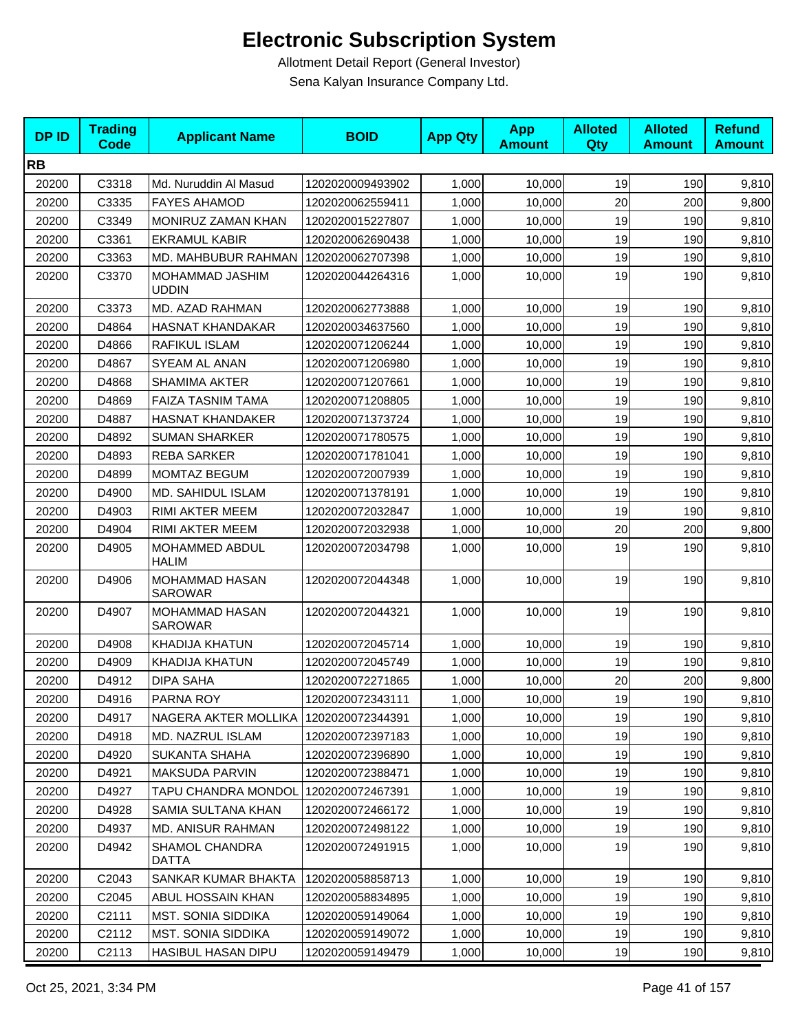| <b>DPID</b> | <b>Trading</b><br><b>Code</b> | <b>Applicant Name</b>                   | <b>BOID</b>      | <b>App Qty</b> | <b>App</b><br><b>Amount</b> | <b>Alloted</b><br>Qty | <b>Alloted</b><br><b>Amount</b> | <b>Refund</b><br><b>Amount</b> |
|-------------|-------------------------------|-----------------------------------------|------------------|----------------|-----------------------------|-----------------------|---------------------------------|--------------------------------|
| <b>RB</b>   |                               |                                         |                  |                |                             |                       |                                 |                                |
| 20200       | C3318                         | Md. Nuruddin Al Masud                   | 1202020009493902 | 1,000          | 10,000                      | 19                    | 190                             | 9,810                          |
| 20200       | C3335                         | <b>FAYES AHAMOD</b>                     | 1202020062559411 | 1,000          | 10,000                      | 20                    | 200                             | 9,800                          |
| 20200       | C3349                         | MONIRUZ ZAMAN KHAN                      | 1202020015227807 | 1,000          | 10,000                      | 19                    | 190                             | 9,810                          |
| 20200       | C3361                         | <b>EKRAMUL KABIR</b>                    | 1202020062690438 | 1,000          | 10,000                      | 19                    | 190                             | 9,810                          |
| 20200       | C3363                         | MD. MAHBUBUR RAHMAN                     | 1202020062707398 | 1,000          | 10,000                      | 19                    | 190                             | 9,810                          |
| 20200       | C3370                         | MOHAMMAD JASHIM<br><b>UDDIN</b>         | 1202020044264316 | 1.000          | 10,000                      | 19                    | 190                             | 9,810                          |
| 20200       | C3373                         | <b>MD. AZAD RAHMAN</b>                  | 1202020062773888 | 1,000          | 10,000                      | 19                    | 190                             | 9,810                          |
| 20200       | D4864                         | <b>HASNAT KHANDAKAR</b>                 | 1202020034637560 | 1,000          | 10,000                      | 19                    | 190                             | 9,810                          |
| 20200       | D4866                         | <b>RAFIKUL ISLAM</b>                    | 1202020071206244 | 1,000          | 10,000                      | 19                    | 190                             | 9,810                          |
| 20200       | D4867                         | SYEAM AL ANAN                           | 1202020071206980 | 1,000          | 10,000                      | 19                    | 190                             | 9,810                          |
| 20200       | D4868                         | <b>SHAMIMA AKTER</b>                    | 1202020071207661 | 1,000          | 10,000                      | 19                    | 190                             | 9,810                          |
| 20200       | D4869                         | FAIZA TASNIM TAMA                       | 1202020071208805 | 1,000          | 10,000                      | 19                    | 190                             | 9,810                          |
| 20200       | D4887                         | <b>HASNAT KHANDAKER</b>                 | 1202020071373724 | 1,000          | 10.000                      | 19                    | 190                             | 9,810                          |
| 20200       | D4892                         | <b>SUMAN SHARKER</b>                    | 1202020071780575 | 1,000          | 10,000                      | 19                    | 190                             | 9,810                          |
| 20200       | D4893                         | <b>REBA SARKER</b>                      | 1202020071781041 | 1,000          | 10,000                      | 19                    | 190                             | 9,810                          |
| 20200       | D4899                         | <b>MOMTAZ BEGUM</b>                     | 1202020072007939 | 1,000          | 10,000                      | 19                    | 190                             | 9,810                          |
| 20200       | D4900                         | MD. SAHIDUL ISLAM                       | 1202020071378191 | 1,000          | 10,000                      | 19                    | 190                             | 9,810                          |
| 20200       | D4903                         | RIMI AKTER MEEM                         | 1202020072032847 | 1,000          | 10,000                      | 19                    | 190                             | 9,810                          |
| 20200       | D4904                         | RIMI AKTER MEEM                         | 1202020072032938 | 1,000          | 10,000                      | 20                    | 200                             | 9,800                          |
| 20200       | D4905                         | MOHAMMED ABDUL<br><b>HALIM</b>          | 1202020072034798 | 1,000          | 10,000                      | 19                    | 190                             | 9,810                          |
| 20200       | D4906                         | MOHAMMAD HASAN<br><b>SAROWAR</b>        | 1202020072044348 | 1,000          | 10,000                      | 19                    | 190                             | 9,810                          |
| 20200       | D4907                         | MOHAMMAD HASAN<br>SAROWAR               | 1202020072044321 | 1,000          | 10,000                      | 19                    | 190                             | 9,810                          |
| 20200       | D4908                         | <b>KHADIJA KHATUN</b>                   | 1202020072045714 | 1,000          | 10,000                      | 19                    | 190                             | 9,810                          |
| 20200       | D4909                         | <b>KHADIJA KHATUN</b>                   | 1202020072045749 | 1,000          | 10,000                      | 19                    | 190                             | 9,810                          |
| 20200       | D4912                         | <b>DIPA SAHA</b>                        | 1202020072271865 | 1,000          | 10,000                      | 20                    | 200                             | 9,800                          |
| 20200       | D4916                         | PARNA ROY                               | 1202020072343111 | 1,000          | 10,000                      | 19                    | 190                             | 9,810                          |
| 20200       | D4917                         | NAGERA AKTER MOLLIKA   1202020072344391 |                  | 1,000          | 10,000                      | 19                    | 190                             | 9,810                          |
| 20200       | D4918                         | MD. NAZRUL ISLAM                        | 1202020072397183 | 1,000          | 10,000                      | 19                    | 190                             | 9,810                          |
| 20200       | D4920                         | SUKANTA SHAHA                           | 1202020072396890 | 1,000          | 10,000                      | 19                    | 190                             | 9,810                          |
| 20200       | D4921                         | MAKSUDA PARVIN                          | 1202020072388471 | 1,000          | 10,000                      | 19                    | 190                             | 9,810                          |
| 20200       | D4927                         | TAPU CHANDRA MONDOL                     | 1202020072467391 | 1,000          | 10,000                      | 19                    | 190                             | 9,810                          |
| 20200       | D4928                         | SAMIA SULTANA KHAN                      | 1202020072466172 | 1,000          | 10,000                      | 19                    | 190                             | 9,810                          |
| 20200       | D4937                         | MD. ANISUR RAHMAN                       | 1202020072498122 | 1,000          | 10,000                      | 19                    | 190                             | 9,810                          |
| 20200       | D4942                         | SHAMOL CHANDRA<br>DATTA                 | 1202020072491915 | 1,000          | 10,000                      | 19                    | 190                             | 9,810                          |
| 20200       | C2043                         | SANKAR KUMAR BHAKTA                     | 1202020058858713 | 1,000          | 10,000                      | 19                    | 190                             | 9,810                          |
| 20200       | C2045                         | ABUL HOSSAIN KHAN                       | 1202020058834895 | 1,000          | 10,000                      | 19                    | 190                             | 9,810                          |
| 20200       | C2111                         | MST. SONIA SIDDIKA                      | 1202020059149064 | 1,000          | 10,000                      | 19                    | 190                             | 9,810                          |
| 20200       | C2112                         | MST. SONIA SIDDIKA                      | 1202020059149072 | 1,000          | 10,000                      | 19                    | 190                             | 9,810                          |
| 20200       | C2113                         | HASIBUL HASAN DIPU                      | 1202020059149479 | 1,000          | 10,000                      | 19                    | 190                             | 9,810                          |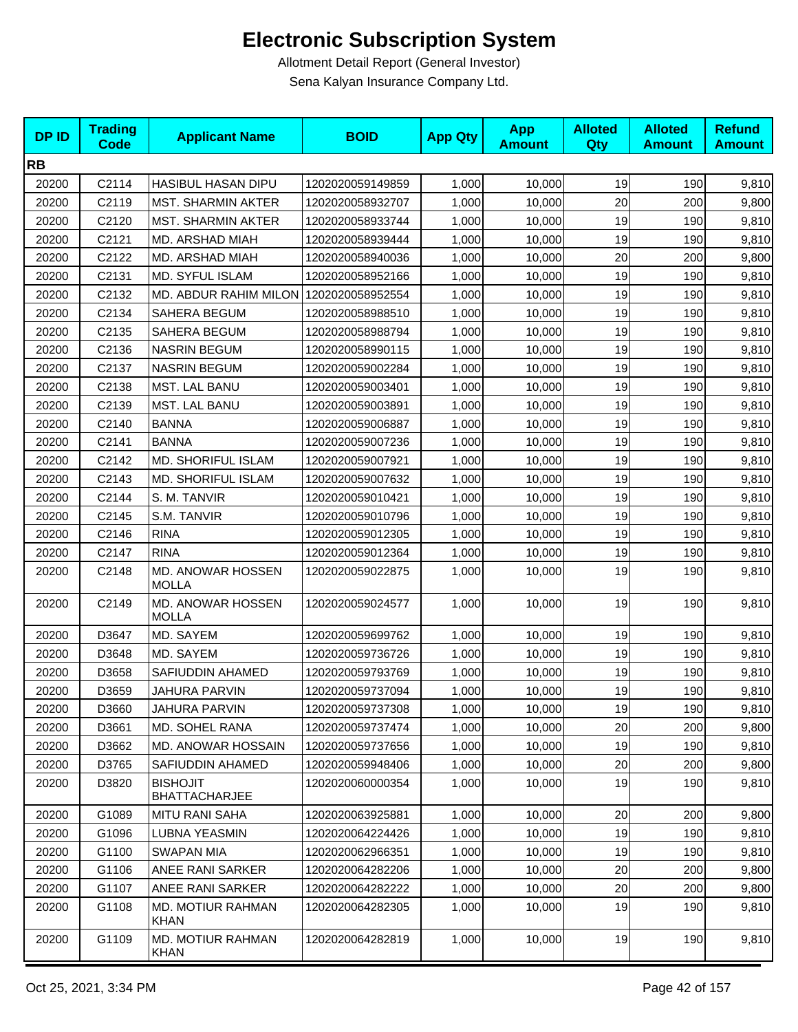| <b>DPID</b> | <b>Trading</b><br><b>Code</b> | <b>Applicant Name</b>                   | <b>BOID</b>      | <b>App Qty</b> | <b>App</b><br><b>Amount</b> | <b>Alloted</b><br>Qty | <b>Alloted</b><br><b>Amount</b> | <b>Refund</b><br><b>Amount</b> |
|-------------|-------------------------------|-----------------------------------------|------------------|----------------|-----------------------------|-----------------------|---------------------------------|--------------------------------|
| <b>RB</b>   |                               |                                         |                  |                |                             |                       |                                 |                                |
| 20200       | C2114                         | HASIBUL HASAN DIPU                      | 1202020059149859 | 1,000          | 10,000                      | 19                    | 190                             | 9,810                          |
| 20200       | C2119                         | <b>MST. SHARMIN AKTER</b>               | 1202020058932707 | 1,000          | 10,000                      | 20                    | 200                             | 9,800                          |
| 20200       | C2120                         | <b>MST. SHARMIN AKTER</b>               | 1202020058933744 | 1,000          | 10,000                      | 19                    | 190                             | 9,810                          |
| 20200       | C2121                         | MD. ARSHAD MIAH                         | 1202020058939444 | 1,000          | 10,000                      | 19                    | 190                             | 9,810                          |
| 20200       | C2122                         | MD. ARSHAD MIAH                         | 1202020058940036 | 1,000          | 10,000                      | 20                    | 200                             | 9,800                          |
| 20200       | C2131                         | MD. SYFUL ISLAM                         | 1202020058952166 | 1,000          | 10,000                      | 19                    | 190                             | 9,810                          |
| 20200       | C2132                         | MD. ABDUR RAHIM MILON 1202020058952554  |                  | 1,000          | 10,000                      | 19                    | 190                             | 9,810                          |
| 20200       | C2134                         | SAHERA BEGUM                            | 1202020058988510 | 1,000          | 10,000                      | 19                    | 190                             | 9,810                          |
| 20200       | C2135                         | SAHERA BEGUM                            | 1202020058988794 | 1,000          | 10,000                      | 19                    | 190                             | 9,810                          |
| 20200       | C2136                         | <b>NASRIN BEGUM</b>                     | 1202020058990115 | 1,000          | 10,000                      | 19                    | 190                             | 9,810                          |
| 20200       | C2137                         | <b>NASRIN BEGUM</b>                     | 1202020059002284 | 1,000          | 10,000                      | 19                    | 190                             | 9,810                          |
| 20200       | C2138                         | <b>MST. LAL BANU</b>                    | 1202020059003401 | 1,000          | 10,000                      | 19                    | 190                             | 9,810                          |
| 20200       | C2139                         | MST. LAL BANU                           | 1202020059003891 | 1,000          | 10,000                      | 19                    | 190                             | 9,810                          |
| 20200       | C2140                         | <b>BANNA</b>                            | 1202020059006887 | 1,000          | 10,000                      | 19                    | 190                             | 9,810                          |
| 20200       | C2141                         | <b>BANNA</b>                            | 1202020059007236 | 1,000          | 10,000                      | 19                    | 190                             | 9,810                          |
| 20200       | C2142                         | MD. SHORIFUL ISLAM                      | 1202020059007921 | 1,000          | 10,000                      | 19                    | 190                             | 9,810                          |
| 20200       | C2143                         | <b>MD. SHORIFUL ISLAM</b>               | 1202020059007632 | 1,000          | 10,000                      | 19                    | 190                             | 9,810                          |
| 20200       | C2144                         | S. M. TANVIR                            | 1202020059010421 | 1,000          | 10,000                      | 19                    | 190                             | 9,810                          |
| 20200       | C2145                         | S.M. TANVIR                             | 1202020059010796 | 1,000          | 10,000                      | 19                    | 190                             | 9,810                          |
| 20200       | C2146                         | <b>RINA</b>                             | 1202020059012305 | 1,000          | 10,000                      | 19                    | 190                             | 9,810                          |
| 20200       | C2147                         | <b>RINA</b>                             | 1202020059012364 | 1,000          | 10,000                      | 19                    | 190                             | 9,810                          |
| 20200       | C2148                         | MD. ANOWAR HOSSEN<br><b>MOLLA</b>       | 1202020059022875 | 1,000          | 10,000                      | 19                    | 190                             | 9,810                          |
| 20200       | C2149                         | MD. ANOWAR HOSSEN<br><b>MOLLA</b>       | 1202020059024577 | 1,000          | 10,000                      | 19                    | 190                             | 9,810                          |
| 20200       | D3647                         | MD. SAYEM                               | 1202020059699762 | 1,000          | 10,000                      | 19                    | 190                             | 9,810                          |
| 20200       | D3648                         | MD. SAYEM                               | 1202020059736726 | 1,000          | 10,000                      | 19                    | 190                             | 9,810                          |
| 20200       | D3658                         | SAFIUDDIN AHAMED                        | 1202020059793769 | 1,000          | 10,000                      | 19                    | 190                             | 9,810                          |
| 20200       | D3659                         | JAHURA PARVIN                           | 1202020059737094 | 1,000          | 10,000                      | 19                    | 190                             | 9,810                          |
| 20200       | D3660                         | <b>JAHURA PARVIN</b>                    | 1202020059737308 | 1,000          | 10,000                      | 19                    | 190                             | 9,810                          |
| 20200       | D3661                         | MD. SOHEL RANA                          | 1202020059737474 | 1,000          | 10,000                      | 20                    | 200                             | 9,800                          |
| 20200       | D3662                         | MD. ANOWAR HOSSAIN                      | 1202020059737656 | 1,000          | 10,000                      | 19                    | 190                             | 9,810                          |
| 20200       | D3765                         | SAFIUDDIN AHAMED                        | 1202020059948406 | 1,000          | 10,000                      | 20                    | 200                             | 9,800                          |
| 20200       | D3820                         | <b>BISHOJIT</b><br><b>BHATTACHARJEE</b> | 1202020060000354 | 1,000          | 10,000                      | 19                    | 190                             | 9,810                          |
| 20200       | G1089                         | MITU RANI SAHA                          | 1202020063925881 | 1,000          | 10,000                      | 20                    | 200                             | 9,800                          |
| 20200       | G1096                         | <b>LUBNA YEASMIN</b>                    | 1202020064224426 | 1,000          | 10,000                      | 19                    | 190                             | 9,810                          |
| 20200       | G1100                         | <b>SWAPAN MIA</b>                       | 1202020062966351 | 1,000          | 10,000                      | 19                    | 190                             | 9,810                          |
| 20200       | G1106                         | ANEE RANI SARKER                        | 1202020064282206 | 1,000          | 10,000                      | 20                    | 200                             | 9,800                          |
| 20200       | G1107                         | ANEE RANI SARKER                        | 1202020064282222 | 1,000          | 10,000                      | 20                    | 200                             | 9,800                          |
| 20200       | G1108                         | MD. MOTIUR RAHMAN<br><b>KHAN</b>        | 1202020064282305 | 1,000          | 10,000                      | 19                    | 190                             | 9,810                          |
| 20200       | G1109                         | MD. MOTIUR RAHMAN<br>KHAN               | 1202020064282819 | 1,000          | 10,000                      | 19                    | 190                             | 9,810                          |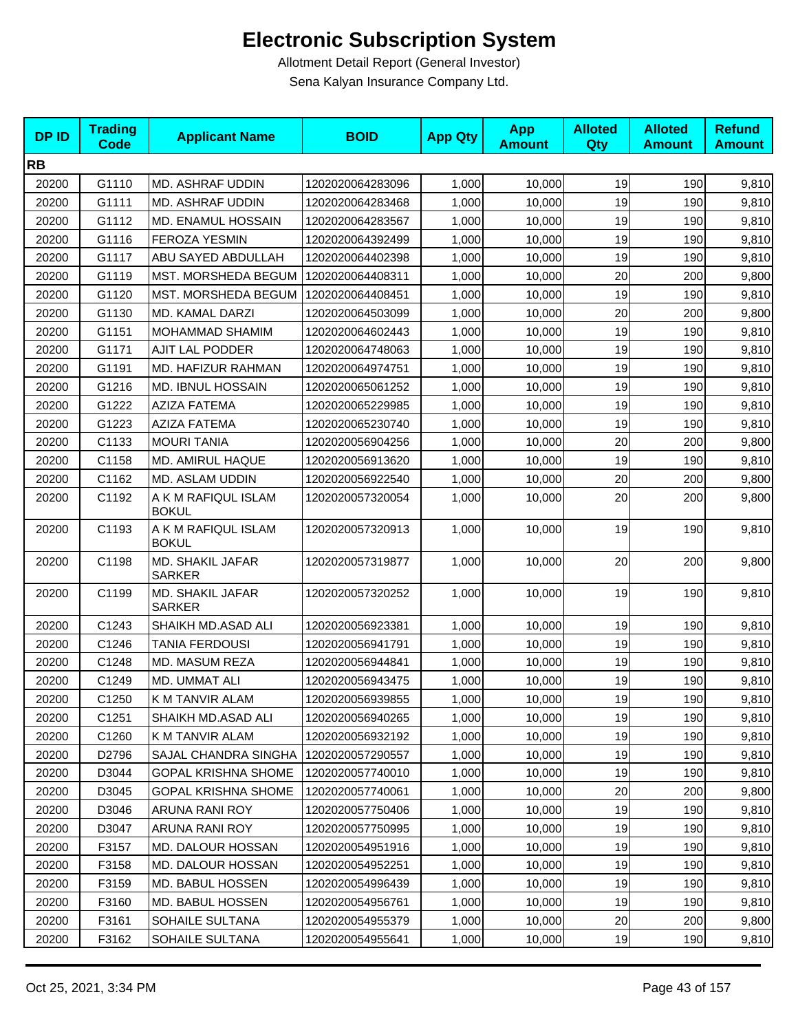| <b>DPID</b> | <b>Trading</b><br><b>Code</b> | <b>Applicant Name</b>               | <b>BOID</b>      | <b>App Qty</b> | <b>App</b><br><b>Amount</b> | <b>Alloted</b><br>Qty | <b>Alloted</b><br><b>Amount</b> | <b>Refund</b><br><b>Amount</b> |
|-------------|-------------------------------|-------------------------------------|------------------|----------------|-----------------------------|-----------------------|---------------------------------|--------------------------------|
| <b>RB</b>   |                               |                                     |                  |                |                             |                       |                                 |                                |
| 20200       | G1110                         | MD. ASHRAF UDDIN                    | 1202020064283096 | 1,000          | 10,000                      | 19                    | 190                             | 9,810                          |
| 20200       | G1111                         | <b>MD. ASHRAF UDDIN</b>             | 1202020064283468 | 1,000          | 10,000                      | 19                    | 190                             | 9,810                          |
| 20200       | G1112                         | MD. ENAMUL HOSSAIN                  | 1202020064283567 | 1,000          | 10,000                      | 19                    | 190                             | 9,810                          |
| 20200       | G1116                         | <b>FEROZA YESMIN</b>                | 1202020064392499 | 1,000          | 10,000                      | 19                    | 190                             | 9,810                          |
| 20200       | G1117                         | ABU SAYED ABDULLAH                  | 1202020064402398 | 1,000          | 10,000                      | 19                    | 190                             | 9,810                          |
| 20200       | G1119                         | MST. MORSHEDA BEGUM                 | 1202020064408311 | 1,000          | 10,000                      | 20                    | 200                             | 9,800                          |
| 20200       | G1120                         | MST. MORSHEDA BEGUM                 | 1202020064408451 | 1,000          | 10,000                      | 19                    | 190                             | 9,810                          |
| 20200       | G1130                         | MD. KAMAL DARZI                     | 1202020064503099 | 1,000          | 10,000                      | 20                    | 200                             | 9,800                          |
| 20200       | G1151                         | <b>MOHAMMAD SHAMIM</b>              | 1202020064602443 | 1,000          | 10,000                      | 19                    | 190                             | 9,810                          |
| 20200       | G1171                         | AJIT LAL PODDER                     | 1202020064748063 | 1,000          | 10,000                      | 19                    | 190                             | 9,810                          |
| 20200       | G1191                         | MD. HAFIZUR RAHMAN                  | 1202020064974751 | 1,000          | 10,000                      | 19                    | 190                             | 9,810                          |
| 20200       | G1216                         | <b>MD. IBNUL HOSSAIN</b>            | 1202020065061252 | 1,000          | 10,000                      | 19                    | 190                             | 9,810                          |
| 20200       | G1222                         | <b>AZIZA FATEMA</b>                 | 1202020065229985 | 1,000          | 10,000                      | 19                    | 190                             | 9,810                          |
| 20200       | G1223                         | <b>AZIZA FATEMA</b>                 | 1202020065230740 | 1,000          | 10,000                      | 19                    | 190                             | 9,810                          |
| 20200       | C1133                         | <b>MOURI TANIA</b>                  | 1202020056904256 | 1,000          | 10,000                      | 20                    | 200                             | 9,800                          |
| 20200       | C1158                         | MD. AMIRUL HAQUE                    | 1202020056913620 | 1,000          | 10,000                      | 19                    | 190                             | 9,810                          |
| 20200       | C1162                         | MD. ASLAM UDDIN                     | 1202020056922540 | 1,000          | 10,000                      | 20                    | 200                             | 9,800                          |
| 20200       | C1192                         | A K M RAFIQUL ISLAM<br><b>BOKUL</b> | 1202020057320054 | 1,000          | 10,000                      | 20                    | 200                             | 9,800                          |
| 20200       | C1193                         | A K M RAFIQUL ISLAM<br><b>BOKUL</b> | 1202020057320913 | 1,000          | 10,000                      | 19                    | 190                             | 9,810                          |
| 20200       | C1198                         | MD. SHAKIL JAFAR<br><b>SARKER</b>   | 1202020057319877 | 1,000          | 10,000                      | 20                    | 200                             | 9,800                          |
| 20200       | C1199                         | MD. SHAKIL JAFAR<br><b>SARKER</b>   | 1202020057320252 | 1,000          | 10,000                      | 19                    | 190                             | 9,810                          |
| 20200       | C1243                         | SHAIKH MD.ASAD ALI                  | 1202020056923381 | 1,000          | 10,000                      | 19                    | 190                             | 9,810                          |
| 20200       | C1246                         | <b>TANIA FERDOUSI</b>               | 1202020056941791 | 1,000          | 10,000                      | 19                    | 190                             | 9,810                          |
| 20200       | C1248                         | MD. MASUM REZA                      | 1202020056944841 | 1,000          | 10,000                      | 19                    | 190                             | 9,810                          |
| 20200       | C1249                         | MD. UMMAT ALI                       | 1202020056943475 | 1,000          | 10,000                      | 19                    | 190                             | 9,810                          |
| 20200       | C1250                         | K M TANVIR ALAM                     | 1202020056939855 | 1,000          | 10,000                      | 19                    | 190                             | 9,810                          |
| 20200       | C1251                         | SHAIKH MD.ASAD ALI                  | 1202020056940265 | 1,000          | 10,000                      | 19                    | 190                             | 9,810                          |
| 20200       | C1260                         | K M TANVIR ALAM                     | 1202020056932192 | 1,000          | 10,000                      | 19                    | 190                             | 9,810                          |
| 20200       | D2796                         | <b>SAJAL CHANDRA SINGHA</b>         | 1202020057290557 | 1,000          | 10,000                      | 19                    | 190                             | 9,810                          |
| 20200       | D3044                         | <b>GOPAL KRISHNA SHOME</b>          | 1202020057740010 | 1,000          | 10,000                      | 19                    | 190                             | 9,810                          |
| 20200       | D3045                         | <b>GOPAL KRISHNA SHOME</b>          | 1202020057740061 | 1,000          | 10,000                      | 20                    | 200                             | 9,800                          |
| 20200       | D3046                         | ARUNA RANI ROY                      | 1202020057750406 | 1,000          | 10,000                      | 19                    | 190                             | 9,810                          |
| 20200       | D3047                         | ARUNA RANI ROY                      | 1202020057750995 | 1,000          | 10,000                      | 19                    | 190                             | 9,810                          |
| 20200       | F3157                         | <b>MD. DALOUR HOSSAN</b>            | 1202020054951916 | 1,000          | 10,000                      | 19                    | 190                             | 9,810                          |
| 20200       | F3158                         | MD. DALOUR HOSSAN                   | 1202020054952251 | 1,000          | 10,000                      | 19                    | 190                             | 9,810                          |
| 20200       | F3159                         | MD. BABUL HOSSEN                    | 1202020054996439 | 1,000          | 10,000                      | 19                    | 190                             | 9,810                          |
| 20200       | F3160                         | MD. BABUL HOSSEN                    | 1202020054956761 | 1,000          | 10,000                      | 19                    | 190                             | 9,810                          |
| 20200       | F3161                         | SOHAILE SULTANA                     | 1202020054955379 | 1,000          | 10,000                      | 20                    | 200                             | 9,800                          |
| 20200       | F3162                         | SOHAILE SULTANA                     | 1202020054955641 | 1,000          | 10,000                      | 19                    | 190                             | 9,810                          |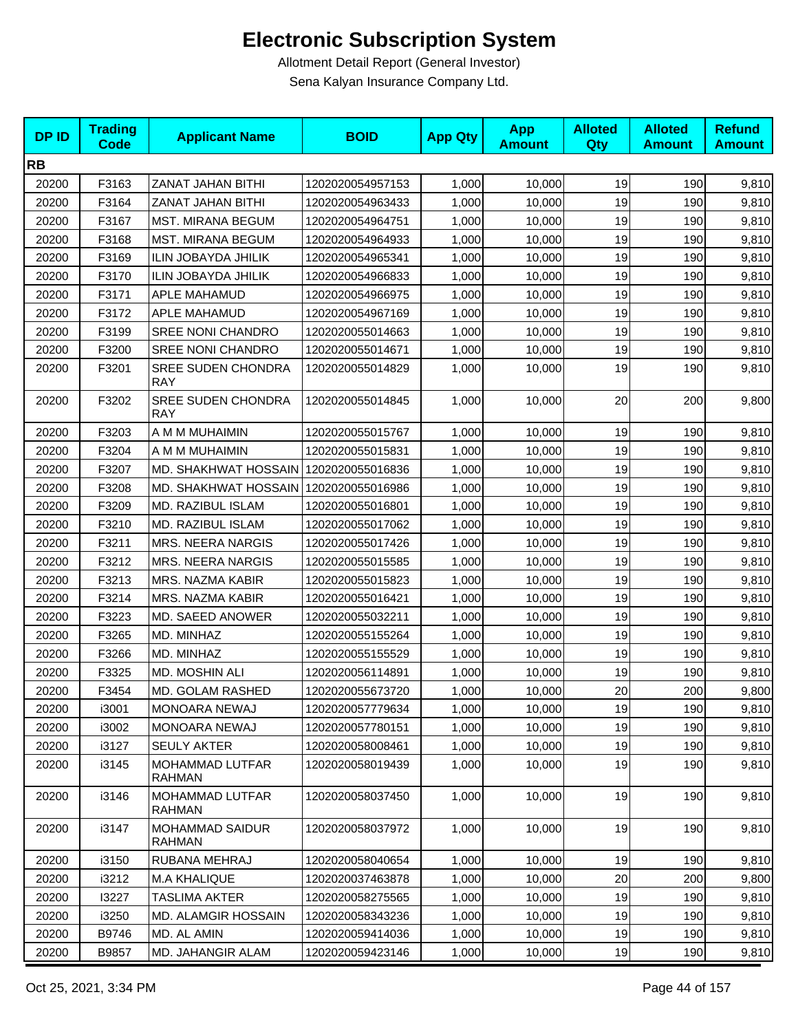| <b>DPID</b> | <b>Trading</b><br><b>Code</b> | <b>Applicant Name</b>                   | <b>BOID</b>      | <b>App Qty</b> | <b>App</b><br><b>Amount</b> | <b>Alloted</b><br>Qty | <b>Alloted</b><br><b>Amount</b> | <b>Refund</b><br><b>Amount</b> |
|-------------|-------------------------------|-----------------------------------------|------------------|----------------|-----------------------------|-----------------------|---------------------------------|--------------------------------|
| <b>RB</b>   |                               |                                         |                  |                |                             |                       |                                 |                                |
| 20200       | F3163                         | ZANAT JAHAN BITHI                       | 1202020054957153 | 1,000          | 10,000                      | 19                    | 190                             | 9,810                          |
| 20200       | F3164                         | ZANAT JAHAN BITHI                       | 1202020054963433 | 1,000          | 10,000                      | 19                    | 190                             | 9,810                          |
| 20200       | F3167                         | <b>MST. MIRANA BEGUM</b>                | 1202020054964751 | 1,000          | 10,000                      | 19                    | 190                             | 9,810                          |
| 20200       | F3168                         | <b>MST. MIRANA BEGUM</b>                | 1202020054964933 | 1,000          | 10,000                      | 19                    | 190                             | 9,810                          |
| 20200       | F3169                         | ILIN JOBAYDA JHILIK                     | 1202020054965341 | 1,000          | 10,000                      | 19                    | 190                             | 9,810                          |
| 20200       | F3170                         | ILIN JOBAYDA JHILIK                     | 1202020054966833 | 1,000          | 10,000                      | 19                    | 190                             | 9,810                          |
| 20200       | F3171                         | APLE MAHAMUD                            | 1202020054966975 | 1,000          | 10,000                      | 19                    | 190                             | 9,810                          |
| 20200       | F3172                         | APLE MAHAMUD                            | 1202020054967169 | 1,000          | 10,000                      | 19                    | 190                             | 9,810                          |
| 20200       | F3199                         | <b>SREE NONI CHANDRO</b>                | 1202020055014663 | 1,000          | 10,000                      | 19                    | 190                             | 9,810                          |
| 20200       | F3200                         | SREE NONI CHANDRO                       | 1202020055014671 | 1,000          | 10,000                      | 19                    | 190                             | 9,810                          |
| 20200       | F3201                         | <b>SREE SUDEN CHONDRA</b><br><b>RAY</b> | 1202020055014829 | 1,000          | 10,000                      | 19                    | 190                             | 9,810                          |
| 20200       | F3202                         | <b>SREE SUDEN CHONDRA</b><br><b>RAY</b> | 1202020055014845 | 1,000          | 10,000                      | 20                    | 200                             | 9,800                          |
| 20200       | F3203                         | A M M MUHAIMIN                          | 1202020055015767 | 1,000          | 10,000                      | 19                    | 190                             | 9,810                          |
| 20200       | F3204                         | A M M MUHAIMIN                          | 1202020055015831 | 1,000          | 10,000                      | 19                    | 190                             | 9,810                          |
| 20200       | F3207                         | MD. SHAKHWAT HOSSAIN 1202020055016836   |                  | 1,000          | 10,000                      | 19                    | 190                             | 9,810                          |
| 20200       | F3208                         | MD. SHAKHWAT HOSSAIN 1202020055016986   |                  | 1,000          | 10,000                      | 19                    | 190                             | 9,810                          |
| 20200       | F3209                         | MD. RAZIBUL ISLAM                       | 1202020055016801 | 1,000          | 10,000                      | 19                    | 190                             | 9,810                          |
| 20200       | F3210                         | MD. RAZIBUL ISLAM                       | 1202020055017062 | 1,000          | 10,000                      | 19                    | 190                             | 9,810                          |
| 20200       | F3211                         | <b>MRS. NEERA NARGIS</b>                | 1202020055017426 | 1,000          | 10,000                      | 19                    | 190                             | 9,810                          |
| 20200       | F3212                         | <b>MRS. NEERA NARGIS</b>                | 1202020055015585 | 1,000          | 10,000                      | 19                    | 190                             | 9,810                          |
| 20200       | F3213                         | MRS. NAZMA KABIR                        | 1202020055015823 | 1,000          | 10,000                      | 19                    | 190                             | 9,810                          |
| 20200       | F3214                         | MRS. NAZMA KABIR                        | 1202020055016421 | 1,000          | 10,000                      | 19                    | 190                             | 9,810                          |
| 20200       | F3223                         | MD. SAEED ANOWER                        | 1202020055032211 | 1,000          | 10,000                      | 19                    | 190                             | 9,810                          |
| 20200       | F3265                         | MD. MINHAZ                              | 1202020055155264 | 1,000          | 10,000                      | 19                    | 190                             | 9,810                          |
| 20200       | F3266                         | MD. MINHAZ                              | 1202020055155529 | 1,000          | 10,000                      | 19                    | 190                             | 9,810                          |
| 20200       | F3325                         | MD. MOSHIN ALI                          | 1202020056114891 | 1,000          | 10,000                      | 19                    | 190                             | 9,810                          |
| 20200       | F3454                         | MD. GOLAM RASHED                        | 1202020055673720 | 1,000          | 10,000                      | 20                    | 200                             | 9,800                          |
| 20200       | i3001                         | MONOARA NEWAJ                           | 1202020057779634 | 1,000          | 10,000                      | 19                    | 190                             | 9,810                          |
| 20200       | i3002                         | MONOARA NEWAJ                           | 1202020057780151 | 1,000          | 10,000                      | 19                    | 190                             | 9,810                          |
| 20200       | i3127                         | <b>SEULY AKTER</b>                      | 1202020058008461 | 1,000          | 10,000                      | 19                    | 190                             | 9,810                          |
| 20200       | i3145                         | MOHAMMAD LUTFAR<br><b>RAHMAN</b>        | 1202020058019439 | 1,000          | 10,000                      | 19                    | 190                             | 9,810                          |
| 20200       | i3146                         | MOHAMMAD LUTFAR<br><b>RAHMAN</b>        | 1202020058037450 | 1,000          | 10,000                      | 19                    | 190                             | 9,810                          |
| 20200       | i3147                         | MOHAMMAD SAIDUR<br><b>RAHMAN</b>        | 1202020058037972 | 1,000          | 10,000                      | 19                    | 190                             | 9,810                          |
| 20200       | i3150                         | RUBANA MEHRAJ                           | 1202020058040654 | 1,000          | 10,000                      | 19                    | 190                             | 9,810                          |
| 20200       | i3212                         | <b>M.A KHALIQUE</b>                     | 1202020037463878 | 1,000          | 10,000                      | 20                    | 200                             | 9,800                          |
| 20200       | 13227                         | <b>TASLIMA AKTER</b>                    | 1202020058275565 | 1,000          | 10,000                      | 19                    | 190                             | 9,810                          |
| 20200       | i3250                         | MD. ALAMGIR HOSSAIN                     | 1202020058343236 | 1,000          | 10,000                      | 19                    | 190                             | 9,810                          |
| 20200       | B9746                         | MD. AL AMIN                             | 1202020059414036 | 1,000          | 10,000                      | 19                    | 190                             | 9,810                          |
| 20200       | B9857                         | MD. JAHANGIR ALAM                       | 1202020059423146 | 1,000          | 10,000                      | 19                    | 190                             | 9,810                          |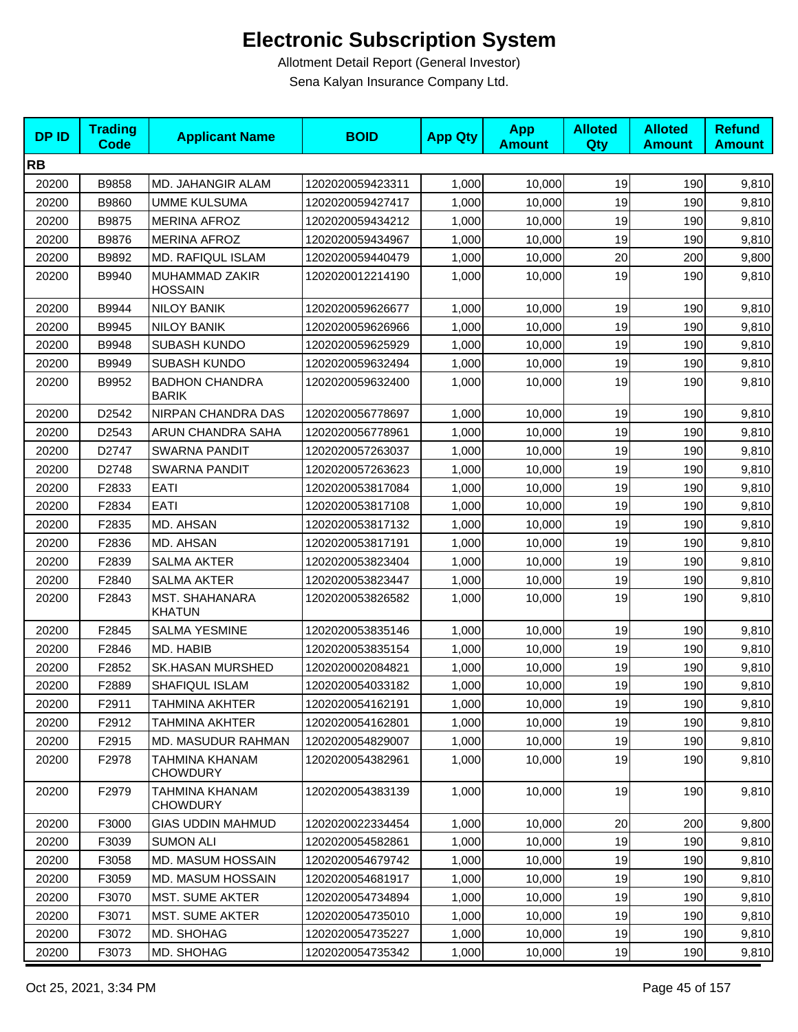| <b>DPID</b> | <b>Trading</b><br><b>Code</b> | <b>Applicant Name</b>                  | <b>BOID</b>      | <b>App Qty</b> | <b>App</b><br><b>Amount</b> | <b>Alloted</b><br>Qty | <b>Alloted</b><br><b>Amount</b> | <b>Refund</b><br><b>Amount</b> |
|-------------|-------------------------------|----------------------------------------|------------------|----------------|-----------------------------|-----------------------|---------------------------------|--------------------------------|
| <b>RB</b>   |                               |                                        |                  |                |                             |                       |                                 |                                |
| 20200       | B9858                         | MD. JAHANGIR ALAM                      | 1202020059423311 | 1,000          | 10,000                      | 19                    | 190                             | 9,810                          |
| 20200       | B9860                         | <b>UMME KULSUMA</b>                    | 1202020059427417 | 1,000          | 10,000                      | 19                    | 190                             | 9,810                          |
| 20200       | B9875                         | <b>MERINA AFROZ</b>                    | 1202020059434212 | 1,000          | 10,000                      | 19                    | 190                             | 9,810                          |
| 20200       | B9876                         | <b>MERINA AFROZ</b>                    | 1202020059434967 | 1,000          | 10,000                      | 19                    | 190                             | 9,810                          |
| 20200       | B9892                         | MD. RAFIQUL ISLAM                      | 1202020059440479 | 1,000          | 10,000                      | 20                    | 200                             | 9,800                          |
| 20200       | B9940                         | MUHAMMAD ZAKIR<br><b>HOSSAIN</b>       | 1202020012214190 | 1,000          | 10,000                      | 19                    | 190                             | 9,810                          |
| 20200       | B9944                         | <b>NILOY BANIK</b>                     | 1202020059626677 | 1,000          | 10,000                      | 19                    | 190                             | 9,810                          |
| 20200       | B9945                         | <b>NILOY BANIK</b>                     | 1202020059626966 | 1,000          | 10,000                      | 19                    | 190                             | 9,810                          |
| 20200       | B9948                         | <b>SUBASH KUNDO</b>                    | 1202020059625929 | 1,000          | 10,000                      | 19                    | 190                             | 9,810                          |
| 20200       | B9949                         | <b>SUBASH KUNDO</b>                    | 1202020059632494 | 1,000          | 10,000                      | 19                    | 190                             | 9,810                          |
| 20200       | B9952                         | <b>BADHON CHANDRA</b><br><b>BARIK</b>  | 1202020059632400 | 1,000          | 10,000                      | 19                    | 190                             | 9,810                          |
| 20200       | D2542                         | NIRPAN CHANDRA DAS                     | 1202020056778697 | 1,000          | 10,000                      | 19                    | 190                             | 9,810                          |
| 20200       | D2543                         | ARUN CHANDRA SAHA                      | 1202020056778961 | 1,000          | 10,000                      | 19                    | 190                             | 9,810                          |
| 20200       | D2747                         | SWARNA PANDIT                          | 1202020057263037 | 1,000          | 10,000                      | 19                    | 190                             | 9,810                          |
| 20200       | D2748                         | <b>SWARNA PANDIT</b>                   | 1202020057263623 | 1,000          | 10,000                      | 19                    | 190                             | 9,810                          |
| 20200       | F2833                         | EATI                                   | 1202020053817084 | 1,000          | 10,000                      | 19                    | 190                             | 9,810                          |
| 20200       | F2834                         | EATI                                   | 1202020053817108 | 1,000          | 10,000                      | 19                    | 190                             | 9,810                          |
| 20200       | F2835                         | MD. AHSAN                              | 1202020053817132 | 1,000          | 10,000                      | 19                    | 190                             | 9,810                          |
| 20200       | F2836                         | MD. AHSAN                              | 1202020053817191 | 1,000          | 10,000                      | 19                    | 190                             | 9,810                          |
| 20200       | F2839                         | <b>SALMA AKTER</b>                     | 1202020053823404 | 1,000          | 10,000                      | 19                    | 190                             | 9,810                          |
| 20200       | F2840                         | <b>SALMA AKTER</b>                     | 1202020053823447 | 1,000          | 10,000                      | 19                    | 190                             | 9,810                          |
| 20200       | F2843                         | <b>MST. SHAHANARA</b><br><b>KHATUN</b> | 1202020053826582 | 1,000          | 10,000                      | 19                    | 190                             | 9,810                          |
| 20200       | F2845                         | <b>SALMA YESMINE</b>                   | 1202020053835146 | 1,000          | 10,000                      | 19                    | 190                             | 9,810                          |
| 20200       | F2846                         | MD. HABIB                              | 1202020053835154 | 1,000          | 10,000                      | 19                    | 190                             | 9,810                          |
| 20200       | F2852                         | <b>SK.HASAN MURSHED</b>                | 1202020002084821 | 1,000          | 10,000                      | 19                    | 190                             | 9,810                          |
| 20200       | F2889                         | SHAFIQUL ISLAM                         | 1202020054033182 | 1,000          | 10,000                      | 19                    | 190                             | 9,810                          |
| 20200       | F2911                         | TAHMINA AKHTER                         | 1202020054162191 | 1,000          | 10,000                      | 19                    | 190                             | 9,810                          |
| 20200       | F2912                         | TAHMINA AKHTER                         | 1202020054162801 | 1,000          | 10,000                      | 19                    | 190                             | 9,810                          |
| 20200       | F2915                         | MD. MASUDUR RAHMAN                     | 1202020054829007 | 1,000          | 10,000                      | 19                    | 190                             | 9,810                          |
| 20200       | F2978                         | TAHMINA KHANAM<br><b>CHOWDURY</b>      | 1202020054382961 | 1,000          | 10,000                      | 19                    | 190                             | 9,810                          |
| 20200       | F2979                         | TAHMINA KHANAM<br><b>CHOWDURY</b>      | 1202020054383139 | 1,000          | 10,000                      | 19                    | 190                             | 9,810                          |
| 20200       | F3000                         | <b>GIAS UDDIN MAHMUD</b>               | 1202020022334454 | 1,000          | 10,000                      | 20                    | 200                             | 9,800                          |
| 20200       | F3039                         | <b>SUMON ALI</b>                       | 1202020054582861 | 1,000          | 10,000                      | 19                    | 190                             | 9,810                          |
| 20200       | F3058                         | MD. MASUM HOSSAIN                      | 1202020054679742 | 1,000          | 10,000                      | 19                    | 190                             | 9,810                          |
| 20200       | F3059                         | <b>MD. MASUM HOSSAIN</b>               | 1202020054681917 | 1,000          | 10,000                      | 19                    | 190                             | 9,810                          |
| 20200       | F3070                         | <b>MST. SUME AKTER</b>                 | 1202020054734894 | 1,000          | 10,000                      | 19                    | 190                             | 9,810                          |
| 20200       | F3071                         | <b>MST. SUME AKTER</b>                 | 1202020054735010 | 1,000          | 10,000                      | 19                    | 190                             | 9,810                          |
| 20200       | F3072                         | MD. SHOHAG                             | 1202020054735227 | 1,000          | 10,000                      | 19                    | 190                             | 9,810                          |
| 20200       | F3073                         | MD. SHOHAG                             | 1202020054735342 | 1,000          | 10,000                      | 19                    | 190                             | 9,810                          |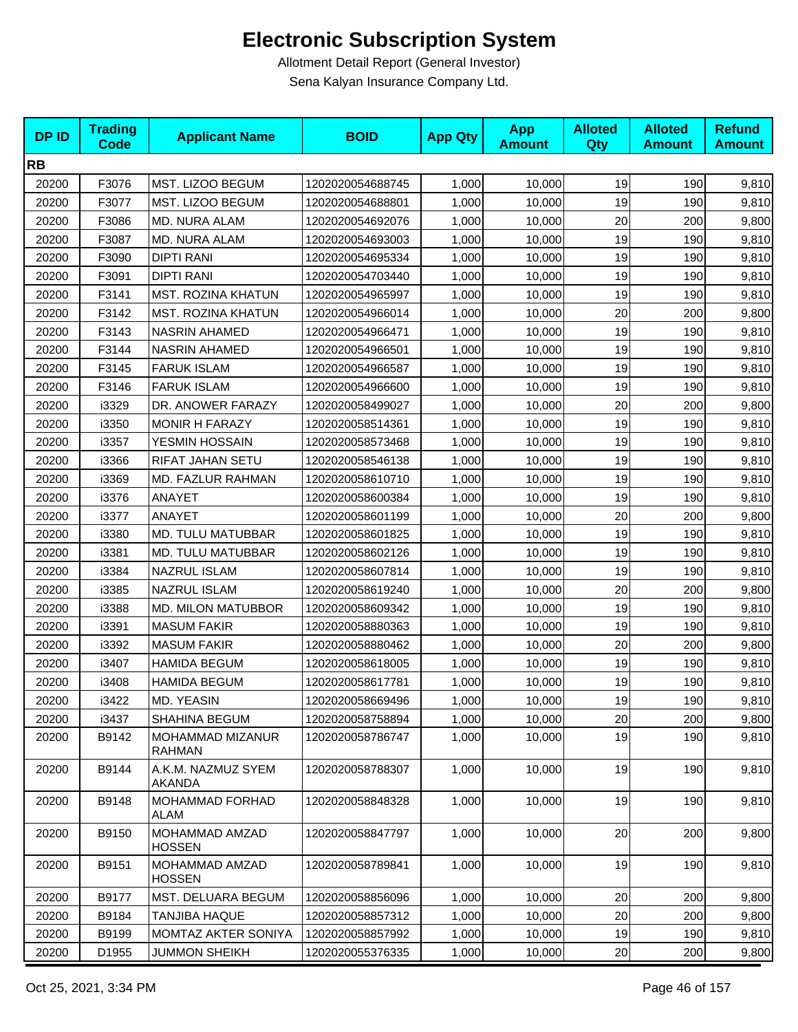| <b>DPID</b> | <b>Trading</b><br><b>Code</b> | <b>Applicant Name</b>             | <b>BOID</b>      | <b>App Qty</b> | <b>App</b><br><b>Amount</b> | <b>Alloted</b><br>Qty | <b>Alloted</b><br><b>Amount</b> | <b>Refund</b><br><b>Amount</b> |
|-------------|-------------------------------|-----------------------------------|------------------|----------------|-----------------------------|-----------------------|---------------------------------|--------------------------------|
| <b>RB</b>   |                               |                                   |                  |                |                             |                       |                                 |                                |
| 20200       | F3076                         | MST. LIZOO BEGUM                  | 1202020054688745 | 1,000          | 10,000                      | 19                    | 190                             | 9,810                          |
| 20200       | F3077                         | MST. LIZOO BEGUM                  | 1202020054688801 | 1,000          | 10,000                      | 19                    | 190                             | 9,810                          |
| 20200       | F3086                         | MD. NURA ALAM                     | 1202020054692076 | 1,000          | 10,000                      | 20                    | 200                             | 9,800                          |
| 20200       | F3087                         | MD. NURA ALAM                     | 1202020054693003 | 1,000          | 10,000                      | 19                    | 190                             | 9,810                          |
| 20200       | F3090                         | <b>DIPTI RANI</b>                 | 1202020054695334 | 1,000          | 10,000                      | 19                    | 190                             | 9,810                          |
| 20200       | F3091                         | <b>DIPTI RANI</b>                 | 1202020054703440 | 1,000          | 10,000                      | 19                    | 190                             | 9,810                          |
| 20200       | F3141                         | <b>MST. ROZINA KHATUN</b>         | 1202020054965997 | 1,000          | 10,000                      | 19                    | 190                             | 9,810                          |
| 20200       | F3142                         | <b>MST. ROZINA KHATUN</b>         | 1202020054966014 | 1,000          | 10,000                      | 20                    | 200                             | 9,800                          |
| 20200       | F3143                         | <b>NASRIN AHAMED</b>              | 1202020054966471 | 1,000          | 10,000                      | 19                    | 190                             | 9,810                          |
| 20200       | F3144                         | <b>NASRIN AHAMED</b>              | 1202020054966501 | 1,000          | 10,000                      | 19                    | 190                             | 9,810                          |
| 20200       | F3145                         | <b>FARUK ISLAM</b>                | 1202020054966587 | 1,000          | 10,000                      | 19                    | 190                             | 9,810                          |
| 20200       | F3146                         | <b>FARUK ISLAM</b>                | 1202020054966600 | 1,000          | 10,000                      | 19                    | 190                             | 9,810                          |
| 20200       | i3329                         | DR. ANOWER FARAZY                 | 1202020058499027 | 1,000          | 10,000                      | 20                    | 200                             | 9,800                          |
| 20200       | i3350                         | <b>MONIR H FARAZY</b>             | 1202020058514361 | 1,000          | 10,000                      | 19                    | 190                             | 9,810                          |
| 20200       | i3357                         | YESMIN HOSSAIN                    | 1202020058573468 | 1,000          | 10,000                      | 19                    | 190                             | 9,810                          |
| 20200       | i3366                         | RIFAT JAHAN SETU                  | 1202020058546138 | 1,000          | 10,000                      | 19                    | 190                             | 9,810                          |
| 20200       | i3369                         | MD. FAZLUR RAHMAN                 | 1202020058610710 | 1,000          | 10,000                      | 19                    | 190                             | 9,810                          |
| 20200       | i3376                         | ANAYET                            | 1202020058600384 | 1,000          | 10,000                      | 19                    | 190                             | 9,810                          |
| 20200       | i3377                         | ANAYET                            | 1202020058601199 | 1,000          | 10,000                      | 20                    | 200                             | 9,800                          |
| 20200       | i3380                         | MD. TULU MATUBBAR                 | 1202020058601825 | 1,000          | 10,000                      | 19                    | 190                             | 9,810                          |
| 20200       | i3381                         | MD. TULU MATUBBAR                 | 1202020058602126 | 1,000          | 10,000                      | 19                    | 190                             | 9,810                          |
| 20200       | i3384                         | NAZRUL ISLAM                      | 1202020058607814 | 1,000          | 10,000                      | 19                    | 190                             | 9,810                          |
| 20200       | i3385                         | <b>NAZRUL ISLAM</b>               | 1202020058619240 | 1,000          | 10,000                      | 20                    | 200                             | 9,800                          |
| 20200       | i3388                         | MD. MILON MATUBBOR                | 1202020058609342 | 1,000          | 10,000                      | 19                    | 190                             | 9,810                          |
| 20200       | i3391                         | <b>MASUM FAKIR</b>                | 1202020058880363 | 1,000          | 10,000                      | 19                    | 190                             | 9,810                          |
| 20200       | i3392                         | <b>MASUM FAKIR</b>                | 1202020058880462 | 1,000          | 10,000                      | 20                    | 200                             | 9,800                          |
| 20200       | i3407                         | <b>HAMIDA BEGUM</b>               | 1202020058618005 | 1,000          | 10,000                      | 19                    | 190                             | 9,810                          |
| 20200       | i3408                         | <b>HAMIDA BEGUM</b>               | 1202020058617781 | 1,000          | 10,000                      | 19                    | 190                             | 9,810                          |
| 20200       | i3422                         | MD. YEASIN                        | 1202020058669496 | 1,000          | 10,000                      | 19                    | 190                             | 9,810                          |
| 20200       | i3437                         | SHAHINA BEGUM                     | 1202020058758894 | 1,000          | 10,000                      | 20                    | 200                             | 9,800                          |
| 20200       | B9142                         | MOHAMMAD MIZANUR<br><b>RAHMAN</b> | 1202020058786747 | 1,000          | 10,000                      | 19                    | 190                             | 9.810                          |
| 20200       | B9144                         | A.K.M. NAZMUZ SYEM<br>AKANDA      | 1202020058788307 | 1,000          | 10,000                      | 19                    | 190                             | 9,810                          |
| 20200       | B9148                         | <b>MOHAMMAD FORHAD</b><br>ALAM    | 1202020058848328 | 1,000          | 10,000                      | 19                    | 190                             | 9,810                          |
| 20200       | B9150                         | MOHAMMAD AMZAD<br><b>HOSSEN</b>   | 1202020058847797 | 1,000          | 10,000                      | 20                    | 200                             | 9,800                          |
| 20200       | B9151                         | MOHAMMAD AMZAD<br><b>HOSSEN</b>   | 1202020058789841 | 1,000          | 10,000                      | 19                    | 190                             | 9,810                          |
| 20200       | B9177                         | MST. DELUARA BEGUM                | 1202020058856096 | 1,000          | 10,000                      | 20                    | 200                             | 9,800                          |
| 20200       | B9184                         | <b>TANJIBA HAQUE</b>              | 1202020058857312 | 1,000          | 10,000                      | 20                    | 200                             | 9,800                          |
| 20200       | B9199                         | MOMTAZ AKTER SONIYA               | 1202020058857992 | 1,000          | 10,000                      | 19                    | 190                             | 9,810                          |
| 20200       | D1955                         | <b>JUMMON SHEIKH</b>              | 1202020055376335 | 1,000          | 10,000                      | 20                    | 200                             | 9,800                          |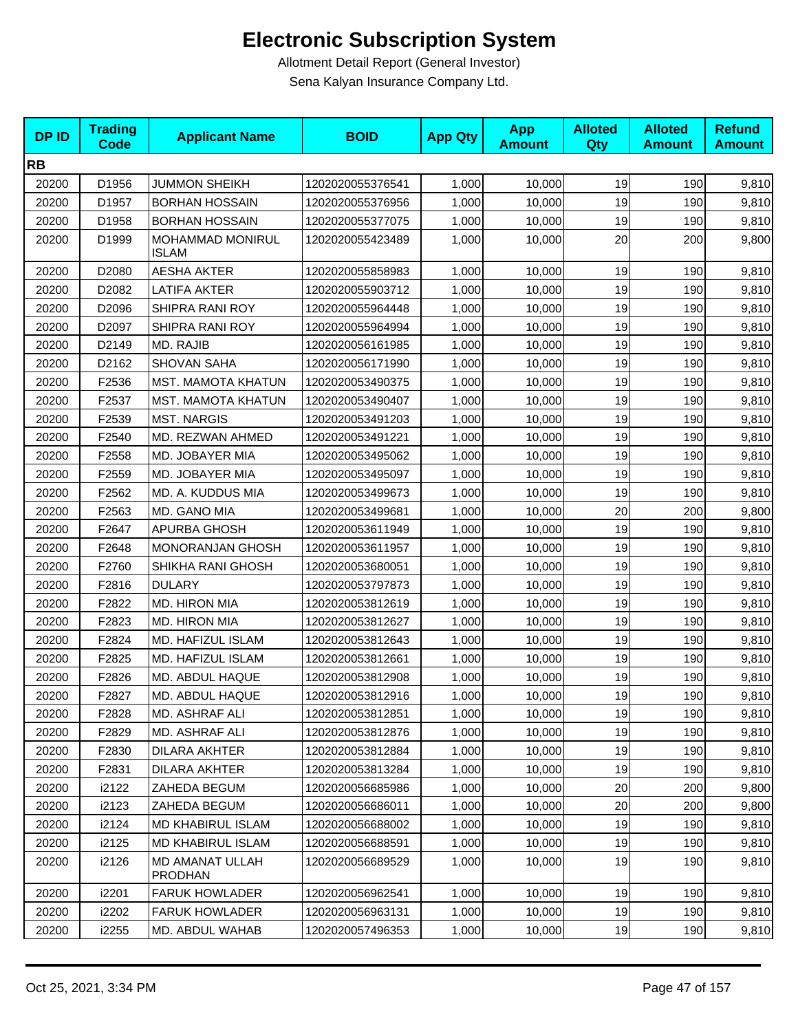| <b>DPID</b> | <b>Trading</b><br><b>Code</b> | <b>Applicant Name</b>             | <b>BOID</b>      | <b>App Qty</b> | <b>App</b><br><b>Amount</b> | <b>Alloted</b><br>Qty | <b>Alloted</b><br><b>Amount</b> | <b>Refund</b><br><b>Amount</b> |
|-------------|-------------------------------|-----------------------------------|------------------|----------------|-----------------------------|-----------------------|---------------------------------|--------------------------------|
| <b>RB</b>   |                               |                                   |                  |                |                             |                       |                                 |                                |
| 20200       | D1956                         | <b>JUMMON SHEIKH</b>              | 1202020055376541 | 1,000          | 10,000                      | 19                    | 190                             | 9,810                          |
| 20200       | D1957                         | <b>BORHAN HOSSAIN</b>             | 1202020055376956 | 1,000          | 10,000                      | 19                    | 190                             | 9,810                          |
| 20200       | D1958                         | <b>BORHAN HOSSAIN</b>             | 1202020055377075 | 1,000          | 10,000                      | 19                    | 190                             | 9,810                          |
| 20200       | D1999                         | MOHAMMAD MONIRUL<br><b>ISLAM</b>  | 1202020055423489 | 1,000          | 10,000                      | 20                    | 200                             | 9,800                          |
| 20200       | D2080                         | <b>AESHA AKTER</b>                | 1202020055858983 | 1,000          | 10,000                      | 19                    | 190                             | 9,810                          |
| 20200       | D2082                         | LATIFA AKTER                      | 1202020055903712 | 1,000          | 10,000                      | 19                    | 190                             | 9,810                          |
| 20200       | D2096                         | SHIPRA RANI ROY                   | 1202020055964448 | 1,000          | 10,000                      | 19                    | 190                             | 9,810                          |
| 20200       | D2097                         | SHIPRA RANI ROY                   | 1202020055964994 | 1,000          | 10,000                      | 19                    | 190                             | 9,810                          |
| 20200       | D2149                         | MD. RAJIB                         | 1202020056161985 | 1,000          | 10,000                      | 19                    | 190                             | 9,810                          |
| 20200       | D2162                         | <b>SHOVAN SAHA</b>                | 1202020056171990 | 1,000          | 10,000                      | 19                    | 190                             | 9,810                          |
| 20200       | F2536                         | <b>MST. MAMOTA KHATUN</b>         | 1202020053490375 | 1,000          | 10,000                      | 19                    | 190                             | 9,810                          |
| 20200       | F2537                         | MST. MAMOTA KHATUN                | 1202020053490407 | 1,000          | 10,000                      | 19                    | 190                             | 9,810                          |
| 20200       | F2539                         | <b>MST. NARGIS</b>                | 1202020053491203 | 1,000          | 10,000                      | 19                    | 190                             | 9,810                          |
| 20200       | F2540                         | MD. REZWAN AHMED                  | 1202020053491221 | 1,000          | 10,000                      | 19                    | 190                             | 9,810                          |
| 20200       | F2558                         | MD. JOBAYER MIA                   | 1202020053495062 | 1,000          | 10,000                      | 19                    | 190                             | 9,810                          |
| 20200       | F2559                         | MD. JOBAYER MIA                   | 1202020053495097 | 1,000          | 10,000                      | 19                    | 190                             | 9,810                          |
| 20200       | F2562                         | MD. A. KUDDUS MIA                 | 1202020053499673 | 1,000          | 10,000                      | 19                    | 190                             | 9,810                          |
| 20200       | F2563                         | MD. GANO MIA                      | 1202020053499681 | 1,000          | 10,000                      | 20                    | 200                             | 9,800                          |
| 20200       | F2647                         | APURBA GHOSH                      | 1202020053611949 | 1,000          | 10,000                      | 19                    | 190                             | 9,810                          |
| 20200       | F2648                         | <b>MONORANJAN GHOSH</b>           | 1202020053611957 | 1,000          | 10,000                      | 19                    | 190                             | 9,810                          |
| 20200       | F2760                         | SHIKHA RANI GHOSH                 | 1202020053680051 | 1,000          | 10,000                      | 19                    | 190                             | 9,810                          |
| 20200       | F2816                         | <b>DULARY</b>                     | 1202020053797873 | 1,000          | 10,000                      | 19                    | 190                             | 9,810                          |
| 20200       | F2822                         | MD. HIRON MIA                     | 1202020053812619 | 1,000          | 10,000                      | 19                    | 190                             | 9,810                          |
| 20200       | F2823                         | MD. HIRON MIA                     | 1202020053812627 | 1,000          | 10,000                      | 19                    | 190                             | 9,810                          |
| 20200       | F2824                         | MD. HAFIZUL ISLAM                 | 1202020053812643 | 1,000          | 10,000                      | 19                    | 190                             | 9,810                          |
| 20200       | F2825                         | MD. HAFIZUL ISLAM                 | 1202020053812661 | 1,000          | 10,000                      | 19                    | 190                             | 9,810                          |
| 20200       | F2826                         | MD. ABDUL HAQUE                   | 1202020053812908 | 1,000          | 10,000                      | 19                    | 190                             | 9,810                          |
| 20200       | F2827                         | MD. ABDUL HAQUE                   | 1202020053812916 | 1,000          | 10,000                      | 19                    | 190                             | 9,810                          |
| 20200       | F2828                         | MD. ASHRAF ALI                    | 1202020053812851 | 1,000          | 10,000                      | 19                    | 190                             | 9,810                          |
| 20200       | F2829                         | MD. ASHRAF ALI                    | 1202020053812876 | 1,000          | 10,000                      | 19                    | 190                             | 9,810                          |
| 20200       | F2830                         | DILARA AKHTER                     | 1202020053812884 | 1,000          | 10,000                      | 19                    | 190                             | 9,810                          |
| 20200       | F2831                         | DILARA AKHTER                     | 1202020053813284 | 1,000          | 10,000                      | 19                    | 190                             | 9,810                          |
| 20200       | i2122                         | ZAHEDA BEGUM                      | 1202020056685986 | 1,000          | 10,000                      | 20                    | 200                             | 9,800                          |
| 20200       | i2123                         | ZAHEDA BEGUM                      | 1202020056686011 | 1,000          | 10,000                      | 20                    | 200                             | 9,800                          |
| 20200       | i2124                         | <b>MD KHABIRUL ISLAM</b>          | 1202020056688002 | 1,000          | 10,000                      | 19                    | 190                             | 9,810                          |
| 20200       | i2125                         | MD KHABIRUL ISLAM                 | 1202020056688591 | 1,000          | 10,000                      | 19                    | 190                             | 9,810                          |
| 20200       | i2126                         | MD AMANAT ULLAH<br><b>PRODHAN</b> | 1202020056689529 | 1,000          | 10,000                      | 19                    | 190                             | 9,810                          |
| 20200       | i2201                         | <b>FARUK HOWLADER</b>             | 1202020056962541 | 1,000          | 10,000                      | 19                    | 190                             | 9,810                          |
| 20200       | i2202                         | <b>FARUK HOWLADER</b>             | 1202020056963131 | 1,000          | 10,000                      | 19                    | 190                             | 9,810                          |
| 20200       | i2255                         | MD. ABDUL WAHAB                   | 1202020057496353 | 1,000          | 10,000                      | 19                    | 190                             | 9,810                          |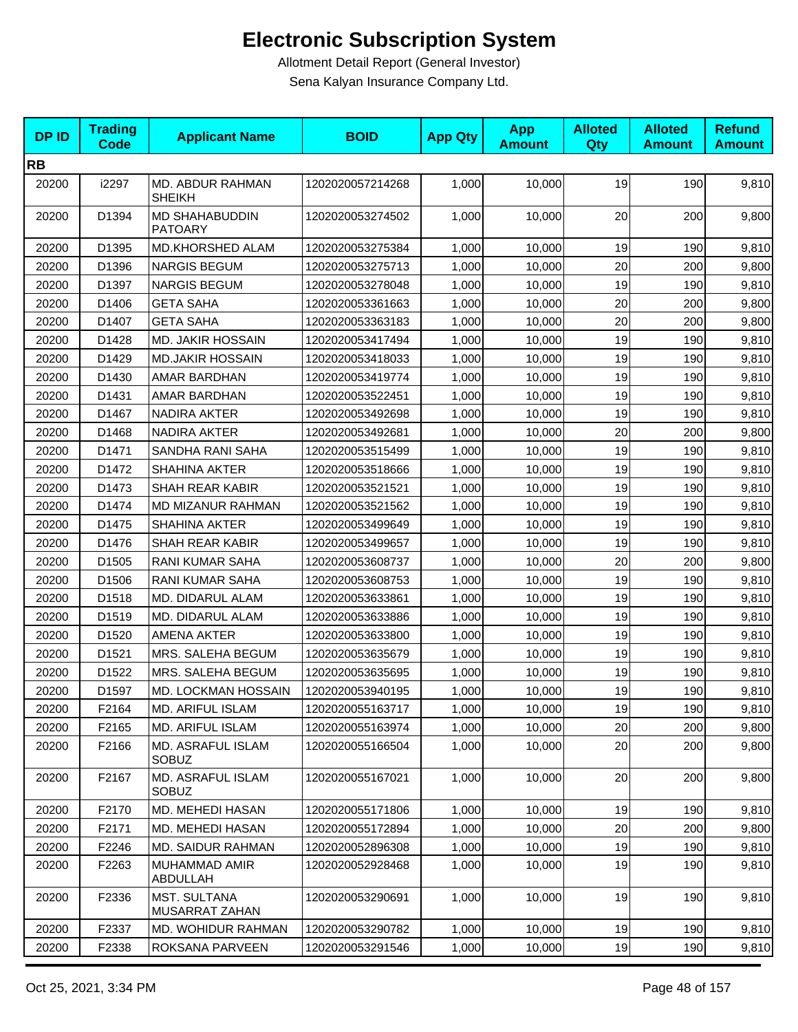| <b>DPID</b> | <b>Trading</b><br><b>Code</b> | <b>Applicant Name</b>                   | <b>BOID</b>      | <b>App Qty</b> | <b>App</b><br><b>Amount</b> | <b>Alloted</b><br>Qty | <b>Alloted</b><br><b>Amount</b> | <b>Refund</b><br><b>Amount</b> |
|-------------|-------------------------------|-----------------------------------------|------------------|----------------|-----------------------------|-----------------------|---------------------------------|--------------------------------|
| <b>RB</b>   |                               |                                         |                  |                |                             |                       |                                 |                                |
| 20200       | i2297                         | MD. ABDUR RAHMAN<br><b>SHEIKH</b>       | 1202020057214268 | 1,000          | 10,000                      | 19                    | 190                             | 9,810                          |
| 20200       | D1394                         | <b>MD SHAHABUDDIN</b><br><b>PATOARY</b> | 1202020053274502 | 1,000          | 10,000                      | 20                    | 200                             | 9,800                          |
| 20200       | D1395                         | MD.KHORSHED ALAM                        | 1202020053275384 | 1,000          | 10,000                      | 19                    | 190                             | 9,810                          |
| 20200       | D1396                         | <b>NARGIS BEGUM</b>                     | 1202020053275713 | 1,000          | 10,000                      | 20                    | 200                             | 9,800                          |
| 20200       | D1397                         | <b>NARGIS BEGUM</b>                     | 1202020053278048 | 1,000          | 10,000                      | 19                    | 190                             | 9,810                          |
| 20200       | D1406                         | <b>GETA SAHA</b>                        | 1202020053361663 | 1,000          | 10,000                      | 20                    | 200                             | 9,800                          |
| 20200       | D1407                         | <b>GETA SAHA</b>                        | 1202020053363183 | 1,000          | 10,000                      | 20                    | 200                             | 9,800                          |
| 20200       | D1428                         | MD. JAKIR HOSSAIN                       | 1202020053417494 | 1,000          | 10,000                      | 19                    | 190                             | 9,810                          |
| 20200       | D1429                         | <b>MD.JAKIR HOSSAIN</b>                 | 1202020053418033 | 1,000          | 10,000                      | 19                    | 190                             | 9,810                          |
| 20200       | D1430                         | AMAR BARDHAN                            | 1202020053419774 | 1,000          | 10,000                      | 19                    | 190                             | 9,810                          |
| 20200       | D1431                         | AMAR BARDHAN                            | 1202020053522451 | 1,000          | 10,000                      | 19                    | 190                             | 9,810                          |
| 20200       | D1467                         | NADIRA AKTER                            | 1202020053492698 | 1,000          | 10,000                      | 19                    | 190                             | 9,810                          |
| 20200       | D1468                         | NADIRA AKTER                            | 1202020053492681 | 1,000          | 10,000                      | 20                    | 200                             | 9,800                          |
| 20200       | D1471                         | SANDHA RANI SAHA                        | 1202020053515499 | 1,000          | 10,000                      | 19                    | 190                             | 9,810                          |
| 20200       | D1472                         | <b>SHAHINA AKTER</b>                    | 1202020053518666 | 1,000          | 10,000                      | 19                    | 190                             | 9,810                          |
| 20200       | D1473                         | <b>SHAH REAR KABIR</b>                  | 1202020053521521 | 1,000          | 10,000                      | 19                    | 190                             | 9,810                          |
| 20200       | D1474                         | MD MIZANUR RAHMAN                       | 1202020053521562 | 1,000          | 10,000                      | 19                    | 190                             | 9,810                          |
| 20200       | D1475                         | SHAHINA AKTER                           | 1202020053499649 | 1,000          | 10,000                      | 19                    | 190                             | 9,810                          |
| 20200       | D1476                         | SHAH REAR KABIR                         | 1202020053499657 | 1,000          | 10,000                      | 19                    | 190                             | 9,810                          |
| 20200       | D1505                         | RANI KUMAR SAHA                         | 1202020053608737 | 1,000          | 10,000                      | 20                    | 200                             | 9,800                          |
| 20200       | D1506                         | RANI KUMAR SAHA                         | 1202020053608753 | 1,000          | 10,000                      | 19                    | 190                             | 9,810                          |
| 20200       | D1518                         | MD. DIDARUL ALAM                        | 1202020053633861 | 1,000          | 10,000                      | 19                    | 190                             | 9,810                          |
| 20200       | D1519                         | MD. DIDARUL ALAM                        | 1202020053633886 | 1,000          | 10,000                      | 19                    | 190                             | 9,810                          |
| 20200       | D1520                         | AMENA AKTER                             | 1202020053633800 | 1,000          | 10,000                      | 19                    | 190                             | 9,810                          |
| 20200       | D1521                         | MRS. SALEHA BEGUM                       | 1202020053635679 | 1,000          | 10,000                      | 19                    | 190                             | 9,810                          |
| 20200       | D1522                         | MRS. SALEHA BEGUM                       | 1202020053635695 | 1,000          | 10,000                      | 19                    | 190                             | 9,810                          |
| 20200       | D1597                         | MD. LOCKMAN HOSSAIN                     | 1202020053940195 | 1,000          | 10,000                      | 19                    | 190                             | 9,810                          |
| 20200       | F2164                         | MD. ARIFUL ISLAM                        | 1202020055163717 | 1,000          | 10,000                      | 19                    | 190                             | 9,810                          |
| 20200       | F2165                         | MD. ARIFUL ISLAM                        | 1202020055163974 | 1,000          | 10,000                      | 20                    | 200                             | 9,800                          |
| 20200       | F2166                         | MD. ASRAFUL ISLAM<br><b>SOBUZ</b>       | 1202020055166504 | 1,000          | 10,000                      | 20                    | 200                             | 9,800                          |
| 20200       | F2167                         | MD. ASRAFUL ISLAM<br>SOBUZ              | 1202020055167021 | 1,000          | 10,000                      | 20                    | 200                             | 9,800                          |
| 20200       | F2170                         | MD. MEHEDI HASAN                        | 1202020055171806 | 1,000          | 10,000                      | 19                    | 190                             | 9,810                          |
| 20200       | F2171                         | MD. MEHEDI HASAN                        | 1202020055172894 | 1,000          | 10,000                      | 20                    | 200                             | 9,800                          |
| 20200       | F2246                         | <b>MD. SAIDUR RAHMAN</b>                | 1202020052896308 | 1,000          | 10,000                      | 19                    | 190                             | 9,810                          |
| 20200       | F2263                         | MUHAMMAD AMIR<br>ABDULLAH               | 1202020052928468 | 1,000          | 10,000                      | 19                    | 190                             | 9,810                          |
| 20200       | F2336                         | <b>MST. SULTANA</b><br>MUSARRAT ZAHAN   | 1202020053290691 | 1,000          | 10,000                      | 19                    | 190                             | 9,810                          |
| 20200       | F2337                         | MD. WOHIDUR RAHMAN                      | 1202020053290782 | 1,000          | 10,000                      | 19                    | 190                             | 9,810                          |
| 20200       | F2338                         | ROKSANA PARVEEN                         | 1202020053291546 | 1,000          | 10,000                      | 19                    | 190                             | 9,810                          |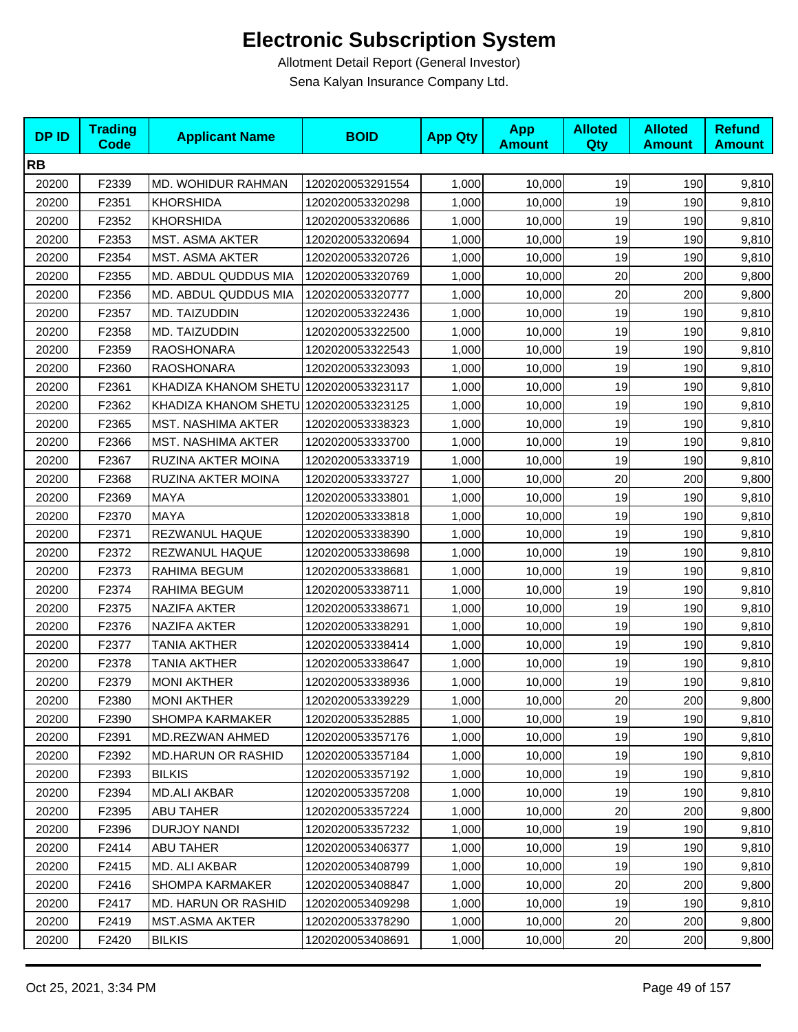| <b>DPID</b> | <b>Trading</b><br><b>Code</b> | <b>Applicant Name</b>                 | <b>BOID</b>      | <b>App Qty</b> | <b>App</b><br><b>Amount</b> | <b>Alloted</b><br>Qty | <b>Alloted</b><br><b>Amount</b> | <b>Refund</b><br><b>Amount</b> |
|-------------|-------------------------------|---------------------------------------|------------------|----------------|-----------------------------|-----------------------|---------------------------------|--------------------------------|
| <b>RB</b>   |                               |                                       |                  |                |                             |                       |                                 |                                |
| 20200       | F2339                         | MD. WOHIDUR RAHMAN                    | 1202020053291554 | 1,000          | 10,000                      | 19                    | 190                             | 9,810                          |
| 20200       | F2351                         | <b>KHORSHIDA</b>                      | 1202020053320298 | 1,000          | 10,000                      | 19                    | 190                             | 9,810                          |
| 20200       | F2352                         | <b>KHORSHIDA</b>                      | 1202020053320686 | 1,000          | 10,000                      | 19                    | 190                             | 9,810                          |
| 20200       | F2353                         | MST. ASMA AKTER                       | 1202020053320694 | 1,000          | 10,000                      | 19                    | 190                             | 9,810                          |
| 20200       | F2354                         | <b>MST. ASMA AKTER</b>                | 1202020053320726 | 1,000          | 10,000                      | 19                    | 190                             | 9,810                          |
| 20200       | F2355                         | MD. ABDUL QUDDUS MIA                  | 1202020053320769 | 1,000          | 10,000                      | 20                    | 200                             | 9,800                          |
| 20200       | F2356                         | MD. ABDUL QUDDUS MIA                  | 1202020053320777 | 1,000          | 10,000                      | 20                    | 200                             | 9,800                          |
| 20200       | F2357                         | MD. TAIZUDDIN                         | 1202020053322436 | 1,000          | 10,000                      | 19                    | 190                             | 9,810                          |
| 20200       | F2358                         | MD. TAIZUDDIN                         | 1202020053322500 | 1,000          | 10,000                      | 19                    | 190                             | 9,810                          |
| 20200       | F2359                         | <b>RAOSHONARA</b>                     | 1202020053322543 | 1,000          | 10,000                      | 19                    | 190                             | 9,810                          |
| 20200       | F2360                         | <b>RAOSHONARA</b>                     | 1202020053323093 | 1,000          | 10,000                      | 19                    | 190                             | 9,810                          |
| 20200       | F2361                         | KHADIZA KHANOM SHETU 1202020053323117 |                  | 1,000          | 10,000                      | 19                    | 190                             | 9,810                          |
| 20200       | F2362                         | KHADIZA KHANOM SHETU 1202020053323125 |                  | 1,000          | 10,000                      | 19                    | 190                             | 9,810                          |
| 20200       | F2365                         | <b>MST. NASHIMA AKTER</b>             | 1202020053338323 | 1,000          | 10,000                      | 19                    | 190                             | 9,810                          |
| 20200       | F2366                         | <b>MST. NASHIMA AKTER</b>             | 1202020053333700 | 1,000          | 10,000                      | 19                    | 190                             | 9,810                          |
| 20200       | F2367                         | <b>RUZINA AKTER MOINA</b>             | 1202020053333719 | 1,000          | 10,000                      | 19                    | 190                             | 9,810                          |
| 20200       | F2368                         | RUZINA AKTER MOINA                    | 1202020053333727 | 1,000          | 10,000                      | 20                    | 200                             | 9,800                          |
| 20200       | F2369                         | <b>MAYA</b>                           | 1202020053333801 | 1,000          | 10,000                      | 19                    | 190                             | 9,810                          |
| 20200       | F2370                         | MAYA                                  | 1202020053333818 | 1,000          | 10,000                      | 19                    | 190                             | 9,810                          |
| 20200       | F2371                         | REZWANUL HAQUE                        | 1202020053338390 | 1,000          | 10,000                      | 19                    | 190                             | 9,810                          |
| 20200       | F2372                         | REZWANUL HAQUE                        | 1202020053338698 | 1,000          | 10,000                      | 19                    | 190                             | 9,810                          |
| 20200       | F2373                         | RAHIMA BEGUM                          | 1202020053338681 | 1,000          | 10,000                      | 19                    | 190                             | 9,810                          |
| 20200       | F2374                         | RAHIMA BEGUM                          | 1202020053338711 | 1,000          | 10,000                      | 19                    | 190                             | 9,810                          |
| 20200       | F2375                         | <b>NAZIFA AKTER</b>                   | 1202020053338671 | 1,000          | 10,000                      | 19                    | 190                             | 9,810                          |
| 20200       | F2376                         | NAZIFA AKTER                          | 1202020053338291 | 1,000          | 10,000                      | 19                    | 190                             | 9,810                          |
| 20200       | F2377                         | <b>TANIA AKTHER</b>                   | 1202020053338414 | 1,000          | 10,000                      | 19                    | 190                             | 9,810                          |
| 20200       | F2378                         | <b>TANIA AKTHER</b>                   | 1202020053338647 | 1,000          | 10,000                      | 19                    | 190                             | 9,810                          |
| 20200       | F2379                         | <b>MONI AKTHER</b>                    | 1202020053338936 | 1,000          | 10,000                      | 19                    | 190                             | 9,810                          |
| 20200       | F2380                         | <b>MONI AKTHER</b>                    | 1202020053339229 | 1,000          | 10,000                      | 20                    | 200                             | 9,800                          |
| 20200       | F2390                         | <b>SHOMPA KARMAKER</b>                | 1202020053352885 | 1,000          | 10,000                      | 19                    | 190                             | 9,810                          |
| 20200       | F <sub>2391</sub>             | MD.REZWAN AHMED                       | 1202020053357176 | 1,000          | 10,000                      | 19                    | 190                             | 9,810                          |
| 20200       | F2392                         | <b>MD.HARUN OR RASHID</b>             | 1202020053357184 | 1,000          | 10,000                      | 19                    | 190                             | 9,810                          |
| 20200       | F2393                         | <b>BILKIS</b>                         | 1202020053357192 | 1,000          | 10,000                      | 19                    | 190                             | 9,810                          |
| 20200       | F2394                         | <b>MD.ALI AKBAR</b>                   | 1202020053357208 | 1,000          | 10,000                      | 19                    | 190                             | 9,810                          |
| 20200       | F2395                         | ABU TAHER                             | 1202020053357224 | 1,000          | 10,000                      | 20                    | 200                             | 9,800                          |
| 20200       | F2396                         | DURJOY NANDI                          | 1202020053357232 | 1,000          | 10,000                      | 19                    | 190                             | 9,810                          |
| 20200       | F <sub>2414</sub>             | <b>ABU TAHER</b>                      | 1202020053406377 | 1,000          | 10,000                      | 19                    | 190                             | 9,810                          |
| 20200       | F <sub>2415</sub>             | MD. ALI AKBAR                         | 1202020053408799 | 1,000          | 10,000                      | 19                    | 190                             | 9,810                          |
| 20200       | F2416                         | SHOMPA KARMAKER                       | 1202020053408847 | 1,000          | 10,000                      | 20                    | 200                             | 9,800                          |
| 20200       | F <sub>2417</sub>             | <b>MD. HARUN OR RASHID</b>            | 1202020053409298 | 1,000          | 10,000                      | 19                    | 190                             | 9,810                          |
| 20200       | F2419                         | MST.ASMA AKTER                        | 1202020053378290 | 1,000          | 10,000                      | 20                    | 200                             | 9,800                          |
| 20200       | F2420                         | BILKIS                                | 1202020053408691 | 1,000          | 10,000                      | 20                    | 200                             | 9,800                          |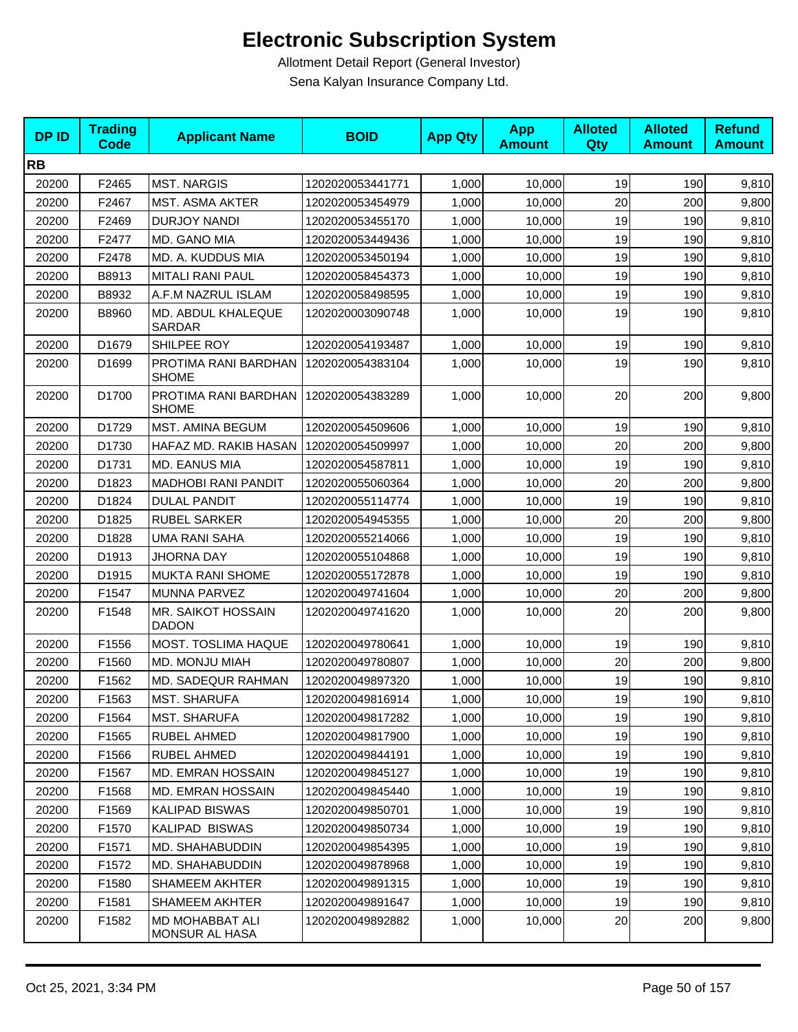| <b>DPID</b> | <b>Trading</b><br><b>Code</b> | <b>Applicant Name</b>                | <b>BOID</b>      | <b>App Qty</b> | <b>App</b><br><b>Amount</b> | <b>Alloted</b><br><b>Qty</b> | <b>Alloted</b><br><b>Amount</b> | <b>Refund</b><br><b>Amount</b> |
|-------------|-------------------------------|--------------------------------------|------------------|----------------|-----------------------------|------------------------------|---------------------------------|--------------------------------|
| <b>RB</b>   |                               |                                      |                  |                |                             |                              |                                 |                                |
| 20200       | F2465                         | <b>MST. NARGIS</b>                   | 1202020053441771 | 1,000          | 10,000                      | 19                           | 190                             | 9,810                          |
| 20200       | F2467                         | MST. ASMA AKTER                      | 1202020053454979 | 1,000          | 10.000                      | 20                           | 200                             | 9,800                          |
| 20200       | F2469                         | <b>DURJOY NANDI</b>                  | 1202020053455170 | 1,000          | 10,000                      | 19                           | 190                             | 9,810                          |
| 20200       | F2477                         | MD. GANO MIA                         | 1202020053449436 | 1,000          | 10,000                      | 19                           | 190                             | 9,810                          |
| 20200       | F2478                         | MD. A. KUDDUS MIA                    | 1202020053450194 | 1,000          | 10,000                      | 19                           | 190                             | 9,810                          |
| 20200       | B8913                         | <b>MITALI RANI PAUL</b>              | 1202020058454373 | 1,000          | 10,000                      | 19                           | 190                             | 9,810                          |
| 20200       | B8932                         | A.F.M NAZRUL ISLAM                   | 1202020058498595 | 1,000          | 10,000                      | 19                           | 190                             | 9,810                          |
| 20200       | B8960                         | MD. ABDUL KHALEQUE<br>SARDAR         | 1202020003090748 | 1,000          | 10,000                      | 19                           | 190                             | 9,810                          |
| 20200       | D1679                         | SHILPEE ROY                          | 1202020054193487 | 1,000          | 10,000                      | 19                           | 190                             | 9,810                          |
| 20200       | D1699                         | PROTIMA RANI BARDHAN<br><b>SHOME</b> | 1202020054383104 | 1,000          | 10,000                      | 19                           | 190                             | 9,810                          |
| 20200       | D1700                         | PROTIMA RANI BARDHAN<br><b>SHOME</b> | 1202020054383289 | 1,000          | 10,000                      | 20                           | 200                             | 9,800                          |
| 20200       | D1729                         | MST. AMINA BEGUM                     | 1202020054509606 | 1,000          | 10,000                      | 19                           | 190                             | 9,810                          |
| 20200       | D1730                         | HAFAZ MD. RAKIB HASAN                | 1202020054509997 | 1,000          | 10,000                      | 20                           | 200                             | 9,800                          |
| 20200       | D1731                         | MD. EANUS MIA                        | 1202020054587811 | 1,000          | 10,000                      | 19                           | 190                             | 9,810                          |
| 20200       | D1823                         | <b>MADHOBI RANI PANDIT</b>           | 1202020055060364 | 1,000          | 10,000                      | 20                           | 200                             | 9,800                          |
| 20200       | D1824                         | <b>DULAL PANDIT</b>                  | 1202020055114774 | 1,000          | 10,000                      | 19                           | 190                             | 9,810                          |
| 20200       | D1825                         | <b>RUBEL SARKER</b>                  | 1202020054945355 | 1,000          | 10,000                      | 20                           | 200                             | 9,800                          |
| 20200       | D1828                         | <b>UMA RANI SAHA</b>                 | 1202020055214066 | 1,000          | 10,000                      | 19                           | 190                             | 9,810                          |
| 20200       | D1913                         | JHORNA DAY                           | 1202020055104868 | 1,000          | 10,000                      | 19                           | 190                             | 9,810                          |
| 20200       | D1915                         | <b>MUKTA RANI SHOME</b>              | 1202020055172878 | 1,000          | 10,000                      | 19                           | 190                             | 9,810                          |
| 20200       | F1547                         | MUNNA PARVEZ                         | 1202020049741604 | 1,000          | 10,000                      | 20                           | 200                             | 9,800                          |
| 20200       | F1548                         | MR. SAIKOT HOSSAIN<br><b>DADON</b>   | 1202020049741620 | 1,000          | 10,000                      | 20                           | 200                             | 9,800                          |
| 20200       | F1556                         | MOST. TOSLIMA HAQUE                  | 1202020049780641 | 1,000          | 10,000                      | 19                           | 190                             | 9,810                          |
| 20200       | F1560                         | MD. MONJU MIAH                       | 1202020049780807 | 1,000          | 10,000                      | 20                           | 200                             | 9,800                          |
| 20200       | F1562                         | MD. SADEQUR RAHMAN                   | 1202020049897320 | 1,000          | 10,000                      | 19                           | 190                             | 9,810                          |
| 20200       | F1563                         | MST. SHARUFA                         | 1202020049816914 | 1,000          | 10,000                      | 19                           | 190                             | 9,810                          |
| 20200       | F1564                         | MST. SHARUFA                         | 1202020049817282 | 1,000          | 10,000                      | 19                           | 190                             | 9,810                          |
| 20200       | F1565                         | RUBEL AHMED                          | 1202020049817900 | 1,000          | 10,000                      | 19                           | 190                             | 9,810                          |
| 20200       | F1566                         | <b>RUBEL AHMED</b>                   | 1202020049844191 | 1,000          | 10,000                      | 19                           | 190                             | 9,810                          |
| 20200       | F1567                         | <b>MD. EMRAN HOSSAIN</b>             | 1202020049845127 | 1,000          | 10,000                      | 19                           | 190                             | 9,810                          |
| 20200       | F1568                         | <b>MD. EMRAN HOSSAIN</b>             | 1202020049845440 | 1,000          | 10,000                      | 19                           | 190                             | 9,810                          |
| 20200       | F1569                         | <b>KALIPAD BISWAS</b>                | 1202020049850701 | 1,000          | 10,000                      | 19                           | 190                             | 9,810                          |
| 20200       | F1570                         | KALIPAD BISWAS                       | 1202020049850734 | 1,000          | 10,000                      | 19                           | 190                             | 9,810                          |
| 20200       | F1571                         | MD. SHAHABUDDIN                      | 1202020049854395 | 1,000          | 10,000                      | 19                           | 190                             | 9,810                          |
| 20200       | F1572                         | MD. SHAHABUDDIN                      | 1202020049878968 | 1,000          | 10,000                      | 19                           | 190                             | 9,810                          |
| 20200       | F1580                         | <b>SHAMEEM AKHTER</b>                | 1202020049891315 | 1,000          | 10,000                      | 19                           | 190                             | 9,810                          |
| 20200       | F1581                         | <b>SHAMEEM AKHTER</b>                | 1202020049891647 | 1,000          | 10,000                      | 19                           | 190                             | 9,810                          |
| 20200       | F1582                         | MD MOHABBAT ALI<br>MONSUR AL HASA    | 1202020049892882 | 1,000          | 10,000                      | 20                           | 200                             | 9,800                          |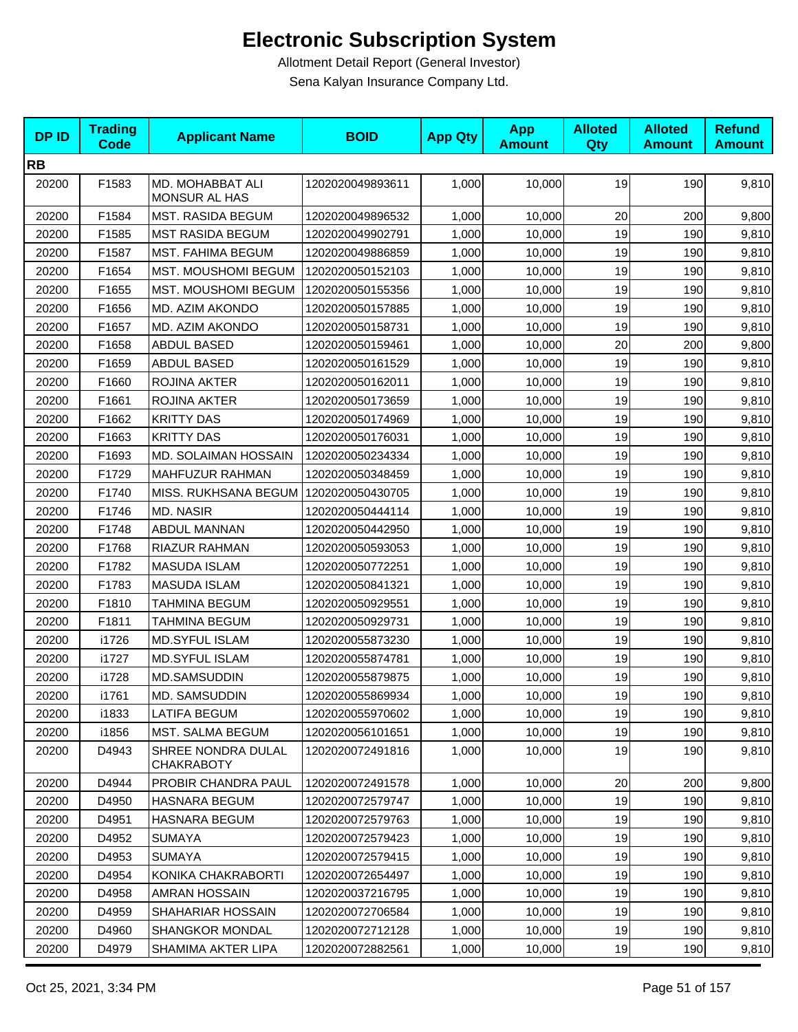| <b>DPID</b> | <b>Trading</b><br>Code | <b>Applicant Name</b>                   | <b>BOID</b>      | <b>App Qty</b> | <b>App</b><br><b>Amount</b> | <b>Alloted</b><br>Qty | <b>Alloted</b><br><b>Amount</b> | <b>Refund</b><br><b>Amount</b> |
|-------------|------------------------|-----------------------------------------|------------------|----------------|-----------------------------|-----------------------|---------------------------------|--------------------------------|
| <b>RB</b>   |                        |                                         |                  |                |                             |                       |                                 |                                |
| 20200       | F1583                  | MD. MOHABBAT ALI<br>MONSUR AL HAS       | 1202020049893611 | 1,000          | 10,000                      | 19                    | 190                             | 9,810                          |
| 20200       | F1584                  | <b>MST. RASIDA BEGUM</b>                | 1202020049896532 | 1,000          | 10,000                      | 20                    | 200                             | 9,800                          |
| 20200       | F1585                  | <b>MST RASIDA BEGUM</b>                 | 1202020049902791 | 1,000          | 10,000                      | 19                    | 190                             | 9,810                          |
| 20200       | F1587                  | <b>MST. FAHIMA BEGUM</b>                | 1202020049886859 | 1,000          | 10,000                      | 19                    | 190                             | 9,810                          |
| 20200       | F1654                  | MST. MOUSHOMI BEGUM                     | 1202020050152103 | 1,000          | 10,000                      | 19                    | 190                             | 9,810                          |
| 20200       | F1655                  | <b>MST. MOUSHOMI BEGUM</b>              | 1202020050155356 | 1,000          | 10,000                      | 19                    | 190                             | 9,810                          |
| 20200       | F1656                  | MD. AZIM AKONDO                         | 1202020050157885 | 1,000          | 10,000                      | 19                    | 190                             | 9,810                          |
| 20200       | F1657                  | MD. AZIM AKONDO                         | 1202020050158731 | 1,000          | 10,000                      | 19                    | 190                             | 9,810                          |
| 20200       | F1658                  | ABDUL BASED                             | 1202020050159461 | 1,000          | 10,000                      | 20                    | 200                             | 9,800                          |
| 20200       | F1659                  | ABDUL BASED                             | 1202020050161529 | 1,000          | 10,000                      | 19                    | 190                             | 9,810                          |
| 20200       | F1660                  | ROJINA AKTER                            | 1202020050162011 | 1,000          | 10,000                      | 19                    | 190                             | 9,810                          |
| 20200       | F1661                  | ROJINA AKTER                            | 1202020050173659 | 1,000          | 10,000                      | 19                    | 190                             | 9,810                          |
| 20200       | F1662                  | <b>KRITTY DAS</b>                       | 1202020050174969 | 1,000          | 10,000                      | 19                    | 190                             | 9,810                          |
| 20200       | F1663                  | <b>KRITTY DAS</b>                       | 1202020050176031 | 1,000          | 10,000                      | 19                    | 190                             | 9,810                          |
| 20200       | F1693                  | MD. SOLAIMAN HOSSAIN                    | 1202020050234334 | 1,000          | 10,000                      | 19                    | 190                             | 9,810                          |
| 20200       | F1729                  | MAHFUZUR RAHMAN                         | 1202020050348459 | 1,000          | 10,000                      | 19                    | 190                             | 9,810                          |
| 20200       | F1740                  | MISS. RUKHSANA BEGUM   1202020050430705 |                  | 1,000          | 10,000                      | 19                    | 190                             | 9,810                          |
| 20200       | F1746                  | MD. NASIR                               | 1202020050444114 | 1,000          | 10,000                      | 19                    | 190                             | 9,810                          |
| 20200       | F1748                  | ABDUL MANNAN                            | 1202020050442950 | 1,000          | 10,000                      | 19                    | 190                             | 9,810                          |
| 20200       | F1768                  | <b>RIAZUR RAHMAN</b>                    | 1202020050593053 | 1,000          | 10,000                      | 19                    | 190                             | 9,810                          |
| 20200       | F1782                  | <b>MASUDA ISLAM</b>                     | 1202020050772251 | 1,000          | 10,000                      | 19                    | 190                             | 9,810                          |
| 20200       | F1783                  | MASUDA ISLAM                            | 1202020050841321 | 1,000          | 10,000                      | 19                    | 190                             | 9,810                          |
| 20200       | F1810                  | <b>TAHMINA BEGUM</b>                    | 1202020050929551 | 1,000          | 10,000                      | 19                    | 190                             | 9,810                          |
| 20200       | F1811                  | <b>TAHMINA BEGUM</b>                    | 1202020050929731 | 1,000          | 10,000                      | 19                    | 190                             | 9,810                          |
| 20200       | i1726                  | <b>MD.SYFUL ISLAM</b>                   | 1202020055873230 | 1,000          | 10,000                      | 19                    | 190                             | 9,810                          |
| 20200       | i1727                  | <b>MD.SYFUL ISLAM</b>                   | 1202020055874781 | 1,000          | 10,000                      | 19                    | 190                             | 9,810                          |
| 20200       | i1728                  | MD.SAMSUDDIN                            | 1202020055879875 | 1,000          | 10,000                      | 19                    | 190                             | 9,810                          |
| 20200       | i1761                  | MD. SAMSUDDIN                           | 1202020055869934 | 1,000          | 10,000                      | 19                    | 190                             | 9,810                          |
| 20200       | i1833                  | <b>LATIFA BEGUM</b>                     | 1202020055970602 | 1,000          | 10,000                      | 19                    | 190                             | 9,810                          |
| 20200       | i1856                  | <b>MST. SALMA BEGUM</b>                 | 1202020056101651 | 1,000          | 10,000                      | 19                    | 190                             | 9,810                          |
| 20200       | D4943                  | SHREE NONDRA DULAL<br><b>CHAKRABOTY</b> | 1202020072491816 | 1,000          | 10,000                      | 19                    | 190                             | 9,810                          |
| 20200       | D4944                  | PROBIR CHANDRA PAUL                     | 1202020072491578 | 1,000          | 10,000                      | 20                    | 200                             | 9,800                          |
| 20200       | D4950                  | <b>HASNARA BEGUM</b>                    | 1202020072579747 | 1,000          | 10,000                      | 19                    | 190                             | 9,810                          |
| 20200       | D4951                  | <b>HASNARA BEGUM</b>                    | 1202020072579763 | 1,000          | 10,000                      | 19                    | 190                             | 9,810                          |
| 20200       | D4952                  | <b>SUMAYA</b>                           | 1202020072579423 | 1,000          | 10,000                      | 19                    | 190                             | 9,810                          |
| 20200       | D4953                  | <b>SUMAYA</b>                           | 1202020072579415 | 1,000          | 10,000                      | 19                    | 190                             | 9,810                          |
| 20200       | D4954                  | KONIKA CHAKRABORTI                      | 1202020072654497 | 1,000          | 10,000                      | 19                    | 190                             | 9,810                          |
| 20200       | D4958                  | AMRAN HOSSAIN                           | 1202020037216795 | 1,000          | 10,000                      | 19                    | 190                             | 9,810                          |
| 20200       | D4959                  | SHAHARIAR HOSSAIN                       | 1202020072706584 | 1,000          | 10,000                      | 19                    | 190                             | 9,810                          |
| 20200       | D4960                  | <b>SHANGKOR MONDAL</b>                  | 1202020072712128 | 1,000          | 10,000                      | 19                    | 190                             | 9,810                          |
| 20200       | D4979                  | SHAMIMA AKTER LIPA                      | 1202020072882561 | 1,000          | 10,000                      | 19                    | 190                             | 9,810                          |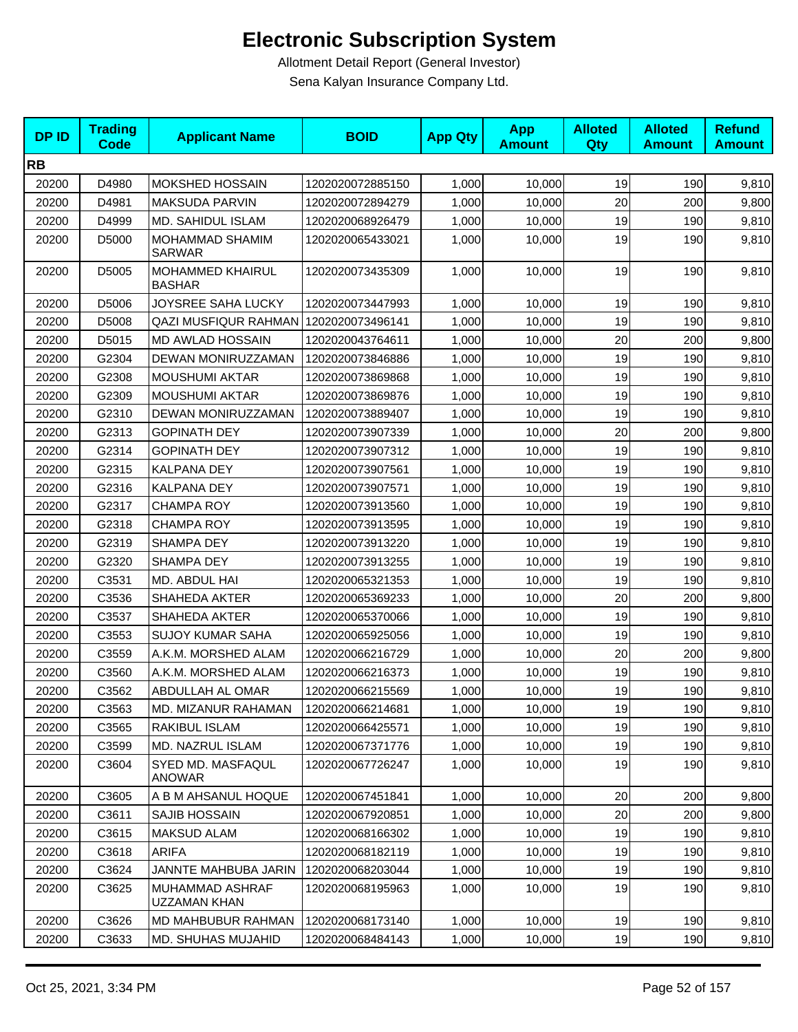| <b>DPID</b> | <b>Trading</b><br><b>Code</b> | <b>Applicant Name</b>              | <b>BOID</b>      | <b>App Qty</b> | <b>App</b><br><b>Amount</b> | <b>Alloted</b><br><b>Qty</b> | <b>Alloted</b><br><b>Amount</b> | <b>Refund</b><br><b>Amount</b> |
|-------------|-------------------------------|------------------------------------|------------------|----------------|-----------------------------|------------------------------|---------------------------------|--------------------------------|
| <b>RB</b>   |                               |                                    |                  |                |                             |                              |                                 |                                |
| 20200       | D4980                         | <b>MOKSHED HOSSAIN</b>             | 1202020072885150 | 1,000          | 10,000                      | 19                           | 190                             | 9,810                          |
| 20200       | D4981                         | MAKSUDA PARVIN                     | 1202020072894279 | 1,000          | 10,000                      | 20                           | 200                             | 9,800                          |
| 20200       | D4999                         | MD. SAHIDUL ISLAM                  | 1202020068926479 | 1,000          | 10,000                      | 19                           | 190                             | 9,810                          |
| 20200       | D5000                         | MOHAMMAD SHAMIM<br><b>SARWAR</b>   | 1202020065433021 | 1,000          | 10,000                      | 19                           | 190                             | 9,810                          |
| 20200       | D5005                         | MOHAMMED KHAIRUL<br><b>BASHAR</b>  | 1202020073435309 | 1,000          | 10,000                      | 19                           | 190                             | 9,810                          |
| 20200       | D5006                         | JOYSREE SAHA LUCKY                 | 1202020073447993 | 1,000          | 10,000                      | 19                           | 190                             | 9,810                          |
| 20200       | D5008                         | <b>QAZI MUSFIQUR RAHMAN</b>        | 1202020073496141 | 1,000          | 10,000                      | 19                           | 190                             | 9,810                          |
| 20200       | D5015                         | <b>MD AWLAD HOSSAIN</b>            | 1202020043764611 | 1,000          | 10,000                      | 20                           | 200                             | 9,800                          |
| 20200       | G2304                         | DEWAN MONIRUZZAMAN                 | 1202020073846886 | 1,000          | 10,000                      | 19                           | 190                             | 9,810                          |
| 20200       | G2308                         | <b>MOUSHUMI AKTAR</b>              | 1202020073869868 | 1,000          | 10,000                      | 19                           | 190                             | 9,810                          |
| 20200       | G2309                         | <b>MOUSHUMI AKTAR</b>              | 1202020073869876 | 1,000          | 10,000                      | 19                           | 190                             | 9,810                          |
| 20200       | G2310                         | DEWAN MONIRUZZAMAN                 | 1202020073889407 | 1,000          | 10,000                      | 19                           | 190                             | 9,810                          |
| 20200       | G2313                         | <b>GOPINATH DEY</b>                | 1202020073907339 | 1,000          | 10,000                      | 20                           | 200                             | 9,800                          |
| 20200       | G2314                         | <b>GOPINATH DEY</b>                | 1202020073907312 | 1,000          | 10,000                      | 19                           | 190                             | 9,810                          |
| 20200       | G2315                         | KALPANA DEY                        | 1202020073907561 | 1,000          | 10,000                      | 19                           | 190                             | 9,810                          |
| 20200       | G2316                         | KALPANA DEY                        | 1202020073907571 | 1,000          | 10,000                      | 19                           | 190                             | 9,810                          |
| 20200       | G2317                         | CHAMPA ROY                         | 1202020073913560 | 1,000          | 10,000                      | 19                           | 190                             | 9,810                          |
| 20200       | G2318                         | <b>CHAMPA ROY</b>                  | 1202020073913595 | 1,000          | 10,000                      | 19                           | 190                             | 9,810                          |
| 20200       | G2319                         | SHAMPA DEY                         | 1202020073913220 | 1,000          | 10,000                      | 19                           | 190                             | 9,810                          |
| 20200       | G2320                         | SHAMPA DEY                         | 1202020073913255 | 1,000          | 10,000                      | 19                           | 190                             | 9,810                          |
| 20200       | C3531                         | MD. ABDUL HAI                      | 1202020065321353 | 1,000          | 10,000                      | 19                           | 190                             | 9,810                          |
| 20200       | C3536                         | SHAHEDA AKTER                      | 1202020065369233 | 1,000          | 10,000                      | 20                           | 200                             | 9,800                          |
| 20200       | C3537                         | SHAHEDA AKTER                      | 1202020065370066 | 1,000          | 10,000                      | 19                           | 190                             | 9,810                          |
| 20200       | C3553                         | <b>SUJOY KUMAR SAHA</b>            | 1202020065925056 | 1,000          | 10,000                      | 19                           | 190                             | 9,810                          |
| 20200       | C3559                         | A.K.M. MORSHED ALAM                | 1202020066216729 | 1,000          | 10,000                      | 20                           | 200                             | 9,800                          |
| 20200       | C3560                         | A.K.M. MORSHED ALAM                | 1202020066216373 | 1,000          | 10,000                      | 19                           | 190                             | 9,810                          |
| 20200       | C3562                         | ABDULLAH AL OMAR                   | 1202020066215569 | 1,000          | 10,000                      | 19                           | 190                             | 9,810                          |
| 20200       | C3563                         | MD. MIZANUR RAHAMAN                | 1202020066214681 | 1,000          | 10,000                      | 19                           | 190                             | 9,810                          |
| 20200       | C3565                         | RAKIBUL ISLAM                      | 1202020066425571 | 1,000          | 10,000                      | 19                           | 190                             | 9,810                          |
| 20200       | C3599                         | MD. NAZRUL ISLAM                   | 1202020067371776 | 1,000          | 10,000                      | 19                           | 190                             | 9,810                          |
| 20200       | C3604                         | SYED MD. MASFAQUL<br><b>ANOWAR</b> | 1202020067726247 | 1,000          | 10,000                      | 19                           | 190                             | 9,810                          |
| 20200       | C3605                         | A B M AHSANUL HOQUE                | 1202020067451841 | 1,000          | 10,000                      | 20                           | 200                             | 9,800                          |
| 20200       | C3611                         | SAJIB HOSSAIN                      | 1202020067920851 | 1,000          | 10,000                      | 20                           | 200                             | 9,800                          |
| 20200       | C3615                         | <b>MAKSUD ALAM</b>                 | 1202020068166302 | 1,000          | 10,000                      | 19                           | 190                             | 9,810                          |
| 20200       | C3618                         | <b>ARIFA</b>                       | 1202020068182119 | 1,000          | 10,000                      | 19                           | 190                             | 9,810                          |
| 20200       | C3624                         | JANNTE MAHBUBA JARIN               | 1202020068203044 | 1,000          | 10,000                      | 19                           | 190                             | 9,810                          |
| 20200       | C3625                         | MUHAMMAD ASHRAF<br>UZZAMAN KHAN    | 1202020068195963 | 1,000          | 10,000                      | 19                           | 190                             | 9,810                          |
| 20200       | C3626                         | MD MAHBUBUR RAHMAN                 | 1202020068173140 | 1,000          | 10,000                      | 19                           | 190                             | 9,810                          |
| 20200       | C3633                         | MD. SHUHAS MUJAHID                 | 1202020068484143 | 1,000          | 10,000                      | 19                           | 190                             | 9,810                          |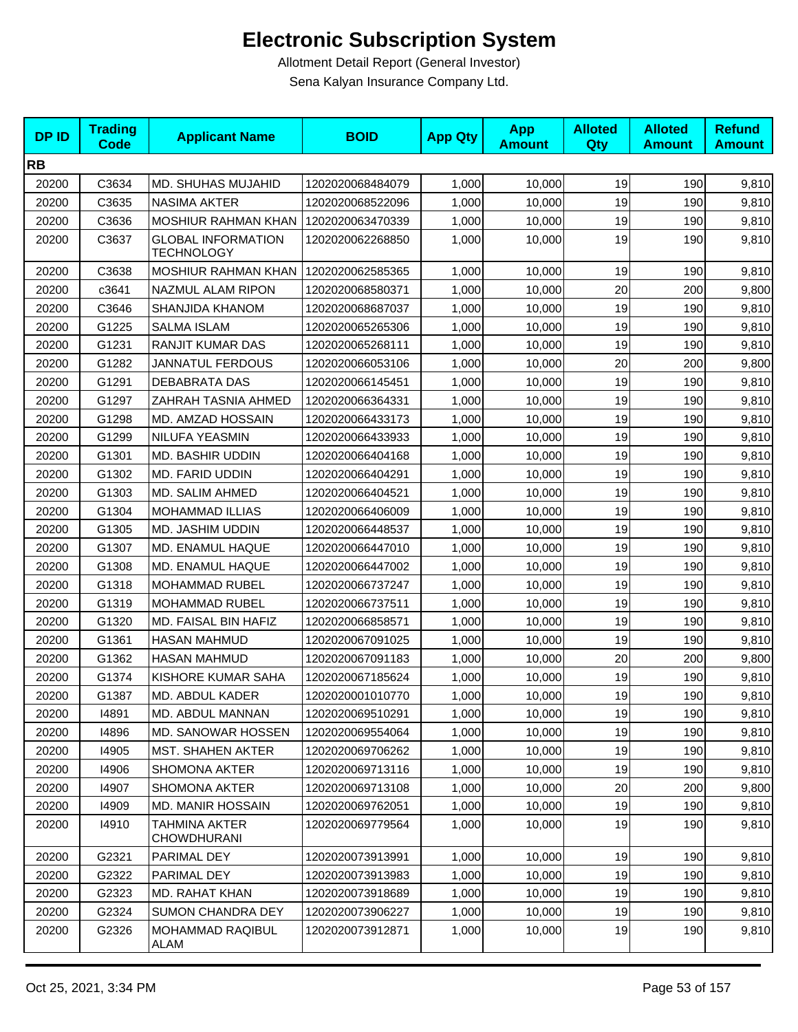| <b>DPID</b> | <b>Trading</b><br><b>Code</b> | <b>Applicant Name</b>                          | <b>BOID</b>      | <b>App Qty</b> | <b>App</b><br><b>Amount</b> | <b>Alloted</b><br><b>Qty</b> | <b>Alloted</b><br><b>Amount</b> | <b>Refund</b><br><b>Amount</b> |
|-------------|-------------------------------|------------------------------------------------|------------------|----------------|-----------------------------|------------------------------|---------------------------------|--------------------------------|
| <b>RB</b>   |                               |                                                |                  |                |                             |                              |                                 |                                |
| 20200       | C3634                         | MD. SHUHAS MUJAHID                             | 1202020068484079 | 1,000          | 10,000                      | 19                           | 190                             | 9,810                          |
| 20200       | C3635                         | <b>NASIMA AKTER</b>                            | 1202020068522096 | 1,000          | 10,000                      | 19                           | 190                             | 9,810                          |
| 20200       | C3636                         | MOSHIUR RAHMAN KHAN                            | 1202020063470339 | 1,000          | 10,000                      | 19                           | 190                             | 9,810                          |
| 20200       | C3637                         | <b>GLOBAL INFORMATION</b><br><b>TECHNOLOGY</b> | 1202020062268850 | 1,000          | 10,000                      | 19                           | 190                             | 9,810                          |
| 20200       | C3638                         | MOSHIUR RAHMAN KHAN                            | 1202020062585365 | 1,000          | 10,000                      | 19                           | 190                             | 9,810                          |
| 20200       | c3641                         | NAZMUL ALAM RIPON                              | 1202020068580371 | 1,000          | 10,000                      | 20                           | 200                             | 9,800                          |
| 20200       | C3646                         | SHANJIDA KHANOM                                | 1202020068687037 | 1,000          | 10,000                      | 19                           | 190                             | 9,810                          |
| 20200       | G1225                         | <b>SALMA ISLAM</b>                             | 1202020065265306 | 1,000          | 10,000                      | 19                           | 190                             | 9,810                          |
| 20200       | G1231                         | RANJIT KUMAR DAS                               | 1202020065268111 | 1,000          | 10,000                      | 19                           | 190                             | 9,810                          |
| 20200       | G1282                         | <b>JANNATUL FERDOUS</b>                        | 1202020066053106 | 1,000          | 10,000                      | 20                           | 200                             | 9,800                          |
| 20200       | G1291                         | DEBABRATA DAS                                  | 1202020066145451 | 1,000          | 10,000                      | 19                           | 190                             | 9,810                          |
| 20200       | G1297                         | ZAHRAH TASNIA AHMED                            | 1202020066364331 | 1,000          | 10,000                      | 19                           | 190                             | 9,810                          |
| 20200       | G1298                         | MD. AMZAD HOSSAIN                              | 1202020066433173 | 1,000          | 10,000                      | 19                           | 190                             | 9,810                          |
| 20200       | G1299                         | NILUFA YEASMIN                                 | 1202020066433933 | 1,000          | 10,000                      | 19                           | 190                             | 9,810                          |
| 20200       | G1301                         | MD. BASHIR UDDIN                               | 1202020066404168 | 1,000          | 10,000                      | 19                           | 190                             | 9,810                          |
| 20200       | G1302                         | MD. FARID UDDIN                                | 1202020066404291 | 1,000          | 10,000                      | 19                           | 190                             | 9,810                          |
| 20200       | G1303                         | MD. SALIM AHMED                                | 1202020066404521 | 1,000          | 10,000                      | 19                           | 190                             | 9,810                          |
| 20200       | G1304                         | MOHAMMAD ILLIAS                                | 1202020066406009 | 1,000          | 10,000                      | 19                           | 190                             | 9,810                          |
| 20200       | G1305                         | MD. JASHIM UDDIN                               | 1202020066448537 | 1,000          | 10,000                      | 19                           | 190                             | 9,810                          |
| 20200       | G1307                         | MD. ENAMUL HAQUE                               | 1202020066447010 | 1,000          | 10,000                      | 19                           | 190                             | 9,810                          |
| 20200       | G1308                         | MD. ENAMUL HAQUE                               | 1202020066447002 | 1,000          | 10,000                      | 19                           | 190                             | 9,810                          |
| 20200       | G1318                         | <b>MOHAMMAD RUBEL</b>                          | 1202020066737247 | 1,000          | 10,000                      | 19                           | 190                             | 9,810                          |
| 20200       | G1319                         | <b>MOHAMMAD RUBEL</b>                          | 1202020066737511 | 1,000          | 10,000                      | 19                           | 190                             | 9,810                          |
| 20200       | G1320                         | MD. FAISAL BIN HAFIZ                           | 1202020066858571 | 1,000          | 10,000                      | 19                           | 190                             | 9,810                          |
| 20200       | G1361                         | <b>HASAN MAHMUD</b>                            | 1202020067091025 | 1,000          | 10,000                      | 19                           | 190                             | 9,810                          |
| 20200       | G1362                         | <b>HASAN MAHMUD</b>                            | 1202020067091183 | 1,000          | 10,000                      | 20                           | 200                             | 9,800                          |
| 20200       | G1374                         | KISHORE KUMAR SAHA                             | 1202020067185624 | 1,000          | 10,000                      | 19                           | 190                             | 9,810                          |
| 20200       | G1387                         | MD. ABDUL KADER                                | 1202020001010770 | 1,000          | 10,000                      | 19                           | 190                             | 9,810                          |
| 20200       | 14891                         | MD. ABDUL MANNAN                               | 1202020069510291 | 1,000          | 10,000                      | 19                           | 190                             | 9,810                          |
| 20200       | 14896                         | <b>MD. SANOWAR HOSSEN</b>                      | 1202020069554064 | 1,000          | 10,000                      | 19                           | 190                             | 9,810                          |
| 20200       | 14905                         | <b>MST. SHAHEN AKTER</b>                       | 1202020069706262 | 1,000          | 10,000                      | 19                           | 190                             | 9,810                          |
| 20200       | 14906                         | <b>SHOMONA AKTER</b>                           | 1202020069713116 | 1,000          | 10,000                      | 19                           | 190                             | 9,810                          |
| 20200       | 14907                         | <b>SHOMONA AKTER</b>                           | 1202020069713108 | 1,000          | 10,000                      | 20                           | 200                             | 9,800                          |
| 20200       | 14909                         | <b>MD. MANIR HOSSAIN</b>                       | 1202020069762051 | 1,000          | 10,000                      | 19                           | 190                             | 9,810                          |
| 20200       | 14910                         | TAHMINA AKTER<br>CHOWDHURANI                   | 1202020069779564 | 1,000          | 10,000                      | 19                           | 190                             | 9,810                          |
| 20200       | G2321                         | PARIMAL DEY                                    | 1202020073913991 | 1,000          | 10,000                      | 19                           | 190                             | 9,810                          |
| 20200       | G2322                         | PARIMAL DEY                                    | 1202020073913983 | 1,000          | 10,000                      | 19                           | 190                             | 9,810                          |
| 20200       | G2323                         | MD. RAHAT KHAN                                 | 1202020073918689 | 1,000          | 10,000                      | 19                           | 190                             | 9,810                          |
| 20200       | G2324                         | <b>SUMON CHANDRA DEY</b>                       | 1202020073906227 | 1,000          | 10,000                      | 19                           | 190                             | 9,810                          |
| 20200       | G2326                         | <b>MOHAMMAD RAQIBUL</b><br>ALAM                | 1202020073912871 | 1,000          | 10,000                      | 19                           | 190                             | 9,810                          |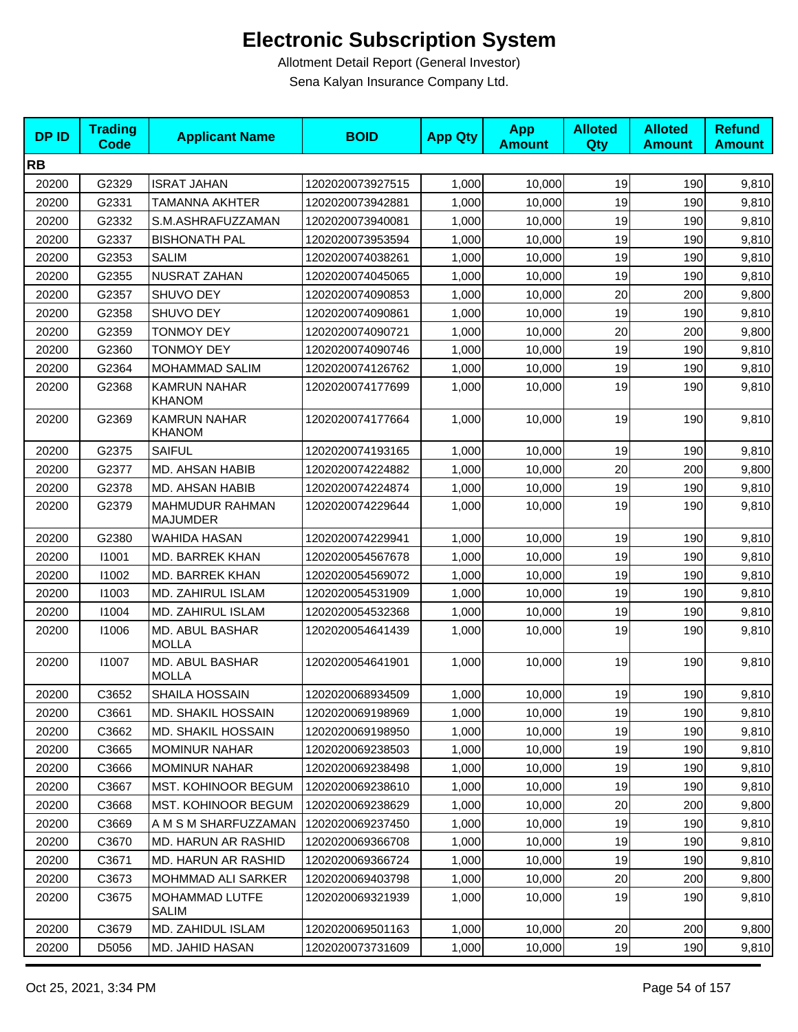| <b>DPID</b> | <b>Trading</b><br><b>Code</b> | <b>Applicant Name</b>                  | <b>BOID</b>      | <b>App Qty</b> | <b>App</b><br><b>Amount</b> | <b>Alloted</b><br><b>Qty</b> | <b>Alloted</b><br><b>Amount</b> | <b>Refund</b><br><b>Amount</b> |
|-------------|-------------------------------|----------------------------------------|------------------|----------------|-----------------------------|------------------------------|---------------------------------|--------------------------------|
| <b>RB</b>   |                               |                                        |                  |                |                             |                              |                                 |                                |
| 20200       | G2329                         | <b>ISRAT JAHAN</b>                     | 1202020073927515 | 1,000          | 10,000                      | 19                           | 190                             | 9,810                          |
| 20200       | G2331                         | <b>TAMANNA AKHTER</b>                  | 1202020073942881 | 1,000          | 10,000                      | 19                           | 190                             | 9,810                          |
| 20200       | G2332                         | S.M.ASHRAFUZZAMAN                      | 1202020073940081 | 1,000          | 10,000                      | 19                           | 190                             | 9,810                          |
| 20200       | G2337                         | <b>BISHONATH PAL</b>                   | 1202020073953594 | 1,000          | 10,000                      | 19                           | 190                             | 9,810                          |
| 20200       | G2353                         | <b>SALIM</b>                           | 1202020074038261 | 1,000          | 10,000                      | 19                           | 190                             | 9,810                          |
| 20200       | G2355                         | <b>NUSRAT ZAHAN</b>                    | 1202020074045065 | 1.000          | 10,000                      | 19                           | 190                             | 9,810                          |
| 20200       | G2357                         | SHUVO DEY                              | 1202020074090853 | 1,000          | 10,000                      | 20                           | 200                             | 9,800                          |
| 20200       | G2358                         | SHUVO DEY                              | 1202020074090861 | 1,000          | 10,000                      | 19                           | 190                             | 9,810                          |
| 20200       | G2359                         | <b>TONMOY DEY</b>                      | 1202020074090721 | 1,000          | 10,000                      | 20                           | 200                             | 9,800                          |
| 20200       | G2360                         | <b>TONMOY DEY</b>                      | 1202020074090746 | 1,000          | 10,000                      | 19                           | 190                             | 9,810                          |
| 20200       | G2364                         | MOHAMMAD SALIM                         | 1202020074126762 | 1,000          | 10,000                      | 19                           | 190                             | 9,810                          |
| 20200       | G2368                         | <b>KAMRUN NAHAR</b><br><b>KHANOM</b>   | 1202020074177699 | 1,000          | 10,000                      | 19                           | 190                             | 9,810                          |
| 20200       | G2369                         | <b>KAMRUN NAHAR</b><br><b>KHANOM</b>   | 1202020074177664 | 1,000          | 10,000                      | 19                           | 190                             | 9,810                          |
| 20200       | G2375                         | <b>SAIFUL</b>                          | 1202020074193165 | 1,000          | 10,000                      | 19                           | 190                             | 9,810                          |
| 20200       | G2377                         | MD. AHSAN HABIB                        | 1202020074224882 | 1,000          | 10,000                      | 20                           | 200                             | 9,800                          |
| 20200       | G2378                         | MD. AHSAN HABIB                        | 1202020074224874 | 1,000          | 10,000                      | 19                           | 190                             | 9,810                          |
| 20200       | G2379                         | MAHMUDUR RAHMAN<br><b>MAJUMDER</b>     | 1202020074229644 | 1,000          | 10,000                      | 19                           | 190                             | 9,810                          |
| 20200       | G2380                         | WAHIDA HASAN                           | 1202020074229941 | 1,000          | 10,000                      | 19                           | 190                             | 9,810                          |
| 20200       | 11001                         | MD. BARREK KHAN                        | 1202020054567678 | 1,000          | 10,000                      | 19                           | 190                             | 9,810                          |
| 20200       | 11002                         | MD. BARREK KHAN                        | 1202020054569072 | 1,000          | 10,000                      | 19                           | 190                             | 9,810                          |
| 20200       | 11003                         | MD. ZAHIRUL ISLAM                      | 1202020054531909 | 1,000          | 10,000                      | 19                           | 190                             | 9,810                          |
| 20200       | 11004                         | MD. ZAHIRUL ISLAM                      | 1202020054532368 | 1,000          | 10,000                      | 19                           | 190                             | 9,810                          |
| 20200       | 11006                         | MD. ABUL BASHAR<br><b>MOLLA</b>        | 1202020054641439 | 1,000          | 10,000                      | 19                           | 190                             | 9,810                          |
| 20200       | 11007                         | <b>MD. ABUL BASHAR</b><br><b>MOLLA</b> | 1202020054641901 | 1,000          | 10,000                      | 19                           | 190                             | 9,810                          |
| 20200       | C3652                         | SHAILA HOSSAIN                         | 1202020068934509 | 1,000          | 10,000                      | 19                           | 190                             | 9,810                          |
| 20200       | C3661                         | MD. SHAKIL HOSSAIN                     | 1202020069198969 | 1,000          | 10,000                      | 19                           | 190                             | 9,810                          |
| 20200       | C3662                         | MD. SHAKIL HOSSAIN                     | 1202020069198950 | 1,000          | 10,000                      | 19                           | 190                             | 9,810                          |
| 20200       | C3665                         | <b>MOMINUR NAHAR</b>                   | 1202020069238503 | 1,000          | 10,000                      | 19                           | 190                             | 9,810                          |
| 20200       | C3666                         | <b>MOMINUR NAHAR</b>                   | 1202020069238498 | 1,000          | 10,000                      | 19                           | 190                             | 9,810                          |
| 20200       | C3667                         | MST. KOHINOOR BEGUM                    | 1202020069238610 | 1,000          | 10,000                      | 19                           | 190                             | 9,810                          |
| 20200       | C3668                         | <b>MST. KOHINOOR BEGUM</b>             | 1202020069238629 | 1,000          | 10,000                      | 20                           | 200                             | 9,800                          |
| 20200       | C3669                         | A M S M SHARFUZZAMAN                   | 1202020069237450 | 1,000          | 10,000                      | 19                           | 190                             | 9,810                          |
| 20200       | C3670                         | MD. HARUN AR RASHID                    | 1202020069366708 | 1,000          | 10,000                      | 19                           | 190                             | 9,810                          |
| 20200       | C3671                         | MD. HARUN AR RASHID                    | 1202020069366724 | 1,000          | 10,000                      | 19                           | 190                             | 9,810                          |
| 20200       | C3673                         | MOHMMAD ALI SARKER                     | 1202020069403798 | 1,000          | 10,000                      | 20                           | 200                             | 9,800                          |
| 20200       | C3675                         | MOHAMMAD LUTFE<br><b>SALIM</b>         | 1202020069321939 | 1,000          | 10,000                      | 19                           | 190                             | 9,810                          |
| 20200       | C3679                         | MD. ZAHIDUL ISLAM                      | 1202020069501163 | 1,000          | 10,000                      | 20                           | 200                             | 9,800                          |
| 20200       | D5056                         | MD. JAHID HASAN                        | 1202020073731609 | 1,000          | 10,000                      | 19                           | 190                             | 9,810                          |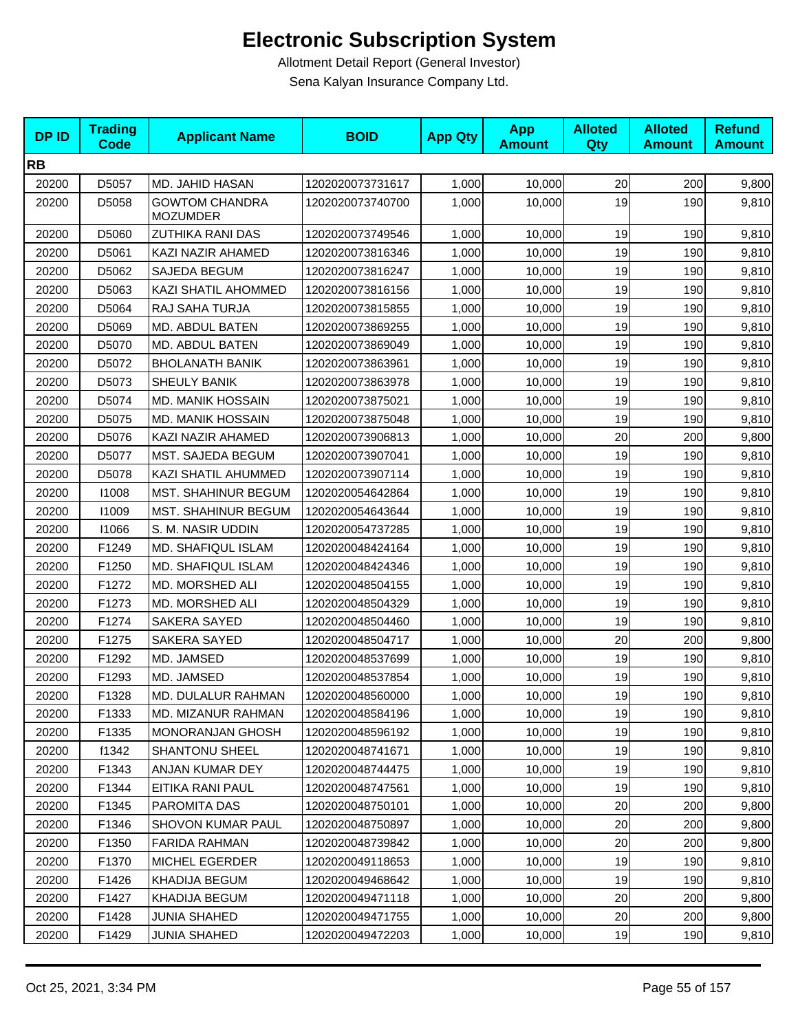| <b>DPID</b> | <b>Trading</b><br>Code | <b>Applicant Name</b>                    | <b>BOID</b>      | <b>App Qty</b> | <b>App</b><br><b>Amount</b> | <b>Alloted</b><br>Qty | <b>Alloted</b><br><b>Amount</b> | <b>Refund</b><br><b>Amount</b> |
|-------------|------------------------|------------------------------------------|------------------|----------------|-----------------------------|-----------------------|---------------------------------|--------------------------------|
| <b>RB</b>   |                        |                                          |                  |                |                             |                       |                                 |                                |
| 20200       | D5057                  | MD. JAHID HASAN                          | 1202020073731617 | 1,000          | 10,000                      | 20                    | 200                             | 9,800                          |
| 20200       | D5058                  | <b>GOWTOM CHANDRA</b><br><b>MOZUMDER</b> | 1202020073740700 | 1,000          | 10,000                      | 19                    | 190                             | 9,810                          |
| 20200       | D5060                  | <b>ZUTHIKA RANI DAS</b>                  | 1202020073749546 | 1,000          | 10,000                      | 19                    | 190                             | 9,810                          |
| 20200       | D5061                  | KAZI NAZIR AHAMED                        | 1202020073816346 | 1,000          | 10,000                      | 19                    | 190                             | 9,810                          |
| 20200       | D5062                  | SAJEDA BEGUM                             | 1202020073816247 | 1,000          | 10,000                      | 19                    | 190                             | 9,810                          |
| 20200       | D5063                  | KAZI SHATIL AHOMMED                      | 1202020073816156 | 1,000          | 10,000                      | 19                    | 190                             | 9,810                          |
| 20200       | D5064                  | RAJ SAHA TURJA                           | 1202020073815855 | 1,000          | 10,000                      | 19                    | 190                             | 9,810                          |
| 20200       | D5069                  | MD. ABDUL BATEN                          | 1202020073869255 | 1,000          | 10,000                      | 19                    | 190                             | 9,810                          |
| 20200       | D5070                  | MD. ABDUL BATEN                          | 1202020073869049 | 1,000          | 10,000                      | 19                    | 190                             | 9,810                          |
| 20200       | D5072                  | <b>BHOLANATH BANIK</b>                   | 1202020073863961 | 1,000          | 10,000                      | 19                    | 190                             | 9,810                          |
| 20200       | D5073                  | SHEULY BANIK                             | 1202020073863978 | 1,000          | 10,000                      | 19                    | 190                             | 9,810                          |
| 20200       | D5074                  | <b>MD. MANIK HOSSAIN</b>                 | 1202020073875021 | 1,000          | 10,000                      | 19                    | 190                             | 9,810                          |
| 20200       | D5075                  | <b>MD. MANIK HOSSAIN</b>                 | 1202020073875048 | 1,000          | 10.000                      | 19                    | 190                             | 9,810                          |
| 20200       | D5076                  | KAZI NAZIR AHAMED                        | 1202020073906813 | 1,000          | 10,000                      | 20                    | 200                             | 9,800                          |
| 20200       | D5077                  | MST. SAJEDA BEGUM                        | 1202020073907041 | 1,000          | 10,000                      | 19                    | 190                             | 9,810                          |
| 20200       | D5078                  | KAZI SHATIL AHUMMED                      | 1202020073907114 | 1,000          | 10,000                      | 19                    | 190                             | 9,810                          |
| 20200       | 11008                  | MST. SHAHINUR BEGUM                      | 1202020054642864 | 1,000          | 10,000                      | 19                    | 190                             | 9,810                          |
| 20200       | 11009                  | <b>MST. SHAHINUR BEGUM</b>               | 1202020054643644 | 1,000          | 10,000                      | 19                    | 190                             | 9,810                          |
| 20200       | 11066                  | S. M. NASIR UDDIN                        | 1202020054737285 | 1,000          | 10,000                      | 19                    | 190                             | 9,810                          |
| 20200       | F1249                  | MD. SHAFIQUL ISLAM                       | 1202020048424164 | 1,000          | 10,000                      | 19                    | 190                             | 9,810                          |
| 20200       | F1250                  | MD. SHAFIQUL ISLAM                       | 1202020048424346 | 1,000          | 10,000                      | 19                    | 190                             | 9,810                          |
| 20200       | F1272                  | MD. MORSHED ALI                          | 1202020048504155 | 1,000          | 10,000                      | 19                    | 190                             | 9,810                          |
| 20200       | F1273                  | MD. MORSHED ALI                          | 1202020048504329 | 1,000          | 10,000                      | 19                    | 190                             | 9,810                          |
| 20200       | F1274                  | SAKERA SAYED                             | 1202020048504460 | 1,000          | 10,000                      | 19                    | 190                             | 9,810                          |
| 20200       | F1275                  | SAKERA SAYED                             | 1202020048504717 | 1,000          | 10,000                      | 20                    | 200                             | 9,800                          |
| 20200       | F1292                  | MD. JAMSED                               | 1202020048537699 | 1,000          | 10,000                      | 19                    | 190                             | 9,810                          |
| 20200       | F1293                  | MD. JAMSED                               | 1202020048537854 | 1,000          | 10,000                      | 19                    | 190                             | 9,810                          |
| 20200       | F1328                  | MD. DULALUR RAHMAN                       | 1202020048560000 | 1,000          | 10,000                      | 19                    | 190                             | 9,810                          |
| 20200       | F1333                  | <b>MD. MIZANUR RAHMAN</b>                | 1202020048584196 | 1,000          | 10,000                      | 19                    | 190                             | 9,810                          |
| 20200       | F1335                  | <b>MONORANJAN GHOSH</b>                  | 1202020048596192 | 1,000          | 10,000                      | 19                    | 190                             | 9,810                          |
| 20200       | f1342                  | <b>SHANTONU SHEEL</b>                    | 1202020048741671 | 1,000          | 10,000                      | 19                    | 190                             | 9,810                          |
| 20200       | F1343                  | ANJAN KUMAR DEY                          | 1202020048744475 | 1,000          | 10,000                      | 19                    | 190                             | 9,810                          |
| 20200       | F1344                  | EITIKA RANI PAUL                         | 1202020048747561 | 1,000          | 10,000                      | 19                    | 190                             | 9,810                          |
| 20200       | F1345                  | <b>PAROMITA DAS</b>                      | 1202020048750101 | 1,000          | 10,000                      | 20                    | 200                             | 9,800                          |
| 20200       | F1346                  | SHOVON KUMAR PAUL                        | 1202020048750897 | 1,000          | 10,000                      | 20                    | 200                             | 9,800                          |
| 20200       | F1350                  | <b>FARIDA RAHMAN</b>                     | 1202020048739842 | 1,000          | 10,000                      | 20                    | 200                             | 9,800                          |
| 20200       | F1370                  | <b>MICHEL EGERDER</b>                    | 1202020049118653 | 1,000          | 10,000                      | 19                    | 190                             | 9,810                          |
| 20200       | F1426                  | <b>KHADIJA BEGUM</b>                     | 1202020049468642 | 1,000          | 10,000                      | 19                    | 190                             | 9,810                          |
| 20200       | F1427                  | KHADIJA BEGUM                            | 1202020049471118 | 1,000          | 10,000                      | 20                    | 200                             | 9,800                          |
| 20200       | F1428                  | JUNIA SHAHED                             | 1202020049471755 | 1,000          | 10,000                      | 20                    | 200                             | 9,800                          |
| 20200       | F1429                  | <b>JUNIA SHAHED</b>                      | 1202020049472203 | 1,000          | 10,000                      | 19                    | 190                             | 9,810                          |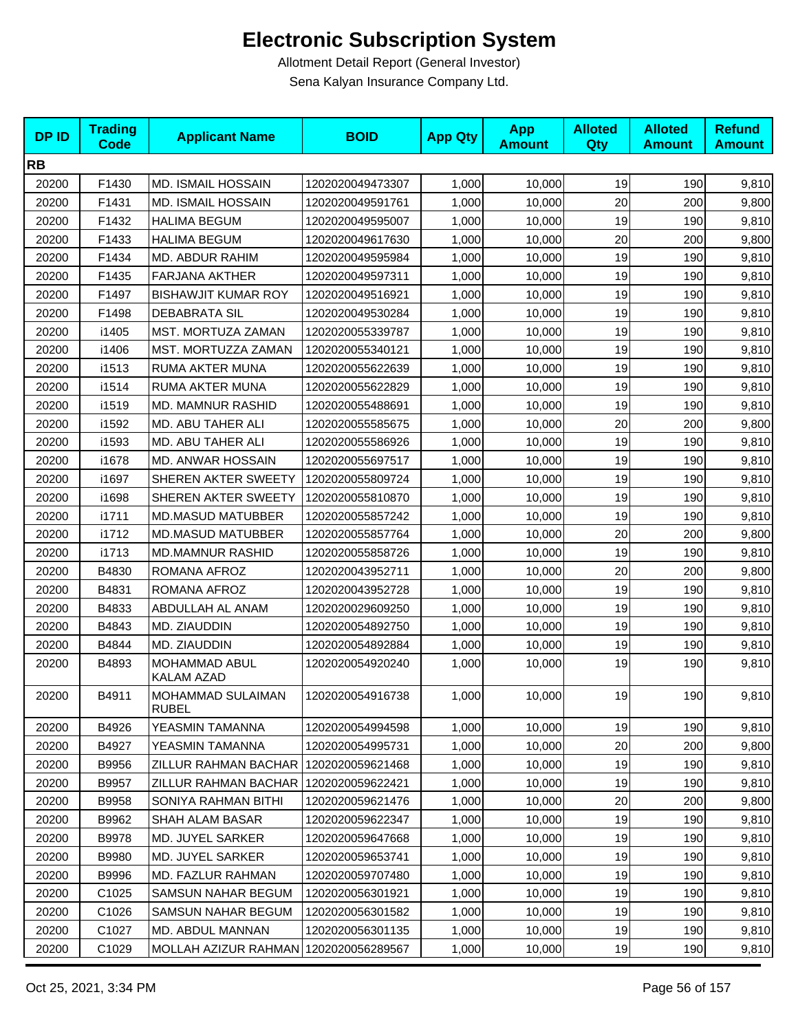| <b>DPID</b> | <b>Trading</b><br><b>Code</b> | <b>Applicant Name</b>                    | <b>BOID</b>      | <b>App Qty</b> | <b>App</b><br><b>Amount</b> | <b>Alloted</b><br>Qty | <b>Alloted</b><br><b>Amount</b> | <b>Refund</b><br><b>Amount</b> |
|-------------|-------------------------------|------------------------------------------|------------------|----------------|-----------------------------|-----------------------|---------------------------------|--------------------------------|
| <b>RB</b>   |                               |                                          |                  |                |                             |                       |                                 |                                |
| 20200       | F1430                         | <b>MD. ISMAIL HOSSAIN</b>                | 1202020049473307 | 1,000          | 10,000                      | 19                    | 190                             | 9,810                          |
| 20200       | F1431                         | <b>MD. ISMAIL HOSSAIN</b>                | 1202020049591761 | 1,000          | 10,000                      | 20                    | 200                             | 9,800                          |
| 20200       | F1432                         | <b>HALIMA BEGUM</b>                      | 1202020049595007 | 1,000          | 10,000                      | 19                    | 190                             | 9,810                          |
| 20200       | F1433                         | <b>HALIMA BEGUM</b>                      | 1202020049617630 | 1,000          | 10,000                      | 20                    | 200                             | 9,800                          |
| 20200       | F1434                         | MD. ABDUR RAHIM                          | 1202020049595984 | 1,000          | 10,000                      | 19                    | 190                             | 9,810                          |
| 20200       | F1435                         | FARJANA AKTHER                           | 1202020049597311 | 1,000          | 10,000                      | 19                    | 190                             | 9,810                          |
| 20200       | F1497                         | <b>BISHAWJIT KUMAR ROY</b>               | 1202020049516921 | 1,000          | 10,000                      | 19                    | 190                             | 9,810                          |
| 20200       | F1498                         | <b>DEBABRATA SIL</b>                     | 1202020049530284 | 1,000          | 10,000                      | 19                    | 190                             | 9,810                          |
| 20200       | i1405                         | MST. MORTUZA ZAMAN                       | 1202020055339787 | 1,000          | 10,000                      | 19                    | 190                             | 9,810                          |
| 20200       | i1406                         | MST. MORTUZZA ZAMAN                      | 1202020055340121 | 1,000          | 10,000                      | 19                    | 190                             | 9,810                          |
| 20200       | i1513                         | RUMA AKTER MUNA                          | 1202020055622639 | 1,000          | 10,000                      | 19                    | 190                             | 9,810                          |
| 20200       | i1514                         | RUMA AKTER MUNA                          | 1202020055622829 | 1,000          | 10,000                      | 19                    | 190                             | 9,810                          |
| 20200       | i1519                         | MD. MAMNUR RASHID                        | 1202020055488691 | 1,000          | 10,000                      | 19                    | 190                             | 9,810                          |
| 20200       | i1592                         | MD. ABU TAHER ALI                        | 1202020055585675 | 1,000          | 10,000                      | 20                    | 200                             | 9,800                          |
| 20200       | i1593                         | MD. ABU TAHER ALI                        | 1202020055586926 | 1,000          | 10,000                      | 19                    | 190                             | 9,810                          |
| 20200       | i1678                         | MD. ANWAR HOSSAIN                        | 1202020055697517 | 1,000          | 10,000                      | 19                    | 190                             | 9,810                          |
| 20200       | i1697                         | SHEREN AKTER SWEETY                      | 1202020055809724 | 1,000          | 10,000                      | 19                    | 190                             | 9,810                          |
| 20200       | i1698                         | SHEREN AKTER SWEETY                      | 1202020055810870 | 1,000          | 10,000                      | 19                    | 190                             | 9,810                          |
| 20200       | i1711                         | <b>MD.MASUD MATUBBER</b>                 | 1202020055857242 | 1,000          | 10,000                      | 19                    | 190                             | 9,810                          |
| 20200       | i1712                         | <b>MD.MASUD MATUBBER</b>                 | 1202020055857764 | 1,000          | 10,000                      | 20                    | 200                             | 9,800                          |
| 20200       | i1713                         | <b>MD.MAMNUR RASHID</b>                  | 1202020055858726 | 1,000          | 10,000                      | 19                    | 190                             | 9,810                          |
| 20200       | B4830                         | ROMANA AFROZ                             | 1202020043952711 | 1,000          | 10,000                      | 20                    | 200                             | 9,800                          |
| 20200       | B4831                         | ROMANA AFROZ                             | 1202020043952728 | 1,000          | 10,000                      | 19                    | 190                             | 9,810                          |
| 20200       | B4833                         | ABDULLAH AL ANAM                         | 1202020029609250 | 1,000          | 10,000                      | 19                    | 190                             | 9,810                          |
| 20200       | B4843                         | MD. ZIAUDDIN                             | 1202020054892750 | 1,000          | 10,000                      | 19                    | 190                             | 9,810                          |
| 20200       | B4844                         | MD. ZIAUDDIN                             | 1202020054892884 | 1,000          | 10,000                      | 19                    | 190                             | 9,810                          |
| 20200       | B4893                         | MOHAMMAD ABUL<br>KALAM AZAD              | 1202020054920240 | 1,000          | 10,000                      | 19                    | 190                             | 9,810                          |
| 20200       | B4911                         | <b>MOHAMMAD SULAIMAN</b><br><b>RUBEL</b> | 1202020054916738 | 1,000          | 10,000                      | 19                    | 190                             | 9,810                          |
| 20200       | B4926                         | YEASMIN TAMANNA                          | 1202020054994598 | 1,000          | 10,000                      | 19                    | 190                             | 9,810                          |
| 20200       | B4927                         | YEASMIN TAMANNA                          | 1202020054995731 | 1,000          | 10,000                      | 20                    | 200                             | 9,800                          |
| 20200       | B9956                         | ZILLUR RAHMAN BACHAR   1202020059621468  |                  | 1,000          | 10,000                      | 19                    | 190                             | 9,810                          |
| 20200       | B9957                         | ZILLUR RAHMAN BACHAR                     | 1202020059622421 | 1,000          | 10,000                      | 19                    | 190                             | 9,810                          |
| 20200       | B9958                         | SONIYA RAHMAN BITHI                      | 1202020059621476 | 1,000          | 10,000                      | 20                    | 200                             | 9,800                          |
| 20200       | B9962                         | SHAH ALAM BASAR                          | 1202020059622347 | 1,000          | 10,000                      | 19                    | 190                             | 9,810                          |
| 20200       | B9978                         | MD. JUYEL SARKER                         | 1202020059647668 | 1,000          | 10,000                      | 19                    | 190                             | 9,810                          |
| 20200       | B9980                         | MD. JUYEL SARKER                         | 1202020059653741 | 1,000          | 10,000                      | 19                    | 190                             | 9,810                          |
| 20200       | B9996                         | MD. FAZLUR RAHMAN                        | 1202020059707480 | 1,000          | 10,000                      | 19                    | 190                             | 9,810                          |
| 20200       | C <sub>1025</sub>             | SAMSUN NAHAR BEGUM                       | 1202020056301921 | 1,000          | 10,000                      | 19                    | 190                             | 9,810                          |
| 20200       | C1026                         | SAMSUN NAHAR BEGUM                       | 1202020056301582 | 1,000          | 10,000                      | 19                    | 190                             | 9,810                          |
| 20200       | C1027                         | MD. ABDUL MANNAN                         | 1202020056301135 | 1,000          | 10,000                      | 19                    | 190                             | 9,810                          |
| 20200       | C1029                         | MOLLAH AZIZUR RAHMAN 1202020056289567    |                  | 1,000          | 10,000                      | 19                    | 190                             | 9,810                          |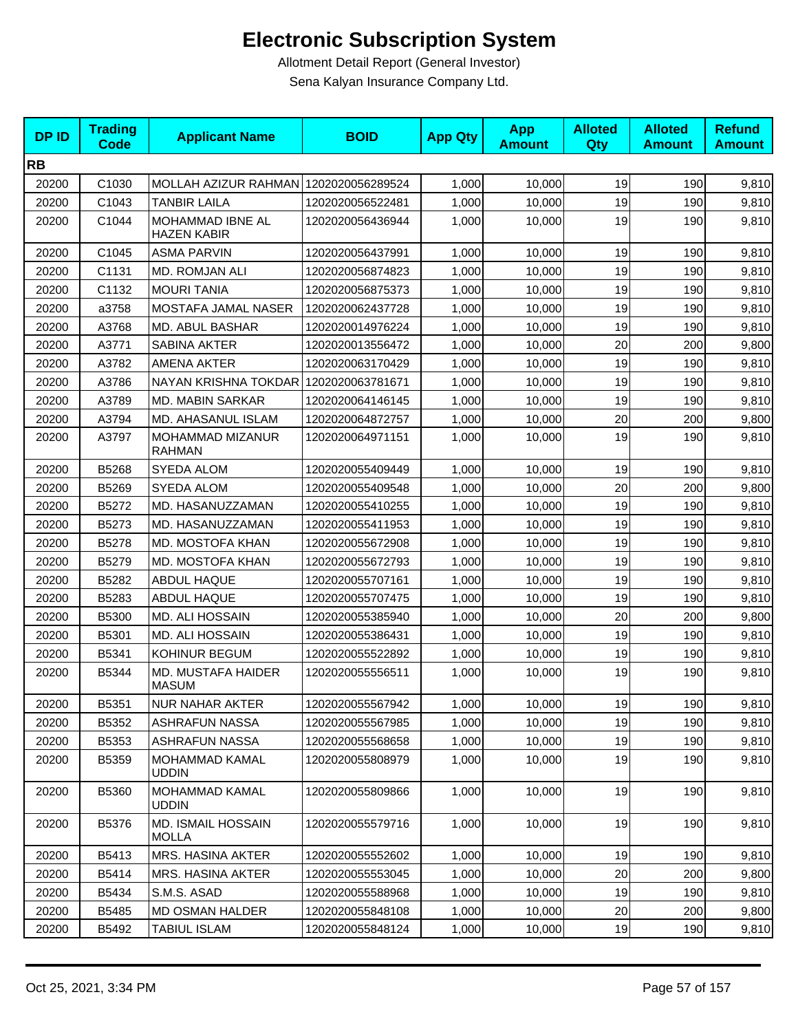| <b>DPID</b> | <b>Trading</b><br><b>Code</b> | <b>Applicant Name</b>                     | <b>BOID</b>      | <b>App Qty</b> | <b>App</b><br><b>Amount</b> | <b>Alloted</b><br>Qty | <b>Alloted</b><br><b>Amount</b> | <b>Refund</b><br><b>Amount</b> |
|-------------|-------------------------------|-------------------------------------------|------------------|----------------|-----------------------------|-----------------------|---------------------------------|--------------------------------|
| <b>RB</b>   |                               |                                           |                  |                |                             |                       |                                 |                                |
| 20200       | C1030                         | MOLLAH AZIZUR RAHMAN 1202020056289524     |                  | 1,000          | 10,000                      | 19                    | 190                             | 9,810                          |
| 20200       | C1043                         | <b>TANBIR LAILA</b>                       | 1202020056522481 | 1,000          | 10,000                      | 19                    | 190                             | 9,810                          |
| 20200       | C1044                         | MOHAMMAD IBNE AL<br><b>HAZEN KABIR</b>    | 1202020056436944 | 1,000          | 10,000                      | 19                    | 190                             | 9,810                          |
| 20200       | C1045                         | <b>ASMA PARVIN</b>                        | 1202020056437991 | 1,000          | 10,000                      | 19                    | 190                             | 9,810                          |
| 20200       | C1131                         | MD. ROMJAN ALI                            | 1202020056874823 | 1,000          | 10,000                      | 19                    | 190                             | 9,810                          |
| 20200       | C1132                         | <b>MOURI TANIA</b>                        | 1202020056875373 | 1,000          | 10,000                      | 19                    | 190                             | 9,810                          |
| 20200       | a3758                         | MOSTAFA JAMAL NASER                       | 1202020062437728 | 1,000          | 10,000                      | 19                    | 190                             | 9,810                          |
| 20200       | A3768                         | MD. ABUL BASHAR                           | 1202020014976224 | 1,000          | 10,000                      | 19                    | 190                             | 9,810                          |
| 20200       | A3771                         | <b>SABINA AKTER</b>                       | 1202020013556472 | 1,000          | 10,000                      | 20                    | 200                             | 9,800                          |
| 20200       | A3782                         | <b>AMENA AKTER</b>                        | 1202020063170429 | 1,000          | 10,000                      | 19                    | 190                             | 9,810                          |
| 20200       | A3786                         | NAYAN KRISHNA TOKDAR 1202020063781671     |                  | 1,000          | 10,000                      | 19                    | 190                             | 9,810                          |
| 20200       | A3789                         | <b>MD. MABIN SARKAR</b>                   | 1202020064146145 | 1,000          | 10,000                      | 19                    | 190                             | 9,810                          |
| 20200       | A3794                         | MD. AHASANUL ISLAM                        | 1202020064872757 | 1,000          | 10,000                      | 20                    | 200                             | 9,800                          |
| 20200       | A3797                         | MOHAMMAD MIZANUR<br><b>RAHMAN</b>         | 1202020064971151 | 1,000          | 10,000                      | 19                    | 190                             | 9,810                          |
| 20200       | B5268                         | SYEDA ALOM                                | 1202020055409449 | 1,000          | 10,000                      | 19                    | 190                             | 9,810                          |
| 20200       | B5269                         | SYEDA ALOM                                | 1202020055409548 | 1,000          | 10,000                      | 20                    | 200                             | 9,800                          |
| 20200       | B5272                         | MD. HASANUZZAMAN                          | 1202020055410255 | 1,000          | 10,000                      | 19                    | 190                             | 9,810                          |
| 20200       | B5273                         | MD. HASANUZZAMAN                          | 1202020055411953 | 1,000          | 10,000                      | 19                    | 190                             | 9,810                          |
| 20200       | B5278                         | MD. MOSTOFA KHAN                          | 1202020055672908 | 1,000          | 10,000                      | 19                    | 190                             | 9,810                          |
| 20200       | B5279                         | MD. MOSTOFA KHAN                          | 1202020055672793 | 1,000          | 10,000                      | 19                    | 190                             | 9,810                          |
| 20200       | B5282                         | ABDUL HAQUE                               | 1202020055707161 | 1,000          | 10,000                      | 19                    | 190                             | 9,810                          |
| 20200       | B5283                         | <b>ABDUL HAQUE</b>                        | 1202020055707475 | 1,000          | 10,000                      | 19                    | 190                             | 9,810                          |
| 20200       | B5300                         | MD. ALI HOSSAIN                           | 1202020055385940 | 1,000          | 10,000                      | 20                    | 200                             | 9,800                          |
| 20200       | B5301                         | MD. ALI HOSSAIN                           | 1202020055386431 | 1,000          | 10.000                      | 19                    | 190                             | 9,810                          |
| 20200       | B5341                         | KOHINUR BEGUM                             | 1202020055522892 | 1,000          | 10,000                      | 19                    | 190                             | 9,810                          |
| 20200       | B5344                         | MD. MUSTAFA HAIDER<br><b>MASUM</b>        | 1202020055556511 | 1,000          | 10,000                      | 19                    | 190                             | 9,810                          |
| 20200       | B5351                         | <b>NUR NAHAR AKTER</b>                    | 1202020055567942 | 1,000          | 10,000                      | 19                    | 190                             | 9,810                          |
| 20200       | B5352                         | <b>ASHRAFUN NASSA</b>                     | 1202020055567985 | 1,000          | 10.000                      | 19                    | 190                             | 9,810                          |
| 20200       | B5353                         | ASHRAFUN NASSA                            | 1202020055568658 | 1,000          | 10,000                      | 19                    | 190                             | 9,810                          |
| 20200       | B5359                         | <b>MOHAMMAD KAMAL</b><br><b>UDDIN</b>     | 1202020055808979 | 1,000          | 10,000                      | 19                    | 190                             | 9,810                          |
| 20200       | B5360                         | <b>MOHAMMAD KAMAL</b><br><b>UDDIN</b>     | 1202020055809866 | 1,000          | 10,000                      | 19                    | 190                             | 9,810                          |
| 20200       | B5376                         | <b>MD. ISMAIL HOSSAIN</b><br><b>MOLLA</b> | 1202020055579716 | 1,000          | 10,000                      | 19                    | 190                             | 9,810                          |
| 20200       | B5413                         | <b>MRS. HASINA AKTER</b>                  | 1202020055552602 | 1,000          | 10,000                      | 19                    | 190                             | 9,810                          |
| 20200       | B5414                         | MRS. HASINA AKTER                         | 1202020055553045 | 1,000          | 10,000                      | 20                    | 200                             | 9,800                          |
| 20200       | B5434                         | S.M.S. ASAD                               | 1202020055588968 | 1,000          | 10,000                      | 19                    | 190                             | 9,810                          |
| 20200       | B5485                         | <b>MD OSMAN HALDER</b>                    | 1202020055848108 | 1,000          | 10,000                      | 20                    | 200                             | 9,800                          |
| 20200       | B5492                         | <b>TABIUL ISLAM</b>                       | 1202020055848124 | 1,000          | 10,000                      | 19                    | 190                             | 9,810                          |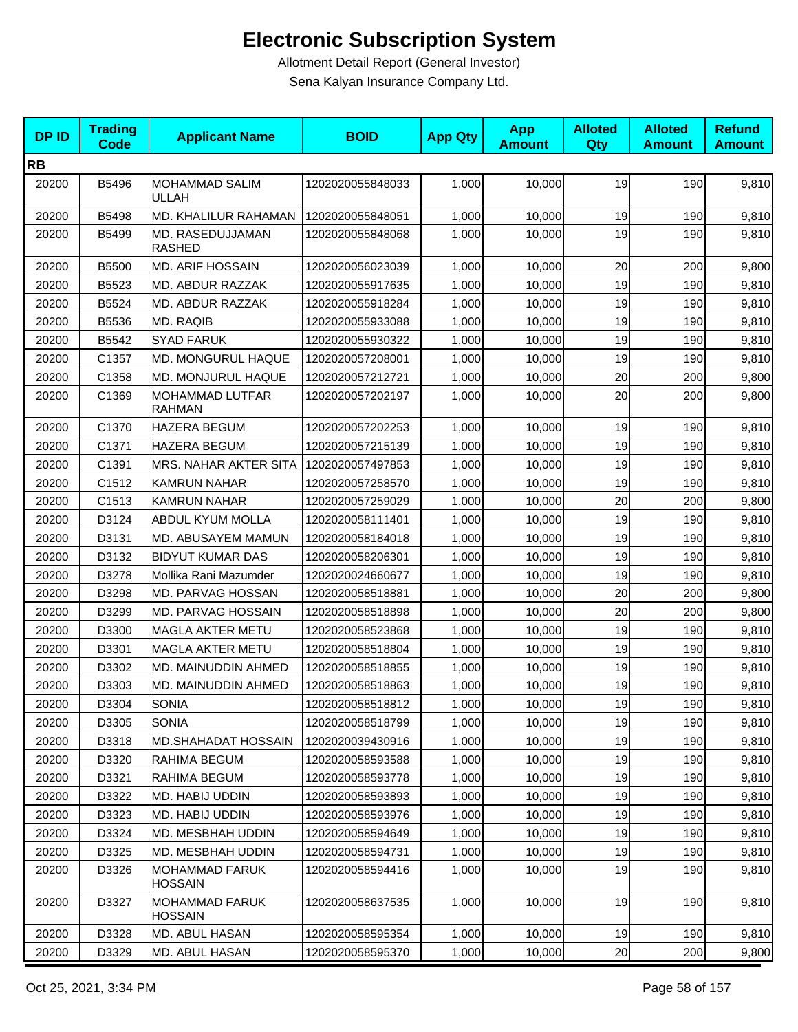| <b>DPID</b> | <b>Trading</b><br>Code | <b>Applicant Name</b>                   | <b>BOID</b>      | <b>App Qty</b> | <b>App</b><br><b>Amount</b> | <b>Alloted</b><br>Qty | <b>Alloted</b><br><b>Amount</b> | <b>Refund</b><br><b>Amount</b> |
|-------------|------------------------|-----------------------------------------|------------------|----------------|-----------------------------|-----------------------|---------------------------------|--------------------------------|
| <b>RB</b>   |                        |                                         |                  |                |                             |                       |                                 |                                |
| 20200       | B5496                  | MOHAMMAD SALIM<br><b>ULLAH</b>          | 1202020055848033 | 1,000          | 10,000                      | 19                    | 190                             | 9,810                          |
| 20200       | B5498                  | MD. KHALILUR RAHAMAN                    | 1202020055848051 | 1,000          | 10,000                      | 19                    | 190                             | 9,810                          |
| 20200       | B5499                  | MD. RASEDUJJAMAN<br><b>RASHED</b>       | 1202020055848068 | 1,000          | 10,000                      | 19                    | 190                             | 9,810                          |
| 20200       | B5500                  | <b>MD. ARIF HOSSAIN</b>                 | 1202020056023039 | 1,000          | 10,000                      | 20                    | 200                             | 9,800                          |
| 20200       | B5523                  | MD. ABDUR RAZZAK                        | 1202020055917635 | 1,000          | 10,000                      | 19                    | 190                             | 9,810                          |
| 20200       | B5524                  | MD. ABDUR RAZZAK                        | 1202020055918284 | 1,000          | 10,000                      | 19                    | 190                             | 9,810                          |
| 20200       | B5536                  | MD. RAQIB                               | 1202020055933088 | 1,000          | 10,000                      | 19                    | 190                             | 9,810                          |
| 20200       | B5542                  | <b>SYAD FARUK</b>                       | 1202020055930322 | 1,000          | 10,000                      | 19                    | 190                             | 9,810                          |
| 20200       | C1357                  | MD. MONGURUL HAQUE                      | 1202020057208001 | 1,000          | 10,000                      | 19                    | 190                             | 9,810                          |
| 20200       | C1358                  | MD. MONJURUL HAQUE                      | 1202020057212721 | 1,000          | 10,000                      | 20                    | 200                             | 9,800                          |
| 20200       | C1369                  | MOHAMMAD LUTFAR<br><b>RAHMAN</b>        | 1202020057202197 | 1,000          | 10,000                      | 20                    | 200                             | 9,800                          |
| 20200       | C1370                  | <b>HAZERA BEGUM</b>                     | 1202020057202253 | 1,000          | 10,000                      | 19                    | 190                             | 9,810                          |
| 20200       | C1371                  | <b>HAZERA BEGUM</b>                     | 1202020057215139 | 1,000          | 10,000                      | 19                    | 190                             | 9,810                          |
| 20200       | C1391                  | <b>MRS. NAHAR AKTER SITA</b>            | 1202020057497853 | 1,000          | 10,000                      | 19                    | 190                             | 9,810                          |
| 20200       | C1512                  | <b>KAMRUN NAHAR</b>                     | 1202020057258570 | 1,000          | 10,000                      | 19                    | 190                             | 9,810                          |
| 20200       | C1513                  | <b>KAMRUN NAHAR</b>                     | 1202020057259029 | 1,000          | 10,000                      | 20                    | 200                             | 9,800                          |
| 20200       | D3124                  | <b>ABDUL KYUM MOLLA</b>                 | 1202020058111401 | 1,000          | 10,000                      | 19                    | 190                             | 9,810                          |
| 20200       | D3131                  | MD. ABUSAYEM MAMUN                      | 1202020058184018 | 1,000          | 10,000                      | 19                    | 190                             | 9,810                          |
| 20200       | D3132                  | <b>BIDYUT KUMAR DAS</b>                 | 1202020058206301 | 1,000          | 10,000                      | 19                    | 190                             | 9,810                          |
| 20200       | D3278                  | Mollika Rani Mazumder                   | 1202020024660677 | 1,000          | 10,000                      | 19                    | 190                             | 9,810                          |
| 20200       | D3298                  | MD. PARVAG HOSSAN                       | 1202020058518881 | 1,000          | 10,000                      | 20                    | 200                             | 9,800                          |
| 20200       | D3299                  | MD. PARVAG HOSSAIN                      | 1202020058518898 | 1,000          | 10,000                      | 20                    | 200                             | 9,800                          |
| 20200       | D3300                  | <b>MAGLA AKTER METU</b>                 | 1202020058523868 | 1,000          | 10,000                      | 19                    | 190                             | 9,810                          |
| 20200       | D3301                  | <b>MAGLA AKTER METU</b>                 | 1202020058518804 | 1,000          | 10,000                      | 19                    | 190                             | 9,810                          |
| 20200       | D3302                  | MD. MAINUDDIN AHMED                     | 1202020058518855 | 1,000          | 10,000                      | 19                    | 190                             | 9,810                          |
| 20200       | D3303                  | MD. MAINUDDIN AHMED                     | 1202020058518863 | 1,000          | 10,000                      | 19                    | 190                             | 9,810                          |
| 20200       | D3304                  | <b>SONIA</b>                            | 1202020058518812 | 1,000          | 10,000                      | 19                    | 190                             | 9,810                          |
| 20200       | D3305                  | <b>SONIA</b>                            | 1202020058518799 | 1,000          | 10,000                      | 19                    | 190                             | 9,810                          |
| 20200       | D3318                  | <b>MD.SHAHADAT HOSSAIN</b>              | 1202020039430916 | 1,000          | 10,000                      | 19                    | 190                             | 9,810                          |
| 20200       | D3320                  | RAHIMA BEGUM                            | 1202020058593588 | 1,000          | 10,000                      | 19                    | 190                             | 9,810                          |
| 20200       | D3321                  | RAHIMA BEGUM                            | 1202020058593778 | 1,000          | 10,000                      | 19                    | 190                             | 9,810                          |
| 20200       | D3322                  | MD. HABIJ UDDIN                         | 1202020058593893 | 1,000          | 10,000                      | 19                    | 190                             | 9,810                          |
| 20200       | D3323                  | MD. HABIJ UDDIN                         | 1202020058593976 | 1,000          | 10,000                      | 19                    | 190                             | 9,810                          |
| 20200       | D3324                  | MD. MESBHAH UDDIN                       | 1202020058594649 | 1,000          | 10,000                      | 19                    | 190                             | 9,810                          |
| 20200       | D3325                  | MD. MESBHAH UDDIN                       | 1202020058594731 | 1,000          | 10,000                      | 19                    | 190                             | 9,810                          |
| 20200       | D3326                  | <b>MOHAMMAD FARUK</b><br><b>HOSSAIN</b> | 1202020058594416 | 1,000          | 10,000                      | 19                    | 190                             | 9,810                          |
| 20200       | D3327                  | <b>MOHAMMAD FARUK</b><br><b>HOSSAIN</b> | 1202020058637535 | 1,000          | 10,000                      | 19                    | 190                             | 9,810                          |
| 20200       | D3328                  | MD. ABUL HASAN                          | 1202020058595354 | 1,000          | 10,000                      | 19                    | 190                             | 9,810                          |
| 20200       | D3329                  | MD. ABUL HASAN                          | 1202020058595370 | 1,000          | 10,000                      | 20                    | 200                             | 9,800                          |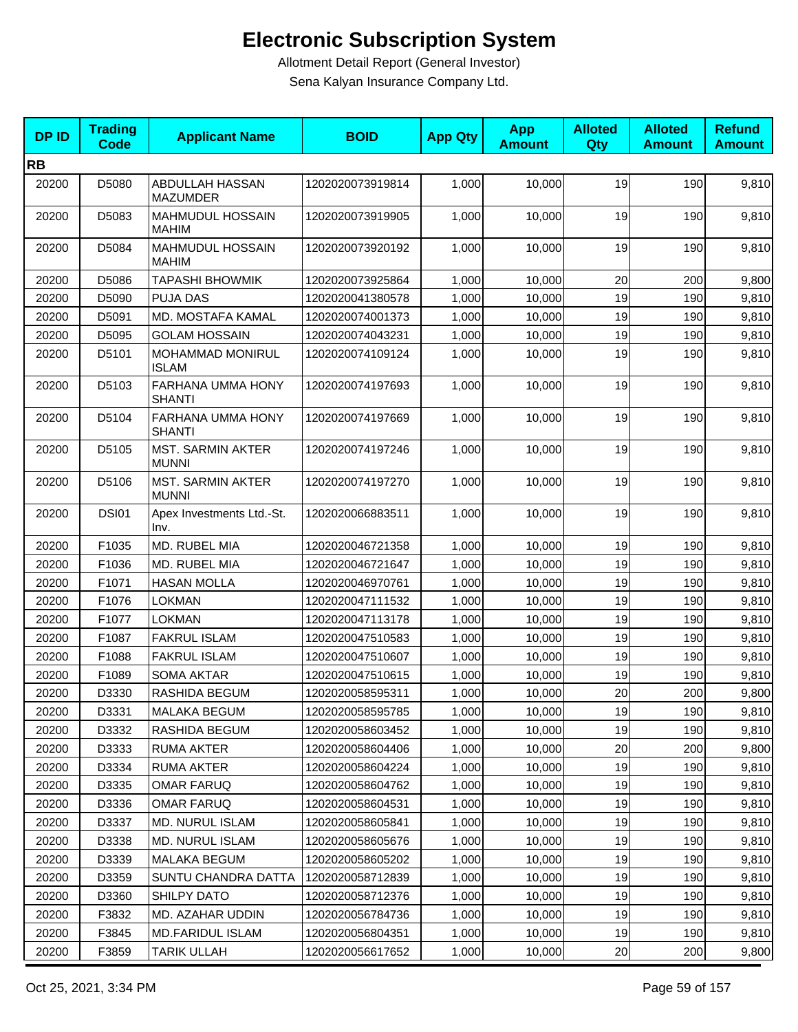| <b>DPID</b> | <b>Trading</b><br><b>Code</b> | <b>Applicant Name</b>                    | <b>BOID</b>      | <b>App Qty</b> | <b>App</b><br><b>Amount</b> | <b>Alloted</b><br>Qty | <b>Alloted</b><br><b>Amount</b> | <b>Refund</b><br><b>Amount</b> |
|-------------|-------------------------------|------------------------------------------|------------------|----------------|-----------------------------|-----------------------|---------------------------------|--------------------------------|
| <b>RB</b>   |                               |                                          |                  |                |                             |                       |                                 |                                |
| 20200       | D5080                         | ABDULLAH HASSAN<br><b>MAZUMDER</b>       | 1202020073919814 | 1,000          | 10,000                      | 19                    | 190                             | 9,810                          |
| 20200       | D5083                         | <b>MAHMUDUL HOSSAIN</b><br><b>MAHIM</b>  | 1202020073919905 | 1,000          | 10,000                      | 19                    | 190                             | 9,810                          |
| 20200       | D5084                         | <b>MAHMUDUL HOSSAIN</b><br><b>MAHIM</b>  | 1202020073920192 | 1,000          | 10,000                      | 19                    | 190                             | 9,810                          |
| 20200       | D5086                         | <b>TAPASHI BHOWMIK</b>                   | 1202020073925864 | 1,000          | 10,000                      | 20                    | 200                             | 9,800                          |
| 20200       | D5090                         | <b>PUJA DAS</b>                          | 1202020041380578 | 1,000          | 10,000                      | 19                    | 190                             | 9,810                          |
| 20200       | D5091                         | MD. MOSTAFA KAMAL                        | 1202020074001373 | 1,000          | 10,000                      | 19                    | 190                             | 9,810                          |
| 20200       | D5095                         | <b>GOLAM HOSSAIN</b>                     | 1202020074043231 | 1,000          | 10,000                      | 19                    | 190                             | 9,810                          |
| 20200       | D5101                         | MOHAMMAD MONIRUL<br><b>ISLAM</b>         | 1202020074109124 | 1,000          | 10,000                      | 19                    | 190                             | 9,810                          |
| 20200       | D5103                         | FARHANA UMMA HONY<br><b>SHANTI</b>       | 1202020074197693 | 1,000          | 10,000                      | 19                    | 190                             | 9,810                          |
| 20200       | D5104                         | FARHANA UMMA HONY<br><b>SHANTI</b>       | 1202020074197669 | 1,000          | 10,000                      | 19                    | 190                             | 9,810                          |
| 20200       | D5105                         | <b>MST. SARMIN AKTER</b><br><b>MUNNI</b> | 1202020074197246 | 1,000          | 10,000                      | 19                    | 190                             | 9,810                          |
| 20200       | D5106                         | <b>MST. SARMIN AKTER</b><br><b>MUNNI</b> | 1202020074197270 | 1,000          | 10,000                      | 19                    | 190                             | 9,810                          |
| 20200       | <b>DSI01</b>                  | Apex Investments Ltd.-St.<br>Inv.        | 1202020066883511 | 1,000          | 10,000                      | 19                    | 190                             | 9,810                          |
| 20200       | F1035                         | MD. RUBEL MIA                            | 1202020046721358 | 1,000          | 10,000                      | 19                    | 190                             | 9,810                          |
| 20200       | F1036                         | MD. RUBEL MIA                            | 1202020046721647 | 1,000          | 10,000                      | 19                    | 190                             | 9,810                          |
| 20200       | F1071                         | <b>HASAN MOLLA</b>                       | 1202020046970761 | 1,000          | 10,000                      | 19                    | 190                             | 9,810                          |
| 20200       | F1076                         | <b>LOKMAN</b>                            | 1202020047111532 | 1,000          | 10,000                      | 19                    | 190                             | 9,810                          |
| 20200       | F1077                         | <b>LOKMAN</b>                            | 1202020047113178 | 1,000          | 10,000                      | 19                    | 190                             | 9,810                          |
| 20200       | F1087                         | <b>FAKRUL ISLAM</b>                      | 1202020047510583 | 1,000          | 10,000                      | 19                    | 190                             | 9,810                          |
| 20200       | F1088                         | <b>FAKRUL ISLAM</b>                      | 1202020047510607 | 1,000          | 10,000                      | 19                    | 190                             | 9,810                          |
| 20200       | F1089                         | <b>SOMA AKTAR</b>                        | 1202020047510615 | 1,000          | 10,000                      | 19                    | 190                             | 9,810                          |
| 20200       | D3330                         | RASHIDA BEGUM                            | 1202020058595311 | 1,000          | 10,000                      | 20                    | 200                             | 9,800                          |
| 20200       | D3331                         | MALAKA BEGUM                             | 1202020058595785 | 1,000          | 10,000                      | 19                    | 190                             | 9,810                          |
| 20200       | D3332                         | RASHIDA BEGUM                            | 1202020058603452 | 1,000          | 10,000                      | 19                    | 190                             | 9,810                          |
| 20200       | D3333                         | <b>RUMA AKTER</b>                        | 1202020058604406 | 1,000          | 10,000                      | 20                    | 200                             | 9,800                          |
| 20200       | D3334                         | RUMA AKTER                               | 1202020058604224 | 1,000          | 10,000                      | 19                    | 190                             | 9,810                          |
| 20200       | D3335                         | <b>OMAR FARUQ</b>                        | 1202020058604762 | 1,000          | 10,000                      | 19                    | 190                             | 9,810                          |
| 20200       | D3336                         | <b>OMAR FARUQ</b>                        | 1202020058604531 | 1,000          | 10,000                      | 19                    | 190                             | 9,810                          |
| 20200       | D3337                         | <b>MD. NURUL ISLAM</b>                   | 1202020058605841 | 1,000          | 10,000                      | 19                    | 190                             | 9,810                          |
| 20200       | D3338                         | <b>MD. NURUL ISLAM</b>                   | 1202020058605676 | 1,000          | 10,000                      | 19                    | 190                             | 9,810                          |
| 20200       | D3339                         | MALAKA BEGUM                             | 1202020058605202 | 1,000          | 10,000                      | 19                    | 190                             | 9,810                          |
| 20200       | D3359                         | SUNTU CHANDRA DATTA                      | 1202020058712839 | 1,000          | 10,000                      | 19                    | 190                             | 9,810                          |
| 20200       | D3360                         | SHILPY DATO                              | 1202020058712376 | 1,000          | 10,000                      | 19                    | 190                             | 9,810                          |
| 20200       | F3832                         | MD. AZAHAR UDDIN                         | 1202020056784736 | 1,000          | 10,000                      | 19                    | 190                             | 9,810                          |
| 20200       | F3845                         | MD.FARIDUL ISLAM                         | 1202020056804351 | 1,000          | 10,000                      | 19                    | 190                             | 9,810                          |
| 20200       | F3859                         | <b>TARIK ULLAH</b>                       | 1202020056617652 | 1,000          | 10,000                      | 20                    | 200                             | 9,800                          |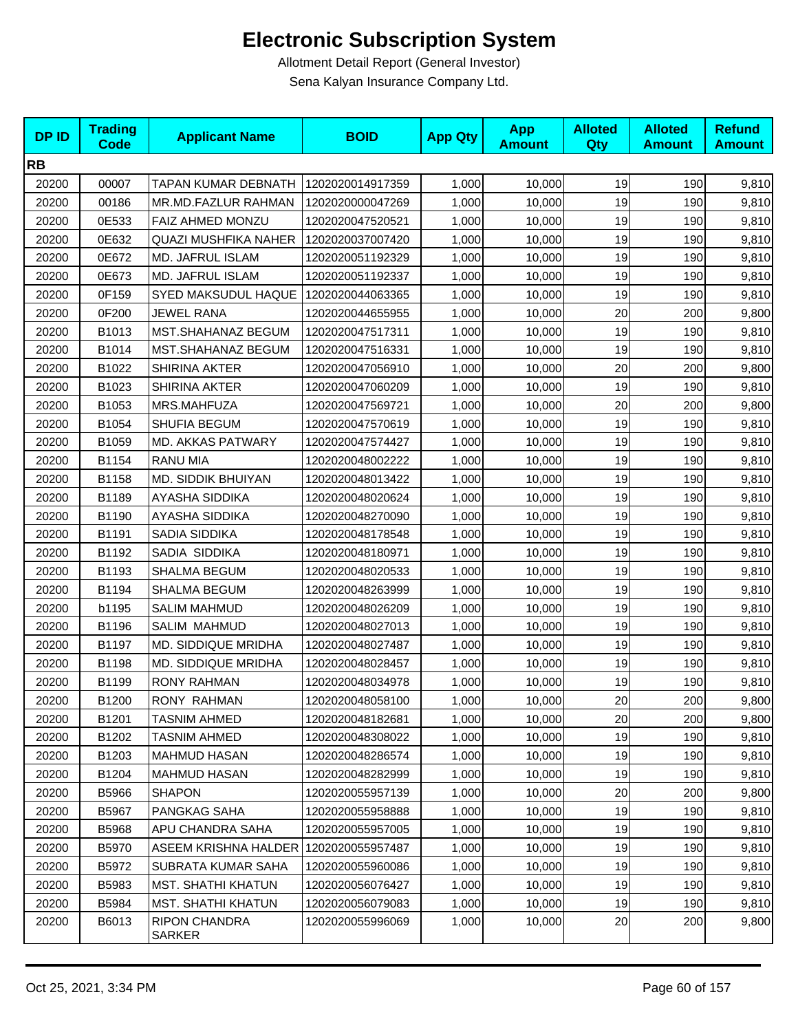| <b>DPID</b> | <b>Trading</b><br><b>Code</b> | <b>Applicant Name</b>                 | <b>BOID</b>      | <b>App Qty</b> | <b>App</b><br><b>Amount</b> | <b>Alloted</b><br><b>Qty</b> | <b>Alloted</b><br><b>Amount</b> | <b>Refund</b><br><b>Amount</b> |
|-------------|-------------------------------|---------------------------------------|------------------|----------------|-----------------------------|------------------------------|---------------------------------|--------------------------------|
| <b>RB</b>   |                               |                                       |                  |                |                             |                              |                                 |                                |
| 20200       | 00007                         | TAPAN KUMAR DEBNATH                   | 1202020014917359 | 1,000          | 10,000                      | 19                           | 190                             | 9,810                          |
| 20200       | 00186                         | MR.MD.FAZLUR RAHMAN                   | 1202020000047269 | 1,000          | 10,000                      | 19                           | 190                             | 9,810                          |
| 20200       | 0E533                         | FAIZ AHMED MONZU                      | 1202020047520521 | 1,000          | 10,000                      | 19                           | 190                             | 9,810                          |
| 20200       | 0E632                         | <b>QUAZI MUSHFIKA NAHER</b>           | 1202020037007420 | 1,000          | 10,000                      | 19                           | 190                             | 9,810                          |
| 20200       | 0E672                         | MD. JAFRUL ISLAM                      | 1202020051192329 | 1,000          | 10,000                      | 19                           | 190                             | 9,810                          |
| 20200       | 0E673                         | <b>MD. JAFRUL ISLAM</b>               | 1202020051192337 | 1,000          | 10,000                      | 19                           | 190                             | 9,810                          |
| 20200       | 0F159                         | SYED MAKSUDUL HAQUE                   | 1202020044063365 | 1,000          | 10,000                      | 19                           | 190                             | 9,810                          |
| 20200       | 0F200                         | <b>JEWEL RANA</b>                     | 1202020044655955 | 1,000          | 10,000                      | 20                           | 200                             | 9,800                          |
| 20200       | B1013                         | MST.SHAHANAZ BEGUM                    | 1202020047517311 | 1,000          | 10,000                      | 19                           | 190                             | 9,810                          |
| 20200       | B1014                         | MST.SHAHANAZ BEGUM                    | 1202020047516331 | 1,000          | 10,000                      | 19                           | 190                             | 9,810                          |
| 20200       | B1022                         | <b>SHIRINA AKTER</b>                  | 1202020047056910 | 1,000          | 10,000                      | 20                           | 200                             | 9,800                          |
| 20200       | B1023                         | <b>SHIRINA AKTER</b>                  | 1202020047060209 | 1,000          | 10,000                      | 19                           | 190                             | 9,810                          |
| 20200       | B1053                         | MRS.MAHFUZA                           | 1202020047569721 | 1,000          | 10,000                      | 20                           | 200                             | 9,800                          |
| 20200       | B1054                         | SHUFIA BEGUM                          | 1202020047570619 | 1,000          | 10,000                      | 19                           | 190                             | 9,810                          |
| 20200       | B1059                         | <b>MD. AKKAS PATWARY</b>              | 1202020047574427 | 1,000          | 10,000                      | 19                           | 190                             | 9,810                          |
| 20200       | B1154                         | <b>RANU MIA</b>                       | 1202020048002222 | 1,000          | 10,000                      | 19                           | 190                             | 9,810                          |
| 20200       | B1158                         | MD. SIDDIK BHUIYAN                    | 1202020048013422 | 1,000          | 10,000                      | 19                           | 190                             | 9,810                          |
| 20200       | B1189                         | <b>AYASHA SIDDIKA</b>                 | 1202020048020624 | 1,000          | 10,000                      | 19                           | 190                             | 9,810                          |
| 20200       | B1190                         | AYASHA SIDDIKA                        | 1202020048270090 | 1,000          | 10,000                      | 19                           | 190                             | 9,810                          |
| 20200       | B1191                         | SADIA SIDDIKA                         | 1202020048178548 | 1,000          | 10,000                      | 19                           | 190                             | 9,810                          |
| 20200       | B1192                         | SADIA SIDDIKA                         | 1202020048180971 | 1,000          | 10,000                      | 19                           | 190                             | 9,810                          |
| 20200       | B1193                         | SHALMA BEGUM                          | 1202020048020533 | 1,000          | 10,000                      | 19                           | 190                             | 9,810                          |
| 20200       | B1194                         | SHALMA BEGUM                          | 1202020048263999 | 1,000          | 10,000                      | 19                           | 190                             | 9,810                          |
| 20200       | b1195                         | <b>SALIM MAHMUD</b>                   | 1202020048026209 | 1,000          | 10,000                      | 19                           | 190                             | 9,810                          |
| 20200       | B1196                         | <b>SALIM MAHMUD</b>                   | 1202020048027013 | 1,000          | 10,000                      | 19                           | 190                             | 9,810                          |
| 20200       | B1197                         | <b>MD. SIDDIQUE MRIDHA</b>            | 1202020048027487 | 1,000          | 10,000                      | 19                           | 190                             | 9,810                          |
| 20200       | B1198                         | MD. SIDDIQUE MRIDHA                   | 1202020048028457 | 1,000          | 10,000                      | 19                           | 190                             | 9,810                          |
| 20200       | B1199                         | <b>RONY RAHMAN</b>                    | 1202020048034978 | 1,000          | 10,000                      | 19                           | 190                             | 9,810                          |
| 20200       | B1200                         | RONY RAHMAN                           | 1202020048058100 | 1,000          | 10,000                      | 20                           | 200                             | 9,800                          |
| 20200       | B1201                         | <b>TASNIM AHMED</b>                   | 1202020048182681 | 1,000          | 10,000                      | 20                           | 200                             | 9,800                          |
| 20200       | B1202                         | <b>TASNIM AHMED</b>                   | 1202020048308022 | 1,000          | 10,000                      | 19                           | 190                             | 9,810                          |
| 20200       | B1203                         | <b>MAHMUD HASAN</b>                   | 1202020048286574 | 1,000          | 10,000                      | 19                           | 190                             | 9,810                          |
| 20200       | B1204                         | <b>MAHMUD HASAN</b>                   | 1202020048282999 | 1,000          | 10,000                      | 19                           | 190                             | 9,810                          |
| 20200       | B5966                         | <b>SHAPON</b>                         | 1202020055957139 | 1,000          | 10,000                      | 20                           | 200                             | 9,800                          |
| 20200       | B5967                         | PANGKAG SAHA                          | 1202020055958888 | 1,000          | 10,000                      | 19                           | 190                             | 9,810                          |
| 20200       | B5968                         | APU CHANDRA SAHA                      | 1202020055957005 | 1,000          | 10,000                      | 19                           | 190                             | 9,810                          |
| 20200       | B5970                         | ASEEM KRISHNA HALDER 1202020055957487 |                  | 1,000          | 10,000                      | 19                           | 190                             | 9,810                          |
| 20200       | B5972                         | SUBRATA KUMAR SAHA                    | 1202020055960086 | 1,000          | 10,000                      | 19                           | 190                             | 9,810                          |
| 20200       | B5983                         | <b>MST. SHATHI KHATUN</b>             | 1202020056076427 | 1,000          | 10,000                      | 19                           | 190                             | 9,810                          |
| 20200       | B5984                         | <b>MST. SHATHI KHATUN</b>             | 1202020056079083 | 1,000          | 10,000                      | 19                           | 190                             | 9,810                          |
| 20200       | B6013                         | <b>RIPON CHANDRA</b><br>SARKER        | 1202020055996069 | 1,000          | 10,000                      | 20                           | 200                             | 9,800                          |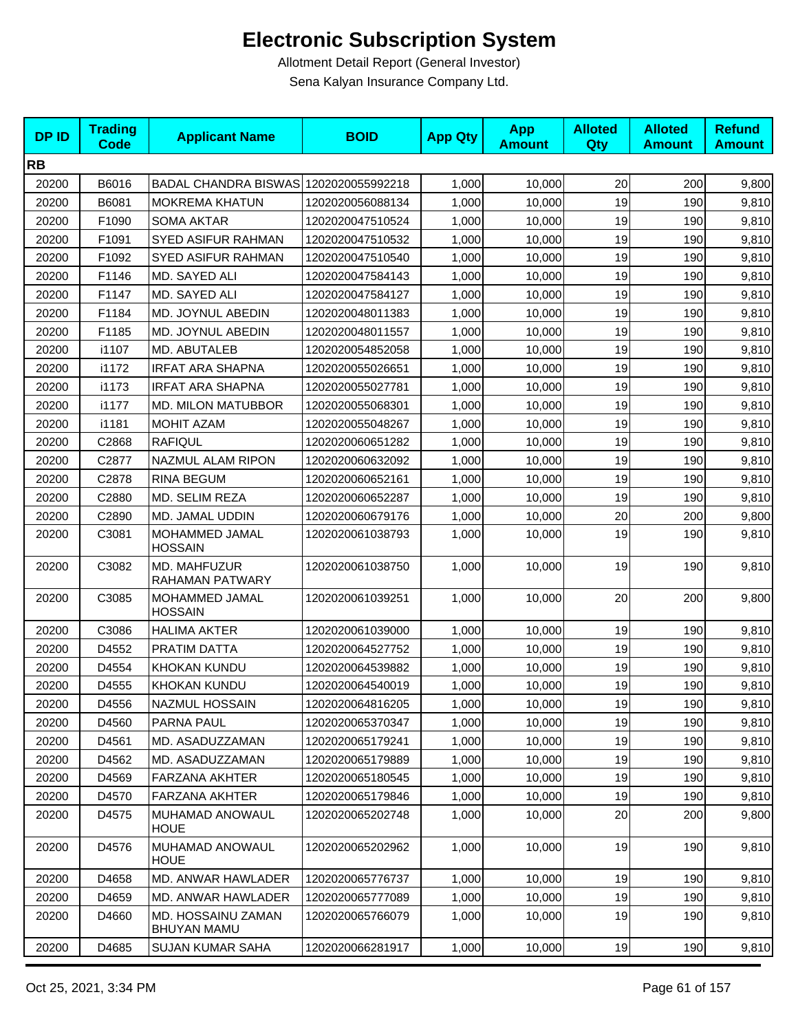| <b>DPID</b> | <b>Trading</b><br><b>Code</b> | <b>Applicant Name</b>                    | <b>BOID</b>      | <b>App Qty</b> | <b>App</b><br><b>Amount</b> | <b>Alloted</b><br>Qty | <b>Alloted</b><br><b>Amount</b> | <b>Refund</b><br><b>Amount</b> |
|-------------|-------------------------------|------------------------------------------|------------------|----------------|-----------------------------|-----------------------|---------------------------------|--------------------------------|
| <b>RB</b>   |                               |                                          |                  |                |                             |                       |                                 |                                |
| 20200       | B6016                         | BADAL CHANDRA BISWAS 1202020055992218    |                  | 1,000          | 10,000                      | 20                    | 200                             | 9,800                          |
| 20200       | B6081                         | <b>MOKREMA KHATUN</b>                    | 1202020056088134 | 1,000          | 10.000                      | 19                    | 190                             | 9,810                          |
| 20200       | F1090                         | <b>SOMA AKTAR</b>                        | 1202020047510524 | 1,000          | 10,000                      | 19                    | 190                             | 9,810                          |
| 20200       | F1091                         | SYED ASIFUR RAHMAN                       | 1202020047510532 | 1,000          | 10,000                      | 19                    | 190                             | 9,810                          |
| 20200       | F1092                         | <b>SYED ASIFUR RAHMAN</b>                | 1202020047510540 | 1,000          | 10,000                      | 19                    | 190                             | 9,810                          |
| 20200       | F1146                         | MD. SAYED ALI                            | 1202020047584143 | 1,000          | 10,000                      | 19                    | 190                             | 9,810                          |
| 20200       | F1147                         | MD. SAYED ALI                            | 1202020047584127 | 1,000          | 10,000                      | 19                    | 190                             | 9,810                          |
| 20200       | F1184                         | MD. JOYNUL ABEDIN                        | 1202020048011383 | 1,000          | 10,000                      | 19                    | 190                             | 9,810                          |
| 20200       | F1185                         | MD. JOYNUL ABEDIN                        | 1202020048011557 | 1,000          | 10,000                      | 19                    | 190                             | 9,810                          |
| 20200       | i1107                         | MD. ABUTALEB                             | 1202020054852058 | 1,000          | 10,000                      | 19                    | 190                             | 9,810                          |
| 20200       | i1172                         | <b>IRFAT ARA SHAPNA</b>                  | 1202020055026651 | 1,000          | 10,000                      | 19                    | 190                             | 9,810                          |
| 20200       | i1173                         | <b>IRFAT ARA SHAPNA</b>                  | 1202020055027781 | 1,000          | 10,000                      | 19                    | 190                             | 9,810                          |
| 20200       | i1177                         | <b>MD. MILON MATUBBOR</b>                | 1202020055068301 | 1,000          | 10,000                      | 19                    | 190                             | 9,810                          |
| 20200       | i1181                         | <b>MOHIT AZAM</b>                        | 1202020055048267 | 1,000          | 10,000                      | 19                    | 190                             | 9,810                          |
| 20200       | C2868                         | <b>RAFIQUL</b>                           | 1202020060651282 | 1,000          | 10,000                      | 19                    | 190                             | 9,810                          |
| 20200       | C2877                         | NAZMUL ALAM RIPON                        | 1202020060632092 | 1,000          | 10,000                      | 19                    | 190                             | 9,810                          |
| 20200       | C2878                         | <b>RINA BEGUM</b>                        | 1202020060652161 | 1,000          | 10,000                      | 19                    | 190                             | 9,810                          |
| 20200       | C2880                         | MD. SELIM REZA                           | 1202020060652287 | 1,000          | 10,000                      | 19                    | 190                             | 9,810                          |
| 20200       | C2890                         | MD. JAMAL UDDIN                          | 1202020060679176 | 1,000          | 10,000                      | 20                    | 200                             | 9,800                          |
| 20200       | C3081                         | MOHAMMED JAMAL<br><b>HOSSAIN</b>         | 1202020061038793 | 1,000          | 10,000                      | 19                    | 190                             | 9,810                          |
| 20200       | C3082                         | MD. MAHFUZUR<br>RAHAMAN PATWARY          | 1202020061038750 | 1,000          | 10,000                      | 19                    | 190                             | 9,810                          |
| 20200       | C3085                         | MOHAMMED JAMAL<br><b>HOSSAIN</b>         | 1202020061039251 | 1,000          | 10,000                      | 20                    | 200                             | 9,800                          |
| 20200       | C3086                         | <b>HALIMA AKTER</b>                      | 1202020061039000 | 1,000          | 10,000                      | 19                    | 190                             | 9,810                          |
| 20200       | D4552                         | PRATIM DATTA                             | 1202020064527752 | 1,000          | 10,000                      | 19                    | 190                             | 9,810                          |
| 20200       | D4554                         | <b>KHOKAN KUNDU</b>                      | 1202020064539882 | 1,000          | 10,000                      | 19                    | 190                             | 9,810                          |
| 20200       | D4555                         | <b>KHOKAN KUNDU</b>                      | 1202020064540019 | 1,000          | 10,000                      | 19                    | 190                             | 9,810                          |
| 20200       | D4556                         | NAZMUL HOSSAIN                           | 1202020064816205 | 1,000          | 10,000                      | 19                    | 190                             | 9,810                          |
| 20200       | D4560                         | PARNA PAUL                               | 1202020065370347 | 1,000          | 10,000                      | 19                    | 190                             | 9,810                          |
| 20200       | D4561                         | MD. ASADUZZAMAN                          | 1202020065179241 | 1,000          | 10,000                      | 19                    | 190                             | 9,810                          |
| 20200       | D4562                         | MD. ASADUZZAMAN                          | 1202020065179889 | 1,000          | 10,000                      | 19                    | 190                             | 9,810                          |
| 20200       | D4569                         | <b>FARZANA AKHTER</b>                    | 1202020065180545 | 1,000          | 10,000                      | 19                    | 190                             | 9,810                          |
| 20200       | D4570                         | FARZANA AKHTER                           | 1202020065179846 | 1,000          | 10,000                      | 19                    | 190                             | 9,810                          |
| 20200       | D4575                         | MUHAMAD ANOWAUL<br><b>HOUE</b>           | 1202020065202748 | 1,000          | 10,000                      | 20                    | 200                             | 9,800                          |
| 20200       | D4576                         | MUHAMAD ANOWAUL<br><b>HOUE</b>           | 1202020065202962 | 1,000          | 10,000                      | 19                    | 190                             | 9,810                          |
| 20200       | D4658                         | MD. ANWAR HAWLADER                       | 1202020065776737 | 1,000          | 10,000                      | 19                    | 190                             | 9,810                          |
| 20200       | D4659                         | MD. ANWAR HAWLADER                       | 1202020065777089 | 1,000          | 10,000                      | 19                    | 190                             | 9,810                          |
| 20200       | D4660                         | MD. HOSSAINU ZAMAN<br><b>BHUYAN MAMU</b> | 1202020065766079 | 1,000          | 10,000                      | 19                    | 190                             | 9,810                          |
| 20200       | D4685                         | <b>SUJAN KUMAR SAHA</b>                  | 1202020066281917 | 1,000          | 10,000                      | 19                    | 190                             | 9,810                          |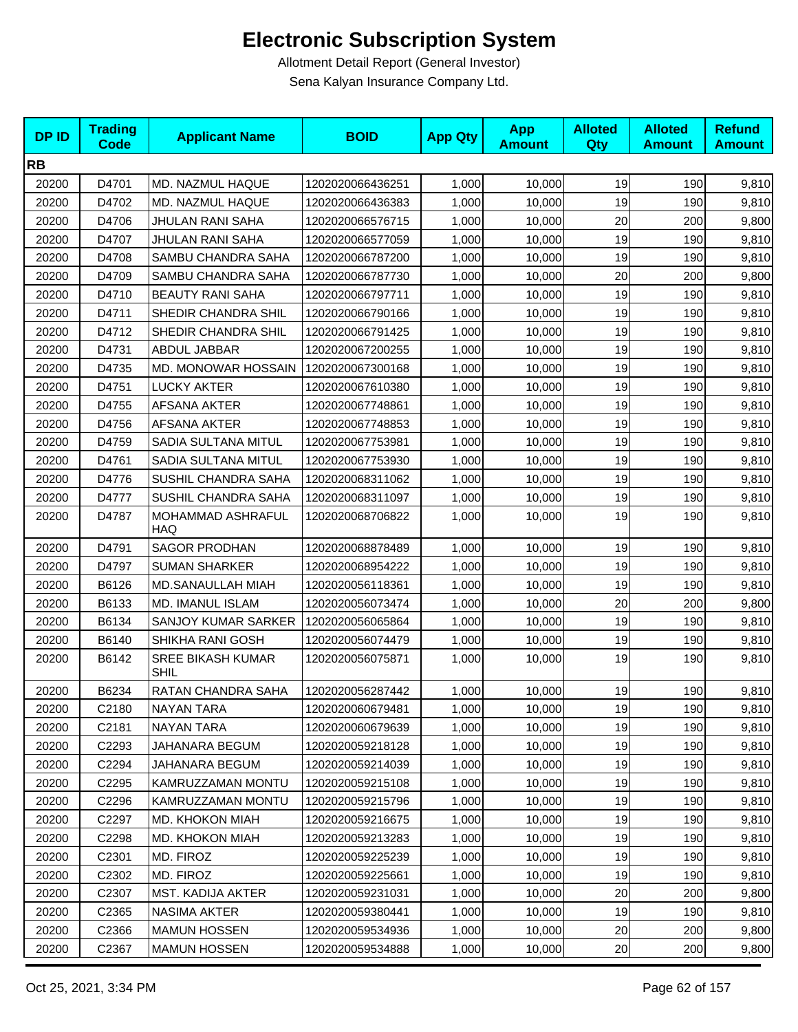| <b>DPID</b> | <b>Trading</b><br><b>Code</b> | <b>Applicant Name</b>                   | <b>BOID</b>      | <b>App Qty</b> | <b>App</b><br><b>Amount</b> | <b>Alloted</b><br>Qty | <b>Alloted</b><br><b>Amount</b> | <b>Refund</b><br><b>Amount</b> |
|-------------|-------------------------------|-----------------------------------------|------------------|----------------|-----------------------------|-----------------------|---------------------------------|--------------------------------|
| <b>RB</b>   |                               |                                         |                  |                |                             |                       |                                 |                                |
| 20200       | D4701                         | MD. NAZMUL HAQUE                        | 1202020066436251 | 1,000          | 10,000                      | 19                    | 190                             | 9,810                          |
| 20200       | D4702                         | MD. NAZMUL HAQUE                        | 1202020066436383 | 1,000          | 10,000                      | 19                    | 190                             | 9,810                          |
| 20200       | D4706                         | JHULAN RANI SAHA                        | 1202020066576715 | 1,000          | 10,000                      | 20                    | 200                             | 9,800                          |
| 20200       | D4707                         | <b>JHULAN RANI SAHA</b>                 | 1202020066577059 | 1,000          | 10,000                      | 19                    | 190                             | 9,810                          |
| 20200       | D4708                         | SAMBU CHANDRA SAHA                      | 1202020066787200 | 1,000          | 10,000                      | 19                    | 190                             | 9,810                          |
| 20200       | D4709                         | SAMBU CHANDRA SAHA                      | 1202020066787730 | 1.000          | 10,000                      | 20                    | 200                             | 9,800                          |
| 20200       | D4710                         | <b>BEAUTY RANI SAHA</b>                 | 1202020066797711 | 1,000          | 10,000                      | 19                    | 190                             | 9,810                          |
| 20200       | D4711                         | SHEDIR CHANDRA SHIL                     | 1202020066790166 | 1,000          | 10,000                      | 19                    | 190                             | 9,810                          |
| 20200       | D4712                         | SHEDIR CHANDRA SHIL                     | 1202020066791425 | 1,000          | 10,000                      | 19                    | 190                             | 9,810                          |
| 20200       | D4731                         | ABDUL JABBAR                            | 1202020067200255 | 1,000          | 10,000                      | 19                    | 190                             | 9,810                          |
| 20200       | D4735                         | MD. MONOWAR HOSSAIN                     | 1202020067300168 | 1,000          | 10,000                      | 19                    | 190                             | 9,810                          |
| 20200       | D4751                         | <b>LUCKY AKTER</b>                      | 1202020067610380 | 1,000          | 10,000                      | 19                    | 190                             | 9,810                          |
| 20200       | D4755                         | <b>AFSANA AKTER</b>                     | 1202020067748861 | 1,000          | 10,000                      | 19                    | 190                             | 9,810                          |
| 20200       | D4756                         | <b>AFSANA AKTER</b>                     | 1202020067748853 | 1,000          | 10,000                      | 19                    | 190                             | 9,810                          |
| 20200       | D4759                         | SADIA SULTANA MITUL                     | 1202020067753981 | 1,000          | 10,000                      | 19                    | 190                             | 9,810                          |
| 20200       | D4761                         | SADIA SULTANA MITUL                     | 1202020067753930 | 1,000          | 10,000                      | 19                    | 190                             | 9,810                          |
| 20200       | D4776                         | SUSHIL CHANDRA SAHA                     | 1202020068311062 | 1,000          | 10,000                      | 19                    | 190                             | 9,810                          |
| 20200       | D4777                         | SUSHIL CHANDRA SAHA                     | 1202020068311097 | 1,000          | 10,000                      | 19                    | 190                             | 9,810                          |
| 20200       | D4787                         | MOHAMMAD ASHRAFUL<br><b>HAQ</b>         | 1202020068706822 | 1,000          | 10,000                      | 19                    | 190                             | 9,810                          |
| 20200       | D4791                         | <b>SAGOR PRODHAN</b>                    | 1202020068878489 | 1,000          | 10,000                      | 19                    | 190                             | 9,810                          |
| 20200       | D4797                         | <b>SUMAN SHARKER</b>                    | 1202020068954222 | 1,000          | 10,000                      | 19                    | 190                             | 9,810                          |
| 20200       | B6126                         | MD.SANAULLAH MIAH                       | 1202020056118361 | 1,000          | 10,000                      | 19                    | 190                             | 9,810                          |
| 20200       | B6133                         | MD. IMANUL ISLAM                        | 1202020056073474 | 1,000          | 10,000                      | 20                    | 200                             | 9,800                          |
| 20200       | B6134                         | SANJOY KUMAR SARKER                     | 1202020056065864 | 1,000          | 10,000                      | 19                    | 190                             | 9,810                          |
| 20200       | B6140                         | SHIKHA RANI GOSH                        | 1202020056074479 | 1,000          | 10,000                      | 19                    | 190                             | 9,810                          |
| 20200       | B6142                         | <b>SREE BIKASH KUMAR</b><br><b>SHIL</b> | 1202020056075871 | 1,000          | 10,000                      | 19                    | 190                             | 9,810                          |
| 20200       | B6234                         | RATAN CHANDRA SAHA                      | 1202020056287442 | 1,000          | 10,000                      | 19                    | 190                             | 9,810                          |
| 20200       | C2180                         | <b>NAYAN TARA</b>                       | 1202020060679481 | 1,000          | 10,000                      | 19                    | 190                             | 9,810                          |
| 20200       | C2181                         | <b>NAYAN TARA</b>                       | 1202020060679639 | 1,000          | 10,000                      | 19                    | 190                             | 9,810                          |
| 20200       | C2293                         | JAHANARA BEGUM                          | 1202020059218128 | 1,000          | 10,000                      | 19                    | 190                             | 9,810                          |
| 20200       | C2294                         | JAHANARA BEGUM                          | 1202020059214039 | 1,000          | 10,000                      | 19                    | 190                             | 9,810                          |
| 20200       | C <sub>2295</sub>             | KAMRUZZAMAN MONTU                       | 1202020059215108 | 1,000          | 10,000                      | 19                    | 190                             | 9,810                          |
| 20200       | C2296                         | KAMRUZZAMAN MONTU                       | 1202020059215796 | 1,000          | 10,000                      | 19                    | 190                             | 9,810                          |
| 20200       | C2297                         | MD. KHOKON MIAH                         | 1202020059216675 | 1,000          | 10,000                      | 19                    | 190                             | 9,810                          |
| 20200       | C2298                         | MD. KHOKON MIAH                         | 1202020059213283 | 1,000          | 10,000                      | 19                    | 190                             | 9,810                          |
| 20200       | C2301                         | MD. FIROZ                               | 1202020059225239 | 1,000          | 10,000                      | 19                    | 190                             | 9,810                          |
| 20200       | C2302                         | MD. FIROZ                               | 1202020059225661 | 1,000          | 10,000                      | 19                    | 190                             | 9,810                          |
| 20200       | C <sub>2307</sub>             | MST. KADIJA AKTER                       | 1202020059231031 | 1,000          | 10,000                      | 20                    | 200                             | 9,800                          |
| 20200       | C2365                         | <b>NASIMA AKTER</b>                     | 1202020059380441 | 1,000          | 10,000                      | 19                    | 190                             | 9,810                          |
| 20200       | C2366                         | <b>MAMUN HOSSEN</b>                     | 1202020059534936 | 1,000          | 10,000                      | 20                    | 200                             | 9,800                          |
| 20200       | C2367                         | <b>MAMUN HOSSEN</b>                     | 1202020059534888 | 1,000          | 10,000                      | 20                    | 200                             | 9,800                          |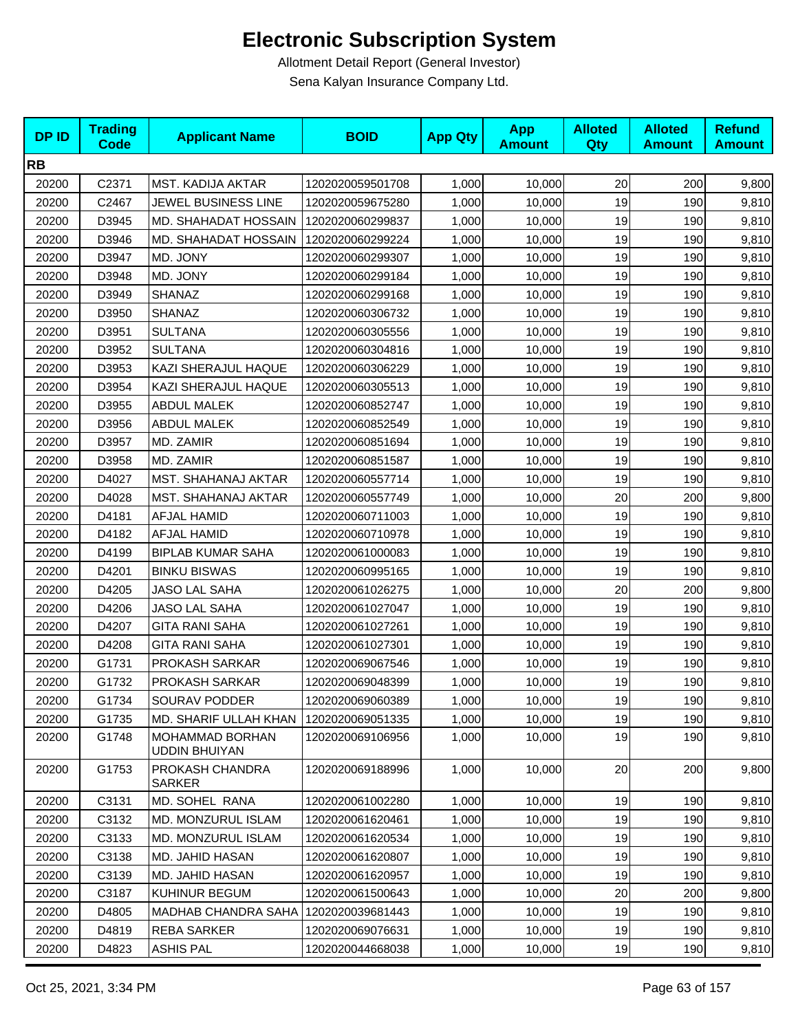| <b>RB</b><br>20200<br>C2371<br>MST. KADIJA AKTAR<br>1,000<br>20<br>200<br>1202020059501708<br>10,000<br>JEWEL BUSINESS LINE<br>19<br>20200<br>C2467<br>1,000<br>190<br>1202020059675280<br>10,000<br>19<br>20200<br>D3945<br>MD. SHAHADAT HOSSAIN<br>1,000<br>190<br>1202020060299837<br>10,000<br>D3946<br>19<br>190<br>20200<br><b>MD. SHAHADAT HOSSAIN</b><br>1202020060299224<br>1,000<br>10,000<br>19<br>D3947<br>MD. JONY<br>190<br>20200<br>1202020060299307<br>1,000<br>10,000<br>19<br>190<br>20200<br>D3948<br>MD. JONY<br>1202020060299184<br>1,000<br>10,000<br>19<br>20200<br>D3949<br><b>SHANAZ</b><br>190<br>1202020060299168<br>1,000<br>10,000<br>20200<br>D3950<br>19<br>190<br><b>SHANAZ</b><br>1202020060306732<br>1,000<br>10,000<br>190<br>20200<br>D3951<br>1202020060305556 | <b>DPID</b> | <b>Trading</b><br><b>Code</b> | <b>Applicant Name</b> | <b>BOID</b> | <b>App Qty</b> | <b>App</b><br><b>Amount</b> | <b>Alloted</b><br>Qty | <b>Alloted</b><br><b>Amount</b> | <b>Refund</b><br><b>Amount</b> |
|-----------------------------------------------------------------------------------------------------------------------------------------------------------------------------------------------------------------------------------------------------------------------------------------------------------------------------------------------------------------------------------------------------------------------------------------------------------------------------------------------------------------------------------------------------------------------------------------------------------------------------------------------------------------------------------------------------------------------------------------------------------------------------------------------------|-------------|-------------------------------|-----------------------|-------------|----------------|-----------------------------|-----------------------|---------------------------------|--------------------------------|
|                                                                                                                                                                                                                                                                                                                                                                                                                                                                                                                                                                                                                                                                                                                                                                                                     |             |                               |                       |             |                |                             |                       |                                 |                                |
|                                                                                                                                                                                                                                                                                                                                                                                                                                                                                                                                                                                                                                                                                                                                                                                                     |             |                               |                       |             |                |                             |                       |                                 | 9,800                          |
|                                                                                                                                                                                                                                                                                                                                                                                                                                                                                                                                                                                                                                                                                                                                                                                                     |             |                               |                       |             |                |                             |                       |                                 | 9,810                          |
|                                                                                                                                                                                                                                                                                                                                                                                                                                                                                                                                                                                                                                                                                                                                                                                                     |             |                               |                       |             |                |                             |                       |                                 | 9,810                          |
|                                                                                                                                                                                                                                                                                                                                                                                                                                                                                                                                                                                                                                                                                                                                                                                                     |             |                               |                       |             |                |                             |                       |                                 | 9,810                          |
|                                                                                                                                                                                                                                                                                                                                                                                                                                                                                                                                                                                                                                                                                                                                                                                                     |             |                               |                       |             |                |                             |                       |                                 | 9,810                          |
|                                                                                                                                                                                                                                                                                                                                                                                                                                                                                                                                                                                                                                                                                                                                                                                                     |             |                               |                       |             |                |                             |                       |                                 | 9,810                          |
|                                                                                                                                                                                                                                                                                                                                                                                                                                                                                                                                                                                                                                                                                                                                                                                                     |             |                               |                       |             |                |                             |                       |                                 | 9,810                          |
|                                                                                                                                                                                                                                                                                                                                                                                                                                                                                                                                                                                                                                                                                                                                                                                                     |             |                               |                       |             |                |                             |                       |                                 | 9,810                          |
|                                                                                                                                                                                                                                                                                                                                                                                                                                                                                                                                                                                                                                                                                                                                                                                                     |             |                               | <b>SULTANA</b>        |             | 1,000          | 10,000                      | 19                    |                                 | 9,810                          |
| <b>SULTANA</b><br>19<br>20200<br>D3952<br>1202020060304816<br>1,000<br>10,000<br>190                                                                                                                                                                                                                                                                                                                                                                                                                                                                                                                                                                                                                                                                                                                |             |                               |                       |             |                |                             |                       |                                 | 9,810                          |
| 19<br>KAZI SHERAJUL HAQUE<br>190<br>20200<br>D3953<br>1202020060306229<br>1,000<br>10,000                                                                                                                                                                                                                                                                                                                                                                                                                                                                                                                                                                                                                                                                                                           |             |                               |                       |             |                |                             |                       |                                 | 9,810                          |
| 19<br>20200<br>D3954<br>KAZI SHERAJUL HAQUE<br>190<br>1202020060305513<br>1,000<br>10,000                                                                                                                                                                                                                                                                                                                                                                                                                                                                                                                                                                                                                                                                                                           |             |                               |                       |             |                |                             |                       |                                 | 9,810                          |
| 19<br>D3955<br><b>ABDUL MALEK</b><br>190<br>20200<br>1202020060852747<br>1,000<br>10,000                                                                                                                                                                                                                                                                                                                                                                                                                                                                                                                                                                                                                                                                                                            |             |                               |                       |             |                |                             |                       |                                 | 9,810                          |
| 19<br>20200<br><b>ABDUL MALEK</b><br>190<br>D3956<br>1202020060852549<br>1,000<br>10,000                                                                                                                                                                                                                                                                                                                                                                                                                                                                                                                                                                                                                                                                                                            |             |                               |                       |             |                |                             |                       |                                 | 9,810                          |
| 19<br>20200<br>D3957<br>MD. ZAMIR<br>190<br>1202020060851694<br>1,000<br>10,000                                                                                                                                                                                                                                                                                                                                                                                                                                                                                                                                                                                                                                                                                                                     |             |                               |                       |             |                |                             |                       |                                 | 9,810                          |
| 19<br>D3958<br>MD. ZAMIR<br>1,000<br>190<br>20200<br>1202020060851587<br>10,000                                                                                                                                                                                                                                                                                                                                                                                                                                                                                                                                                                                                                                                                                                                     |             |                               |                       |             |                |                             |                       |                                 | 9,810                          |
| 19<br>20200<br>D4027<br>MST. SHAHANAJ AKTAR<br>190<br>1202020060557714<br>1,000<br>10,000                                                                                                                                                                                                                                                                                                                                                                                                                                                                                                                                                                                                                                                                                                           |             |                               |                       |             |                |                             |                       |                                 | 9,810                          |
| 20<br>20200<br>D4028<br>MST. SHAHANAJ AKTAR<br>1202020060557749<br>1,000<br>200<br>10,000                                                                                                                                                                                                                                                                                                                                                                                                                                                                                                                                                                                                                                                                                                           |             |                               |                       |             |                |                             |                       |                                 | 9,800                          |
| 20200<br>D4181<br>AFJAL HAMID<br>19<br>190<br>1202020060711003<br>1,000<br>10,000                                                                                                                                                                                                                                                                                                                                                                                                                                                                                                                                                                                                                                                                                                                   |             |                               |                       |             |                |                             |                       |                                 | 9,810                          |
| 19<br>190<br>20200<br>D4182<br>AFJAL HAMID<br>1202020060710978<br>1,000<br>10,000                                                                                                                                                                                                                                                                                                                                                                                                                                                                                                                                                                                                                                                                                                                   |             |                               |                       |             |                |                             |                       |                                 | 9,810                          |
| 19<br>20200<br>D4199<br><b>BIPLAB KUMAR SAHA</b><br>1202020061000083<br>1,000<br>190<br>10,000                                                                                                                                                                                                                                                                                                                                                                                                                                                                                                                                                                                                                                                                                                      |             |                               |                       |             |                |                             |                       |                                 | 9,810                          |
| <b>BINKU BISWAS</b><br>19<br>190<br>20200<br>D4201<br>1,000<br>10,000<br>1202020060995165                                                                                                                                                                                                                                                                                                                                                                                                                                                                                                                                                                                                                                                                                                           |             |                               |                       |             |                |                             |                       |                                 | 9,810                          |
| 20<br>200<br>20200<br>D4205<br>JASO LAL SAHA<br>1202020061026275<br>1,000<br>10,000                                                                                                                                                                                                                                                                                                                                                                                                                                                                                                                                                                                                                                                                                                                 |             |                               |                       |             |                |                             |                       |                                 | 9,800                          |
| 19<br>20200<br>D4206<br><b>JASO LAL SAHA</b><br>1202020061027047<br>1,000<br>190<br>10,000                                                                                                                                                                                                                                                                                                                                                                                                                                                                                                                                                                                                                                                                                                          |             |                               |                       |             |                |                             |                       |                                 | 9,810                          |
| 20200<br>D4207<br><b>GITA RANI SAHA</b><br>19<br>190<br>1202020061027261<br>1,000<br>10,000                                                                                                                                                                                                                                                                                                                                                                                                                                                                                                                                                                                                                                                                                                         |             |                               |                       |             |                |                             |                       |                                 | 9,810                          |
| 19<br>20200<br>D4208<br><b>GITA RANI SAHA</b><br>190<br>1202020061027301<br>1,000<br>10,000                                                                                                                                                                                                                                                                                                                                                                                                                                                                                                                                                                                                                                                                                                         |             |                               |                       |             |                |                             |                       |                                 | 9,810                          |
| 20200<br>G1731<br>PROKASH SARKAR<br>1202020069067546<br>1,000<br>19<br>190<br>10,000                                                                                                                                                                                                                                                                                                                                                                                                                                                                                                                                                                                                                                                                                                                |             |                               |                       |             |                |                             |                       |                                 | 9,810                          |
| 19<br>20200<br>G1732<br>PROKASH SARKAR<br>190<br>1202020069048399<br>1,000<br>10,000                                                                                                                                                                                                                                                                                                                                                                                                                                                                                                                                                                                                                                                                                                                |             |                               |                       |             |                |                             |                       |                                 | 9,810                          |
| 19<br>190<br>20200<br>1,000<br>10,000<br>G1734<br>SOURAV PODDER<br>1202020069060389                                                                                                                                                                                                                                                                                                                                                                                                                                                                                                                                                                                                                                                                                                                 |             |                               |                       |             |                |                             |                       |                                 | 9,810                          |
| 19<br>1,000<br>190<br>20200<br>G1735<br>MD. SHARIF ULLAH KHAN<br>1202020069051335<br>10,000                                                                                                                                                                                                                                                                                                                                                                                                                                                                                                                                                                                                                                                                                                         |             |                               |                       |             |                |                             |                       |                                 | 9,810                          |
| 19<br>20200<br>G1748<br><b>MOHAMMAD BORHAN</b><br>1202020069106956<br>1,000<br>10,000<br>190<br><b>UDDIN BHUIYAN</b>                                                                                                                                                                                                                                                                                                                                                                                                                                                                                                                                                                                                                                                                                |             |                               |                       |             |                |                             |                       |                                 | 9,810                          |
| G1753<br>PROKASH CHANDRA<br>20<br>200<br>20200<br>1202020069188996<br>1,000<br>10,000<br>SARKER                                                                                                                                                                                                                                                                                                                                                                                                                                                                                                                                                                                                                                                                                                     |             |                               |                       |             |                |                             |                       |                                 | 9,800                          |
| 19<br>190<br>20200<br>C3131<br>MD. SOHEL RANA<br>1202020061002280<br>1,000<br>10,000                                                                                                                                                                                                                                                                                                                                                                                                                                                                                                                                                                                                                                                                                                                |             |                               |                       |             |                |                             |                       |                                 | 9,810                          |
| 20200<br>C3132<br>MD. MONZURUL ISLAM<br>19<br>190<br>1202020061620461<br>1,000<br>10,000                                                                                                                                                                                                                                                                                                                                                                                                                                                                                                                                                                                                                                                                                                            |             |                               |                       |             |                |                             |                       |                                 | 9,810                          |
| 1,000<br>19<br>20200<br>C3133<br>MD. MONZURUL ISLAM<br>1202020061620534<br>10,000<br>190                                                                                                                                                                                                                                                                                                                                                                                                                                                                                                                                                                                                                                                                                                            |             |                               |                       |             |                |                             |                       |                                 | 9,810                          |
| C3138<br>MD. JAHID HASAN<br>19<br>190<br>20200<br>1202020061620807<br>1,000<br>10,000                                                                                                                                                                                                                                                                                                                                                                                                                                                                                                                                                                                                                                                                                                               |             |                               |                       |             |                |                             |                       |                                 | 9,810                          |
| 1,000<br>19<br>190<br>20200<br>C3139<br>MD. JAHID HASAN<br>1202020061620957<br>10,000                                                                                                                                                                                                                                                                                                                                                                                                                                                                                                                                                                                                                                                                                                               |             |                               |                       |             |                |                             |                       |                                 | 9,810                          |
| 20<br>1,000<br>10,000<br>200<br>20200<br>C3187<br>KUHINUR BEGUM<br>1202020061500643                                                                                                                                                                                                                                                                                                                                                                                                                                                                                                                                                                                                                                                                                                                 |             |                               |                       |             |                |                             |                       |                                 | 9,800                          |
| D4805<br>1202020039681443<br>19<br>190<br>20200<br><b>MADHAB CHANDRA SAHA</b><br>1,000<br>10,000                                                                                                                                                                                                                                                                                                                                                                                                                                                                                                                                                                                                                                                                                                    |             |                               |                       |             |                |                             |                       |                                 | 9,810                          |
| 20200<br>D4819<br><b>REBA SARKER</b><br>19<br>190<br>1202020069076631<br>1,000<br>10,000                                                                                                                                                                                                                                                                                                                                                                                                                                                                                                                                                                                                                                                                                                            |             |                               |                       |             |                |                             |                       |                                 | 9,810                          |
| 20200<br>D4823<br><b>ASHIS PAL</b><br>1202020044668038<br>1,000<br>10,000<br>19<br>190                                                                                                                                                                                                                                                                                                                                                                                                                                                                                                                                                                                                                                                                                                              |             |                               |                       |             |                |                             |                       |                                 | 9,810                          |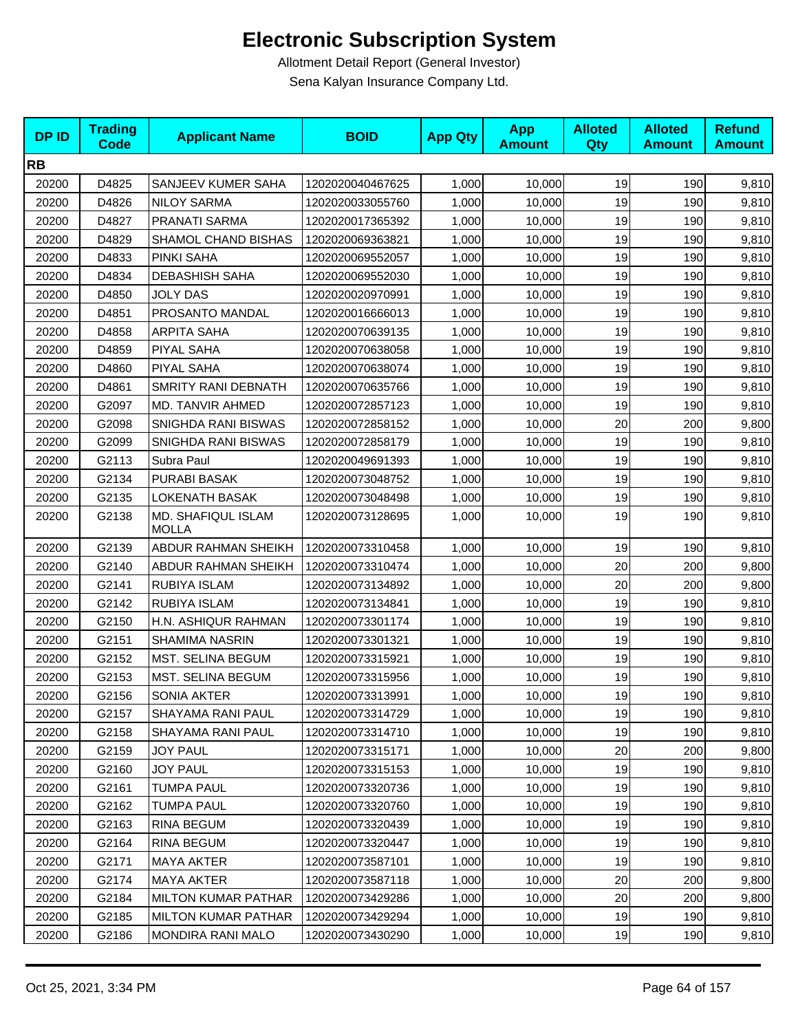| <b>DPID</b> | <b>Trading</b><br><b>Code</b> | <b>Applicant Name</b>              | <b>BOID</b>      | <b>App Qty</b> | <b>App</b><br><b>Amount</b> | <b>Alloted</b><br>Qty | <b>Alloted</b><br><b>Amount</b> | <b>Refund</b><br><b>Amount</b> |
|-------------|-------------------------------|------------------------------------|------------------|----------------|-----------------------------|-----------------------|---------------------------------|--------------------------------|
| <b>RB</b>   |                               |                                    |                  |                |                             |                       |                                 |                                |
| 20200       | D4825                         | SANJEEV KUMER SAHA                 | 1202020040467625 | 1,000          | 10,000                      | 19                    | 190                             | 9,810                          |
| 20200       | D4826                         | <b>NILOY SARMA</b>                 | 1202020033055760 | 1,000          | 10,000                      | 19                    | 190                             | 9,810                          |
| 20200       | D4827                         | PRANATI SARMA                      | 1202020017365392 | 1,000          | 10,000                      | 19                    | 190                             | 9,810                          |
| 20200       | D4829                         | SHAMOL CHAND BISHAS                | 1202020069363821 | 1,000          | 10,000                      | 19                    | 190                             | 9,810                          |
| 20200       | D4833                         | PINKI SAHA                         | 1202020069552057 | 1,000          | 10,000                      | 19                    | 190                             | 9,810                          |
| 20200       | D4834                         | <b>DEBASHISH SAHA</b>              | 1202020069552030 | 1,000          | 10,000                      | 19                    | 190                             | 9,810                          |
| 20200       | D4850                         | <b>JOLY DAS</b>                    | 1202020020970991 | 1,000          | 10,000                      | 19                    | 190                             | 9,810                          |
| 20200       | D4851                         | PROSANTO MANDAL                    | 1202020016666013 | 1,000          | 10,000                      | 19                    | 190                             | 9,810                          |
| 20200       | D4858                         | ARPITA SAHA                        | 1202020070639135 | 1,000          | 10,000                      | 19                    | 190                             | 9,810                          |
| 20200       | D4859                         | PIYAL SAHA                         | 1202020070638058 | 1,000          | 10,000                      | 19                    | 190                             | 9,810                          |
| 20200       | D4860                         | PIYAL SAHA                         | 1202020070638074 | 1,000          | 10,000                      | 19                    | 190                             | 9,810                          |
| 20200       | D4861                         | SMRITY RANI DEBNATH                | 1202020070635766 | 1,000          | 10,000                      | 19                    | 190                             | 9,810                          |
| 20200       | G2097                         | MD. TANVIR AHMED                   | 1202020072857123 | 1,000          | 10,000                      | 19                    | 190                             | 9,810                          |
| 20200       | G2098                         | SNIGHDA RANI BISWAS                | 1202020072858152 | 1,000          | 10,000                      | 20                    | 200                             | 9,800                          |
| 20200       | G2099                         | SNIGHDA RANI BISWAS                | 1202020072858179 | 1,000          | 10,000                      | 19                    | 190                             | 9,810                          |
| 20200       | G2113                         | Subra Paul                         | 1202020049691393 | 1,000          | 10,000                      | 19                    | 190                             | 9,810                          |
| 20200       | G2134                         | PURABI BASAK                       | 1202020073048752 | 1,000          | 10,000                      | 19                    | 190                             | 9,810                          |
| 20200       | G2135                         | <b>LOKENATH BASAK</b>              | 1202020073048498 | 1,000          | 10,000                      | 19                    | 190                             | 9,810                          |
| 20200       | G2138                         | MD. SHAFIQUL ISLAM<br><b>MOLLA</b> | 1202020073128695 | 1,000          | 10,000                      | 19                    | 190                             | 9,810                          |
| 20200       | G2139                         | ABDUR RAHMAN SHEIKH                | 1202020073310458 | 1,000          | 10,000                      | 19                    | 190                             | 9,810                          |
| 20200       | G2140                         | <b>ABDUR RAHMAN SHEIKH</b>         | 1202020073310474 | 1,000          | 10,000                      | 20                    | 200                             | 9,800                          |
| 20200       | G2141                         | RUBIYA ISLAM                       | 1202020073134892 | 1,000          | 10,000                      | 20                    | 200                             | 9,800                          |
| 20200       | G2142                         | RUBIYA ISLAM                       | 1202020073134841 | 1,000          | 10,000                      | 19                    | 190                             | 9,810                          |
| 20200       | G2150                         | H.N. ASHIQUR RAHMAN                | 1202020073301174 | 1,000          | 10,000                      | 19                    | 190                             | 9,810                          |
| 20200       | G2151                         | SHAMIMA NASRIN                     | 1202020073301321 | 1,000          | 10,000                      | 19                    | 190                             | 9,810                          |
| 20200       | G2152                         | <b>MST. SELINA BEGUM</b>           | 1202020073315921 | 1,000          | 10,000                      | 19                    | 190                             | 9,810                          |
| 20200       | G2153                         | MST. SELINA BEGUM                  | 1202020073315956 | 1,000          | 10,000                      | 19                    | 190                             | 9,810                          |
| 20200       | G2156                         | <b>SONIA AKTER</b>                 | 1202020073313991 | 1,000          | 10,000                      | 19                    | 190                             | 9,810                          |
| 20200       | G2157                         | SHAYAMA RANI PAUL                  | 1202020073314729 | 1,000          | 10,000                      | 19                    | 190                             | 9,810                          |
| 20200       | G2158                         | SHAYAMA RANI PAUL                  | 1202020073314710 | 1,000          | 10,000                      | 19                    | 190                             | 9,810                          |
| 20200       | G2159                         | JOY PAUL                           | 1202020073315171 | 1,000          | 10,000                      | 20                    | 200                             | 9,800                          |
| 20200       | G2160                         | <b>JOY PAUL</b>                    | 1202020073315153 | 1,000          | 10,000                      | 19                    | 190                             | 9,810                          |
| 20200       | G2161                         | <b>TUMPA PAUL</b>                  | 1202020073320736 | 1,000          | 10,000                      | 19                    | 190                             | 9,810                          |
| 20200       | G2162                         | <b>TUMPA PAUL</b>                  | 1202020073320760 | 1,000          | 10,000                      | 19                    | 190                             | 9,810                          |
| 20200       | G2163                         | <b>RINA BEGUM</b>                  | 1202020073320439 | 1,000          | 10,000                      | 19                    | 190                             | 9,810                          |
| 20200       | G2164                         | <b>RINA BEGUM</b>                  | 1202020073320447 | 1,000          | 10,000                      | 19                    | 190                             | 9,810                          |
| 20200       | G2171                         | <b>MAYA AKTER</b>                  | 1202020073587101 | 1,000          | 10,000                      | 19                    | 190                             | 9,810                          |
| 20200       | G2174                         | <b>MAYA AKTER</b>                  | 1202020073587118 | 1,000          | 10,000                      | 20                    | 200                             | 9,800                          |
| 20200       | G2184                         | <b>MILTON KUMAR PATHAR</b>         | 1202020073429286 | 1,000          | 10,000                      | 20                    | 200                             | 9,800                          |
| 20200       | G2185                         | <b>MILTON KUMAR PATHAR</b>         | 1202020073429294 | 1,000          | 10,000                      | 19                    | 190                             | 9,810                          |
| 20200       | G2186                         | MONDIRA RANI MALO                  | 1202020073430290 | 1,000          | 10,000                      | 19                    | 190                             | 9,810                          |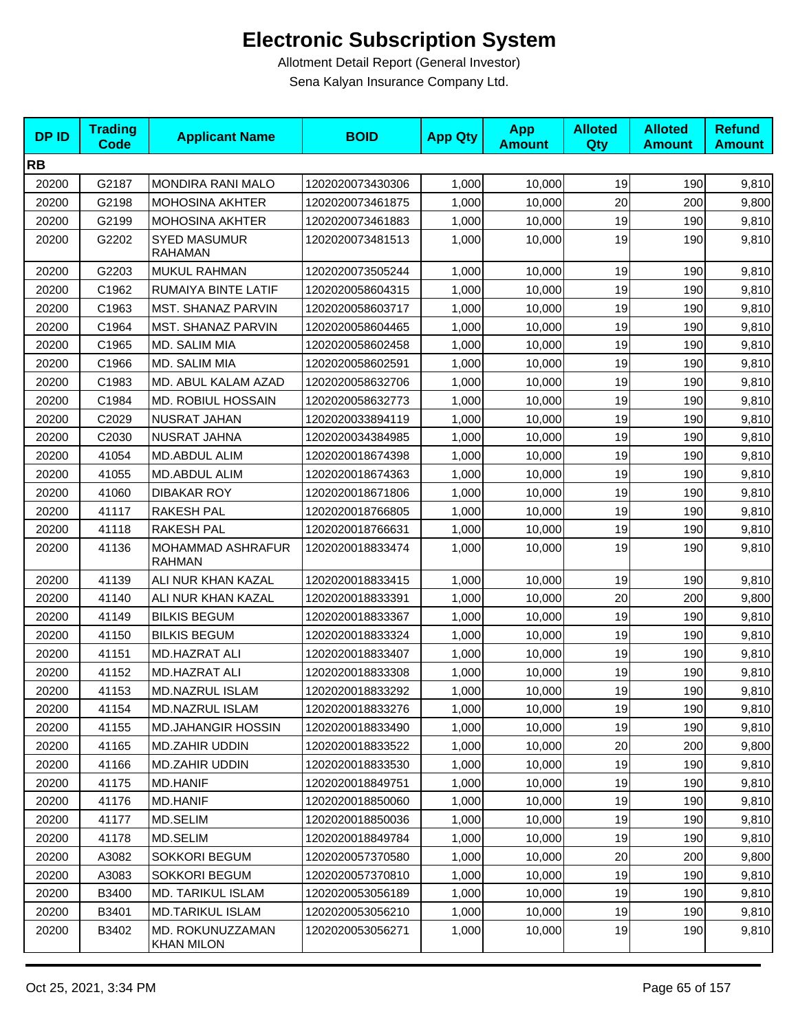| <b>DPID</b> | <b>Trading</b><br><b>Code</b> | <b>Applicant Name</b>                 | <b>BOID</b>      | <b>App Qty</b> | <b>App</b><br><b>Amount</b> | <b>Alloted</b><br>Qty | <b>Alloted</b><br><b>Amount</b> | <b>Refund</b><br><b>Amount</b> |
|-------------|-------------------------------|---------------------------------------|------------------|----------------|-----------------------------|-----------------------|---------------------------------|--------------------------------|
| <b>RB</b>   |                               |                                       |                  |                |                             |                       |                                 |                                |
| 20200       | G2187                         | MONDIRA RANI MALO                     | 1202020073430306 | 1,000          | 10,000                      | 19                    | 190                             | 9,810                          |
| 20200       | G2198                         | <b>MOHOSINA AKHTER</b>                | 1202020073461875 | 1,000          | 10,000                      | 20                    | 200                             | 9,800                          |
| 20200       | G2199                         | <b>MOHOSINA AKHTER</b>                | 1202020073461883 | 1,000          | 10,000                      | 19                    | 190                             | 9,810                          |
| 20200       | G2202                         | <b>SYED MASUMUR</b><br><b>RAHAMAN</b> | 1202020073481513 | 1,000          | 10,000                      | 19                    | 190                             | 9,810                          |
| 20200       | G2203                         | MUKUL RAHMAN                          | 1202020073505244 | 1,000          | 10,000                      | 19                    | 190                             | 9,810                          |
| 20200       | C1962                         | RUMAIYA BINTE LATIF                   | 1202020058604315 | 1,000          | 10,000                      | 19                    | 190                             | 9,810                          |
| 20200       | C1963                         | MST. SHANAZ PARVIN                    | 1202020058603717 | 1,000          | 10,000                      | 19                    | 190                             | 9,810                          |
| 20200       | C1964                         | MST. SHANAZ PARVIN                    | 1202020058604465 | 1,000          | 10,000                      | 19                    | 190                             | 9,810                          |
| 20200       | C1965                         | MD. SALIM MIA                         | 1202020058602458 | 1,000          | 10,000                      | 19                    | 190                             | 9,810                          |
| 20200       | C1966                         | MD. SALIM MIA                         | 1202020058602591 | 1,000          | 10,000                      | 19                    | 190                             | 9,810                          |
| 20200       | C1983                         | MD. ABUL KALAM AZAD                   | 1202020058632706 | 1,000          | 10,000                      | 19                    | 190                             | 9,810                          |
| 20200       | C1984                         | MD. ROBIUL HOSSAIN                    | 1202020058632773 | 1,000          | 10,000                      | 19                    | 190                             | 9,810                          |
| 20200       | C2029                         | NUSRAT JAHAN                          | 1202020033894119 | 1,000          | 10,000                      | 19                    | 190                             | 9,810                          |
| 20200       | C2030                         | NUSRAT JAHNA                          | 1202020034384985 | 1,000          | 10,000                      | 19                    | 190                             | 9,810                          |
| 20200       | 41054                         | MD.ABDUL ALIM                         | 1202020018674398 | 1,000          | 10,000                      | 19                    | 190                             | 9,810                          |
| 20200       | 41055                         | MD.ABDUL ALIM                         | 1202020018674363 | 1,000          | 10,000                      | 19                    | 190                             | 9,810                          |
| 20200       | 41060                         | <b>DIBAKAR ROY</b>                    | 1202020018671806 | 1,000          | 10,000                      | 19                    | 190                             | 9,810                          |
| 20200       | 41117                         | <b>RAKESH PAL</b>                     | 1202020018766805 | 1,000          | 10,000                      | 19                    | 190                             | 9,810                          |
| 20200       | 41118                         | <b>RAKESH PAL</b>                     | 1202020018766631 | 1,000          | 10,000                      | 19                    | 190                             | 9,810                          |
| 20200       | 41136                         | MOHAMMAD ASHRAFUR<br><b>RAHMAN</b>    | 1202020018833474 | 1,000          | 10,000                      | 19                    | 190                             | 9,810                          |
| 20200       | 41139                         | ALI NUR KHAN KAZAL                    | 1202020018833415 | 1,000          | 10,000                      | 19                    | 190                             | 9,810                          |
| 20200       | 41140                         | ALI NUR KHAN KAZAL                    | 1202020018833391 | 1,000          | 10,000                      | 20                    | 200                             | 9,800                          |
| 20200       | 41149                         | <b>BILKIS BEGUM</b>                   | 1202020018833367 | 1,000          | 10,000                      | 19                    | 190                             | 9,810                          |
| 20200       | 41150                         | <b>BILKIS BEGUM</b>                   | 1202020018833324 | 1,000          | 10,000                      | 19                    | 190                             | 9,810                          |
| 20200       | 41151                         | <b>MD.HAZRAT ALI</b>                  | 1202020018833407 | 1,000          | 10,000                      | 19                    | 190                             | 9,810                          |
| 20200       | 41152                         | <b>MD.HAZRAT ALI</b>                  | 1202020018833308 | 1,000          | 10,000                      | 19                    | 190                             | 9,810                          |
| 20200       | 41153                         | MD.NAZRUL ISLAM                       | 1202020018833292 | 1,000          | 10,000                      | 19                    | 190                             | 9,810                          |
| 20200       | 41154                         | MD.NAZRUL ISLAM                       | 1202020018833276 | 1,000          | 10,000                      | 19                    | 190                             | 9,810                          |
| 20200       | 41155                         | <b>MD.JAHANGIR HOSSIN</b>             | 1202020018833490 | 1,000          | 10,000                      | 19                    | 190                             | 9,810                          |
| 20200       | 41165                         | MD.ZAHIR UDDIN                        | 1202020018833522 | 1,000          | 10,000                      | 20                    | 200                             | 9,800                          |
| 20200       | 41166                         | MD.ZAHIR UDDIN                        | 1202020018833530 | 1,000          | 10,000                      | 19                    | 190                             | 9,810                          |
| 20200       | 41175                         | MD.HANIF                              | 1202020018849751 | 1.000          | 10,000                      | 19                    | 190                             | 9,810                          |
| 20200       | 41176                         | <b>MD.HANIF</b>                       | 1202020018850060 | 1,000          | 10,000                      | 19                    | 190                             | 9,810                          |
| 20200       | 41177                         | MD.SELIM                              | 1202020018850036 | 1,000          | 10,000                      | 19                    | 190                             | 9,810                          |
| 20200       | 41178                         | MD.SELIM                              | 1202020018849784 | 1,000          | 10,000                      | 19                    | 190                             | 9,810                          |
| 20200       | A3082                         | SOKKORI BEGUM                         | 1202020057370580 | 1,000          | 10,000                      | 20                    | 200                             | 9,800                          |
| 20200       | A3083                         | SOKKORI BEGUM                         | 1202020057370810 | 1,000          | 10,000                      | 19                    | 190                             | 9,810                          |
| 20200       | B3400                         | <b>MD. TARIKUL ISLAM</b>              | 1202020053056189 | 1,000          | 10,000                      | 19                    | 190                             | 9,810                          |
| 20200       | B3401                         | <b>MD.TARIKUL ISLAM</b>               | 1202020053056210 | 1,000          | 10,000                      | 19                    | 190                             | 9,810                          |
| 20200       | B3402                         | MD. ROKUNUZZAMAN<br><b>KHAN MILON</b> | 1202020053056271 | 1,000          | 10,000                      | 19                    | 190                             | 9,810                          |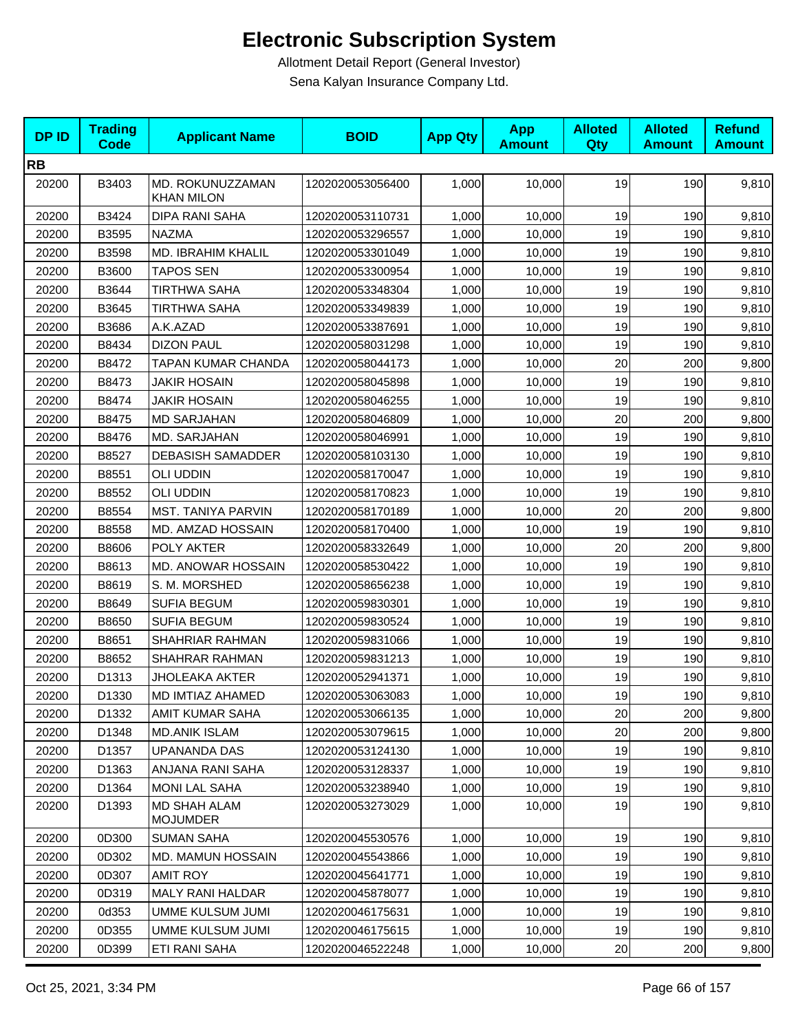| <b>DPID</b> | <b>Trading</b><br><b>Code</b> | <b>Applicant Name</b>                  | <b>BOID</b>      | <b>App Qty</b> | <b>App</b><br><b>Amount</b> | <b>Alloted</b><br>Qty | <b>Alloted</b><br><b>Amount</b> | <b>Refund</b><br><b>Amount</b> |
|-------------|-------------------------------|----------------------------------------|------------------|----------------|-----------------------------|-----------------------|---------------------------------|--------------------------------|
| <b>RB</b>   |                               |                                        |                  |                |                             |                       |                                 |                                |
| 20200       | B3403                         | MD. ROKUNUZZAMAN<br><b>KHAN MILON</b>  | 1202020053056400 | 1,000          | 10,000                      | 19                    | 190                             | 9,810                          |
| 20200       | B3424                         | DIPA RANI SAHA                         | 1202020053110731 | 1,000          | 10,000                      | 19                    | 190                             | 9,810                          |
| 20200       | B3595                         | <b>NAZMA</b>                           | 1202020053296557 | 1,000          | 10,000                      | 19                    | 190                             | 9,810                          |
| 20200       | B3598                         | MD. IBRAHIM KHALIL                     | 1202020053301049 | 1,000          | 10,000                      | 19                    | 190                             | 9,810                          |
| 20200       | B3600                         | <b>TAPOS SEN</b>                       | 1202020053300954 | 1,000          | 10,000                      | 19                    | 190                             | 9,810                          |
| 20200       | B3644                         | <b>TIRTHWA SAHA</b>                    | 1202020053348304 | 1,000          | 10,000                      | 19                    | 190                             | 9,810                          |
| 20200       | B3645                         | <b>TIRTHWA SAHA</b>                    | 1202020053349839 | 1,000          | 10,000                      | 19                    | 190                             | 9,810                          |
| 20200       | B3686                         | A.K.AZAD                               | 1202020053387691 | 1,000          | 10,000                      | 19                    | 190                             | 9,810                          |
| 20200       | B8434                         | <b>DIZON PAUL</b>                      | 1202020058031298 | 1,000          | 10,000                      | 19                    | 190                             | 9,810                          |
| 20200       | B8472                         | TAPAN KUMAR CHANDA                     | 1202020058044173 | 1,000          | 10,000                      | 20                    | 200                             | 9,800                          |
| 20200       | B8473                         | <b>JAKIR HOSAIN</b>                    | 1202020058045898 | 1,000          | 10,000                      | 19                    | 190                             | 9,810                          |
| 20200       | B8474                         | <b>JAKIR HOSAIN</b>                    | 1202020058046255 | 1,000          | 10,000                      | 19                    | 190                             | 9,810                          |
| 20200       | B8475                         | <b>MD SARJAHAN</b>                     | 1202020058046809 | 1,000          | 10,000                      | 20                    | 200                             | 9,800                          |
| 20200       | B8476                         | MD. SARJAHAN                           | 1202020058046991 | 1,000          | 10,000                      | 19                    | 190                             | 9,810                          |
| 20200       | B8527                         | <b>DEBASISH SAMADDER</b>               | 1202020058103130 | 1,000          | 10,000                      | 19                    | 190                             | 9,810                          |
| 20200       | B8551                         | <b>OLI UDDIN</b>                       | 1202020058170047 | 1,000          | 10,000                      | 19                    | 190                             | 9,810                          |
| 20200       | B8552                         | <b>OLI UDDIN</b>                       | 1202020058170823 | 1,000          | 10,000                      | 19                    | 190                             | 9,810                          |
| 20200       | B8554                         | <b>MST. TANIYA PARVIN</b>              | 1202020058170189 | 1,000          | 10,000                      | 20                    | 200                             | 9,800                          |
| 20200       | B8558                         | MD. AMZAD HOSSAIN                      | 1202020058170400 | 1,000          | 10,000                      | 19                    | 190                             | 9,810                          |
| 20200       | B8606                         | POLY AKTER                             | 1202020058332649 | 1,000          | 10,000                      | 20                    | 200                             | 9,800                          |
| 20200       | B8613                         | MD. ANOWAR HOSSAIN                     | 1202020058530422 | 1,000          | 10,000                      | 19                    | 190                             | 9,810                          |
| 20200       | B8619                         | S. M. MORSHED                          | 1202020058656238 | 1,000          | 10,000                      | 19                    | 190                             | 9,810                          |
| 20200       | B8649                         | <b>SUFIA BEGUM</b>                     | 1202020059830301 | 1,000          | 10,000                      | 19                    | 190                             | 9,810                          |
| 20200       | B8650                         | <b>SUFIA BEGUM</b>                     | 1202020059830524 | 1,000          | 10,000                      | 19                    | 190                             | 9,810                          |
| 20200       | B8651                         | SHAHRIAR RAHMAN                        | 1202020059831066 | 1,000          | 10,000                      | 19                    | 190                             | 9,810                          |
| 20200       | B8652                         | SHAHRAR RAHMAN                         | 1202020059831213 | 1,000          | 10,000                      | 19                    | 190                             | 9,810                          |
| 20200       | D1313                         | <b>JHOLEAKA AKTER</b>                  | 1202020052941371 | 1,000          | 10,000                      | 19                    | 190                             | 9,810                          |
| 20200       | D1330                         | MD IMTIAZ AHAMED                       | 1202020053063083 | 1,000          | 10,000                      | 19                    | 190                             | 9,810                          |
| 20200       | D1332                         | AMIT KUMAR SAHA                        | 1202020053066135 | 1,000          | 10,000                      | 20                    | 200                             | 9,800                          |
| 20200       | D1348                         | <b>MD.ANIK ISLAM</b>                   | 1202020053079615 | 1,000          | 10,000                      | 20                    | 200                             | 9,800                          |
| 20200       | D1357                         | UPANANDA DAS                           | 1202020053124130 | 1,000          | 10,000                      | 19                    | 190                             | 9,810                          |
| 20200       | D1363                         | ANJANA RANI SAHA                       | 1202020053128337 | 1,000          | 10,000                      | 19                    | 190                             | 9,810                          |
| 20200       | D1364                         | <b>MONI LAL SAHA</b>                   | 1202020053238940 | 1,000          | 10,000                      | 19                    | 190                             | 9,810                          |
| 20200       | D1393                         | <b>MD SHAH ALAM</b><br><b>MOJUMDER</b> | 1202020053273029 | 1,000          | 10,000                      | 19                    | 190                             | 9,810                          |
| 20200       | 0D300                         | <b>SUMAN SAHA</b>                      | 1202020045530576 | 1,000          | 10,000                      | 19                    | 190                             | 9,810                          |
| 20200       | 0D302                         | <b>MD. MAMUN HOSSAIN</b>               | 1202020045543866 | 1,000          | 10,000                      | 19                    | 190                             | 9,810                          |
| 20200       | 0D307                         | <b>AMIT ROY</b>                        | 1202020045641771 | 1,000          | 10,000                      | 19                    | 190                             | 9,810                          |
| 20200       | 0D319                         | MALY RANI HALDAR                       | 1202020045878077 | 1,000          | 10,000                      | 19                    | 190                             | 9,810                          |
| 20200       | 0d353                         | UMME KULSUM JUMI                       | 1202020046175631 | 1,000          | 10,000                      | 19                    | 190                             | 9,810                          |
| 20200       | 0D355                         | UMME KULSUM JUMI                       | 1202020046175615 | 1,000          | 10,000                      | 19                    | 190                             | 9,810                          |
| 20200       | 0D399                         | ETI RANI SAHA                          | 1202020046522248 | 1,000          | 10,000                      | 20                    | 200                             | 9,800                          |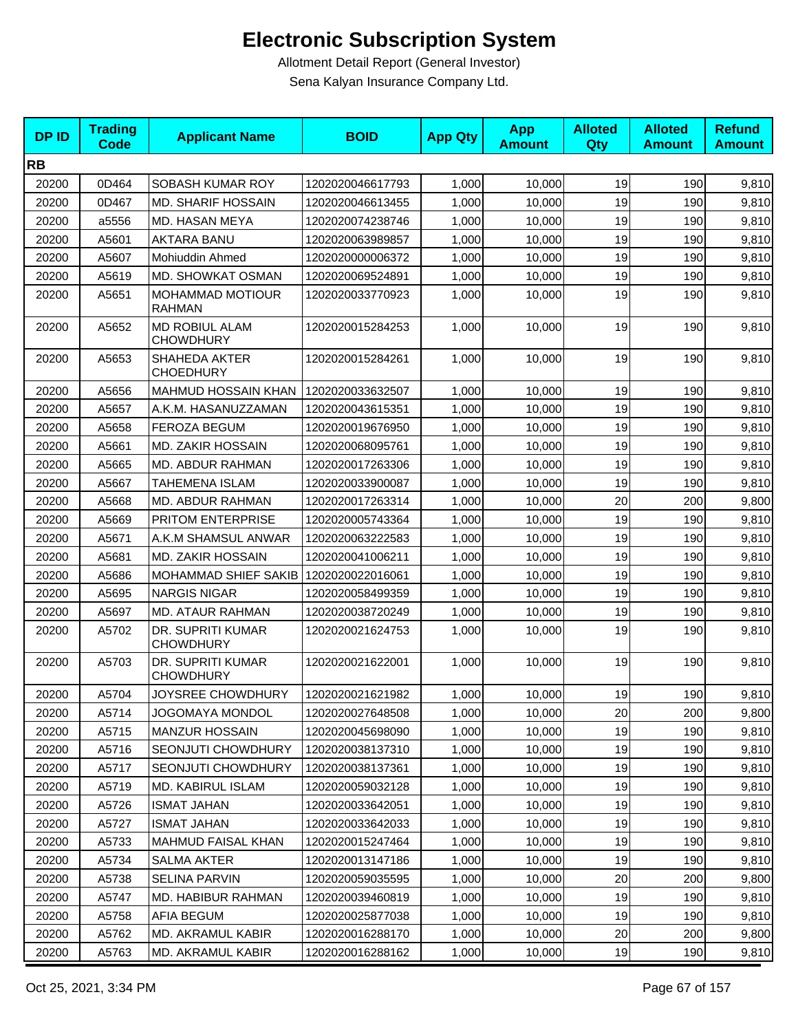| <b>DPID</b> | <b>Trading</b><br><b>Code</b> | <b>Applicant Name</b>                    | <b>BOID</b>      | <b>App Qty</b> | <b>App</b><br><b>Amount</b> | <b>Alloted</b><br><b>Qty</b> | <b>Alloted</b><br><b>Amount</b> | <b>Refund</b><br><b>Amount</b> |
|-------------|-------------------------------|------------------------------------------|------------------|----------------|-----------------------------|------------------------------|---------------------------------|--------------------------------|
| <b>RB</b>   |                               |                                          |                  |                |                             |                              |                                 |                                |
| 20200       | 0D464                         | SOBASH KUMAR ROY                         | 1202020046617793 | 1,000          | 10,000                      | 19                           | 190                             | 9,810                          |
| 20200       | 0D467                         | <b>MD. SHARIF HOSSAIN</b>                | 1202020046613455 | 1,000          | 10,000                      | 19                           | 190                             | 9,810                          |
| 20200       | a5556                         | MD. HASAN MEYA                           | 1202020074238746 | 1,000          | 10,000                      | 19                           | 190                             | 9,810                          |
| 20200       | A5601                         | <b>AKTARA BANU</b>                       | 1202020063989857 | 1,000          | 10,000                      | 19                           | 190                             | 9,810                          |
| 20200       | A5607                         | Mohiuddin Ahmed                          | 1202020000006372 | 1,000          | 10,000                      | 19                           | 190                             | 9,810                          |
| 20200       | A5619                         | MD. SHOWKAT OSMAN                        | 1202020069524891 | 1,000          | 10,000                      | 19                           | 190                             | 9,810                          |
| 20200       | A5651                         | <b>MOHAMMAD MOTIOUR</b><br><b>RAHMAN</b> | 1202020033770923 | 1,000          | 10,000                      | 19                           | 190                             | 9,810                          |
| 20200       | A5652                         | MD ROBIUL ALAM<br><b>CHOWDHURY</b>       | 1202020015284253 | 1,000          | 10,000                      | 19                           | 190                             | 9,810                          |
| 20200       | A5653                         | SHAHEDA AKTER<br><b>CHOEDHURY</b>        | 1202020015284261 | 1,000          | 10,000                      | 19                           | 190                             | 9,810                          |
| 20200       | A5656                         | MAHMUD HOSSAIN KHAN                      | 1202020033632507 | 1,000          | 10,000                      | 19                           | 190                             | 9,810                          |
| 20200       | A5657                         | A.K.M. HASANUZZAMAN                      | 1202020043615351 | 1,000          | 10.000                      | 19                           | 190                             | 9,810                          |
| 20200       | A5658                         | <b>FEROZA BEGUM</b>                      | 1202020019676950 | 1,000          | 10,000                      | 19                           | 190                             | 9,810                          |
| 20200       | A5661                         | <b>MD. ZAKIR HOSSAIN</b>                 | 1202020068095761 | 1,000          | 10,000                      | 19                           | 190                             | 9,810                          |
| 20200       | A5665                         | MD. ABDUR RAHMAN                         | 1202020017263306 | 1,000          | 10,000                      | 19                           | 190                             | 9,810                          |
| 20200       | A5667                         | <b>TAHEMENA ISLAM</b>                    | 1202020033900087 | 1,000          | 10,000                      | 19                           | 190                             | 9,810                          |
| 20200       | A5668                         | <b>MD. ABDUR RAHMAN</b>                  | 1202020017263314 | 1,000          | 10,000                      | 20                           | 200                             | 9,800                          |
| 20200       | A5669                         | PRITOM ENTERPRISE                        | 1202020005743364 | 1,000          | 10,000                      | 19                           | 190                             | 9,810                          |
| 20200       | A5671                         | A.K.M SHAMSUL ANWAR                      | 1202020063222583 | 1,000          | 10,000                      | 19                           | 190                             | 9,810                          |
| 20200       | A5681                         | <b>MD. ZAKIR HOSSAIN</b>                 | 1202020041006211 | 1,000          | 10,000                      | 19                           | 190                             | 9,810                          |
| 20200       | A5686                         | <b>MOHAMMAD SHIEF SAKIB</b>              | 1202020022016061 | 1,000          | 10,000                      | 19                           | 190                             | 9,810                          |
| 20200       | A5695                         | <b>NARGIS NIGAR</b>                      | 1202020058499359 | 1,000          | 10,000                      | 19                           | 190                             | 9,810                          |
| 20200       | A5697                         | <b>MD. ATAUR RAHMAN</b>                  | 1202020038720249 | 1,000          | 10,000                      | 19                           | 190                             | 9,810                          |
| 20200       | A5702                         | DR. SUPRITI KUMAR<br><b>CHOWDHURY</b>    | 1202020021624753 | 1,000          | 10,000                      | 19                           | 190                             | 9,810                          |
| 20200       | A5703                         | DR. SUPRITI KUMAR<br><b>CHOWDHURY</b>    | 1202020021622001 | 1,000          | 10,000                      | 19                           | 190                             | 9,810                          |
| 20200       | A5704                         | JOYSREE CHOWDHURY                        | 1202020021621982 | 1,000          | 10,000                      | 19                           | 190                             | 9,810                          |
| 20200       | A5714                         | JOGOMAYA MONDOL                          | 1202020027648508 | 1,000          | 10,000                      | 20                           | 200                             | 9,800                          |
| 20200       | A5715                         | <b>MANZUR HOSSAIN</b>                    | 1202020045698090 | 1,000          | 10,000                      | 19                           | 190                             | 9,810                          |
| 20200       | A5716                         | <b>SEONJUTI CHOWDHURY</b>                | 1202020038137310 | 1,000          | 10,000                      | 19                           | 190                             | 9,810                          |
| 20200       | A5717                         | <b>SEONJUTI CHOWDHURY</b>                | 1202020038137361 | 1,000          | 10,000                      | 19                           | 190                             | 9,810                          |
| 20200       | A5719                         | MD. KABIRUL ISLAM                        | 1202020059032128 | 1,000          | 10,000                      | 19                           | 190                             | 9,810                          |
| 20200       | A5726                         | <b>ISMAT JAHAN</b>                       | 1202020033642051 | 1,000          | 10,000                      | 19                           | 190                             | 9,810                          |
| 20200       | A5727                         | <b>ISMAT JAHAN</b>                       | 1202020033642033 | 1,000          | 10,000                      | 19                           | 190                             | 9,810                          |
| 20200       | A5733                         | MAHMUD FAISAL KHAN                       | 1202020015247464 | 1,000          | 10,000                      | 19                           | 190                             | 9,810                          |
| 20200       | A5734                         | SALMA AKTER                              | 1202020013147186 | 1,000          | 10,000                      | 19                           | 190                             | 9,810                          |
| 20200       | A5738                         | SELINA PARVIN                            | 1202020059035595 | 1,000          | 10,000                      | 20                           | 200                             | 9,800                          |
| 20200       | A5747                         | MD. HABIBUR RAHMAN                       | 1202020039460819 | 1,000          | 10,000                      | 19                           | 190                             | 9,810                          |
| 20200       | A5758                         | <b>AFIA BEGUM</b>                        | 1202020025877038 | 1,000          | 10,000                      | 19                           | 190                             | 9,810                          |
| 20200       | A5762                         | MD. AKRAMUL KABIR                        | 1202020016288170 | 1,000          | 10,000                      | 20                           | 200                             | 9,800                          |
| 20200       | A5763                         | MD. AKRAMUL KABIR                        | 1202020016288162 | 1,000          | 10,000                      | 19                           | 190                             | 9,810                          |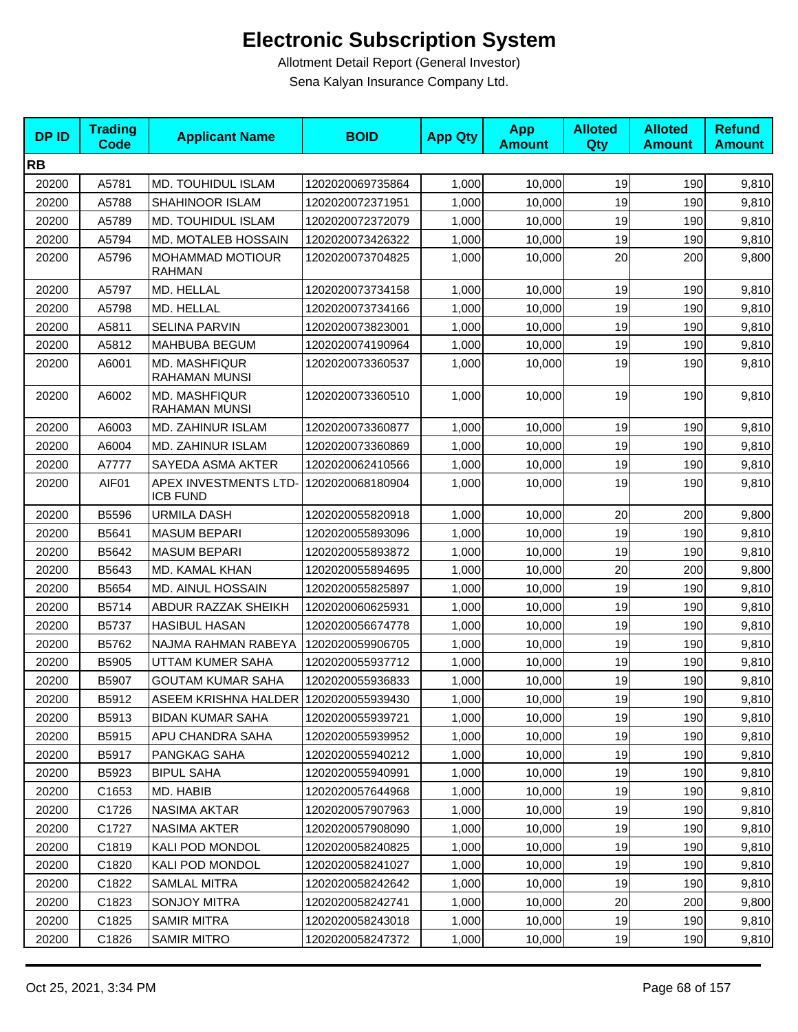| <b>DPID</b> | <b>Trading</b><br><b>Code</b> | <b>Applicant Name</b>                    | <b>BOID</b>      | <b>App Qty</b> | <b>App</b><br><b>Amount</b> | <b>Alloted</b><br>Qty | <b>Alloted</b><br><b>Amount</b> | <b>Refund</b><br><b>Amount</b> |
|-------------|-------------------------------|------------------------------------------|------------------|----------------|-----------------------------|-----------------------|---------------------------------|--------------------------------|
| <b>RB</b>   |                               |                                          |                  |                |                             |                       |                                 |                                |
| 20200       | A5781                         | MD. TOUHIDUL ISLAM                       | 1202020069735864 | 1,000          | 10,000                      | 19                    | 190                             | 9,810                          |
| 20200       | A5788                         | SHAHINOOR ISLAM                          | 1202020072371951 | 1,000          | 10,000                      | 19                    | 190                             | 9,810                          |
| 20200       | A5789                         | <b>MD. TOUHIDUL ISLAM</b>                | 1202020072372079 | 1,000          | 10,000                      | 19                    | 190                             | 9,810                          |
| 20200       | A5794                         | MD. MOTALEB HOSSAIN                      | 1202020073426322 | 1,000          | 10,000                      | 19                    | 190                             | 9,810                          |
| 20200       | A5796                         | <b>MOHAMMAD MOTIOUR</b><br><b>RAHMAN</b> | 1202020073704825 | 1,000          | 10,000                      | 20                    | 200                             | 9,800                          |
| 20200       | A5797                         | MD. HELLAL                               | 1202020073734158 | 1,000          | 10,000                      | 19                    | 190                             | 9,810                          |
| 20200       | A5798                         | MD. HELLAL                               | 1202020073734166 | 1,000          | 10,000                      | 19                    | 190                             | 9,810                          |
| 20200       | A5811                         | <b>SELINA PARVIN</b>                     | 1202020073823001 | 1,000          | 10,000                      | 19                    | 190                             | 9,810                          |
| 20200       | A5812                         | MAHBUBA BEGUM                            | 1202020074190964 | 1,000          | 10,000                      | 19                    | 190                             | 9,810                          |
| 20200       | A6001                         | <b>MD. MASHFIQUR</b><br>RAHAMAN MUNSI    | 1202020073360537 | 1,000          | 10,000                      | 19                    | 190                             | 9,810                          |
| 20200       | A6002                         | <b>MD. MASHFIQUR</b><br>RAHAMAN MUNSI    | 1202020073360510 | 1,000          | 10,000                      | 19                    | 190                             | 9,810                          |
| 20200       | A6003                         | MD. ZAHINUR ISLAM                        | 1202020073360877 | 1,000          | 10,000                      | 19                    | 190                             | 9,810                          |
| 20200       | A6004                         | MD. ZAHINUR ISLAM                        | 1202020073360869 | 1,000          | 10,000                      | 19                    | 190                             | 9,810                          |
| 20200       | A7777                         | SAYEDA ASMA AKTER                        | 1202020062410566 | 1,000          | 10,000                      | 19                    | 190                             | 9,810                          |
| 20200       | AIF01                         | APEX INVESTMENTS LTD-<br><b>ICB FUND</b> | 1202020068180904 | 1,000          | 10,000                      | 19                    | 190                             | 9,810                          |
| 20200       | B5596                         | <b>URMILA DASH</b>                       | 1202020055820918 | 1,000          | 10,000                      | 20                    | 200                             | 9,800                          |
| 20200       | B5641                         | <b>MASUM BEPARI</b>                      | 1202020055893096 | 1,000          | 10,000                      | 19                    | 190                             | 9,810                          |
| 20200       | B5642                         | <b>MASUM BEPARI</b>                      | 1202020055893872 | 1,000          | 10,000                      | 19                    | 190                             | 9,810                          |
| 20200       | B5643                         | MD. KAMAL KHAN                           | 1202020055894695 | 1,000          | 10,000                      | 20                    | 200                             | 9,800                          |
| 20200       | B5654                         | <b>MD. AINUL HOSSAIN</b>                 | 1202020055825897 | 1,000          | 10,000                      | 19                    | 190                             | 9,810                          |
| 20200       | B5714                         | ABDUR RAZZAK SHEIKH                      | 1202020060625931 | 1,000          | 10,000                      | 19                    | 190                             | 9,810                          |
| 20200       | B5737                         | <b>HASIBUL HASAN</b>                     | 1202020056674778 | 1,000          | 10,000                      | 19                    | 190                             | 9,810                          |
| 20200       | B5762                         | NAJMA RAHMAN RABEYA                      | 1202020059906705 | 1,000          | 10,000                      | 19                    | 190                             | 9,810                          |
| 20200       | B5905                         | UTTAM KUMER SAHA                         | 1202020055937712 | 1,000          | 10,000                      | 19                    | 190                             | 9,810                          |
| 20200       | B5907                         | <b>GOUTAM KUMAR SAHA</b>                 | 1202020055936833 | 1,000          | 10,000                      | 19                    | 190                             | 9,810                          |
| 20200       | B5912                         | ASEEM KRISHNA HALDER   1202020055939430  |                  | 1,000          | 10,000                      | 19                    | 190                             | 9,810                          |
| 20200       | B5913                         | BIDAN KUMAR SAHA                         | 1202020055939721 | 1,000          | 10,000                      | 19                    | 190                             | 9,810                          |
| 20200       | B5915                         | APU CHANDRA SAHA                         | 1202020055939952 | 1,000          | 10,000                      | 19                    | 190                             | 9,810                          |
| 20200       | B5917                         | PANGKAG SAHA                             | 1202020055940212 | 1,000          | 10.000                      | 19                    | 190                             | 9,810                          |
| 20200       | B5923                         | <b>BIPUL SAHA</b>                        | 1202020055940991 | 1,000          | 10,000                      | 19                    | 190                             | 9,810                          |
| 20200       | C1653                         | MD. HABIB                                | 1202020057644968 | 1,000          | 10,000                      | 19                    | 190                             | 9,810                          |
| 20200       | C1726                         | NASIMA AKTAR                             | 1202020057907963 | 1,000          | 10,000                      | 19                    | 190                             | 9,810                          |
| 20200       | C1727                         | NASIMA AKTER                             | 1202020057908090 | 1,000          | 10,000                      | 19                    | 190                             | 9,810                          |
| 20200       | C1819                         | KALI POD MONDOL                          | 1202020058240825 | 1,000          | 10,000                      | 19                    | 190                             | 9,810                          |
| 20200       | C1820                         | KALI POD MONDOL                          | 1202020058241027 | 1,000          | 10,000                      | 19                    | 190                             | 9,810                          |
| 20200       | C1822                         | <b>SAMLAL MITRA</b>                      | 1202020058242642 | 1,000          | 10,000                      | 19                    | 190                             | 9,810                          |
| 20200       | C1823                         | SONJOY MITRA                             | 1202020058242741 | 1,000          | 10,000                      | 20                    | 200                             | 9,800                          |
| 20200       | C1825                         | SAMIR MITRA                              | 1202020058243018 | 1,000          | 10,000                      | 19                    | 190                             | 9,810                          |
| 20200       | C1826                         | SAMIR MITRO                              | 1202020058247372 | 1,000          | 10,000                      | 19                    | 190                             | 9,810                          |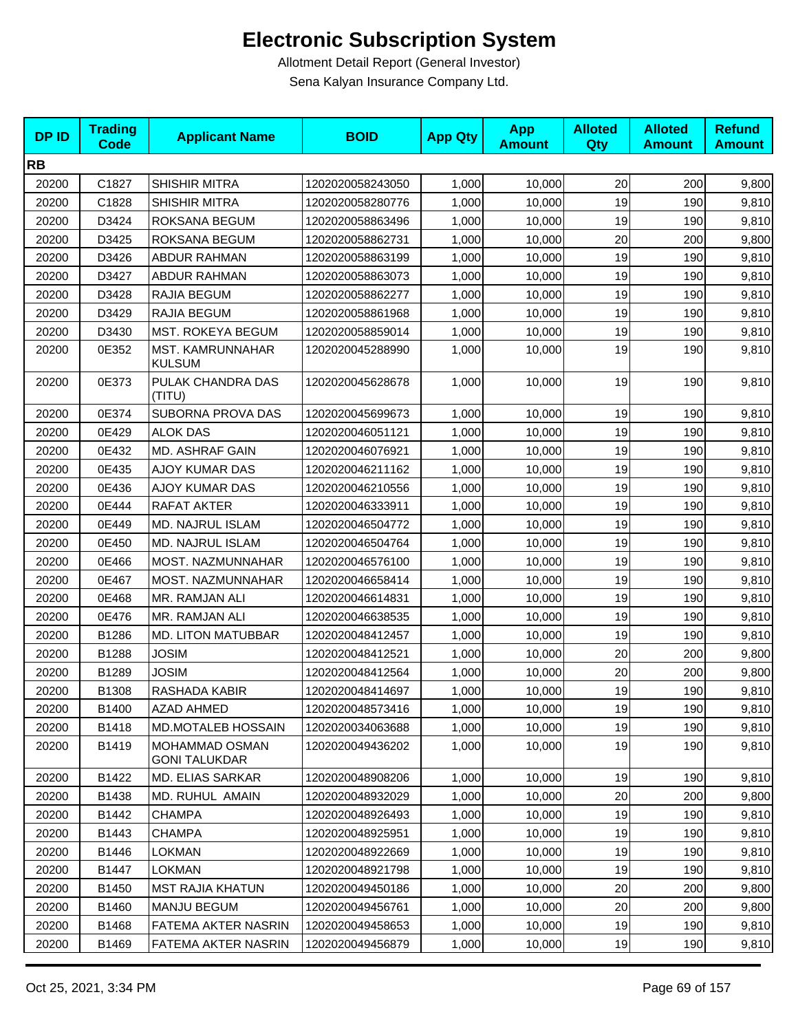| <b>DPID</b> | <b>Trading</b><br>Code | <b>Applicant Name</b>                  | <b>BOID</b>      | <b>App Qty</b> | <b>App</b><br><b>Amount</b> | <b>Alloted</b><br>Qty | <b>Alloted</b><br><b>Amount</b> | <b>Refund</b><br><b>Amount</b> |
|-------------|------------------------|----------------------------------------|------------------|----------------|-----------------------------|-----------------------|---------------------------------|--------------------------------|
| <b>RB</b>   |                        |                                        |                  |                |                             |                       |                                 |                                |
| 20200       | C1827                  | <b>SHISHIR MITRA</b>                   | 1202020058243050 | 1,000          | 10,000                      | 20                    | 200                             | 9,800                          |
| 20200       | C1828                  | <b>SHISHIR MITRA</b>                   | 1202020058280776 | 1,000          | 10,000                      | 19                    | 190                             | 9,810                          |
| 20200       | D3424                  | ROKSANA BEGUM                          | 1202020058863496 | 1,000          | 10,000                      | 19                    | 190                             | 9,810                          |
| 20200       | D3425                  | ROKSANA BEGUM                          | 1202020058862731 | 1,000          | 10,000                      | 20                    | 200                             | 9,800                          |
| 20200       | D3426                  | ABDUR RAHMAN                           | 1202020058863199 | 1,000          | 10,000                      | 19                    | 190                             | 9,810                          |
| 20200       | D3427                  | <b>ABDUR RAHMAN</b>                    | 1202020058863073 | 1,000          | 10,000                      | 19                    | 190                             | 9,810                          |
| 20200       | D3428                  | RAJIA BEGUM                            | 1202020058862277 | 1,000          | 10,000                      | 19                    | 190                             | 9,810                          |
| 20200       | D3429                  | RAJIA BEGUM                            | 1202020058861968 | 1,000          | 10,000                      | 19                    | 190                             | 9,810                          |
| 20200       | D3430                  | MST. ROKEYA BEGUM                      | 1202020058859014 | 1,000          | 10,000                      | 19                    | 190                             | 9,810                          |
| 20200       | 0E352                  | MST. KAMRUNNAHAR<br><b>KULSUM</b>      | 1202020045288990 | 1,000          | 10,000                      | 19                    | 190                             | 9,810                          |
| 20200       | 0E373                  | PULAK CHANDRA DAS<br>(TITU)            | 1202020045628678 | 1,000          | 10,000                      | 19                    | 190                             | 9,810                          |
| 20200       | 0E374                  | SUBORNA PROVA DAS                      | 1202020045699673 | 1,000          | 10,000                      | 19                    | 190                             | 9,810                          |
| 20200       | 0E429                  | <b>ALOK DAS</b>                        | 1202020046051121 | 1,000          | 10,000                      | 19                    | 190                             | 9,810                          |
| 20200       | 0E432                  | MD. ASHRAF GAIN                        | 1202020046076921 | 1,000          | 10,000                      | 19                    | 190                             | 9,810                          |
| 20200       | 0E435                  | <b>AJOY KUMAR DAS</b>                  | 1202020046211162 | 1,000          | 10,000                      | 19                    | 190                             | 9,810                          |
| 20200       | 0E436                  | <b>AJOY KUMAR DAS</b>                  | 1202020046210556 | 1,000          | 10,000                      | 19                    | 190                             | 9,810                          |
| 20200       | 0E444                  | RAFAT AKTER                            | 1202020046333911 | 1,000          | 10,000                      | 19                    | 190                             | 9,810                          |
| 20200       | 0E449                  | MD. NAJRUL ISLAM                       | 1202020046504772 | 1,000          | 10,000                      | 19                    | 190                             | 9,810                          |
| 20200       | 0E450                  | MD. NAJRUL ISLAM                       | 1202020046504764 | 1,000          | 10,000                      | 19                    | 190                             | 9,810                          |
| 20200       | 0E466                  | MOST. NAZMUNNAHAR                      | 1202020046576100 | 1,000          | 10,000                      | 19                    | 190                             | 9,810                          |
| 20200       | 0E467                  | MOST. NAZMUNNAHAR                      | 1202020046658414 | 1,000          | 10,000                      | 19                    | 190                             | 9,810                          |
| 20200       | 0E468                  | MR. RAMJAN ALI                         | 1202020046614831 | 1,000          | 10,000                      | 19                    | 190                             | 9,810                          |
| 20200       | 0E476                  | MR. RAMJAN ALI                         | 1202020046638535 | 1,000          | 10,000                      | 19                    | 190                             | 9,810                          |
| 20200       | B1286                  | <b>MD. LITON MATUBBAR</b>              | 1202020048412457 | 1,000          | 10,000                      | 19                    | 190                             | 9,810                          |
| 20200       | B1288                  | <b>JOSIM</b>                           | 1202020048412521 | 1,000          | 10,000                      | 20                    | 200                             | 9,800                          |
| 20200       | B1289                  | JOSIM                                  | 1202020048412564 | 1,000          | 10,000                      | 20                    | 200                             | 9,800                          |
| 20200       | B1308                  | RASHADA KABIR                          | 1202020048414697 | 1,000          | 10,000                      | 19                    | 190                             | 9,810                          |
| 20200       | B1400                  | <b>AZAD AHMED</b>                      | 1202020048573416 | 1,000          | 10,000                      | 19                    | 190                             | 9,810                          |
| 20200       | B1418                  | <b>MD.MOTALEB HOSSAIN</b>              | 1202020034063688 | 1,000          | 10,000                      | 19                    | 190                             | 9,810                          |
| 20200       | B1419                  | MOHAMMAD OSMAN<br><b>GONI TALUKDAR</b> | 1202020049436202 | 1,000          | 10,000                      | 19                    | 190                             | 9,810                          |
| 20200       | B1422                  | MD. ELIAS SARKAR                       | 1202020048908206 | 1,000          | 10,000                      | 19                    | 190                             | 9,810                          |
| 20200       | B1438                  | MD. RUHUL AMAIN                        | 1202020048932029 | 1,000          | 10,000                      | 20                    | 200                             | 9,800                          |
| 20200       | B1442                  | <b>CHAMPA</b>                          | 1202020048926493 | 1,000          | 10,000                      | 19                    | 190                             | 9,810                          |
| 20200       | B1443                  | <b>CHAMPA</b>                          | 1202020048925951 | 1,000          | 10,000                      | 19                    | 190                             | 9,810                          |
| 20200       | B1446                  | <b>LOKMAN</b>                          | 1202020048922669 | 1,000          | 10,000                      | 19                    | 190                             | 9,810                          |
| 20200       | B1447                  | <b>LOKMAN</b>                          | 1202020048921798 | 1.000          | 10.000                      | 19                    | 190                             | 9,810                          |
| 20200       | B1450                  | <b>MST RAJIA KHATUN</b>                | 1202020049450186 | 1,000          | 10,000                      | 20                    | 200                             | 9,800                          |
| 20200       | B1460                  | <b>MANJU BEGUM</b>                     | 1202020049456761 | 1,000          | 10,000                      | 20                    | 200                             | 9,800                          |
| 20200       | B1468                  | FATEMA AKTER NASRIN                    | 1202020049458653 | 1,000          | 10,000                      | 19                    | 190                             | 9,810                          |
| 20200       | B1469                  | FATEMA AKTER NASRIN                    | 1202020049456879 | 1,000          | 10,000                      | 19                    | 190                             | 9,810                          |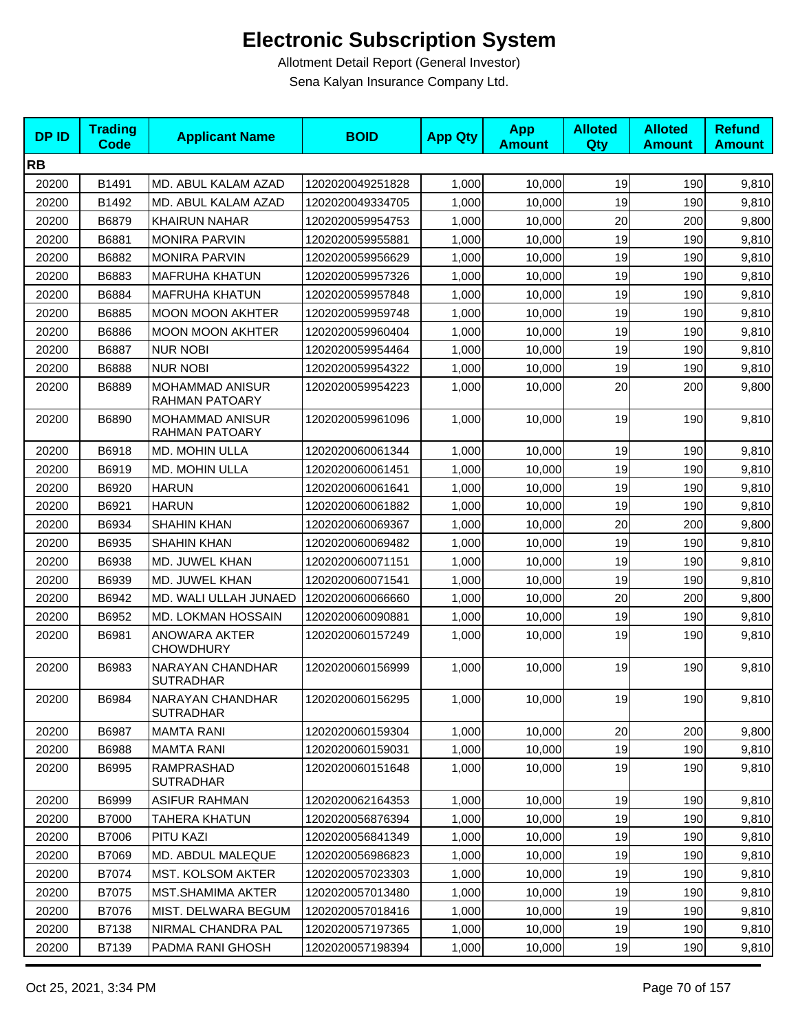| <b>DPID</b> | <b>Trading</b><br><b>Code</b> | <b>Applicant Name</b>                | <b>BOID</b>      | <b>App Qty</b> | <b>App</b><br><b>Amount</b> | <b>Alloted</b><br>Qty | <b>Alloted</b><br><b>Amount</b> | <b>Refund</b><br><b>Amount</b> |
|-------------|-------------------------------|--------------------------------------|------------------|----------------|-----------------------------|-----------------------|---------------------------------|--------------------------------|
| <b>RB</b>   |                               |                                      |                  |                |                             |                       |                                 |                                |
| 20200       | B1491                         | MD. ABUL KALAM AZAD                  | 1202020049251828 | 1,000          | 10,000                      | 19                    | 190                             | 9,810                          |
| 20200       | B1492                         | MD. ABUL KALAM AZAD                  | 1202020049334705 | 1,000          | 10.000                      | 19                    | 190                             | 9,810                          |
| 20200       | B6879                         | <b>KHAIRUN NAHAR</b>                 | 1202020059954753 | 1,000          | 10,000                      | 20                    | 200                             | 9,800                          |
| 20200       | B6881                         | <b>MONIRA PARVIN</b>                 | 1202020059955881 | 1,000          | 10,000                      | 19                    | 190                             | 9,810                          |
| 20200       | B6882                         | <b>MONIRA PARVIN</b>                 | 1202020059956629 | 1,000          | 10,000                      | 19                    | 190                             | 9,810                          |
| 20200       | B6883                         | <b>MAFRUHA KHATUN</b>                | 1202020059957326 | 1,000          | 10,000                      | 19                    | 190                             | 9,810                          |
| 20200       | B6884                         | <b>MAFRUHA KHATUN</b>                | 1202020059957848 | 1,000          | 10,000                      | 19                    | 190                             | 9,810                          |
| 20200       | B6885                         | <b>MOON MOON AKHTER</b>              | 1202020059959748 | 1,000          | 10,000                      | 19                    | 190                             | 9,810                          |
| 20200       | B6886                         | <b>MOON MOON AKHTER</b>              | 1202020059960404 | 1,000          | 10,000                      | 19                    | 190                             | 9,810                          |
| 20200       | B6887                         | <b>NUR NOBI</b>                      | 1202020059954464 | 1,000          | 10,000                      | 19                    | 190                             | 9,810                          |
| 20200       | B6888                         | <b>NUR NOBI</b>                      | 1202020059954322 | 1,000          | 10,000                      | 19                    | 190                             | 9,810                          |
| 20200       | B6889                         | MOHAMMAD ANISUR<br>RAHMAN PATOARY    | 1202020059954223 | 1,000          | 10,000                      | 20                    | 200                             | 9,800                          |
| 20200       | B6890                         | MOHAMMAD ANISUR<br>RAHMAN PATOARY    | 1202020059961096 | 1,000          | 10,000                      | 19                    | 190                             | 9,810                          |
| 20200       | B6918                         | MD. MOHIN ULLA                       | 1202020060061344 | 1,000          | 10,000                      | 19                    | 190                             | 9,810                          |
| 20200       | B6919                         | MD. MOHIN ULLA                       | 1202020060061451 | 1,000          | 10.000                      | 19                    | 190                             | 9,810                          |
| 20200       | B6920                         | <b>HARUN</b>                         | 1202020060061641 | 1,000          | 10,000                      | 19                    | 190                             | 9,810                          |
| 20200       | B6921                         | <b>HARUN</b>                         | 1202020060061882 | 1,000          | 10,000                      | 19                    | 190                             | 9,810                          |
| 20200       | B6934                         | <b>SHAHIN KHAN</b>                   | 1202020060069367 | 1,000          | 10,000                      | 20                    | 200                             | 9,800                          |
| 20200       | B6935                         | <b>SHAHIN KHAN</b>                   | 1202020060069482 | 1,000          | 10,000                      | 19                    | 190                             | 9,810                          |
| 20200       | B6938                         | MD. JUWEL KHAN                       | 1202020060071151 | 1,000          | 10,000                      | 19                    | 190                             | 9,810                          |
| 20200       | B6939                         | MD. JUWEL KHAN                       | 1202020060071541 | 1,000          | 10,000                      | 19                    | 190                             | 9,810                          |
| 20200       | B6942                         | MD. WALI ULLAH JUNAED                | 1202020060066660 | 1,000          | 10,000                      | 20                    | 200                             | 9,800                          |
| 20200       | B6952                         | MD. LOKMAN HOSSAIN                   | 1202020060090881 | 1,000          | 10,000                      | 19                    | 190                             | 9,810                          |
| 20200       | B6981                         | ANOWARA AKTER<br><b>CHOWDHURY</b>    | 1202020060157249 | 1,000          | 10,000                      | 19                    | 190                             | 9,810                          |
| 20200       | B6983                         | NARAYAN CHANDHAR<br><b>SUTRADHAR</b> | 1202020060156999 | 1,000          | 10,000                      | 19                    | 190                             | 9,810                          |
| 20200       | B6984                         | NARAYAN CHANDHAR<br><b>SUTRADHAR</b> | 1202020060156295 | 1,000          | 10,000                      | 19                    | 190                             | 9,810                          |
| 20200       | B6987                         | <b>MAMTA RANI</b>                    | 1202020060159304 | 1,000          | 10,000                      | 20                    | 200                             | 9,800                          |
| 20200       | B6988                         | <b>MAMTA RANI</b>                    | 1202020060159031 | 1,000          | 10,000                      | 19                    | 190                             | 9,810                          |
| 20200       | B6995                         | RAMPRASHAD<br><b>SUTRADHAR</b>       | 1202020060151648 | 1,000          | 10,000                      | 19                    | 190                             | 9,810                          |
| 20200       | B6999                         | <b>ASIFUR RAHMAN</b>                 | 1202020062164353 | 1,000          | 10,000                      | 19                    | 190                             | 9,810                          |
| 20200       | <b>B7000</b>                  | <b>TAHERA KHATUN</b>                 | 1202020056876394 | 1,000          | 10,000                      | 19                    | 190                             | 9,810                          |
| 20200       | B7006                         | PITU KAZI                            | 1202020056841349 | 1,000          | 10,000                      | 19                    | 190                             | 9,810                          |
| 20200       | B7069                         | MD. ABDUL MALEQUE                    | 1202020056986823 | 1,000          | 10,000                      | 19                    | 190                             | 9,810                          |
| 20200       | B7074                         | MST. KOLSOM AKTER                    | 1202020057023303 | 1,000          | 10,000                      | 19                    | 190                             | 9,810                          |
| 20200       | B7075                         | MST.SHAMIMA AKTER                    | 1202020057013480 | 1,000          | 10,000                      | 19                    | 190                             | 9,810                          |
| 20200       | B7076                         | MIST. DELWARA BEGUM                  | 1202020057018416 | 1,000          | 10,000                      | 19                    | 190                             | 9,810                          |
| 20200       | B7138                         | NIRMAL CHANDRA PAL                   | 1202020057197365 | 1,000          | 10,000                      | 19                    | 190                             | 9,810                          |
| 20200       | B7139                         | PADMA RANI GHOSH                     | 1202020057198394 | 1,000          | 10,000                      | 19                    | 190                             | 9,810                          |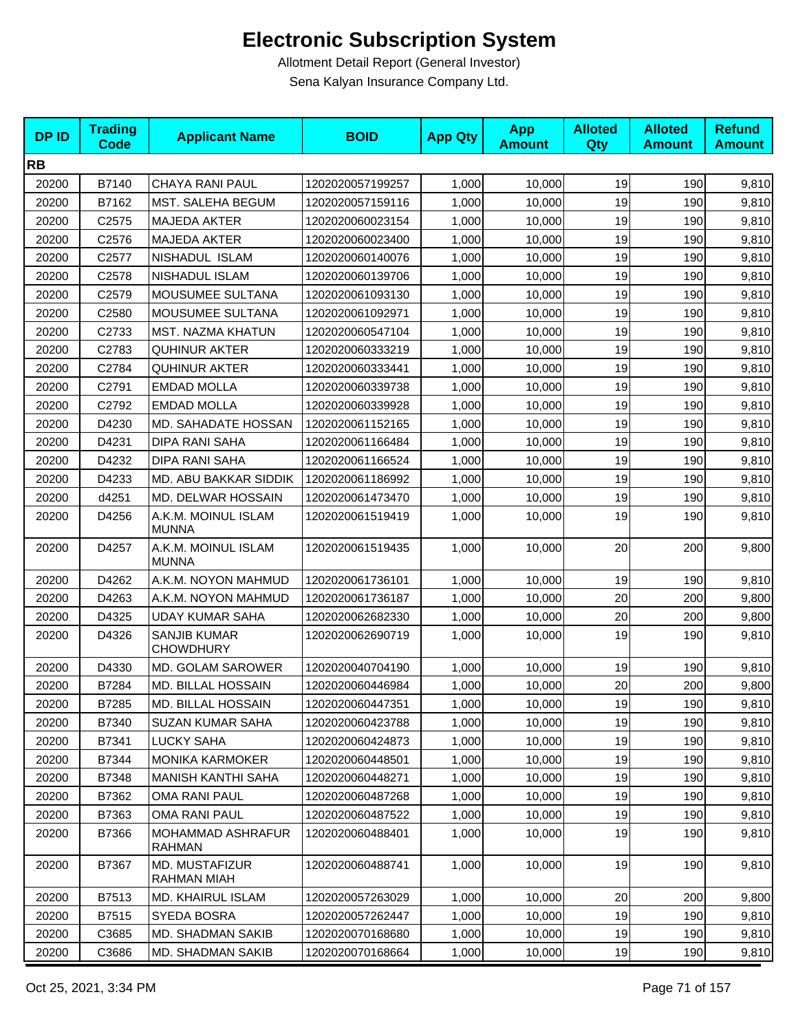| <b>DPID</b> | <b>Trading</b><br><b>Code</b> | <b>Applicant Name</b>                     | <b>BOID</b>      | <b>App Qty</b> | <b>App</b><br><b>Amount</b> | <b>Alloted</b><br>Qty | <b>Alloted</b><br><b>Amount</b> | <b>Refund</b><br><b>Amount</b> |
|-------------|-------------------------------|-------------------------------------------|------------------|----------------|-----------------------------|-----------------------|---------------------------------|--------------------------------|
| <b>RB</b>   |                               |                                           |                  |                |                             |                       |                                 |                                |
| 20200       | B7140                         | <b>CHAYA RANI PAUL</b>                    | 1202020057199257 | 1,000          | 10,000                      | 19                    | 190                             | 9,810                          |
| 20200       | B7162                         | MST. SALEHA BEGUM                         | 1202020057159116 | 1,000          | 10,000                      | 19                    | 190                             | 9,810                          |
| 20200       | C2575                         | <b>MAJEDA AKTER</b>                       | 1202020060023154 | 1,000          | 10,000                      | 19                    | 190                             | 9,810                          |
| 20200       | C2576                         | MAJEDA AKTER                              | 1202020060023400 | 1,000          | 10,000                      | 19                    | 190                             | 9,810                          |
| 20200       | C <sub>2577</sub>             | NISHADUL ISLAM                            | 1202020060140076 | 1,000          | 10,000                      | 19                    | 190                             | 9,810                          |
| 20200       | C2578                         | NISHADUL ISLAM                            | 1202020060139706 | 1,000          | 10.000                      | 19                    | 190                             | 9,810                          |
| 20200       | C2579                         | MOUSUMEE SULTANA                          | 1202020061093130 | 1,000          | 10,000                      | 19                    | 190                             | 9,810                          |
| 20200       | C2580                         | MOUSUMEE SULTANA                          | 1202020061092971 | 1,000          | 10,000                      | 19                    | 190                             | 9,810                          |
| 20200       | C2733                         | MST. NAZMA KHATUN                         | 1202020060547104 | 1,000          | 10,000                      | 19                    | 190                             | 9,810                          |
| 20200       | C2783                         | <b>QUHINUR AKTER</b>                      | 1202020060333219 | 1,000          | 10,000                      | 19                    | 190                             | 9,810                          |
| 20200       | C2784                         | <b>QUHINUR AKTER</b>                      | 1202020060333441 | 1,000          | 10,000                      | 19                    | 190                             | 9,810                          |
| 20200       | C2791                         | <b>EMDAD MOLLA</b>                        | 1202020060339738 | 1,000          | 10,000                      | 19                    | 190                             | 9,810                          |
| 20200       | C2792                         | <b>EMDAD MOLLA</b>                        | 1202020060339928 | 1,000          | 10,000                      | 19                    | 190                             | 9,810                          |
| 20200       | D4230                         | MD. SAHADATE HOSSAN                       | 1202020061152165 | 1,000          | 10,000                      | 19                    | 190                             | 9,810                          |
| 20200       | D4231                         | DIPA RANI SAHA                            | 1202020061166484 | 1,000          | 10,000                      | 19                    | 190                             | 9,810                          |
| 20200       | D4232                         | <b>DIPA RANI SAHA</b>                     | 1202020061166524 | 1,000          | 10,000                      | 19                    | 190                             | 9,810                          |
| 20200       | D4233                         | MD. ABU BAKKAR SIDDIK                     | 1202020061186992 | 1,000          | 10,000                      | 19                    | 190                             | 9,810                          |
| 20200       | d4251                         | MD. DELWAR HOSSAIN                        | 1202020061473470 | 1,000          | 10,000                      | 19                    | 190                             | 9,810                          |
| 20200       | D4256                         | A.K.M. MOINUL ISLAM<br><b>MUNNA</b>       | 1202020061519419 | 1,000          | 10,000                      | 19                    | 190                             | 9,810                          |
| 20200       | D4257                         | A.K.M. MOINUL ISLAM<br><b>MUNNA</b>       | 1202020061519435 | 1,000          | 10,000                      | 20                    | 200                             | 9,800                          |
| 20200       | D4262                         | A.K.M. NOYON MAHMUD                       | 1202020061736101 | 1,000          | 10,000                      | 19                    | 190                             | 9,810                          |
| 20200       | D4263                         | A.K.M. NOYON MAHMUD                       | 1202020061736187 | 1,000          | 10,000                      | 20                    | 200                             | 9,800                          |
| 20200       | D4325                         | <b>UDAY KUMAR SAHA</b>                    | 1202020062682330 | 1,000          | 10,000                      | 20                    | 200                             | 9,800                          |
| 20200       | D4326                         | <b>SANJIB KUMAR</b><br><b>CHOWDHURY</b>   | 1202020062690719 | 1,000          | 10,000                      | 19                    | 190                             | 9,810                          |
| 20200       | D4330                         | MD. GOLAM SAROWER                         | 1202020040704190 | 1,000          | 10,000                      | 19                    | 190                             | 9,810                          |
| 20200       | B7284                         | MD. BILLAL HOSSAIN                        | 1202020060446984 | 1,000          | 10,000                      | 20                    | 200                             | 9,800                          |
| 20200       | B7285                         | MD. BILLAL HOSSAIN                        | 1202020060447351 | 1,000          | 10,000                      | 19                    | 190                             | 9,810                          |
| 20200       | B7340                         | <b>SUZAN KUMAR SAHA</b>                   | 1202020060423788 | 1,000          | 10,000                      | 19                    | 190                             | 9,810                          |
| 20200       | B7341                         | <b>LUCKY SAHA</b>                         | 1202020060424873 | 1,000          | 10,000                      | 19                    | 190                             | 9,810                          |
| 20200       | B7344                         | <b>MONIKA KARMOKER</b>                    | 1202020060448501 | 1,000          | 10,000                      | 19                    | 190                             | 9,810                          |
| 20200       | B7348                         | <b>MANISH KANTHI SAHA</b>                 | 1202020060448271 | 1,000          | 10.000                      | 19                    | 190                             | 9,810                          |
| 20200       | B7362                         | OMA RANI PAUL                             | 1202020060487268 | 1,000          | 10,000                      | 19                    | 190                             | 9,810                          |
| 20200       | B7363                         | OMA RANI PAUL                             | 1202020060487522 | 1,000          | 10,000                      | 19                    | 190                             | 9,810                          |
| 20200       | B7366                         | <b>MOHAMMAD ASHRAFUR</b><br><b>RAHMAN</b> | 1202020060488401 | 1,000          | 10,000                      | 19                    | 190                             | 9,810                          |
| 20200       | B7367                         | MD. MUSTAFIZUR<br>RAHMAN MIAH             | 1202020060488741 | 1,000          | 10,000                      | 19                    | 190                             | 9,810                          |
| 20200       | B7513                         | MD. KHAIRUL ISLAM                         | 1202020057263029 | 1,000          | 10,000                      | 20                    | 200                             | 9,800                          |
| 20200       | B7515                         | SYEDA BOSRA                               | 1202020057262447 | 1,000          | 10,000                      | 19                    | 190                             | 9,810                          |
| 20200       | C3685                         | MD. SHADMAN SAKIB                         | 1202020070168680 | 1,000          | 10,000                      | 19                    | 190                             | 9,810                          |
| 20200       | C3686                         | MD. SHADMAN SAKIB                         | 1202020070168664 | 1,000          | 10,000                      | 19                    | 190                             | 9,810                          |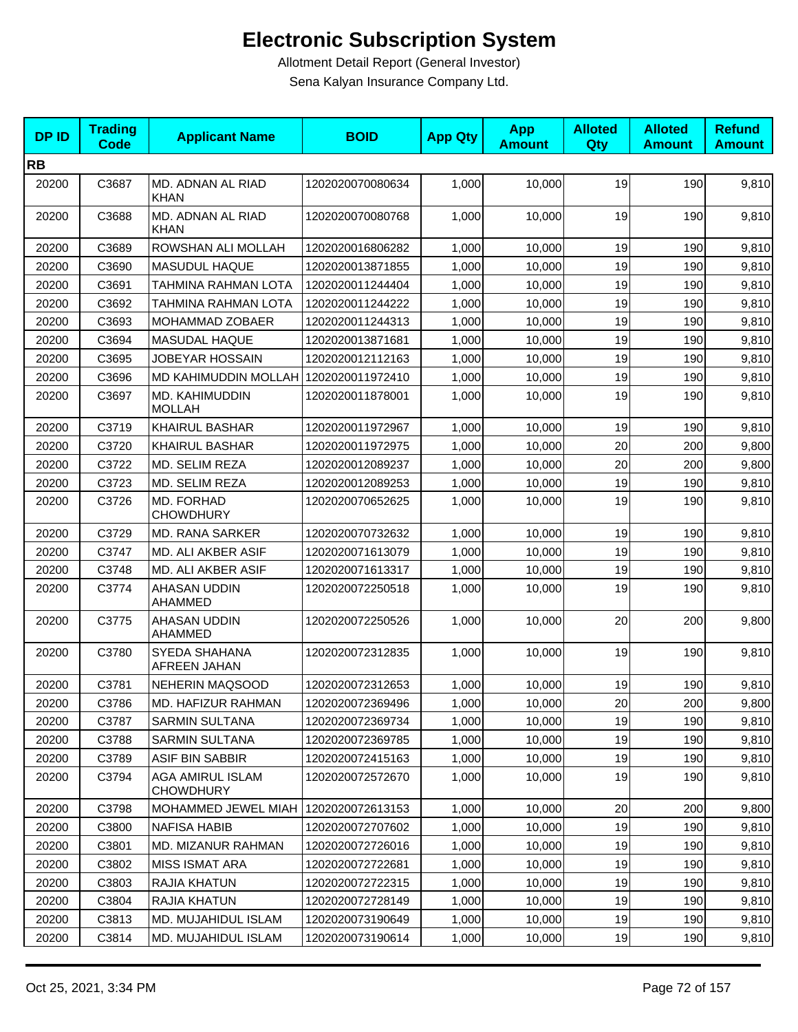| <b>DPID</b> | <b>Trading</b><br><b>Code</b> | <b>Applicant Name</b>                 | <b>BOID</b>      | <b>App Qty</b> | <b>App</b><br><b>Amount</b> | <b>Alloted</b><br>Qty | <b>Alloted</b><br><b>Amount</b> | <b>Refund</b><br><b>Amount</b> |
|-------------|-------------------------------|---------------------------------------|------------------|----------------|-----------------------------|-----------------------|---------------------------------|--------------------------------|
| <b>RB</b>   |                               |                                       |                  |                |                             |                       |                                 |                                |
| 20200       | C3687                         | MD. ADNAN AL RIAD<br><b>KHAN</b>      | 1202020070080634 | 1,000          | 10,000                      | 19                    | 190                             | 9,810                          |
| 20200       | C3688                         | MD. ADNAN AL RIAD<br><b>KHAN</b>      | 1202020070080768 | 1,000          | 10,000                      | 19                    | 190                             | 9,810                          |
| 20200       | C3689                         | ROWSHAN ALI MOLLAH                    | 1202020016806282 | 1,000          | 10,000                      | 19                    | 190                             | 9,810                          |
| 20200       | C3690                         | MASUDUL HAQUE                         | 1202020013871855 | 1,000          | 10,000                      | 19                    | 190                             | 9,810                          |
| 20200       | C3691                         | TAHMINA RAHMAN LOTA                   | 1202020011244404 | 1,000          | 10,000                      | 19                    | 190                             | 9,810                          |
| 20200       | C3692                         | TAHMINA RAHMAN LOTA                   | 1202020011244222 | 1,000          | 10,000                      | 19                    | 190                             | 9,810                          |
| 20200       | C3693                         | MOHAMMAD ZOBAER                       | 1202020011244313 | 1,000          | 10,000                      | 19                    | 190                             | 9,810                          |
| 20200       | C3694                         | MASUDAL HAQUE                         | 1202020013871681 | 1,000          | 10,000                      | 19                    | 190                             | 9,810                          |
| 20200       | C3695                         | JOBEYAR HOSSAIN                       | 1202020012112163 | 1,000          | 10,000                      | 19                    | 190                             | 9,810                          |
| 20200       | C3696                         | MD KAHIMUDDIN MOLLAH 1202020011972410 |                  | 1,000          | 10,000                      | 19                    | 190                             | 9,810                          |
| 20200       | C3697                         | MD. KAHIMUDDIN<br><b>MOLLAH</b>       | 1202020011878001 | 1,000          | 10,000                      | 19                    | 190                             | 9,810                          |
| 20200       | C3719                         | <b>KHAIRUL BASHAR</b>                 | 1202020011972967 | 1,000          | 10,000                      | 19                    | 190                             | 9,810                          |
| 20200       | C3720                         | <b>KHAIRUL BASHAR</b>                 | 1202020011972975 | 1,000          | 10,000                      | 20                    | 200                             | 9,800                          |
| 20200       | C3722                         | MD. SELIM REZA                        | 1202020012089237 | 1,000          | 10,000                      | 20                    | 200                             | 9,800                          |
| 20200       | C3723                         | MD. SELIM REZA                        | 1202020012089253 | 1,000          | 10,000                      | 19                    | 190                             | 9,810                          |
| 20200       | C3726                         | MD. FORHAD<br><b>CHOWDHURY</b>        | 1202020070652625 | 1,000          | 10,000                      | 19                    | 190                             | 9,810                          |
| 20200       | C3729                         | <b>MD. RANA SARKER</b>                | 1202020070732632 | 1,000          | 10,000                      | 19                    | 190                             | 9,810                          |
| 20200       | C3747                         | MD. ALI AKBER ASIF                    | 1202020071613079 | 1,000          | 10,000                      | 19                    | 190                             | 9,810                          |
| 20200       | C3748                         | MD. ALI AKBER ASIF                    | 1202020071613317 | 1,000          | 10,000                      | 19                    | 190                             | 9,810                          |
| 20200       | C3774                         | AHASAN UDDIN<br>AHAMMED               | 1202020072250518 | 1,000          | 10,000                      | 19                    | 190                             | 9,810                          |
| 20200       | C3775                         | AHASAN UDDIN<br>AHAMMED               | 1202020072250526 | 1,000          | 10,000                      | 20                    | 200                             | 9,800                          |
| 20200       | C3780                         | SYEDA SHAHANA<br>AFREEN JAHAN         | 1202020072312835 | 1,000          | 10,000                      | 19                    | 190                             | 9,810                          |
| 20200       | C3781                         | NEHERIN MAQSOOD                       | 1202020072312653 | 1,000          | 10,000                      | 19                    | 190                             | 9,810                          |
| 20200       | C3786                         | MD. HAFIZUR RAHMAN                    | 1202020072369496 | 1,000          | 10,000                      | 20                    | 200                             | 9,800                          |
| 20200       | C3787                         | SARMIN SULTANA                        | 1202020072369734 | 1,000          | 10,000                      | 19                    | 190                             | 9,810                          |
| 20200       | C3788                         | <b>SARMIN SULTANA</b>                 | 1202020072369785 | 1,000          | 10,000                      | 19                    | 190                             | 9,810                          |
| 20200       | C3789                         | ASIF BIN SABBIR                       | 1202020072415163 | 1,000          | 10,000                      | 19                    | 190                             | 9,810                          |
| 20200       | C3794                         | AGA AMIRUL ISLAM<br><b>CHOWDHURY</b>  | 1202020072572670 | 1,000          | 10,000                      | 19                    | 190                             | 9,810                          |
| 20200       | C3798                         | MOHAMMED JEWEL MIAH                   | 1202020072613153 | 1,000          | 10,000                      | 20                    | 200                             | 9,800                          |
| 20200       | C3800                         | <b>NAFISA HABIB</b>                   | 1202020072707602 | 1,000          | 10,000                      | 19                    | 190                             | 9,810                          |
| 20200       | C3801                         | <b>MD. MIZANUR RAHMAN</b>             | 1202020072726016 | 1,000          | 10,000                      | 19                    | 190                             | 9,810                          |
| 20200       | C3802                         | <b>MISS ISMAT ARA</b>                 | 1202020072722681 | 1,000          | 10,000                      | 19                    | 190                             | 9,810                          |
| 20200       | C3803                         | RAJIA KHATUN                          | 1202020072722315 | 1,000          | 10,000                      | 19                    | 190                             | 9,810                          |
| 20200       | C3804                         | RAJIA KHATUN                          | 1202020072728149 | 1,000          | 10,000                      | 19                    | 190                             | 9,810                          |
| 20200       | C3813                         | MD. MUJAHIDUL ISLAM                   | 1202020073190649 | 1,000          | 10,000                      | 19                    | 190                             | 9,810                          |
| 20200       | C3814                         | MD. MUJAHIDUL ISLAM                   | 1202020073190614 | 1,000          | 10,000                      | 19                    | 190                             | 9,810                          |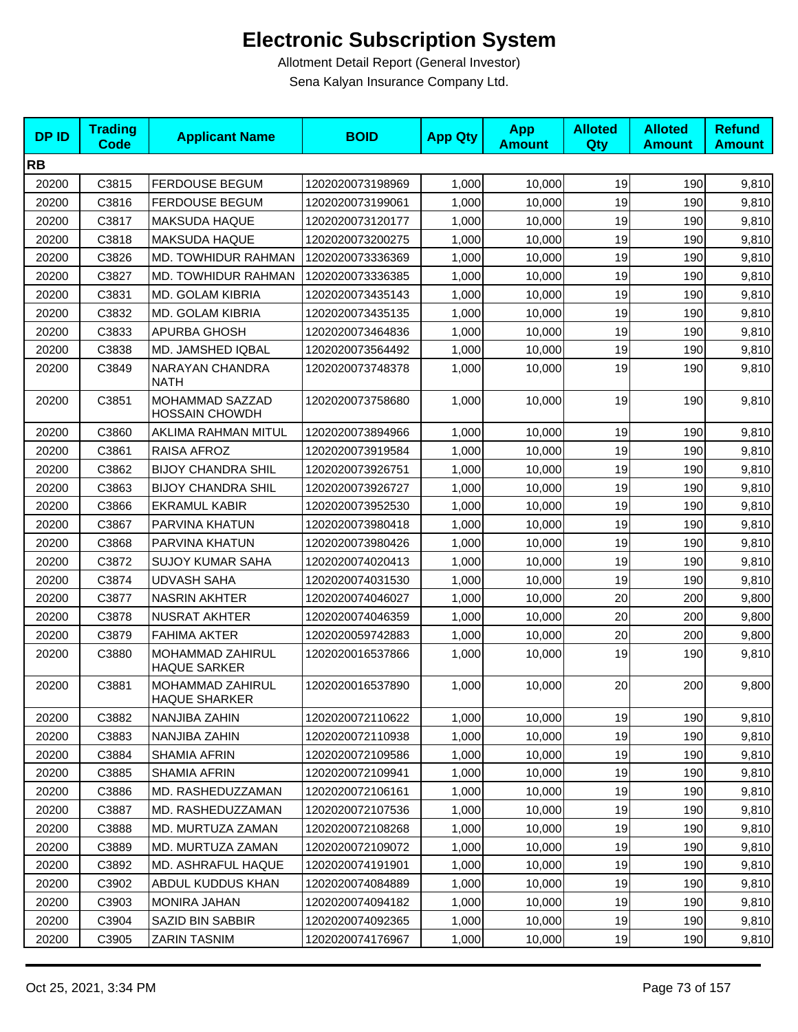| <b>DPID</b> | <b>Trading</b><br><b>Code</b> | <b>Applicant Name</b>                    | <b>BOID</b>      | <b>App Qty</b> | <b>App</b><br><b>Amount</b> | <b>Alloted</b><br><b>Qty</b> | <b>Alloted</b><br><b>Amount</b> | <b>Refund</b><br><b>Amount</b> |
|-------------|-------------------------------|------------------------------------------|------------------|----------------|-----------------------------|------------------------------|---------------------------------|--------------------------------|
| <b>RB</b>   |                               |                                          |                  |                |                             |                              |                                 |                                |
| 20200       | C3815                         | <b>FERDOUSE BEGUM</b>                    | 1202020073198969 | 1,000          | 10,000                      | 19                           | 190                             | 9,810                          |
| 20200       | C3816                         | <b>FERDOUSE BEGUM</b>                    | 1202020073199061 | 1,000          | 10.000                      | 19                           | 190                             | 9,810                          |
| 20200       | C3817                         | <b>MAKSUDA HAQUE</b>                     | 1202020073120177 | 1,000          | 10,000                      | 19                           | 190                             | 9,810                          |
| 20200       | C3818                         | <b>MAKSUDA HAQUE</b>                     | 1202020073200275 | 1,000          | 10,000                      | 19                           | 190                             | 9,810                          |
| 20200       | C3826                         | MD. TOWHIDUR RAHMAN                      | 1202020073336369 | 1,000          | 10,000                      | 19                           | 190                             | 9,810                          |
| 20200       | C3827                         | MD. TOWHIDUR RAHMAN                      | 1202020073336385 | 1,000          | 10,000                      | 19                           | 190                             | 9,810                          |
| 20200       | C3831                         | MD. GOLAM KIBRIA                         | 1202020073435143 | 1,000          | 10.000                      | 19                           | 190                             | 9,810                          |
| 20200       | C3832                         | MD. GOLAM KIBRIA                         | 1202020073435135 | 1,000          | 10,000                      | 19                           | 190                             | 9,810                          |
| 20200       | C3833                         | APURBA GHOSH                             | 1202020073464836 | 1,000          | 10,000                      | 19                           | 190                             | 9,810                          |
| 20200       | C3838                         | MD. JAMSHED IQBAL                        | 1202020073564492 | 1,000          | 10,000                      | 19                           | 190                             | 9,810                          |
| 20200       | C3849                         | NARAYAN CHANDRA<br><b>NATH</b>           | 1202020073748378 | 1,000          | 10,000                      | 19                           | 190                             | 9,810                          |
| 20200       | C3851                         | MOHAMMAD SAZZAD<br><b>HOSSAIN CHOWDH</b> | 1202020073758680 | 1,000          | 10,000                      | 19                           | 190                             | 9,810                          |
| 20200       | C3860                         | AKLIMA RAHMAN MITUL                      | 1202020073894966 | 1,000          | 10,000                      | 19                           | 190                             | 9,810                          |
| 20200       | C3861                         | RAISA AFROZ                              | 1202020073919584 | 1,000          | 10,000                      | 19                           | 190                             | 9,810                          |
| 20200       | C3862                         | <b>BIJOY CHANDRA SHIL</b>                | 1202020073926751 | 1,000          | 10,000                      | 19                           | 190                             | 9,810                          |
| 20200       | C3863                         | <b>BIJOY CHANDRA SHIL</b>                | 1202020073926727 | 1,000          | 10,000                      | 19                           | 190                             | 9,810                          |
| 20200       | C3866                         | <b>EKRAMUL KABIR</b>                     | 1202020073952530 | 1,000          | 10,000                      | 19                           | 190                             | 9,810                          |
| 20200       | C3867                         | PARVINA KHATUN                           | 1202020073980418 | 1,000          | 10,000                      | 19                           | 190                             | 9,810                          |
| 20200       | C3868                         | PARVINA KHATUN                           | 1202020073980426 | 1,000          | 10,000                      | 19                           | 190                             | 9,810                          |
| 20200       | C3872                         | <b>SUJOY KUMAR SAHA</b>                  | 1202020074020413 | 1,000          | 10,000                      | 19                           | 190                             | 9,810                          |
| 20200       | C3874                         | <b>UDVASH SAHA</b>                       | 1202020074031530 | 1,000          | 10,000                      | 19                           | 190                             | 9,810                          |
| 20200       | C3877                         | <b>NASRIN AKHTER</b>                     | 1202020074046027 | 1,000          | 10,000                      | 20                           | 200                             | 9,800                          |
| 20200       | C3878                         | <b>NUSRAT AKHTER</b>                     | 1202020074046359 | 1,000          | 10,000                      | 20                           | 200                             | 9,800                          |
| 20200       | C3879                         | <b>FAHIMA AKTER</b>                      | 1202020059742883 | 1,000          | 10,000                      | 20                           | 200                             | 9,800                          |
| 20200       | C3880                         | MOHAMMAD ZAHIRUL<br><b>HAQUE SARKER</b>  | 1202020016537866 | 1,000          | 10,000                      | 19                           | 190                             | 9,810                          |
| 20200       | C3881                         | MOHAMMAD ZAHIRUL<br><b>HAQUE SHARKER</b> | 1202020016537890 | 1,000          | 10,000                      | 20                           | 200                             | 9,800                          |
| 20200       | C3882                         | NANJIBA ZAHIN                            | 1202020072110622 | 1,000          | 10,000                      | 19                           | 190                             | 9,810                          |
| 20200       | C3883                         | NANJIBA ZAHIN                            | 1202020072110938 | 1,000          | 10,000                      | 19                           | 190                             | 9,810                          |
| 20200       | C3884                         | <b>SHAMIA AFRIN</b>                      | 1202020072109586 | 1,000          | 10,000                      | 19                           | 190                             | 9,810                          |
| 20200       | C3885                         | <b>SHAMIA AFRIN</b>                      | 1202020072109941 | 1,000          | 10.000                      | 19                           | 190                             | 9,810                          |
| 20200       | C3886                         | MD. RASHEDUZZAMAN                        | 1202020072106161 | 1,000          | 10,000                      | 19                           | 190                             | 9,810                          |
| 20200       | C3887                         | MD. RASHEDUZZAMAN                        | 1202020072107536 | 1,000          | 10,000                      | 19                           | 190                             | 9,810                          |
| 20200       | C3888                         | MD. MURTUZA ZAMAN                        | 1202020072108268 | 1,000          | 10,000                      | 19                           | 190                             | 9,810                          |
| 20200       | C3889                         | MD. MURTUZA ZAMAN                        | 1202020072109072 | 1,000          | 10,000                      | 19                           | 190                             | 9,810                          |
| 20200       | C3892                         | MD. ASHRAFUL HAQUE                       | 1202020074191901 | 1,000          | 10,000                      | 19                           | 190                             | 9,810                          |
| 20200       | C3902                         | ABDUL KUDDUS KHAN                        | 1202020074084889 | 1,000          | 10,000                      | 19                           | 190                             | 9,810                          |
| 20200       | C3903                         | <b>MONIRA JAHAN</b>                      | 1202020074094182 | 1,000          | 10,000                      | 19                           | 190                             | 9,810                          |
| 20200       | C3904                         | SAZID BIN SABBIR                         | 1202020074092365 | 1,000          | 10,000                      | 19                           | 190                             | 9,810                          |
| 20200       | C3905                         | <b>ZARIN TASNIM</b>                      | 1202020074176967 | 1,000          | 10,000                      | 19                           | 190                             | 9,810                          |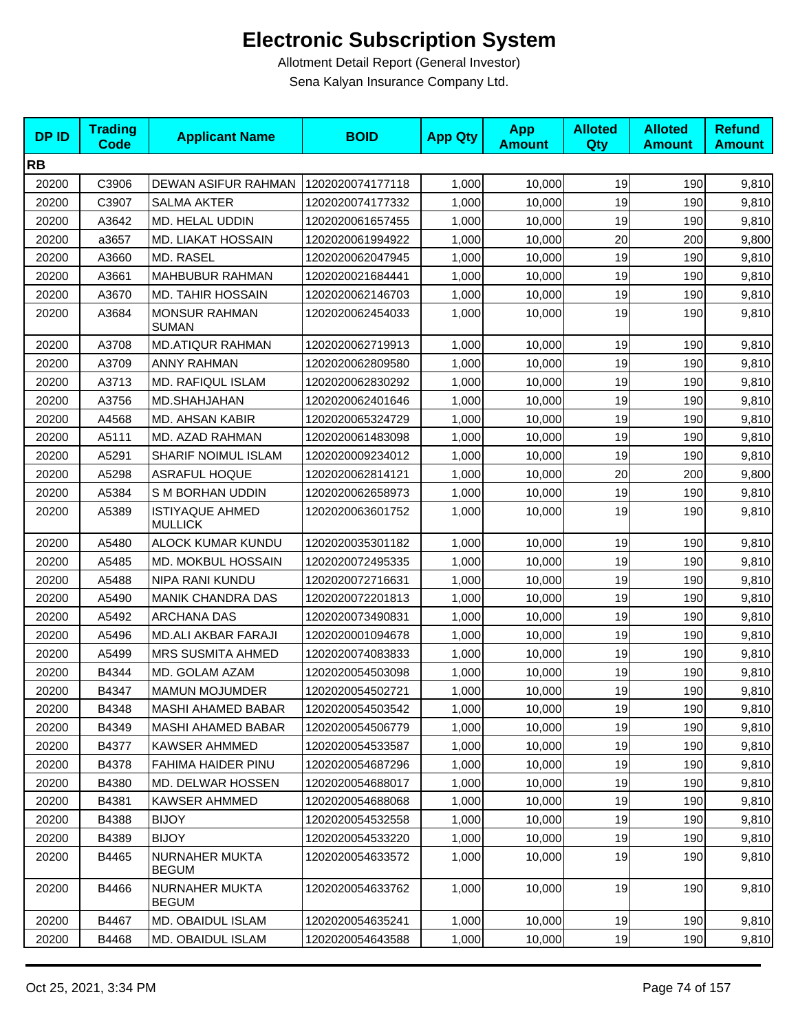| <b>DPID</b> | <b>Trading</b><br><b>Code</b> | <b>Applicant Name</b>                    | <b>BOID</b>      | <b>App Qty</b> | <b>App</b><br><b>Amount</b> | <b>Alloted</b><br>Qty | <b>Alloted</b><br><b>Amount</b> | <b>Refund</b><br><b>Amount</b> |
|-------------|-------------------------------|------------------------------------------|------------------|----------------|-----------------------------|-----------------------|---------------------------------|--------------------------------|
| <b>RB</b>   |                               |                                          |                  |                |                             |                       |                                 |                                |
| 20200       | C3906                         | DEWAN ASIFUR RAHMAN                      | 1202020074177118 | 1,000          | 10,000                      | 19                    | 190                             | 9,810                          |
| 20200       | C3907                         | <b>SALMA AKTER</b>                       | 1202020074177332 | 1,000          | 10,000                      | 19                    | 190                             | 9,810                          |
| 20200       | A3642                         | MD. HELAL UDDIN                          | 1202020061657455 | 1,000          | 10,000                      | 19                    | 190                             | 9,810                          |
| 20200       | a3657                         | MD. LIAKAT HOSSAIN                       | 1202020061994922 | 1,000          | 10,000                      | 20                    | 200                             | 9,800                          |
| 20200       | A3660                         | MD. RASEL                                | 1202020062047945 | 1,000          | 10,000                      | 19                    | 190                             | 9,810                          |
| 20200       | A3661                         | <b>MAHBUBUR RAHMAN</b>                   | 1202020021684441 | 1,000          | 10,000                      | 19                    | 190                             | 9,810                          |
| 20200       | A3670                         | <b>MD. TAHIR HOSSAIN</b>                 | 1202020062146703 | 1,000          | 10,000                      | 19                    | 190                             | 9,810                          |
| 20200       | A3684                         | <b>MONSUR RAHMAN</b><br><b>SUMAN</b>     | 1202020062454033 | 1,000          | 10,000                      | 19                    | 190                             | 9,810                          |
| 20200       | A3708                         | <b>MD.ATIQUR RAHMAN</b>                  | 1202020062719913 | 1,000          | 10,000                      | 19                    | 190                             | 9,810                          |
| 20200       | A3709                         | <b>ANNY RAHMAN</b>                       | 1202020062809580 | 1,000          | 10,000                      | 19                    | 190                             | 9,810                          |
| 20200       | A3713                         | MD. RAFIQUL ISLAM                        | 1202020062830292 | 1,000          | 10,000                      | 19                    | 190                             | 9,810                          |
| 20200       | A3756                         | MD.SHAHJAHAN                             | 1202020062401646 | 1,000          | 10,000                      | 19                    | 190                             | 9,810                          |
| 20200       | A4568                         | MD. AHSAN KABIR                          | 1202020065324729 | 1,000          | 10,000                      | 19                    | 190                             | 9,810                          |
| 20200       | A5111                         | MD. AZAD RAHMAN                          | 1202020061483098 | 1,000          | 10,000                      | 19                    | 190                             | 9,810                          |
| 20200       | A5291                         | SHARIF NOIMUL ISLAM                      | 1202020009234012 | 1,000          | 10,000                      | 19                    | 190                             | 9,810                          |
| 20200       | A5298                         | <b>ASRAFUL HOQUE</b>                     | 1202020062814121 | 1,000          | 10,000                      | 20                    | 200                             | 9,800                          |
| 20200       | A5384                         | S M BORHAN UDDIN                         | 1202020062658973 | 1,000          | 10,000                      | 19                    | 190                             | 9,810                          |
| 20200       | A5389                         | <b>ISTIYAQUE AHMED</b><br><b>MULLICK</b> | 1202020063601752 | 1,000          | 10,000                      | 19                    | 190                             | 9,810                          |
| 20200       | A5480                         | ALOCK KUMAR KUNDU                        | 1202020035301182 | 1,000          | 10,000                      | 19                    | 190                             | 9,810                          |
| 20200       | A5485                         | MD. MOKBUL HOSSAIN                       | 1202020072495335 | 1,000          | 10,000                      | 19                    | 190                             | 9,810                          |
| 20200       | A5488                         | NIPA RANI KUNDU                          | 1202020072716631 | 1,000          | 10,000                      | 19                    | 190                             | 9,810                          |
| 20200       | A5490                         | <b>MANIK CHANDRA DAS</b>                 | 1202020072201813 | 1,000          | 10,000                      | 19                    | 190                             | 9,810                          |
| 20200       | A5492                         | <b>ARCHANA DAS</b>                       | 1202020073490831 | 1,000          | 10,000                      | 19                    | 190                             | 9,810                          |
| 20200       | A5496                         | <b>MD.ALI AKBAR FARAJI</b>               | 1202020001094678 | 1,000          | 10,000                      | 19                    | 190                             | 9,810                          |
| 20200       | A5499                         | <b>MRS SUSMITA AHMED</b>                 | 1202020074083833 | 1,000          | 10,000                      | 19                    | 190                             | 9,810                          |
| 20200       | B4344                         | MD. GOLAM AZAM                           | 1202020054503098 | 1,000          | 10,000                      | 19                    | 190                             | 9,810                          |
| 20200       | B4347                         | <b>MAMUN MOJUMDER</b>                    | 1202020054502721 | 1,000          | 10,000                      | 19                    | 190                             | 9,810                          |
| 20200       | B4348                         | <b>MASHI AHAMED BABAR</b>                | 1202020054503542 | 1,000          | 10,000                      | 19                    | 190                             | 9,810                          |
| 20200       | B4349                         | <b>MASHI AHAMED BABAR</b>                | 1202020054506779 | 1,000          | 10,000                      | 19                    | 190                             | 9,810                          |
| 20200       | B4377                         | <b>KAWSER AHMMED</b>                     | 1202020054533587 | 1,000          | 10,000                      | 19                    | 190                             | 9,810                          |
| 20200       | B4378                         | FAHIMA HAIDER PINU                       | 1202020054687296 | 1,000          | 10,000                      | 19                    | 190                             | 9,810                          |
| 20200       | B4380                         | MD. DELWAR HOSSEN                        | 1202020054688017 | 1,000          | 10,000                      | 19                    | 190                             | 9,810                          |
| 20200       | B4381                         | <b>KAWSER AHMMED</b>                     | 1202020054688068 | 1,000          | 10,000                      | 19                    | 190                             | 9,810                          |
| 20200       | B4388                         | <b>BIJOY</b>                             | 1202020054532558 | 1,000          | 10,000                      | 19                    | 190                             | 9,810                          |
| 20200       | B4389                         | <b>BIJOY</b>                             | 1202020054533220 | 1,000          | 10,000                      | 19                    | 190                             | 9,810                          |
| 20200       | B4465                         | NURNAHER MUKTA<br><b>BEGUM</b>           | 1202020054633572 | 1,000          | 10,000                      | 19                    | 190                             | 9,810                          |
| 20200       | B4466                         | NURNAHER MUKTA<br><b>BEGUM</b>           | 1202020054633762 | 1,000          | 10,000                      | 19                    | 190                             | 9,810                          |
| 20200       | B4467                         | MD. OBAIDUL ISLAM                        | 1202020054635241 | 1,000          | 10,000                      | 19                    | 190                             | 9,810                          |
| 20200       | B4468                         | MD. OBAIDUL ISLAM                        | 1202020054643588 | 1,000          | 10,000                      | 19                    | 190                             | 9,810                          |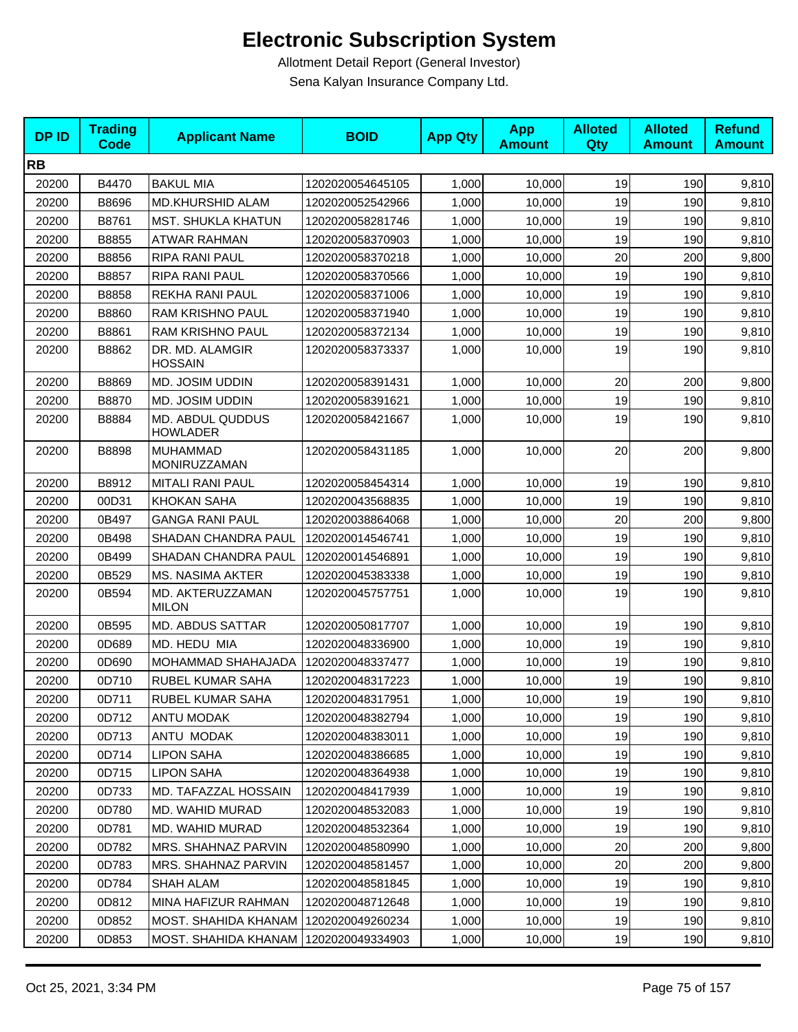| <b>DPID</b> | <b>Trading</b><br><b>Code</b> | <b>Applicant Name</b>                   | <b>BOID</b>      | <b>App Qty</b> | <b>App</b><br><b>Amount</b> | <b>Alloted</b><br>Qty | <b>Alloted</b><br><b>Amount</b> | <b>Refund</b><br><b>Amount</b> |
|-------------|-------------------------------|-----------------------------------------|------------------|----------------|-----------------------------|-----------------------|---------------------------------|--------------------------------|
| <b>RB</b>   |                               |                                         |                  |                |                             |                       |                                 |                                |
| 20200       | B4470                         | <b>BAKUL MIA</b>                        | 1202020054645105 | 1,000          | 10,000                      | 19                    | 190                             | 9,810                          |
| 20200       | B8696                         | <b>MD.KHURSHID ALAM</b>                 | 1202020052542966 | 1,000          | 10,000                      | 19                    | 190                             | 9,810                          |
| 20200       | B8761                         | <b>MST. SHUKLA KHATUN</b>               | 1202020058281746 | 1,000          | 10,000                      | 19                    | 190                             | 9,810                          |
| 20200       | B8855                         | <b>ATWAR RAHMAN</b>                     | 1202020058370903 | 1,000          | 10,000                      | 19                    | 190                             | 9,810                          |
| 20200       | B8856                         | RIPA RANI PAUL                          | 1202020058370218 | 1,000          | 10,000                      | 20                    | 200                             | 9,800                          |
| 20200       | B8857                         | RIPA RANI PAUL                          | 1202020058370566 | 1.000          | 10,000                      | 19                    | 190                             | 9,810                          |
| 20200       | B8858                         | REKHA RANI PAUL                         | 1202020058371006 | 1,000          | 10,000                      | 19                    | 190                             | 9,810                          |
| 20200       | B8860                         | RAM KRISHNO PAUL                        | 1202020058371940 | 1,000          | 10,000                      | 19                    | 190                             | 9,810                          |
| 20200       | B8861                         | RAM KRISHNO PAUL                        | 1202020058372134 | 1,000          | 10,000                      | 19                    | 190                             | 9,810                          |
| 20200       | B8862                         | DR. MD. ALAMGIR<br><b>HOSSAIN</b>       | 1202020058373337 | 1,000          | 10,000                      | 19                    | 190                             | 9,810                          |
| 20200       | B8869                         | MD. JOSIM UDDIN                         | 1202020058391431 | 1,000          | 10,000                      | 20                    | 200                             | 9,800                          |
| 20200       | B8870                         | MD. JOSIM UDDIN                         | 1202020058391621 | 1,000          | 10,000                      | 19                    | 190                             | 9,810                          |
| 20200       | B8884                         | MD. ABDUL QUDDUS<br><b>HOWLADER</b>     | 1202020058421667 | 1,000          | 10,000                      | 19                    | 190                             | 9,810                          |
| 20200       | B8898                         | <b>MUHAMMAD</b><br>MONIRUZZAMAN         | 1202020058431185 | 1,000          | 10,000                      | 20                    | 200                             | 9,800                          |
| 20200       | B8912                         | <b>MITALI RANI PAUL</b>                 | 1202020058454314 | 1,000          | 10,000                      | 19                    | 190                             | 9,810                          |
| 20200       | 00D31                         | <b>KHOKAN SAHA</b>                      | 1202020043568835 | 1,000          | 10,000                      | 19                    | 190                             | 9,810                          |
| 20200       | 0B497                         | <b>GANGA RANI PAUL</b>                  | 1202020038864068 | 1,000          | 10,000                      | 20                    | 200                             | 9,800                          |
| 20200       | 0B498                         | SHADAN CHANDRA PAUL                     | 1202020014546741 | 1,000          | 10,000                      | 19                    | 190                             | 9,810                          |
| 20200       | 0B499                         | SHADAN CHANDRA PAUL                     | 1202020014546891 | 1,000          | 10,000                      | 19                    | 190                             | 9,810                          |
| 20200       | 0B529                         | <b>MS. NASIMA AKTER</b>                 | 1202020045383338 | 1,000          | 10,000                      | 19                    | 190                             | 9,810                          |
| 20200       | 0B594                         | MD. AKTERUZZAMAN<br><b>MILON</b>        | 1202020045757751 | 1,000          | 10,000                      | 19                    | 190                             | 9,810                          |
| 20200       | 0B595                         | <b>MD. ABDUS SATTAR</b>                 | 1202020050817707 | 1,000          | 10,000                      | 19                    | 190                             | 9,810                          |
| 20200       | 0D689                         | MD. HEDU MIA                            | 1202020048336900 | 1,000          | 10,000                      | 19                    | 190                             | 9,810                          |
| 20200       | 0D690                         | MOHAMMAD SHAHAJADA                      | 1202020048337477 | 1,000          | 10,000                      | 19                    | 190                             | 9,810                          |
| 20200       | 0D710                         | RUBEL KUMAR SAHA                        | 1202020048317223 | 1,000          | 10,000                      | 19                    | 190                             | 9,810                          |
| 20200       | 0D711                         | RUBEL KUMAR SAHA                        | 1202020048317951 | 1,000          | 10,000                      | 19                    | 190                             | 9,810                          |
| 20200       | 0D712                         | <b>ANTU MODAK</b>                       | 1202020048382794 | 1,000          | 10,000                      | 19                    | 190                             | 9,810                          |
| 20200       | 0D713                         | ANTU MODAK                              | 1202020048383011 | 1,000          | 10,000                      | 19                    | 190                             | 9,810                          |
| 20200       | 0D714                         | <b>LIPON SAHA</b>                       | 1202020048386685 | 1,000          | 10,000                      | 19                    | 190                             | 9,810                          |
| 20200       | 0D715                         | <b>LIPON SAHA</b>                       | 1202020048364938 | 1,000          | 10,000                      | 19                    | 190                             | 9,810                          |
| 20200       | 0D733                         | MD. TAFAZZAL HOSSAIN                    | 1202020048417939 | 1,000          | 10,000                      | 19                    | 190                             | 9,810                          |
| 20200       | 0D780                         | MD. WAHID MURAD                         | 1202020048532083 | 1,000          | 10,000                      | 19                    | 190                             | 9,810                          |
| 20200       | 0D781                         | MD. WAHID MURAD                         | 1202020048532364 | 1,000          | 10,000                      | 19                    | 190                             | 9,810                          |
| 20200       | 0D782                         | <b>MRS. SHAHNAZ PARVIN</b>              | 1202020048580990 | 1,000          | 10,000                      | 20                    | 200                             | 9,800                          |
| 20200       | 0D783                         | MRS. SHAHNAZ PARVIN                     | 1202020048581457 | 1,000          | 10,000                      | 20                    | 200                             | 9,800                          |
| 20200       | 0D784                         | <b>SHAH ALAM</b>                        | 1202020048581845 | 1,000          | 10,000                      | 19                    | 190                             | 9,810                          |
| 20200       | 0D812                         | MINA HAFIZUR RAHMAN                     | 1202020048712648 | 1,000          | 10,000                      | 19                    | 190                             | 9,810                          |
| 20200       | 0D852                         | <b>MOST. SHAHIDA KHANAM</b>             | 1202020049260234 | 1,000          | 10,000                      | 19                    | 190                             | 9,810                          |
| 20200       | 0D853                         | MOST. SHAHIDA KHANAM   1202020049334903 |                  | 1,000          | 10,000                      | 19                    | 190                             | 9,810                          |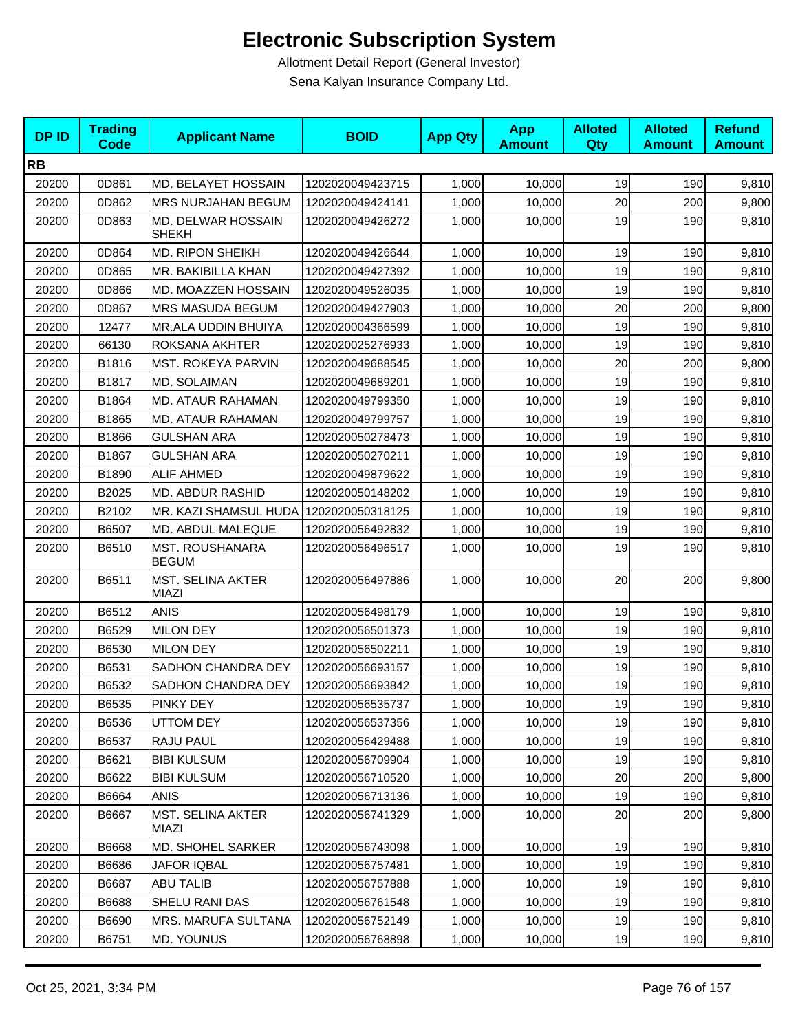| <b>DPID</b> | <b>Trading</b><br><b>Code</b> | <b>Applicant Name</b>                    | <b>BOID</b>      | <b>App Qty</b> | <b>App</b><br><b>Amount</b> | <b>Alloted</b><br>Qty | <b>Alloted</b><br><b>Amount</b> | <b>Refund</b><br><b>Amount</b> |
|-------------|-------------------------------|------------------------------------------|------------------|----------------|-----------------------------|-----------------------|---------------------------------|--------------------------------|
| <b>RB</b>   |                               |                                          |                  |                |                             |                       |                                 |                                |
| 20200       | 0D861                         | MD. BELAYET HOSSAIN                      | 1202020049423715 | 1,000          | 10,000                      | 19                    | 190                             | 9,810                          |
| 20200       | 0D862                         | MRS NURJAHAN BEGUM                       | 1202020049424141 | 1,000          | 10,000                      | 20                    | 200                             | 9,800                          |
| 20200       | 0D863                         | MD. DELWAR HOSSAIN<br><b>SHEKH</b>       | 1202020049426272 | 1,000          | 10,000                      | 19                    | 190                             | 9,810                          |
| 20200       | 0D864                         | <b>MD. RIPON SHEIKH</b>                  | 1202020049426644 | 1.000          | 10,000                      | 19                    | 190                             | 9,810                          |
| 20200       | 0D865                         | MR. BAKIBILLA KHAN                       | 1202020049427392 | 1,000          | 10,000                      | 19                    | 190                             | 9,810                          |
| 20200       | 0D866                         | MD. MOAZZEN HOSSAIN                      | 1202020049526035 | 1,000          | 10,000                      | 19                    | 190                             | 9,810                          |
| 20200       | 0D867                         | <b>MRS MASUDA BEGUM</b>                  | 1202020049427903 | 1,000          | 10,000                      | 20                    | 200                             | 9,800                          |
| 20200       | 12477                         | MR.ALA UDDIN BHUIYA                      | 1202020004366599 | 1,000          | 10,000                      | 19                    | 190                             | 9,810                          |
| 20200       | 66130                         | ROKSANA AKHTER                           | 1202020025276933 | 1,000          | 10,000                      | 19                    | 190                             | 9,810                          |
| 20200       | B1816                         | <b>MST. ROKEYA PARVIN</b>                | 1202020049688545 | 1,000          | 10,000                      | 20                    | 200                             | 9,800                          |
| 20200       | B1817                         | MD. SOLAIMAN                             | 1202020049689201 | 1,000          | 10,000                      | 19                    | 190                             | 9,810                          |
| 20200       | B1864                         | MD. ATAUR RAHAMAN                        | 1202020049799350 | 1,000          | 10,000                      | 19                    | 190                             | 9,810                          |
| 20200       | B1865                         | MD. ATAUR RAHAMAN                        | 1202020049799757 | 1,000          | 10,000                      | 19                    | 190                             | 9,810                          |
| 20200       | B1866                         | <b>GULSHAN ARA</b>                       | 1202020050278473 | 1,000          | 10,000                      | 19                    | 190                             | 9,810                          |
| 20200       | B1867                         | <b>GULSHAN ARA</b>                       | 1202020050270211 | 1,000          | 10,000                      | 19                    | 190                             | 9,810                          |
| 20200       | B1890                         | <b>ALIF AHMED</b>                        | 1202020049879622 | 1,000          | 10,000                      | 19                    | 190                             | 9,810                          |
| 20200       | B2025                         | MD. ABDUR RASHID                         | 1202020050148202 | 1,000          | 10,000                      | 19                    | 190                             | 9,810                          |
| 20200       | B2102                         | MR. KAZI SHAMSUL HUDA   1202020050318125 |                  | 1,000          | 10,000                      | 19                    | 190                             | 9,810                          |
| 20200       | B6507                         | MD. ABDUL MALEQUE                        | 1202020056492832 | 1,000          | 10,000                      | 19                    | 190                             | 9,810                          |
| 20200       | B6510                         | <b>MST. ROUSHANARA</b><br><b>BEGUM</b>   | 1202020056496517 | 1,000          | 10,000                      | 19                    | 190                             | 9,810                          |
| 20200       | B6511                         | <b>MST. SELINA AKTER</b><br>MIAZI        | 1202020056497886 | 1,000          | 10,000                      | 20                    | 200                             | 9,800                          |
| 20200       | B6512                         | <b>ANIS</b>                              | 1202020056498179 | 1,000          | 10,000                      | 19                    | 190                             | 9,810                          |
| 20200       | B6529                         | <b>MILON DEY</b>                         | 1202020056501373 | 1,000          | 10,000                      | 19                    | 190                             | 9,810                          |
| 20200       | B6530                         | <b>MILON DEY</b>                         | 1202020056502211 | 1,000          | 10,000                      | 19                    | 190                             | 9,810                          |
| 20200       | B6531                         | SADHON CHANDRA DEY                       | 1202020056693157 | 1,000          | 10,000                      | 19                    | 190                             | 9,810                          |
| 20200       | B6532                         | SADHON CHANDRA DEY                       | 1202020056693842 | 1,000          | 10,000                      | 19                    | 190                             | 9,810                          |
| 20200       | B6535                         | PINKY DEY                                | 1202020056535737 | 1,000          | 10,000                      | 19                    | 190                             | 9,810                          |
| 20200       | B6536                         | UTTOM DEY                                | 1202020056537356 | 1,000          | 10,000                      | 19                    | 190                             | 9,810                          |
| 20200       | B6537                         | RAJU PAUL                                | 1202020056429488 | 1,000          | 10,000                      | 19                    | 190                             | 9,810                          |
| 20200       | B6621                         | <b>BIBI KULSUM</b>                       | 1202020056709904 | 1,000          | 10,000                      | 19                    | 190                             | 9,810                          |
| 20200       | B6622                         | <b>BIBI KULSUM</b>                       | 1202020056710520 | 1,000          | 10,000                      | 20                    | 200                             | 9,800                          |
| 20200       | B6664                         | <b>ANIS</b>                              | 1202020056713136 | 1,000          | 10,000                      | 19                    | 190                             | 9,810                          |
| 20200       | B6667                         | <b>MST. SELINA AKTER</b><br>MIAZI        | 1202020056741329 | 1,000          | 10,000                      | 20                    | 200                             | 9,800                          |
| 20200       | B6668                         | <b>MD. SHOHEL SARKER</b>                 | 1202020056743098 | 1,000          | 10,000                      | 19                    | 190                             | 9,810                          |
| 20200       | B6686                         | <b>JAFOR IQBAL</b>                       | 1202020056757481 | 1,000          | 10,000                      | 19                    | 190                             | 9,810                          |
| 20200       | B6687                         | <b>ABU TALIB</b>                         | 1202020056757888 | 1,000          | 10,000                      | 19                    | 190                             | 9,810                          |
| 20200       | B6688                         | SHELU RANI DAS                           | 1202020056761548 | 1,000          | 10,000                      | 19                    | 190                             | 9,810                          |
| 20200       | B6690                         | MRS. MARUFA SULTANA                      | 1202020056752149 | 1,000          | 10,000                      | 19                    | 190                             | 9,810                          |
| 20200       | B6751                         | MD. YOUNUS                               | 1202020056768898 | 1,000          | 10,000                      | 19                    | 190                             | 9,810                          |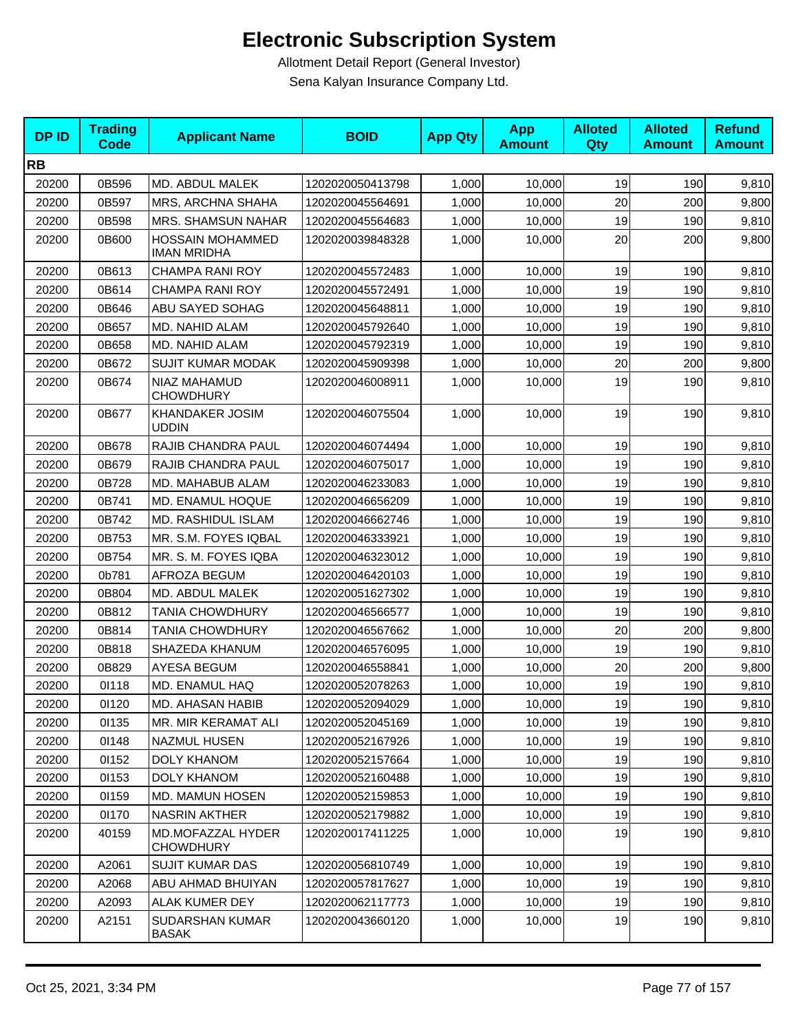| <b>DPID</b> | <b>Trading</b><br><b>Code</b> | <b>Applicant Name</b>                         | <b>BOID</b>      | <b>App Qty</b> | <b>App</b><br><b>Amount</b> | <b>Alloted</b><br>Qty | <b>Alloted</b><br><b>Amount</b> | <b>Refund</b><br><b>Amount</b> |
|-------------|-------------------------------|-----------------------------------------------|------------------|----------------|-----------------------------|-----------------------|---------------------------------|--------------------------------|
| <b>RB</b>   |                               |                                               |                  |                |                             |                       |                                 |                                |
| 20200       | 0B596                         | MD. ABDUL MALEK                               | 1202020050413798 | 1,000          | 10,000                      | 19                    | 190                             | 9,810                          |
| 20200       | 0B597                         | MRS, ARCHNA SHAHA                             | 1202020045564691 | 1,000          | 10,000                      | 20                    | 200                             | 9,800                          |
| 20200       | 0B598                         | MRS. SHAMSUN NAHAR                            | 1202020045564683 | 1,000          | 10,000                      | 19                    | 190                             | 9,810                          |
| 20200       | 0B600                         | <b>HOSSAIN MOHAMMED</b><br><b>IMAN MRIDHA</b> | 1202020039848328 | 1,000          | 10,000                      | 20                    | 200                             | 9,800                          |
| 20200       | 0B613                         | <b>CHAMPA RANI ROY</b>                        | 1202020045572483 | 1,000          | 10,000                      | 19                    | 190                             | 9,810                          |
| 20200       | 0B614                         | <b>CHAMPA RANI ROY</b>                        | 1202020045572491 | 1,000          | 10,000                      | 19                    | 190                             | 9,810                          |
| 20200       | 0B646                         | ABU SAYED SOHAG                               | 1202020045648811 | 1,000          | 10,000                      | 19                    | 190                             | 9,810                          |
| 20200       | 0B657                         | MD. NAHID ALAM                                | 1202020045792640 | 1,000          | 10,000                      | 19                    | 190                             | 9,810                          |
| 20200       | 0B658                         | MD. NAHID ALAM                                | 1202020045792319 | 1,000          | 10,000                      | 19                    | 190                             | 9,810                          |
| 20200       | 0B672                         | <b>SUJIT KUMAR MODAK</b>                      | 1202020045909398 | 1,000          | 10,000                      | 20                    | 200                             | 9,800                          |
| 20200       | 0B674                         | NIAZ MAHAMUD<br><b>CHOWDHURY</b>              | 1202020046008911 | 1,000          | 10,000                      | 19                    | 190                             | 9,810                          |
| 20200       | 0B677                         | <b>KHANDAKER JOSIM</b><br><b>UDDIN</b>        | 1202020046075504 | 1,000          | 10,000                      | 19                    | 190                             | 9,810                          |
| 20200       | 0B678                         | RAJIB CHANDRA PAUL                            | 1202020046074494 | 1,000          | 10,000                      | 19                    | 190                             | 9,810                          |
| 20200       | 0B679                         | <b>RAJIB CHANDRA PAUL</b>                     | 1202020046075017 | 1,000          | 10,000                      | 19                    | 190                             | 9,810                          |
| 20200       | 0B728                         | MD. MAHABUB ALAM                              | 1202020046233083 | 1,000          | 10,000                      | 19                    | 190                             | 9,810                          |
| 20200       | 0B741                         | MD. ENAMUL HOQUE                              | 1202020046656209 | 1,000          | 10,000                      | 19                    | 190                             | 9,810                          |
| 20200       | 0B742                         | MD. RASHIDUL ISLAM                            | 1202020046662746 | 1,000          | 10,000                      | 19                    | 190                             | 9,810                          |
| 20200       | 0B753                         | MR. S.M. FOYES IQBAL                          | 1202020046333921 | 1,000          | 10,000                      | 19                    | 190                             | 9,810                          |
| 20200       | 0B754                         | MR. S. M. FOYES IQBA                          | 1202020046323012 | 1,000          | 10,000                      | 19                    | 190                             | 9,810                          |
| 20200       | 0b781                         | AFROZA BEGUM                                  | 1202020046420103 | 1,000          | 10,000                      | 19                    | 190                             | 9,810                          |
| 20200       | 0B804                         | MD. ABDUL MALEK                               | 1202020051627302 | 1,000          | 10,000                      | 19                    | 190                             | 9,810                          |
| 20200       | 0B812                         | TANIA CHOWDHURY                               | 1202020046566577 | 1,000          | 10,000                      | 19                    | 190                             | 9,810                          |
| 20200       | 0B814                         | <b>TANIA CHOWDHURY</b>                        | 1202020046567662 | 1,000          | 10,000                      | 20                    | 200                             | 9,800                          |
| 20200       | 0B818                         | SHAZEDA KHANUM                                | 1202020046576095 | 1,000          | 10,000                      | 19                    | 190                             | 9,810                          |
| 20200       | 0B829                         | <b>AYESA BEGUM</b>                            | 1202020046558841 | 1,000          | 10.000                      | 20                    | 200                             | 9,800                          |
| 20200       | 01118                         | MD. ENAMUL HAQ                                | 1202020052078263 | 1,000          | 10,000                      | 19                    | 190                             | 9,810                          |
| 20200       | 01120                         | MD. AHASAN HABIB                              | 1202020052094029 | 1,000          | 10,000                      | 19                    | 190                             | 9,810                          |
| 20200       | 01135                         | MR. MIR KERAMAT ALI                           | 1202020052045169 | 1,000          | 10,000                      | 19                    | 190                             | 9,810                          |
| 20200       | 01148                         | <b>NAZMUL HUSEN</b>                           | 1202020052167926 | 1,000          | 10,000                      | 19                    | 190                             | 9,810                          |
| 20200       | 01152                         | <b>DOLY KHANOM</b>                            | 1202020052157664 | 1,000          | 10,000                      | 19                    | 190                             | 9,810                          |
| 20200       | 01153                         | <b>DOLY KHANOM</b>                            | 1202020052160488 | 1,000          | 10,000                      | 19                    | 190                             | 9,810                          |
| 20200       | 01159                         | MD. MAMUN HOSEN                               | 1202020052159853 | 1,000          | 10,000                      | 19                    | 190                             | 9,810                          |
| 20200       | 01170                         | <b>NASRIN AKTHER</b>                          | 1202020052179882 | 1,000          | 10,000                      | 19                    | 190                             | 9,810                          |
| 20200       | 40159                         | MD.MOFAZZAL HYDER<br><b>CHOWDHURY</b>         | 1202020017411225 | 1,000          | 10,000                      | 19                    | 190                             | 9,810                          |
| 20200       | A2061                         | <b>SUJIT KUMAR DAS</b>                        | 1202020056810749 | 1,000          | 10,000                      | 19                    | 190                             | 9,810                          |
| 20200       | A2068                         | ABU AHMAD BHUIYAN                             | 1202020057817627 | 1,000          | 10,000                      | 19                    | 190                             | 9,810                          |
| 20200       | A2093                         | <b>ALAK KUMER DEY</b>                         | 1202020062117773 | 1,000          | 10,000                      | 19                    | 190                             | 9,810                          |
| 20200       | A2151                         | SUDARSHAN KUMAR<br><b>BASAK</b>               | 1202020043660120 | 1,000          | 10,000                      | 19                    | 190                             | 9,810                          |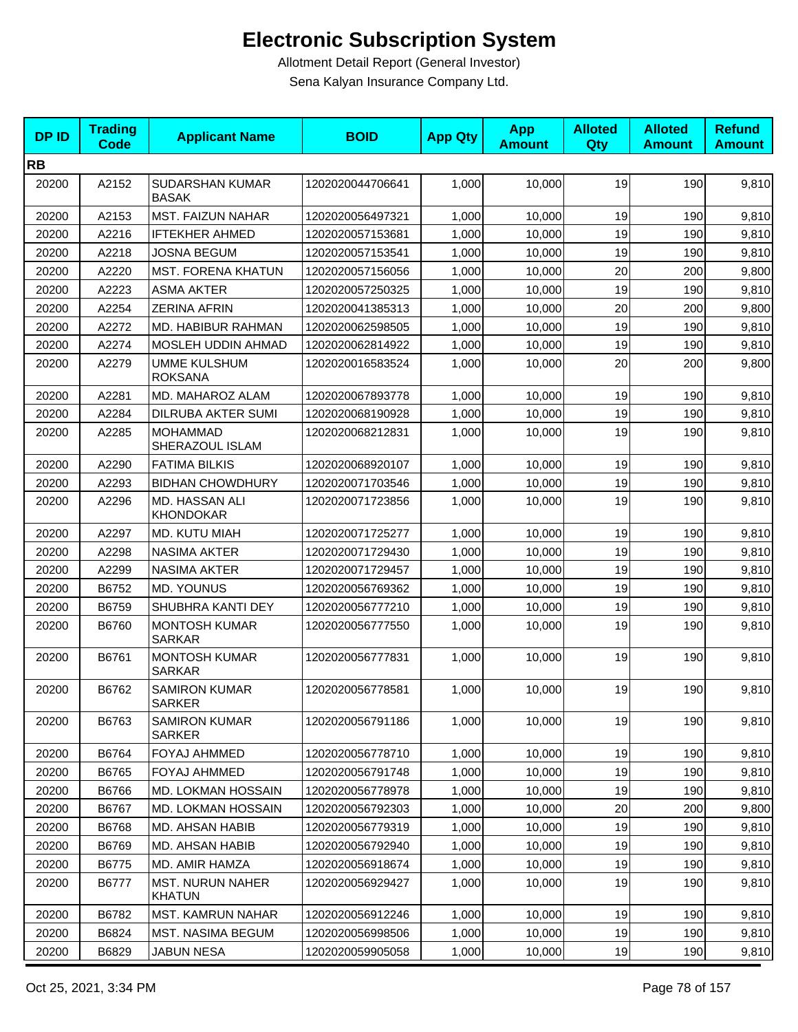| <b>DPID</b> | <b>Trading</b><br>Code | <b>Applicant Name</b>                    | <b>BOID</b>      | <b>App Qty</b> | <b>App</b><br><b>Amount</b> | <b>Alloted</b><br>Qty | <b>Alloted</b><br><b>Amount</b> | <b>Refund</b><br><b>Amount</b> |
|-------------|------------------------|------------------------------------------|------------------|----------------|-----------------------------|-----------------------|---------------------------------|--------------------------------|
| <b>RB</b>   |                        |                                          |                  |                |                             |                       |                                 |                                |
| 20200       | A2152                  | SUDARSHAN KUMAR<br><b>BASAK</b>          | 1202020044706641 | 1,000          | 10,000                      | 19                    | 190                             | 9,810                          |
| 20200       | A2153                  | <b>MST. FAIZUN NAHAR</b>                 | 1202020056497321 | 1,000          | 10,000                      | 19                    | 190                             | 9,810                          |
| 20200       | A2216                  | <b>IFTEKHER AHMED</b>                    | 1202020057153681 | 1,000          | 10,000                      | 19                    | 190                             | 9,810                          |
| 20200       | A2218                  | JOSNA BEGUM                              | 1202020057153541 | 1,000          | 10,000                      | 19                    | 190                             | 9,810                          |
| 20200       | A2220                  | <b>MST. FORENA KHATUN</b>                | 1202020057156056 | 1,000          | 10,000                      | 20                    | 200                             | 9,800                          |
| 20200       | A2223                  | <b>ASMA AKTER</b>                        | 1202020057250325 | 1,000          | 10.000                      | 19                    | 190                             | 9,810                          |
| 20200       | A2254                  | <b>ZERINA AFRIN</b>                      | 1202020041385313 | 1,000          | 10,000                      | 20                    | 200                             | 9,800                          |
| 20200       | A2272                  | MD. HABIBUR RAHMAN                       | 1202020062598505 | 1,000          | 10,000                      | 19                    | 190                             | 9,810                          |
| 20200       | A2274                  | <b>MOSLEH UDDIN AHMAD</b>                | 1202020062814922 | 1,000          | 10,000                      | 19                    | 190                             | 9,810                          |
| 20200       | A2279                  | <b>UMME KULSHUM</b><br><b>ROKSANA</b>    | 1202020016583524 | 1,000          | 10,000                      | 20                    | 200                             | 9,800                          |
| 20200       | A2281                  | MD. MAHAROZ ALAM                         | 1202020067893778 | 1,000          | 10,000                      | 19                    | 190                             | 9,810                          |
| 20200       | A2284                  | DILRUBA AKTER SUMI                       | 1202020068190928 | 1,000          | 10,000                      | 19                    | 190                             | 9,810                          |
| 20200       | A2285                  | <b>MOHAMMAD</b><br>SHERAZOUL ISLAM       | 1202020068212831 | 1,000          | 10.000                      | 19                    | 190                             | 9,810                          |
| 20200       | A2290                  | <b>FATIMA BILKIS</b>                     | 1202020068920107 | 1,000          | 10,000                      | 19                    | 190                             | 9,810                          |
| 20200       | A2293                  | <b>BIDHAN CHOWDHURY</b>                  | 1202020071703546 | 1,000          | 10,000                      | 19                    | 190                             | 9,810                          |
| 20200       | A2296                  | MD. HASSAN ALI<br><b>KHONDOKAR</b>       | 1202020071723856 | 1,000          | 10,000                      | 19                    | 190                             | 9,810                          |
| 20200       | A2297                  | MD. KUTU MIAH                            | 1202020071725277 | 1,000          | 10,000                      | 19                    | 190                             | 9,810                          |
| 20200       | A2298                  | <b>NASIMA AKTER</b>                      | 1202020071729430 | 1,000          | 10,000                      | 19                    | 190                             | 9,810                          |
| 20200       | A2299                  | <b>NASIMA AKTER</b>                      | 1202020071729457 | 1,000          | 10,000                      | 19                    | 190                             | 9,810                          |
| 20200       | B6752                  | MD. YOUNUS                               | 1202020056769362 | 1,000          | 10,000                      | 19                    | 190                             | 9,810                          |
| 20200       | B6759                  | SHUBHRA KANTI DEY                        | 1202020056777210 | 1,000          | 10,000                      | 19                    | 190                             | 9,810                          |
| 20200       | B6760                  | <b>MONTOSH KUMAR</b><br><b>SARKAR</b>    | 1202020056777550 | 1,000          | 10,000                      | 19                    | 190                             | 9,810                          |
| 20200       | B6761                  | <b>MONTOSH KUMAR</b><br><b>SARKAR</b>    | 1202020056777831 | 1,000          | 10,000                      | 19                    | 190                             | 9,810                          |
| 20200       | B6762                  | <b>SAMIRON KUMAR</b><br>SARKER           | 1202020056778581 | 1,000          | 10,000                      | 19                    | 190                             | 9,810                          |
| 20200       | B6763                  | <b>SAMIRON KUMAR</b><br>SARKER           | 1202020056791186 | 1,000          | 10,000                      | 19                    | 190                             | 9,810                          |
| 20200       | B6764                  | FOYAJ AHMMED                             | 1202020056778710 | 1,000          | 10,000                      | 19                    | 190                             | 9,810                          |
| 20200       | B6765                  | FOYAJ AHMMED                             | 1202020056791748 | 1,000          | 10,000                      | 19                    | 190                             | 9,810                          |
| 20200       | B6766                  | <b>MD. LOKMAN HOSSAIN</b>                | 1202020056778978 | 1,000          | 10,000                      | 19                    | 190                             | 9,810                          |
| 20200       | B6767                  | MD. LOKMAN HOSSAIN                       | 1202020056792303 | 1,000          | 10,000                      | 20                    | 200                             | 9,800                          |
| 20200       | B6768                  | MD. AHSAN HABIB                          | 1202020056779319 | 1,000          | 10,000                      | 19                    | 190                             | 9,810                          |
| 20200       | B6769                  | MD. AHSAN HABIB                          | 1202020056792940 | 1,000          | 10,000                      | 19                    | 190                             | 9,810                          |
| 20200       | B6775                  | MD. AMIR HAMZA                           | 1202020056918674 | 1,000          | 10,000                      | 19                    | 190                             | 9,810                          |
| 20200       | B6777                  | <b>MST. NURUN NAHER</b><br><b>KHATUN</b> | 1202020056929427 | 1,000          | 10,000                      | 19                    | 190                             | 9,810                          |
| 20200       | B6782                  | <b>MST. KAMRUN NAHAR</b>                 | 1202020056912246 | 1,000          | 10,000                      | 19                    | 190                             | 9,810                          |
| 20200       | B6824                  | <b>MST. NASIMA BEGUM</b>                 | 1202020056998506 | 1,000          | 10,000                      | 19                    | 190                             | 9,810                          |
| 20200       | B6829                  | <b>JABUN NESA</b>                        | 1202020059905058 | 1,000          | 10,000                      | 19                    | 190                             | 9,810                          |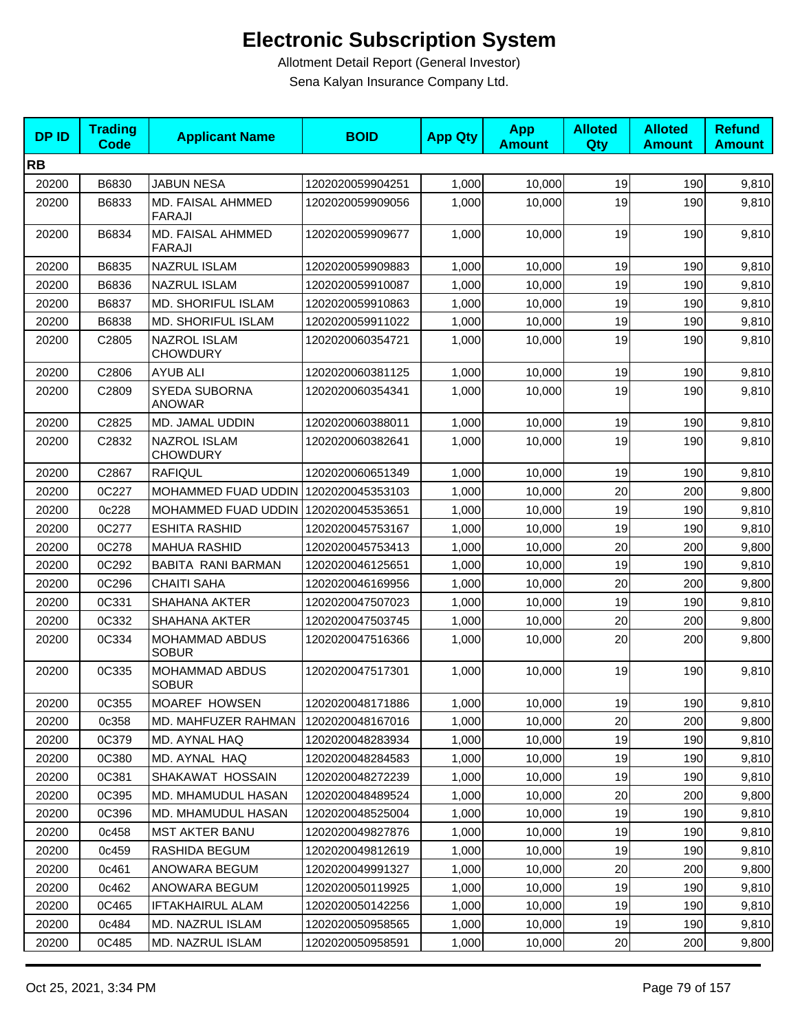| <b>DPID</b> | <b>Trading</b><br><b>Code</b> | <b>Applicant Name</b>                  | <b>BOID</b>      | <b>App Qty</b> | <b>App</b><br><b>Amount</b> | <b>Alloted</b><br>Qty | <b>Alloted</b><br><b>Amount</b> | <b>Refund</b><br><b>Amount</b> |
|-------------|-------------------------------|----------------------------------------|------------------|----------------|-----------------------------|-----------------------|---------------------------------|--------------------------------|
| <b>RB</b>   |                               |                                        |                  |                |                             |                       |                                 |                                |
| 20200       | B6830                         | <b>JABUN NESA</b>                      | 1202020059904251 | 1,000          | 10,000                      | 19                    | 190                             | 9,810                          |
| 20200       | B6833                         | MD. FAISAL AHMMED<br><b>FARAJI</b>     | 1202020059909056 | 1,000          | 10,000                      | 19                    | 190                             | 9,810                          |
| 20200       | B6834                         | MD. FAISAL AHMMED<br><b>FARAJI</b>     | 1202020059909677 | 1,000          | 10,000                      | 19                    | 190                             | 9,810                          |
| 20200       | B6835                         | <b>NAZRUL ISLAM</b>                    | 1202020059909883 | 1,000          | 10,000                      | 19                    | 190                             | 9,810                          |
| 20200       | B6836                         | <b>NAZRUL ISLAM</b>                    | 1202020059910087 | 1,000          | 10,000                      | 19                    | 190                             | 9,810                          |
| 20200       | B6837                         | MD. SHORIFUL ISLAM                     | 1202020059910863 | 1,000          | 10,000                      | 19                    | 190                             | 9,810                          |
| 20200       | B6838                         | MD. SHORIFUL ISLAM                     | 1202020059911022 | 1,000          | 10,000                      | 19                    | 190                             | 9,810                          |
| 20200       | C2805                         | NAZROL ISLAM<br><b>CHOWDURY</b>        | 1202020060354721 | 1,000          | 10,000                      | 19                    | 190                             | 9,810                          |
| 20200       | C2806                         | <b>AYUB ALI</b>                        | 1202020060381125 | 1,000          | 10,000                      | 19                    | 190                             | 9,810                          |
| 20200       | C2809                         | SYEDA SUBORNA<br><b>ANOWAR</b>         | 1202020060354341 | 1,000          | 10,000                      | 19                    | 190                             | 9,810                          |
| 20200       | C2825                         | MD. JAMAL UDDIN                        | 1202020060388011 | 1,000          | 10,000                      | 19                    | 190                             | 9,810                          |
| 20200       | C2832                         | <b>NAZROL ISLAM</b><br><b>CHOWDURY</b> | 1202020060382641 | 1,000          | 10,000                      | 19                    | 190                             | 9,810                          |
| 20200       | C2867                         | <b>RAFIQUL</b>                         | 1202020060651349 | 1,000          | 10,000                      | 19                    | 190                             | 9,810                          |
| 20200       | 0C227                         | MOHAMMED FUAD UDDIN 1202020045353103   |                  | 1,000          | 10,000                      | 20                    | 200                             | 9,800                          |
| 20200       | 0c228                         | MOHAMMED FUAD UDDIN                    | 1202020045353651 | 1,000          | 10,000                      | 19                    | 190                             | 9,810                          |
| 20200       | 0C277                         | <b>ESHITA RASHID</b>                   | 1202020045753167 | 1,000          | 10,000                      | 19                    | 190                             | 9,810                          |
| 20200       | 0C278                         | <b>MAHUA RASHID</b>                    | 1202020045753413 | 1,000          | 10,000                      | 20                    | 200                             | 9,800                          |
| 20200       | 0C292                         | BABITA RANI BARMAN                     | 1202020046125651 | 1,000          | 10,000                      | 19                    | 190                             | 9,810                          |
| 20200       | 0C296                         | <b>CHAITI SAHA</b>                     | 1202020046169956 | 1,000          | 10,000                      | 20                    | 200                             | 9,800                          |
| 20200       | 0C331                         | <b>SHAHANA AKTER</b>                   | 1202020047507023 | 1,000          | 10,000                      | 19                    | 190                             | 9,810                          |
| 20200       | 0C332                         | <b>SHAHANA AKTER</b>                   | 1202020047503745 | 1,000          | 10,000                      | 20                    | 200                             | 9,800                          |
| 20200       | 0C334                         | <b>MOHAMMAD ABDUS</b><br><b>SOBUR</b>  | 1202020047516366 | 1,000          | 10,000                      | 20                    | 200                             | 9,800                          |
| 20200       | 0C335                         | <b>MOHAMMAD ABDUS</b><br><b>SOBUR</b>  | 1202020047517301 | 1,000          | 10,000                      | 19                    | 190                             | 9,810                          |
| 20200       | 0C355                         | MOAREF HOWSEN                          | 1202020048171886 | 1,000          | 10,000                      | 19                    | 190                             | 9,810                          |
| 20200       | 0c358                         | MD. MAHFUZER RAHMAN                    | 1202020048167016 | 1,000          | 10,000                      | 20                    | 200                             | 9,800                          |
| 20200       | 0C379                         | MD. AYNAL HAQ                          | 1202020048283934 | 1,000          | 10,000                      | 19                    | 190                             | 9,810                          |
| 20200       | 0C380                         | MD. AYNAL HAQ                          | 1202020048284583 | 1,000          | 10,000                      | 19                    | 190                             | 9,810                          |
| 20200       | 0C381                         | SHAKAWAT HOSSAIN                       | 1202020048272239 | 1,000          | 10,000                      | 19                    | 190                             | 9,810                          |
| 20200       | 0C395                         | MD. MHAMUDUL HASAN                     | 1202020048489524 | 1,000          | 10,000                      | 20                    | 200                             | 9,800                          |
| 20200       | 0C396                         | MD. MHAMUDUL HASAN                     | 1202020048525004 | 1,000          | 10,000                      | 19                    | 190                             | 9,810                          |
| 20200       | 0c458                         | <b>MST AKTER BANU</b>                  | 1202020049827876 | 1,000          | 10.000                      | 19                    | 190                             | 9,810                          |
| 20200       | 0c459                         | RASHIDA BEGUM                          | 1202020049812619 | 1,000          | 10,000                      | 19                    | 190                             | 9,810                          |
| 20200       | 0c461                         | ANOWARA BEGUM                          | 1202020049991327 | 1,000          | 10,000                      | 20                    | 200                             | 9,800                          |
| 20200       | 0c462                         | ANOWARA BEGUM                          | 1202020050119925 | 1,000          | 10,000                      | 19                    | 190                             | 9,810                          |
| 20200       | 0C465                         | IFTAKHAIRUL ALAM                       | 1202020050142256 | 1,000          | 10,000                      | 19                    | 190                             | 9,810                          |
| 20200       | 0c484                         | MD. NAZRUL ISLAM                       | 1202020050958565 | 1,000          | 10,000                      | 19                    | 190                             | 9,810                          |
| 20200       | 0C485                         | MD. NAZRUL ISLAM                       | 1202020050958591 | 1,000          | 10,000                      | 20                    | 200                             | 9,800                          |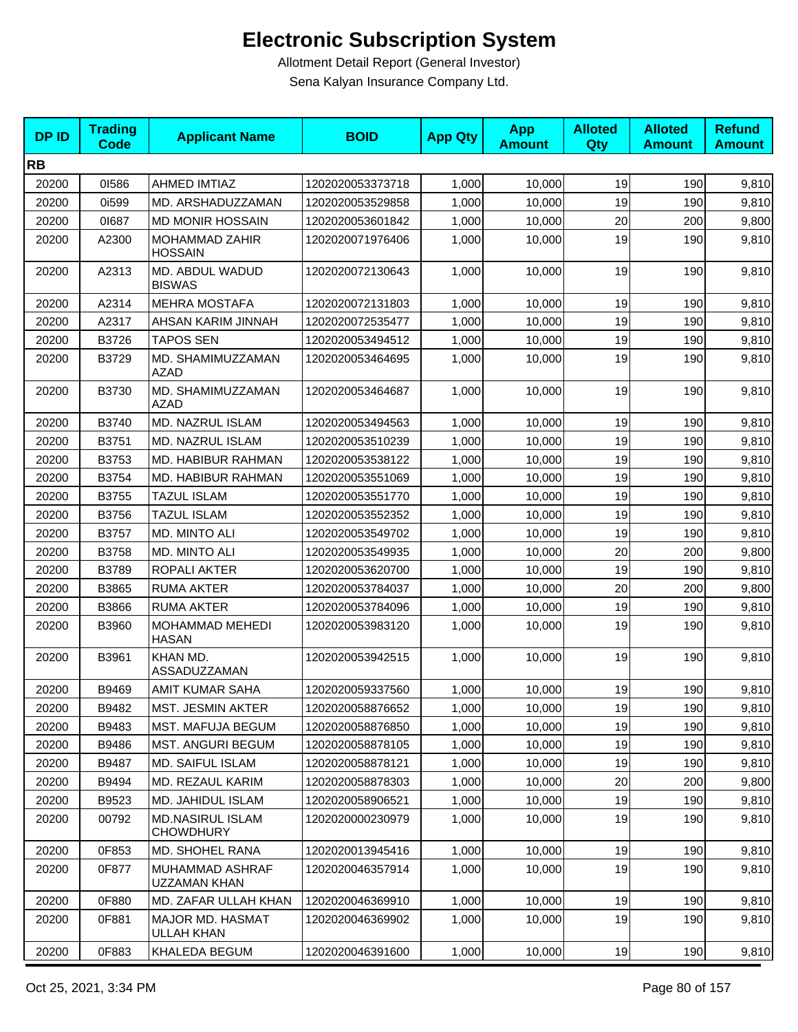| <b>DPID</b> | <b>Trading</b><br><b>Code</b> | <b>Applicant Name</b>                         | <b>BOID</b>      | <b>App Qty</b> | <b>App</b><br><b>Amount</b> | <b>Alloted</b><br><b>Qty</b> | <b>Alloted</b><br><b>Amount</b> | <b>Refund</b><br><b>Amount</b> |
|-------------|-------------------------------|-----------------------------------------------|------------------|----------------|-----------------------------|------------------------------|---------------------------------|--------------------------------|
| <b>RB</b>   |                               |                                               |                  |                |                             |                              |                                 |                                |
| 20200       | 01586                         | AHMED IMTIAZ                                  | 1202020053373718 | 1,000          | 10,000                      | 19                           | 190                             | 9,810                          |
| 20200       | 0i599                         | MD. ARSHADUZZAMAN                             | 1202020053529858 | 1,000          | 10,000                      | 19                           | 190                             | 9,810                          |
| 20200       | 01687                         | <b>MD MONIR HOSSAIN</b>                       | 1202020053601842 | 1,000          | 10,000                      | 20                           | 200                             | 9,800                          |
| 20200       | A2300                         | MOHAMMAD ZAHIR<br><b>HOSSAIN</b>              | 1202020071976406 | 1,000          | 10,000                      | 19                           | 190                             | 9,810                          |
| 20200       | A2313                         | MD. ABDUL WADUD<br><b>BISWAS</b>              | 1202020072130643 | 1,000          | 10,000                      | 19                           | 190                             | 9,810                          |
| 20200       | A2314                         | <b>MEHRA MOSTAFA</b>                          | 1202020072131803 | 1,000          | 10,000                      | 19                           | 190                             | 9,810                          |
| 20200       | A2317                         | AHSAN KARIM JINNAH                            | 1202020072535477 | 1,000          | 10,000                      | 19                           | 190                             | 9,810                          |
| 20200       | B3726                         | <b>TAPOS SEN</b>                              | 1202020053494512 | 1,000          | 10,000                      | 19                           | 190                             | 9,810                          |
| 20200       | B3729                         | MD. SHAMIMUZZAMAN<br><b>AZAD</b>              | 1202020053464695 | 1,000          | 10,000                      | 19                           | 190                             | 9,810                          |
| 20200       | B3730                         | MD. SHAMIMUZZAMAN<br><b>AZAD</b>              | 1202020053464687 | 1,000          | 10,000                      | 19                           | 190                             | 9,810                          |
| 20200       | B3740                         | MD. NAZRUL ISLAM                              | 1202020053494563 | 1,000          | 10,000                      | 19                           | 190                             | 9,810                          |
| 20200       | B3751                         | <b>MD. NAZRUL ISLAM</b>                       | 1202020053510239 | 1,000          | 10,000                      | 19                           | 190                             | 9,810                          |
| 20200       | B3753                         | MD. HABIBUR RAHMAN                            | 1202020053538122 | 1,000          | 10,000                      | 19                           | 190                             | 9,810                          |
| 20200       | B3754                         | MD. HABIBUR RAHMAN                            | 1202020053551069 | 1,000          | 10,000                      | 19                           | 190                             | 9,810                          |
| 20200       | B3755                         | <b>TAZUL ISLAM</b>                            | 1202020053551770 | 1,000          | 10,000                      | 19                           | 190                             | 9,810                          |
| 20200       | B3756                         | <b>TAZUL ISLAM</b>                            | 1202020053552352 | 1,000          | 10,000                      | 19                           | 190                             | 9,810                          |
| 20200       | B3757                         | MD. MINTO ALI                                 | 1202020053549702 | 1,000          | 10,000                      | 19                           | 190                             | 9,810                          |
| 20200       | B3758                         | MD. MINTO ALI                                 | 1202020053549935 | 1,000          | 10,000                      | 20                           | 200                             | 9,800                          |
| 20200       | B3789                         | <b>ROPALI AKTER</b>                           | 1202020053620700 | 1,000          | 10,000                      | 19                           | 190                             | 9,810                          |
| 20200       | B3865                         | <b>RUMA AKTER</b>                             | 1202020053784037 | 1,000          | 10,000                      | 20                           | 200                             | 9,800                          |
| 20200       | B3866                         | <b>RUMA AKTER</b>                             | 1202020053784096 | 1,000          | 10,000                      | 19                           | 190                             | 9,810                          |
| 20200       | B3960                         | MOHAMMAD MEHEDI<br><b>HASAN</b>               | 1202020053983120 | 1,000          | 10,000                      | 19                           | 190                             | 9,810                          |
| 20200       | B3961                         | KHAN MD.<br>ASSADUZZAMAN                      | 1202020053942515 | 1,000          | 10,000                      | 19                           | 190                             | 9,810                          |
| 20200       | B9469                         | AMIT KUMAR SAHA                               | 1202020059337560 | 1,000          | 10,000                      | 19                           | 190                             | 9,810                          |
| 20200       | B9482                         | <b>MST. JESMIN AKTER</b>                      | 1202020058876652 | 1,000          | 10,000                      | 19                           | 190                             | 9,810                          |
| 20200       | B9483                         | MST. MAFUJA BEGUM                             | 1202020058876850 | 1,000          | 10,000                      | 19                           | 190                             | 9,810                          |
| 20200       | B9486                         | <b>MST. ANGURI BEGUM</b>                      | 1202020058878105 | 1,000          | 10,000                      | 19                           | 190                             | 9,810                          |
| 20200       | B9487                         | MD. SAIFUL ISLAM                              | 1202020058878121 | 1,000          | 10,000                      | 19                           | 190                             | 9,810                          |
| 20200       | B9494                         | MD. REZAUL KARIM                              | 1202020058878303 | 1,000          | 10,000                      | 20                           | 200                             | 9,800                          |
| 20200       | B9523                         | MD. JAHIDUL ISLAM                             | 1202020058906521 | 1,000          | 10,000                      | 19                           | 190                             | 9,810                          |
| 20200       | 00792                         | <b>MD.NASIRUL ISLAM</b><br><b>CHOWDHURY</b>   | 1202020000230979 | 1,000          | 10,000                      | 19                           | 190                             | 9,810                          |
| 20200       | 0F853                         | MD. SHOHEL RANA                               | 1202020013945416 | 1,000          | 10,000                      | 19                           | 190                             | 9,810                          |
| 20200       | 0F877                         | <b>MUHAMMAD ASHRAF</b><br><b>UZZAMAN KHAN</b> | 1202020046357914 | 1,000          | 10.000                      | 19                           | 190                             | 9,810                          |
| 20200       | 0F880                         | MD. ZAFAR ULLAH KHAN                          | 1202020046369910 | 1,000          | 10,000                      | 19                           | 190                             | 9,810                          |
| 20200       | 0F881                         | MAJOR MD. HASMAT<br>ULLAH KHAN                | 1202020046369902 | 1,000          | 10,000                      | 19                           | 190                             | 9,810                          |
| 20200       | 0F883                         | KHALEDA BEGUM                                 | 1202020046391600 | 1,000          | 10,000                      | 19                           | 190                             | 9,810                          |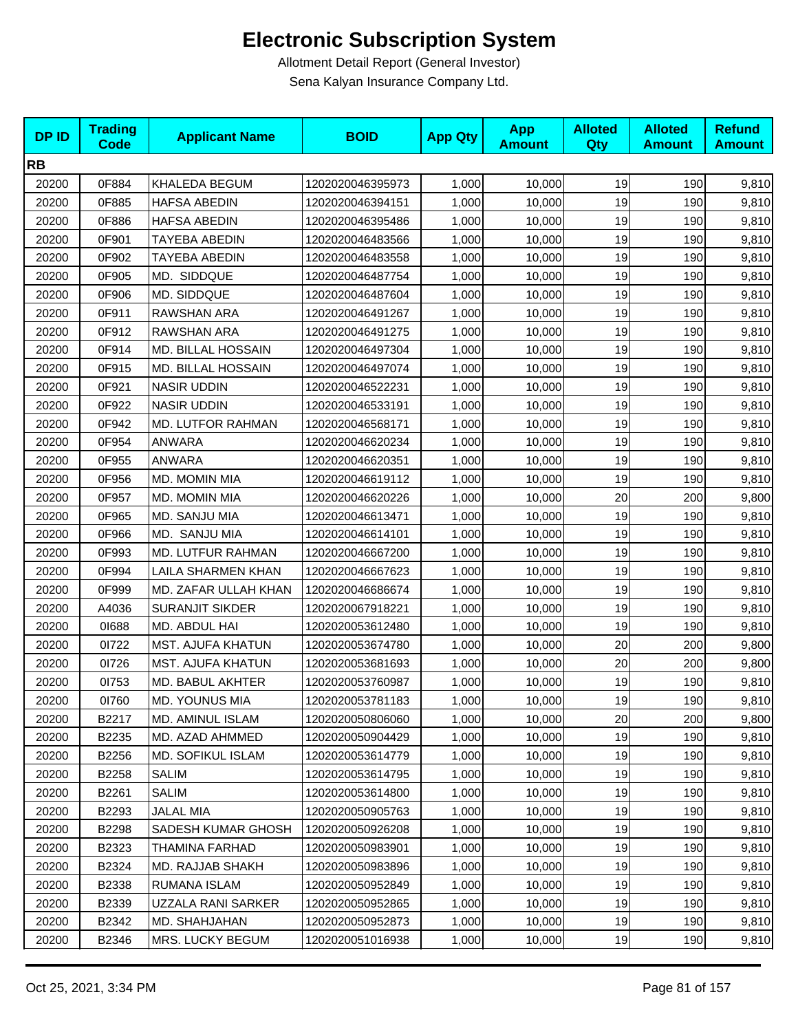| <b>DPID</b> | <b>Trading</b><br><b>Code</b> | <b>Applicant Name</b>    | <b>BOID</b>      | <b>App Qty</b> | <b>App</b><br><b>Amount</b> | <b>Alloted</b><br>Qty | <b>Alloted</b><br><b>Amount</b> | <b>Refund</b><br><b>Amount</b> |
|-------------|-------------------------------|--------------------------|------------------|----------------|-----------------------------|-----------------------|---------------------------------|--------------------------------|
| <b>RB</b>   |                               |                          |                  |                |                             |                       |                                 |                                |
| 20200       | 0F884                         | KHALEDA BEGUM            | 1202020046395973 | 1,000          | 10,000                      | 19                    | 190                             | 9,810                          |
| 20200       | 0F885                         | <b>HAFSA ABEDIN</b>      | 1202020046394151 | 1,000          | 10,000                      | 19                    | 190                             | 9,810                          |
| 20200       | 0F886                         | <b>HAFSA ABEDIN</b>      | 1202020046395486 | 1,000          | 10,000                      | 19                    | 190                             | 9,810                          |
| 20200       | 0F901                         | TAYEBA ABEDIN            | 1202020046483566 | 1,000          | 10,000                      | 19                    | 190                             | 9,810                          |
| 20200       | 0F902                         | TAYEBA ABEDIN            | 1202020046483558 | 1,000          | 10,000                      | 19                    | 190                             | 9,810                          |
| 20200       | 0F905                         | MD. SIDDQUE              | 1202020046487754 | 1,000          | 10,000                      | 19                    | 190                             | 9,810                          |
| 20200       | 0F906                         | MD. SIDDQUE              | 1202020046487604 | 1,000          | 10,000                      | 19                    | 190                             | 9,810                          |
| 20200       | 0F911                         | RAWSHAN ARA              | 1202020046491267 | 1,000          | 10,000                      | 19                    | 190                             | 9,810                          |
| 20200       | 0F912                         | RAWSHAN ARA              | 1202020046491275 | 1,000          | 10,000                      | 19                    | 190                             | 9,810                          |
| 20200       | 0F914                         | MD. BILLAL HOSSAIN       | 1202020046497304 | 1,000          | 10,000                      | 19                    | 190                             | 9,810                          |
| 20200       | 0F915                         | MD. BILLAL HOSSAIN       | 1202020046497074 | 1,000          | 10,000                      | 19                    | 190                             | 9,810                          |
| 20200       | 0F921                         | <b>NASIR UDDIN</b>       | 1202020046522231 | 1,000          | 10,000                      | 19                    | 190                             | 9,810                          |
| 20200       | 0F922                         | <b>NASIR UDDIN</b>       | 1202020046533191 | 1,000          | 10,000                      | 19                    | 190                             | 9,810                          |
| 20200       | 0F942                         | MD. LUTFOR RAHMAN        | 1202020046568171 | 1,000          | 10,000                      | 19                    | 190                             | 9,810                          |
| 20200       | 0F954                         | <b>ANWARA</b>            | 1202020046620234 | 1,000          | 10,000                      | 19                    | 190                             | 9,810                          |
| 20200       | 0F955                         | ANWARA                   | 1202020046620351 | 1,000          | 10,000                      | 19                    | 190                             | 9,810                          |
| 20200       | 0F956                         | MD. MOMIN MIA            | 1202020046619112 | 1,000          | 10,000                      | 19                    | 190                             | 9,810                          |
| 20200       | 0F957                         | MD. MOMIN MIA            | 1202020046620226 | 1,000          | 10,000                      | 20                    | 200                             | 9,800                          |
| 20200       | 0F965                         | MD. SANJU MIA            | 1202020046613471 | 1,000          | 10,000                      | 19                    | 190                             | 9,810                          |
| 20200       | 0F966                         | MD. SANJU MIA            | 1202020046614101 | 1,000          | 10,000                      | 19                    | 190                             | 9,810                          |
| 20200       | 0F993                         | MD. LUTFUR RAHMAN        | 1202020046667200 | 1,000          | 10,000                      | 19                    | 190                             | 9,810                          |
| 20200       | 0F994                         | LAILA SHARMEN KHAN       | 1202020046667623 | 1,000          | 10,000                      | 19                    | 190                             | 9,810                          |
| 20200       | 0F999                         | MD. ZAFAR ULLAH KHAN     | 1202020046686674 | 1,000          | 10,000                      | 19                    | 190                             | 9,810                          |
| 20200       | A4036                         | <b>SURANJIT SIKDER</b>   | 1202020067918221 | 1,000          | 10,000                      | 19                    | 190                             | 9,810                          |
| 20200       | 01688                         | MD. ABDUL HAI            | 1202020053612480 | 1,000          | 10,000                      | 19                    | 190                             | 9,810                          |
| 20200       | 01722                         | <b>MST. AJUFA KHATUN</b> | 1202020053674780 | 1,000          | 10,000                      | 20                    | 200                             | 9,800                          |
| 20200       | 01726                         | MST. AJUFA KHATUN        | 1202020053681693 | 1,000          | 10,000                      | 20                    | 200                             | 9,800                          |
| 20200       | 01753                         | MD. BABUL AKHTER         | 1202020053760987 | 1,000          | 10,000                      | 19                    | 190                             | 9,810                          |
| 20200       | 01760                         | MD. YOUNUS MIA           | 1202020053781183 | 1,000          | 10,000                      | 19                    | 190                             | 9,810                          |
| 20200       | B2217                         | MD. AMINUL ISLAM         | 1202020050806060 | 1,000          | 10,000                      | 20                    | 200                             | 9,800                          |
| 20200       | B2235                         | MD. AZAD AHMMED          | 1202020050904429 | 1,000          | 10,000                      | 19                    | 190                             | 9,810                          |
| 20200       | B2256                         | MD. SOFIKUL ISLAM        | 1202020053614779 | 1,000          | 10,000                      | 19                    | 190                             | 9,810                          |
| 20200       | B2258                         | SALIM                    | 1202020053614795 | 1,000          | 10,000                      | 19                    | 190                             | 9,810                          |
| 20200       | B2261                         | SALIM                    | 1202020053614800 | 1,000          | 10,000                      | 19                    | 190                             | 9,810                          |
| 20200       | B2293                         | <b>JALAL MIA</b>         | 1202020050905763 | 1,000          | 10,000                      | 19                    | 190                             | 9,810                          |
| 20200       | B2298                         | SADESH KUMAR GHOSH       | 1202020050926208 | 1,000          | 10,000                      | 19                    | 190                             | 9,810                          |
| 20200       | B2323                         | THAMINA FARHAD           | 1202020050983901 | 1,000          | 10,000                      | 19                    | 190                             | 9,810                          |
| 20200       | B2324                         | <b>MD. RAJJAB SHAKH</b>  | 1202020050983896 | 1,000          | 10,000                      | 19                    | 190                             | 9,810                          |
| 20200       | B2338                         | RUMANA ISLAM             | 1202020050952849 | 1,000          | 10,000                      | 19                    | 190                             | 9,810                          |
| 20200       | B2339                         | UZZALA RANI SARKER       | 1202020050952865 | 1,000          | 10,000                      | 19                    | 190                             | 9,810                          |
| 20200       | B2342                         | MD. SHAHJAHAN            | 1202020050952873 | 1,000          | 10,000                      | 19                    | 190                             | 9,810                          |
| 20200       | B2346                         | MRS. LUCKY BEGUM         | 1202020051016938 | 1,000          | 10,000                      | 19                    | 190                             | 9,810                          |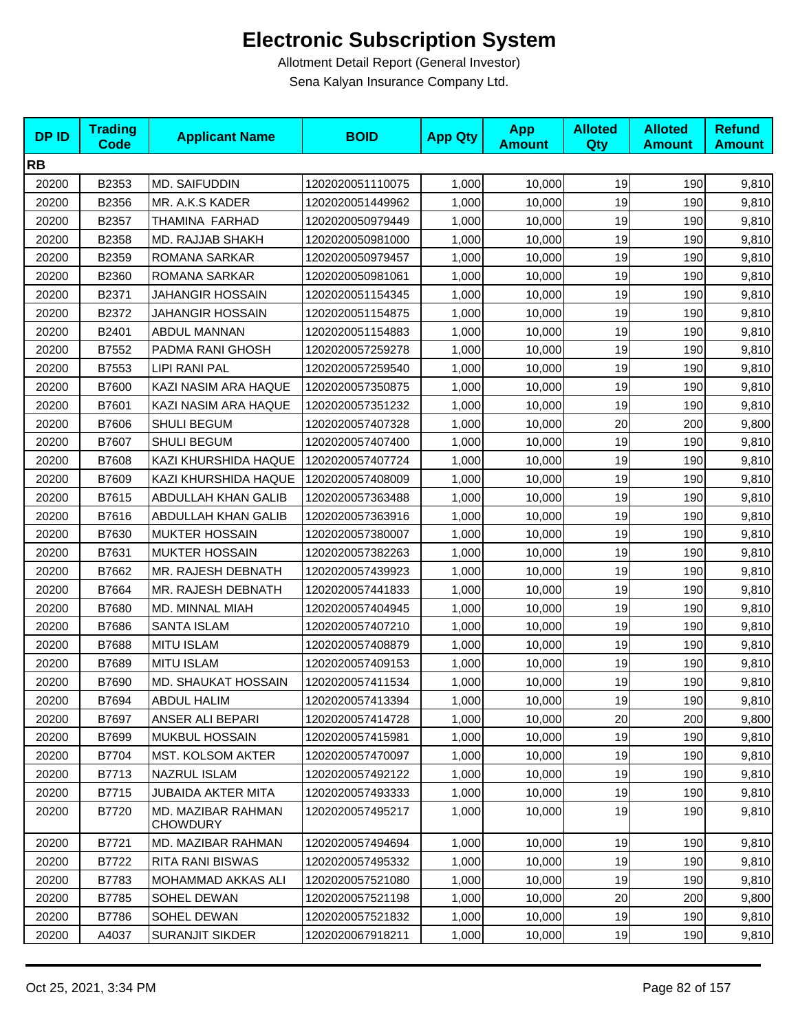| <b>DPID</b> | <b>Trading</b><br><b>Code</b> | <b>Applicant Name</b>                 | <b>BOID</b>      | <b>App Qty</b> | <b>App</b><br><b>Amount</b> | <b>Alloted</b><br>Qty | <b>Alloted</b><br><b>Amount</b> | <b>Refund</b><br><b>Amount</b> |
|-------------|-------------------------------|---------------------------------------|------------------|----------------|-----------------------------|-----------------------|---------------------------------|--------------------------------|
| <b>RB</b>   |                               |                                       |                  |                |                             |                       |                                 |                                |
| 20200       | B2353                         | <b>MD. SAIFUDDIN</b>                  | 1202020051110075 | 1,000          | 10,000                      | 19                    | 190                             | 9,810                          |
| 20200       | B2356                         | MR. A.K.S KADER                       | 1202020051449962 | 1,000          | 10,000                      | 19                    | 190                             | 9,810                          |
| 20200       | B2357                         | THAMINA FARHAD                        | 1202020050979449 | 1,000          | 10,000                      | 19                    | 190                             | 9,810                          |
| 20200       | B2358                         | MD. RAJJAB SHAKH                      | 1202020050981000 | 1,000          | 10,000                      | 19                    | 190                             | 9,810                          |
| 20200       | B2359                         | ROMANA SARKAR                         | 1202020050979457 | 1,000          | 10,000                      | 19                    | 190                             | 9,810                          |
| 20200       | B2360                         | ROMANA SARKAR                         | 1202020050981061 | 1,000          | 10,000                      | 19                    | 190                             | 9,810                          |
| 20200       | B2371                         | <b>JAHANGIR HOSSAIN</b>               | 1202020051154345 | 1,000          | 10,000                      | 19                    | 190                             | 9,810                          |
| 20200       | B2372                         | JAHANGIR HOSSAIN                      | 1202020051154875 | 1,000          | 10,000                      | 19                    | 190                             | 9,810                          |
| 20200       | B2401                         | ABDUL MANNAN                          | 1202020051154883 | 1,000          | 10,000                      | 19                    | 190                             | 9,810                          |
| 20200       | B7552                         | PADMA RANI GHOSH                      | 1202020057259278 | 1,000          | 10,000                      | 19                    | 190                             | 9,810                          |
| 20200       | B7553                         | LIPI RANI PAL                         | 1202020057259540 | 1,000          | 10,000                      | 19                    | 190                             | 9,810                          |
| 20200       | B7600                         | KAZI NASIM ARA HAQUE                  | 1202020057350875 | 1,000          | 10,000                      | 19                    | 190                             | 9,810                          |
| 20200       | B7601                         | KAZI NASIM ARA HAQUE                  | 1202020057351232 | 1,000          | 10,000                      | 19                    | 190                             | 9,810                          |
| 20200       | B7606                         | SHULI BEGUM                           | 1202020057407328 | 1,000          | 10,000                      | 20                    | 200                             | 9,800                          |
| 20200       | B7607                         | <b>SHULI BEGUM</b>                    | 1202020057407400 | 1,000          | 10,000                      | 19                    | 190                             | 9,810                          |
| 20200       | B7608                         | KAZI KHURSHIDA HAQUE                  | 1202020057407724 | 1,000          | 10,000                      | 19                    | 190                             | 9,810                          |
| 20200       | B7609                         | KAZI KHURSHIDA HAQUE                  | 1202020057408009 | 1,000          | 10,000                      | 19                    | 190                             | 9,810                          |
| 20200       | B7615                         | ABDULLAH KHAN GALIB                   | 1202020057363488 | 1,000          | 10,000                      | 19                    | 190                             | 9,810                          |
| 20200       | B7616                         | ABDULLAH KHAN GALIB                   | 1202020057363916 | 1,000          | 10,000                      | 19                    | 190                             | 9,810                          |
| 20200       | B7630                         | <b>MUKTER HOSSAIN</b>                 | 1202020057380007 | 1,000          | 10,000                      | 19                    | 190                             | 9,810                          |
| 20200       | B7631                         | <b>MUKTER HOSSAIN</b>                 | 1202020057382263 | 1,000          | 10,000                      | 19                    | 190                             | 9,810                          |
| 20200       | B7662                         | MR. RAJESH DEBNATH                    | 1202020057439923 | 1,000          | 10,000                      | 19                    | 190                             | 9,810                          |
| 20200       | B7664                         | MR. RAJESH DEBNATH                    | 1202020057441833 | 1,000          | 10,000                      | 19                    | 190                             | 9,810                          |
| 20200       | B7680                         | MD. MINNAL MIAH                       | 1202020057404945 | 1,000          | 10,000                      | 19                    | 190                             | 9,810                          |
| 20200       | B7686                         | <b>SANTA ISLAM</b>                    | 1202020057407210 | 1,000          | 10,000                      | 19                    | 190                             | 9,810                          |
| 20200       | B7688                         | <b>MITU ISLAM</b>                     | 1202020057408879 | 1,000          | 10,000                      | 19                    | 190                             | 9,810                          |
| 20200       | B7689                         | <b>MITU ISLAM</b>                     | 1202020057409153 | 1,000          | 10,000                      | 19                    | 190                             | 9,810                          |
| 20200       | B7690                         | MD. SHAUKAT HOSSAIN                   | 1202020057411534 | 1,000          | 10,000                      | 19                    | 190                             | 9,810                          |
| 20200       | B7694                         | ABDUL HALIM                           | 1202020057413394 | 1,000          | 10,000                      | 19                    | 190                             | 9,810                          |
| 20200       | B7697                         | ANSER ALI BEPARI                      | 1202020057414728 | 1,000          | 10,000                      | 20                    | 200                             | 9,800                          |
| 20200       | B7699                         | <b>MUKBUL HOSSAIN</b>                 | 1202020057415981 | 1,000          | 10,000                      | 19                    | 190                             | 9,810                          |
| 20200       | B7704                         | MST. KOLSOM AKTER                     | 1202020057470097 | 1,000          | 10,000                      | 19                    | 190                             | 9,810                          |
| 20200       | B7713                         | <b>NAZRUL ISLAM</b>                   | 1202020057492122 | 1,000          | 10,000                      | 19                    | 190                             | 9,810                          |
| 20200       | B7715                         | <b>JUBAIDA AKTER MITA</b>             | 1202020057493333 | 1,000          | 10,000                      | 19                    | 190                             | 9,810                          |
| 20200       | B7720                         | MD. MAZIBAR RAHMAN<br><b>CHOWDURY</b> | 1202020057495217 | 1,000          | 10,000                      | 19                    | 190                             | 9,810                          |
| 20200       | B7721                         | MD. MAZIBAR RAHMAN                    | 1202020057494694 | 1,000          | 10,000                      | 19                    | 190                             | 9,810                          |
| 20200       | B7722                         | RITA RANI BISWAS                      | 1202020057495332 | 1,000          | 10,000                      | 19                    | 190                             | 9,810                          |
| 20200       | B7783                         | MOHAMMAD AKKAS ALI                    | 1202020057521080 | 1,000          | 10,000                      | 19                    | 190                             | 9,810                          |
| 20200       | B7785                         | SOHEL DEWAN                           | 1202020057521198 | 1,000          | 10,000                      | 20                    | 200                             | 9,800                          |
| 20200       | B7786                         | SOHEL DEWAN                           | 1202020057521832 | 1,000          | 10,000                      | 19                    | 190                             | 9,810                          |
| 20200       | A4037                         | <b>SURANJIT SIKDER</b>                | 1202020067918211 | 1,000          | 10,000                      | 19                    | 190                             | 9,810                          |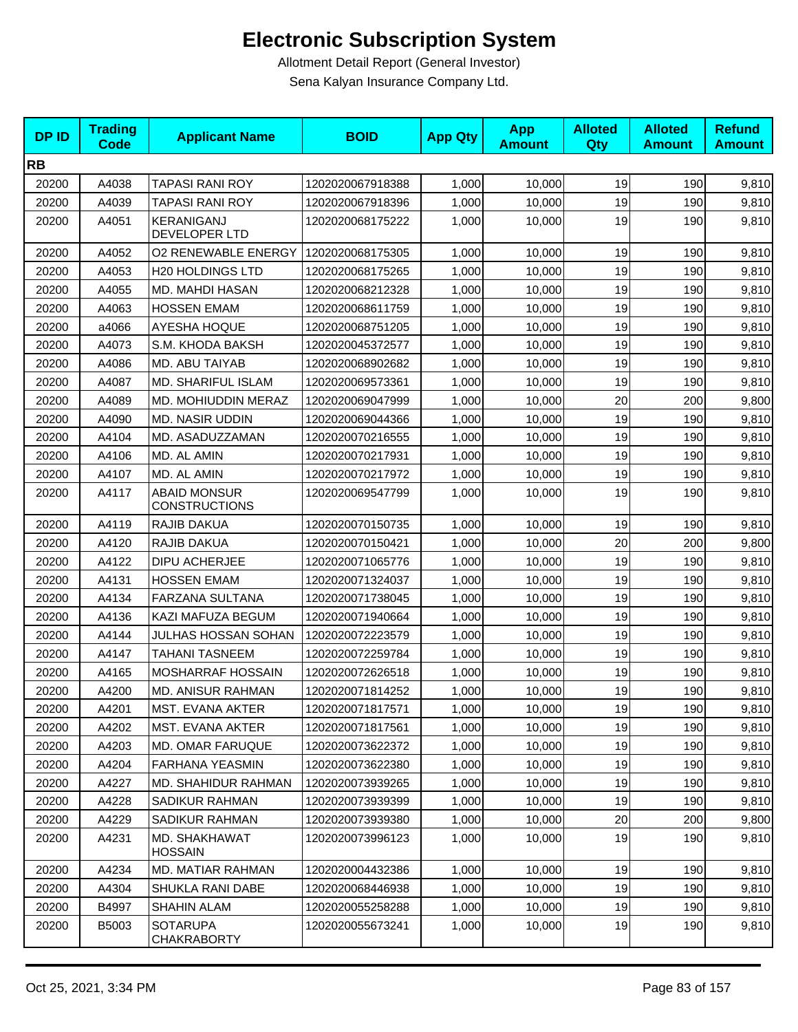| <b>DPID</b> | <b>Trading</b><br><b>Code</b> | <b>Applicant Name</b>                       | <b>BOID</b>      | <b>App Qty</b> | <b>App</b><br><b>Amount</b> | <b>Alloted</b><br>Qty | <b>Alloted</b><br><b>Amount</b> | <b>Refund</b><br><b>Amount</b> |
|-------------|-------------------------------|---------------------------------------------|------------------|----------------|-----------------------------|-----------------------|---------------------------------|--------------------------------|
| <b>RB</b>   |                               |                                             |                  |                |                             |                       |                                 |                                |
| 20200       | A4038                         | <b>TAPASI RANI ROY</b>                      | 1202020067918388 | 1,000          | 10,000                      | 19                    | 190                             | 9,810                          |
| 20200       | A4039                         | <b>TAPASI RANI ROY</b>                      | 1202020067918396 | 1,000          | 10,000                      | 19                    | 190                             | 9,810                          |
| 20200       | A4051                         | KERANIGANJ<br>DEVELOPER LTD                 | 1202020068175222 | 1,000          | 10,000                      | 19                    | 190                             | 9,810                          |
| 20200       | A4052                         | <b>O2 RENEWABLE ENERGY</b>                  | 1202020068175305 | 1,000          | 10,000                      | 19                    | 190                             | 9,810                          |
| 20200       | A4053                         | <b>H20 HOLDINGS LTD</b>                     | 1202020068175265 | 1,000          | 10,000                      | 19                    | 190                             | 9,810                          |
| 20200       | A4055                         | MD. MAHDI HASAN                             | 1202020068212328 | 1,000          | 10,000                      | 19                    | 190                             | 9,810                          |
| 20200       | A4063                         | <b>HOSSEN EMAM</b>                          | 1202020068611759 | 1,000          | 10,000                      | 19                    | 190                             | 9,810                          |
| 20200       | a4066                         | <b>AYESHA HOQUE</b>                         | 1202020068751205 | 1,000          | 10,000                      | 19                    | 190                             | 9,810                          |
| 20200       | A4073                         | S.M. KHODA BAKSH                            | 1202020045372577 | 1,000          | 10,000                      | 19                    | 190                             | 9,810                          |
| 20200       | A4086                         | MD. ABU TAIYAB                              | 1202020068902682 | 1,000          | 10,000                      | 19                    | 190                             | 9,810                          |
| 20200       | A4087                         | MD. SHARIFUL ISLAM                          | 1202020069573361 | 1,000          | 10,000                      | 19                    | 190                             | 9,810                          |
| 20200       | A4089                         | MD. MOHIUDDIN MERAZ                         | 1202020069047999 | 1,000          | 10,000                      | 20                    | 200                             | 9,800                          |
| 20200       | A4090                         | <b>MD. NASIR UDDIN</b>                      | 1202020069044366 | 1,000          | 10,000                      | 19                    | 190                             | 9,810                          |
| 20200       | A4104                         | MD. ASADUZZAMAN                             | 1202020070216555 | 1,000          | 10,000                      | 19                    | 190                             | 9,810                          |
| 20200       | A4106                         | MD. AL AMIN                                 | 1202020070217931 | 1,000          | 10,000                      | 19                    | 190                             | 9,810                          |
| 20200       | A4107                         | MD. AL AMIN                                 | 1202020070217972 | 1,000          | 10,000                      | 19                    | 190                             | 9,810                          |
| 20200       | A4117                         | <b>ABAID MONSUR</b><br><b>CONSTRUCTIONS</b> | 1202020069547799 | 1,000          | 10,000                      | 19                    | 190                             | 9,810                          |
| 20200       | A4119                         | RAJIB DAKUA                                 | 1202020070150735 | 1,000          | 10,000                      | 19                    | 190                             | 9,810                          |
| 20200       | A4120                         | RAJIB DAKUA                                 | 1202020070150421 | 1,000          | 10,000                      | 20                    | 200                             | 9,800                          |
| 20200       | A4122                         | DIPU ACHERJEE                               | 1202020071065776 | 1,000          | 10,000                      | 19                    | 190                             | 9,810                          |
| 20200       | A4131                         | <b>HOSSEN EMAM</b>                          | 1202020071324037 | 1,000          | 10,000                      | 19                    | 190                             | 9,810                          |
| 20200       | A4134                         | FARZANA SULTANA                             | 1202020071738045 | 1,000          | 10,000                      | 19                    | 190                             | 9,810                          |
| 20200       | A4136                         | KAZI MAFUZA BEGUM                           | 1202020071940664 | 1,000          | 10,000                      | 19                    | 190                             | 9,810                          |
| 20200       | A4144                         | <b>JULHAS HOSSAN SOHAN</b>                  | 1202020072223579 | 1,000          | 10,000                      | 19                    | 190                             | 9,810                          |
| 20200       | A4147                         | <b>TAHANI TASNEEM</b>                       | 1202020072259784 | 1,000          | 10,000                      | 19                    | 190                             | 9,810                          |
| 20200       | A4165                         | <b>MOSHARRAF HOSSAIN</b>                    | 1202020072626518 | 1,000          | 10,000                      | 19                    | 190                             | 9,810                          |
| 20200       | A4200                         | MD. ANISUR RAHMAN                           | 1202020071814252 | 1,000          | 10,000                      | 19                    | 190                             | 9,810                          |
| 20200       | A4201                         | MST. EVANA AKTER                            | 1202020071817571 | 1,000          | 10,000                      | 19                    | 190                             | 9,810                          |
| 20200       | A4202                         | MST. EVANA AKTER                            | 1202020071817561 | 1,000          | 10,000                      | 19                    | 190                             | 9,810                          |
| 20200       | A4203                         | <b>MD. OMAR FARUQUE</b>                     | 1202020073622372 | 1,000          | 10,000                      | 19                    | 190                             | 9,810                          |
| 20200       | A4204                         | FARHANA YEASMIN                             | 1202020073622380 | 1,000          | 10,000                      | 19                    | 190                             | 9,810                          |
| 20200       | A4227                         | <b>MD. SHAHIDUR RAHMAN</b>                  | 1202020073939265 | 1,000          | 10,000                      | 19                    | 190                             | 9,810                          |
| 20200       | A4228                         | <b>SADIKUR RAHMAN</b>                       | 1202020073939399 | 1,000          | 10,000                      | 19                    | 190                             | 9,810                          |
| 20200       | A4229                         | SADIKUR RAHMAN                              | 1202020073939380 | 1,000          | 10,000                      | 20                    | 200                             | 9,800                          |
| 20200       | A4231                         | MD. SHAKHAWAT<br><b>HOSSAIN</b>             | 1202020073996123 | 1,000          | 10,000                      | 19                    | 190                             | 9,810                          |
| 20200       | A4234                         | MD. MATIAR RAHMAN                           | 1202020004432386 | 1,000          | 10,000                      | 19                    | 190                             | 9,810                          |
| 20200       | A4304                         | SHUKLA RANI DABE                            | 1202020068446938 | 1,000          | 10,000                      | 19                    | 190                             | 9,810                          |
| 20200       | B4997                         | SHAHIN ALAM                                 | 1202020055258288 | 1,000          | 10,000                      | 19                    | 190                             | 9,810                          |
| 20200       | B5003                         | <b>SOTARUPA</b><br><b>CHAKRABORTY</b>       | 1202020055673241 | 1,000          | 10,000                      | 19                    | 190                             | 9,810                          |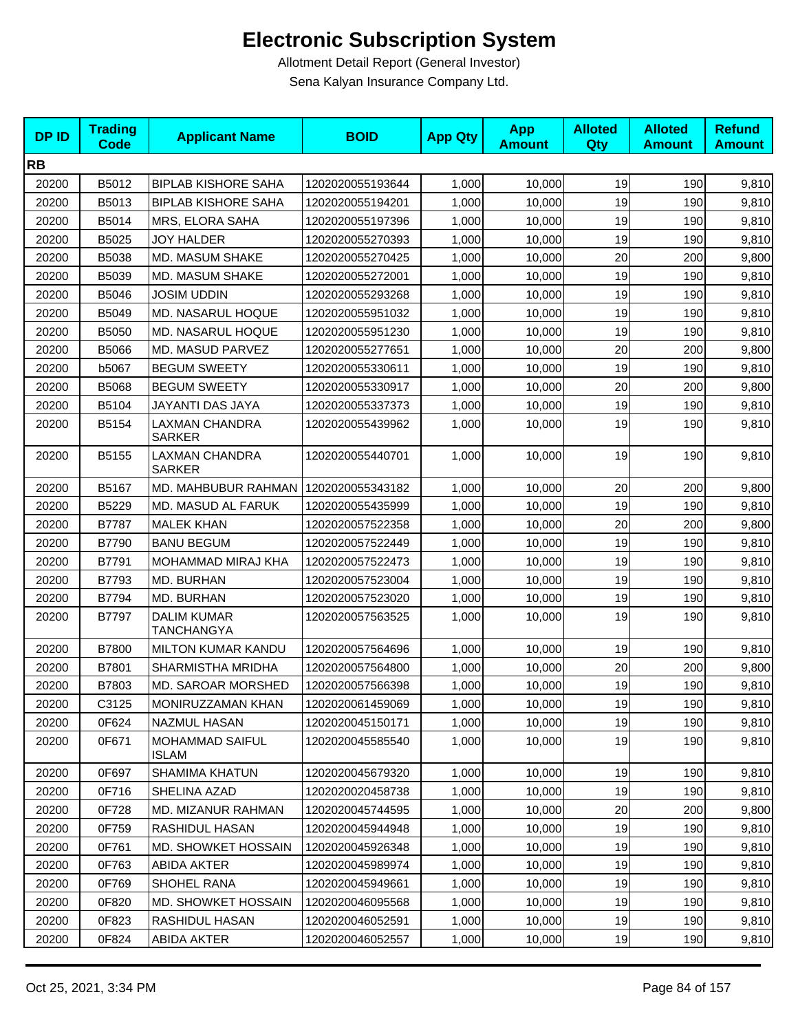| <b>DPID</b> | <b>Trading</b><br><b>Code</b> | <b>Applicant Name</b>                   | <b>BOID</b>      | <b>App Qty</b> | <b>App</b><br><b>Amount</b> | <b>Alloted</b><br>Qty | <b>Alloted</b><br><b>Amount</b> | <b>Refund</b><br><b>Amount</b> |
|-------------|-------------------------------|-----------------------------------------|------------------|----------------|-----------------------------|-----------------------|---------------------------------|--------------------------------|
| <b>RB</b>   |                               |                                         |                  |                |                             |                       |                                 |                                |
| 20200       | B5012                         | <b>BIPLAB KISHORE SAHA</b>              | 1202020055193644 | 1,000          | 10,000                      | 19                    | 190                             | 9,810                          |
| 20200       | B5013                         | <b>BIPLAB KISHORE SAHA</b>              | 1202020055194201 | 1,000          | 10,000                      | 19                    | 190                             | 9,810                          |
| 20200       | B5014                         | MRS, ELORA SAHA                         | 1202020055197396 | 1,000          | 10,000                      | 19                    | 190                             | 9,810                          |
| 20200       | B5025                         | <b>JOY HALDER</b>                       | 1202020055270393 | 1,000          | 10,000                      | 19                    | 190                             | 9,810                          |
| 20200       | B5038                         | MD. MASUM SHAKE                         | 1202020055270425 | 1,000          | 10,000                      | 20                    | 200                             | 9,800                          |
| 20200       | B5039                         | MD. MASUM SHAKE                         | 1202020055272001 | 1,000          | 10,000                      | 19                    | 190                             | 9,810                          |
| 20200       | B5046                         | <b>JOSIM UDDIN</b>                      | 1202020055293268 | 1,000          | 10,000                      | 19                    | 190                             | 9,810                          |
| 20200       | B5049                         | MD. NASARUL HOQUE                       | 1202020055951032 | 1,000          | 10,000                      | 19                    | 190                             | 9,810                          |
| 20200       | B5050                         | MD. NASARUL HOQUE                       | 1202020055951230 | 1,000          | 10,000                      | 19                    | 190                             | 9,810                          |
| 20200       | B5066                         | MD. MASUD PARVEZ                        | 1202020055277651 | 1,000          | 10,000                      | 20                    | 200                             | 9,800                          |
| 20200       | b5067                         | <b>BEGUM SWEETY</b>                     | 1202020055330611 | 1,000          | 10,000                      | 19                    | 190                             | 9,810                          |
| 20200       | B5068                         | <b>BEGUM SWEETY</b>                     | 1202020055330917 | 1,000          | 10,000                      | 20                    | 200                             | 9,800                          |
| 20200       | B5104                         | JAYANTI DAS JAYA                        | 1202020055337373 | 1,000          | 10,000                      | 19                    | 190                             | 9,810                          |
| 20200       | B5154                         | LAXMAN CHANDRA<br><b>SARKER</b>         | 1202020055439962 | 1,000          | 10,000                      | 19                    | 190                             | 9,810                          |
| 20200       | B5155                         | LAXMAN CHANDRA<br><b>SARKER</b>         | 1202020055440701 | 1,000          | 10,000                      | 19                    | 190                             | 9,810                          |
| 20200       | B5167                         | MD. MAHBUBUR RAHMAN                     | 1202020055343182 | 1,000          | 10,000                      | 20                    | 200                             | 9,800                          |
| 20200       | B5229                         | MD. MASUD AL FARUK                      | 1202020055435999 | 1,000          | 10,000                      | 19                    | 190                             | 9,810                          |
| 20200       | B7787                         | <b>MALEK KHAN</b>                       | 1202020057522358 | 1,000          | 10,000                      | 20                    | 200                             | 9,800                          |
| 20200       | B7790                         | <b>BANU BEGUM</b>                       | 1202020057522449 | 1,000          | 10,000                      | 19                    | 190                             | 9,810                          |
| 20200       | B7791                         | MOHAMMAD MIRAJ KHA                      | 1202020057522473 | 1,000          | 10,000                      | 19                    | 190                             | 9,810                          |
| 20200       | B7793                         | MD. BURHAN                              | 1202020057523004 | 1,000          | 10,000                      | 19                    | 190                             | 9,810                          |
| 20200       | B7794                         | MD. BURHAN                              | 1202020057523020 | 1,000          | 10,000                      | 19                    | 190                             | 9,810                          |
| 20200       | B7797                         | <b>DALIM KUMAR</b><br><b>TANCHANGYA</b> | 1202020057563525 | 1,000          | 10,000                      | 19                    | 190                             | 9,810                          |
| 20200       | B7800                         | <b>MILTON KUMAR KANDU</b>               | 1202020057564696 | 1,000          | 10,000                      | 19                    | 190                             | 9,810                          |
| 20200       | B7801                         | SHARMISTHA MRIDHA                       | 1202020057564800 | 1,000          | 10,000                      | 20                    | 200                             | 9,800                          |
| 20200       | B7803                         | MD. SAROAR MORSHED                      | 1202020057566398 | 1,000          | 10,000                      | 19                    | 190                             | 9,810                          |
| 20200       | C3125                         | MONIRUZZAMAN KHAN                       | 1202020061459069 | 1,000          | 10,000                      | 19                    | 1901                            | 9,810                          |
| 20200       | 0F624                         | <b>NAZMUL HASAN</b>                     | 1202020045150171 | 1,000          | 10,000                      | 19                    | 190                             | 9,810                          |
| 20200       | 0F671                         | <b>MOHAMMAD SAIFUL</b><br><b>ISLAM</b>  | 1202020045585540 | 1,000          | 10,000                      | 19                    | 190                             | 9,810                          |
| 20200       | 0F697                         | <b>SHAMIMA KHATUN</b>                   | 1202020045679320 | 1,000          | 10,000                      | 19                    | 190                             | 9,810                          |
| 20200       | 0F716                         | SHELINA AZAD                            | 1202020020458738 | 1,000          | 10.000                      | 19                    | 190                             | 9,810                          |
| 20200       | 0F728                         | MD. MIZANUR RAHMAN                      | 1202020045744595 | 1,000          | 10,000                      | 20                    | 200                             | 9,800                          |
| 20200       | 0F759                         | RASHIDUL HASAN                          | 1202020045944948 | 1,000          | 10,000                      | 19                    | 190                             | 9,810                          |
| 20200       | 0F761                         | <b>MD. SHOWKET HOSSAIN</b>              | 1202020045926348 | 1,000          | 10.000                      | 19                    | 190                             | 9,810                          |
| 20200       | 0F763                         | <b>ABIDA AKTER</b>                      | 1202020045989974 | 1,000          | 10,000                      | 19                    | 190                             | 9,810                          |
| 20200       | 0F769                         | SHOHEL RANA                             | 1202020045949661 | 1,000          | 10,000                      | 19                    | 190                             | 9,810                          |
| 20200       | 0F820                         | MD. SHOWKET HOSSAIN                     | 1202020046095568 | 1,000          | 10,000                      | 19                    | 190                             | 9,810                          |
| 20200       | 0F823                         | RASHIDUL HASAN                          | 1202020046052591 | 1,000          | 10,000                      | 19                    | 190                             | 9,810                          |
| 20200       | 0F824                         | ABIDA AKTER                             | 1202020046052557 | 1,000          | 10,000                      | 19                    | 190                             | 9,810                          |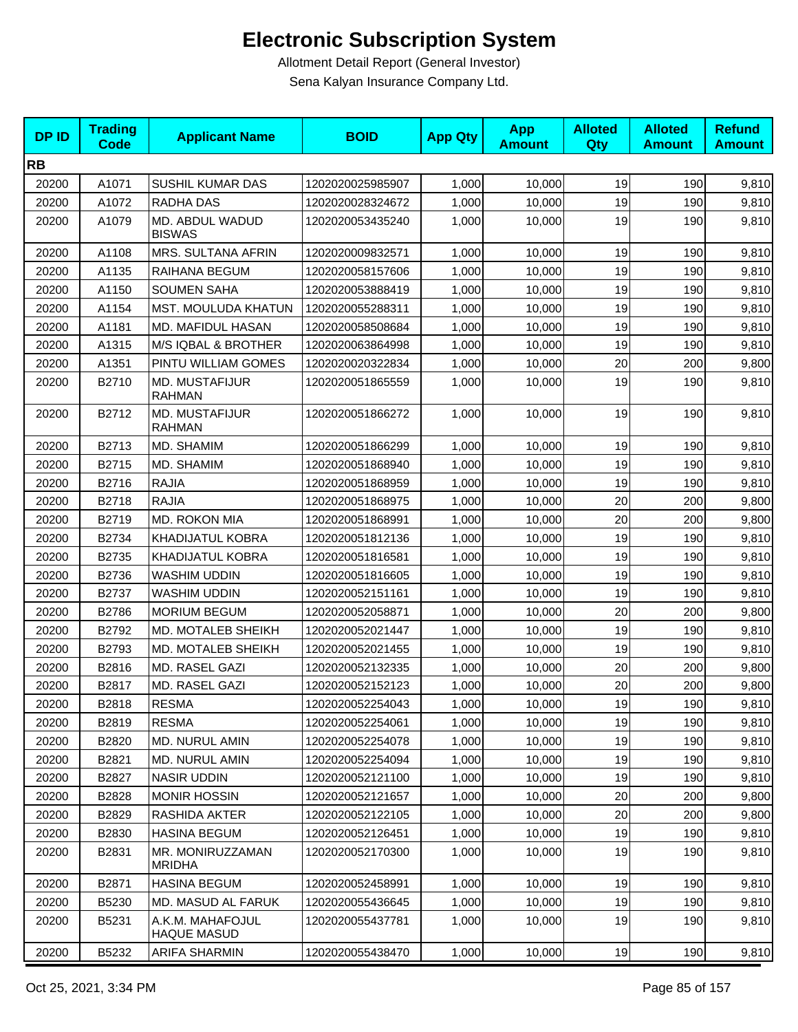| <b>DPID</b> | <b>Trading</b><br><b>Code</b> | <b>Applicant Name</b>                  | <b>BOID</b>      | <b>App Qty</b> | <b>App</b><br><b>Amount</b> | <b>Alloted</b><br>Qty | <b>Alloted</b><br><b>Amount</b> | <b>Refund</b><br><b>Amount</b> |
|-------------|-------------------------------|----------------------------------------|------------------|----------------|-----------------------------|-----------------------|---------------------------------|--------------------------------|
| <b>RB</b>   |                               |                                        |                  |                |                             |                       |                                 |                                |
| 20200       | A1071                         | SUSHIL KUMAR DAS                       | 1202020025985907 | 1,000          | 10,000                      | 19                    | 190                             | 9,810                          |
| 20200       | A1072                         | RADHA DAS                              | 1202020028324672 | 1,000          | 10,000                      | 19                    | 190                             | 9,810                          |
| 20200       | A1079                         | MD. ABDUL WADUD<br><b>BISWAS</b>       | 1202020053435240 | 1,000          | 10,000                      | 19                    | 190                             | 9,810                          |
| 20200       | A1108                         | MRS. SULTANA AFRIN                     | 1202020009832571 | 1,000          | 10,000                      | 19                    | 190                             | 9,810                          |
| 20200       | A1135                         | RAIHANA BEGUM                          | 1202020058157606 | 1,000          | 10,000                      | 19                    | 190                             | 9,810                          |
| 20200       | A1150                         | <b>SOUMEN SAHA</b>                     | 1202020053888419 | 1,000          | 10,000                      | 19                    | 190                             | 9,810                          |
| 20200       | A1154                         | MST. MOULUDA KHATUN                    | 1202020055288311 | 1,000          | 10,000                      | 19                    | 190                             | 9,810                          |
| 20200       | A1181                         | MD. MAFIDUL HASAN                      | 1202020058508684 | 1,000          | 10,000                      | 19                    | 190                             | 9,810                          |
| 20200       | A1315                         | M/S IQBAL & BROTHER                    | 1202020063864998 | 1,000          | 10,000                      | 19                    | 190                             | 9,810                          |
| 20200       | A1351                         | PINTU WILLIAM GOMES                    | 1202020020322834 | 1,000          | 10,000                      | 20                    | 200                             | 9,800                          |
| 20200       | B2710                         | MD. MUSTAFIJUR<br><b>RAHMAN</b>        | 1202020051865559 | 1,000          | 10,000                      | 19                    | 190                             | 9,810                          |
| 20200       | B2712                         | MD. MUSTAFIJUR<br><b>RAHMAN</b>        | 1202020051866272 | 1,000          | 10,000                      | 19                    | 190                             | 9,810                          |
| 20200       | B2713                         | MD. SHAMIM                             | 1202020051866299 | 1,000          | 10,000                      | 19                    | 190                             | 9,810                          |
| 20200       | B2715                         | MD. SHAMIM                             | 1202020051868940 | 1,000          | 10,000                      | 19                    | 190                             | 9,810                          |
| 20200       | B2716                         | <b>RAJIA</b>                           | 1202020051868959 | 1,000          | 10,000                      | 19                    | 190                             | 9,810                          |
| 20200       | B2718                         | <b>RAJIA</b>                           | 1202020051868975 | 1,000          | 10,000                      | 20                    | 200                             | 9,800                          |
| 20200       | B2719                         | MD. ROKON MIA                          | 1202020051868991 | 1,000          | 10,000                      | 20                    | 200                             | 9,800                          |
| 20200       | B2734                         | KHADIJATUL KOBRA                       | 1202020051812136 | 1,000          | 10,000                      | 19                    | 190                             | 9,810                          |
| 20200       | B2735                         | <b>KHADIJATUL KOBRA</b>                | 1202020051816581 | 1,000          | 10,000                      | 19                    | 190                             | 9,810                          |
| 20200       | B2736                         | <b>WASHIM UDDIN</b>                    | 1202020051816605 | 1,000          | 10,000                      | 19                    | 190                             | 9,810                          |
| 20200       | B2737                         | <b>WASHIM UDDIN</b>                    | 1202020052151161 | 1,000          | 10,000                      | 19                    | 190                             | 9,810                          |
| 20200       | B2786                         | <b>MORIUM BEGUM</b>                    | 1202020052058871 | 1,000          | 10,000                      | 20                    | 200                             | 9,800                          |
| 20200       | B2792                         | MD. MOTALEB SHEIKH                     | 1202020052021447 | 1,000          | 10,000                      | 19                    | 190                             | 9,810                          |
| 20200       | B2793                         | MD. MOTALEB SHEIKH                     | 1202020052021455 | 1,000          | 10,000                      | 19                    | 190                             | 9,810                          |
| 20200       | B2816                         | MD. RASEL GAZI                         | 1202020052132335 | 1,000          | 10,000                      | 20                    | 200                             | 9,800                          |
| 20200       | B2817                         | MD. RASEL GAZI                         | 1202020052152123 | 1,000          | 10,000                      | 20                    | 200                             | 9,800                          |
| 20200       | B2818                         | <b>RESMA</b>                           | 1202020052254043 | 1,000          | 10,000                      | 19                    | 190                             | 9,810                          |
| 20200       | B2819                         | <b>RESMA</b>                           | 1202020052254061 | 1.000          | 10,000                      | 19                    | 190                             | 9,810                          |
| 20200       | B2820                         | MD. NURUL AMIN                         | 1202020052254078 | 1,000          | 10,000                      | 19                    | 190                             | 9,810                          |
| 20200       | B2821                         | <b>MD. NURUL AMIN</b>                  | 1202020052254094 | 1,000          | 10,000                      | 19                    | 190                             | 9,810                          |
| 20200       | B2827                         | <b>NASIR UDDIN</b>                     | 1202020052121100 | 1,000          | 10,000                      | 19                    | 190                             | 9,810                          |
| 20200       | B2828                         | <b>MONIR HOSSIN</b>                    | 1202020052121657 | 1,000          | 10,000                      | 20                    | 200                             | 9,800                          |
| 20200       | B2829                         | RASHIDA AKTER                          | 1202020052122105 | 1,000          | 10,000                      | 20                    | 200                             | 9,800                          |
| 20200       | B2830                         | <b>HASINA BEGUM</b>                    | 1202020052126451 | 1,000          | 10,000                      | 19                    | 190                             | 9,810                          |
| 20200       | B2831                         | MR. MONIRUZZAMAN<br><b>MRIDHA</b>      | 1202020052170300 | 1,000          | 10,000                      | 19                    | 190                             | 9,810                          |
| 20200       | B2871                         | <b>HASINA BEGUM</b>                    | 1202020052458991 | 1,000          | 10,000                      | 19                    | 190                             | 9,810                          |
| 20200       | B5230                         | MD. MASUD AL FARUK                     | 1202020055436645 | 1,000          | 10,000                      | 19                    | 190                             | 9,810                          |
| 20200       | B5231                         | A.K.M. MAHAFOJUL<br><b>HAQUE MASUD</b> | 1202020055437781 | 1,000          | 10,000                      | 19                    | 190                             | 9,810                          |
| 20200       | B5232                         | ARIFA SHARMIN                          | 1202020055438470 | 1,000          | 10,000                      | 19                    | 190                             | 9,810                          |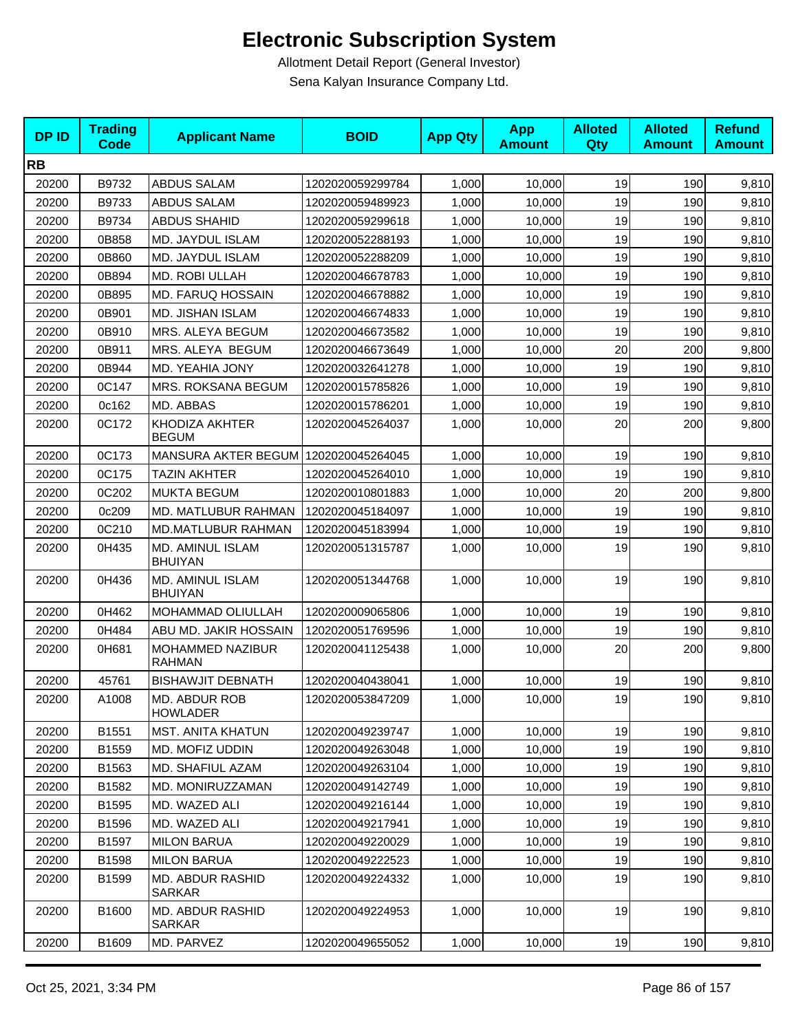| <b>DPID</b> | <b>Trading</b><br><b>Code</b> | <b>Applicant Name</b>                   | <b>BOID</b>      | <b>App Qty</b> | <b>App</b><br><b>Amount</b> | <b>Alloted</b><br><b>Qty</b> | <b>Alloted</b><br><b>Amount</b> | <b>Refund</b><br><b>Amount</b> |
|-------------|-------------------------------|-----------------------------------------|------------------|----------------|-----------------------------|------------------------------|---------------------------------|--------------------------------|
| <b>RB</b>   |                               |                                         |                  |                |                             |                              |                                 |                                |
| 20200       | B9732                         | ABDUS SALAM                             | 1202020059299784 | 1,000          | 10,000                      | 19                           | 190                             | 9,810                          |
| 20200       | B9733                         | ABDUS SALAM                             | 1202020059489923 | 1,000          | 10,000                      | 19                           | 190                             | 9,810                          |
| 20200       | B9734                         | <b>ABDUS SHAHID</b>                     | 1202020059299618 | 1,000          | 10,000                      | 19                           | 190                             | 9,810                          |
| 20200       | 0B858                         | MD. JAYDUL ISLAM                        | 1202020052288193 | 1,000          | 10,000                      | 19                           | 190                             | 9,810                          |
| 20200       | 0B860                         | MD. JAYDUL ISLAM                        | 1202020052288209 | 1,000          | 10,000                      | 19                           | 190                             | 9,810                          |
| 20200       | 0B894                         | MD. ROBI ULLAH                          | 1202020046678783 | 1,000          | 10.000                      | 19                           | 190                             | 9,810                          |
| 20200       | 0B895                         | MD. FARUQ HOSSAIN                       | 1202020046678882 | 1,000          | 10,000                      | 19                           | 190                             | 9,810                          |
| 20200       | 0B901                         | MD. JISHAN ISLAM                        | 1202020046674833 | 1,000          | 10,000                      | 19                           | 190                             | 9,810                          |
| 20200       | 0B910                         | MRS. ALEYA BEGUM                        | 1202020046673582 | 1,000          | 10,000                      | 19                           | 190                             | 9,810                          |
| 20200       | 0B911                         | MRS. ALEYA BEGUM                        | 1202020046673649 | 1,000          | 10,000                      | 20                           | 200                             | 9,800                          |
| 20200       | 0B944                         | MD. YEAHIA JONY                         | 1202020032641278 | 1,000          | 10,000                      | 19                           | 190                             | 9,810                          |
| 20200       | 0C147                         | MRS. ROKSANA BEGUM                      | 1202020015785826 | 1,000          | 10.000                      | 19                           | 190                             | 9,810                          |
| 20200       | 0c162                         | MD. ABBAS                               | 1202020015786201 | 1,000          | 10,000                      | 19                           | 190                             | 9,810                          |
| 20200       | 0C172                         | <b>KHODIZA AKHTER</b><br><b>BEGUM</b>   | 1202020045264037 | 1,000          | 10,000                      | 20                           | 200                             | 9,800                          |
| 20200       | 0C173                         | MANSURA AKTER BEGUM 1202020045264045    |                  | 1,000          | 10,000                      | 19                           | 190                             | 9,810                          |
| 20200       | 0C175                         | <b>TAZIN AKHTER</b>                     | 1202020045264010 | 1,000          | 10,000                      | 19                           | 190                             | 9,810                          |
| 20200       | 0C202                         | <b>MUKTA BEGUM</b>                      | 1202020010801883 | 1,000          | 10.000                      | 20                           | 200                             | 9,800                          |
| 20200       | 0c209                         | MD. MATLUBUR RAHMAN                     | 1202020045184097 | 1,000          | 10,000                      | 19                           | 190                             | 9,810                          |
| 20200       | 0C210                         | MD.MATLUBUR RAHMAN                      | 1202020045183994 | 1,000          | 10,000                      | 19                           | 190                             | 9,810                          |
| 20200       | 0H435                         | MD. AMINUL ISLAM<br><b>BHUIYAN</b>      | 1202020051315787 | 1,000          | 10,000                      | 19                           | 190                             | 9,810                          |
| 20200       | 0H436                         | MD. AMINUL ISLAM<br><b>BHUIYAN</b>      | 1202020051344768 | 1,000          | 10,000                      | 19                           | 190                             | 9,810                          |
| 20200       | 0H462                         | <b>MOHAMMAD OLIULLAH</b>                | 1202020009065806 | 1,000          | 10,000                      | 19                           | 190                             | 9,810                          |
| 20200       | 0H484                         | ABU MD. JAKIR HOSSAIN                   | 1202020051769596 | 1,000          | 10,000                      | 19                           | 190                             | 9,810                          |
| 20200       | 0H681                         | MOHAMMED NAZIBUR<br><b>RAHMAN</b>       | 1202020041125438 | 1,000          | 10,000                      | 20                           | 200                             | 9,800                          |
| 20200       | 45761                         | <b>BISHAWJIT DEBNATH</b>                | 1202020040438041 | 1,000          | 10,000                      | 19                           | 190                             | 9,810                          |
| 20200       | A1008                         | <b>MD. ABDUR ROB</b><br><b>HOWLADER</b> | 1202020053847209 | 1,000          | 10,000                      | 19                           | 190                             | 9,810                          |
| 20200       | B1551                         | <b>MST. ANITA KHATUN</b>                | 1202020049239747 | 1,000          | 10,000                      | 19                           | 190                             | 9,810                          |
| 20200       | B1559                         | MD. MOFIZ UDDIN                         | 1202020049263048 | 1,000          | 10,000                      | 19                           | 190                             | 9,810                          |
| 20200       | B1563                         | MD. SHAFIUL AZAM                        | 1202020049263104 | 1,000          | 10,000                      | 19                           | 190                             | 9,810                          |
| 20200       | B1582                         | MD. MONIRUZZAMAN                        | 1202020049142749 | 1,000          | 10,000                      | 19                           | 190                             | 9,810                          |
| 20200       | B1595                         | MD. WAZED ALI                           | 1202020049216144 | 1,000          | 10,000                      | 19                           | 190                             | 9,810                          |
| 20200       | B1596                         | MD. WAZED ALI                           | 1202020049217941 | 1,000          | 10,000                      | 19                           | 190                             | 9,810                          |
| 20200       | B1597                         | <b>MILON BARUA</b>                      | 1202020049220029 | 1,000          | 10,000                      | 19                           | 190                             | 9,810                          |
| 20200       | B1598                         | <b>MILON BARUA</b>                      | 1202020049222523 | 1,000          | 10,000                      | 19                           | 190                             | 9,810                          |
| 20200       | B1599                         | MD. ABDUR RASHID<br>SARKAR              | 1202020049224332 | 1,000          | 10,000                      | 19                           | 190                             | 9,810                          |
| 20200       | B1600                         | MD. ABDUR RASHID<br>SARKAR              | 1202020049224953 | 1,000          | 10,000                      | 19                           | 190                             | 9,810                          |
| 20200       | B1609                         | MD. PARVEZ                              | 1202020049655052 | 1,000          | 10,000                      | 19                           | 190                             | 9,810                          |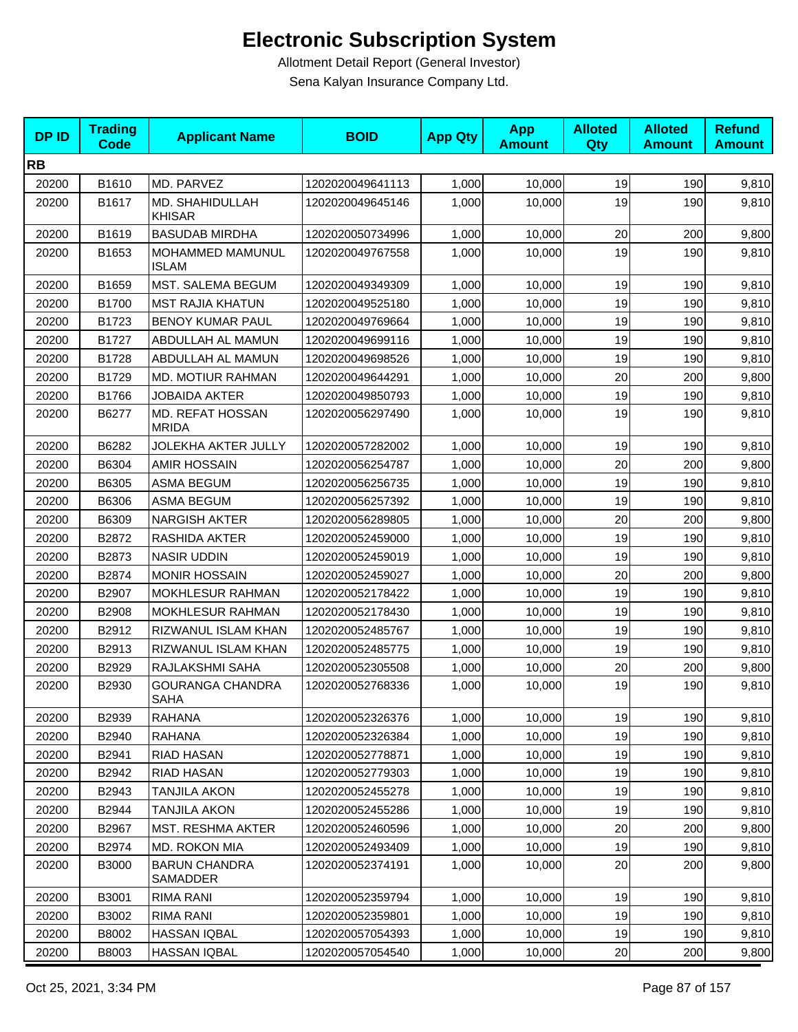| <b>DPID</b> | <b>Trading</b><br><b>Code</b> | <b>Applicant Name</b>                  | <b>BOID</b>      | <b>App Qty</b> | <b>App</b><br><b>Amount</b> | <b>Alloted</b><br>Qty | <b>Alloted</b><br><b>Amount</b> | <b>Refund</b><br><b>Amount</b> |
|-------------|-------------------------------|----------------------------------------|------------------|----------------|-----------------------------|-----------------------|---------------------------------|--------------------------------|
| <b>RB</b>   |                               |                                        |                  |                |                             |                       |                                 |                                |
| 20200       | B1610                         | MD. PARVEZ                             | 1202020049641113 | 1,000          | 10,000                      | 19                    | 190                             | 9,810                          |
| 20200       | B1617                         | MD. SHAHIDULLAH<br><b>KHISAR</b>       | 1202020049645146 | 1,000          | 10,000                      | 19                    | 190                             | 9,810                          |
| 20200       | B1619                         | <b>BASUDAB MIRDHA</b>                  | 1202020050734996 | 1,000          | 10,000                      | 20                    | 200                             | 9,800                          |
| 20200       | B1653                         | MOHAMMED MAMUNUL<br><b>ISLAM</b>       | 1202020049767558 | 1,000          | 10,000                      | 19                    | 190                             | 9,810                          |
| 20200       | B1659                         | MST. SALEMA BEGUM                      | 1202020049349309 | 1,000          | 10,000                      | 19                    | 190                             | 9,810                          |
| 20200       | B1700                         | <b>MST RAJIA KHATUN</b>                | 1202020049525180 | 1,000          | 10,000                      | 19                    | 190                             | 9,810                          |
| 20200       | B1723                         | <b>BENOY KUMAR PAUL</b>                | 1202020049769664 | 1,000          | 10,000                      | 19                    | 190                             | 9,810                          |
| 20200       | B1727                         | ABDULLAH AL MAMUN                      | 1202020049699116 | 1,000          | 10,000                      | 19                    | 190                             | 9,810                          |
| 20200       | B1728                         | ABDULLAH AL MAMUN                      | 1202020049698526 | 1,000          | 10,000                      | 19                    | 190                             | 9,810                          |
| 20200       | B1729                         | <b>MD. MOTIUR RAHMAN</b>               | 1202020049644291 | 1,000          | 10,000                      | 20                    | 200                             | 9,800                          |
| 20200       | B1766                         | <b>JOBAIDA AKTER</b>                   | 1202020049850793 | 1,000          | 10,000                      | 19                    | 190                             | 9,810                          |
| 20200       | B6277                         | MD. REFAT HOSSAN<br><b>MRIDA</b>       | 1202020056297490 | 1,000          | 10,000                      | 19                    | 190                             | 9,810                          |
| 20200       | B6282                         | JOLEKHA AKTER JULLY                    | 1202020057282002 | 1,000          | 10,000                      | 19                    | 190                             | 9,810                          |
| 20200       | B6304                         | <b>AMIR HOSSAIN</b>                    | 1202020056254787 | 1,000          | 10,000                      | 20                    | 200                             | 9,800                          |
| 20200       | B6305                         | <b>ASMA BEGUM</b>                      | 1202020056256735 | 1,000          | 10,000                      | 19                    | 190                             | 9,810                          |
| 20200       | B6306                         | <b>ASMA BEGUM</b>                      | 1202020056257392 | 1,000          | 10,000                      | 19                    | 190                             | 9,810                          |
| 20200       | B6309                         | <b>NARGISH AKTER</b>                   | 1202020056289805 | 1,000          | 10,000                      | 20                    | 200                             | 9,800                          |
| 20200       | B2872                         | RASHIDA AKTER                          | 1202020052459000 | 1,000          | 10,000                      | 19                    | 190                             | 9,810                          |
| 20200       | B2873                         | <b>NASIR UDDIN</b>                     | 1202020052459019 | 1,000          | 10,000                      | 19                    | 190                             | 9,810                          |
| 20200       | B2874                         | <b>MONIR HOSSAIN</b>                   | 1202020052459027 | 1,000          | 10,000                      | 20                    | 200                             | 9,800                          |
| 20200       | B2907                         | MOKHLESUR RAHMAN                       | 1202020052178422 | 1,000          | 10,000                      | 19                    | 190                             | 9,810                          |
| 20200       | B2908                         | <b>MOKHLESUR RAHMAN</b>                | 1202020052178430 | 1,000          | 10,000                      | 19                    | 190                             | 9,810                          |
| 20200       | B2912                         | RIZWANUL ISLAM KHAN                    | 1202020052485767 | 1,000          | 10,000                      | 19                    | 190                             | 9,810                          |
| 20200       | B2913                         | RIZWANUL ISLAM KHAN                    | 1202020052485775 | 1,000          | 10,000                      | 19                    | 190                             | 9,810                          |
| 20200       | B2929                         | RAJLAKSHMI SAHA                        | 1202020052305508 | 1,000          | 10,000                      | 20                    | 200                             | 9,800                          |
| 20200       | B2930                         | <b>GOURANGA CHANDRA</b><br><b>SAHA</b> | 1202020052768336 | 1,000          | 10,000                      | 19                    | 190                             | 9,810                          |
| 20200       | B2939                         | <b>RAHANA</b>                          | 1202020052326376 | 1,000          | 10,000                      | 19                    | 190                             | 9,810                          |
| 20200       | B2940                         | <b>RAHANA</b>                          | 1202020052326384 | 1,000          | 10,000                      | 19                    | 190                             | 9,810                          |
| 20200       | B2941                         | RIAD HASAN                             | 1202020052778871 | 1,000          | 10,000                      | 19                    | 190                             | 9,810                          |
| 20200       | B2942                         | <b>RIAD HASAN</b>                      | 1202020052779303 | 1,000          | 10,000                      | 19                    | 190                             | 9,810                          |
| 20200       | B2943                         | <b>TANJILA AKON</b>                    | 1202020052455278 | 1,000          | 10,000                      | 19                    | 190                             | 9,810                          |
| 20200       | B2944                         | TANJILA AKON                           | 1202020052455286 | 1,000          | 10,000                      | 19                    | 190                             | 9,810                          |
| 20200       | B2967                         | <b>MST. RESHMA AKTER</b>               | 1202020052460596 | 1,000          | 10,000                      | 20                    | 200                             | 9,800                          |
| 20200       | B2974                         | MD. ROKON MIA                          | 1202020052493409 | 1,000          | 10,000                      | 19                    | 190                             | 9,810                          |
| 20200       | <b>B3000</b>                  | <b>BARUN CHANDRA</b><br>SAMADDER       | 1202020052374191 | 1,000          | 10,000                      | 20                    | 200                             | 9,800                          |
| 20200       | B3001                         | RIMA RANI                              | 1202020052359794 | 1,000          | 10,000                      | 19                    | 190                             | 9,810                          |
| 20200       | B3002                         | RIMA RANI                              | 1202020052359801 | 1,000          | 10,000                      | 19                    | 190                             | 9,810                          |
| 20200       | B8002                         | HASSAN IQBAL                           | 1202020057054393 | 1,000          | 10,000                      | 19                    | 190                             | 9,810                          |
| 20200       | B8003                         | HASSAN IQBAL                           | 1202020057054540 | 1,000          | 10,000                      | 20                    | 200                             | 9,800                          |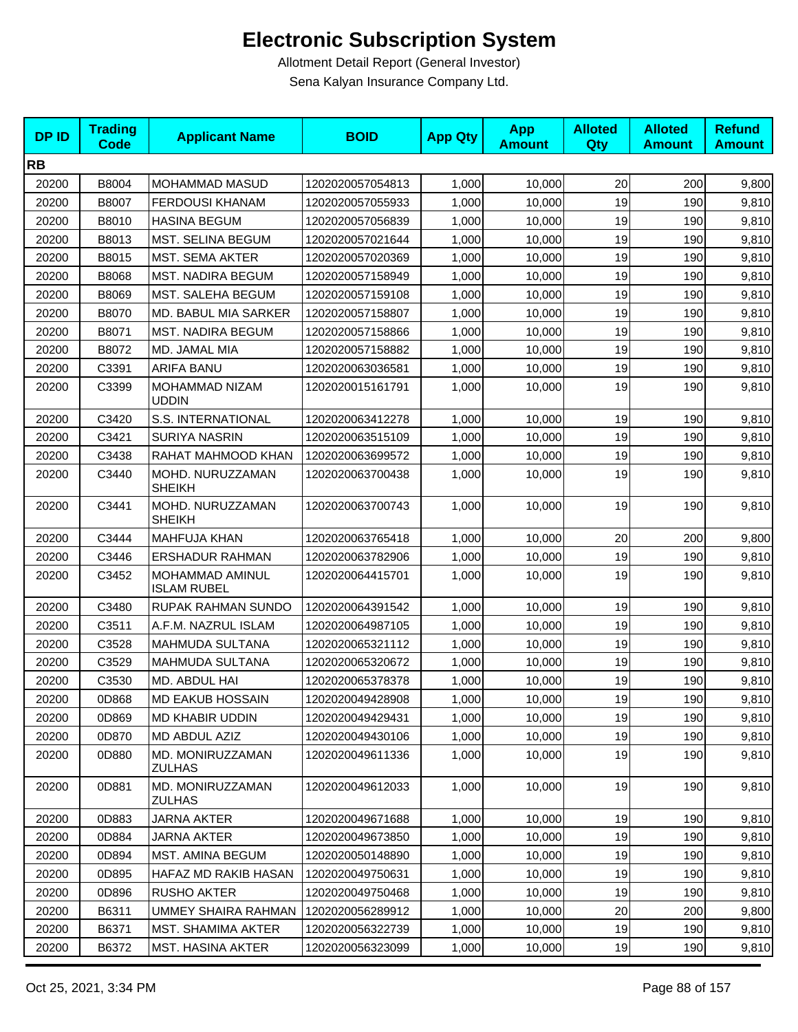| <b>DPID</b> | <b>Trading</b><br><b>Code</b> | <b>Applicant Name</b>                 | <b>BOID</b>      | <b>App Qty</b> | <b>App</b><br><b>Amount</b> | <b>Alloted</b><br>Qty | <b>Alloted</b><br><b>Amount</b> | <b>Refund</b><br><b>Amount</b> |
|-------------|-------------------------------|---------------------------------------|------------------|----------------|-----------------------------|-----------------------|---------------------------------|--------------------------------|
| <b>RB</b>   |                               |                                       |                  |                |                             |                       |                                 |                                |
| 20200       | B8004                         | MOHAMMAD MASUD                        | 1202020057054813 | 1,000          | 10,000                      | 20                    | 200                             | 9,800                          |
| 20200       | B8007                         | <b>FERDOUSI KHANAM</b>                | 1202020057055933 | 1,000          | 10,000                      | 19                    | 190                             | 9,810                          |
| 20200       | B8010                         | <b>HASINA BEGUM</b>                   | 1202020057056839 | 1,000          | 10,000                      | 19                    | 190                             | 9,810                          |
| 20200       | B8013                         | MST. SELINA BEGUM                     | 1202020057021644 | 1,000          | 10,000                      | 19                    | 190                             | 9,810                          |
| 20200       | B8015                         | <b>MST. SEMA AKTER</b>                | 1202020057020369 | 1,000          | 10,000                      | 19                    | 190                             | 9,810                          |
| 20200       | B8068                         | <b>MST. NADIRA BEGUM</b>              | 1202020057158949 | 1,000          | 10,000                      | 19                    | 190                             | 9,810                          |
| 20200       | B8069                         | MST. SALEHA BEGUM                     | 1202020057159108 | 1,000          | 10,000                      | 19                    | 190                             | 9,810                          |
| 20200       | B8070                         | MD. BABUL MIA SARKER                  | 1202020057158807 | 1,000          | 10,000                      | 19                    | 190                             | 9,810                          |
| 20200       | B8071                         | <b>MST. NADIRA BEGUM</b>              | 1202020057158866 | 1,000          | 10,000                      | 19                    | 190                             | 9,810                          |
| 20200       | B8072                         | MD. JAMAL MIA                         | 1202020057158882 | 1,000          | 10,000                      | 19                    | 190                             | 9,810                          |
| 20200       | C3391                         | ARIFA BANU                            | 1202020063036581 | 1,000          | 10,000                      | 19                    | 190                             | 9,810                          |
| 20200       | C3399                         | MOHAMMAD NIZAM<br><b>UDDIN</b>        | 1202020015161791 | 1,000          | 10,000                      | 19                    | 190                             | 9,810                          |
| 20200       | C3420                         | S.S. INTERNATIONAL                    | 1202020063412278 | 1,000          | 10,000                      | 19                    | 190                             | 9,810                          |
| 20200       | C3421                         | <b>SURIYA NASRIN</b>                  | 1202020063515109 | 1,000          | 10,000                      | 19                    | 190                             | 9,810                          |
| 20200       | C3438                         | RAHAT MAHMOOD KHAN                    | 1202020063699572 | 1,000          | 10,000                      | 19                    | 190                             | 9,810                          |
| 20200       | C3440                         | MOHD. NURUZZAMAN<br><b>SHEIKH</b>     | 1202020063700438 | 1,000          | 10,000                      | 19                    | 190                             | 9,810                          |
| 20200       | C3441                         | MOHD. NURUZZAMAN<br><b>SHEIKH</b>     | 1202020063700743 | 1,000          | 10,000                      | 19                    | 190                             | 9,810                          |
| 20200       | C3444                         | <b>MAHFUJA KHAN</b>                   | 1202020063765418 | 1,000          | 10,000                      | 20                    | 200                             | 9,800                          |
| 20200       | C3446                         | <b>ERSHADUR RAHMAN</b>                | 1202020063782906 | 1,000          | 10,000                      | 19                    | 190                             | 9,810                          |
| 20200       | C3452                         | MOHAMMAD AMINUL<br><b>ISLAM RUBEL</b> | 1202020064415701 | 1,000          | 10,000                      | 19                    | 190                             | 9,810                          |
| 20200       | C3480                         | RUPAK RAHMAN SUNDO                    | 1202020064391542 | 1,000          | 10,000                      | 19                    | 190                             | 9,810                          |
| 20200       | C3511                         | A.F.M. NAZRUL ISLAM                   | 1202020064987105 | 1,000          | 10,000                      | 19                    | 190                             | 9,810                          |
| 20200       | C3528                         | <b>MAHMUDA SULTANA</b>                | 1202020065321112 | 1,000          | 10,000                      | 19                    | 190                             | 9,810                          |
| 20200       | C3529                         | <b>MAHMUDA SULTANA</b>                | 1202020065320672 | 1,000          | 10,000                      | 19                    | 190                             | 9,810                          |
| 20200       | C3530                         | MD. ABDUL HAI                         | 1202020065378378 | 1,000          | 10,000                      | 19                    | 190                             | 9,810                          |
| 20200       | 0D868                         | <b>MD EAKUB HOSSAIN</b>               | 1202020049428908 | 1,000          | 10,000                      | 19                    | 190                             | 9,810                          |
| 20200       | 0D869                         | MD KHABIR UDDIN                       | 1202020049429431 | 1,000          | 10,000                      | 19                    | 190                             | 9,810                          |
| 20200       | 0D870                         | MD ABDUL AZIZ                         | 1202020049430106 | 1,000          | 10,000                      | 19                    | 190                             | 9,810                          |
| 20200       | 0D880                         | MD. MONIRUZZAMAN<br><b>ZULHAS</b>     | 1202020049611336 | 1,000          | 10,000                      | 19                    | 190                             | 9,810                          |
| 20200       | 0D881                         | MD. MONIRUZZAMAN<br><b>ZULHAS</b>     | 1202020049612033 | 1,000          | 10,000                      | 19                    | 190                             | 9,810                          |
| 20200       | 0D883                         | <b>JARNA AKTER</b>                    | 1202020049671688 | 1,000          | 10,000                      | 19                    | 190                             | 9,810                          |
| 20200       | 0D884                         | <b>JARNA AKTER</b>                    | 1202020049673850 | 1,000          | 10,000                      | 19                    | 190                             | 9,810                          |
| 20200       | 0D894                         | MST. AMINA BEGUM                      | 1202020050148890 | 1,000          | 10,000                      | 19                    | 190                             | 9,810                          |
| 20200       | 0D895                         | HAFAZ MD RAKIB HASAN                  | 1202020049750631 | 1,000          | 10,000                      | 19                    | 190                             | 9,810                          |
| 20200       | 0D896                         | <b>RUSHO AKTER</b>                    | 1202020049750468 | 1,000          | 10,000                      | 19                    | 190                             | 9,810                          |
| 20200       | B6311                         | UMMEY SHAIRA RAHMAN                   | 1202020056289912 | 1,000          | 10,000                      | 20                    | 200                             | 9,800                          |
| 20200       | B6371                         | MST. SHAMIMA AKTER                    | 1202020056322739 | 1,000          | 10,000                      | 19                    | 190                             | 9,810                          |
| 20200       | B6372                         | MST. HASINA AKTER                     | 1202020056323099 | 1,000          | 10,000                      | 19                    | 190                             | 9,810                          |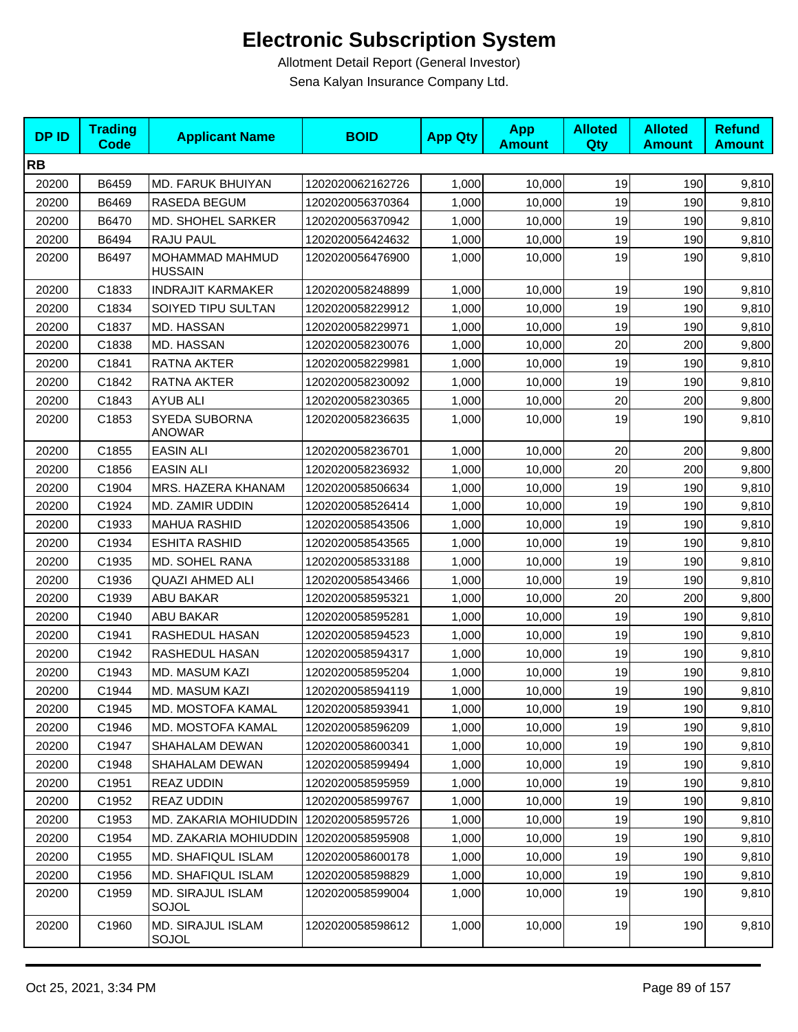| <b>DPID</b> | <b>Trading</b><br><b>Code</b> | <b>Applicant Name</b>                 | <b>BOID</b>      | <b>App Qty</b> | <b>App</b><br><b>Amount</b> | <b>Alloted</b><br>Qty | <b>Alloted</b><br><b>Amount</b> | <b>Refund</b><br><b>Amount</b> |
|-------------|-------------------------------|---------------------------------------|------------------|----------------|-----------------------------|-----------------------|---------------------------------|--------------------------------|
| <b>RB</b>   |                               |                                       |                  |                |                             |                       |                                 |                                |
| 20200       | B6459                         | MD. FARUK BHUIYAN                     | 1202020062162726 | 1,000          | 10,000                      | 19                    | 190                             | 9,810                          |
| 20200       | B6469                         | RASEDA BEGUM                          | 1202020056370364 | 1,000          | 10,000                      | 19                    | 190                             | 9,810                          |
| 20200       | B6470                         | MD. SHOHEL SARKER                     | 1202020056370942 | 1,000          | 10,000                      | 19                    | 190                             | 9,810                          |
| 20200       | B6494                         | RAJU PAUL                             | 1202020056424632 | 1,000          | 10,000                      | 19                    | 190                             | 9,810                          |
| 20200       | B6497                         | MOHAMMAD MAHMUD<br><b>HUSSAIN</b>     | 1202020056476900 | 1,000          | 10,000                      | 19                    | 190                             | 9,810                          |
| 20200       | C1833                         | <b>INDRAJIT KARMAKER</b>              | 1202020058248899 | 1,000          | 10,000                      | 19                    | 190                             | 9,810                          |
| 20200       | C1834                         | SOIYED TIPU SULTAN                    | 1202020058229912 | 1,000          | 10,000                      | 19                    | 190                             | 9,810                          |
| 20200       | C1837                         | MD. HASSAN                            | 1202020058229971 | 1,000          | 10,000                      | 19                    | 190                             | 9,810                          |
| 20200       | C1838                         | MD. HASSAN                            | 1202020058230076 | 1,000          | 10,000                      | 20                    | 200                             | 9,800                          |
| 20200       | C1841                         | RATNA AKTER                           | 1202020058229981 | 1,000          | 10,000                      | 19                    | 190                             | 9,810                          |
| 20200       | C1842                         | RATNA AKTER                           | 1202020058230092 | 1,000          | 10,000                      | 19                    | 190                             | 9,810                          |
| 20200       | C1843                         | <b>AYUB ALI</b>                       | 1202020058230365 | 1,000          | 10,000                      | 20                    | 200                             | 9,800                          |
| 20200       | C1853                         | <b>SYEDA SUBORNA</b><br><b>ANOWAR</b> | 1202020058236635 | 1,000          | 10,000                      | 19                    | 190                             | 9,810                          |
| 20200       | C1855                         | <b>EASIN ALI</b>                      | 1202020058236701 | 1,000          | 10,000                      | 20                    | 200                             | 9,800                          |
| 20200       | C1856                         | <b>EASIN ALI</b>                      | 1202020058236932 | 1,000          | 10,000                      | 20                    | 200                             | 9,800                          |
| 20200       | C1904                         | MRS. HAZERA KHANAM                    | 1202020058506634 | 1,000          | 10,000                      | 19                    | 190                             | 9,810                          |
| 20200       | C1924                         | MD. ZAMIR UDDIN                       | 1202020058526414 | 1,000          | 10,000                      | 19                    | 190                             | 9,810                          |
| 20200       | C1933                         | <b>MAHUA RASHID</b>                   | 1202020058543506 | 1,000          | 10,000                      | 19                    | 190                             | 9,810                          |
| 20200       | C1934                         | <b>ESHITA RASHID</b>                  | 1202020058543565 | 1,000          | 10,000                      | 19                    | 190                             | 9,810                          |
| 20200       | C1935                         | MD. SOHEL RANA                        | 1202020058533188 | 1,000          | 10,000                      | 19                    | 190                             | 9,810                          |
| 20200       | C1936                         | <b>QUAZI AHMED ALI</b>                | 1202020058543466 | 1,000          | 10,000                      | 19                    | 190                             | 9,810                          |
| 20200       | C1939                         | <b>ABU BAKAR</b>                      | 1202020058595321 | 1,000          | 10,000                      | 20                    | 200                             | 9,800                          |
| 20200       | C1940                         | <b>ABU BAKAR</b>                      | 1202020058595281 | 1,000          | 10,000                      | 19                    | 190                             | 9,810                          |
| 20200       | C1941                         | RASHEDUL HASAN                        | 1202020058594523 | 1,000          | 10,000                      | 19                    | 190                             | 9,810                          |
| 20200       | C1942                         | RASHEDUL HASAN                        | 1202020058594317 | 1,000          | 10,000                      | 19                    | 190                             | 9,810                          |
| 20200       | C1943                         | MD. MASUM KAZI                        | 1202020058595204 | 1,000          | 10,000                      | 19                    | 190                             | 9,810                          |
| 20200       | C1944                         | <b>MD. MASUM KAZI</b>                 | 1202020058594119 | 1,000          | 10,000                      | 19                    | 190                             | 9,810                          |
| 20200       | C1945                         | MD. MOSTOFA KAMAL                     | 1202020058593941 | 1,000          | 10,000                      | 19                    | 190                             | 9,810                          |
| 20200       | C1946                         | MD. MOSTOFA KAMAL                     | 1202020058596209 | 1,000          | 10,000                      | 19                    | 190                             | 9,810                          |
| 20200       | C1947                         | <b>SHAHALAM DEWAN</b>                 | 1202020058600341 | 1,000          | 10,000                      | 19                    | 190                             | 9,810                          |
| 20200       | C1948                         | SHAHALAM DEWAN                        | 1202020058599494 | 1,000          | 10,000                      | 19                    | 190                             | 9,810                          |
| 20200       | C1951                         | REAZ UDDIN                            | 1202020058595959 | 1,000          | 10,000                      | 19                    | 190                             | 9,810                          |
| 20200       | C1952                         | <b>REAZ UDDIN</b>                     | 1202020058599767 | 1,000          | 10,000                      | 19                    | 190                             | 9,810                          |
| 20200       | C1953                         | MD. ZAKARIA MOHIUDDIN                 | 1202020058595726 | 1,000          | 10,000                      | 19                    | 190                             | 9,810                          |
| 20200       | C1954                         | MD. ZAKARIA MOHIUDDIN                 | 1202020058595908 | 1,000          | 10,000                      | 19                    | 190                             | 9,810                          |
| 20200       | C1955                         | MD. SHAFIQUL ISLAM                    | 1202020058600178 | 1,000          | 10,000                      | 19                    | 190                             | 9,810                          |
| 20200       | C1956                         | MD. SHAFIQUL ISLAM                    | 1202020058598829 | 1,000          | 10,000                      | 19                    | 190                             | 9,810                          |
| 20200       | C1959                         | <b>MD. SIRAJUL ISLAM</b><br>SOJOL     | 1202020058599004 | 1,000          | 10,000                      | 19                    | 190                             | 9,810                          |
| 20200       | C1960                         | <b>MD. SIRAJUL ISLAM</b><br>SOJOL     | 1202020058598612 | 1,000          | 10,000                      | 19                    | 190                             | 9,810                          |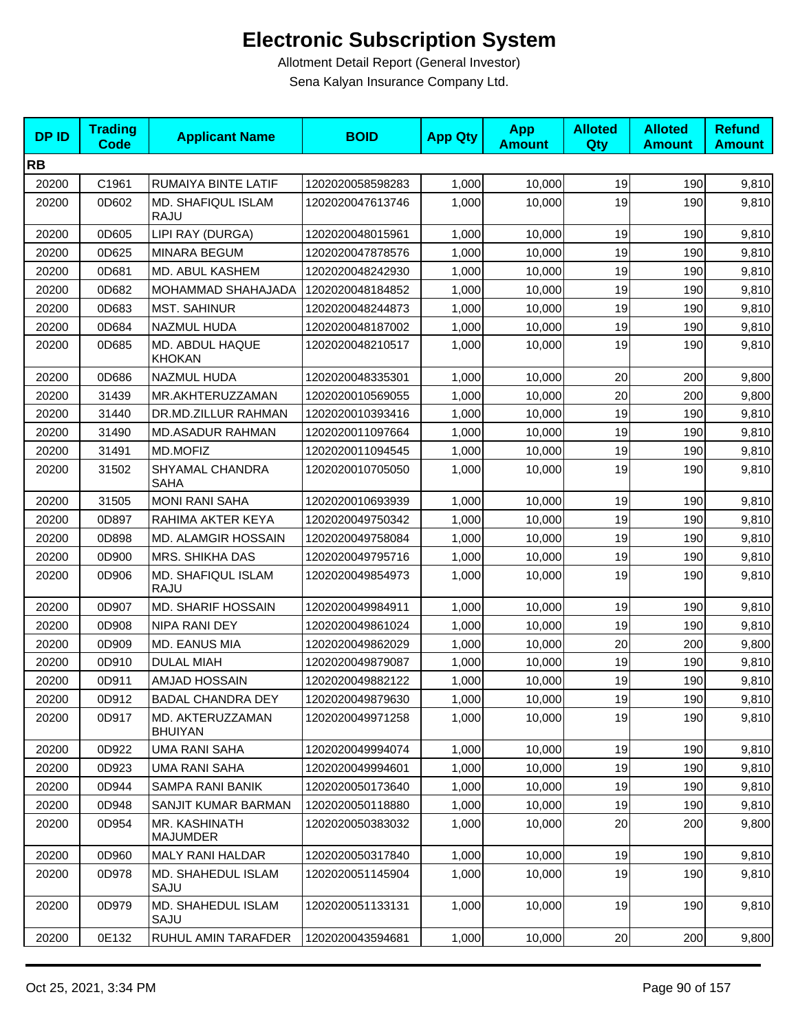| <b>DPID</b> | <b>Trading</b><br>Code | <b>Applicant Name</b>              | <b>BOID</b>      | <b>App Qty</b> | <b>App</b><br><b>Amount</b> | <b>Alloted</b><br><b>Qty</b> | <b>Alloted</b><br><b>Amount</b> | <b>Refund</b><br><b>Amount</b> |
|-------------|------------------------|------------------------------------|------------------|----------------|-----------------------------|------------------------------|---------------------------------|--------------------------------|
| <b>RB</b>   |                        |                                    |                  |                |                             |                              |                                 |                                |
| 20200       | C1961                  | RUMAIYA BINTE LATIF                | 1202020058598283 | 1,000          | 10,000                      | 19                           | 190                             | 9,810                          |
| 20200       | 0D602                  | MD. SHAFIQUL ISLAM<br><b>RAJU</b>  | 1202020047613746 | 1,000          | 10,000                      | 19                           | 190                             | 9,810                          |
| 20200       | 0D605                  | LIPI RAY (DURGA)                   | 1202020048015961 | 1,000          | 10,000                      | 19                           | 190                             | 9,810                          |
| 20200       | 0D625                  | <b>MINARA BEGUM</b>                | 1202020047878576 | 1,000          | 10,000                      | 19                           | 190                             | 9,810                          |
| 20200       | 0D681                  | MD. ABUL KASHEM                    | 1202020048242930 | 1,000          | 10,000                      | 19                           | 190                             | 9,810                          |
| 20200       | 0D682                  | MOHAMMAD SHAHAJADA                 | 1202020048184852 | 1,000          | 10,000                      | 19                           | 190                             | 9,810                          |
| 20200       | 0D683                  | <b>MST. SAHINUR</b>                | 1202020048244873 | 1,000          | 10,000                      | 19                           | 190                             | 9,810                          |
| 20200       | 0D684                  | NAZMUL HUDA                        | 1202020048187002 | 1,000          | 10,000                      | 19                           | 190                             | 9,810                          |
| 20200       | 0D685                  | MD. ABDUL HAQUE<br><b>KHOKAN</b>   | 1202020048210517 | 1,000          | 10,000                      | 19                           | 190                             | 9,810                          |
| 20200       | 0D686                  | <b>NAZMUL HUDA</b>                 | 1202020048335301 | 1,000          | 10,000                      | 20                           | 200                             | 9,800                          |
| 20200       | 31439                  | MR.AKHTERUZZAMAN                   | 1202020010569055 | 1,000          | 10,000                      | 20                           | 200                             | 9,800                          |
| 20200       | 31440                  | DR.MD.ZILLUR RAHMAN                | 1202020010393416 | 1,000          | 10,000                      | 19                           | 190                             | 9,810                          |
| 20200       | 31490                  | <b>MD.ASADUR RAHMAN</b>            | 1202020011097664 | 1,000          | 10,000                      | 19                           | 190                             | 9,810                          |
| 20200       | 31491                  | <b>MD.MOFIZ</b>                    | 1202020011094545 | 1,000          | 10,000                      | 19                           | 190                             | 9,810                          |
| 20200       | 31502                  | SHYAMAL CHANDRA<br><b>SAHA</b>     | 1202020010705050 | 1,000          | 10,000                      | 19                           | 190                             | 9,810                          |
| 20200       | 31505                  | <b>MONI RANI SAHA</b>              | 1202020010693939 | 1,000          | 10,000                      | 19                           | 190                             | 9,810                          |
| 20200       | 0D897                  | RAHIMA AKTER KEYA                  | 1202020049750342 | 1,000          | 10,000                      | 19                           | 190                             | 9,810                          |
| 20200       | 0D898                  | MD. ALAMGIR HOSSAIN                | 1202020049758084 | 1,000          | 10,000                      | 19                           | 190                             | 9,810                          |
| 20200       | 0D900                  | MRS. SHIKHA DAS                    | 1202020049795716 | 1,000          | 10,000                      | 19                           | 190                             | 9,810                          |
| 20200       | 0D906                  | MD. SHAFIQUL ISLAM<br><b>RAJU</b>  | 1202020049854973 | 1,000          | 10,000                      | 19                           | 190                             | 9,810                          |
| 20200       | 0D907                  | <b>MD. SHARIF HOSSAIN</b>          | 1202020049984911 | 1,000          | 10,000                      | 19                           | 190                             | 9,810                          |
| 20200       | 0D908                  | NIPA RANI DEY                      | 1202020049861024 | 1,000          | 10,000                      | 19                           | 190                             | 9,810                          |
| 20200       | 0D909                  | MD. EANUS MIA                      | 1202020049862029 | 1,000          | 10,000                      | 20                           | 200                             | 9,800                          |
| 20200       | 0D910                  | <b>DULAL MIAH</b>                  | 1202020049879087 | 1,000          | 10,000                      | 19                           | 190                             | 9,810                          |
| 20200       | 0D911                  | <b>AMJAD HOSSAIN</b>               | 1202020049882122 | 1,000          | 10,000                      | 19                           | 190                             | 9,810                          |
| 20200       | 0D912                  | <b>BADAL CHANDRA DEY</b>           | 1202020049879630 | 1,000          | 10,000                      | 19                           | 190                             | 9,810                          |
| 20200       | 0D917                  | MD. AKTERUZZAMAN<br><b>BHUIYAN</b> | 1202020049971258 | 1,000          | 10,000                      | 19                           | 190                             | 9,810                          |
| 20200       | 0D922                  | <b>UMA RANI SAHA</b>               | 1202020049994074 | 1,000          | 10,000                      | 19                           | 190                             | 9,810                          |
| 20200       | 0D923                  | <b>UMA RANI SAHA</b>               | 1202020049994601 | 1,000          | 10,000                      | 19                           | 190                             | 9,810                          |
| 20200       | 0D944                  | SAMPA RANI BANIK                   | 1202020050173640 | 1,000          | 10,000                      | 19                           | 190                             | 9,810                          |
| 20200       | 0D948                  | SANJIT KUMAR BARMAN                | 1202020050118880 | 1,000          | 10,000                      | 19                           | 190                             | 9,810                          |
| 20200       | 0D954                  | MR. KASHINATH<br><b>MAJUMDER</b>   | 1202020050383032 | 1,000          | 10,000                      | 20                           | 200                             | 9,800                          |
| 20200       | 0D960                  | <b>MALY RANI HALDAR</b>            | 1202020050317840 | 1,000          | 10,000                      | 19                           | 190                             | 9,810                          |
| 20200       | 0D978                  | MD. SHAHEDUL ISLAM<br>SAJU         | 1202020051145904 | 1,000          | 10,000                      | 19                           | 190                             | 9,810                          |
| 20200       | 0D979                  | MD. SHAHEDUL ISLAM<br>SAJU         | 1202020051133131 | 1,000          | 10,000                      | 19                           | 190                             | 9,810                          |
| 20200       | 0E132                  | RUHUL AMIN TARAFDER                | 1202020043594681 | 1,000          | 10,000                      | 20                           | 200                             | 9,800                          |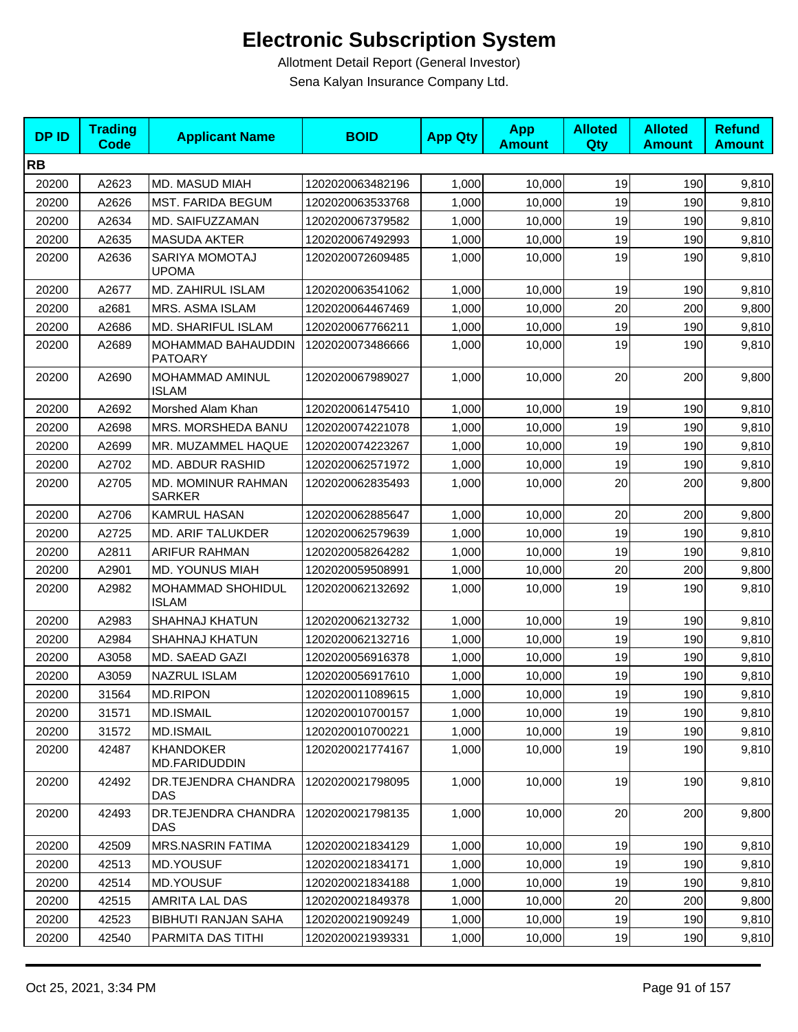| <b>DPID</b> | <b>Trading</b><br><b>Code</b> | <b>Applicant Name</b>                | <b>BOID</b>      | <b>App Qty</b> | <b>App</b><br><b>Amount</b> | <b>Alloted</b><br>Qty | <b>Alloted</b><br><b>Amount</b> | <b>Refund</b><br><b>Amount</b> |
|-------------|-------------------------------|--------------------------------------|------------------|----------------|-----------------------------|-----------------------|---------------------------------|--------------------------------|
| <b>RB</b>   |                               |                                      |                  |                |                             |                       |                                 |                                |
| 20200       | A2623                         | MD. MASUD MIAH                       | 1202020063482196 | 1,000          | 10,000                      | 19                    | 190                             | 9,810                          |
| 20200       | A2626                         | <b>MST. FARIDA BEGUM</b>             | 1202020063533768 | 1,000          | 10,000                      | 19                    | 190                             | 9,810                          |
| 20200       | A2634                         | MD. SAIFUZZAMAN                      | 1202020067379582 | 1,000          | 10,000                      | 19                    | 190                             | 9,810                          |
| 20200       | A2635                         | <b>MASUDA AKTER</b>                  | 1202020067492993 | 1,000          | 10,000                      | 19                    | 190                             | 9,810                          |
| 20200       | A2636                         | SARIYA MOMOTAJ<br><b>UPOMA</b>       | 1202020072609485 | 1,000          | 10,000                      | 19                    | 190                             | 9,810                          |
| 20200       | A2677                         | MD. ZAHIRUL ISLAM                    | 1202020063541062 | 1,000          | 10,000                      | 19                    | 190                             | 9,810                          |
| 20200       | a2681                         | MRS. ASMA ISLAM                      | 1202020064467469 | 1,000          | 10,000                      | 20                    | 200                             | 9,800                          |
| 20200       | A2686                         | MD. SHARIFUL ISLAM                   | 1202020067766211 | 1,000          | 10,000                      | 19                    | 190                             | 9,810                          |
| 20200       | A2689                         | MOHAMMAD BAHAUDDIN<br><b>PATOARY</b> | 1202020073486666 | 1,000          | 10,000                      | 19                    | 190                             | 9,810                          |
| 20200       | A2690                         | MOHAMMAD AMINUL<br><b>ISLAM</b>      | 1202020067989027 | 1,000          | 10,000                      | 20                    | 200                             | 9,800                          |
| 20200       | A2692                         | Morshed Alam Khan                    | 1202020061475410 | 1,000          | 10.000                      | 19                    | 190                             | 9,810                          |
| 20200       | A2698                         | MRS. MORSHEDA BANU                   | 1202020074221078 | 1,000          | 10,000                      | 19                    | 190                             | 9,810                          |
| 20200       | A2699                         | MR. MUZAMMEL HAQUE                   | 1202020074223267 | 1,000          | 10,000                      | 19                    | 190                             | 9,810                          |
| 20200       | A2702                         | <b>MD. ABDUR RASHID</b>              | 1202020062571972 | 1,000          | 10,000                      | 19                    | 190                             | 9,810                          |
| 20200       | A2705                         | MD. MOMINUR RAHMAN<br><b>SARKER</b>  | 1202020062835493 | 1,000          | 10,000                      | 20                    | 200                             | 9,800                          |
| 20200       | A2706                         | <b>KAMRUL HASAN</b>                  | 1202020062885647 | 1,000          | 10,000                      | 20                    | 200                             | 9,800                          |
| 20200       | A2725                         | <b>MD. ARIF TALUKDER</b>             | 1202020062579639 | 1,000          | 10,000                      | 19                    | 190                             | 9,810                          |
| 20200       | A2811                         | <b>ARIFUR RAHMAN</b>                 | 1202020058264282 | 1,000          | 10,000                      | 19                    | 190                             | 9,810                          |
| 20200       | A2901                         | <b>MD. YOUNUS MIAH</b>               | 1202020059508991 | 1,000          | 10,000                      | 20                    | 200                             | 9,800                          |
| 20200       | A2982                         | MOHAMMAD SHOHIDUL<br><b>ISLAM</b>    | 1202020062132692 | 1,000          | 10,000                      | 19                    | 190                             | 9,810                          |
| 20200       | A2983                         | <b>SHAHNAJ KHATUN</b>                | 1202020062132732 | 1,000          | 10,000                      | 19                    | 190                             | 9,810                          |
| 20200       | A2984                         | <b>SHAHNAJ KHATUN</b>                | 1202020062132716 | 1,000          | 10,000                      | 19                    | 190                             | 9,810                          |
| 20200       | A3058                         | MD. SAEAD GAZI                       | 1202020056916378 | 1,000          | 10.000                      | 19                    | 190                             | 9,810                          |
| 20200       | A3059                         | <b>NAZRUL ISLAM</b>                  | 1202020056917610 | 1,000          | 10,000                      | 19                    | 190                             | 9,810                          |
| 20200       | 31564                         | <b>MD.RIPON</b>                      | 1202020011089615 | 1,000          | 10,000                      | 19                    | 190                             | 9,810                          |
| 20200       | 31571                         | <b>MD.ISMAIL</b>                     | 1202020010700157 | 1,000          | 10,000                      | 19                    | 190                             | 9,810                          |
| 20200       | 31572                         | <b>MD.ISMAIL</b>                     | 1202020010700221 | 1,000          | 10,000                      | 19                    | 190                             | 9,810                          |
| 20200       | 42487                         | <b>KHANDOKER</b><br>MD.FARIDUDDIN    | 1202020021774167 | 1,000          | 10,000                      | 19                    | 190                             | 9,810                          |
| 20200       | 42492                         | DR.TEJENDRA CHANDRA<br>DAS           | 1202020021798095 | 1,000          | 10,000                      | 19                    | 190                             | 9,810                          |
| 20200       | 42493                         | DR.TEJENDRA CHANDRA<br>DAS           | 1202020021798135 | 1,000          | 10,000                      | 20                    | 200                             | 9,800                          |
| 20200       | 42509                         | MRS.NASRIN FATIMA                    | 1202020021834129 | 1,000          | 10,000                      | 19                    | 190                             | 9,810                          |
| 20200       | 42513                         | MD.YOUSUF                            | 1202020021834171 | 1,000          | 10,000                      | 19                    | 190                             | 9,810                          |
| 20200       | 42514                         | MD.YOUSUF                            | 1202020021834188 | 1,000          | 10,000                      | 19                    | 190                             | 9,810                          |
| 20200       | 42515                         | AMRITA LAL DAS                       | 1202020021849378 | 1,000          | 10,000                      | 20                    | 200                             | 9,800                          |
| 20200       | 42523                         | <b>BIBHUTI RANJAN SAHA</b>           | 1202020021909249 | 1,000          | 10,000                      | 19                    | 190                             | 9,810                          |
| 20200       | 42540                         | PARMITA DAS TITHI                    | 1202020021939331 | 1,000          | 10,000                      | 19                    | 190                             | 9,810                          |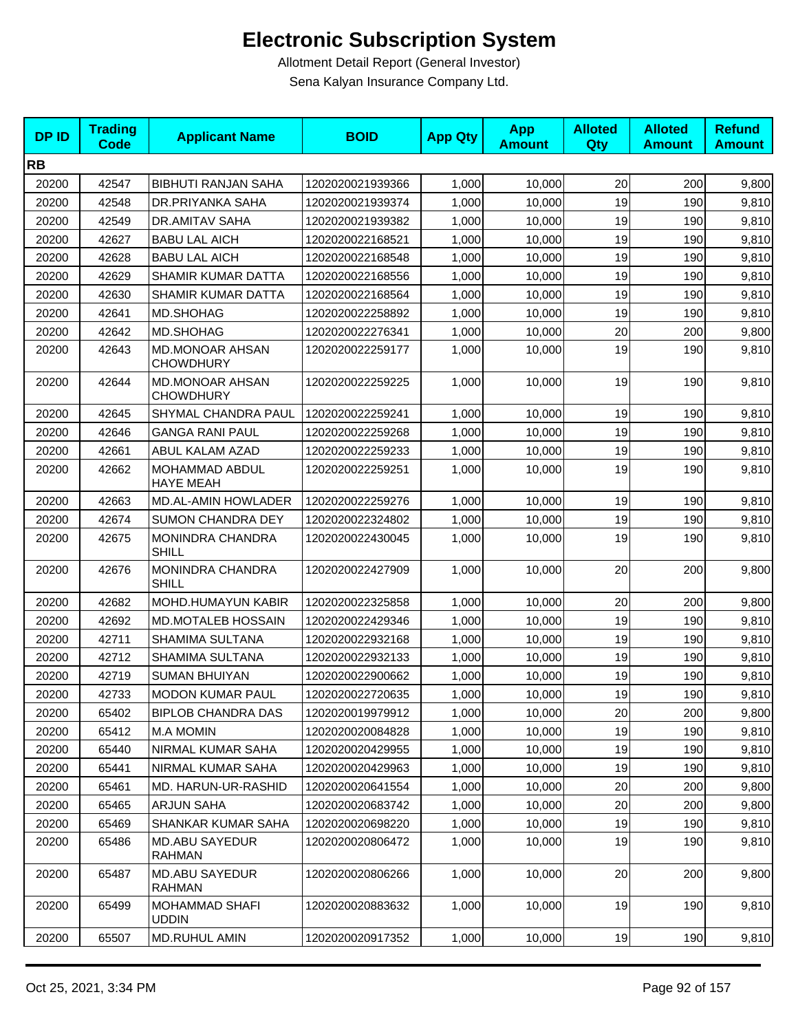| <b>DPID</b> | <b>Trading</b><br>Code | <b>Applicant Name</b>                      | <b>BOID</b>      | <b>App Qty</b> | <b>App</b><br><b>Amount</b> | <b>Alloted</b><br>Qty | <b>Alloted</b><br><b>Amount</b> | <b>Refund</b><br><b>Amount</b> |
|-------------|------------------------|--------------------------------------------|------------------|----------------|-----------------------------|-----------------------|---------------------------------|--------------------------------|
| <b>RB</b>   |                        |                                            |                  |                |                             |                       |                                 |                                |
| 20200       | 42547                  | <b>BIBHUTI RANJAN SAHA</b>                 | 1202020021939366 | 1,000          | 10,000                      | 20                    | 200                             | 9,800                          |
| 20200       | 42548                  | DR.PRIYANKA SAHA                           | 1202020021939374 | 1,000          | 10,000                      | 19                    | 190                             | 9,810                          |
| 20200       | 42549                  | <b>DR.AMITAV SAHA</b>                      | 1202020021939382 | 1,000          | 10,000                      | 19                    | 190                             | 9,810                          |
| 20200       | 42627                  | <b>BABU LAL AICH</b>                       | 1202020022168521 | 1,000          | 10,000                      | 19                    | 190                             | 9,810                          |
| 20200       | 42628                  | <b>BABU LAL AICH</b>                       | 1202020022168548 | 1,000          | 10,000                      | 19                    | 190                             | 9,810                          |
| 20200       | 42629                  | SHAMIR KUMAR DATTA                         | 1202020022168556 | 1,000          | 10,000                      | 19                    | 190                             | 9,810                          |
| 20200       | 42630                  | SHAMIR KUMAR DATTA                         | 1202020022168564 | 1,000          | 10,000                      | 19                    | 190                             | 9,810                          |
| 20200       | 42641                  | MD.SHOHAG                                  | 1202020022258892 | 1,000          | 10,000                      | 19                    | 190                             | 9,810                          |
| 20200       | 42642                  | MD.SHOHAG                                  | 1202020022276341 | 1,000          | 10,000                      | 20                    | 200                             | 9,800                          |
| 20200       | 42643                  | <b>MD.MONOAR AHSAN</b><br><b>CHOWDHURY</b> | 1202020022259177 | 1,000          | 10,000                      | 19                    | 190                             | 9,810                          |
| 20200       | 42644                  | <b>MD.MONOAR AHSAN</b><br><b>CHOWDHURY</b> | 1202020022259225 | 1,000          | 10,000                      | 19                    | 190                             | 9,810                          |
| 20200       | 42645                  | SHYMAL CHANDRA PAUL                        | 1202020022259241 | 1,000          | 10,000                      | 19                    | 190                             | 9,810                          |
| 20200       | 42646                  | <b>GANGA RANI PAUL</b>                     | 1202020022259268 | 1,000          | 10,000                      | 19                    | 190                             | 9,810                          |
| 20200       | 42661                  | ABUL KALAM AZAD                            | 1202020022259233 | 1,000          | 10,000                      | 19                    | 190                             | 9,810                          |
| 20200       | 42662                  | MOHAMMAD ABDUL<br><b>HAYE MEAH</b>         | 1202020022259251 | 1,000          | 10.000                      | 19                    | 190                             | 9,810                          |
| 20200       | 42663                  | MD.AL-AMIN HOWLADER                        | 1202020022259276 | 1,000          | 10,000                      | 19                    | 190                             | 9,810                          |
| 20200       | 42674                  | <b>SUMON CHANDRA DEY</b>                   | 1202020022324802 | 1,000          | 10,000                      | 19                    | 190                             | 9,810                          |
| 20200       | 42675                  | MONINDRA CHANDRA<br><b>SHILL</b>           | 1202020022430045 | 1,000          | 10,000                      | 19                    | 190                             | 9,810                          |
| 20200       | 42676                  | MONINDRA CHANDRA<br>SHILL                  | 1202020022427909 | 1,000          | 10,000                      | 20                    | 200                             | 9,800                          |
| 20200       | 42682                  | MOHD.HUMAYUN KABIR                         | 1202020022325858 | 1,000          | 10,000                      | 20                    | 200                             | 9,800                          |
| 20200       | 42692                  | MD.MOTALEB HOSSAIN                         | 1202020022429346 | 1,000          | 10,000                      | 19                    | 190                             | 9,810                          |
| 20200       | 42711                  | SHAMIMA SULTANA                            | 1202020022932168 | 1,000          | 10,000                      | 19                    | 190                             | 9,810                          |
| 20200       | 42712                  | SHAMIMA SULTANA                            | 1202020022932133 | 1,000          | 10,000                      | 19                    | 190                             | 9,810                          |
| 20200       | 42719                  | <b>SUMAN BHUIYAN</b>                       | 1202020022900662 | 1,000          | 10,000                      | 19                    | 190                             | 9,810                          |
| 20200       | 42733                  | <b>MODON KUMAR PAUL</b>                    | 1202020022720635 | 1,000          | 10,000                      | 19                    | 190                             | 9,810                          |
| 20200       | 65402                  | <b>BIPLOB CHANDRA DAS</b>                  | 1202020019979912 | 1,000          | 10,000                      | 20                    | 200                             | 9,800                          |
| 20200       | 65412                  | <b>M.A MOMIN</b>                           | 1202020020084828 | 1,000          | 10,000                      | 19                    | 190                             | 9,810                          |
| 20200       | 65440                  | NIRMAL KUMAR SAHA                          | 1202020020429955 | 1,000          | 10,000                      | 19                    | 190                             | 9,810                          |
| 20200       | 65441                  | NIRMAL KUMAR SAHA                          | 1202020020429963 | 1,000          | 10,000                      | 19                    | 190                             | 9,810                          |
| 20200       | 65461                  | MD. HARUN-UR-RASHID                        | 1202020020641554 | 1,000          | 10,000                      | 20                    | 200                             | 9,800                          |
| 20200       | 65465                  | <b>ARJUN SAHA</b>                          | 1202020020683742 | 1,000          | 10,000                      | 20                    | 200                             | 9,800                          |
| 20200       | 65469                  | SHANKAR KUMAR SAHA                         | 1202020020698220 | 1,000          | 10,000                      | 19                    | 190                             | 9,810                          |
| 20200       | 65486                  | <b>MD.ABU SAYEDUR</b><br><b>RAHMAN</b>     | 1202020020806472 | 1,000          | 10,000                      | 19                    | 190                             | 9,810                          |
| 20200       | 65487                  | <b>MD.ABU SAYEDUR</b><br>RAHMAN            | 1202020020806266 | 1,000          | 10,000                      | 20                    | 200                             | 9,800                          |
| 20200       | 65499                  | <b>MOHAMMAD SHAFI</b><br><b>UDDIN</b>      | 1202020020883632 | 1,000          | 10,000                      | 19                    | 190                             | 9,810                          |
| 20200       | 65507                  | MD.RUHUL AMIN                              | 1202020020917352 | 1,000          | 10,000                      | 19                    | 190                             | 9,810                          |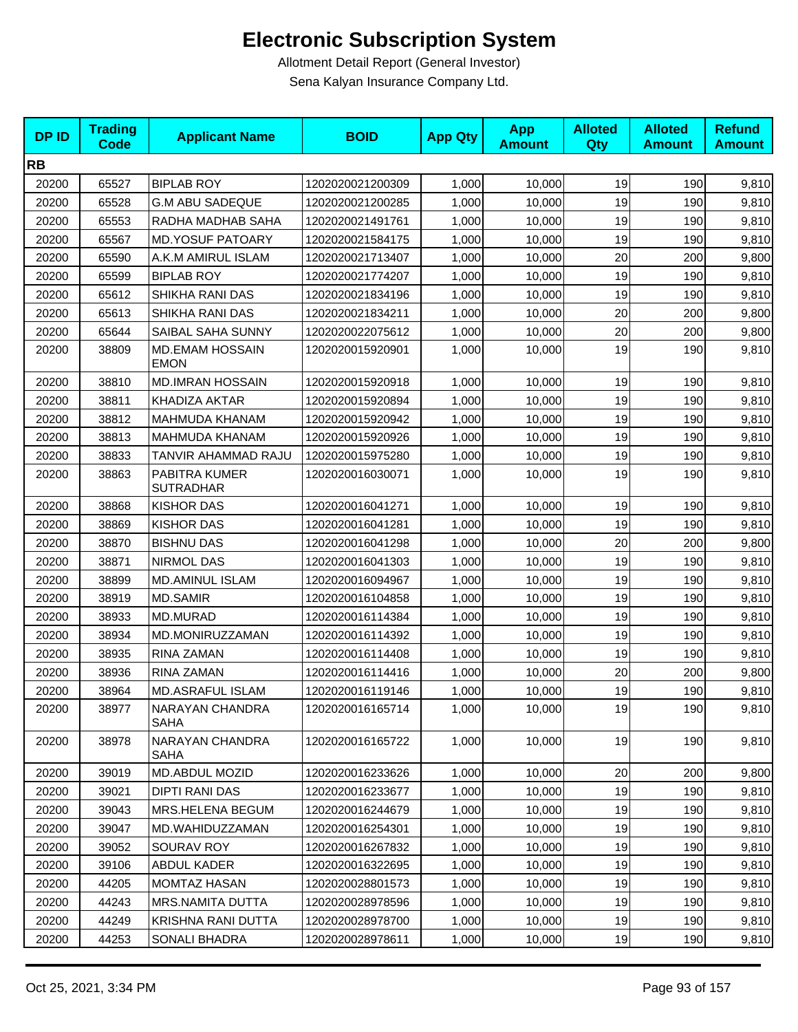| <b>DPID</b> | <b>Trading</b><br><b>Code</b> | <b>Applicant Name</b>                 | <b>BOID</b>      | <b>App Qty</b> | <b>App</b><br><b>Amount</b> | <b>Alloted</b><br>Qty | <b>Alloted</b><br><b>Amount</b> | <b>Refund</b><br><b>Amount</b> |
|-------------|-------------------------------|---------------------------------------|------------------|----------------|-----------------------------|-----------------------|---------------------------------|--------------------------------|
| <b>RB</b>   |                               |                                       |                  |                |                             |                       |                                 |                                |
| 20200       | 65527                         | <b>BIPLAB ROY</b>                     | 1202020021200309 | 1,000          | 10,000                      | 19                    | 190                             | 9,810                          |
| 20200       | 65528                         | <b>G.M ABU SADEQUE</b>                | 1202020021200285 | 1,000          | 10,000                      | 19                    | 190                             | 9,810                          |
| 20200       | 65553                         | RADHA MADHAB SAHA                     | 1202020021491761 | 1,000          | 10,000                      | 19                    | 190                             | 9,810                          |
| 20200       | 65567                         | <b>MD.YOSUF PATOARY</b>               | 1202020021584175 | 1,000          | 10,000                      | 19                    | 190                             | 9,810                          |
| 20200       | 65590                         | A.K.M AMIRUL ISLAM                    | 1202020021713407 | 1,000          | 10,000                      | 20                    | 200                             | 9,800                          |
| 20200       | 65599                         | <b>BIPLAB ROY</b>                     | 1202020021774207 | 1,000          | 10,000                      | 19                    | 190                             | 9,810                          |
| 20200       | 65612                         | SHIKHA RANI DAS                       | 1202020021834196 | 1,000          | 10,000                      | 19                    | 190                             | 9,810                          |
| 20200       | 65613                         | SHIKHA RANI DAS                       | 1202020021834211 | 1,000          | 10,000                      | 20                    | 200                             | 9,800                          |
| 20200       | 65644                         | SAIBAL SAHA SUNNY                     | 1202020022075612 | 1,000          | 10,000                      | 20                    | 200                             | 9,800                          |
| 20200       | 38809                         | <b>MD.EMAM HOSSAIN</b><br><b>EMON</b> | 1202020015920901 | 1,000          | 10,000                      | 19                    | 190                             | 9,810                          |
| 20200       | 38810                         | <b>MD.IMRAN HOSSAIN</b>               | 1202020015920918 | 1,000          | 10,000                      | 19                    | 190                             | 9,810                          |
| 20200       | 38811                         | KHADIZA AKTAR                         | 1202020015920894 | 1,000          | 10,000                      | 19                    | 190                             | 9,810                          |
| 20200       | 38812                         | MAHMUDA KHANAM                        | 1202020015920942 | 1,000          | 10,000                      | 19                    | 190                             | 9,810                          |
| 20200       | 38813                         | MAHMUDA KHANAM                        | 1202020015920926 | 1,000          | 10,000                      | 19                    | 190                             | 9,810                          |
| 20200       | 38833                         | TANVIR AHAMMAD RAJU                   | 1202020015975280 | 1,000          | 10,000                      | 19                    | 190                             | 9,810                          |
| 20200       | 38863                         | PABITRA KUMER<br><b>SUTRADHAR</b>     | 1202020016030071 | 1,000          | 10,000                      | 19                    | 190                             | 9,810                          |
| 20200       | 38868                         | <b>KISHOR DAS</b>                     | 1202020016041271 | 1,000          | 10,000                      | 19                    | 190                             | 9,810                          |
| 20200       | 38869                         | <b>KISHOR DAS</b>                     | 1202020016041281 | 1,000          | 10,000                      | 19                    | 190                             | 9,810                          |
| 20200       | 38870                         | <b>BISHNU DAS</b>                     | 1202020016041298 | 1,000          | 10,000                      | 20                    | 200                             | 9,800                          |
| 20200       | 38871                         | <b>NIRMOL DAS</b>                     | 1202020016041303 | 1,000          | 10,000                      | 19                    | 190                             | 9,810                          |
| 20200       | 38899                         | <b>MD.AMINUL ISLAM</b>                | 1202020016094967 | 1,000          | 10,000                      | 19                    | 190                             | 9,810                          |
| 20200       | 38919                         | <b>MD.SAMIR</b>                       | 1202020016104858 | 1,000          | 10,000                      | 19                    | 190                             | 9,810                          |
| 20200       | 38933                         | MD.MURAD                              | 1202020016114384 | 1,000          | 10,000                      | 19                    | 190                             | 9,810                          |
| 20200       | 38934                         | MD.MONIRUZZAMAN                       | 1202020016114392 | 1,000          | 10,000                      | 19                    | 190                             | 9,810                          |
| 20200       | 38935                         | RINA ZAMAN                            | 1202020016114408 | 1,000          | 10,000                      | 19                    | 190                             | 9,810                          |
| 20200       | 38936                         | RINA ZAMAN                            | 1202020016114416 | 1,000          | 10,000                      | 20                    | 200                             | 9,800                          |
| 20200       | 38964                         | MD.ASRAFUL ISLAM                      | 1202020016119146 | 1,000          | 10,000                      | 19                    | 190                             | 9,810                          |
| 20200       | 38977                         | NARAYAN CHANDRA<br><b>SAHA</b>        | 1202020016165714 | 1,000          | 10,000                      | 19                    | 190                             | 9,810                          |
| 20200       | 38978                         | NARAYAN CHANDRA<br>SAHA               | 1202020016165722 | 1,000          | 10,000                      | 19                    | 190                             | 9,810                          |
| 20200       | 39019                         | MD.ABDUL MOZID                        | 1202020016233626 | 1,000          | 10,000                      | 20                    | 200                             | 9,800                          |
| 20200       | 39021                         | DIPTI RANI DAS                        | 1202020016233677 | 1,000          | 10,000                      | 19                    | 190                             | 9,810                          |
| 20200       | 39043                         | MRS.HELENA BEGUM                      | 1202020016244679 | 1,000          | 10,000                      | 19                    | 190                             | 9,810                          |
| 20200       | 39047                         | MD.WAHIDUZZAMAN                       | 1202020016254301 | 1,000          | 10,000                      | 19                    | 190                             | 9,810                          |
| 20200       | 39052                         | SOURAV ROY                            | 1202020016267832 | 1,000          | 10,000                      | 19                    | 190                             | 9,810                          |
| 20200       | 39106                         | ABDUL KADER                           | 1202020016322695 | 1,000          | 10,000                      | 19                    | 190                             | 9,810                          |
| 20200       | 44205                         | MOMTAZ HASAN                          | 1202020028801573 | 1,000          | 10,000                      | 19                    | 190                             | 9,810                          |
| 20200       | 44243                         | <b>MRS.NAMITA DUTTA</b>               | 1202020028978596 | 1,000          | 10,000                      | 19                    | 190                             | 9,810                          |
| 20200       | 44249                         | KRISHNA RANI DUTTA                    | 1202020028978700 | 1,000          | 10,000                      | 19                    | 190                             | 9,810                          |
| 20200       | 44253                         | SONALI BHADRA                         | 1202020028978611 | 1,000          | 10,000                      | 19                    | 190                             | 9,810                          |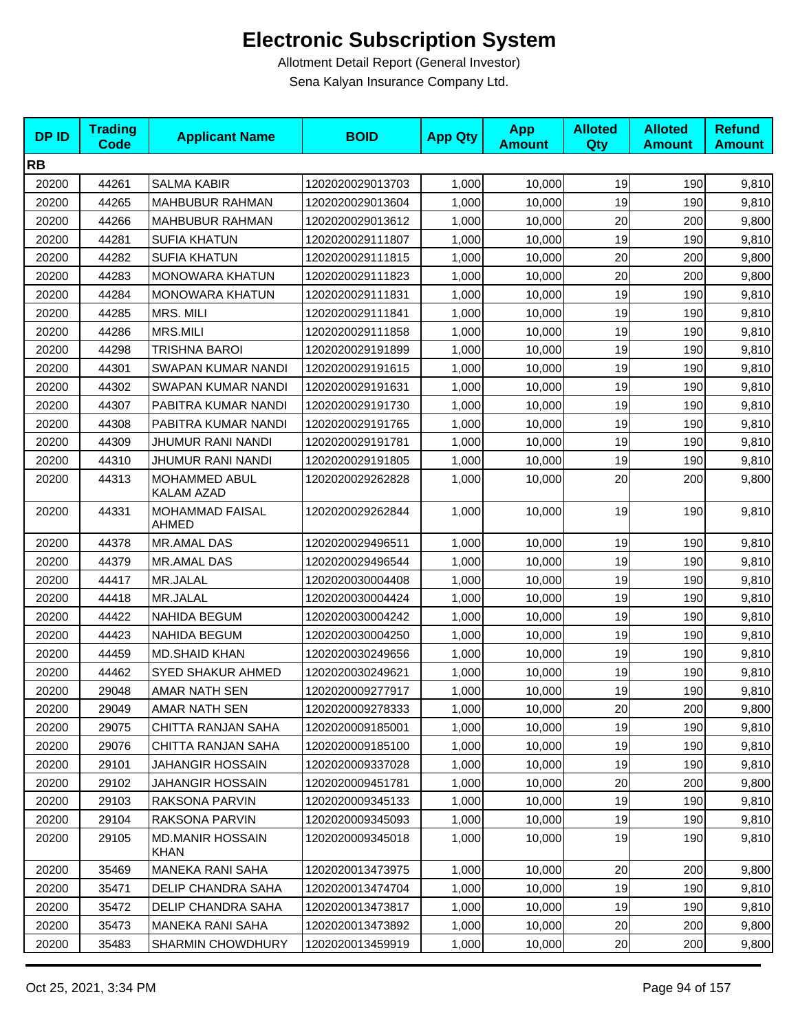| <b>DPID</b> | <b>Trading</b><br><b>Code</b> | <b>Applicant Name</b>                  | <b>BOID</b>      | <b>App Qty</b> | <b>App</b><br><b>Amount</b> | <b>Alloted</b><br>Qty | <b>Alloted</b><br><b>Amount</b> | <b>Refund</b><br><b>Amount</b> |
|-------------|-------------------------------|----------------------------------------|------------------|----------------|-----------------------------|-----------------------|---------------------------------|--------------------------------|
| <b>RB</b>   |                               |                                        |                  |                |                             |                       |                                 |                                |
| 20200       | 44261                         | <b>SALMA KABIR</b>                     | 1202020029013703 | 1,000          | 10,000                      | 19                    | 190                             | 9,810                          |
| 20200       | 44265                         | <b>MAHBUBUR RAHMAN</b>                 | 1202020029013604 | 1,000          | 10,000                      | 19                    | 190                             | 9,810                          |
| 20200       | 44266                         | <b>MAHBUBUR RAHMAN</b>                 | 1202020029013612 | 1,000          | 10,000                      | 20                    | 200                             | 9,800                          |
| 20200       | 44281                         | <b>SUFIA KHATUN</b>                    | 1202020029111807 | 1,000          | 10,000                      | 19                    | 190                             | 9,810                          |
| 20200       | 44282                         | <b>SUFIA KHATUN</b>                    | 1202020029111815 | 1,000          | 10,000                      | 20                    | 200                             | 9,800                          |
| 20200       | 44283                         | <b>MONOWARA KHATUN</b>                 | 1202020029111823 | 1,000          | 10,000                      | 20                    | 200                             | 9,800                          |
| 20200       | 44284                         | <b>MONOWARA KHATUN</b>                 | 1202020029111831 | 1,000          | 10,000                      | 19                    | 190                             | 9,810                          |
| 20200       | 44285                         | MRS. MILI                              | 1202020029111841 | 1,000          | 10,000                      | 19                    | 190                             | 9,810                          |
| 20200       | 44286                         | <b>MRS.MILI</b>                        | 1202020029111858 | 1,000          | 10,000                      | 19                    | 190                             | 9,810                          |
| 20200       | 44298                         | TRISHNA BAROI                          | 1202020029191899 | 1,000          | 10,000                      | 19                    | 190                             | 9,810                          |
| 20200       | 44301                         | SWAPAN KUMAR NANDI                     | 1202020029191615 | 1,000          | 10,000                      | 19                    | 190                             | 9,810                          |
| 20200       | 44302                         | SWAPAN KUMAR NANDI                     | 1202020029191631 | 1,000          | 10,000                      | 19                    | 190                             | 9,810                          |
| 20200       | 44307                         | PABITRA KUMAR NANDI                    | 1202020029191730 | 1,000          | 10,000                      | 19                    | 190                             | 9,810                          |
| 20200       | 44308                         | PABITRA KUMAR NANDI                    | 1202020029191765 | 1,000          | 10,000                      | 19                    | 190                             | 9,810                          |
| 20200       | 44309                         | JHUMUR RANI NANDI                      | 1202020029191781 | 1,000          | 10,000                      | 19                    | 190                             | 9,810                          |
| 20200       | 44310                         | JHUMUR RANI NANDI                      | 1202020029191805 | 1,000          | 10,000                      | 19                    | 190                             | 9,810                          |
| 20200       | 44313                         | MOHAMMED ABUL<br>KALAM AZAD            | 1202020029262828 | 1,000          | 10,000                      | 20                    | 200                             | 9,800                          |
| 20200       | 44331                         | MOHAMMAD FAISAL<br>AHMED               | 1202020029262844 | 1,000          | 10,000                      | 19                    | 190                             | 9,810                          |
| 20200       | 44378                         | MR.AMAL DAS                            | 1202020029496511 | 1,000          | 10,000                      | 19                    | 190                             | 9,810                          |
| 20200       | 44379                         | <b>MR.AMAL DAS</b>                     | 1202020029496544 | 1,000          | 10,000                      | 19                    | 190                             | 9,810                          |
| 20200       | 44417                         | MR.JALAL                               | 1202020030004408 | 1,000          | 10,000                      | 19                    | 190                             | 9,810                          |
| 20200       | 44418                         | MR.JALAL                               | 1202020030004424 | 1,000          | 10,000                      | 19                    | 190                             | 9,810                          |
| 20200       | 44422                         | NAHIDA BEGUM                           | 1202020030004242 | 1,000          | 10,000                      | 19                    | 190                             | 9,810                          |
| 20200       | 44423                         | <b>NAHIDA BEGUM</b>                    | 1202020030004250 | 1,000          | 10,000                      | 19                    | 190                             | 9,810                          |
| 20200       | 44459                         | <b>MD.SHAID KHAN</b>                   | 1202020030249656 | 1,000          | 10,000                      | 19                    | 190                             | 9,810                          |
| 20200       | 44462                         | SYED SHAKUR AHMED                      | 1202020030249621 | 1,000          | 10,000                      | 19                    | 190                             | 9,810                          |
| 20200       | 29048                         | AMAR NATH SEN                          | 1202020009277917 | 1,000          | 10,000                      | 19                    | 190                             | 9,810                          |
| 20200       | 29049                         | AMAR NATH SEN                          | 1202020009278333 | 1,000          | 10,000                      | 20                    | 200                             | 9,800                          |
| 20200       | 29075                         | CHITTA RANJAN SAHA                     | 1202020009185001 | 1,000          | 10,000                      | 19                    | 190                             | 9,810                          |
| 20200       | 29076                         | CHITTA RANJAN SAHA                     | 1202020009185100 | 1,000          | 10,000                      | 19                    | 190                             | 9,810                          |
| 20200       | 29101                         | <b>JAHANGIR HOSSAIN</b>                | 1202020009337028 | 1,000          | 10,000                      | 19                    | 190                             | 9,810                          |
| 20200       | 29102                         | <b>JAHANGIR HOSSAIN</b>                | 1202020009451781 | 1,000          | 10,000                      | 20                    | 200                             | 9,800                          |
| 20200       | 29103                         | RAKSONA PARVIN                         | 1202020009345133 | 1,000          | 10,000                      | 19                    | 190                             | 9,810                          |
| 20200       | 29104                         | RAKSONA PARVIN                         | 1202020009345093 | 1,000          | 10,000                      | 19                    | 190                             | 9,810                          |
| 20200       | 29105                         | <b>MD.MANIR HOSSAIN</b><br><b>KHAN</b> | 1202020009345018 | 1,000          | 10,000                      | 19                    | 190                             | 9,810                          |
| 20200       | 35469                         | <b>MANEKA RANI SAHA</b>                | 1202020013473975 | 1,000          | 10,000                      | 20                    | 200                             | 9,800                          |
| 20200       | 35471                         | DELIP CHANDRA SAHA                     | 1202020013474704 | 1,000          | 10,000                      | 19                    | 190                             | 9,810                          |
| 20200       | 35472                         | DELIP CHANDRA SAHA                     | 1202020013473817 | 1,000          | 10,000                      | 19                    | 190                             | 9,810                          |
| 20200       | 35473                         | <b>MANEKA RANI SAHA</b>                | 1202020013473892 | 1,000          | 10,000                      | 20                    | 200                             | 9,800                          |
| 20200       | 35483                         | SHARMIN CHOWDHURY                      | 1202020013459919 | 1,000          | 10,000                      | 20                    | 200                             | 9,800                          |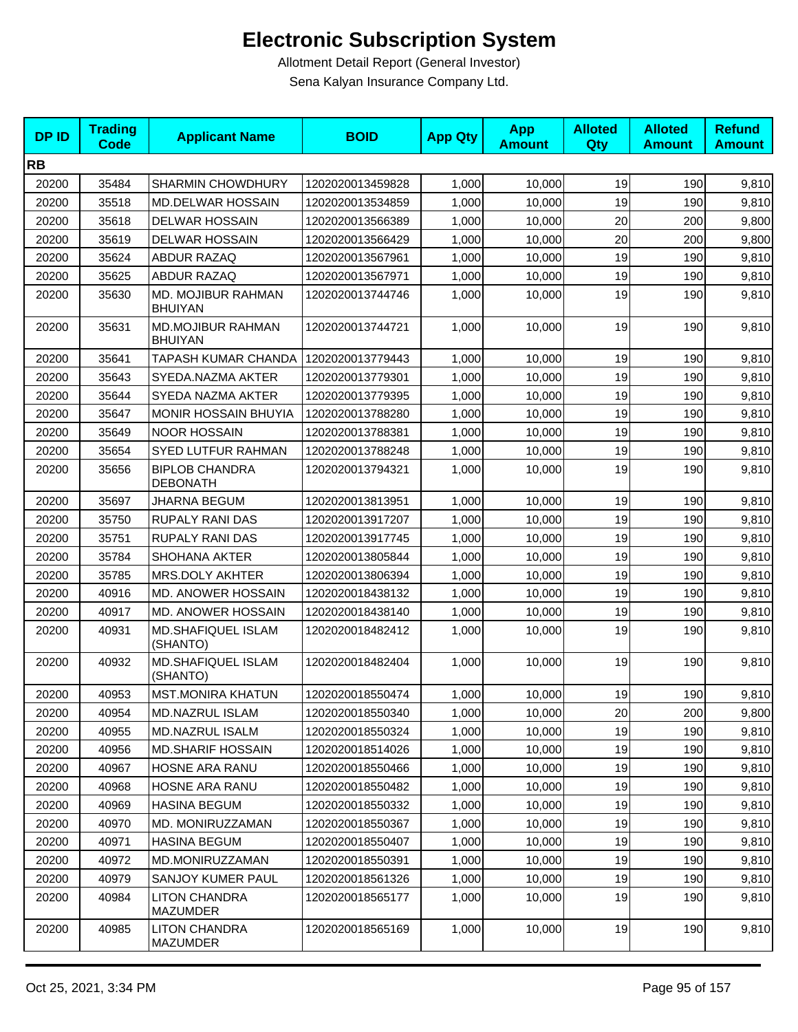| <b>DPID</b> | <b>Trading</b><br>Code | <b>Applicant Name</b>                      | <b>BOID</b>      | <b>App Qty</b> | <b>App</b><br><b>Amount</b> | <b>Alloted</b><br>Qty | <b>Alloted</b><br><b>Amount</b> | <b>Refund</b><br><b>Amount</b> |
|-------------|------------------------|--------------------------------------------|------------------|----------------|-----------------------------|-----------------------|---------------------------------|--------------------------------|
| <b>RB</b>   |                        |                                            |                  |                |                             |                       |                                 |                                |
| 20200       | 35484                  | <b>SHARMIN CHOWDHURY</b>                   | 1202020013459828 | 1,000          | 10,000                      | 19                    | 190                             | 9,810                          |
| 20200       | 35518                  | MD.DELWAR HOSSAIN                          | 1202020013534859 | 1,000          | 10,000                      | 19                    | 190                             | 9,810                          |
| 20200       | 35618                  | <b>DELWAR HOSSAIN</b>                      | 1202020013566389 | 1,000          | 10,000                      | 20                    | 200                             | 9,800                          |
| 20200       | 35619                  | <b>DELWAR HOSSAIN</b>                      | 1202020013566429 | 1,000          | 10,000                      | 20                    | 200                             | 9,800                          |
| 20200       | 35624                  | <b>ABDUR RAZAQ</b>                         | 1202020013567961 | 1,000          | 10,000                      | 19                    | 190                             | 9,810                          |
| 20200       | 35625                  | <b>ABDUR RAZAQ</b>                         | 1202020013567971 | 1,000          | 10,000                      | 19                    | 190                             | 9,810                          |
| 20200       | 35630                  | MD. MOJIBUR RAHMAN<br><b>BHUIYAN</b>       | 1202020013744746 | 1,000          | 10,000                      | 19                    | 190                             | 9,810                          |
| 20200       | 35631                  | <b>MD.MOJIBUR RAHMAN</b><br><b>BHUIYAN</b> | 1202020013744721 | 1,000          | 10,000                      | 19                    | 190                             | 9,810                          |
| 20200       | 35641                  | TAPASH KUMAR CHANDA                        | 1202020013779443 | 1,000          | 10,000                      | 19                    | 190                             | 9,810                          |
| 20200       | 35643                  | SYEDA.NAZMA AKTER                          | 1202020013779301 | 1,000          | 10.000                      | 19                    | 190                             | 9,810                          |
| 20200       | 35644                  | SYEDA NAZMA AKTER                          | 1202020013779395 | 1,000          | 10,000                      | 19                    | 190                             | 9,810                          |
| 20200       | 35647                  | <b>MONIR HOSSAIN BHUYIA</b>                | 1202020013788280 | 1,000          | 10,000                      | 19                    | 190                             | 9,810                          |
| 20200       | 35649                  | <b>NOOR HOSSAIN</b>                        | 1202020013788381 | 1,000          | 10,000                      | 19                    | 190                             | 9,810                          |
| 20200       | 35654                  | SYED LUTFUR RAHMAN                         | 1202020013788248 | 1,000          | 10,000                      | 19                    | 190                             | 9,810                          |
| 20200       | 35656                  | <b>BIPLOB CHANDRA</b><br><b>DEBONATH</b>   | 1202020013794321 | 1,000          | 10,000                      | 19                    | 190                             | 9,810                          |
| 20200       | 35697                  | JHARNA BEGUM                               | 1202020013813951 | 1,000          | 10,000                      | 19                    | 190                             | 9,810                          |
| 20200       | 35750                  | <b>RUPALY RANI DAS</b>                     | 1202020013917207 | 1,000          | 10,000                      | 19                    | 190                             | 9,810                          |
| 20200       | 35751                  | RUPALY RANI DAS                            | 1202020013917745 | 1,000          | 10,000                      | 19                    | 190                             | 9,810                          |
| 20200       | 35784                  | <b>SHOHANA AKTER</b>                       | 1202020013805844 | 1,000          | 10,000                      | 19                    | 190                             | 9,810                          |
| 20200       | 35785                  | MRS.DOLY AKHTER                            | 1202020013806394 | 1,000          | 10,000                      | 19                    | 190                             | 9,810                          |
| 20200       | 40916                  | MD. ANOWER HOSSAIN                         | 1202020018438132 | 1,000          | 10,000                      | 19                    | 190                             | 9,810                          |
| 20200       | 40917                  | MD. ANOWER HOSSAIN                         | 1202020018438140 | 1,000          | 10,000                      | 19                    | 190                             | 9,810                          |
| 20200       | 40931                  | <b>MD.SHAFIQUEL ISLAM</b><br>(SHANTO)      | 1202020018482412 | 1,000          | 10,000                      | 19                    | 190                             | 9,810                          |
| 20200       | 40932                  | MD.SHAFIQUEL ISLAM<br>(SHANTO)             | 1202020018482404 | 1,000          | 10,000                      | 19                    | 190                             | 9,810                          |
| 20200       | 40953                  | <b>MST.MONIRA KHATUN</b>                   | 1202020018550474 | 1,000          | 10,000                      | 19                    | 190                             | 9,810                          |
| 20200       | 40954                  | <b>MD.NAZRUL ISLAM</b>                     | 1202020018550340 | 1,000          | 10,000                      | 20                    | 200                             | 9,800                          |
| 20200       | 40955                  | <b>MD.NAZRUL ISALM</b>                     | 1202020018550324 | 1,000          | 10,000                      | 19                    | 190                             | 9,810                          |
| 20200       | 40956                  | <b>MD.SHARIF HOSSAIN</b>                   | 1202020018514026 | 1,000          | 10,000                      | 19                    | 190                             | 9,810                          |
| 20200       | 40967                  | HOSNE ARA RANU                             | 1202020018550466 | 1,000          | 10,000                      | 19                    | 190                             | 9,810                          |
| 20200       | 40968                  | HOSNE ARA RANU                             | 1202020018550482 | 1,000          | 10,000                      | 19                    | 190                             | 9,810                          |
| 20200       | 40969                  | <b>HASINA BEGUM</b>                        | 1202020018550332 | 1,000          | 10,000                      | 19                    | 190                             | 9,810                          |
| 20200       | 40970                  | MD. MONIRUZZAMAN                           | 1202020018550367 | 1,000          | 10,000                      | 19                    | 190                             | 9,810                          |
| 20200       | 40971                  | <b>HASINA BEGUM</b>                        | 1202020018550407 | 1,000          | 10,000                      | 19                    | 190                             | 9,810                          |
| 20200       | 40972                  | MD.MONIRUZZAMAN                            | 1202020018550391 | 1,000          | 10,000                      | 19                    | 190                             | 9,810                          |
| 20200       | 40979                  | SANJOY KUMER PAUL                          | 1202020018561326 | 1,000          | 10,000                      | 19                    | 190                             | 9,810                          |
| 20200       | 40984                  | <b>LITON CHANDRA</b><br><b>MAZUMDER</b>    | 1202020018565177 | 1,000          | 10,000                      | 19                    | 190                             | 9,810                          |
| 20200       | 40985                  | <b>LITON CHANDRA</b><br>MAZUMDER           | 1202020018565169 | 1,000          | 10,000                      | 19                    | 190                             | 9,810                          |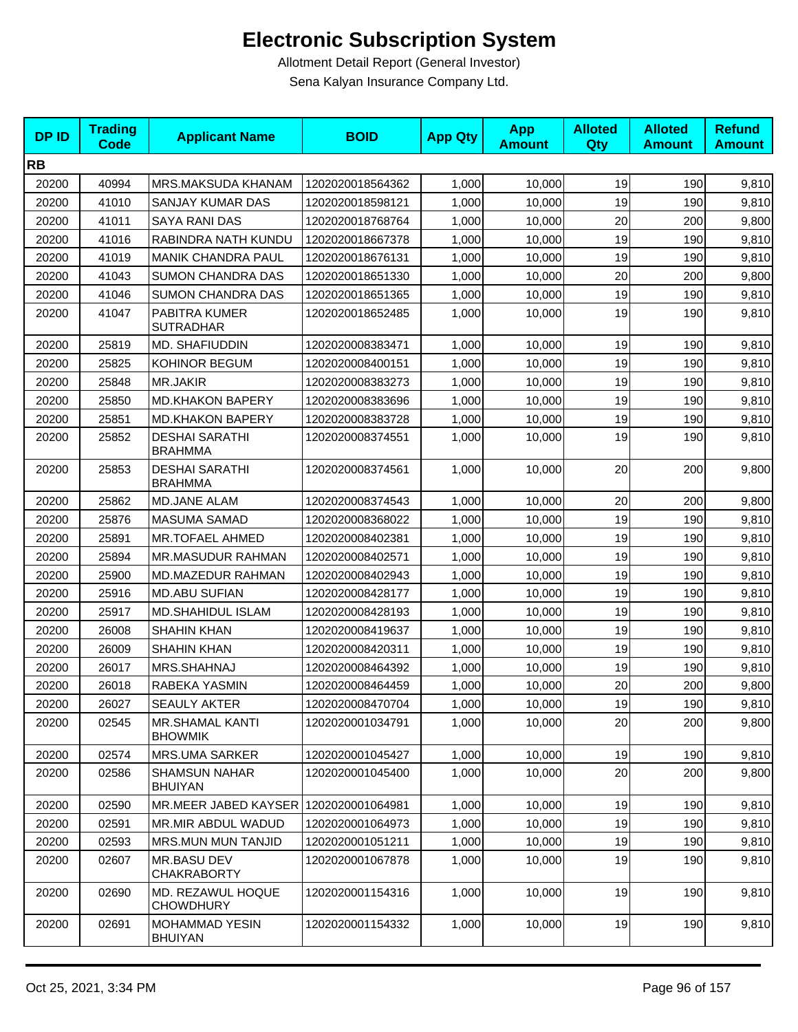| <b>DPID</b> | <b>Trading</b><br><b>Code</b> | <b>Applicant Name</b>                    | <b>BOID</b>      | <b>App Qty</b> | <b>App</b><br><b>Amount</b> | <b>Alloted</b><br>Qty | <b>Alloted</b><br><b>Amount</b> | <b>Refund</b><br><b>Amount</b> |
|-------------|-------------------------------|------------------------------------------|------------------|----------------|-----------------------------|-----------------------|---------------------------------|--------------------------------|
| <b>RB</b>   |                               |                                          |                  |                |                             |                       |                                 |                                |
| 20200       | 40994                         | MRS.MAKSUDA KHANAM                       | 1202020018564362 | 1,000          | 10,000                      | 19                    | 190                             | 9,810                          |
| 20200       | 41010                         | SANJAY KUMAR DAS                         | 1202020018598121 | 1,000          | 10,000                      | 19                    | 190                             | 9,810                          |
| 20200       | 41011                         | <b>SAYA RANI DAS</b>                     | 1202020018768764 | 1,000          | 10,000                      | 20                    | 200                             | 9,800                          |
| 20200       | 41016                         | RABINDRA NATH KUNDU                      | 1202020018667378 | 1,000          | 10,000                      | 19                    | 190                             | 9,810                          |
| 20200       | 41019                         | <b>MANIK CHANDRA PAUL</b>                | 1202020018676131 | 1,000          | 10,000                      | 19                    | 190                             | 9,810                          |
| 20200       | 41043                         | <b>SUMON CHANDRA DAS</b>                 | 1202020018651330 | 1,000          | 10,000                      | 20                    | 200                             | 9,800                          |
| 20200       | 41046                         | <b>SUMON CHANDRA DAS</b>                 | 1202020018651365 | 1,000          | 10,000                      | 19                    | 190                             | 9,810                          |
| 20200       | 41047                         | <b>PABITRA KUMER</b><br><b>SUTRADHAR</b> | 1202020018652485 | 1,000          | 10,000                      | 19                    | 190                             | 9,810                          |
| 20200       | 25819                         | MD. SHAFIUDDIN                           | 1202020008383471 | 1,000          | 10,000                      | 19                    | 190                             | 9,810                          |
| 20200       | 25825                         | KOHINOR BEGUM                            | 1202020008400151 | 1,000          | 10,000                      | 19                    | 190                             | 9,810                          |
| 20200       | 25848                         | MR.JAKIR                                 | 1202020008383273 | 1,000          | 10,000                      | 19                    | 190                             | 9,810                          |
| 20200       | 25850                         | <b>MD.KHAKON BAPERY</b>                  | 1202020008383696 | 1,000          | 10,000                      | 19                    | 190                             | 9,810                          |
| 20200       | 25851                         | <b>MD.KHAKON BAPERY</b>                  | 1202020008383728 | 1,000          | 10,000                      | 19                    | 190                             | 9,810                          |
| 20200       | 25852                         | <b>DESHAI SARATHI</b><br><b>BRAHMMA</b>  | 1202020008374551 | 1,000          | 10,000                      | 19                    | 190                             | 9,810                          |
| 20200       | 25853                         | <b>DESHAI SARATHI</b><br><b>BRAHMMA</b>  | 1202020008374561 | 1,000          | 10,000                      | 20                    | 200                             | 9,800                          |
| 20200       | 25862                         | <b>MD.JANE ALAM</b>                      | 1202020008374543 | 1,000          | 10,000                      | 20                    | 200                             | 9,800                          |
| 20200       | 25876                         | <b>MASUMA SAMAD</b>                      | 1202020008368022 | 1,000          | 10,000                      | 19                    | 190                             | 9,810                          |
| 20200       | 25891                         | MR.TOFAEL AHMED                          | 1202020008402381 | 1,000          | 10,000                      | 19                    | 190                             | 9,810                          |
| 20200       | 25894                         | MR.MASUDUR RAHMAN                        | 1202020008402571 | 1,000          | 10,000                      | 19                    | 190                             | 9,810                          |
| 20200       | 25900                         | MD.MAZEDUR RAHMAN                        | 1202020008402943 | 1,000          | 10,000                      | 19                    | 190                             | 9,810                          |
| 20200       | 25916                         | <b>MD.ABU SUFIAN</b>                     | 1202020008428177 | 1,000          | 10,000                      | 19                    | 190                             | 9,810                          |
| 20200       | 25917                         | <b>MD.SHAHIDUL ISLAM</b>                 | 1202020008428193 | 1,000          | 10,000                      | 19                    | 190                             | 9,810                          |
| 20200       | 26008                         | <b>SHAHIN KHAN</b>                       | 1202020008419637 | 1,000          | 10,000                      | 19                    | 190                             | 9,810                          |
| 20200       | 26009                         | <b>SHAHIN KHAN</b>                       | 1202020008420311 | 1,000          | 10,000                      | 19                    | 190                             | 9,810                          |
| 20200       | 26017                         | MRS.SHAHNAJ                              | 1202020008464392 | 1,000          | 10.000                      | 19                    | 190                             | 9,810                          |
| 20200       | 26018                         | RABEKA YASMIN                            | 1202020008464459 | 1,000          | 10,000                      | 20                    | 200                             | 9,800                          |
| 20200       | 26027                         | SEAULY AKTER                             | 1202020008470704 | 1,000          | 10,000                      | 19                    | 190                             | 9,810                          |
| 20200       | 02545                         | <b>MR.SHAMAL KANTI</b><br><b>BHOWMIK</b> | 1202020001034791 | 1,000          | 10,000                      | 20                    | 200                             | 9,800                          |
| 20200       | 02574                         | <b>MRS.UMA SARKER</b>                    | 1202020001045427 | 1,000          | 10,000                      | 19                    | 190                             | 9,810                          |
| 20200       | 02586                         | <b>SHAMSUN NAHAR</b><br><b>BHUIYAN</b>   | 1202020001045400 | 1,000          | 10,000                      | 20                    | 200                             | 9,800                          |
| 20200       | 02590                         | MR.MEER JABED KAYSER                     | 1202020001064981 | 1,000          | 10,000                      | 19                    | 190                             | 9,810                          |
| 20200       | 02591                         | MR.MIR ABDUL WADUD                       | 1202020001064973 | 1,000          | 10,000                      | 19                    | 190                             | 9,810                          |
| 20200       | 02593                         | MRS.MUN MUN TANJID                       | 1202020001051211 | 1,000          | 10,000                      | 19                    | 190                             | 9,810                          |
| 20200       | 02607                         | <b>MR.BASU DEV</b><br><b>CHAKRABORTY</b> | 1202020001067878 | 1.000          | 10.000                      | 19                    | 190                             | 9,810                          |
| 20200       | 02690                         | MD. REZAWUL HOQUE<br><b>CHOWDHURY</b>    | 1202020001154316 | 1,000          | 10,000                      | 19                    | 190                             | 9,810                          |
| 20200       | 02691                         | MOHAMMAD YESIN<br><b>BHUIYAN</b>         | 1202020001154332 | 1,000          | 10,000                      | 19                    | 190                             | 9,810                          |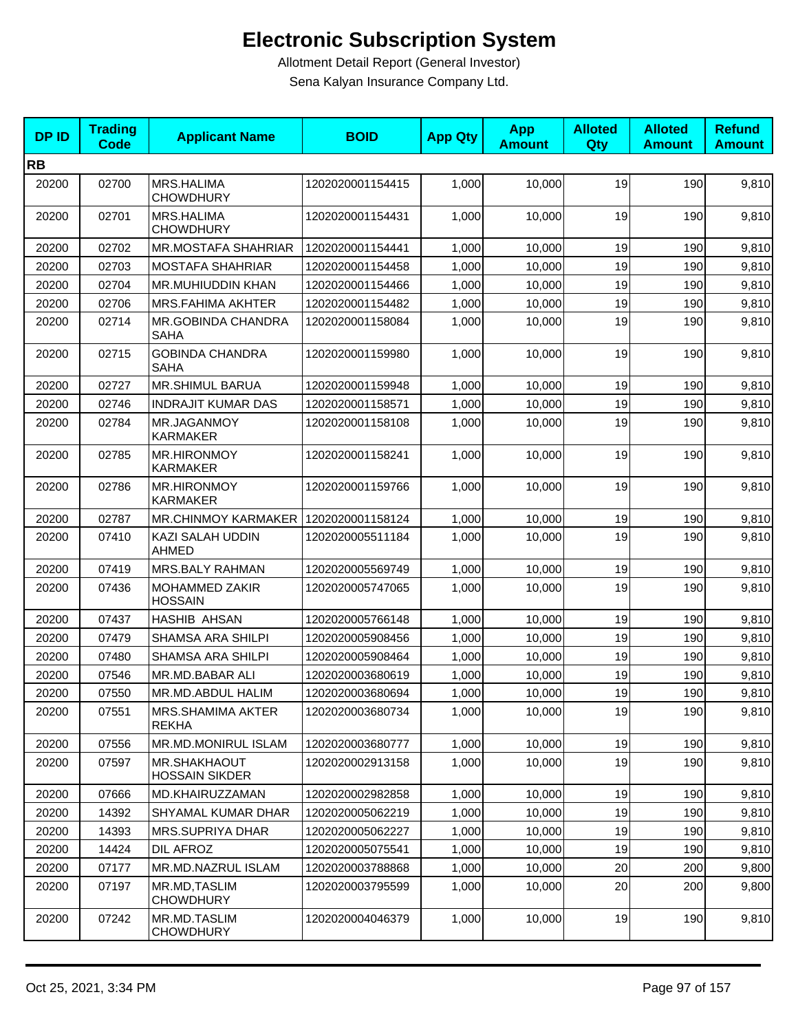| <b>DPID</b> | <b>Trading</b><br><b>Code</b> | <b>Applicant Name</b>                        | <b>BOID</b>      | <b>App Qty</b> | <b>App</b><br><b>Amount</b> | <b>Alloted</b><br>Qty | <b>Alloted</b><br><b>Amount</b> | <b>Refund</b><br><b>Amount</b> |
|-------------|-------------------------------|----------------------------------------------|------------------|----------------|-----------------------------|-----------------------|---------------------------------|--------------------------------|
| <b>RB</b>   |                               |                                              |                  |                |                             |                       |                                 |                                |
| 20200       | 02700                         | MRS.HALIMA<br><b>CHOWDHURY</b>               | 1202020001154415 | 1,000          | 10,000                      | 19                    | 190                             | 9,810                          |
| 20200       | 02701                         | <b>MRS.HALIMA</b><br><b>CHOWDHURY</b>        | 1202020001154431 | 1,000          | 10,000                      | 19                    | 190                             | 9,810                          |
| 20200       | 02702                         | <b>MR.MOSTAFA SHAHRIAR</b>                   | 1202020001154441 | 1,000          | 10,000                      | 19                    | 190                             | 9,810                          |
| 20200       | 02703                         | <b>MOSTAFA SHAHRIAR</b>                      | 1202020001154458 | 1,000          | 10,000                      | 19                    | 190                             | 9,810                          |
| 20200       | 02704                         | MR.MUHIUDDIN KHAN                            | 1202020001154466 | 1,000          | 10,000                      | 19                    | 190                             | 9,810                          |
| 20200       | 02706                         | <b>MRS.FAHIMA AKHTER</b>                     | 1202020001154482 | 1,000          | 10,000                      | 19                    | 190                             | 9,810                          |
| 20200       | 02714                         | <b>MR.GOBINDA CHANDRA</b><br><b>SAHA</b>     | 1202020001158084 | 1,000          | 10,000                      | 19                    | 190                             | 9,810                          |
| 20200       | 02715                         | <b>GOBINDA CHANDRA</b><br><b>SAHA</b>        | 1202020001159980 | 1,000          | 10,000                      | 19                    | 190                             | 9,810                          |
| 20200       | 02727                         | <b>MR.SHIMUL BARUA</b>                       | 1202020001159948 | 1,000          | 10.000                      | 19                    | 190                             | 9,810                          |
| 20200       | 02746                         | <b>INDRAJIT KUMAR DAS</b>                    | 1202020001158571 | 1,000          | 10,000                      | 19                    | 190                             | 9,810                          |
| 20200       | 02784                         | MR.JAGANMOY<br><b>KARMAKER</b>               | 1202020001158108 | 1,000          | 10,000                      | 19                    | 190                             | 9,810                          |
| 20200       | 02785                         | <b>MR.HIRONMOY</b><br><b>KARMAKER</b>        | 1202020001158241 | 1,000          | 10,000                      | 19                    | 190                             | 9,810                          |
| 20200       | 02786                         | <b>MR.HIRONMOY</b><br><b>KARMAKER</b>        | 1202020001159766 | 1,000          | 10,000                      | 19                    | 190                             | 9,810                          |
| 20200       | 02787                         | MR.CHINMOY KARMAKER   1202020001158124       |                  | 1,000          | 10,000                      | 19                    | 190                             | 9,810                          |
| 20200       | 07410                         | KAZI SALAH UDDIN<br><b>AHMED</b>             | 1202020005511184 | 1,000          | 10,000                      | 19                    | 190                             | 9,810                          |
| 20200       | 07419                         | MRS.BALY RAHMAN                              | 1202020005569749 | 1,000          | 10,000                      | 19                    | 190                             | 9,810                          |
| 20200       | 07436                         | MOHAMMED ZAKIR<br><b>HOSSAIN</b>             | 1202020005747065 | 1,000          | 10,000                      | 19                    | 190                             | 9,810                          |
| 20200       | 07437                         | <b>HASHIB AHSAN</b>                          | 1202020005766148 | 1,000          | 10,000                      | 19                    | 190                             | 9,810                          |
| 20200       | 07479                         | <b>SHAMSA ARA SHILPI</b>                     | 1202020005908456 | 1,000          | 10,000                      | 19                    | 190                             | 9,810                          |
| 20200       | 07480                         | <b>SHAMSA ARA SHILPI</b>                     | 1202020005908464 | 1,000          | 10,000                      | 19                    | 190                             | 9,810                          |
| 20200       | 07546                         | <b>MR.MD.BABAR ALI</b>                       | 1202020003680619 | 1,000          | 10.000                      | 19                    | 190                             | 9,810                          |
| 20200       | 07550                         | MR.MD.ABDUL HALIM                            | 1202020003680694 | 1,000          | 10,000                      | 19                    | 190                             | 9,810                          |
| 20200       | 07551                         | <b>MRS.SHAMIMA AKTER</b><br><b>REKHA</b>     | 1202020003680734 | 1,000          | 10,000                      | 19                    | 190                             | 9,810                          |
| 20200       | 07556                         | MR.MD.MONIRUL ISLAM                          | 1202020003680777 | 1,000          | 10,000                      | 19                    | 190                             | 9,810                          |
| 20200       | 07597                         | <b>MR.SHAKHAOUT</b><br><b>HOSSAIN SIKDER</b> | 1202020002913158 | 1,000          | 10,000                      | 19                    | 190                             | 9,810                          |
| 20200       | 07666                         | MD.KHAIRUZZAMAN                              | 1202020002982858 | 1,000          | 10,000                      | 19                    | 190                             | 9,810                          |
| 20200       | 14392                         | SHYAMAL KUMAR DHAR                           | 1202020005062219 | 1,000          | 10,000                      | 19                    | 190                             | 9,810                          |
| 20200       | 14393                         | MRS.SUPRIYA DHAR                             | 1202020005062227 | 1,000          | 10,000                      | 19                    | 190                             | 9,810                          |
| 20200       | 14424                         | <b>DIL AFROZ</b>                             | 1202020005075541 | 1,000          | 10,000                      | 19                    | 190                             | 9,810                          |
| 20200       | 07177                         | MR.MD.NAZRUL ISLAM                           | 1202020003788868 | 1,000          | 10,000                      | 20                    | 200                             | 9,800                          |
| 20200       | 07197                         | MR.MD, TASLIM<br><b>CHOWDHURY</b>            | 1202020003795599 | 1,000          | 10,000                      | 20                    | 200                             | 9,800                          |
| 20200       | 07242                         | MR.MD.TASLIM<br><b>CHOWDHURY</b>             | 1202020004046379 | 1,000          | 10,000                      | 19                    | 190                             | 9,810                          |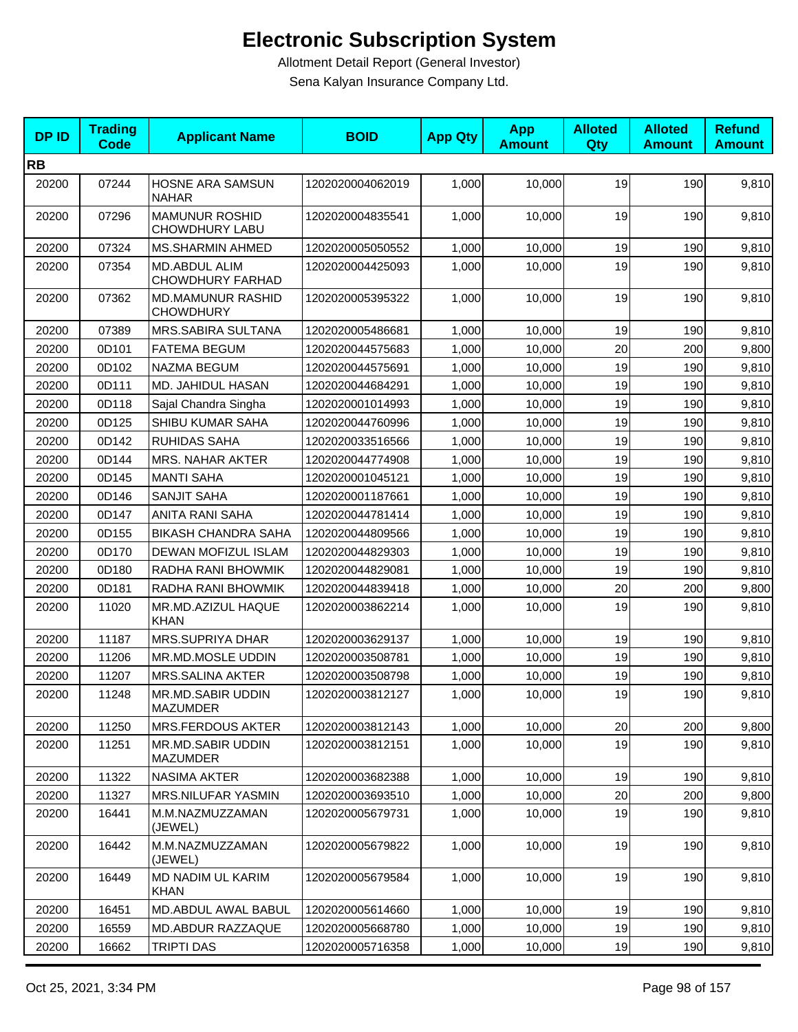| <b>DPID</b> | <b>Trading</b><br><b>Code</b> | <b>Applicant Name</b>                           | <b>BOID</b>      | <b>App Qty</b> | <b>App</b><br><b>Amount</b> | <b>Alloted</b><br>Qty | <b>Alloted</b><br><b>Amount</b> | <b>Refund</b><br><b>Amount</b> |
|-------------|-------------------------------|-------------------------------------------------|------------------|----------------|-----------------------------|-----------------------|---------------------------------|--------------------------------|
| <b>RB</b>   |                               |                                                 |                  |                |                             |                       |                                 |                                |
| 20200       | 07244                         | HOSNE ARA SAMSUN<br><b>NAHAR</b>                | 1202020004062019 | 1,000          | 10,000                      | 19                    | 190                             | 9,810                          |
| 20200       | 07296                         | <b>MAMUNUR ROSHID</b><br><b>CHOWDHURY LABU</b>  | 1202020004835541 | 1,000          | 10,000                      | 19                    | 190                             | 9,810                          |
| 20200       | 07324                         | MS.SHARMIN AHMED                                | 1202020005050552 | 1,000          | 10,000                      | 19                    | 190                             | 9,810                          |
| 20200       | 07354                         | <b>MD.ABDUL ALIM</b><br><b>CHOWDHURY FARHAD</b> | 1202020004425093 | 1,000          | 10,000                      | 19                    | 190                             | 9,810                          |
| 20200       | 07362                         | <b>MD.MAMUNUR RASHID</b><br><b>CHOWDHURY</b>    | 1202020005395322 | 1,000          | 10,000                      | 19                    | 190                             | 9,810                          |
| 20200       | 07389                         | MRS.SABIRA SULTANA                              | 1202020005486681 | 1,000          | 10,000                      | 19                    | 190                             | 9,810                          |
| 20200       | 0D101                         | <b>FATEMA BEGUM</b>                             | 1202020044575683 | 1,000          | 10,000                      | 20                    | 200                             | 9,800                          |
| 20200       | 0D102                         | NAZMA BEGUM                                     | 1202020044575691 | 1,000          | 10,000                      | 19                    | 190                             | 9,810                          |
| 20200       | 0D111                         | MD. JAHIDUL HASAN                               | 1202020044684291 | 1,000          | 10.000                      | 19                    | 190                             | 9,810                          |
| 20200       | 0D118                         | Sajal Chandra Singha                            | 1202020001014993 | 1,000          | 10,000                      | 19                    | 190                             | 9,810                          |
| 20200       | 0D125                         | SHIBU KUMAR SAHA                                | 1202020044760996 | 1,000          | 10,000                      | 19                    | 190                             | 9,810                          |
| 20200       | 0D142                         | <b>RUHIDAS SAHA</b>                             | 1202020033516566 | 1,000          | 10,000                      | 19                    | 190                             | 9,810                          |
| 20200       | 0D144                         | <b>MRS. NAHAR AKTER</b>                         | 1202020044774908 | 1,000          | 10,000                      | 19                    | 190                             | 9,810                          |
| 20200       | 0D145                         | <b>MANTI SAHA</b>                               | 1202020001045121 | 1,000          | 10,000                      | 19                    | 190                             | 9,810                          |
| 20200       | 0D146                         | <b>SANJIT SAHA</b>                              | 1202020001187661 | 1,000          | 10,000                      | 19                    | 190                             | 9,810                          |
| 20200       | 0D147                         | ANITA RANI SAHA                                 | 1202020044781414 | 1,000          | 10,000                      | 19                    | 190                             | 9,810                          |
| 20200       | 0D155                         | <b>BIKASH CHANDRA SAHA</b>                      | 1202020044809566 | 1,000          | 10,000                      | 19                    | 190                             | 9,810                          |
| 20200       | 0D170                         | DEWAN MOFIZUL ISLAM                             | 1202020044829303 | 1,000          | 10,000                      | 19                    | 190                             | 9,810                          |
| 20200       | 0D180                         | RADHA RANI BHOWMIK                              | 1202020044829081 | 1,000          | 10,000                      | 19                    | 190                             | 9,810                          |
| 20200       | 0D181                         | RADHA RANI BHOWMIK                              | 1202020044839418 | 1,000          | 10,000                      | 20                    | 200                             | 9,800                          |
| 20200       | 11020                         | MR.MD.AZIZUL HAQUE<br><b>KHAN</b>               | 1202020003862214 | 1,000          | 10,000                      | 19                    | 190                             | 9,810                          |
| 20200       | 11187                         | <b>MRS.SUPRIYA DHAR</b>                         | 1202020003629137 | 1,000          | 10,000                      | 19                    | 190                             | 9,810                          |
| 20200       | 11206                         | MR.MD.MOSLE UDDIN                               | 1202020003508781 | 1,000          | 10,000                      | 19                    | 190                             | 9,810                          |
| 20200       | 11207                         | MRS.SALINA AKTER                                | 1202020003508798 | 1,000          | 10,000                      | 19                    | 190                             | 9,810                          |
| 20200       | 11248                         | MR.MD.SABIR UDDIN<br><b>MAZUMDER</b>            | 1202020003812127 | 1,000          | 10,000                      | 19                    | 190                             | 9,810                          |
| 20200       | 11250                         | MRS.FERDOUS AKTER                               | 1202020003812143 | 1,000          | 10,000                      | 20                    | 200                             | 9,800                          |
| 20200       | 11251                         | MR.MD.SABIR UDDIN<br><b>MAZUMDER</b>            | 1202020003812151 | 1,000          | 10.000                      | 19                    | 190                             | 9,810                          |
| 20200       | 11322                         | NASIMA AKTER                                    | 1202020003682388 | 1,000          | 10,000                      | 19                    | 190                             | 9,810                          |
| 20200       | 11327                         | MRS.NILUFAR YASMIN                              | 1202020003693510 | 1,000          | 10,000                      | 20                    | 200                             | 9,800                          |
| 20200       | 16441                         | M.M.NAZMUZZAMAN<br>(JEWEL)                      | 1202020005679731 | 1,000          | 10,000                      | 19                    | 190                             | 9,810                          |
| 20200       | 16442                         | M.M.NAZMUZZAMAN<br>(JEWEL)                      | 1202020005679822 | 1,000          | 10,000                      | 19                    | 190                             | 9,810                          |
| 20200       | 16449                         | MD NADIM UL KARIM<br><b>KHAN</b>                | 1202020005679584 | 1,000          | 10,000                      | 19                    | 190                             | 9,810                          |
| 20200       | 16451                         | MD.ABDUL AWAL BABUL                             | 1202020005614660 | 1,000          | 10,000                      | 19                    | 190                             | 9,810                          |
| 20200       | 16559                         | MD.ABDUR RAZZAQUE                               | 1202020005668780 | 1,000          | 10,000                      | 19                    | 190                             | 9,810                          |
| 20200       | 16662                         | <b>TRIPTI DAS</b>                               | 1202020005716358 | 1,000          | 10,000                      | 19                    | 190                             | 9,810                          |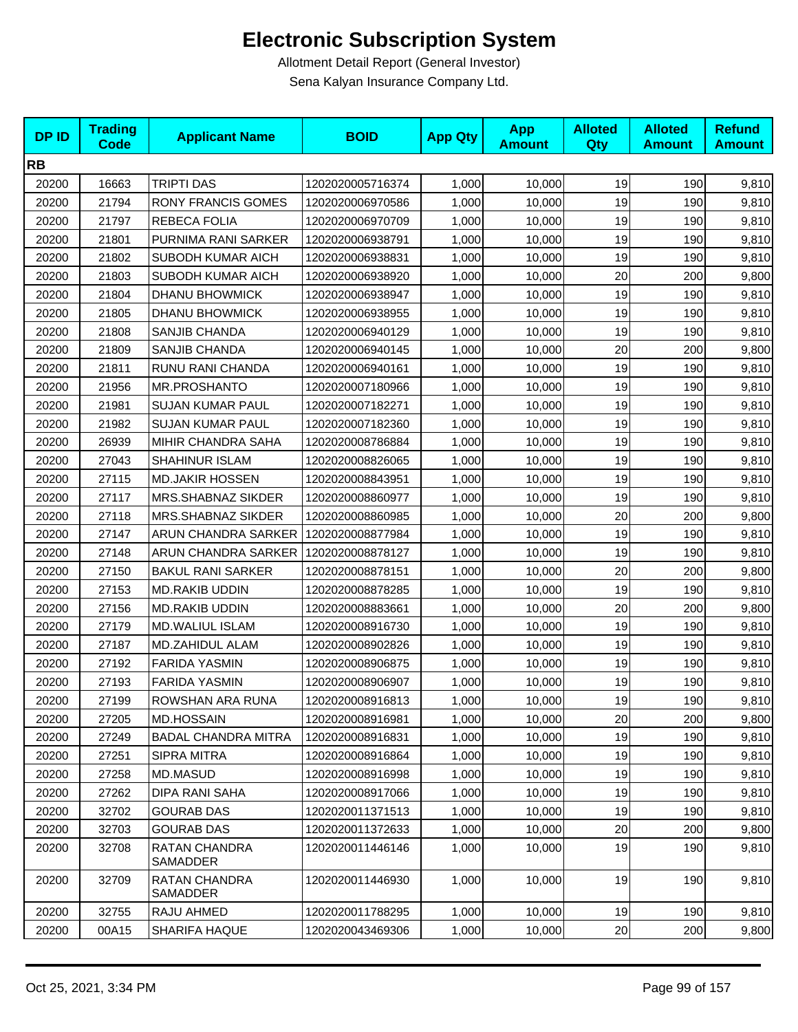| <b>DPID</b> | <b>Trading</b><br><b>Code</b> | <b>Applicant Name</b>      | <b>BOID</b>      | <b>App Qty</b> | <b>App</b><br><b>Amount</b> | <b>Alloted</b><br>Qty | <b>Alloted</b><br><b>Amount</b> | <b>Refund</b><br><b>Amount</b> |
|-------------|-------------------------------|----------------------------|------------------|----------------|-----------------------------|-----------------------|---------------------------------|--------------------------------|
| <b>RB</b>   |                               |                            |                  |                |                             |                       |                                 |                                |
| 20200       | 16663                         | TRIPTI DAS                 | 1202020005716374 | 1,000          | 10,000                      | 19                    | 190                             | 9,810                          |
| 20200       | 21794                         | <b>RONY FRANCIS GOMES</b>  | 1202020006970586 | 1,000          | 10,000                      | 19                    | 190                             | 9,810                          |
| 20200       | 21797                         | REBECA FOLIA               | 1202020006970709 | 1,000          | 10,000                      | 19                    | 190                             | 9,810                          |
| 20200       | 21801                         | PURNIMA RANI SARKER        | 1202020006938791 | 1,000          | 10,000                      | 19                    | 190                             | 9,810                          |
| 20200       | 21802                         | SUBODH KUMAR AICH          | 1202020006938831 | 1,000          | 10,000                      | 19                    | 190                             | 9,810                          |
| 20200       | 21803                         | SUBODH KUMAR AICH          | 1202020006938920 | 1,000          | 10,000                      | 20                    | 200                             | 9,800                          |
| 20200       | 21804                         | <b>DHANU BHOWMICK</b>      | 1202020006938947 | 1,000          | 10,000                      | 19                    | 190                             | 9,810                          |
| 20200       | 21805                         | <b>DHANU BHOWMICK</b>      | 1202020006938955 | 1,000          | 10,000                      | 19                    | 190                             | 9,810                          |
| 20200       | 21808                         | SANJIB CHANDA              | 1202020006940129 | 1,000          | 10,000                      | 19                    | 190                             | 9,810                          |
| 20200       | 21809                         | SANJIB CHANDA              | 1202020006940145 | 1,000          | 10,000                      | 20                    | 200                             | 9,800                          |
| 20200       | 21811                         | RUNU RANI CHANDA           | 1202020006940161 | 1,000          | 10,000                      | 19                    | 190                             | 9,810                          |
| 20200       | 21956                         | MR.PROSHANTO               | 1202020007180966 | 1,000          | 10,000                      | 19                    | 190                             | 9,810                          |
| 20200       | 21981                         | <b>SUJAN KUMAR PAUL</b>    | 1202020007182271 | 1,000          | 10,000                      | 19                    | 190                             | 9,810                          |
| 20200       | 21982                         | <b>SUJAN KUMAR PAUL</b>    | 1202020007182360 | 1,000          | 10,000                      | 19                    | 190                             | 9,810                          |
| 20200       | 26939                         | MIHIR CHANDRA SAHA         | 1202020008786884 | 1,000          | 10,000                      | 19                    | 190                             | 9,810                          |
| 20200       | 27043                         | SHAHINUR ISLAM             | 1202020008826065 | 1,000          | 10,000                      | 19                    | 190                             | 9,810                          |
| 20200       | 27115                         | <b>MD.JAKIR HOSSEN</b>     | 1202020008843951 | 1,000          | 10,000                      | 19                    | 190                             | 9,810                          |
| 20200       | 27117                         | <b>MRS.SHABNAZ SIKDER</b>  | 1202020008860977 | 1,000          | 10,000                      | 19                    | 190                             | 9,810                          |
| 20200       | 27118                         | MRS.SHABNAZ SIKDER         | 1202020008860985 | 1,000          | 10,000                      | 20                    | 200                             | 9,800                          |
| 20200       | 27147                         | ARUN CHANDRA SARKER        | 1202020008877984 | 1,000          | 10,000                      | 19                    | 190                             | 9,810                          |
| 20200       | 27148                         | ARUN CHANDRA SARKER        | 1202020008878127 | 1,000          | 10,000                      | 19                    | 190                             | 9,810                          |
| 20200       | 27150                         | <b>BAKUL RANI SARKER</b>   | 1202020008878151 | 1,000          | 10,000                      | 20                    | 200                             | 9,800                          |
| 20200       | 27153                         | <b>MD.RAKIB UDDIN</b>      | 1202020008878285 | 1,000          | 10,000                      | 19                    | 190                             | 9,810                          |
| 20200       | 27156                         | MD.RAKIB UDDIN             | 1202020008883661 | 1,000          | 10,000                      | 20                    | 200                             | 9,800                          |
| 20200       | 27179                         | <b>MD.WALIUL ISLAM</b>     | 1202020008916730 | 1,000          | 10,000                      | 19                    | 190                             | 9,810                          |
| 20200       | 27187                         | <b>MD.ZAHIDUL ALAM</b>     | 1202020008902826 | 1,000          | 10,000                      | 19                    | 190                             | 9,810                          |
| 20200       | 27192                         | <b>FARIDA YASMIN</b>       | 1202020008906875 | 1,000          | 10,000                      | 19                    | 190                             | 9,810                          |
| 20200       | 27193                         | <b>FARIDA YASMIN</b>       | 1202020008906907 | 1,000          | 10,000                      | 19                    | 190                             | 9,810                          |
| 20200       | 27199                         | ROWSHAN ARA RUNA           | 1202020008916813 | 1,000          | 10,000                      | 19                    | 190                             | 9,810                          |
| 20200       | 27205                         | <b>MD.HOSSAIN</b>          | 1202020008916981 | 1,000          | 10,000                      | 20                    | 200                             | 9,800                          |
| 20200       | 27249                         | <b>BADAL CHANDRA MITRA</b> | 1202020008916831 | 1,000          | 10,000                      | 19                    | 190                             | 9,810                          |
| 20200       | 27251                         | <b>SIPRA MITRA</b>         | 1202020008916864 | 1,000          | 10.000                      | 19                    | 190                             | 9,810                          |
| 20200       | 27258                         | MD.MASUD                   | 1202020008916998 | 1,000          | 10,000                      | 19                    | 190                             | 9,810                          |
| 20200       | 27262                         | DIPA RANI SAHA             | 1202020008917066 | 1,000          | 10,000                      | 19                    | 190                             | 9,810                          |
| 20200       | 32702                         | <b>GOURAB DAS</b>          | 1202020011371513 | 1,000          | 10,000                      | 19                    | 190                             | 9,810                          |
| 20200       | 32703                         | <b>GOURAB DAS</b>          | 1202020011372633 | 1,000          | 10,000                      | 20                    | 200                             | 9,800                          |
| 20200       | 32708                         | RATAN CHANDRA<br>SAMADDER  | 1202020011446146 | 1,000          | 10,000                      | 19                    | 190                             | 9,810                          |
| 20200       | 32709                         | RATAN CHANDRA<br>SAMADDER  | 1202020011446930 | 1,000          | 10,000                      | 19                    | 190                             | 9,810                          |
| 20200       | 32755                         | RAJU AHMED                 | 1202020011788295 | 1,000          | 10,000                      | 19                    | 190                             | 9,810                          |
| 20200       | 00A15                         | <b>SHARIFA HAQUE</b>       | 1202020043469306 | 1,000          | 10,000                      | 20                    | 200                             | 9,800                          |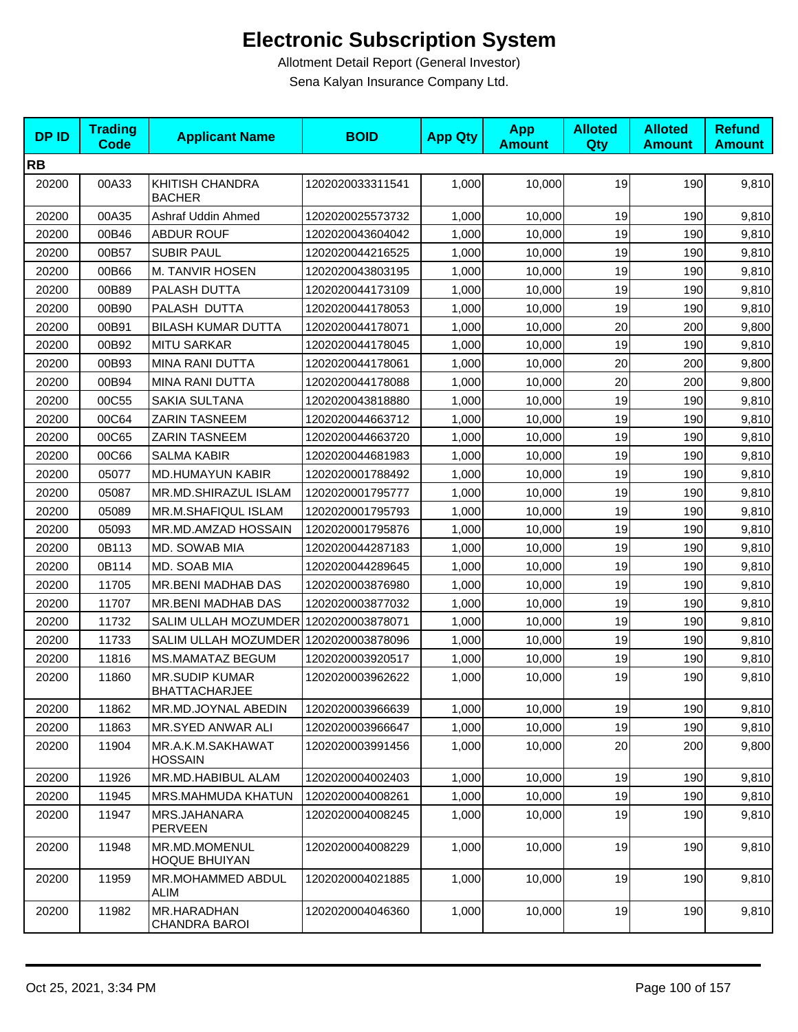| <b>DP ID</b> | <b>Trading</b><br><b>Code</b> | <b>Applicant Name</b>                         | <b>BOID</b>      | <b>App Qty</b> | <b>App</b><br><b>Amount</b> | <b>Alloted</b><br>Qty | <b>Alloted</b><br><b>Amount</b> | <b>Refund</b><br><b>Amount</b> |
|--------------|-------------------------------|-----------------------------------------------|------------------|----------------|-----------------------------|-----------------------|---------------------------------|--------------------------------|
| <b>RB</b>    |                               |                                               |                  |                |                             |                       |                                 |                                |
| 20200        | 00A33                         | KHITISH CHANDRA<br><b>BACHER</b>              | 1202020033311541 | 1,000          | 10,000                      | 19                    | 190                             | 9,810                          |
| 20200        | 00A35                         | Ashraf Uddin Ahmed                            | 1202020025573732 | 1,000          | 10,000                      | 19                    | 190                             | 9,810                          |
| 20200        | 00B46                         | <b>ABDUR ROUF</b>                             | 1202020043604042 | 1,000          | 10,000                      | 19                    | 190                             | 9,810                          |
| 20200        | 00B57                         | <b>SUBIR PAUL</b>                             | 1202020044216525 | 1,000          | 10,000                      | 19                    | 190                             | 9,810                          |
| 20200        | 00B66                         | M. TANVIR HOSEN                               | 1202020043803195 | 1,000          | 10,000                      | 19                    | 190                             | 9,810                          |
| 20200        | 00B89                         | PALASH DUTTA                                  | 1202020044173109 | 1,000          | 10,000                      | 19                    | 190                             | 9,810                          |
| 20200        | 00B90                         | PALASH DUTTA                                  | 1202020044178053 | 1,000          | 10,000                      | 19                    | 190                             | 9,810                          |
| 20200        | 00B91                         | <b>BILASH KUMAR DUTTA</b>                     | 1202020044178071 | 1,000          | 10,000                      | 20                    | 200                             | 9,800                          |
| 20200        | 00B92                         | <b>MITU SARKAR</b>                            | 1202020044178045 | 1,000          | 10,000                      | 19                    | 190                             | 9,810                          |
| 20200        | 00B93                         | MINA RANI DUTTA                               | 1202020044178061 | 1,000          | 10,000                      | 20                    | 200                             | 9,800                          |
| 20200        | 00B94                         | <b>MINA RANI DUTTA</b>                        | 1202020044178088 | 1,000          | 10,000                      | 20                    | 200                             | 9,800                          |
| 20200        | 00C55                         | <b>SAKIA SULTANA</b>                          | 1202020043818880 | 1,000          | 10,000                      | 19                    | 190                             | 9,810                          |
| 20200        | 00C64                         | <b>ZARIN TASNEEM</b>                          | 1202020044663712 | 1,000          | 10,000                      | 19                    | 190                             | 9,810                          |
| 20200        | 00C65                         | <b>ZARIN TASNEEM</b>                          | 1202020044663720 | 1,000          | 10,000                      | 19                    | 190                             | 9,810                          |
| 20200        | 00C66                         | <b>SALMA KABIR</b>                            | 1202020044681983 | 1,000          | 10,000                      | 19                    | 190                             | 9,810                          |
| 20200        | 05077                         | <b>MD.HUMAYUN KABIR</b>                       | 1202020001788492 | 1,000          | 10,000                      | 19                    | 190                             | 9,810                          |
| 20200        | 05087                         | MR.MD.SHIRAZUL ISLAM                          | 1202020001795777 | 1,000          | 10,000                      | 19                    | 190                             | 9,810                          |
| 20200        | 05089                         | MR.M.SHAFIQUL ISLAM                           | 1202020001795793 | 1,000          | 10,000                      | 19                    | 190                             | 9,810                          |
| 20200        | 05093                         | MR.MD.AMZAD HOSSAIN                           | 1202020001795876 | 1,000          | 10,000                      | 19                    | 190                             | 9,810                          |
| 20200        | 0B113                         | MD. SOWAB MIA                                 | 1202020044287183 | 1,000          | 10,000                      | 19                    | 190                             | 9,810                          |
| 20200        | 0B114                         | MD. SOAB MIA                                  | 1202020044289645 | 1,000          | 10,000                      | 19                    | 190                             | 9,810                          |
| 20200        | 11705                         | MR.BENI MADHAB DAS                            | 1202020003876980 | 1,000          | 10,000                      | 19                    | 190                             | 9,810                          |
| 20200        | 11707                         | MR.BENI MADHAB DAS                            | 1202020003877032 | 1,000          | 10,000                      | 19                    | 190                             | 9,810                          |
| 20200        | 11732                         | SALIM ULLAH MOZUMDER 1202020003878071         |                  | 1,000          | 10,000                      | 19                    | 190                             | 9,810                          |
| 20200        | 11733                         | SALIM ULLAH MOZUMDER 1202020003878096         |                  | 1,000          | 10,000                      | 19                    | 190                             | 9,810                          |
| 20200        | 11816                         | MS.MAMATAZ BEGUM                              | 1202020003920517 | 1,000          | 10,000                      | 19                    | 190                             | 9,810                          |
| 20200        | 11860                         | <b>MR.SUDIP KUMAR</b><br><b>BHATTACHARJEE</b> | 1202020003962622 | 1,000          | 10,000                      | 19                    | 190                             | 9,810                          |
| 20200        | 11862                         | MR.MD.JOYNAL ABEDIN                           | 1202020003966639 | 1,000          | 10,000                      | 19                    | 190                             | 9,810                          |
| 20200        | 11863                         | MR.SYED ANWAR ALI                             | 1202020003966647 | 1,000          | 10,000                      | 19                    | 190                             | 9,810                          |
| 20200        | 11904                         | MR.A.K.M.SAKHAWAT<br><b>HOSSAIN</b>           | 1202020003991456 | 1,000          | 10,000                      | 20                    | 200                             | 9,800                          |
| 20200        | 11926                         | MR.MD.HABIBUL ALAM                            | 1202020004002403 | 1,000          | 10,000                      | 19                    | 190                             | 9,810                          |
| 20200        | 11945                         | <b>MRS.MAHMUDA KHATUN</b>                     | 1202020004008261 | 1,000          | 10,000                      | 19                    | 190                             | 9,810                          |
| 20200        | 11947                         | MRS.JAHANARA<br><b>PERVEEN</b>                | 1202020004008245 | 1,000          | 10,000                      | 19                    | 190                             | 9,810                          |
| 20200        | 11948                         | MR.MD.MOMENUL<br><b>HOQUE BHUIYAN</b>         | 1202020004008229 | 1,000          | 10,000                      | 19                    | 190                             | 9,810                          |
| 20200        | 11959                         | MR.MOHAMMED ABDUL<br>ALIM                     | 1202020004021885 | 1,000          | 10,000                      | 19                    | 190                             | 9,810                          |
| 20200        | 11982                         | MR.HARADHAN<br><b>CHANDRA BAROI</b>           | 1202020004046360 | 1,000          | 10,000                      | 19                    | 190                             | 9,810                          |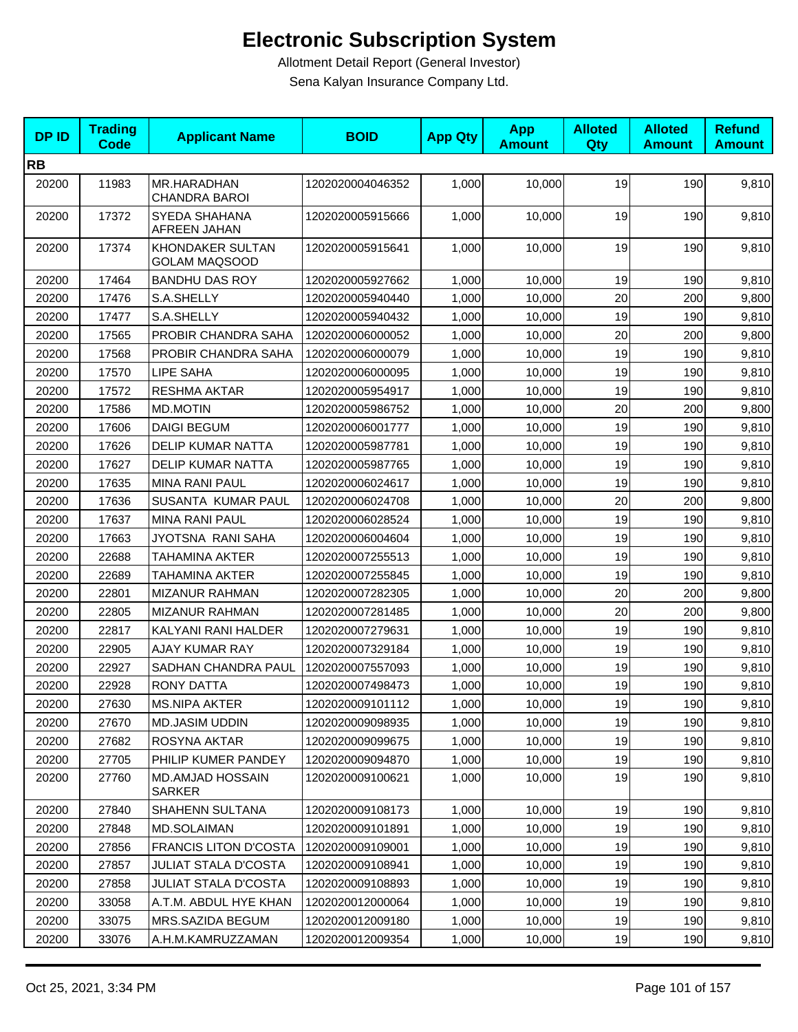| <b>DPID</b> | <b>Trading</b><br><b>Code</b> | <b>Applicant Name</b>                    | <b>BOID</b>      | <b>App Qty</b> | <b>App</b><br><b>Amount</b> | <b>Alloted</b><br>Qty | <b>Alloted</b><br><b>Amount</b> | <b>Refund</b><br><b>Amount</b> |
|-------------|-------------------------------|------------------------------------------|------------------|----------------|-----------------------------|-----------------------|---------------------------------|--------------------------------|
| <b>RB</b>   |                               |                                          |                  |                |                             |                       |                                 |                                |
| 20200       | 11983                         | MR.HARADHAN<br><b>CHANDRA BAROI</b>      | 1202020004046352 | 1,000          | 10,000                      | 19                    | 190                             | 9,810                          |
| 20200       | 17372                         | SYEDA SHAHANA<br>AFREEN JAHAN            | 1202020005915666 | 1,000          | 10,000                      | 19                    | 190                             | 9,810                          |
| 20200       | 17374                         | KHONDAKER SULTAN<br><b>GOLAM MAQSOOD</b> | 1202020005915641 | 1,000          | 10,000                      | 19                    | 190                             | 9,810                          |
| 20200       | 17464                         | <b>BANDHU DAS ROY</b>                    | 1202020005927662 | 1,000          | 10,000                      | 19                    | 190                             | 9,810                          |
| 20200       | 17476                         | S.A.SHELLY                               | 1202020005940440 | 1,000          | 10,000                      | 20                    | 200                             | 9,800                          |
| 20200       | 17477                         | S.A.SHELLY                               | 1202020005940432 | 1,000          | 10,000                      | 19                    | 190                             | 9,810                          |
| 20200       | 17565                         | PROBIR CHANDRA SAHA                      | 1202020006000052 | 1,000          | 10,000                      | 20                    | 200                             | 9,800                          |
| 20200       | 17568                         | PROBIR CHANDRA SAHA                      | 1202020006000079 | 1,000          | 10,000                      | 19                    | 190                             | 9,810                          |
| 20200       | 17570                         | LIPE SAHA                                | 1202020006000095 | 1,000          | 10,000                      | 19                    | 190                             | 9,810                          |
| 20200       | 17572                         | <b>RESHMA AKTAR</b>                      | 1202020005954917 | 1,000          | 10,000                      | 19                    | 190                             | 9,810                          |
| 20200       | 17586                         | <b>MD.MOTIN</b>                          | 1202020005986752 | 1,000          | 10,000                      | 20                    | 200                             | 9,800                          |
| 20200       | 17606                         | <b>DAIGI BEGUM</b>                       | 1202020006001777 | 1,000          | 10,000                      | 19                    | 190                             | 9,810                          |
| 20200       | 17626                         | DELIP KUMAR NATTA                        | 1202020005987781 | 1,000          | 10,000                      | 19                    | 190                             | 9,810                          |
| 20200       | 17627                         | <b>DELIP KUMAR NATTA</b>                 | 1202020005987765 | 1,000          | 10,000                      | 19                    | 190                             | 9,810                          |
| 20200       | 17635                         | <b>MINA RANI PAUL</b>                    | 1202020006024617 | 1,000          | 10,000                      | 19                    | 190                             | 9,810                          |
| 20200       | 17636                         | SUSANTA KUMAR PAUL                       | 1202020006024708 | 1,000          | 10,000                      | 20                    | 200                             | 9,800                          |
| 20200       | 17637                         | <b>MINA RANI PAUL</b>                    | 1202020006028524 | 1,000          | 10,000                      | 19                    | 190                             | 9,810                          |
| 20200       | 17663                         | JYOTSNA RANI SAHA                        | 1202020006004604 | 1,000          | 10,000                      | 19                    | 190                             | 9,810                          |
| 20200       | 22688                         | TAHAMINA AKTER                           | 1202020007255513 | 1,000          | 10,000                      | 19                    | 190                             | 9,810                          |
| 20200       | 22689                         | TAHAMINA AKTER                           | 1202020007255845 | 1,000          | 10,000                      | 19                    | 190                             | 9,810                          |
| 20200       | 22801                         | <b>MIZANUR RAHMAN</b>                    | 1202020007282305 | 1,000          | 10,000                      | 20                    | 200                             | 9,800                          |
| 20200       | 22805                         | <b>MIZANUR RAHMAN</b>                    | 1202020007281485 | 1,000          | 10,000                      | 20                    | 200                             | 9,800                          |
| 20200       | 22817                         | KALYANI RANI HALDER                      | 1202020007279631 | 1,000          | 10,000                      | 19                    | 190                             | 9,810                          |
| 20200       | 22905                         | <b>AJAY KUMAR RAY</b>                    | 1202020007329184 | 1,000          | 10,000                      | 19                    | 190                             | 9,810                          |
| 20200       | 22927                         | SADHAN CHANDRA PAUL                      | 1202020007557093 | 1,000          | 10,000                      | 19                    | 190                             | 9,810                          |
| 20200       | 22928                         | <b>RONY DATTA</b>                        | 1202020007498473 | 1,000          | 10,000                      | 19                    | 190                             | 9,810                          |
| 20200       | 27630                         | <b>MS.NIPA AKTER</b>                     | 1202020009101112 | 1,000          | 10,000                      | 19                    | 190                             | 9,810                          |
| 20200       | 27670                         | MD.JASIM UDDIN                           | 1202020009098935 | 1,000          | 10,000                      | 19                    | 190                             | 9,810                          |
| 20200       | 27682                         | ROSYNA AKTAR                             | 1202020009099675 | 1,000          | 10,000                      | 19                    | 190                             | 9,810                          |
| 20200       | 27705                         | PHILIP KUMER PANDEY                      | 1202020009094870 | 1,000          | 10,000                      | 19                    | 190                             | 9,810                          |
| 20200       | 27760                         | MD.AMJAD HOSSAIN<br><b>SARKER</b>        | 1202020009100621 | 1,000          | 10,000                      | 19                    | 190                             | 9,810                          |
| 20200       | 27840                         | SHAHENN SULTANA                          | 1202020009108173 | 1,000          | 10,000                      | 19                    | 190                             | 9,810                          |
| 20200       | 27848                         | MD.SOLAIMAN                              | 1202020009101891 | 1,000          | 10,000                      | 19                    | 190                             | 9,810                          |
| 20200       | 27856                         | <b>FRANCIS LITON D'COSTA</b>             | 1202020009109001 | 1,000          | 10,000                      | 19                    | 190                             | 9,810                          |
| 20200       | 27857                         | <b>JULIAT STALA D'COSTA</b>              | 1202020009108941 | 1,000          | 10,000                      | 19                    | 190                             | 9,810                          |
| 20200       | 27858                         | <b>JULIAT STALA D'COSTA</b>              | 1202020009108893 | 1,000          | 10,000                      | 19                    | 190                             | 9,810                          |
| 20200       | 33058                         | A.T.M. ABDUL HYE KHAN                    | 1202020012000064 | 1,000          | 10,000                      | 19                    | 190                             | 9,810                          |
| 20200       | 33075                         | MRS.SAZIDA BEGUM                         | 1202020012009180 | 1,000          | 10,000                      | 19                    | 190                             | 9,810                          |
| 20200       | 33076                         | A.H.M.KAMRUZZAMAN                        | 1202020012009354 | 1,000          | 10,000                      | 19                    | 190                             | 9,810                          |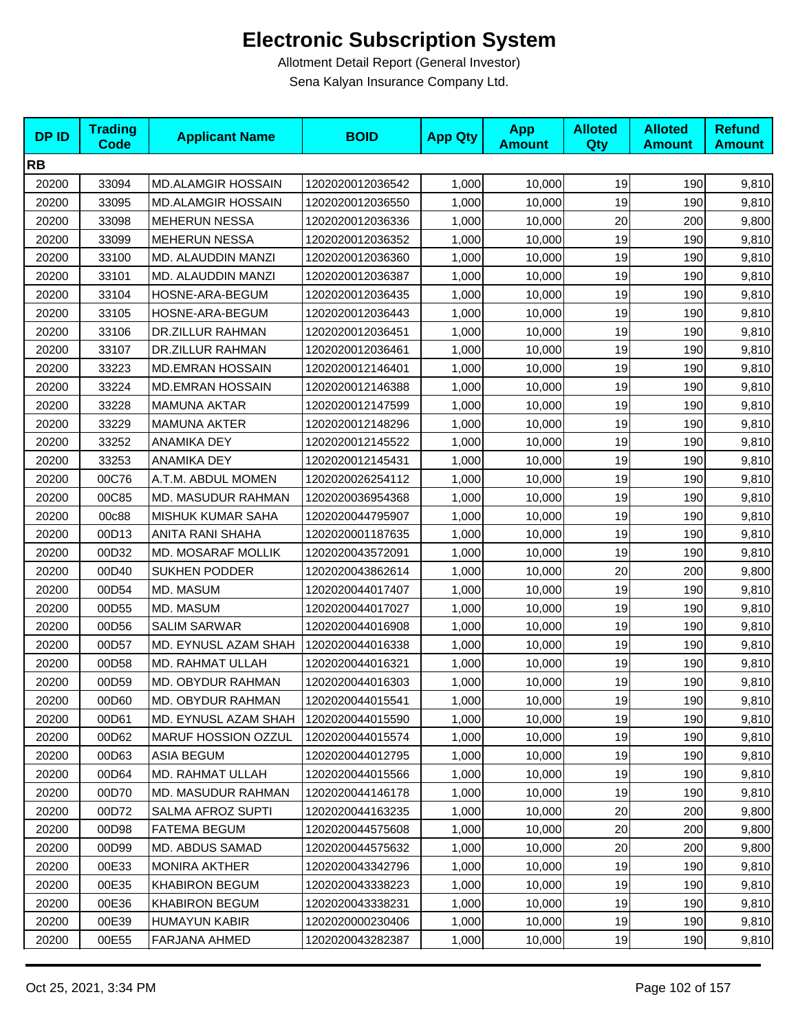| <b>DPID</b> | <b>Trading</b><br><b>Code</b> | <b>Applicant Name</b>     | <b>BOID</b>      | <b>App Qty</b> | <b>App</b><br><b>Amount</b> | <b>Alloted</b><br><b>Qty</b> | <b>Alloted</b><br><b>Amount</b> | <b>Refund</b><br><b>Amount</b> |
|-------------|-------------------------------|---------------------------|------------------|----------------|-----------------------------|------------------------------|---------------------------------|--------------------------------|
| <b>RB</b>   |                               |                           |                  |                |                             |                              |                                 |                                |
| 20200       | 33094                         | <b>MD.ALAMGIR HOSSAIN</b> | 1202020012036542 | 1,000          | 10,000                      | 19                           | 190                             | 9,810                          |
| 20200       | 33095                         | <b>MD.ALAMGIR HOSSAIN</b> | 1202020012036550 | 1,000          | 10,000                      | 19                           | 190                             | 9,810                          |
| 20200       | 33098                         | <b>MEHERUN NESSA</b>      | 1202020012036336 | 1,000          | 10,000                      | 20                           | 200                             | 9,800                          |
| 20200       | 33099                         | <b>MEHERUN NESSA</b>      | 1202020012036352 | 1,000          | 10,000                      | 19                           | 190                             | 9,810                          |
| 20200       | 33100                         | MD. ALAUDDIN MANZI        | 1202020012036360 | 1,000          | 10,000                      | 19                           | 190                             | 9,810                          |
| 20200       | 33101                         | MD. ALAUDDIN MANZI        | 1202020012036387 | 1,000          | 10,000                      | 19                           | 190                             | 9,810                          |
| 20200       | 33104                         | HOSNE-ARA-BEGUM           | 1202020012036435 | 1,000          | 10,000                      | 19                           | 190                             | 9,810                          |
| 20200       | 33105                         | HOSNE-ARA-BEGUM           | 1202020012036443 | 1,000          | 10,000                      | 19                           | 190                             | 9,810                          |
| 20200       | 33106                         | DR.ZILLUR RAHMAN          | 1202020012036451 | 1,000          | 10,000                      | 19                           | 190                             | 9,810                          |
| 20200       | 33107                         | DR.ZILLUR RAHMAN          | 1202020012036461 | 1,000          | 10,000                      | 19                           | 190                             | 9,810                          |
| 20200       | 33223                         | <b>MD.EMRAN HOSSAIN</b>   | 1202020012146401 | 1,000          | 10,000                      | 19                           | 190                             | 9,810                          |
| 20200       | 33224                         | <b>MD.EMRAN HOSSAIN</b>   | 1202020012146388 | 1,000          | 10,000                      | 19                           | 190                             | 9,810                          |
| 20200       | 33228                         | <b>MAMUNA AKTAR</b>       | 1202020012147599 | 1,000          | 10,000                      | 19                           | 190                             | 9,810                          |
| 20200       | 33229                         | MAMUNA AKTER              | 1202020012148296 | 1,000          | 10,000                      | 19                           | 190                             | 9,810                          |
| 20200       | 33252                         | ANAMIKA DEY               | 1202020012145522 | 1,000          | 10,000                      | 19                           | 190                             | 9,810                          |
| 20200       | 33253                         | ANAMIKA DEY               | 1202020012145431 | 1,000          | 10,000                      | 19                           | 190                             | 9,810                          |
| 20200       | 00C76                         | A.T.M. ABDUL MOMEN        | 1202020026254112 | 1,000          | 10,000                      | 19                           | 190                             | 9,810                          |
| 20200       | 00C85                         | MD. MASUDUR RAHMAN        | 1202020036954368 | 1,000          | 10,000                      | 19                           | 190                             | 9,810                          |
| 20200       | 00c88                         | MISHUK KUMAR SAHA         | 1202020044795907 | 1,000          | 10,000                      | 19                           | 190                             | 9,810                          |
| 20200       | 00D13                         | ANITA RANI SHAHA          | 1202020001187635 | 1,000          | 10,000                      | 19                           | 190                             | 9,810                          |
| 20200       | 00D32                         | MD. MOSARAF MOLLIK        | 1202020043572091 | 1,000          | 10,000                      | 19                           | 190                             | 9,810                          |
| 20200       | 00D40                         | <b>SUKHEN PODDER</b>      | 1202020043862614 | 1,000          | 10,000                      | 20                           | 200                             | 9,800                          |
| 20200       | 00D54                         | MD. MASUM                 | 1202020044017407 | 1,000          | 10,000                      | 19                           | 190                             | 9,810                          |
| 20200       | 00D55                         | MD. MASUM                 | 1202020044017027 | 1,000          | 10,000                      | 19                           | 190                             | 9,810                          |
| 20200       | 00D56                         | <b>SALIM SARWAR</b>       | 1202020044016908 | 1,000          | 10,000                      | 19                           | 190                             | 9,810                          |
| 20200       | 00D57                         | MD. EYNUSL AZAM SHAH      | 1202020044016338 | 1,000          | 10,000                      | 19                           | 190                             | 9,810                          |
| 20200       | 00D58                         | MD. RAHMAT ULLAH          | 1202020044016321 | 1,000          | 10,000                      | 19                           | 190                             | 9,810                          |
| 20200       | 00D59                         | MD. OBYDUR RAHMAN         | 1202020044016303 | 1,000          | 10,000                      | 19                           | 190                             | 9,810                          |
| 20200       | 00D60                         | MD. OBYDUR RAHMAN         | 1202020044015541 | 1,000          | 10,000                      | 19                           | 190                             | 9,810                          |
| 20200       | 00D61                         | MD. EYNUSL AZAM SHAH      | 1202020044015590 | 1,000          | 10,000                      | 19                           | 190                             | 9,810                          |
| 20200       | 00D62                         | MARUF HOSSION OZZUL       | 1202020044015574 | 1,000          | 10,000                      | 19                           | 190                             | 9,810                          |
| 20200       | 00D63                         | <b>ASIA BEGUM</b>         | 1202020044012795 | 1,000          | 10,000                      | 19                           | 190                             | 9,810                          |
| 20200       | 00D64                         | MD. RAHMAT ULLAH          | 1202020044015566 | 1,000          | 10,000                      | 19                           | 190                             | 9,810                          |
| 20200       | 00D70                         | <b>MD. MASUDUR RAHMAN</b> | 1202020044146178 | 1,000          | 10,000                      | 19                           | 190                             | 9,810                          |
| 20200       | 00D72                         | SALMA AFROZ SUPTI         | 1202020044163235 | 1,000          | 10,000                      | 20                           | 200                             | 9,800                          |
| 20200       | 00D98                         | FATEMA BEGUM              | 1202020044575608 | 1,000          | 10,000                      | 20                           | 200                             | 9,800                          |
| 20200       | 00D99                         | <b>MD. ABDUS SAMAD</b>    | 1202020044575632 | 1,000          | 10.000                      | 20                           | 200                             | 9,800                          |
| 20200       | 00E33                         | <b>MONIRA AKTHER</b>      | 1202020043342796 | 1,000          | 10,000                      | 19                           | 190                             | 9,810                          |
| 20200       | 00E35                         | <b>KHABIRON BEGUM</b>     | 1202020043338223 | 1,000          | 10,000                      | 19                           | 190                             | 9,810                          |
| 20200       | 00E36                         | <b>KHABIRON BEGUM</b>     | 1202020043338231 | 1,000          | 10,000                      | 19                           | 190                             | 9,810                          |
| 20200       | 00E39                         | <b>HUMAYUN KABIR</b>      | 1202020000230406 | 1,000          | 10,000                      | 19                           | 190                             | 9,810                          |
| 20200       | 00E55                         | FARJANA AHMED             | 1202020043282387 | 1,000          | 10,000                      | 19                           | 190                             | 9,810                          |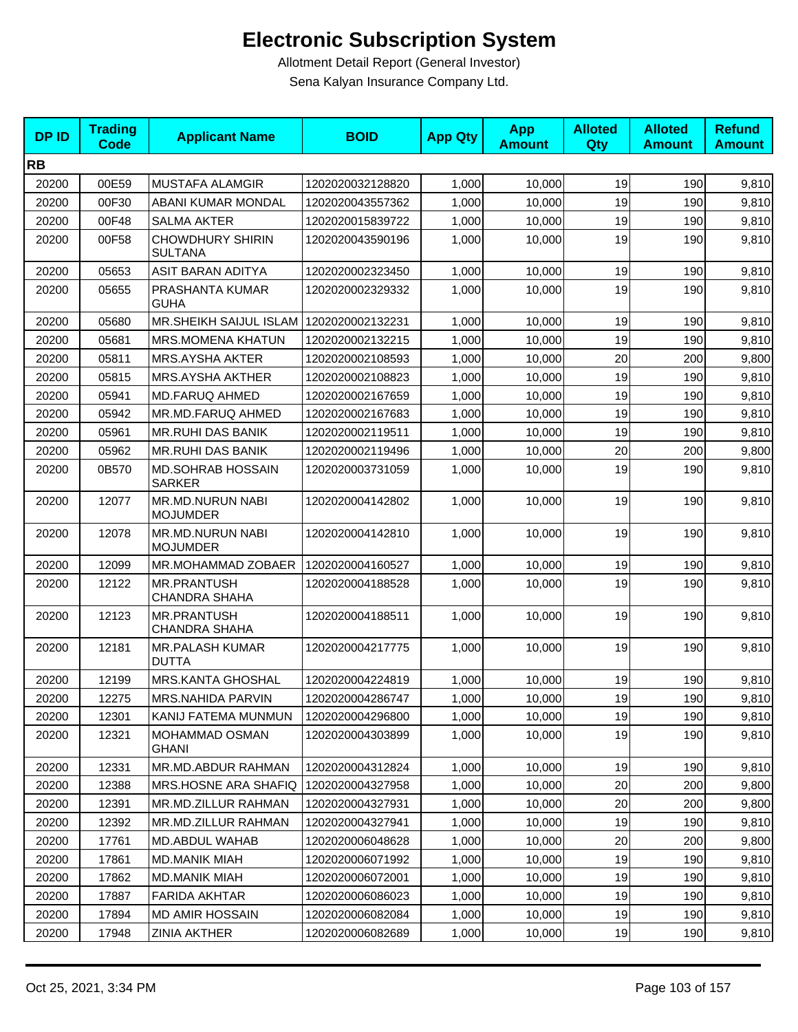| <b>DPID</b> | <b>Trading</b><br><b>Code</b> | <b>Applicant Name</b>                      | <b>BOID</b>      | <b>App Qty</b> | <b>App</b><br><b>Amount</b> | <b>Alloted</b><br>Qty | <b>Alloted</b><br><b>Amount</b> | <b>Refund</b><br><b>Amount</b> |
|-------------|-------------------------------|--------------------------------------------|------------------|----------------|-----------------------------|-----------------------|---------------------------------|--------------------------------|
| <b>RB</b>   |                               |                                            |                  |                |                             |                       |                                 |                                |
| 20200       | 00E59                         | MUSTAFA ALAMGIR                            | 1202020032128820 | 1,000          | 10,000                      | 19                    | 190                             | 9,810                          |
| 20200       | 00F30                         | ABANI KUMAR MONDAL                         | 1202020043557362 | 1,000          | 10,000                      | 19                    | 190                             | 9,810                          |
| 20200       | 00F48                         | <b>SALMA AKTER</b>                         | 1202020015839722 | 1,000          | 10,000                      | 19                    | 190                             | 9,810                          |
| 20200       | 00F58                         | <b>CHOWDHURY SHIRIN</b><br><b>SULTANA</b>  | 1202020043590196 | 1,000          | 10,000                      | 19                    | 190                             | 9,810                          |
| 20200       | 05653                         | <b>ASIT BARAN ADITYA</b>                   | 1202020002323450 | 1,000          | 10,000                      | 19                    | 190                             | 9,810                          |
| 20200       | 05655                         | PRASHANTA KUMAR<br><b>GUHA</b>             | 1202020002329332 | 1,000          | 10,000                      | 19                    | 190                             | 9,810                          |
| 20200       | 05680                         | <b>MR.SHEIKH SAIJUL ISLAM</b>              | 1202020002132231 | 1,000          | 10,000                      | 19                    | 190                             | 9,810                          |
| 20200       | 05681                         | <b>MRS.MOMENA KHATUN</b>                   | 1202020002132215 | 1,000          | 10,000                      | 19                    | 190                             | 9,810                          |
| 20200       | 05811                         | MRS.AYSHA AKTER                            | 1202020002108593 | 1,000          | 10,000                      | 20                    | 200                             | 9,800                          |
| 20200       | 05815                         | <b>MRS.AYSHA AKTHER</b>                    | 1202020002108823 | 1,000          | 10,000                      | 19                    | 190                             | 9,810                          |
| 20200       | 05941                         | <b>MD.FARUQ AHMED</b>                      | 1202020002167659 | 1,000          | 10,000                      | 19                    | 190                             | 9,810                          |
| 20200       | 05942                         | MR.MD.FARUQ AHMED                          | 1202020002167683 | 1,000          | 10,000                      | 19                    | 190                             | 9,810                          |
| 20200       | 05961                         | <b>MR.RUHI DAS BANIK</b>                   | 1202020002119511 | 1,000          | 10,000                      | 19                    | 190                             | 9,810                          |
| 20200       | 05962                         | <b>MR.RUHI DAS BANIK</b>                   | 1202020002119496 | 1,000          | 10,000                      | 20                    | 200                             | 9,800                          |
| 20200       | 0B570                         | <b>MD.SOHRAB HOSSAIN</b><br><b>SARKER</b>  | 1202020003731059 | 1,000          | 10,000                      | 19                    | 190                             | 9,810                          |
| 20200       | 12077                         | MR.MD.NURUN NABI<br><b>MOJUMDER</b>        | 1202020004142802 | 1,000          | 10,000                      | 19                    | 190                             | 9,810                          |
| 20200       | 12078                         | MR.MD.NURUN NABI<br><b>MOJUMDER</b>        | 1202020004142810 | 1,000          | 10,000                      | 19                    | 190                             | 9,810                          |
| 20200       | 12099                         | MR.MOHAMMAD ZOBAER                         | 1202020004160527 | 1,000          | 10,000                      | 19                    | 190                             | 9,810                          |
| 20200       | 12122                         | <b>MR.PRANTUSH</b><br><b>CHANDRA SHAHA</b> | 1202020004188528 | 1,000          | 10,000                      | 19                    | 190                             | 9,810                          |
| 20200       | 12123                         | <b>MR.PRANTUSH</b><br><b>CHANDRA SHAHA</b> | 1202020004188511 | 1,000          | 10,000                      | 19                    | 190                             | 9,810                          |
| 20200       | 12181                         | <b>MR.PALASH KUMAR</b><br><b>DUTTA</b>     | 1202020004217775 | 1,000          | 10,000                      | 19                    | 190                             | 9,810                          |
| 20200       | 12199                         | <b>MRS.KANTA GHOSHAL</b>                   | 1202020004224819 | 1,000          | 10,000                      | 19                    | 190                             | 9,810                          |
| 20200       | 12275                         | MRS.NAHIDA PARVIN                          | 1202020004286747 | 1,000          | 10,000                      | 19                    | 190                             | 9,810                          |
| 20200       | 12301                         | KANIJ FATEMA MUNMUN                        | 1202020004296800 | 1,000          | 10,000                      | 19                    | 190                             | 9,810                          |
| 20200       | 12321                         | MOHAMMAD OSMAN<br><b>GHANI</b>             | 1202020004303899 | 1,000          | 10,000                      | 19                    | 190                             | 9,810                          |
| 20200       | 12331                         | MR.MD.ABDUR RAHMAN                         | 1202020004312824 | 1,000          | 10,000                      | 19                    | 190                             | 9,810                          |
| 20200       | 12388                         | MRS.HOSNE ARA SHAFIQ                       | 1202020004327958 | 1,000          | 10,000                      | 20                    | 200                             | 9,800                          |
| 20200       | 12391                         | MR.MD.ZILLUR RAHMAN                        | 1202020004327931 | 1,000          | 10,000                      | 20                    | 200                             | 9,800                          |
| 20200       | 12392                         | MR.MD.ZILLUR RAHMAN                        | 1202020004327941 | 1,000          | 10,000                      | 19                    | 190                             | 9,810                          |
| 20200       | 17761                         | MD.ABDUL WAHAB                             | 1202020006048628 | 1,000          | 10,000                      | 20                    | 200                             | 9,800                          |
| 20200       | 17861                         | <b>MD.MANIK MIAH</b>                       | 1202020006071992 | 1,000          | 10,000                      | 19                    | 190                             | 9,810                          |
| 20200       | 17862                         | MD.MANIK MIAH                              | 1202020006072001 | 1,000          | 10,000                      | 19                    | 190                             | 9,810                          |
| 20200       | 17887                         | <b>FARIDA AKHTAR</b>                       | 1202020006086023 | 1,000          | 10,000                      | 19                    | 190                             | 9,810                          |
| 20200       | 17894                         | <b>MD AMIR HOSSAIN</b>                     | 1202020006082084 | 1,000          | 10,000                      | 19                    | 190                             | 9,810                          |
| 20200       | 17948                         | <b>ZINIA AKTHER</b>                        | 1202020006082689 | 1,000          | 10,000                      | 19                    | 190                             | 9,810                          |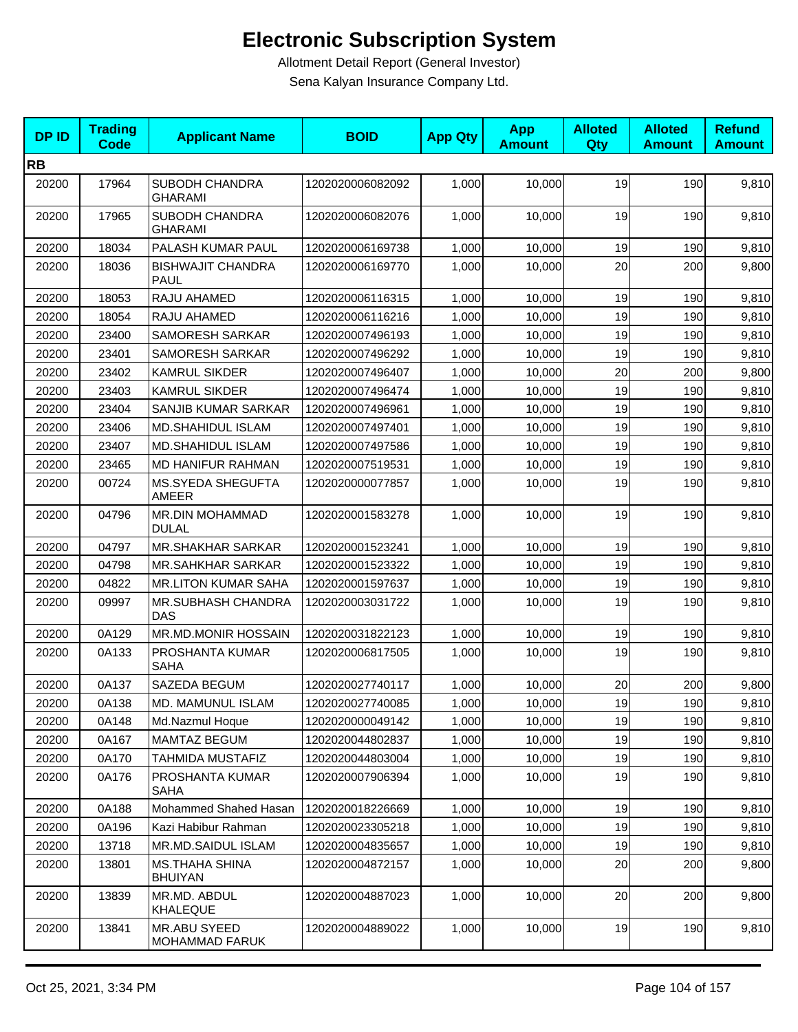| <b>DPID</b> | <b>Trading</b><br><b>Code</b> | <b>Applicant Name</b>                   | <b>BOID</b>      | <b>App Qty</b> | <b>App</b><br><b>Amount</b> | <b>Alloted</b><br>Qty | <b>Alloted</b><br><b>Amount</b> | <b>Refund</b><br><b>Amount</b> |
|-------------|-------------------------------|-----------------------------------------|------------------|----------------|-----------------------------|-----------------------|---------------------------------|--------------------------------|
| <b>RB</b>   |                               |                                         |                  |                |                             |                       |                                 |                                |
| 20200       | 17964                         | SUBODH CHANDRA<br><b>GHARAMI</b>        | 1202020006082092 | 1,000          | 10,000                      | 19                    | 190                             | 9,810                          |
| 20200       | 17965                         | SUBODH CHANDRA<br><b>GHARAMI</b>        | 1202020006082076 | 1,000          | 10,000                      | 19                    | 190                             | 9,810                          |
| 20200       | 18034                         | PALASH KUMAR PAUL                       | 1202020006169738 | 1,000          | 10,000                      | 19                    | 190                             | 9,810                          |
| 20200       | 18036                         | <b>BISHWAJIT CHANDRA</b><br><b>PAUL</b> | 1202020006169770 | 1,000          | 10,000                      | 20                    | 200                             | 9,800                          |
| 20200       | 18053                         | RAJU AHAMED                             | 1202020006116315 | 1,000          | 10,000                      | 19                    | 190                             | 9,810                          |
| 20200       | 18054                         | RAJU AHAMED                             | 1202020006116216 | 1,000          | 10,000                      | 19                    | 190                             | 9,810                          |
| 20200       | 23400                         | SAMORESH SARKAR                         | 1202020007496193 | 1,000          | 10,000                      | 19                    | 190                             | 9,810                          |
| 20200       | 23401                         | <b>SAMORESH SARKAR</b>                  | 1202020007496292 | 1,000          | 10,000                      | 19                    | 190                             | 9,810                          |
| 20200       | 23402                         | <b>KAMRUL SIKDER</b>                    | 1202020007496407 | 1,000          | 10,000                      | 20                    | 200                             | 9,800                          |
| 20200       | 23403                         | <b>KAMRUL SIKDER</b>                    | 1202020007496474 | 1,000          | 10,000                      | 19                    | 190                             | 9,810                          |
| 20200       | 23404                         | SANJIB KUMAR SARKAR                     | 1202020007496961 | 1,000          | 10.000                      | 19                    | 190                             | 9,810                          |
| 20200       | 23406                         | MD.SHAHIDUL ISLAM                       | 1202020007497401 | 1,000          | 10,000                      | 19                    | 190                             | 9,810                          |
| 20200       | 23407                         | <b>MD.SHAHIDUL ISLAM</b>                | 1202020007497586 | 1,000          | 10,000                      | 19                    | 190                             | 9,810                          |
| 20200       | 23465                         | MD HANIFUR RAHMAN                       | 1202020007519531 | 1,000          | 10,000                      | 19                    | 190                             | 9,810                          |
| 20200       | 00724                         | MS.SYEDA SHEGUFTA<br>AMEER              | 1202020000077857 | 1,000          | 10,000                      | 19                    | 190                             | 9,810                          |
| 20200       | 04796                         | <b>MR.DIN MOHAMMAD</b><br><b>DULAL</b>  | 1202020001583278 | 1,000          | 10,000                      | 19                    | 190                             | 9,810                          |
| 20200       | 04797                         | <b>MR.SHAKHAR SARKAR</b>                | 1202020001523241 | 1,000          | 10,000                      | 19                    | 190                             | 9,810                          |
| 20200       | 04798                         | <b>MR.SAHKHAR SARKAR</b>                | 1202020001523322 | 1,000          | 10,000                      | 19                    | 190                             | 9,810                          |
| 20200       | 04822                         | <b>MR.LITON KUMAR SAHA</b>              | 1202020001597637 | 1,000          | 10,000                      | 19                    | 190                             | 9,810                          |
| 20200       | 09997                         | MR.SUBHASH CHANDRA<br>DAS               | 1202020003031722 | 1,000          | 10,000                      | 19                    | 190                             | 9,810                          |
| 20200       | 0A129                         | <b>MR.MD.MONIR HOSSAIN</b>              | 1202020031822123 | 1,000          | 10,000                      | 19                    | 190                             | 9,810                          |
| 20200       | 0A133                         | PROSHANTA KUMAR<br><b>SAHA</b>          | 1202020006817505 | 1,000          | 10,000                      | 19                    | 190                             | 9,810                          |
| 20200       | 0A137                         | SAZEDA BEGUM                            | 1202020027740117 | 1,000          | 10,000                      | 20                    | 200                             | 9,800                          |
| 20200       | 0A138                         | MD. MAMUNUL ISLAM                       | 1202020027740085 | 1,000          | 10,000                      | 19                    | 190                             | 9,810                          |
| 20200       | 0A148                         | Md.Nazmul Hoque                         | 1202020000049142 | 1,000          | 10,000                      | 19                    | 190                             | 9,810                          |
| 20200       | 0A167                         | <b>MAMTAZ BEGUM</b>                     | 1202020044802837 | 1,000          | 10,000                      | 19                    | 190                             | 9,810                          |
| 20200       | 0A170                         | TAHMIDA MUSTAFIZ                        | 1202020044803004 | 1,000          | 10,000                      | 19                    | 190                             | 9,810                          |
| 20200       | 0A176                         | PROSHANTA KUMAR<br><b>SAHA</b>          | 1202020007906394 | 1,000          | 10,000                      | 19                    | 190                             | 9,810                          |
| 20200       | 0A188                         | Mohammed Shahed Hasan                   | 1202020018226669 | 1,000          | 10,000                      | 19                    | 190                             | 9,810                          |
| 20200       | 0A196                         | Kazi Habibur Rahman                     | 1202020023305218 | 1,000          | 10,000                      | 19                    | 190                             | 9,810                          |
| 20200       | 13718                         | MR.MD.SAIDUL ISLAM                      | 1202020004835657 | 1,000          | 10,000                      | 19                    | 190                             | 9,810                          |
| 20200       | 13801                         | <b>MS.THAHA SHINA</b><br><b>BHUIYAN</b> | 1202020004872157 | 1,000          | 10,000                      | 20                    | 200                             | 9,800                          |
| 20200       | 13839                         | MR.MD. ABDUL<br><b>KHALEQUE</b>         | 1202020004887023 | 1,000          | 10,000                      | 20                    | 200                             | 9,800                          |
| 20200       | 13841                         | MR.ABU SYEED<br><b>MOHAMMAD FARUK</b>   | 1202020004889022 | 1,000          | 10,000                      | 19                    | 190                             | 9,810                          |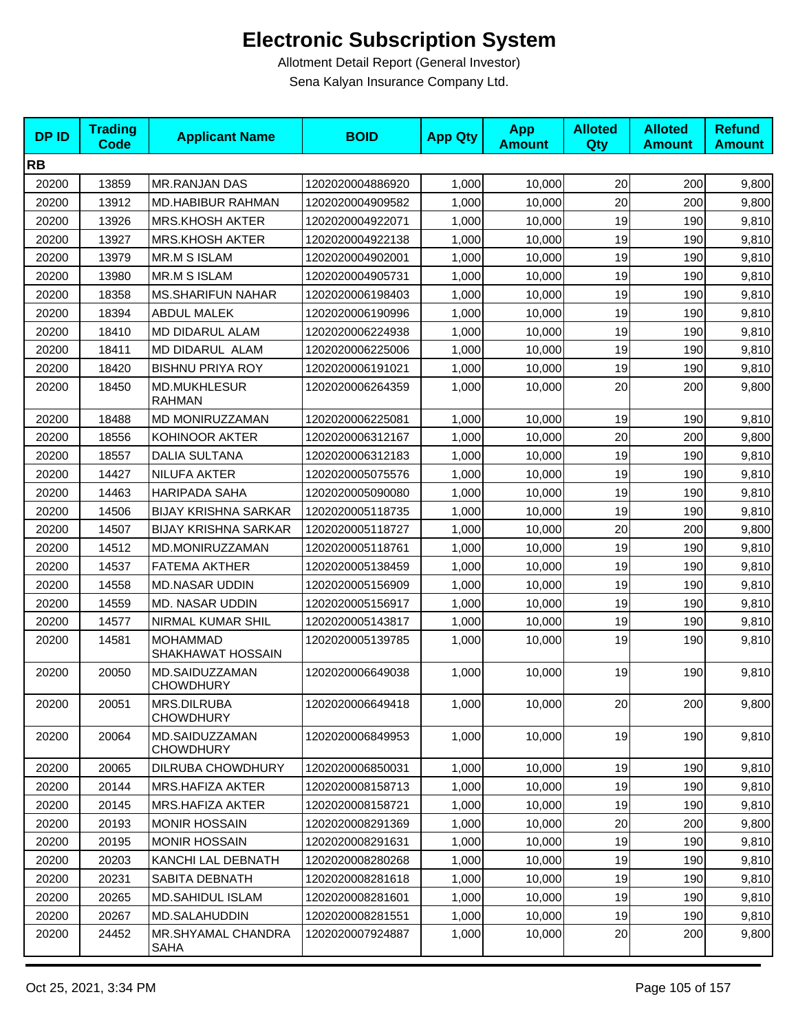| <b>DPID</b> | <b>Trading</b><br><b>Code</b> | <b>Applicant Name</b>                | <b>BOID</b>      | <b>App Qty</b> | <b>App</b><br><b>Amount</b> | <b>Alloted</b><br>Qty | <b>Alloted</b><br><b>Amount</b> | <b>Refund</b><br><b>Amount</b> |
|-------------|-------------------------------|--------------------------------------|------------------|----------------|-----------------------------|-----------------------|---------------------------------|--------------------------------|
| <b>RB</b>   |                               |                                      |                  |                |                             |                       |                                 |                                |
| 20200       | 13859                         | <b>MR.RANJAN DAS</b>                 | 1202020004886920 | 1,000          | 10,000                      | 20                    | 200                             | 9,800                          |
| 20200       | 13912                         | <b>MD.HABIBUR RAHMAN</b>             | 1202020004909582 | 1,000          | 10,000                      | 20                    | 200                             | 9,800                          |
| 20200       | 13926                         | <b>MRS.KHOSH AKTER</b>               | 1202020004922071 | 1,000          | 10,000                      | 19                    | 190                             | 9,810                          |
| 20200       | 13927                         | <b>MRS.KHOSH AKTER</b>               | 1202020004922138 | 1,000          | 10,000                      | 19                    | 190                             | 9,810                          |
| 20200       | 13979                         | <b>MR.M S ISLAM</b>                  | 1202020004902001 | 1,000          | 10,000                      | 19                    | 190                             | 9,810                          |
| 20200       | 13980                         | MR.M S ISLAM                         | 1202020004905731 | 1,000          | 10,000                      | 19                    | 190                             | 9,810                          |
| 20200       | 18358                         | <b>MS.SHARIFUN NAHAR</b>             | 1202020006198403 | 1,000          | 10,000                      | 19                    | 190                             | 9,810                          |
| 20200       | 18394                         | <b>ABDUL MALEK</b>                   | 1202020006190996 | 1,000          | 10,000                      | 19                    | 190                             | 9,810                          |
| 20200       | 18410                         | MD DIDARUL ALAM                      | 1202020006224938 | 1,000          | 10,000                      | 19                    | 190                             | 9,810                          |
| 20200       | 18411                         | MD DIDARUL ALAM                      | 1202020006225006 | 1,000          | 10,000                      | 19                    | 190                             | 9,810                          |
| 20200       | 18420                         | <b>BISHNU PRIYA ROY</b>              | 1202020006191021 | 1,000          | 10,000                      | 19                    | 190                             | 9,810                          |
| 20200       | 18450                         | <b>MD.MUKHLESUR</b><br><b>RAHMAN</b> | 1202020006264359 | 1,000          | 10,000                      | 20                    | 200                             | 9,800                          |
| 20200       | 18488                         | MD MONIRUZZAMAN                      | 1202020006225081 | 1,000          | 10,000                      | 19                    | 190                             | 9,810                          |
| 20200       | 18556                         | KOHINOOR AKTER                       | 1202020006312167 | 1,000          | 10,000                      | 20                    | 200                             | 9,800                          |
| 20200       | 18557                         | <b>DALIA SULTANA</b>                 | 1202020006312183 | 1,000          | 10,000                      | 19                    | 190                             | 9,810                          |
| 20200       | 14427                         | NILUFA AKTER                         | 1202020005075576 | 1,000          | 10,000                      | 19                    | 190                             | 9,810                          |
| 20200       | 14463                         | <b>HARIPADA SAHA</b>                 | 1202020005090080 | 1,000          | 10,000                      | 19                    | 190                             | 9,810                          |
| 20200       | 14506                         | <b>BIJAY KRISHNA SARKAR</b>          | 1202020005118735 | 1,000          | 10,000                      | 19                    | 190                             | 9,810                          |
| 20200       | 14507                         | <b>BIJAY KRISHNA SARKAR</b>          | 1202020005118727 | 1,000          | 10,000                      | 20                    | 200                             | 9,800                          |
| 20200       | 14512                         | MD.MONIRUZZAMAN                      | 1202020005118761 | 1,000          | 10,000                      | 19                    | 190                             | 9,810                          |
| 20200       | 14537                         | <b>FATEMA AKTHER</b>                 | 1202020005138459 | 1,000          | 10,000                      | 19                    | 190                             | 9,810                          |
| 20200       | 14558                         | <b>MD.NASAR UDDIN</b>                | 1202020005156909 | 1,000          | 10,000                      | 19                    | 190                             | 9,810                          |
| 20200       | 14559                         | MD. NASAR UDDIN                      | 1202020005156917 | 1,000          | 10,000                      | 19                    | 190                             | 9,810                          |
| 20200       | 14577                         | NIRMAL KUMAR SHIL                    | 1202020005143817 | 1,000          | 10,000                      | 19                    | 190                             | 9,810                          |
| 20200       | 14581                         | <b>MOHAMMAD</b><br>SHAKHAWAT HOSSAIN | 1202020005139785 | 1,000          | 10,000                      | 19                    | 190                             | 9,810                          |
| 20200       | 20050                         | MD.SAIDUZZAMAN<br><b>CHOWDHURY</b>   | 1202020006649038 | 1,000          | 10,000                      | 19                    | 190                             | 9,810                          |
| 20200       | 20051                         | MRS.DILRUBA<br><b>CHOWDHURY</b>      | 1202020006649418 | 1,000          | 10,000                      | 20                    | 200                             | 9,800                          |
| 20200       | 20064                         | MD.SAIDUZZAMAN<br><b>CHOWDHURY</b>   | 1202020006849953 | 1,000          | 10,000                      | 19                    | 190                             | 9,810                          |
| 20200       | 20065                         | DILRUBA CHOWDHURY                    | 1202020006850031 | 1,000          | 10,000                      | 19                    | 190                             | 9,810                          |
| 20200       | 20144                         | <b>MRS.HAFIZA AKTER</b>              | 1202020008158713 | 1,000          | 10,000                      | 19                    | 190                             | 9,810                          |
| 20200       | 20145                         | MRS.HAFIZA AKTER                     | 1202020008158721 | 1,000          | 10,000                      | 19                    | 190                             | 9,810                          |
| 20200       | 20193                         | <b>MONIR HOSSAIN</b>                 | 1202020008291369 | 1,000          | 10,000                      | 20                    | 200                             | 9,800                          |
| 20200       | 20195                         | <b>MONIR HOSSAIN</b>                 | 1202020008291631 | 1,000          | 10,000                      | 19                    | 190                             | 9,810                          |
| 20200       | 20203                         | KANCHI LAL DEBNATH                   | 1202020008280268 | 1,000          | 10,000                      | 19                    | 190                             | 9,810                          |
| 20200       | 20231                         | SABITA DEBNATH                       | 1202020008281618 | 1,000          | 10,000                      | 19                    | 190                             | 9,810                          |
| 20200       | 20265                         | <b>MD.SAHIDUL ISLAM</b>              | 1202020008281601 | 1,000          | 10,000                      | 19                    | 190                             | 9,810                          |
| 20200       | 20267                         | <b>MD.SALAHUDDIN</b>                 | 1202020008281551 | 1,000          | 10,000                      | 19                    | 190                             | 9,810                          |
| 20200       | 24452                         | MR.SHYAMAL CHANDRA<br>SAHA           | 1202020007924887 | 1,000          | 10,000                      | 20                    | 200                             | 9,800                          |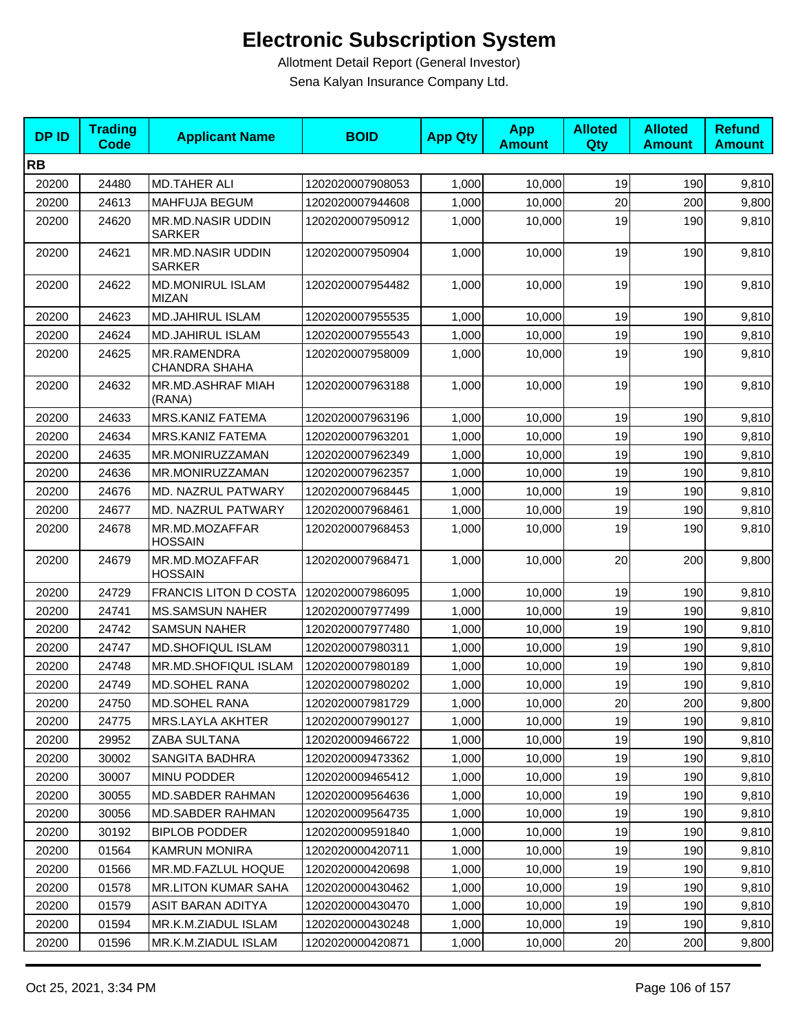| <b>DPID</b> | <b>Trading</b><br><b>Code</b> | <b>Applicant Name</b>                      | <b>BOID</b>      | <b>App Qty</b> | <b>App</b><br><b>Amount</b> | <b>Alloted</b><br>Qty | <b>Alloted</b><br><b>Amount</b> | <b>Refund</b><br><b>Amount</b> |
|-------------|-------------------------------|--------------------------------------------|------------------|----------------|-----------------------------|-----------------------|---------------------------------|--------------------------------|
| <b>RB</b>   |                               |                                            |                  |                |                             |                       |                                 |                                |
| 20200       | 24480                         | <b>MD.TAHER ALI</b>                        | 1202020007908053 | 1,000          | 10,000                      | 19                    | 190                             | 9,810                          |
| 20200       | 24613                         | MAHFUJA BEGUM                              | 1202020007944608 | 1,000          | 10,000                      | 20                    | 200                             | 9,800                          |
| 20200       | 24620                         | <b>MR.MD.NASIR UDDIN</b><br><b>SARKER</b>  | 1202020007950912 | 1,000          | 10,000                      | 19                    | 190                             | 9,810                          |
| 20200       | 24621                         | <b>MR.MD.NASIR UDDIN</b><br><b>SARKER</b>  | 1202020007950904 | 1,000          | 10,000                      | 19                    | 190                             | 9,810                          |
| 20200       | 24622                         | <b>MD.MONIRUL ISLAM</b><br><b>MIZAN</b>    | 1202020007954482 | 1,000          | 10,000                      | 19                    | 190                             | 9,810                          |
| 20200       | 24623                         | <b>MD.JAHIRUL ISLAM</b>                    | 1202020007955535 | 1,000          | 10,000                      | 19                    | 190                             | 9,810                          |
| 20200       | 24624                         | <b>MD.JAHIRUL ISLAM</b>                    | 1202020007955543 | 1,000          | 10,000                      | 19                    | 190                             | 9,810                          |
| 20200       | 24625                         | <b>MR.RAMENDRA</b><br><b>CHANDRA SHAHA</b> | 1202020007958009 | 1,000          | 10,000                      | 19                    | 190                             | 9,810                          |
| 20200       | 24632                         | MR.MD.ASHRAF MIAH<br>(RANA)                | 1202020007963188 | 1,000          | 10,000                      | 19                    | 190                             | 9,810                          |
| 20200       | 24633                         | <b>MRS.KANIZ FATEMA</b>                    | 1202020007963196 | 1,000          | 10.000                      | 19                    | 190                             | 9,810                          |
| 20200       | 24634                         | <b>MRS.KANIZ FATEMA</b>                    | 1202020007963201 | 1,000          | 10,000                      | 19                    | 190                             | 9,810                          |
| 20200       | 24635                         | MR.MONIRUZZAMAN                            | 1202020007962349 | 1,000          | 10,000                      | 19                    | 190                             | 9,810                          |
| 20200       | 24636                         | MR.MONIRUZZAMAN                            | 1202020007962357 | 1,000          | 10,000                      | 19                    | 190                             | 9,810                          |
| 20200       | 24676                         | MD. NAZRUL PATWARY                         | 1202020007968445 | 1,000          | 10,000                      | 19                    | 190                             | 9,810                          |
| 20200       | 24677                         | MD. NAZRUL PATWARY                         | 1202020007968461 | 1,000          | 10,000                      | 19                    | 190                             | 9,810                          |
| 20200       | 24678                         | MR.MD.MOZAFFAR<br><b>HOSSAIN</b>           | 1202020007968453 | 1,000          | 10,000                      | 19                    | 190                             | 9,810                          |
| 20200       | 24679                         | MR.MD.MOZAFFAR<br><b>HOSSAIN</b>           | 1202020007968471 | 1,000          | 10,000                      | 20                    | 200                             | 9,800                          |
| 20200       | 24729                         | <b>FRANCIS LITON D COSTA</b>               | 1202020007986095 | 1,000          | 10,000                      | 19                    | 190                             | 9,810                          |
| 20200       | 24741                         | <b>MS.SAMSUN NAHER</b>                     | 1202020007977499 | 1,000          | 10,000                      | 19                    | 190                             | 9,810                          |
| 20200       | 24742                         | <b>SAMSUN NAHER</b>                        | 1202020007977480 | 1,000          | 10,000                      | 19                    | 190                             | 9,810                          |
| 20200       | 24747                         | <b>MD.SHOFIQUL ISLAM</b>                   | 1202020007980311 | 1,000          | 10,000                      | 19                    | 190                             | 9,810                          |
| 20200       | 24748                         | MR.MD.SHOFIQUL ISLAM                       | 1202020007980189 | 1,000          | 10,000                      | 19                    | 190                             | 9,810                          |
| 20200       | 24749                         | <b>MD.SOHEL RANA</b>                       | 1202020007980202 | 1,000          | 10,000                      | 19                    | 190                             | 9,810                          |
| 20200       | 24750                         | MD.SOHEL RANA                              | 1202020007981729 | 1,000          | 10,000                      | $20\,$                | 200                             | 9,800                          |
| 20200       | 24775                         | MRS.LAYLA AKHTER                           | 1202020007990127 | 1,000          | 10,000                      | 19                    | 190                             | 9,810                          |
| 20200       | 29952                         | ZABA SULTANA                               | 1202020009466722 | 1,000          | 10,000                      | 19                    | 190                             | 9,810                          |
| 20200       | 30002                         | SANGITA BADHRA                             | 1202020009473362 | 1,000          | 10,000                      | 19                    | 190                             | 9,810                          |
| 20200       | 30007                         | MINU PODDER                                | 1202020009465412 | 1,000          | 10,000                      | 19                    | 190                             | 9,810                          |
| 20200       | 30055                         | <b>MD.SABDER RAHMAN</b>                    | 1202020009564636 | 1,000          | 10,000                      | 19                    | 190                             | 9,810                          |
| 20200       | 30056                         | <b>MD.SABDER RAHMAN</b>                    | 1202020009564735 | 1,000          | 10,000                      | 19                    | 190                             | 9,810                          |
| 20200       | 30192                         | <b>BIPLOB PODDER</b>                       | 1202020009591840 | 1,000          | 10,000                      | 19                    | 190                             | 9,810                          |
| 20200       | 01564                         | <b>KAMRUN MONIRA</b>                       | 1202020000420711 | 1,000          | 10,000                      | 19                    | 190                             | 9,810                          |
| 20200       | 01566                         | MR.MD.FAZLUL HOQUE                         | 1202020000420698 | 1,000          | 10,000                      | 19                    | 190                             | 9,810                          |
| 20200       | 01578                         | <b>MR.LITON KUMAR SAHA</b>                 | 1202020000430462 | 1,000          | 10,000                      | 19                    | 190                             | 9,810                          |
| 20200       | 01579                         | ASIT BARAN ADITYA                          | 1202020000430470 | 1,000          | 10,000                      | 19                    | 190                             | 9,810                          |
| 20200       | 01594                         | MR.K.M.ZIADUL ISLAM                        | 1202020000430248 | 1,000          | 10,000                      | 19                    | 190                             | 9,810                          |
| 20200       | 01596                         | MR.K.M.ZIADUL ISLAM                        | 1202020000420871 | 1,000          | 10,000                      | 20                    | 200                             | 9,800                          |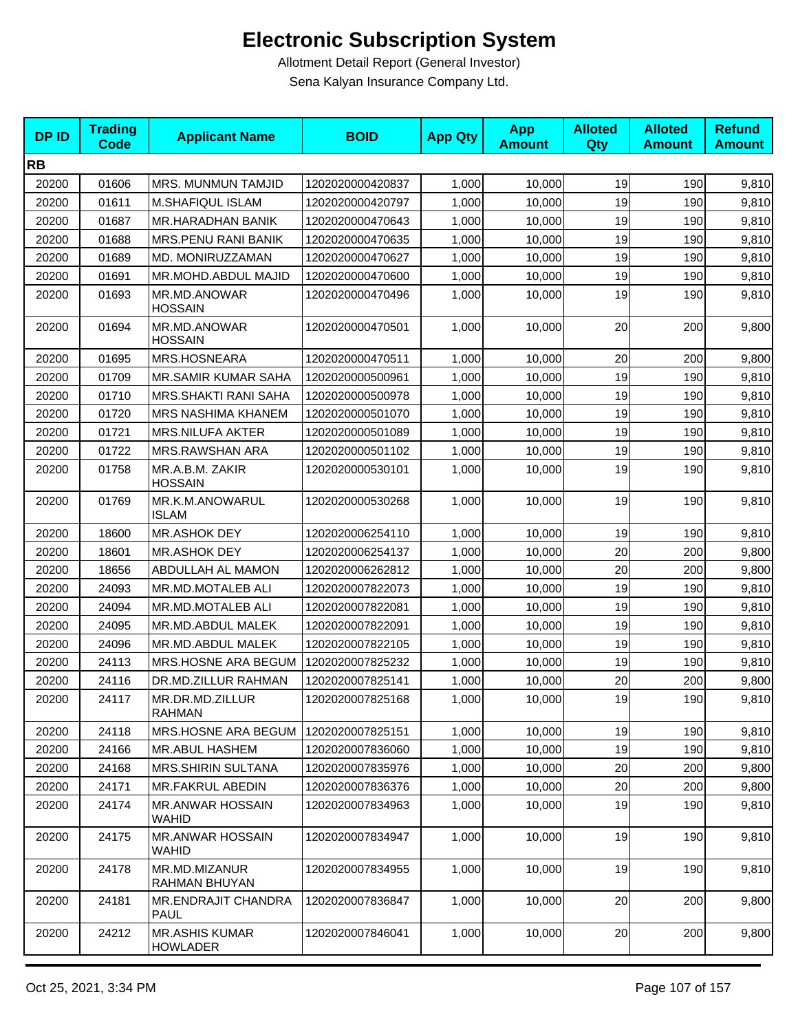| <b>DPID</b> | <b>Trading</b><br><b>Code</b> | <b>Applicant Name</b>                     | <b>BOID</b>      | <b>App Qty</b> | <b>App</b><br><b>Amount</b> | <b>Alloted</b><br>Qty | <b>Alloted</b><br><b>Amount</b> | <b>Refund</b><br><b>Amount</b> |
|-------------|-------------------------------|-------------------------------------------|------------------|----------------|-----------------------------|-----------------------|---------------------------------|--------------------------------|
| <b>RB</b>   |                               |                                           |                  |                |                             |                       |                                 |                                |
| 20200       | 01606                         | <b>MRS. MUNMUN TAMJID</b>                 | 1202020000420837 | 1,000          | 10,000                      | 19                    | 190                             | 9,810                          |
| 20200       | 01611                         | M.SHAFIQUL ISLAM                          | 1202020000420797 | 1,000          | 10,000                      | 19                    | 190                             | 9,810                          |
| 20200       | 01687                         | <b>MR.HARADHAN BANIK</b>                  | 1202020000470643 | 1,000          | 10,000                      | 19                    | 190                             | 9,810                          |
| 20200       | 01688                         | MRS.PENU RANI BANIK                       | 1202020000470635 | 1,000          | 10,000                      | 19                    | 190                             | 9,810                          |
| 20200       | 01689                         | MD. MONIRUZZAMAN                          | 1202020000470627 | 1,000          | 10,000                      | 19                    | 190                             | 9,810                          |
| 20200       | 01691                         | MR.MOHD.ABDUL MAJID                       | 1202020000470600 | 1,000          | 10,000                      | 19                    | 190                             | 9,810                          |
| 20200       | 01693                         | MR.MD.ANOWAR<br><b>HOSSAIN</b>            | 1202020000470496 | 1,000          | 10,000                      | 19                    | 190                             | 9,810                          |
| 20200       | 01694                         | MR.MD.ANOWAR<br><b>HOSSAIN</b>            | 1202020000470501 | 1,000          | 10,000                      | 20                    | 200                             | 9,800                          |
| 20200       | 01695                         | MRS.HOSNEARA                              | 1202020000470511 | 1,000          | 10,000                      | 20                    | 200                             | 9,800                          |
| 20200       | 01709                         | MR.SAMIR KUMAR SAHA                       | 1202020000500961 | 1,000          | 10,000                      | 19                    | 190                             | 9,810                          |
| 20200       | 01710                         | MRS.SHAKTI RANI SAHA                      | 1202020000500978 | 1,000          | 10,000                      | 19                    | 190                             | 9,810                          |
| 20200       | 01720                         | MRS NASHIMA KHANEM                        | 1202020000501070 | 1,000          | 10,000                      | 19                    | 190                             | 9,810                          |
| 20200       | 01721                         | <b>MRS.NILUFA AKTER</b>                   | 1202020000501089 | 1.000          | 10,000                      | 19                    | 190                             | 9,810                          |
| 20200       | 01722                         | MRS.RAWSHAN ARA                           | 1202020000501102 | 1,000          | 10,000                      | 19                    | 190                             | 9,810                          |
| 20200       | 01758                         | MR.A.B.M. ZAKIR<br><b>HOSSAIN</b>         | 1202020000530101 | 1,000          | 10,000                      | 19                    | 190                             | 9,810                          |
| 20200       | 01769                         | MR.K.M.ANOWARUL<br><b>ISLAM</b>           | 1202020000530268 | 1,000          | 10,000                      | 19                    | 190                             | 9,810                          |
| 20200       | 18600                         | <b>MR.ASHOK DEY</b>                       | 1202020006254110 | 1,000          | 10,000                      | 19                    | 190                             | 9,810                          |
| 20200       | 18601                         | <b>MR.ASHOK DEY</b>                       | 1202020006254137 | 1,000          | 10,000                      | 20                    | 200                             | 9,800                          |
| 20200       | 18656                         | ABDULLAH AL MAMON                         | 1202020006262812 | 1,000          | 10,000                      | 20                    | 200                             | 9,800                          |
| 20200       | 24093                         | MR.MD.MOTALEB ALI                         | 1202020007822073 | 1,000          | 10,000                      | 19                    | 190                             | 9,810                          |
| 20200       | 24094                         | MR.MD.MOTALEB ALI                         | 1202020007822081 | 1,000          | 10,000                      | 19                    | 190                             | 9,810                          |
| 20200       | 24095                         | <b>MR.MD.ABDUL MALEK</b>                  | 1202020007822091 | 1,000          | 10.000                      | 19                    | 190                             | 9,810                          |
| 20200       | 24096                         | MR.MD.ABDUL MALEK                         | 1202020007822105 | 1,000          | 10,000                      | 19                    | 190                             | 9,810                          |
| 20200       | 24113                         | MRS.HOSNE ARA BEGUM                       | 1202020007825232 | 1,000          | 10,000                      | 19                    | 190                             | 9,810                          |
| 20200       | 24116                         | DR.MD.ZILLUR RAHMAN                       | 1202020007825141 | 1,000          | 10,000                      | 20                    | 200                             | 9,800                          |
| 20200       | 24117                         | MR.DR.MD.ZILLUR<br><b>RAHMAN</b>          | 1202020007825168 | 1,000          | 10,000                      | 19                    | 190                             | 9,810                          |
| 20200       | 24118                         | MRS.HOSNE ARA BEGUM                       | 1202020007825151 | 1,000          | 10,000                      | 19                    | 190                             | 9,810                          |
| 20200       | 24166                         | <b>MR.ABUL HASHEM</b>                     | 1202020007836060 | 1,000          | 10,000                      | 19                    | 190                             | 9,810                          |
| 20200       | 24168                         | <b>MRS.SHIRIN SULTANA</b>                 | 1202020007835976 | 1,000          | 10,000                      | 20                    | 200                             | 9,800                          |
| 20200       | 24171                         | MR.FAKRUL ABEDIN                          | 1202020007836376 | 1,000          | 10,000                      | 20                    | 200                             | 9,800                          |
| 20200       | 24174                         | <b>MR.ANWAR HOSSAIN</b><br><b>WAHID</b>   | 1202020007834963 | 1,000          | 10,000                      | 19                    | 190                             | 9,810                          |
| 20200       | 24175                         | <b>MR.ANWAR HOSSAIN</b><br>WAHID          | 1202020007834947 | 1,000          | 10,000                      | 19                    | 190                             | 9,810                          |
| 20200       | 24178                         | MR.MD.MIZANUR<br>RAHMAN BHUYAN            | 1202020007834955 | 1,000          | 10,000                      | 19                    | 190                             | 9,810                          |
| 20200       | 24181                         | <b>MR.ENDRAJIT CHANDRA</b><br><b>PAUL</b> | 1202020007836847 | 1,000          | 10,000                      | 20                    | 200                             | 9,800                          |
| 20200       | 24212                         | <b>MR.ASHIS KUMAR</b><br><b>HOWLADER</b>  | 1202020007846041 | 1,000          | 10,000                      | 20                    | 200                             | 9,800                          |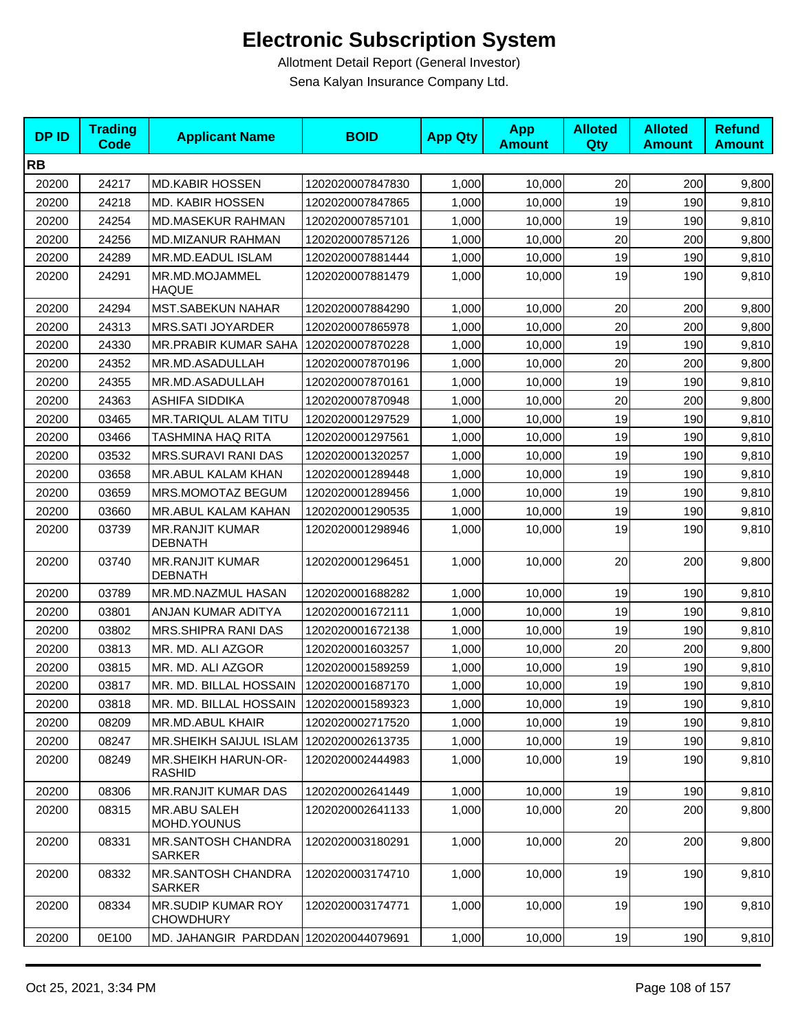| <b>DPID</b> | <b>Trading</b><br><b>Code</b> | <b>Applicant Name</b>                     | <b>BOID</b>      | <b>App Qty</b> | <b>App</b><br><b>Amount</b> | <b>Alloted</b><br><b>Qty</b> | <b>Alloted</b><br><b>Amount</b> | <b>Refund</b><br><b>Amount</b> |
|-------------|-------------------------------|-------------------------------------------|------------------|----------------|-----------------------------|------------------------------|---------------------------------|--------------------------------|
| <b>RB</b>   |                               |                                           |                  |                |                             |                              |                                 |                                |
| 20200       | 24217                         | <b>MD.KABIR HOSSEN</b>                    | 1202020007847830 | 1,000          | 10,000                      | 20                           | 200                             | 9,800                          |
| 20200       | 24218                         | <b>MD. KABIR HOSSEN</b>                   | 1202020007847865 | 1,000          | 10,000                      | 19                           | 190                             | 9,810                          |
| 20200       | 24254                         | <b>MD.MASEKUR RAHMAN</b>                  | 1202020007857101 | 1,000          | 10,000                      | 19                           | 190                             | 9,810                          |
| 20200       | 24256                         | MD.MIZANUR RAHMAN                         | 1202020007857126 | 1,000          | 10,000                      | 20                           | 200                             | 9,800                          |
| 20200       | 24289                         | MR.MD.EADUL ISLAM                         | 1202020007881444 | 1,000          | 10,000                      | 19                           | 190                             | 9,810                          |
| 20200       | 24291                         | MR.MD.MOJAMMEL<br><b>HAQUE</b>            | 1202020007881479 | 1.000          | 10,000                      | 19                           | 190                             | 9,810                          |
| 20200       | 24294                         | <b>MST.SABEKUN NAHAR</b>                  | 1202020007884290 | 1,000          | 10,000                      | 20                           | 200                             | 9,800                          |
| 20200       | 24313                         | MRS.SATI JOYARDER                         | 1202020007865978 | 1,000          | 10,000                      | 20                           | 200                             | 9,800                          |
| 20200       | 24330                         | <b>MR.PRABIR KUMAR SAHA</b>               | 1202020007870228 | 1,000          | 10,000                      | 19                           | 190                             | 9,810                          |
| 20200       | 24352                         | MR.MD.ASADULLAH                           | 1202020007870196 | 1,000          | 10,000                      | 20                           | 200                             | 9,800                          |
| 20200       | 24355                         | MR.MD.ASADULLAH                           | 1202020007870161 | 1,000          | 10,000                      | 19                           | 190                             | 9,810                          |
| 20200       | 24363                         | ASHIFA SIDDIKA                            | 1202020007870948 | 1,000          | 10,000                      | 20                           | 200                             | 9,800                          |
| 20200       | 03465                         | <b>MR.TARIQUL ALAM TITU</b>               | 1202020001297529 | 1,000          | 10.000                      | 19                           | 190                             | 9,810                          |
| 20200       | 03466                         | <b>TASHMINA HAQ RITA</b>                  | 1202020001297561 | 1,000          | 10,000                      | 19                           | 190                             | 9,810                          |
| 20200       | 03532                         | MRS.SURAVI RANI DAS                       | 1202020001320257 | 1,000          | 10,000                      | 19                           | 190                             | 9,810                          |
| 20200       | 03658                         | MR.ABUL KALAM KHAN                        | 1202020001289448 | 1,000          | 10,000                      | 19                           | 190                             | 9,810                          |
| 20200       | 03659                         | MRS.MOMOTAZ BEGUM                         | 1202020001289456 | 1,000          | 10,000                      | 19                           | 190                             | 9,810                          |
| 20200       | 03660                         | MR.ABUL KALAM KAHAN                       | 1202020001290535 | 1,000          | 10,000                      | 19                           | 190                             | 9,810                          |
| 20200       | 03739                         | <b>MR.RANJIT KUMAR</b><br><b>DEBNATH</b>  | 1202020001298946 | 1,000          | 10,000                      | 19                           | 190                             | 9,810                          |
| 20200       | 03740                         | <b>MR.RANJIT KUMAR</b><br><b>DEBNATH</b>  | 1202020001296451 | 1,000          | 10,000                      | 20                           | 200                             | 9,800                          |
| 20200       | 03789                         | MR.MD.NAZMUL HASAN                        | 1202020001688282 | 1,000          | 10,000                      | 19                           | 190                             | 9,810                          |
| 20200       | 03801                         | ANJAN KUMAR ADITYA                        | 1202020001672111 | 1,000          | 10,000                      | 19                           | 190                             | 9,810                          |
| 20200       | 03802                         | MRS.SHIPRA RANI DAS                       | 1202020001672138 | 1,000          | 10,000                      | 19                           | 190                             | 9,810                          |
| 20200       | 03813                         | MR. MD. ALI AZGOR                         | 1202020001603257 | 1,000          | 10,000                      | 20                           | 200                             | 9,800                          |
| 20200       | 03815                         | MR. MD. ALI AZGOR                         | 1202020001589259 | 1,000          | 10,000                      | 19                           | 190                             | 9,810                          |
| 20200       | 03817                         | MR. MD. BILLAL HOSSAIN                    | 1202020001687170 | 1,000          | 10,000                      | 19                           | 190                             | 9,810                          |
| 20200       | 03818                         | MR. MD. BILLAL HOSSAIN                    | 1202020001589323 | 1,000          | 10,000                      | 19                           | 190                             | 9,810                          |
| 20200       | 08209                         | MR.MD.ABUL KHAIR                          | 1202020002717520 | 1,000          | 10,000                      | 19                           | 190                             | 9,810                          |
| 20200       | 08247                         | MR.SHEIKH SAIJUL ISLAM   1202020002613735 |                  | 1,000          | 10,000                      | 19                           | 190                             | 9,810                          |
| 20200       | 08249                         | MR.SHEIKH HARUN-OR-<br><b>RASHID</b>      | 1202020002444983 | 1,000          | 10,000                      | 19                           | 190                             | 9,810                          |
| 20200       | 08306                         | MR.RANJIT KUMAR DAS                       | 1202020002641449 | 1,000          | 10,000                      | 19                           | 190                             | 9,810                          |
| 20200       | 08315                         | <b>MR.ABU SALEH</b><br>MOHD.YOUNUS        | 1202020002641133 | 1,000          | 10,000                      | 20                           | 200                             | 9,800                          |
| 20200       | 08331                         | MR.SANTOSH CHANDRA<br><b>SARKER</b>       | 1202020003180291 | 1,000          | 10,000                      | 20                           | 200                             | 9,800                          |
| 20200       | 08332                         | MR.SANTOSH CHANDRA<br><b>SARKER</b>       | 1202020003174710 | 1,000          | 10,000                      | 19                           | 190                             | 9,810                          |
| 20200       | 08334                         | MR.SUDIP KUMAR ROY<br><b>CHOWDHURY</b>    | 1202020003174771 | 1,000          | 10,000                      | 19                           | 190                             | 9,810                          |
| 20200       | 0E100                         | MD. JAHANGIR PARDDAN 1202020044079691     |                  | 1,000          | 10,000                      | 19                           | 190                             | 9,810                          |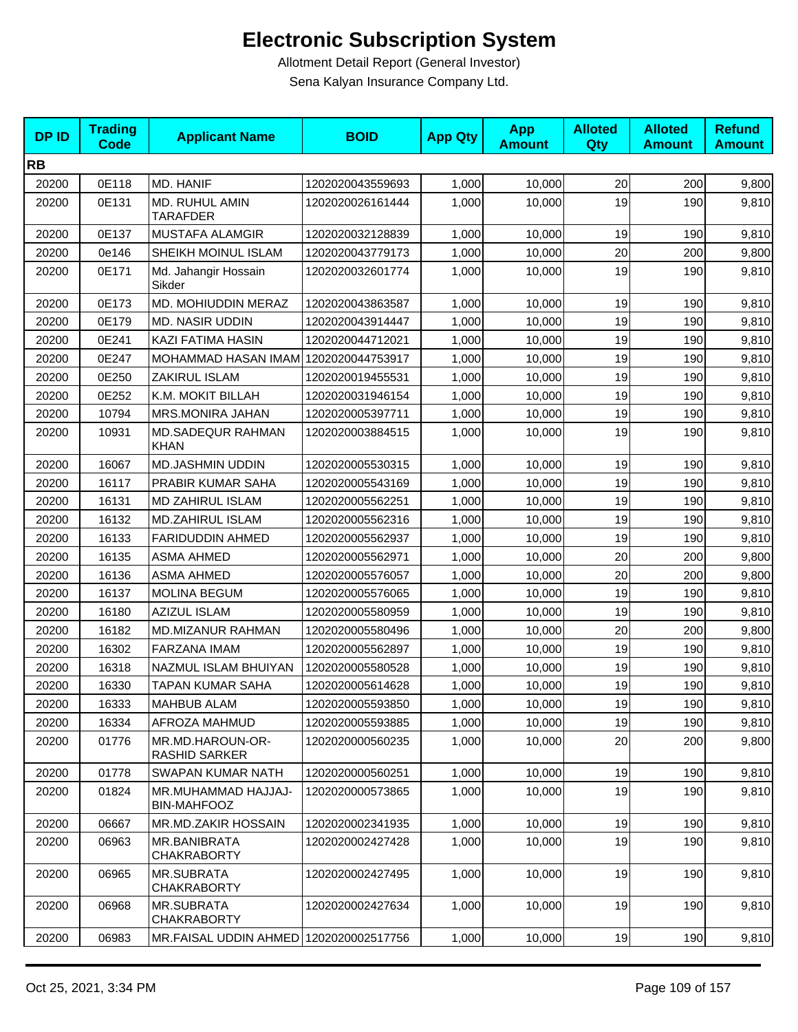| <b>DPID</b> | <b>Trading</b><br><b>Code</b> | <b>Applicant Name</b>                     | <b>BOID</b>      | <b>App Qty</b> | <b>App</b><br><b>Amount</b> | <b>Alloted</b><br>Qty | <b>Alloted</b><br><b>Amount</b> | <b>Refund</b><br><b>Amount</b> |
|-------------|-------------------------------|-------------------------------------------|------------------|----------------|-----------------------------|-----------------------|---------------------------------|--------------------------------|
| <b>RB</b>   |                               |                                           |                  |                |                             |                       |                                 |                                |
| 20200       | 0E118                         | MD. HANIF                                 | 1202020043559693 | 1,000          | 10,000                      | 20                    | 200                             | 9,800                          |
| 20200       | 0E131                         | MD. RUHUL AMIN<br><b>TARAFDER</b>         | 1202020026161444 | 1,000          | 10,000                      | 19                    | 190                             | 9,810                          |
| 20200       | 0E137                         | MUSTAFA ALAMGIR                           | 1202020032128839 | 1,000          | 10,000                      | 19                    | 190                             | 9,810                          |
| 20200       | 0e146                         | SHEIKH MOINUL ISLAM                       | 1202020043779173 | 1,000          | 10,000                      | 20                    | 200                             | 9,800                          |
| 20200       | 0E171                         | Md. Jahangir Hossain<br>Sikder            | 1202020032601774 | 1,000          | 10,000                      | 19                    | 190                             | 9,810                          |
| 20200       | 0E173                         | MD. MOHIUDDIN MERAZ                       | 1202020043863587 | 1,000          | 10,000                      | 19                    | 190                             | 9,810                          |
| 20200       | 0E179                         | MD. NASIR UDDIN                           | 1202020043914447 | 1,000          | 10,000                      | 19                    | 190                             | 9,810                          |
| 20200       | 0E241                         | KAZI FATIMA HASIN                         | 1202020044712021 | 1,000          | 10,000                      | 19                    | 190                             | 9,810                          |
| 20200       | 0E247                         | MOHAMMAD HASAN IMAM 1202020044753917      |                  | 1,000          | 10,000                      | 19                    | 190                             | 9,810                          |
| 20200       | 0E250                         | ZAKIRUL ISLAM                             | 1202020019455531 | 1,000          | 10.000                      | 19                    | 190                             | 9,810                          |
| 20200       | 0E252                         | K.M. MOKIT BILLAH                         | 1202020031946154 | 1,000          | 10,000                      | 19                    | 190                             | 9,810                          |
| 20200       | 10794                         | <b>MRS.MONIRA JAHAN</b>                   | 1202020005397711 | 1,000          | 10,000                      | 19                    | 190                             | 9,810                          |
| 20200       | 10931                         | MD.SADEQUR RAHMAN<br><b>KHAN</b>          | 1202020003884515 | 1,000          | 10,000                      | 19                    | 190                             | 9,810                          |
| 20200       | 16067                         | <b>MD.JASHMIN UDDIN</b>                   | 1202020005530315 | 1,000          | 10,000                      | 19                    | 190                             | 9,810                          |
| 20200       | 16117                         | PRABIR KUMAR SAHA                         | 1202020005543169 | 1,000          | 10,000                      | 19                    | 190                             | 9,810                          |
| 20200       | 16131                         | <b>MD ZAHIRUL ISLAM</b>                   | 1202020005562251 | 1,000          | 10,000                      | 19                    | 190                             | 9,810                          |
| 20200       | 16132                         | <b>MD.ZAHIRUL ISLAM</b>                   | 1202020005562316 | 1,000          | 10,000                      | 19                    | 190                             | 9,810                          |
| 20200       | 16133                         | <b>FARIDUDDIN AHMED</b>                   | 1202020005562937 | 1,000          | 10,000                      | 19                    | 190                             | 9,810                          |
| 20200       | 16135                         | <b>ASMA AHMED</b>                         | 1202020005562971 | 1,000          | 10,000                      | 20                    | 200                             | 9,800                          |
| 20200       | 16136                         | <b>ASMA AHMED</b>                         | 1202020005576057 | 1,000          | 10,000                      | 20                    | 200                             | 9,800                          |
| 20200       | 16137                         | <b>MOLINA BEGUM</b>                       | 1202020005576065 | 1,000          | 10,000                      | 19                    | 190                             | 9,810                          |
| 20200       | 16180                         | <b>AZIZUL ISLAM</b>                       | 1202020005580959 | 1,000          | 10,000                      | 19                    | 190                             | 9,810                          |
| 20200       | 16182                         | MD.MIZANUR RAHMAN                         | 1202020005580496 | 1,000          | 10,000                      | 20                    | 200                             | 9,800                          |
| 20200       | 16302                         | FARZANA IMAM                              | 1202020005562897 | 1,000          | 10,000                      | 19                    | 190                             | 9,810                          |
| 20200       | 16318                         | NAZMUL ISLAM BHUIYAN                      | 1202020005580528 | 1,000          | 10,000                      | 19                    | 190                             | 9,810                          |
| 20200       | 16330                         | TAPAN KUMAR SAHA                          | 1202020005614628 | 1,000          | 10,000                      | 19                    | 190                             | 9,810                          |
| 20200       | 16333                         | MAHBUB ALAM                               | 1202020005593850 | 1,000          | 10,000                      | 19                    | 190                             | 9,810                          |
| 20200       | 16334                         | AFROZA MAHMUD                             | 1202020005593885 | 1,000          | 10,000                      | 19                    | 190                             | 9,810                          |
| 20200       | 01776                         | MR.MD.HAROUN-OR-<br><b>RASHID SARKER</b>  | 1202020000560235 | 1,000          | 10,000                      | 20                    | 200                             | 9,800                          |
| 20200       | 01778                         | SWAPAN KUMAR NATH                         | 1202020000560251 | 1,000          | 10,000                      | 19                    | 190                             | 9,810                          |
| 20200       | 01824                         | MR.MUHAMMAD HAJJAJ-<br><b>BIN-MAHFOOZ</b> | 1202020000573865 | 1.000          | 10.000                      | 19                    | 190                             | 9,810                          |
| 20200       | 06667                         | <b>MR.MD.ZAKIR HOSSAIN</b>                | 1202020002341935 | 1,000          | 10,000                      | 19                    | 190                             | 9,810                          |
| 20200       | 06963                         | MR.BANIBRATA<br><b>CHAKRABORTY</b>        | 1202020002427428 | 1,000          | 10,000                      | 19                    | 190                             | 9,810                          |
| 20200       | 06965                         | <b>MR.SUBRATA</b><br><b>CHAKRABORTY</b>   | 1202020002427495 | 1,000          | 10,000                      | 19                    | 190                             | 9,810                          |
| 20200       | 06968                         | <b>MR.SUBRATA</b><br><b>CHAKRABORTY</b>   | 1202020002427634 | 1,000          | 10,000                      | 19                    | 190                             | 9,810                          |
| 20200       | 06983                         | MR.FAISAL UDDIN AHMED                     | 1202020002517756 | 1,000          | 10,000                      | 19                    | 190                             | 9,810                          |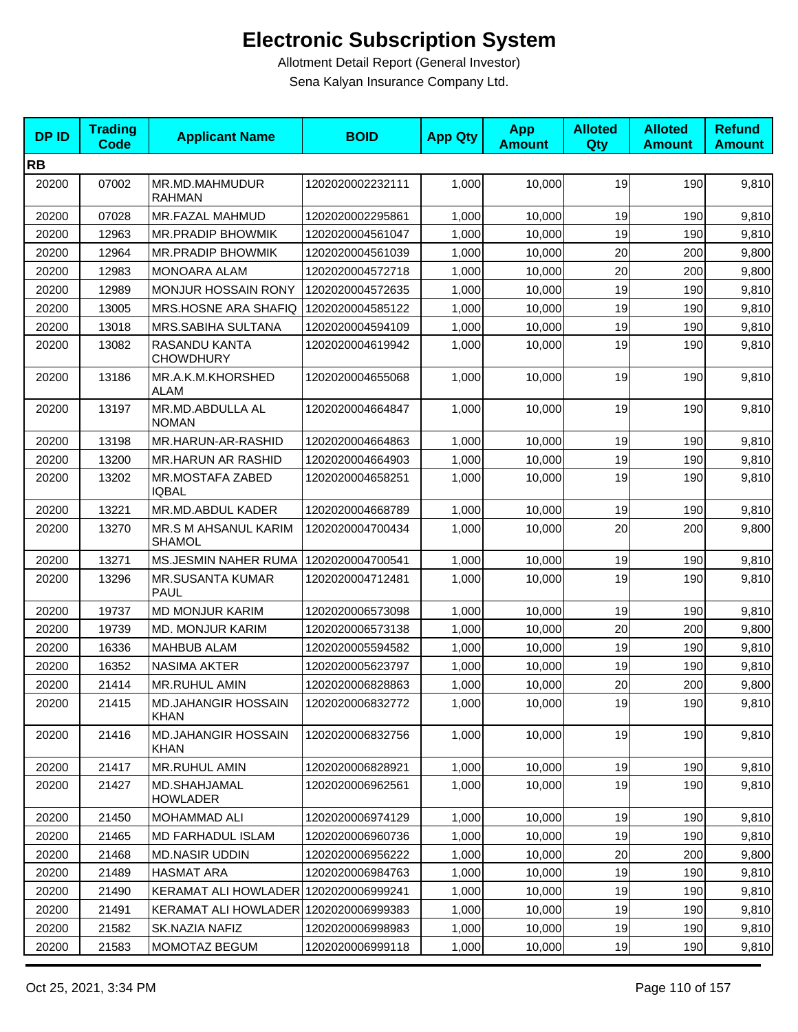| <b>DPID</b> | <b>Trading</b><br><b>Code</b> | <b>Applicant Name</b>                  | <b>BOID</b>      | <b>App Qty</b> | <b>App</b><br><b>Amount</b> | <b>Alloted</b><br>Qty | <b>Alloted</b><br><b>Amount</b> | <b>Refund</b><br><b>Amount</b> |
|-------------|-------------------------------|----------------------------------------|------------------|----------------|-----------------------------|-----------------------|---------------------------------|--------------------------------|
| <b>RB</b>   |                               |                                        |                  |                |                             |                       |                                 |                                |
| 20200       | 07002                         | MR.MD.MAHMUDUR<br><b>RAHMAN</b>        | 1202020002232111 | 1,000          | 10,000                      | 19                    | 190                             | 9,810                          |
| 20200       | 07028                         | <b>MR.FAZAL MAHMUD</b>                 | 1202020002295861 | 1,000          | 10,000                      | 19                    | 190                             | 9,810                          |
| 20200       | 12963                         | <b>MR.PRADIP BHOWMIK</b>               | 1202020004561047 | 1,000          | 10,000                      | 19                    | 190                             | 9,810                          |
| 20200       | 12964                         | MR.PRADIP BHOWMIK                      | 1202020004561039 | 1,000          | 10,000                      | 20                    | 200                             | 9,800                          |
| 20200       | 12983                         | <b>MONOARA ALAM</b>                    | 1202020004572718 | 1,000          | 10,000                      | 20                    | 200                             | 9,800                          |
| 20200       | 12989                         | <b>MONJUR HOSSAIN RONY</b>             | 1202020004572635 | 1,000          | 10.000                      | 19                    | 190                             | 9,810                          |
| 20200       | 13005                         | MRS.HOSNE ARA SHAFIQ                   | 1202020004585122 | 1,000          | 10,000                      | 19                    | 190                             | 9,810                          |
| 20200       | 13018                         | MRS.SABIHA SULTANA                     | 1202020004594109 | 1,000          | 10,000                      | 19                    | 190                             | 9,810                          |
| 20200       | 13082                         | RASANDU KANTA<br><b>CHOWDHURY</b>      | 1202020004619942 | 1,000          | 10,000                      | 19                    | 190                             | 9,810                          |
| 20200       | 13186                         | MR.A.K.M.KHORSHED<br><b>ALAM</b>       | 1202020004655068 | 1,000          | 10,000                      | 19                    | 190                             | 9,810                          |
| 20200       | 13197                         | MR.MD.ABDULLA AL<br><b>NOMAN</b>       | 1202020004664847 | 1,000          | 10,000                      | 19                    | 190                             | 9,810                          |
| 20200       | 13198                         | MR.HARUN-AR-RASHID                     | 1202020004664863 | 1,000          | 10.000                      | 19                    | 190                             | 9,810                          |
| 20200       | 13200                         | <b>MR.HARUN AR RASHID</b>              | 1202020004664903 | 1,000          | 10,000                      | 19                    | 190                             | 9,810                          |
| 20200       | 13202                         | MR.MOSTAFA ZABED<br><b>IQBAL</b>       | 1202020004658251 | 1,000          | 10,000                      | 19                    | 190                             | 9,810                          |
| 20200       | 13221                         | MR.MD.ABDUL KADER                      | 1202020004668789 | 1,000          | 10,000                      | 19                    | 190                             | 9,810                          |
| 20200       | 13270                         | MR.S M AHSANUL KARIM<br>SHAMOL         | 1202020004700434 | 1,000          | 10,000                      | 20                    | 200                             | 9,800                          |
| 20200       | 13271                         | MS.JESMIN NAHER RUMA                   | 1202020004700541 | 1,000          | 10,000                      | 19                    | 190                             | 9,810                          |
| 20200       | 13296                         | <b>MR.SUSANTA KUMAR</b><br><b>PAUL</b> | 1202020004712481 | 1,000          | 10,000                      | 19                    | 190                             | 9,810                          |
| 20200       | 19737                         | <b>MD MONJUR KARIM</b>                 | 1202020006573098 | 1,000          | 10,000                      | 19                    | 190                             | 9,810                          |
| 20200       | 19739                         | <b>MD. MONJUR KARIM</b>                | 1202020006573138 | 1,000          | 10,000                      | 20                    | 200                             | 9,800                          |
| 20200       | 16336                         | MAHBUB ALAM                            | 1202020005594582 | 1,000          | 10,000                      | 19                    | 190                             | 9,810                          |
| 20200       | 16352                         | <b>NASIMA AKTER</b>                    | 1202020005623797 | 1,000          | 10,000                      | 19                    | 190                             | 9,810                          |
| 20200       | 21414                         | MR.RUHUL AMIN                          | 1202020006828863 | 1,000          | 10,000                      | 20                    | 200                             | 9,800                          |
| 20200       | 21415                         | MD.JAHANGIR HOSSAIN<br><b>KHAN</b>     | 1202020006832772 | 1,000          | 10,000                      | 19                    | 190                             | 9,810                          |
| 20200       | 21416                         | MD.JAHANGIR HOSSAIN<br>KHAN            | 1202020006832756 | 1,000          | 10,000                      | 19                    | 190                             | 9,810                          |
| 20200       | 21417                         | MR.RUHUL AMIN                          | 1202020006828921 | 1,000          | 10,000                      | 19                    | 190                             | 9,810                          |
| 20200       | 21427                         | MD.SHAHJAMAL<br><b>HOWLADER</b>        | 1202020006962561 | 1,000          | 10,000                      | 19                    | 190                             | 9,810                          |
| 20200       | 21450                         | MOHAMMAD ALI                           | 1202020006974129 | 1,000          | 10,000                      | 19                    | 190                             | 9,810                          |
| 20200       | 21465                         | MD FARHADUL ISLAM                      | 1202020006960736 | 1,000          | 10,000                      | 19                    | 190                             | 9,810                          |
| 20200       | 21468                         | <b>MD.NASIR UDDIN</b>                  | 1202020006956222 | 1,000          | 10,000                      | 20                    | 200                             | 9,800                          |
| 20200       | 21489                         | <b>HASMAT ARA</b>                      | 1202020006984763 | 1,000          | 10,000                      | 19                    | 190                             | 9,810                          |
| 20200       | 21490                         | KERAMAT ALI HOWLADER 1202020006999241  |                  | 1,000          | 10,000                      | 19                    | 190                             | 9,810                          |
| 20200       | 21491                         | KERAMAT ALI HOWLADER 1202020006999383  |                  | 1,000          | 10,000                      | 19                    | 190                             | 9,810                          |
| 20200       | 21582                         | SK.NAZIA NAFIZ                         | 1202020006998983 | 1,000          | 10,000                      | 19                    | 190                             | 9,810                          |
| 20200       | 21583                         | <b>MOMOTAZ BEGUM</b>                   | 1202020006999118 | 1,000          | 10,000                      | 19                    | 190                             | 9,810                          |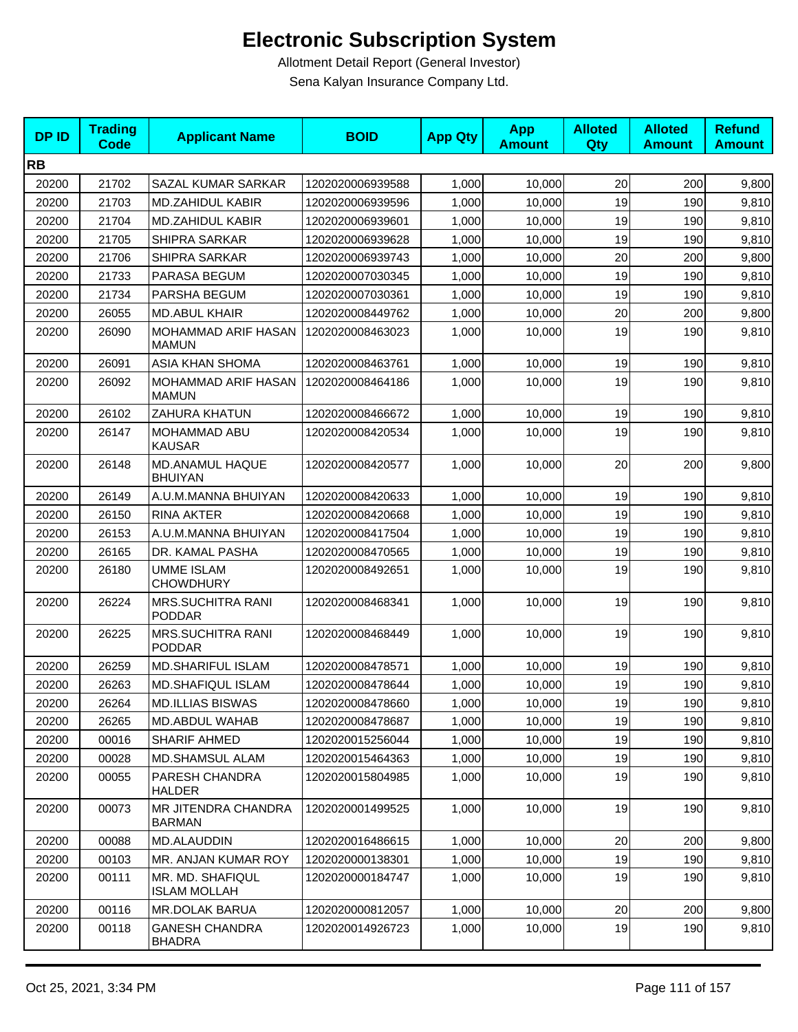| <b>DPID</b> | <b>Trading</b><br>Code | <b>Applicant Name</b>                     | <b>BOID</b>      | <b>App Qty</b> | <b>App</b><br><b>Amount</b> | <b>Alloted</b><br><b>Qty</b> | <b>Alloted</b><br><b>Amount</b> | <b>Refund</b><br><b>Amount</b> |
|-------------|------------------------|-------------------------------------------|------------------|----------------|-----------------------------|------------------------------|---------------------------------|--------------------------------|
| <b>RB</b>   |                        |                                           |                  |                |                             |                              |                                 |                                |
| 20200       | 21702                  | SAZAL KUMAR SARKAR                        | 1202020006939588 | 1,000          | 10,000                      | 20                           | 200                             | 9,800                          |
| 20200       | 21703                  | <b>MD.ZAHIDUL KABIR</b>                   | 1202020006939596 | 1,000          | 10,000                      | 19                           | 190                             | 9,810                          |
| 20200       | 21704                  | <b>MD.ZAHIDUL KABIR</b>                   | 1202020006939601 | 1,000          | 10,000                      | 19                           | 190                             | 9,810                          |
| 20200       | 21705                  | SHIPRA SARKAR                             | 1202020006939628 | 1,000          | 10,000                      | 19                           | 190                             | 9,810                          |
| 20200       | 21706                  | <b>SHIPRA SARKAR</b>                      | 1202020006939743 | 1,000          | 10.000                      | 20                           | 200                             | 9,800                          |
| 20200       | 21733                  | PARASA BEGUM                              | 1202020007030345 | 1,000          | 10,000                      | 19                           | 190                             | 9,810                          |
| 20200       | 21734                  | PARSHA BEGUM                              | 1202020007030361 | 1,000          | 10,000                      | 19                           | 190                             | 9,810                          |
| 20200       | 26055                  | <b>MD.ABUL KHAIR</b>                      | 1202020008449762 | 1,000          | 10,000                      | 20                           | 200                             | 9,800                          |
| 20200       | 26090                  | MOHAMMAD ARIF HASAN<br><b>MAMUN</b>       | 1202020008463023 | 1,000          | 10,000                      | 19                           | 190                             | 9,810                          |
| 20200       | 26091                  | ASIA KHAN SHOMA                           | 1202020008463761 | 1,000          | 10,000                      | 19                           | 190                             | 9,810                          |
| 20200       | 26092                  | MOHAMMAD ARIF HASAN<br><b>MAMUN</b>       | 1202020008464186 | 1,000          | 10,000                      | 19                           | 190                             | 9,810                          |
| 20200       | 26102                  | <b>ZAHURA KHATUN</b>                      | 1202020008466672 | 1,000          | 10,000                      | 19                           | 190                             | 9,810                          |
| 20200       | 26147                  | MOHAMMAD ABU<br><b>KAUSAR</b>             | 1202020008420534 | 1,000          | 10,000                      | 19                           | 190                             | 9,810                          |
| 20200       | 26148                  | MD.ANAMUL HAQUE<br><b>BHUIYAN</b>         | 1202020008420577 | 1,000          | 10,000                      | 20                           | 200                             | 9,800                          |
| 20200       | 26149                  | A.U.M.MANNA BHUIYAN                       | 1202020008420633 | 1,000          | 10,000                      | 19                           | 190                             | 9,810                          |
| 20200       | 26150                  | <b>RINA AKTER</b>                         | 1202020008420668 | 1,000          | 10,000                      | 19                           | 190                             | 9,810                          |
| 20200       | 26153                  | A.U.M.MANNA BHUIYAN                       | 1202020008417504 | 1,000          | 10,000                      | 19                           | 190                             | 9,810                          |
| 20200       | 26165                  | DR. KAMAL PASHA                           | 1202020008470565 | 1,000          | 10,000                      | 19                           | 190                             | 9,810                          |
| 20200       | 26180                  | <b>UMME ISLAM</b><br><b>CHOWDHURY</b>     | 1202020008492651 | 1,000          | 10,000                      | 19                           | 190                             | 9,810                          |
| 20200       | 26224                  | <b>MRS.SUCHITRA RANI</b><br><b>PODDAR</b> | 1202020008468341 | 1,000          | 10,000                      | 19                           | 190                             | 9,810                          |
| 20200       | 26225                  | <b>MRS.SUCHITRA RANI</b><br><b>PODDAR</b> | 1202020008468449 | 1,000          | 10,000                      | 19                           | 190                             | 9,810                          |
| 20200       | 26259                  | <b>MD.SHARIFUL ISLAM</b>                  | 1202020008478571 | 1,000          | 10,000                      | 19                           | 190                             | 9,810                          |
| 20200       | 26263                  | <b>MD.SHAFIQUL ISLAM</b>                  | 1202020008478644 | 1,000          | 10,000                      | 19                           | 190                             | 9,810                          |
| 20200       | 26264                  | <b>MD.ILLIAS BISWAS</b>                   | 1202020008478660 | 1,000          | 10,000                      | 19                           | 190                             | 9,810                          |
| 20200       | 26265                  | <b>MD.ABDUL WAHAB</b>                     | 1202020008478687 | 1,000          | 10,000                      | 19                           | 190                             | 9,810                          |
| 20200       | 00016                  | SHARIF AHMED                              | 1202020015256044 | 1,000          | 10,000                      | 19                           | 190                             | 9,810                          |
| 20200       | 00028                  | <b>MD.SHAMSUL ALAM</b>                    | 1202020015464363 | 1,000          | 10,000                      | 19                           | 190                             | 9,810                          |
| 20200       | 00055                  | PARESH CHANDRA<br>HALDER                  | 1202020015804985 | 1,000          | 10,000                      | 19                           | 190                             | 9,810                          |
| 20200       | 00073                  | MR JITENDRA CHANDRA<br><b>BARMAN</b>      | 1202020001499525 | 1,000          | 10,000                      | 19                           | 190                             | 9,810                          |
| 20200       | 00088                  | <b>MD.ALAUDDIN</b>                        | 1202020016486615 | 1,000          | 10,000                      | 20                           | 200                             | 9,800                          |
| 20200       | 00103                  | MR. ANJAN KUMAR ROY                       | 1202020000138301 | 1,000          | 10,000                      | 19                           | 190                             | 9,810                          |
| 20200       | 00111                  | MR. MD. SHAFIQUL<br><b>ISLAM MOLLAH</b>   | 1202020000184747 | 1,000          | 10,000                      | 19                           | 190                             | 9,810                          |
| 20200       | 00116                  | <b>MR.DOLAK BARUA</b>                     | 1202020000812057 | 1,000          | 10,000                      | 20                           | 200                             | 9,800                          |
| 20200       | 00118                  | <b>GANESH CHANDRA</b><br><b>BHADRA</b>    | 1202020014926723 | 1,000          | 10,000                      | 19                           | 190                             | 9,810                          |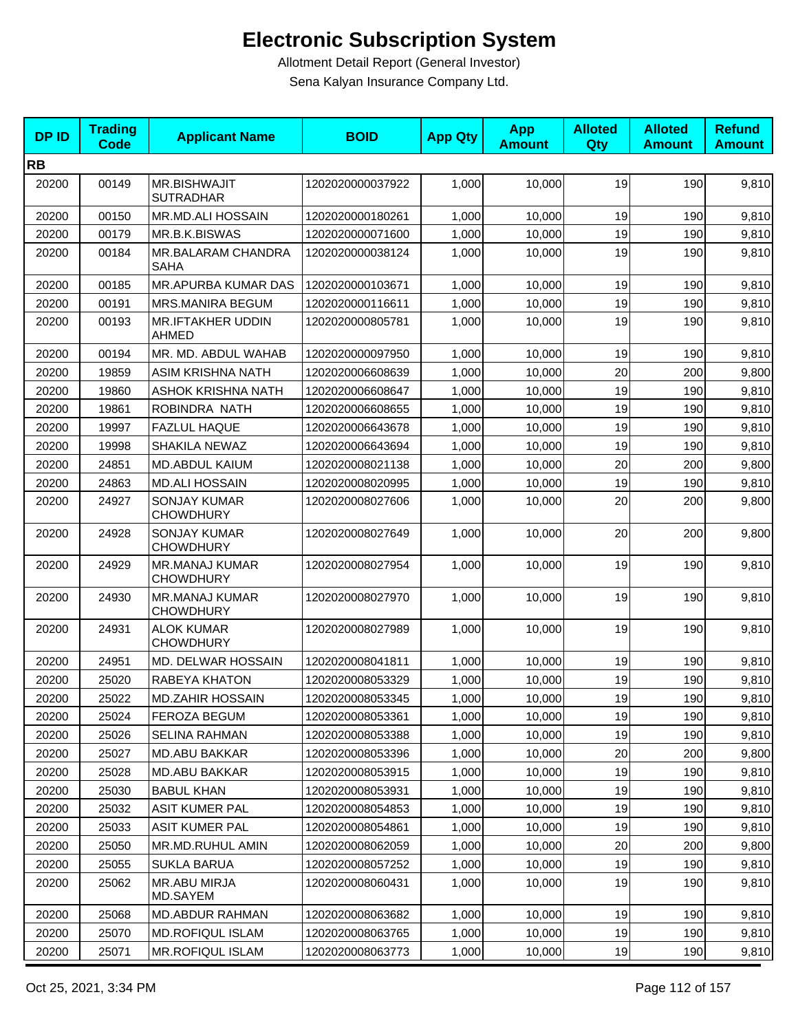| <b>DPID</b> | <b>Trading</b><br><b>Code</b> | <b>Applicant Name</b>                     | <b>BOID</b>      | <b>App Qty</b> | <b>App</b><br><b>Amount</b> | <b>Alloted</b><br>Qty | <b>Alloted</b><br><b>Amount</b> | <b>Refund</b><br><b>Amount</b> |
|-------------|-------------------------------|-------------------------------------------|------------------|----------------|-----------------------------|-----------------------|---------------------------------|--------------------------------|
| <b>RB</b>   |                               |                                           |                  |                |                             |                       |                                 |                                |
| 20200       | 00149                         | <b>MR.BISHWAJIT</b><br><b>SUTRADHAR</b>   | 1202020000037922 | 1,000          | 10,000                      | 19                    | 190                             | 9,810                          |
| 20200       | 00150                         | MR.MD.ALI HOSSAIN                         | 1202020000180261 | 1,000          | 10,000                      | 19                    | 190                             | 9,810                          |
| 20200       | 00179                         | MR.B.K.BISWAS                             | 1202020000071600 | 1,000          | 10,000                      | 19                    | 190                             | 9,810                          |
| 20200       | 00184                         | MR.BALARAM CHANDRA<br><b>SAHA</b>         | 1202020000038124 | 1,000          | 10,000                      | 19                    | 190                             | 9,810                          |
| 20200       | 00185                         | <b>MR.APURBA KUMAR DAS</b>                | 1202020000103671 | 1,000          | 10,000                      | 19                    | 190                             | 9,810                          |
| 20200       | 00191                         | <b>MRS.MANIRA BEGUM</b>                   | 1202020000116611 | 1,000          | 10,000                      | 19                    | 190                             | 9,810                          |
| 20200       | 00193                         | <b>MR.IFTAKHER UDDIN</b><br><b>AHMED</b>  | 1202020000805781 | 1,000          | 10,000                      | 19                    | 190                             | 9,810                          |
| 20200       | 00194                         | MR. MD. ABDUL WAHAB                       | 1202020000097950 | 1,000          | 10,000                      | 19                    | 190                             | 9,810                          |
| 20200       | 19859                         | ASIM KRISHNA NATH                         | 1202020006608639 | 1,000          | 10,000                      | 20                    | 200                             | 9,800                          |
| 20200       | 19860                         | ASHOK KRISHNA NATH                        | 1202020006608647 | 1,000          | 10,000                      | 19                    | 190                             | 9,810                          |
| 20200       | 19861                         | ROBINDRA NATH                             | 1202020006608655 | 1,000          | 10,000                      | 19                    | 190                             | 9,810                          |
| 20200       | 19997                         | <b>FAZLUL HAQUE</b>                       | 1202020006643678 | 1,000          | 10,000                      | 19                    | 190                             | 9,810                          |
| 20200       | 19998                         | SHAKILA NEWAZ                             | 1202020006643694 | 1,000          | 10,000                      | 19                    | 190                             | 9,810                          |
| 20200       | 24851                         | <b>MD.ABDUL KAIUM</b>                     | 1202020008021138 | 1,000          | 10,000                      | 20                    | 200                             | 9,800                          |
| 20200       | 24863                         | <b>MD.ALI HOSSAIN</b>                     | 1202020008020995 | 1,000          | 10,000                      | 19                    | 190                             | 9,810                          |
| 20200       | 24927                         | <b>SONJAY KUMAR</b><br><b>CHOWDHURY</b>   | 1202020008027606 | 1,000          | 10,000                      | 20                    | 200                             | 9,800                          |
| 20200       | 24928                         | <b>SONJAY KUMAR</b><br><b>CHOWDHURY</b>   | 1202020008027649 | 1,000          | 10,000                      | 20                    | 200                             | 9,800                          |
| 20200       | 24929                         | MR.MANAJ KUMAR<br><b>CHOWDHURY</b>        | 1202020008027954 | 1,000          | 10,000                      | 19                    | 190                             | 9,810                          |
| 20200       | 24930                         | <b>MR.MANAJ KUMAR</b><br><b>CHOWDHURY</b> | 1202020008027970 | 1,000          | 10,000                      | 19                    | 190                             | 9,810                          |
| 20200       | 24931                         | <b>ALOK KUMAR</b><br><b>CHOWDHURY</b>     | 1202020008027989 | 1,000          | 10,000                      | 19                    | 190                             | 9,810                          |
| 20200       | 24951                         | MD. DELWAR HOSSAIN                        | 1202020008041811 | 1,000          | 10,000                      | 19                    | 190                             | 9,810                          |
| 20200       | 25020                         | RABEYA KHATON                             | 1202020008053329 | 1,000          | 10,000                      | 19                    | 190                             | 9,810                          |
| 20200       | 25022                         | <b>MD.ZAHIR HOSSAIN</b>                   | 1202020008053345 | 1,000          | 10,000                      | 19                    | <b>190</b>                      | 9,810                          |
| 20200       | 25024                         | FEROZA BEGUM                              | 1202020008053361 | 1,000          | 10,000                      | 19                    | 190                             | 9,810                          |
| 20200       | 25026                         | SELINA RAHMAN                             | 1202020008053388 | 1,000          | 10,000                      | 19                    | 190                             | 9,810                          |
| 20200       | 25027                         | <b>MD.ABU BAKKAR</b>                      | 1202020008053396 | 1,000          | 10,000                      | 20                    | 200                             | 9,800                          |
| 20200       | 25028                         | <b>MD.ABU BAKKAR</b>                      | 1202020008053915 | 1,000          | 10,000                      | 19                    | 190                             | 9,810                          |
| 20200       | 25030                         | <b>BABUL KHAN</b>                         | 1202020008053931 | 1,000          | 10,000                      | 19                    | 190                             | 9,810                          |
| 20200       | 25032                         | <b>ASIT KUMER PAL</b>                     | 1202020008054853 | 1,000          | 10,000                      | 19                    | 190                             | 9,810                          |
| 20200       | 25033                         | <b>ASIT KUMER PAL</b>                     | 1202020008054861 | 1,000          | 10,000                      | 19                    | 190                             | 9,810                          |
| 20200       | 25050                         | MR.MD.RUHUL AMIN                          | 1202020008062059 | 1,000          | 10,000                      | 20                    | 200                             | 9,800                          |
| 20200       | 25055                         | <b>SUKLA BARUA</b>                        | 1202020008057252 | 1,000          | 10,000                      | 19                    | 190                             | 9,810                          |
| 20200       | 25062                         | MR.ABU MIRJA<br>MD.SAYEM                  | 1202020008060431 | 1,000          | 10,000                      | 19                    | 190                             | 9,810                          |
| 20200       | 25068                         | MD.ABDUR RAHMAN                           | 1202020008063682 | 1,000          | 10,000                      | 19                    | 190                             | 9,810                          |
| 20200       | 25070                         | MD.ROFIQUL ISLAM                          | 1202020008063765 | 1,000          | 10,000                      | 19                    | 190                             | 9,810                          |
| 20200       | 25071                         | <b>MR.ROFIQUL ISLAM</b>                   | 1202020008063773 | 1,000          | 10,000                      | 19                    | 190                             | 9,810                          |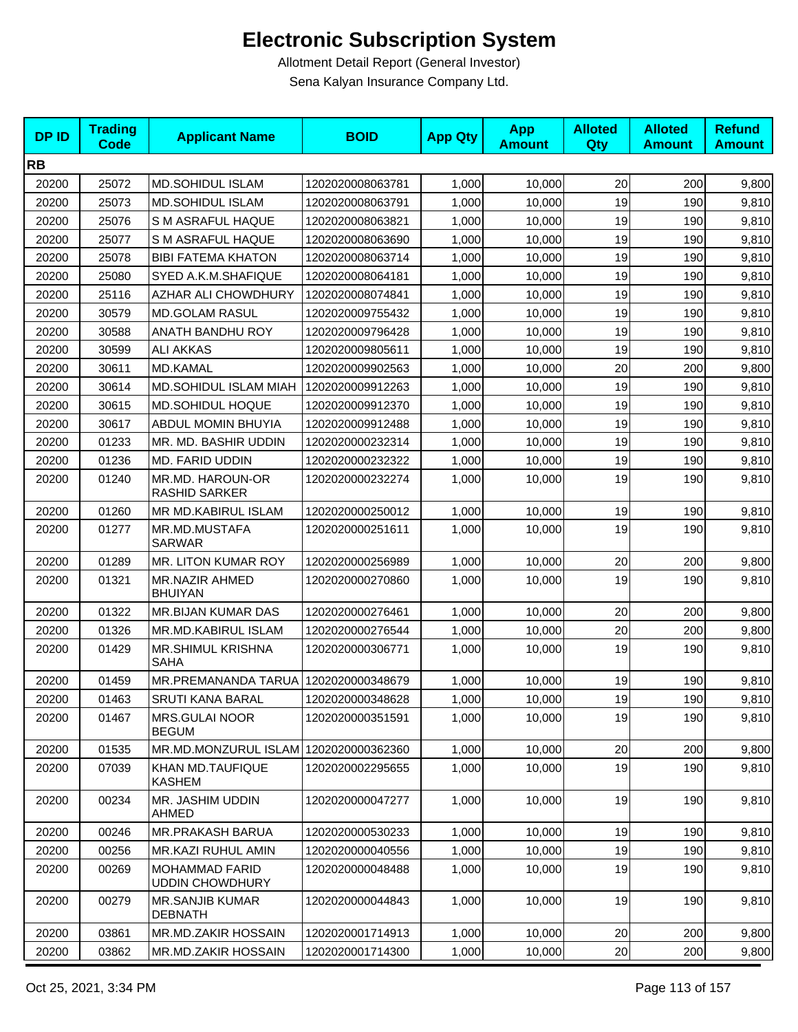| <b>DPID</b> | <b>Trading</b><br><b>Code</b> | <b>Applicant Name</b>                           | <b>BOID</b>      | <b>App Qty</b> | <b>App</b><br><b>Amount</b> | <b>Alloted</b><br>Qty | <b>Alloted</b><br><b>Amount</b> | <b>Refund</b><br><b>Amount</b> |
|-------------|-------------------------------|-------------------------------------------------|------------------|----------------|-----------------------------|-----------------------|---------------------------------|--------------------------------|
| <b>RB</b>   |                               |                                                 |                  |                |                             |                       |                                 |                                |
| 20200       | 25072                         | <b>MD.SOHIDUL ISLAM</b>                         | 1202020008063781 | 1,000          | 10,000                      | 20                    | 200                             | 9,800                          |
| 20200       | 25073                         | <b>MD.SOHIDUL ISLAM</b>                         | 1202020008063791 | 1,000          | 10,000                      | 19                    | 190                             | 9,810                          |
| 20200       | 25076                         | S M ASRAFUL HAQUE                               | 1202020008063821 | 1,000          | 10,000                      | 19                    | 190                             | 9,810                          |
| 20200       | 25077                         | S M ASRAFUL HAQUE                               | 1202020008063690 | 1,000          | 10,000                      | 19                    | 190                             | 9,810                          |
| 20200       | 25078                         | <b>BIBI FATEMA KHATON</b>                       | 1202020008063714 | 1,000          | 10,000                      | 19                    | 190                             | 9,810                          |
| 20200       | 25080                         | SYED A.K.M.SHAFIQUE                             | 1202020008064181 | 1,000          | 10,000                      | 19                    | 190                             | 9,810                          |
| 20200       | 25116                         | AZHAR ALI CHOWDHURY                             | 1202020008074841 | 1,000          | 10,000                      | 19                    | 190                             | 9,810                          |
| 20200       | 30579                         | <b>MD.GOLAM RASUL</b>                           | 1202020009755432 | 1,000          | 10,000                      | 19                    | 190                             | 9,810                          |
| 20200       | 30588                         | <b>ANATH BANDHU ROY</b>                         | 1202020009796428 | 1,000          | 10,000                      | 19                    | 190                             | 9,810                          |
| 20200       | 30599                         | ALI AKKAS                                       | 1202020009805611 | 1,000          | 10,000                      | 19                    | 190                             | 9,810                          |
| 20200       | 30611                         | MD.KAMAL                                        | 1202020009902563 | 1,000          | 10,000                      | 20                    | 200                             | 9,800                          |
| 20200       | 30614                         | MD.SOHIDUL ISLAM MIAH                           | 1202020009912263 | 1,000          | 10,000                      | 19                    | 190                             | 9,810                          |
| 20200       | 30615                         | <b>MD.SOHIDUL HOQUE</b>                         | 1202020009912370 | 1,000          | 10,000                      | 19                    | 190                             | 9,810                          |
| 20200       | 30617                         | <b>ABDUL MOMIN BHUYIA</b>                       | 1202020009912488 | 1,000          | 10,000                      | 19                    | 190                             | 9,810                          |
| 20200       | 01233                         | MR. MD. BASHIR UDDIN                            | 1202020000232314 | 1,000          | 10,000                      | 19                    | 190                             | 9,810                          |
| 20200       | 01236                         | MD. FARID UDDIN                                 | 1202020000232322 | 1,000          | 10,000                      | 19                    | 190                             | 9,810                          |
| 20200       | 01240                         | MR.MD. HAROUN-OR<br><b>RASHID SARKER</b>        | 1202020000232274 | 1,000          | 10,000                      | 19                    | 190                             | 9,810                          |
| 20200       | 01260                         | MR MD.KABIRUL ISLAM                             | 1202020000250012 | 1,000          | 10,000                      | 19                    | 190                             | 9,810                          |
| 20200       | 01277                         | MR.MD.MUSTAFA<br><b>SARWAR</b>                  | 1202020000251611 | 1,000          | 10,000                      | 19                    | 190                             | 9,810                          |
| 20200       | 01289                         | MR. LITON KUMAR ROY                             | 1202020000256989 | 1,000          | 10,000                      | 20                    | 200                             | 9,800                          |
| 20200       | 01321                         | MR.NAZIR AHMED<br><b>BHUIYAN</b>                | 1202020000270860 | 1,000          | 10,000                      | 19                    | 190                             | 9,810                          |
| 20200       | 01322                         | MR.BIJAN KUMAR DAS                              | 1202020000276461 | 1,000          | 10,000                      | 20                    | 200                             | 9,800                          |
| 20200       | 01326                         | MR.MD.KABIRUL ISLAM                             | 1202020000276544 | 1,000          | 10,000                      | 20                    | 200                             | 9,800                          |
| 20200       | 01429                         | MR.SHIMUL KRISHNA<br><b>SAHA</b>                | 1202020000306771 | 1,000          | 10,000                      | 19                    | 190                             | 9,810                          |
| 20200       | 01459                         | MR.PREMANANDA TARUA                             | 1202020000348679 | 1,000          | 10,000                      | 19                    | 190                             | 9,810                          |
| 20200       | 01463                         | <b>SRUTI KANA BARAL</b>                         | 1202020000348628 | 1,000          | 10,000                      | 19                    | 190                             | 9,810                          |
| 20200       | 01467                         | <b>MRS.GULAI NOOR</b><br><b>BEGUM</b>           | 1202020000351591 | 1,000          | 10,000                      | 19                    | 190                             | 9,810                          |
| 20200       | 01535                         | MR.MD.MONZURUL ISLAM 1202020000362360           |                  | 1,000          | 10,000                      | 20                    | 200                             | 9,800                          |
| 20200       | 07039                         | KHAN MD.TAUFIQUE<br><b>KASHEM</b>               | 1202020002295655 | 1,000          | 10,000                      | 19                    | 190                             | 9,810                          |
| 20200       | 00234                         | MR. JASHIM UDDIN<br>AHMED                       | 1202020000047277 | 1,000          | 10,000                      | 19                    | 190                             | 9,810                          |
| 20200       | 00246                         | <b>MR.PRAKASH BARUA</b>                         | 1202020000530233 | 1,000          | 10,000                      | 19                    | 190                             | 9,810                          |
| 20200       | 00256                         | <b>MR.KAZI RUHUL AMIN</b>                       | 1202020000040556 | 1,000          | 10,000                      | 19                    | 190                             | 9,810                          |
| 20200       | 00269                         | <b>MOHAMMAD FARID</b><br><b>UDDIN CHOWDHURY</b> | 1202020000048488 | 1,000          | 10,000                      | 19                    | 190                             | 9,810                          |
| 20200       | 00279                         | <b>MR.SANJIB KUMAR</b><br><b>DEBNATH</b>        | 1202020000044843 | 1,000          | 10,000                      | 19                    | 190                             | 9,810                          |
| 20200       | 03861                         | MR.MD.ZAKIR HOSSAIN                             | 1202020001714913 | 1,000          | 10,000                      | 20                    | 200                             | 9,800                          |
| 20200       | 03862                         | MR.MD.ZAKIR HOSSAIN                             | 1202020001714300 | 1,000          | 10,000                      | 20                    | 200                             | 9,800                          |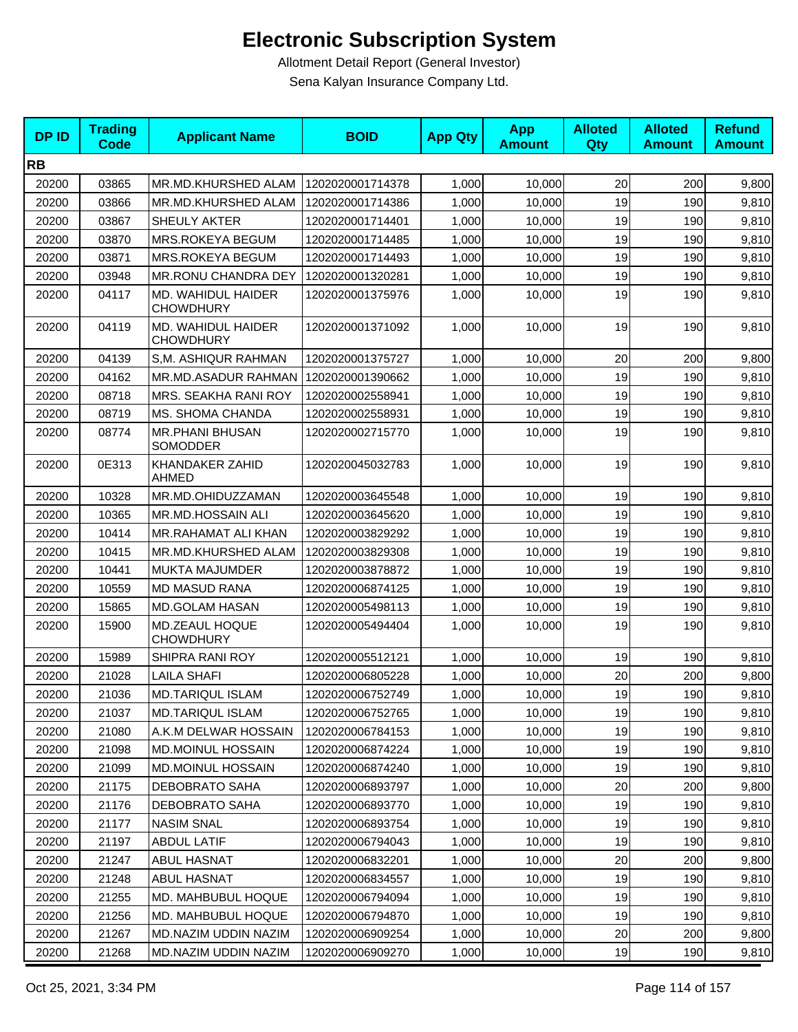| <b>DPID</b> | <b>Trading</b><br><b>Code</b> | <b>Applicant Name</b>                  | <b>BOID</b>      | <b>App Qty</b> | <b>App</b><br><b>Amount</b> | <b>Alloted</b><br>Qty | <b>Alloted</b><br><b>Amount</b> | <b>Refund</b><br><b>Amount</b> |
|-------------|-------------------------------|----------------------------------------|------------------|----------------|-----------------------------|-----------------------|---------------------------------|--------------------------------|
| <b>RB</b>   |                               |                                        |                  |                |                             |                       |                                 |                                |
| 20200       | 03865                         | MR.MD.KHURSHED ALAM                    | 1202020001714378 | 1,000          | 10,000                      | 20                    | 200                             | 9,800                          |
| 20200       | 03866                         | MR.MD.KHURSHED ALAM                    | 1202020001714386 | 1,000          | 10,000                      | 19                    | 190                             | 9,810                          |
| 20200       | 03867                         | SHEULY AKTER                           | 1202020001714401 | 1,000          | 10,000                      | 19                    | 190                             | 9,810                          |
| 20200       | 03870                         | MRS.ROKEYA BEGUM                       | 1202020001714485 | 1,000          | 10,000                      | 19                    | 190                             | 9,810                          |
| 20200       | 03871                         | MRS.ROKEYA BEGUM                       | 1202020001714493 | 1,000          | 10,000                      | 19                    | 190                             | 9,810                          |
| 20200       | 03948                         | MR.RONU CHANDRA DEY                    | 1202020001320281 | 1,000          | 10,000                      | 19                    | 190                             | 9,810                          |
| 20200       | 04117                         | MD. WAHIDUL HAIDER<br><b>CHOWDHURY</b> | 1202020001375976 | 1,000          | 10,000                      | 19                    | 190                             | 9,810                          |
| 20200       | 04119                         | MD. WAHIDUL HAIDER<br><b>CHOWDHURY</b> | 1202020001371092 | 1,000          | 10,000                      | 19                    | 190                             | 9,810                          |
| 20200       | 04139                         | S,M. ASHIQUR RAHMAN                    | 1202020001375727 | 1,000          | 10,000                      | 20                    | 200                             | 9,800                          |
| 20200       | 04162                         | MR.MD.ASADUR RAHMAN                    | 1202020001390662 | 1,000          | 10,000                      | 19                    | 190                             | 9,810                          |
| 20200       | 08718                         | MRS. SEAKHA RANI ROY                   | 1202020002558941 | 1,000          | 10,000                      | 19                    | 190                             | 9,810                          |
| 20200       | 08719                         | MS. SHOMA CHANDA                       | 1202020002558931 | 1,000          | 10,000                      | 19                    | 190                             | 9,810                          |
| 20200       | 08774                         | <b>MR.PHANI BHUSAN</b><br>SOMODDER     | 1202020002715770 | 1,000          | 10,000                      | 19                    | 190                             | 9,810                          |
| 20200       | 0E313                         | KHANDAKER ZAHID<br><b>AHMED</b>        | 1202020045032783 | 1,000          | 10,000                      | 19                    | 190                             | 9,810                          |
| 20200       | 10328                         | MR.MD.OHIDUZZAMAN                      | 1202020003645548 | 1,000          | 10,000                      | 19                    | 190                             | 9,810                          |
| 20200       | 10365                         | MR.MD.HOSSAIN ALI                      | 1202020003645620 | 1,000          | 10,000                      | 19                    | 190                             | 9,810                          |
| 20200       | 10414                         | MR.RAHAMAT ALI KHAN                    | 1202020003829292 | 1,000          | 10,000                      | 19                    | 190                             | 9,810                          |
| 20200       | 10415                         | MR.MD.KHURSHED ALAM                    | 1202020003829308 | 1,000          | 10,000                      | 19                    | 190                             | 9,810                          |
| 20200       | 10441                         | MUKTA MAJUMDER                         | 1202020003878872 | 1,000          | 10,000                      | 19                    | 190                             | 9,810                          |
| 20200       | 10559                         | <b>MD MASUD RANA</b>                   | 1202020006874125 | 1,000          | 10,000                      | 19                    | 190                             | 9,810                          |
| 20200       | 15865                         | MD.GOLAM HASAN                         | 1202020005498113 | 1,000          | 10,000                      | 19                    | 190                             | 9,810                          |
| 20200       | 15900                         | MD.ZEAUL HOQUE<br><b>CHOWDHURY</b>     | 1202020005494404 | 1,000          | 10,000                      | 19                    | 190                             | 9,810                          |
| 20200       | 15989                         | SHIPRA RANI ROY                        | 1202020005512121 | 1,000          | 10,000                      | 19                    | 190                             | 9,810                          |
| 20200       | 21028                         | <b>LAILA SHAFI</b>                     | 1202020006805228 | 1,000          | 10,000                      | 20                    | 200                             | 9,800                          |
| 20200       | 21036                         | <b>MD.TARIQUL ISLAM</b>                | 1202020006752749 | 1,000          | 10,000                      | 19                    | 190                             | 9,810                          |
| 20200       | 21037                         | <b>MD.TARIQUL ISLAM</b>                | 1202020006752765 | 1,000          | 10,000                      | 19                    | 190                             | 9,810                          |
| 20200       | 21080                         | A.K.M DELWAR HOSSAIN                   | 1202020006784153 | 1,000          | 10,000                      | 19                    | 190                             | 9,810                          |
| 20200       | 21098                         | <b>MD.MOINUL HOSSAIN</b>               | 1202020006874224 | 1,000          | 10,000                      | 19                    | 190                             | 9,810                          |
| 20200       | 21099                         | <b>MD.MOINUL HOSSAIN</b>               | 1202020006874240 | 1,000          | 10,000                      | 19                    | 190                             | 9,810                          |
| 20200       | 21175                         | DEBOBRATO SAHA                         | 1202020006893797 | 1,000          | 10,000                      | 20                    | 200                             | 9,800                          |
| 20200       | 21176                         | DEBOBRATO SAHA                         | 1202020006893770 | 1,000          | 10,000                      | 19                    | 190                             | 9,810                          |
| 20200       | 21177                         | <b>NASIM SNAL</b>                      | 1202020006893754 | 1,000          | 10,000                      | 19                    | 190                             | 9,810                          |
| 20200       | 21197                         | <b>ABDUL LATIF</b>                     | 1202020006794043 | 1,000          | 10,000                      | 19                    | 190                             | 9,810                          |
| 20200       | 21247                         | <b>ABUL HASNAT</b>                     | 1202020006832201 | 1,000          | 10,000                      | 20                    | 200                             | 9,800                          |
| 20200       | 21248                         | ABUL HASNAT                            | 1202020006834557 | 1,000          | 10,000                      | 19                    | 190                             | 9,810                          |
| 20200       | 21255                         | MD. MAHBUBUL HOQUE                     | 1202020006794094 | 1,000          | 10,000                      | 19                    | 190                             | 9,810                          |
| 20200       | 21256                         | MD. MAHBUBUL HOQUE                     | 1202020006794870 | 1,000          | 10,000                      | 19                    | 190                             | 9,810                          |
| 20200       | 21267                         | MD.NAZIM UDDIN NAZIM                   | 1202020006909254 | 1,000          | 10,000                      | 20                    | 200                             | 9,800                          |
| 20200       | 21268                         | MD.NAZIM UDDIN NAZIM                   | 1202020006909270 | 1,000          | 10,000                      | 19                    | 190                             | 9,810                          |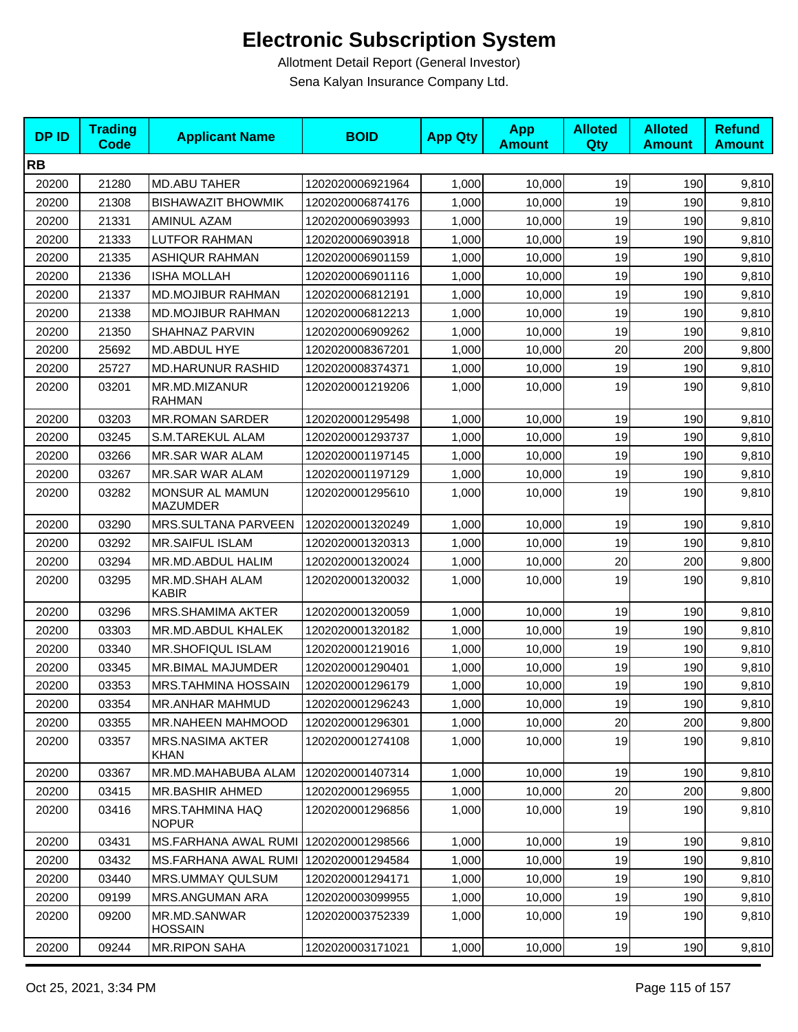| <b>DPID</b> | <b>Trading</b><br><b>Code</b> | <b>Applicant Name</b>                 | <b>BOID</b>      | <b>App Qty</b> | <b>App</b><br><b>Amount</b> | <b>Alloted</b><br>Qty | <b>Alloted</b><br><b>Amount</b> | <b>Refund</b><br><b>Amount</b> |
|-------------|-------------------------------|---------------------------------------|------------------|----------------|-----------------------------|-----------------------|---------------------------------|--------------------------------|
| <b>RB</b>   |                               |                                       |                  |                |                             |                       |                                 |                                |
| 20200       | 21280                         | <b>MD.ABU TAHER</b>                   | 1202020006921964 | 1,000          | 10,000                      | 19                    | 190                             | 9,810                          |
| 20200       | 21308                         | <b>BISHAWAZIT BHOWMIK</b>             | 1202020006874176 | 1,000          | 10,000                      | 19                    | 190                             | 9,810                          |
| 20200       | 21331                         | <b>AMINUL AZAM</b>                    | 1202020006903993 | 1,000          | 10,000                      | 19                    | 190                             | 9,810                          |
| 20200       | 21333                         | <b>LUTFOR RAHMAN</b>                  | 1202020006903918 | 1,000          | 10,000                      | 19                    | 190                             | 9,810                          |
| 20200       | 21335                         | <b>ASHIQUR RAHMAN</b>                 | 1202020006901159 | 1,000          | 10,000                      | 19                    | 190                             | 9,810                          |
| 20200       | 21336                         | <b>ISHA MOLLAH</b>                    | 1202020006901116 | 1,000          | 10,000                      | 19                    | 190                             | 9,810                          |
| 20200       | 21337                         | <b>MD.MOJIBUR RAHMAN</b>              | 1202020006812191 | 1,000          | 10,000                      | 19                    | 190                             | 9,810                          |
| 20200       | 21338                         | <b>MD.MOJIBUR RAHMAN</b>              | 1202020006812213 | 1,000          | 10,000                      | 19                    | 190                             | 9,810                          |
| 20200       | 21350                         | SHAHNAZ PARVIN                        | 1202020006909262 | 1,000          | 10,000                      | 19                    | 190                             | 9,810                          |
| 20200       | 25692                         | MD.ABDUL HYE                          | 1202020008367201 | 1,000          | 10,000                      | 20                    | 200                             | 9,800                          |
| 20200       | 25727                         | <b>MD.HARUNUR RASHID</b>              | 1202020008374371 | 1,000          | 10,000                      | 19                    | 190                             | 9,810                          |
| 20200       | 03201                         | MR.MD.MIZANUR<br><b>RAHMAN</b>        | 1202020001219206 | 1,000          | 10,000                      | 19                    | 190                             | 9,810                          |
| 20200       | 03203                         | <b>MR.ROMAN SARDER</b>                | 1202020001295498 | 1,000          | 10,000                      | 19                    | 190                             | 9,810                          |
| 20200       | 03245                         | S.M.TAREKUL ALAM                      | 1202020001293737 | 1,000          | 10,000                      | 19                    | 190                             | 9,810                          |
| 20200       | 03266                         | <b>MR.SAR WAR ALAM</b>                | 1202020001197145 | 1,000          | 10,000                      | 19                    | 190                             | 9,810                          |
| 20200       | 03267                         | <b>MR.SAR WAR ALAM</b>                | 1202020001197129 | 1,000          | 10,000                      | 19                    | 190                             | 9,810                          |
| 20200       | 03282                         | MONSUR AL MAMUN<br><b>MAZUMDER</b>    | 1202020001295610 | 1,000          | 10,000                      | 19                    | 190                             | 9,810                          |
| 20200       | 03290                         | MRS.SULTANA PARVEEN                   | 1202020001320249 | 1,000          | 10,000                      | 19                    | 190                             | 9,810                          |
| 20200       | 03292                         | <b>MR.SAIFUL ISLAM</b>                | 1202020001320313 | 1,000          | 10,000                      | 19                    | 190                             | 9,810                          |
| 20200       | 03294                         | MR.MD.ABDUL HALIM                     | 1202020001320024 | 1,000          | 10,000                      | 20                    | 200                             | 9,800                          |
| 20200       | 03295                         | MR.MD.SHAH ALAM<br><b>KABIR</b>       | 1202020001320032 | 1,000          | 10,000                      | 19                    | 190                             | 9,810                          |
| 20200       | 03296                         | <b>MRS.SHAMIMA AKTER</b>              | 1202020001320059 | 1,000          | 10,000                      | 19                    | 190                             | 9,810                          |
| 20200       | 03303                         | MR.MD.ABDUL KHALEK                    | 1202020001320182 | 1,000          | 10,000                      | 19                    | 190                             | 9,810                          |
| 20200       | 03340                         | <b>MR.SHOFIQUL ISLAM</b>              | 1202020001219016 | 1,000          | 10,000                      | 19                    | 190                             | 9,810                          |
| 20200       | 03345                         | MR.BIMAL MAJUMDER                     | 1202020001290401 | 1,000          | 10,000                      | 19                    | 190                             | 9,810                          |
| 20200       | 03353                         | <b>MRS.TAHMINA HOSSAIN</b>            | 1202020001296179 | 1,000          | 10,000                      | 19                    | 190                             | 9,810                          |
| 20200       | 03354                         | MR.ANHAR MAHMUD                       | 1202020001296243 | 1,000          | 10,000                      | 19                    | 190                             | 9,810                          |
| 20200       | 03355                         | <b>MR.NAHEEN MAHMOOD</b>              | 1202020001296301 | 1,000          | 10,000                      | 20                    | 200                             | 9,800                          |
| 20200       | 03357                         | <b>MRS.NASIMA AKTER</b><br>KHAN       | 1202020001274108 | 1,000          | 10,000                      | 19                    | 190                             | 9,810                          |
| 20200       | 03367                         | MR.MD.MAHABUBA ALAM                   | 1202020001407314 | 1,000          | 10,000                      | 19                    | 190                             | 9,810                          |
| 20200       | 03415                         | MR.BASHIR AHMED                       | 1202020001296955 | 1,000          | 10,000                      | 20                    | 200                             | 9,800                          |
| 20200       | 03416                         | MRS.TAHMINA HAQ<br><b>NOPUR</b>       | 1202020001296856 | 1,000          | 10,000                      | 19                    | 190                             | 9,810                          |
| 20200       | 03431                         | MS.FARHANA AWAL RUMI 1202020001298566 |                  | 1,000          | 10,000                      | 19                    | 190                             | 9,810                          |
| 20200       | 03432                         | MS.FARHANA AWAL RUMI                  | 1202020001294584 | 1,000          | 10,000                      | 19                    | 190                             | 9,810                          |
| 20200       | 03440                         | <b>MRS.UMMAY QULSUM</b>               | 1202020001294171 | 1,000          | 10,000                      | 19                    | 190                             | 9,810                          |
| 20200       | 09199                         | MRS.ANGUMAN ARA                       | 1202020003099955 | 1,000          | 10,000                      | 19                    | 190                             | 9,810                          |
| 20200       | 09200                         | MR.MD.SANWAR<br><b>HOSSAIN</b>        | 1202020003752339 | 1,000          | 10,000                      | 19                    | 190                             | 9,810                          |
| 20200       | 09244                         | <b>MR.RIPON SAHA</b>                  | 1202020003171021 | 1,000          | 10,000                      | 19                    | 190                             | 9,810                          |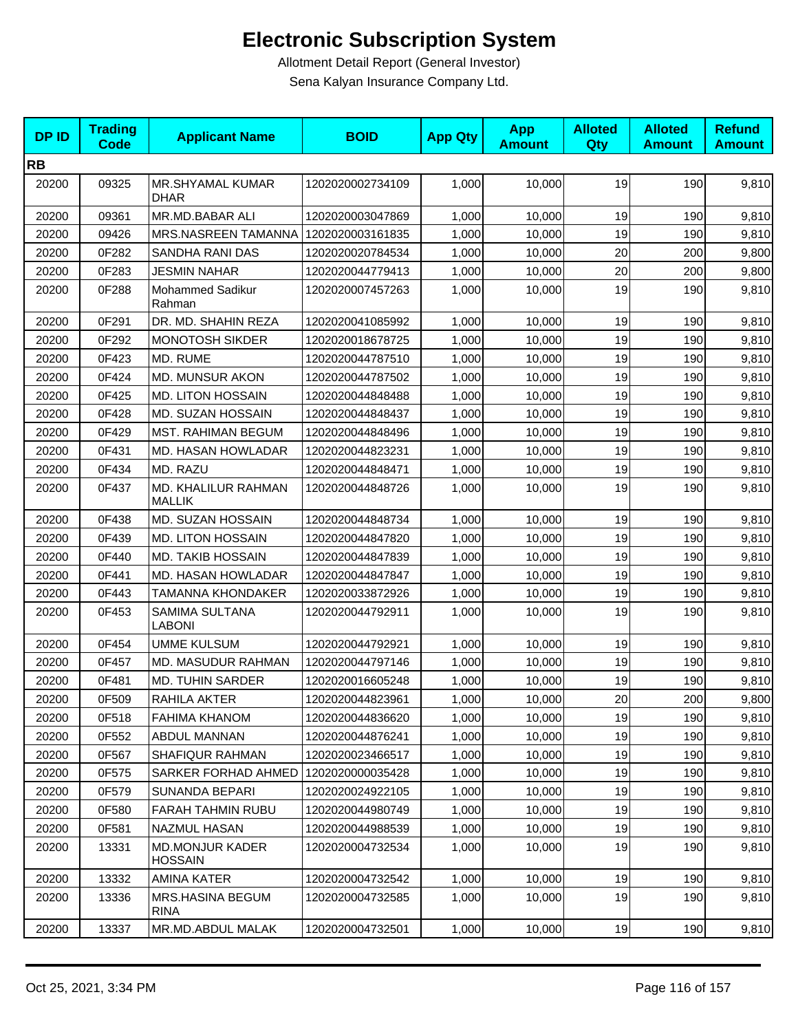| <b>DPID</b> | <b>Trading</b><br><b>Code</b> | <b>Applicant Name</b>                    | <b>BOID</b>      | <b>App Qty</b> | <b>App</b><br><b>Amount</b> | <b>Alloted</b><br>Qty | <b>Alloted</b><br><b>Amount</b> | <b>Refund</b><br><b>Amount</b> |
|-------------|-------------------------------|------------------------------------------|------------------|----------------|-----------------------------|-----------------------|---------------------------------|--------------------------------|
| <b>RB</b>   |                               |                                          |                  |                |                             |                       |                                 |                                |
| 20200       | 09325                         | MR.SHYAMAL KUMAR<br><b>DHAR</b>          | 1202020002734109 | 1,000          | 10,000                      | 19                    | 190                             | 9,810                          |
| 20200       | 09361                         | MR.MD.BABAR ALI                          | 1202020003047869 | 1,000          | 10,000                      | 19                    | 190                             | 9,810                          |
| 20200       | 09426                         | MRS.NASREEN TAMANNA                      | 1202020003161835 | 1,000          | 10,000                      | 19                    | 190                             | 9,810                          |
| 20200       | 0F282                         | SANDHA RANI DAS                          | 1202020020784534 | 1,000          | 10,000                      | 20                    | 200                             | 9,800                          |
| 20200       | 0F283                         | <b>JESMIN NAHAR</b>                      | 1202020044779413 | 1,000          | 10,000                      | 20                    | 200                             | 9,800                          |
| 20200       | 0F288                         | Mohammed Sadikur<br>Rahman               | 1202020007457263 | 1,000          | 10,000                      | 19                    | 190                             | 9,810                          |
| 20200       | 0F291                         | DR. MD. SHAHIN REZA                      | 1202020041085992 | 1,000          | 10,000                      | 19                    | 190                             | 9,810                          |
| 20200       | 0F292                         | <b>MONOTOSH SIKDER</b>                   | 1202020018678725 | 1,000          | 10,000                      | 19                    | 190                             | 9,810                          |
| 20200       | 0F423                         | MD. RUME                                 | 1202020044787510 | 1,000          | 10,000                      | 19                    | 190                             | 9,810                          |
| 20200       | 0F424                         | <b>MD. MUNSUR AKON</b>                   | 1202020044787502 | 1,000          | 10,000                      | 19                    | 190                             | 9,810                          |
| 20200       | 0F425                         | <b>MD. LITON HOSSAIN</b>                 | 1202020044848488 | 1,000          | 10,000                      | 19                    | 190                             | 9,810                          |
| 20200       | 0F428                         | MD. SUZAN HOSSAIN                        | 1202020044848437 | 1,000          | 10,000                      | 19                    | 190                             | 9,810                          |
| 20200       | 0F429                         | <b>MST. RAHIMAN BEGUM</b>                | 1202020044848496 | 1,000          | 10,000                      | 19                    | 190                             | 9,810                          |
| 20200       | 0F431                         | MD. HASAN HOWLADAR                       | 1202020044823231 | 1,000          | 10,000                      | 19                    | 190                             | 9,810                          |
| 20200       | 0F434                         | MD. RAZU                                 | 1202020044848471 | 1,000          | 10,000                      | 19                    | 190                             | 9,810                          |
| 20200       | 0F437                         | MD. KHALILUR RAHMAN<br><b>MALLIK</b>     | 1202020044848726 | 1,000          | 10,000                      | 19                    | 190                             | 9,810                          |
| 20200       | 0F438                         | MD. SUZAN HOSSAIN                        | 1202020044848734 | 1,000          | 10,000                      | 19                    | 190                             | 9,810                          |
| 20200       | 0F439                         | <b>MD. LITON HOSSAIN</b>                 | 1202020044847820 | 1,000          | 10,000                      | 19                    | 190                             | 9,810                          |
| 20200       | 0F440                         | <b>MD. TAKIB HOSSAIN</b>                 | 1202020044847839 | 1,000          | 10,000                      | 19                    | 190                             | 9,810                          |
| 20200       | 0F441                         | MD. HASAN HOWLADAR                       | 1202020044847847 | 1,000          | 10,000                      | 19                    | 190                             | 9,810                          |
| 20200       | 0F443                         | <b>TAMANNA KHONDAKER</b>                 | 1202020033872926 | 1,000          | 10,000                      | 19                    | 190                             | 9,810                          |
| 20200       | 0F453                         | SAMIMA SULTANA<br><b>LABONI</b>          | 1202020044792911 | 1,000          | 10,000                      | 19                    | 190                             | 9,810                          |
| 20200       | 0F454                         | <b>UMME KULSUM</b>                       | 1202020044792921 | 1,000          | 10,000                      | 19                    | 190                             | 9,810                          |
| 20200       | 0F457                         | MD. MASUDUR RAHMAN                       | 1202020044797146 | 1,000          | 10,000                      | 19                    | 190                             | 9,810                          |
| 20200       | 0F481                         | <b>MD. TUHIN SARDER</b>                  | 1202020016605248 | 1,000          | 10,000                      | 19                    | 190                             | 9,810                          |
| 20200       | 0F509                         | RAHILA AKTER                             | 1202020044823961 | 1,000          | 10,000                      | 20 <sub>l</sub>       | 200                             | 9,800                          |
| 20200       | 0F518                         | <b>FAHIMA KHANOM</b>                     | 1202020044836620 | 1,000          | 10,000                      | 19                    | 190                             | 9,810                          |
| 20200       | 0F552                         | ABDUL MANNAN                             | 1202020044876241 | 1,000          | 10,000                      | 19                    | 190                             | 9,810                          |
| 20200       | 0F567                         | SHAFIQUR RAHMAN                          | 1202020023466517 | 1,000          | 10.000                      | 19                    | 190                             | 9,810                          |
| 20200       | 0F575                         | SARKER FORHAD AHMED 1202020000035428     |                  | 1,000          | 10,000                      | 19                    | 190                             | 9,810                          |
| 20200       | 0F579                         | <b>SUNANDA BEPARI</b>                    | 1202020024922105 | 1,000          | 10,000                      | 19                    | 190                             | 9,810                          |
| 20200       | 0F580                         | <b>FARAH TAHMIN RUBU</b>                 | 1202020044980749 | 1,000          | 10,000                      | 19                    | 190                             | 9,810                          |
| 20200       | 0F581                         | NAZMUL HASAN                             | 1202020044988539 | 1,000          | 10,000                      | 19                    | 190                             | 9,810                          |
| 20200       | 13331                         | <b>MD.MONJUR KADER</b><br><b>HOSSAIN</b> | 1202020004732534 | 1,000          | 10,000                      | 19                    | 190                             | 9,810                          |
| 20200       | 13332                         | AMINA KATER                              | 1202020004732542 | 1,000          | 10,000                      | 19                    | 190                             | 9,810                          |
| 20200       | 13336                         | MRS.HASINA BEGUM<br><b>RINA</b>          | 1202020004732585 | 1,000          | 10,000                      | 19                    | 190                             | 9,810                          |
| 20200       | 13337                         | MR.MD.ABDUL MALAK                        | 1202020004732501 | 1,000          | 10,000                      | 19                    | 190                             | 9,810                          |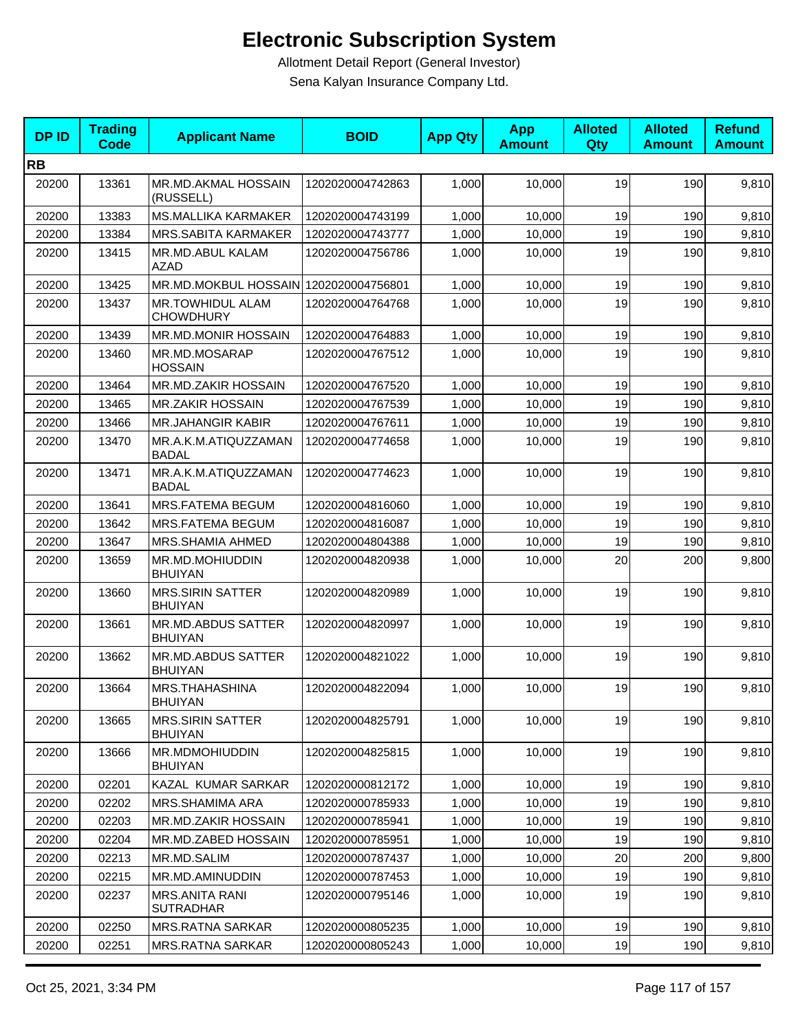| <b>DPID</b> | <b>Trading</b><br><b>Code</b> | <b>Applicant Name</b>                       | <b>BOID</b>      | <b>App Qty</b> | <b>App</b><br><b>Amount</b> | <b>Alloted</b><br>Qty | <b>Alloted</b><br><b>Amount</b> | <b>Refund</b><br><b>Amount</b> |
|-------------|-------------------------------|---------------------------------------------|------------------|----------------|-----------------------------|-----------------------|---------------------------------|--------------------------------|
| <b>RB</b>   |                               |                                             |                  |                |                             |                       |                                 |                                |
| 20200       | 13361                         | MR.MD.AKMAL HOSSAIN<br>(RUSSELL)            | 1202020004742863 | 1,000          | 10,000                      | 19                    | 190                             | 9,810                          |
| 20200       | 13383                         | <b>MS.MALLIKA KARMAKER</b>                  | 1202020004743199 | 1,000          | 10,000                      | 19                    | 190                             | 9,810                          |
| 20200       | 13384                         | <b>MRS.SABITA KARMAKER</b>                  | 1202020004743777 | 1,000          | 10,000                      | 19                    | 190                             | 9,810                          |
| 20200       | 13415                         | MR.MD.ABUL KALAM<br><b>AZAD</b>             | 1202020004756786 | 1,000          | 10,000                      | 19                    | 190                             | 9,810                          |
| 20200       | 13425                         | MR.MD.MOKBUL HOSSAIN 1202020004756801       |                  | 1,000          | 10,000                      | 19                    | 190                             | 9,810                          |
| 20200       | 13437                         | <b>MR.TOWHIDUL ALAM</b><br><b>CHOWDHURY</b> | 1202020004764768 | 1,000          | 10,000                      | 19                    | 190                             | 9,810                          |
| 20200       | 13439                         | MR.MD.MONIR HOSSAIN                         | 1202020004764883 | 1,000          | 10,000                      | 19                    | 190                             | 9,810                          |
| 20200       | 13460                         | MR.MD.MOSARAP<br><b>HOSSAIN</b>             | 1202020004767512 | 1,000          | 10,000                      | 19                    | 190                             | 9,810                          |
| 20200       | 13464                         | MR.MD.ZAKIR HOSSAIN                         | 1202020004767520 | 1,000          | 10,000                      | 19                    | 190                             | 9,810                          |
| 20200       | 13465                         | <b>MR.ZAKIR HOSSAIN</b>                     | 1202020004767539 | 1,000          | 10,000                      | 19                    | 190                             | 9,810                          |
| 20200       | 13466                         | <b>MR.JAHANGIR KABIR</b>                    | 1202020004767611 | 1,000          | 10,000                      | 19                    | 190                             | 9,810                          |
| 20200       | 13470                         | MR.A.K.M.ATIQUZZAMAN<br><b>BADAL</b>        | 1202020004774658 | 1,000          | 10,000                      | 19                    | 190                             | 9,810                          |
| 20200       | 13471                         | MR.A.K.M.ATIQUZZAMAN<br>BADAL               | 1202020004774623 | 1,000          | 10,000                      | 19                    | 190                             | 9,810                          |
| 20200       | 13641                         | <b>MRS.FATEMA BEGUM</b>                     | 1202020004816060 | 1,000          | 10,000                      | 19                    | 190                             | 9,810                          |
| 20200       | 13642                         | MRS.FATEMA BEGUM                            | 1202020004816087 | 1,000          | 10,000                      | 19                    | 190                             | 9,810                          |
| 20200       | 13647                         | MRS.SHAMIA AHMED                            | 1202020004804388 | 1,000          | 10,000                      | 19                    | 190                             | 9,810                          |
| 20200       | 13659                         | MR.MD.MOHIUDDIN<br><b>BHUIYAN</b>           | 1202020004820938 | 1,000          | 10,000                      | 20                    | 200                             | 9,800                          |
| 20200       | 13660                         | <b>MRS.SIRIN SATTER</b><br><b>BHUIYAN</b>   | 1202020004820989 | 1,000          | 10,000                      | 19                    | 190                             | 9,810                          |
| 20200       | 13661                         | MR.MD.ABDUS SATTER<br><b>BHUIYAN</b>        | 1202020004820997 | 1,000          | 10,000                      | 19                    | 190                             | 9,810                          |
| 20200       | 13662                         | MR.MD.ABDUS SATTER<br><b>BHUIYAN</b>        | 1202020004821022 | 1,000          | 10,000                      | 19                    | 190                             | 9,810                          |
| 20200       | 13664                         | MRS.THAHASHINA<br><b>BHUIYAN</b>            | 1202020004822094 | 1,000          | 10,000                      | 19                    | 190                             | 9,810                          |
| 20200       | 13665                         | <b>MRS.SIRIN SATTER</b><br><b>BHUIYAN</b>   | 1202020004825791 | 1,000          | 10,000                      | 19                    | 190                             | 9,810                          |
| 20200       | 13666                         | MR.MDMOHIUDDIN<br><b>BHUIYAN</b>            | 1202020004825815 | 1,000          | 10,000                      | 19                    | 190                             | 9,810                          |
| 20200       | 02201                         | KAZAL KUMAR SARKAR                          | 1202020000812172 | 1,000          | 10,000                      | 19                    | 190                             | 9,810                          |
| 20200       | 02202                         | MRS.SHAMIMA ARA                             | 1202020000785933 | 1,000          | 10,000                      | 19                    | 190                             | 9,810                          |
| 20200       | 02203                         | MR.MD.ZAKIR HOSSAIN                         | 1202020000785941 | 1,000          | 10,000                      | 19                    | 190                             | 9,810                          |
| 20200       | 02204                         | MR.MD.ZABED HOSSAIN                         | 1202020000785951 | 1,000          | 10,000                      | 19                    | 190                             | 9,810                          |
| 20200       | 02213                         | MR.MD.SALIM                                 | 1202020000787437 | 1,000          | 10,000                      | 20                    | 200                             | 9,800                          |
| 20200       | 02215                         | MR.MD.AMINUDDIN                             | 1202020000787453 | 1,000          | 10,000                      | 19                    | 190                             | 9,810                          |
| 20200       | 02237                         | <b>MRS.ANITA RANI</b><br><b>SUTRADHAR</b>   | 1202020000795146 | 1,000          | 10,000                      | 19                    | 190                             | 9,810                          |
| 20200       | 02250                         | <b>MRS.RATNA SARKAR</b>                     | 1202020000805235 | 1,000          | 10,000                      | 19                    | 190                             | 9,810                          |
| 20200       | 02251                         | <b>MRS.RATNA SARKAR</b>                     | 1202020000805243 | 1,000          | 10,000                      | 19                    | 190                             | 9,810                          |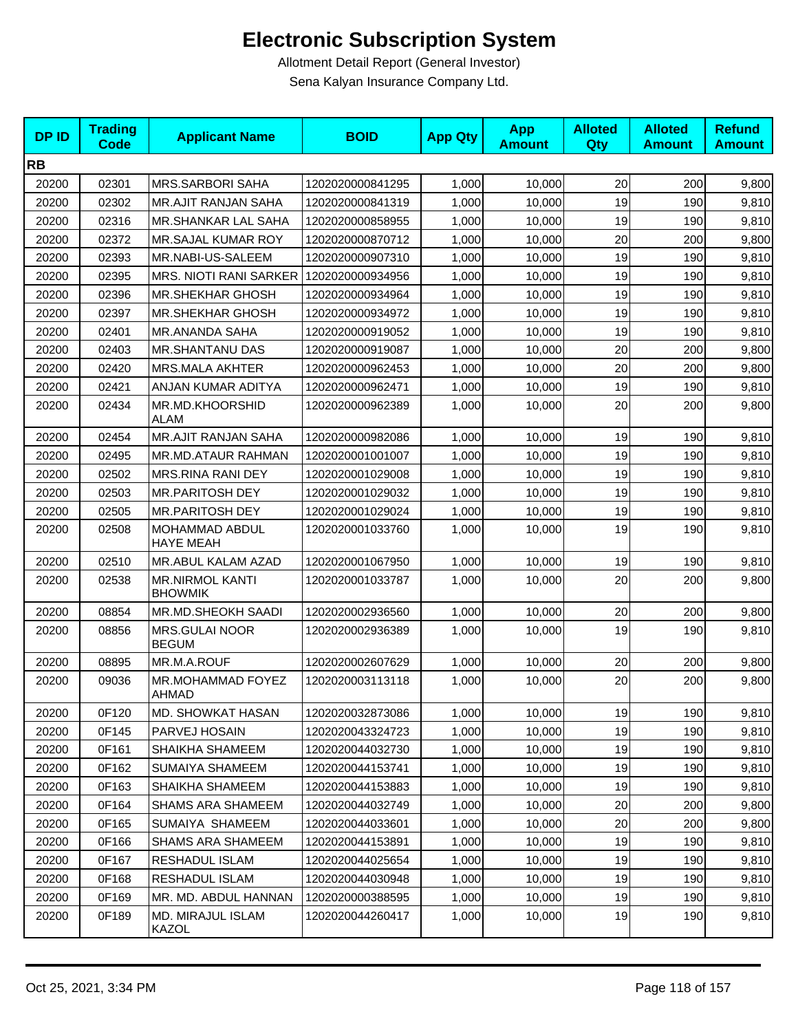| <b>DPID</b> | <b>Trading</b><br><b>Code</b> | <b>Applicant Name</b>                     | <b>BOID</b>      | <b>App Qty</b> | <b>App</b><br><b>Amount</b> | <b>Alloted</b><br><b>Qty</b> | <b>Alloted</b><br><b>Amount</b> | <b>Refund</b><br><b>Amount</b> |
|-------------|-------------------------------|-------------------------------------------|------------------|----------------|-----------------------------|------------------------------|---------------------------------|--------------------------------|
| <b>RB</b>   |                               |                                           |                  |                |                             |                              |                                 |                                |
| 20200       | 02301                         | <b>MRS.SARBORI SAHA</b>                   | 1202020000841295 | 1,000          | 10,000                      | 20                           | 200                             | 9,800                          |
| 20200       | 02302                         | <b>MR.AJIT RANJAN SAHA</b>                | 1202020000841319 | 1,000          | 10,000                      | 19                           | 190                             | 9,810                          |
| 20200       | 02316                         | MR.SHANKAR LAL SAHA                       | 1202020000858955 | 1,000          | 10,000                      | 19                           | 190                             | 9,810                          |
| 20200       | 02372                         | MR.SAJAL KUMAR ROY                        | 1202020000870712 | 1,000          | 10,000                      | 20                           | 200                             | 9,800                          |
| 20200       | 02393                         | MR.NABI-US-SALEEM                         | 1202020000907310 | 1,000          | 10,000                      | 19                           | 190                             | 9,810                          |
| 20200       | 02395                         | MRS. NIOTI RANI SARKER   1202020000934956 |                  | 1,000          | 10,000                      | 19                           | 190                             | 9,810                          |
| 20200       | 02396                         | <b>MR.SHEKHAR GHOSH</b>                   | 1202020000934964 | 1,000          | 10,000                      | 19                           | 190                             | 9,810                          |
| 20200       | 02397                         | <b>MR.SHEKHAR GHOSH</b>                   | 1202020000934972 | 1,000          | 10,000                      | 19                           | 190                             | 9,810                          |
| 20200       | 02401                         | MR.ANANDA SAHA                            | 1202020000919052 | 1,000          | 10,000                      | 19                           | 190                             | 9,810                          |
| 20200       | 02403                         | <b>MR.SHANTANU DAS</b>                    | 1202020000919087 | 1,000          | 10,000                      | 20                           | 200                             | 9,800                          |
| 20200       | 02420                         | <b>MRS.MALA AKHTER</b>                    | 1202020000962453 | 1,000          | 10,000                      | 20                           | 200                             | 9,800                          |
| 20200       | 02421                         | ANJAN KUMAR ADITYA                        | 1202020000962471 | 1,000          | 10,000                      | 19                           | 190                             | 9,810                          |
| 20200       | 02434                         | MR.MD.KHOORSHID<br><b>ALAM</b>            | 1202020000962389 | 1,000          | 10,000                      | 20                           | 200                             | 9,800                          |
| 20200       | 02454                         | <b>MR.AJIT RANJAN SAHA</b>                | 1202020000982086 | 1,000          | 10,000                      | 19                           | 190                             | 9,810                          |
| 20200       | 02495                         | MR.MD.ATAUR RAHMAN                        | 1202020001001007 | 1,000          | 10,000                      | 19                           | 190                             | 9,810                          |
| 20200       | 02502                         | MRS.RINA RANI DEY                         | 1202020001029008 | 1,000          | 10,000                      | 19                           | 190                             | 9,810                          |
| 20200       | 02503                         | <b>MR.PARITOSH DEY</b>                    | 1202020001029032 | 1,000          | 10.000                      | 19                           | 190                             | 9,810                          |
| 20200       | 02505                         | <b>MR.PARITOSH DEY</b>                    | 1202020001029024 | 1,000          | 10,000                      | 19                           | 190                             | 9,810                          |
| 20200       | 02508                         | MOHAMMAD ABDUL<br><b>HAYE MEAH</b>        | 1202020001033760 | 1,000          | 10,000                      | 19                           | 190                             | 9,810                          |
| 20200       | 02510                         | MR.ABUL KALAM AZAD                        | 1202020001067950 | 1,000          | 10,000                      | 19                           | 190                             | 9,810                          |
| 20200       | 02538                         | <b>MR.NIRMOL KANTI</b><br><b>BHOWMIK</b>  | 1202020001033787 | 1,000          | 10,000                      | 20                           | 200                             | 9,800                          |
| 20200       | 08854                         | MR.MD.SHEOKH SAADI                        | 1202020002936560 | 1,000          | 10,000                      | 20                           | 200                             | 9,800                          |
| 20200       | 08856                         | MRS.GULAI NOOR<br><b>BEGUM</b>            | 1202020002936389 | 1,000          | 10,000                      | 19                           | 190                             | 9,810                          |
| 20200       | 08895                         | MR.M.A.ROUF                               | 1202020002607629 | 1,000          | 10,000                      | 20                           | 200                             | 9,800                          |
| 20200       | 09036                         | MR.MOHAMMAD FOYEZ<br>AHMAD                | 1202020003113118 | 1,000          | 10,000                      | 20                           | 200                             | 9,800                          |
| 20200       | 0F120                         | MD. SHOWKAT HASAN                         | 1202020032873086 | 1,000          | 10,000                      | 19                           | 190                             | 9,810                          |
| 20200       | 0F145                         | PARVEJ HOSAIN                             | 1202020043324723 | 1,000          | 10,000                      | 19                           | 190                             | 9,810                          |
| 20200       | 0F161                         | SHAIKHA SHAMEEM                           | 1202020044032730 | 1,000          | 10,000                      | 19                           | 190                             | 9,810                          |
| 20200       | 0F162                         | SUMAIYA SHAMEEM                           | 1202020044153741 | 1,000          | 10,000                      | 19                           | 190                             | 9,810                          |
| 20200       | 0F163                         | SHAIKHA SHAMEEM                           | 1202020044153883 | 1,000          | 10,000                      | 19                           | 190                             | 9,810                          |
| 20200       | 0F164                         | SHAMS ARA SHAMEEM                         | 1202020044032749 | 1,000          | 10,000                      | 20                           | 200                             | 9,800                          |
| 20200       | 0F165                         | SUMAIYA SHAMEEM                           | 1202020044033601 | 1,000          | 10,000                      | 20                           | 200                             | 9,800                          |
| 20200       | 0F166                         | SHAMS ARA SHAMEEM                         | 1202020044153891 | 1,000          | 10,000                      | 19                           | 190                             | 9,810                          |
| 20200       | 0F167                         | RESHADUL ISLAM                            | 1202020044025654 | 1,000          | 10,000                      | 19                           | 190                             | 9,810                          |
| 20200       | 0F168                         | RESHADUL ISLAM                            | 1202020044030948 | 1,000          | 10,000                      | 19                           | 190                             | 9,810                          |
| 20200       | 0F169                         | MR. MD. ABDUL HANNAN                      | 1202020000388595 | 1,000          | 10,000                      | 19                           | 190                             | 9,810                          |
| 20200       | 0F189                         | MD. MIRAJUL ISLAM<br>KAZOL                | 1202020044260417 | 1,000          | 10,000                      | 19                           | 190                             | 9,810                          |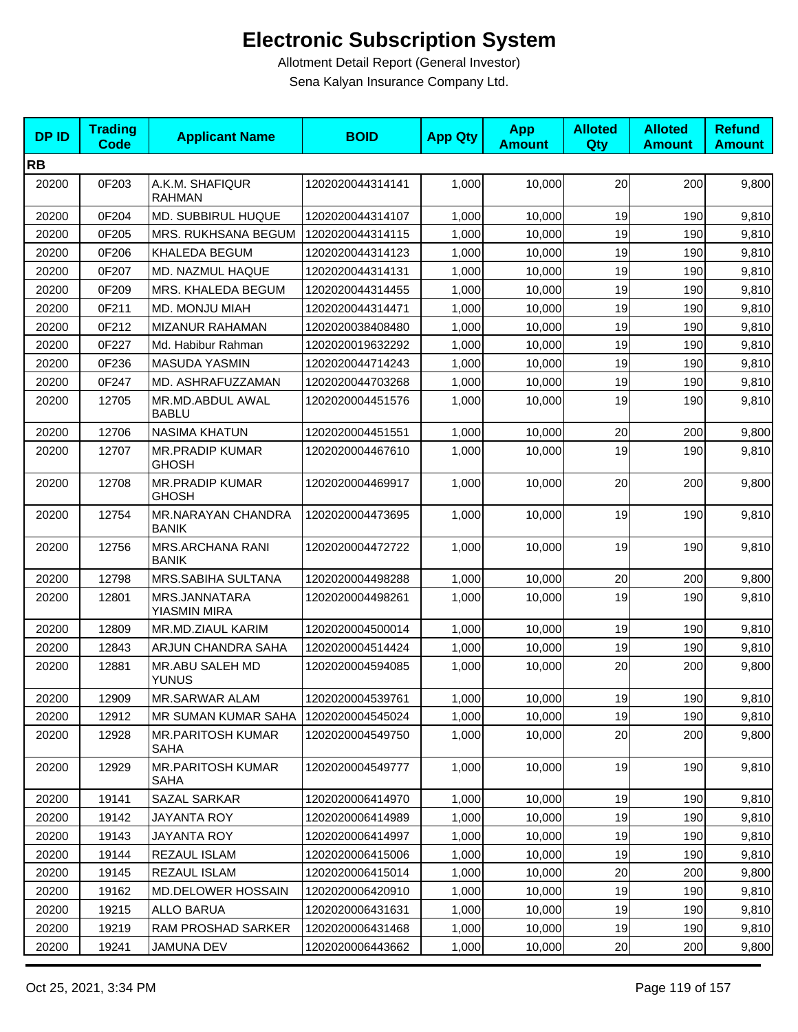| <b>DPID</b> | <b>Trading</b><br><b>Code</b> | <b>Applicant Name</b>                   | <b>BOID</b>      | <b>App Qty</b> | <b>App</b><br><b>Amount</b> | <b>Alloted</b><br>Qty | <b>Alloted</b><br><b>Amount</b> | <b>Refund</b><br><b>Amount</b> |
|-------------|-------------------------------|-----------------------------------------|------------------|----------------|-----------------------------|-----------------------|---------------------------------|--------------------------------|
| <b>RB</b>   |                               |                                         |                  |                |                             |                       |                                 |                                |
| 20200       | 0F203                         | A.K.M. SHAFIQUR<br><b>RAHMAN</b>        | 1202020044314141 | 1,000          | 10,000                      | 20                    | 200                             | 9,800                          |
| 20200       | 0F204                         | <b>MD. SUBBIRUL HUQUE</b>               | 1202020044314107 | 1,000          | 10,000                      | 19                    | 190                             | 9,810                          |
| 20200       | 0F205                         | MRS. RUKHSANA BEGUM                     | 1202020044314115 | 1,000          | 10,000                      | 19                    | 190                             | 9,810                          |
| 20200       | 0F206                         | KHALEDA BEGUM                           | 1202020044314123 | 1,000          | 10,000                      | 19                    | 190                             | 9,810                          |
| 20200       | 0F207                         | MD. NAZMUL HAQUE                        | 1202020044314131 | 1,000          | 10,000                      | 19                    | 190                             | 9,810                          |
| 20200       | 0F209                         | MRS. KHALEDA BEGUM                      | 1202020044314455 | 1,000          | 10,000                      | 19                    | 190                             | 9,810                          |
| 20200       | 0F211                         | MD. MONJU MIAH                          | 1202020044314471 | 1,000          | 10,000                      | 19                    | 190                             | 9,810                          |
| 20200       | 0F212                         | MIZANUR RAHAMAN                         | 1202020038408480 | 1,000          | 10,000                      | 19                    | 190                             | 9,810                          |
| 20200       | 0F227                         | Md. Habibur Rahman                      | 1202020019632292 | 1,000          | 10,000                      | 19                    | 190                             | 9,810                          |
| 20200       | 0F236                         | <b>MASUDA YASMIN</b>                    | 1202020044714243 | 1,000          | 10,000                      | 19                    | 190                             | 9,810                          |
| 20200       | 0F247                         | MD. ASHRAFUZZAMAN                       | 1202020044703268 | 1,000          | 10,000                      | 19                    | 190                             | 9,810                          |
| 20200       | 12705                         | MR.MD.ABDUL AWAL<br><b>BABLU</b>        | 1202020004451576 | 1,000          | 10,000                      | 19                    | 190                             | 9,810                          |
| 20200       | 12706                         | <b>NASIMA KHATUN</b>                    | 1202020004451551 | 1,000          | 10,000                      | 20                    | 200                             | 9,800                          |
| 20200       | 12707                         | <b>MR.PRADIP KUMAR</b><br><b>GHOSH</b>  | 1202020004467610 | 1,000          | 10,000                      | 19                    | 190                             | 9,810                          |
| 20200       | 12708                         | <b>MR.PRADIP KUMAR</b><br><b>GHOSH</b>  | 1202020004469917 | 1,000          | 10,000                      | 20                    | 200                             | 9,800                          |
| 20200       | 12754                         | MR.NARAYAN CHANDRA<br><b>BANIK</b>      | 1202020004473695 | 1,000          | 10,000                      | 19                    | 190                             | 9,810                          |
| 20200       | 12756                         | MRS.ARCHANA RANI<br><b>BANIK</b>        | 1202020004472722 | 1,000          | 10,000                      | 19                    | 190                             | 9,810                          |
| 20200       | 12798                         | MRS.SABIHA SULTANA                      | 1202020004498288 | 1,000          | 10,000                      | 20                    | 200                             | 9,800                          |
| 20200       | 12801                         | MRS.JANNATARA<br>YIASMIN MIRA           | 1202020004498261 | 1,000          | 10,000                      | 19                    | 190                             | 9,810                          |
| 20200       | 12809                         | MR.MD.ZIAUL KARIM                       | 1202020004500014 | 1,000          | 10,000                      | 19                    | 190                             | 9,810                          |
| 20200       | 12843                         | ARJUN CHANDRA SAHA                      | 1202020004514424 | 1,000          | 10,000                      | 19                    | 190                             | 9,810                          |
| 20200       | 12881                         | MR.ABU SALEH MD<br><b>YUNUS</b>         | 1202020004594085 | 1,000          | 10,000                      | 20                    | 200                             | 9,800                          |
| 20200       | 12909                         | MR.SARWAR ALAM                          | 1202020004539761 | 1,000          | 10,000                      | 19                    | 190                             | 9,810                          |
| 20200       | 12912                         | <b>MR SUMAN KUMAR SAHA</b>              | 1202020004545024 | 1,000          | 10,000                      | 19                    | 190                             | 9,810                          |
| 20200       | 12928                         | <b>MR.PARITOSH KUMAR</b><br><b>SAHA</b> | 1202020004549750 | 1,000          | 10,000                      | 20                    | 200                             | 9,800                          |
| 20200       | 12929                         | <b>MR.PARITOSH KUMAR</b><br>SAHA        | 1202020004549777 | 1,000          | 10,000                      | 19                    | 190                             | 9,810                          |
| 20200       | 19141                         | SAZAL SARKAR                            | 1202020006414970 | 1,000          | 10,000                      | 19                    | 190                             | 9,810                          |
| 20200       | 19142                         | JAYANTA ROY                             | 1202020006414989 | 1,000          | 10,000                      | 19                    | 190                             | 9,810                          |
| 20200       | 19143                         | <b>JAYANTA ROY</b>                      | 1202020006414997 | 1,000          | 10,000                      | 19                    | 190                             | 9,810                          |
| 20200       | 19144                         | REZAUL ISLAM                            | 1202020006415006 | 1,000          | 10,000                      | 19                    | 190                             | 9,810                          |
| 20200       | 19145                         | <b>REZAUL ISLAM</b>                     | 1202020006415014 | 1,000          | 10,000                      | 20                    | 200                             | 9,800                          |
| 20200       | 19162                         | <b>MD.DELOWER HOSSAIN</b>               | 1202020006420910 | 1,000          | 10,000                      | 19                    | 190                             | 9,810                          |
| 20200       | 19215                         | ALLO BARUA                              | 1202020006431631 | 1,000          | 10,000                      | 19                    | 190                             | 9,810                          |
| 20200       | 19219                         | RAM PROSHAD SARKER                      | 1202020006431468 | 1,000          | 10,000                      | 19                    | 190                             | 9,810                          |
| 20200       | 19241                         | JAMUNA DEV                              | 1202020006443662 | 1,000          | 10,000                      | 20                    | 200                             | 9,800                          |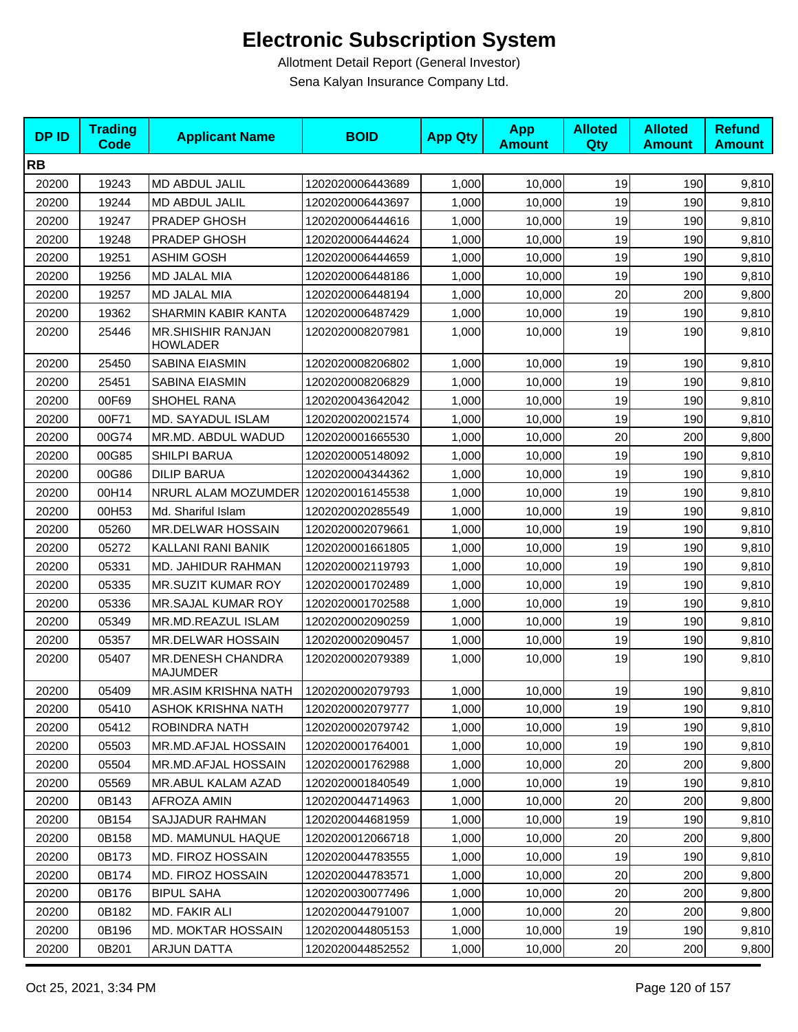| <b>DPID</b> | <b>Trading</b><br><b>Code</b> | <b>Applicant Name</b>                       | <b>BOID</b>      | <b>App Qty</b> | <b>App</b><br><b>Amount</b> | <b>Alloted</b><br><b>Qty</b> | <b>Alloted</b><br><b>Amount</b> | <b>Refund</b><br><b>Amount</b> |
|-------------|-------------------------------|---------------------------------------------|------------------|----------------|-----------------------------|------------------------------|---------------------------------|--------------------------------|
| <b>RB</b>   |                               |                                             |                  |                |                             |                              |                                 |                                |
| 20200       | 19243                         | MD ABDUL JALIL                              | 1202020006443689 | 1,000          | 10,000                      | 19                           | 190                             | 9,810                          |
| 20200       | 19244                         | MD ABDUL JALIL                              | 1202020006443697 | 1,000          | 10,000                      | 19                           | 190                             | 9,810                          |
| 20200       | 19247                         | PRADEP GHOSH                                | 1202020006444616 | 1,000          | 10,000                      | 19                           | 190                             | 9,810                          |
| 20200       | 19248                         | PRADEP GHOSH                                | 1202020006444624 | 1,000          | 10,000                      | 19                           | 190                             | 9,810                          |
| 20200       | 19251                         | <b>ASHIM GOSH</b>                           | 1202020006444659 | 1,000          | 10,000                      | 19                           | 190                             | 9,810                          |
| 20200       | 19256                         | MD JALAL MIA                                | 1202020006448186 | 1,000          | 10,000                      | 19                           | 190                             | 9,810                          |
| 20200       | 19257                         | <b>MD JALAL MIA</b>                         | 1202020006448194 | 1,000          | 10,000                      | 20                           | 200                             | 9,800                          |
| 20200       | 19362                         | SHARMIN KABIR KANTA                         | 1202020006487429 | 1,000          | 10,000                      | 19                           | 190                             | 9,810                          |
| 20200       | 25446                         | <b>MR.SHISHIR RANJAN</b><br><b>HOWLADER</b> | 1202020008207981 | 1,000          | 10,000                      | 19                           | 190                             | 9,810                          |
| 20200       | 25450                         | SABINA EIASMIN                              | 1202020008206802 | 1,000          | 10,000                      | 19                           | 190                             | 9,810                          |
| 20200       | 25451                         | <b>SABINA EIASMIN</b>                       | 1202020008206829 | 1,000          | 10,000                      | 19                           | 190                             | 9,810                          |
| 20200       | 00F69                         | SHOHEL RANA                                 | 1202020043642042 | 1,000          | 10,000                      | 19                           | 190                             | 9,810                          |
| 20200       | 00F71                         | <b>MD. SAYADUL ISLAM</b>                    | 1202020020021574 | 1,000          | 10,000                      | 19                           | 190                             | 9,810                          |
| 20200       | 00G74                         | MR.MD. ABDUL WADUD                          | 1202020001665530 | 1,000          | 10,000                      | 20                           | 200                             | 9,800                          |
| 20200       | 00G85                         | <b>SHILPI BARUA</b>                         | 1202020005148092 | 1.000          | 10,000                      | 19                           | 190                             | 9,810                          |
| 20200       | 00G86                         | <b>DILIP BARUA</b>                          | 1202020004344362 | 1,000          | 10,000                      | 19                           | 190                             | 9,810                          |
| 20200       | 00H14                         | NRURL ALAM MOZUMDER 1202020016145538        |                  | 1.000          | 10,000                      | 19                           | 190                             | 9,810                          |
| 20200       | 00H53                         | Md. Shariful Islam                          | 1202020020285549 | 1,000          | 10,000                      | 19                           | 190                             | 9,810                          |
| 20200       | 05260                         | MR.DELWAR HOSSAIN                           | 1202020002079661 | 1,000          | 10,000                      | 19                           | 190                             | 9,810                          |
| 20200       | 05272                         | KALLANI RANI BANIK                          | 1202020001661805 | 1,000          | 10,000                      | 19                           | 190                             | 9,810                          |
| 20200       | 05331                         | MD. JAHIDUR RAHMAN                          | 1202020002119793 | 1,000          | 10,000                      | 19                           | 190                             | 9,810                          |
| 20200       | 05335                         | <b>MR.SUZIT KUMAR ROY</b>                   | 1202020001702489 | 1,000          | 10,000                      | 19                           | 190                             | 9,810                          |
| 20200       | 05336                         | MR.SAJAL KUMAR ROY                          | 1202020001702588 | 1,000          | 10,000                      | 19                           | 190                             | 9,810                          |
| 20200       | 05349                         | MR.MD.REAZUL ISLAM                          | 1202020002090259 | 1,000          | 10,000                      | 19                           | 190                             | 9,810                          |
| 20200       | 05357                         | MR.DELWAR HOSSAIN                           | 1202020002090457 | 1,000          | 10,000                      | 19                           | 190                             | 9,810                          |
| 20200       | 05407                         | <b>MR.DENESH CHANDRA</b><br><b>MAJUMDER</b> | 1202020002079389 | 1,000          | 10,000                      | 19                           | 190                             | 9,810                          |
| 20200       | 05409                         | <b>MR.ASIM KRISHNA NATH</b>                 | 1202020002079793 | 1,000          | 10,000                      | 19                           | 190                             | 9,810                          |
| 20200       | 05410                         | ASHOK KRISHNA NATH                          | 1202020002079777 | 1,000          | 10,000                      | 19                           | 190                             | 9,810                          |
| 20200       | 05412                         | ROBINDRA NATH                               | 1202020002079742 | 1,000          | 10,000                      | 19                           | 190                             | 9,810                          |
| 20200       | 05503                         | MR.MD.AFJAL HOSSAIN                         | 1202020001764001 | 1,000          | 10,000                      | 19                           | 190                             | 9,810                          |
| 20200       | 05504                         | MR.MD.AFJAL HOSSAIN                         | 1202020001762988 | 1,000          | 10,000                      | 20                           | 200                             | 9,800                          |
| 20200       | 05569                         | MR.ABUL KALAM AZAD                          | 1202020001840549 | 1,000          | 10,000                      | 19                           | 190                             | 9,810                          |
| 20200       | 0B143                         | AFROZA AMIN                                 | 1202020044714963 | 1,000          | 10,000                      | 20                           | 200                             | 9,800                          |
| 20200       | 0B154                         | SAJJADUR RAHMAN                             | 1202020044681959 | 1,000          | 10,000                      | 19                           | 190                             | 9,810                          |
| 20200       | 0B158                         | MD. MAMUNUL HAQUE                           | 1202020012066718 | 1,000          | 10,000                      | 20                           | 200                             | 9,800                          |
| 20200       | 0B173                         | MD. FIROZ HOSSAIN                           | 1202020044783555 | 1,000          | 10,000                      | 19                           | 190                             | 9,810                          |
| 20200       | 0B174                         | MD. FIROZ HOSSAIN                           | 1202020044783571 | 1,000          | 10,000                      | 20                           | 200                             | 9,800                          |
| 20200       | 0B176                         | <b>BIPUL SAHA</b>                           | 1202020030077496 | 1,000          | 10,000                      | 20                           | 200                             | 9,800                          |
| 20200       | 0B182                         | MD. FAKIR ALI                               | 1202020044791007 | 1,000          | 10,000                      | 20                           | 200                             | 9,800                          |
| 20200       | 0B196                         | MD. MOKTAR HOSSAIN                          | 1202020044805153 | 1,000          | 10,000                      | 19                           | 190                             | 9,810                          |
| 20200       | 0B201                         | ARJUN DATTA                                 | 1202020044852552 | 1,000          | 10,000                      | 20                           | 200                             | 9,800                          |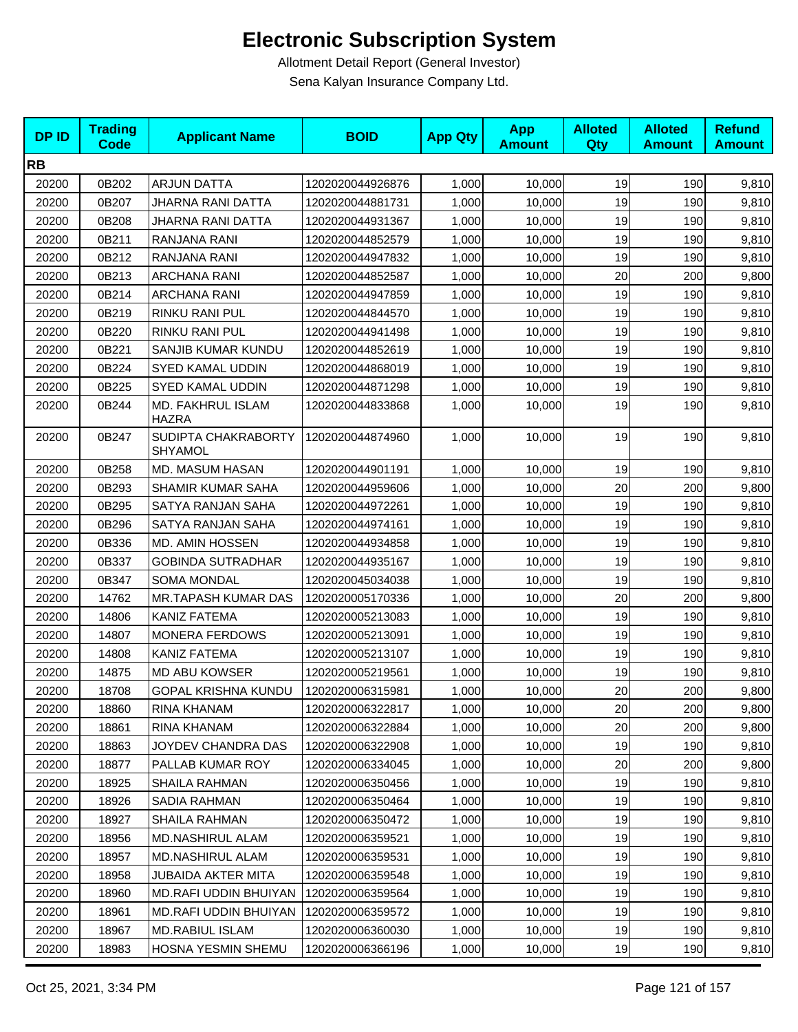| <b>DPID</b> | <b>Trading</b><br><b>Code</b> | <b>Applicant Name</b>             | <b>BOID</b>      | <b>App Qty</b> | <b>App</b><br><b>Amount</b> | <b>Alloted</b><br>Qty | <b>Alloted</b><br><b>Amount</b> | <b>Refund</b><br><b>Amount</b> |
|-------------|-------------------------------|-----------------------------------|------------------|----------------|-----------------------------|-----------------------|---------------------------------|--------------------------------|
| <b>RB</b>   |                               |                                   |                  |                |                             |                       |                                 |                                |
| 20200       | 0B202                         | <b>ARJUN DATTA</b>                | 1202020044926876 | 1,000          | 10,000                      | 19                    | 190                             | 9,810                          |
| 20200       | 0B207                         | JHARNA RANI DATTA                 | 1202020044881731 | 1,000          | 10,000                      | 19                    | 190                             | 9,810                          |
| 20200       | 0B208                         | JHARNA RANI DATTA                 | 1202020044931367 | 1,000          | 10,000                      | 19                    | 190                             | 9,810                          |
| 20200       | 0B211                         | RANJANA RANI                      | 1202020044852579 | 1,000          | 10,000                      | 19                    | 190                             | 9,810                          |
| 20200       | 0B212                         | RANJANA RANI                      | 1202020044947832 | 1,000          | 10,000                      | 19                    | 190                             | 9,810                          |
| 20200       | 0B213                         | <b>ARCHANA RANI</b>               | 1202020044852587 | 1,000          | 10,000                      | 20                    | 200                             | 9,800                          |
| 20200       | 0B214                         | <b>ARCHANA RANI</b>               | 1202020044947859 | 1,000          | 10,000                      | 19                    | 190                             | 9,810                          |
| 20200       | 0B219                         | RINKU RANI PUL                    | 1202020044844570 | 1,000          | 10,000                      | 19                    | 190                             | 9,810                          |
| 20200       | 0B220                         | RINKU RANI PUL                    | 1202020044941498 | 1,000          | 10,000                      | 19                    | 190                             | 9,810                          |
| 20200       | 0B221                         | SANJIB KUMAR KUNDU                | 1202020044852619 | 1,000          | 10,000                      | 19                    | 190                             | 9,810                          |
| 20200       | 0B224                         | SYED KAMAL UDDIN                  | 1202020044868019 | 1,000          | 10,000                      | 19                    | 190                             | 9,810                          |
| 20200       | 0B225                         | SYED KAMAL UDDIN                  | 1202020044871298 | 1,000          | 10,000                      | 19                    | 190                             | 9,810                          |
| 20200       | 0B244                         | MD. FAKHRUL ISLAM<br><b>HAZRA</b> | 1202020044833868 | 1,000          | 10,000                      | 19                    | 190                             | 9,810                          |
| 20200       | 0B247                         | SUDIPTA CHAKRABORTY<br>SHYAMOL    | 1202020044874960 | 1,000          | 10,000                      | 19                    | 190                             | 9,810                          |
| 20200       | 0B258                         | MD. MASUM HASAN                   | 1202020044901191 | 1,000          | 10,000                      | 19                    | 190                             | 9,810                          |
| 20200       | 0B293                         | SHAMIR KUMAR SAHA                 | 1202020044959606 | 1,000          | 10,000                      | 20                    | 200                             | 9,800                          |
| 20200       | 0B295                         | SATYA RANJAN SAHA                 | 1202020044972261 | 1,000          | 10,000                      | 19                    | 190                             | 9,810                          |
| 20200       | 0B296                         | SATYA RANJAN SAHA                 | 1202020044974161 | 1,000          | 10,000                      | 19                    | 190                             | 9,810                          |
| 20200       | 0B336                         | <b>MD. AMIN HOSSEN</b>            | 1202020044934858 | 1,000          | 10,000                      | 19                    | 190                             | 9,810                          |
| 20200       | 0B337                         | <b>GOBINDA SUTRADHAR</b>          | 1202020044935167 | 1,000          | 10,000                      | 19                    | 190                             | 9,810                          |
| 20200       | 0B347                         | <b>SOMA MONDAL</b>                | 1202020045034038 | 1,000          | 10,000                      | 19                    | 190                             | 9,810                          |
| 20200       | 14762                         | MR.TAPASH KUMAR DAS               | 1202020005170336 | 1,000          | 10,000                      | 20                    | 200                             | 9,800                          |
| 20200       | 14806                         | KANIZ FATEMA                      | 1202020005213083 | 1,000          | 10,000                      | 19                    | 190                             | 9,810                          |
| 20200       | 14807                         | <b>MONERA FERDOWS</b>             | 1202020005213091 | 1,000          | 10,000                      | 19                    | 190                             | 9,810                          |
| 20200       | 14808                         | KANIZ FATEMA                      | 1202020005213107 | 1,000          | 10,000                      | 19                    | 190                             | 9,810                          |
| 20200       | 14875                         | MD ABU KOWSER                     | 1202020005219561 | 1,000          | 10,000                      | 19                    | 190                             | 9,810                          |
| 20200       | 18708                         | <b>GOPAL KRISHNA KUNDU</b>        | 1202020006315981 | 1,000          | 10,000                      | 20                    | 200                             | 9,800                          |
| 20200       | 18860                         | RINA KHANAM                       | 1202020006322817 | 1,000          | 10,000                      | 20                    | 200                             | 9,800                          |
| 20200       | 18861                         | RINA KHANAM                       | 1202020006322884 | 1,000          | 10,000                      | 20                    | 200                             | 9,800                          |
| 20200       | 18863                         | JOYDEV CHANDRA DAS                | 1202020006322908 | 1,000          | 10,000                      | 19                    | 190                             | 9,810                          |
| 20200       | 18877                         | PALLAB KUMAR ROY                  | 1202020006334045 | 1,000          | 10,000                      | 20                    | 200                             | 9,800                          |
| 20200       | 18925                         | SHAILA RAHMAN                     | 1202020006350456 | 1,000          | 10,000                      | 19                    | 190                             | 9,810                          |
| 20200       | 18926                         | SADIA RAHMAN                      | 1202020006350464 | 1,000          | 10,000                      | 19                    | 190                             | 9,810                          |
| 20200       | 18927                         | SHAILA RAHMAN                     | 1202020006350472 | 1,000          | 10,000                      | 19                    | 190                             | 9,810                          |
| 20200       | 18956                         | <b>MD.NASHIRUL ALAM</b>           | 1202020006359521 | 1,000          | 10,000                      | 19                    | 190                             | 9,810                          |
| 20200       | 18957                         | <b>MD.NASHIRUL ALAM</b>           | 1202020006359531 | 1,000          | 10,000                      | 19                    | 190                             | 9,810                          |
| 20200       | 18958                         | <b>JUBAIDA AKTER MITA</b>         | 1202020006359548 | 1,000          | 10,000                      | 19                    | 190                             | 9,810                          |
| 20200       | 18960                         | MD.RAFI UDDIN BHUIYAN             | 1202020006359564 | 1,000          | 10,000                      | 19                    | 190                             | 9,810                          |
| 20200       | 18961                         | <b>MD.RAFI UDDIN BHUIYAN</b>      | 1202020006359572 | 1,000          | 10,000                      | 19                    | 190                             | 9,810                          |
| 20200       | 18967                         | MD.RABIUL ISLAM                   | 1202020006360030 | 1,000          | 10,000                      | 19                    | 190                             | 9,810                          |
| 20200       | 18983                         | HOSNA YESMIN SHEMU                | 1202020006366196 | 1,000          | 10,000                      | 19                    | 190                             | 9,810                          |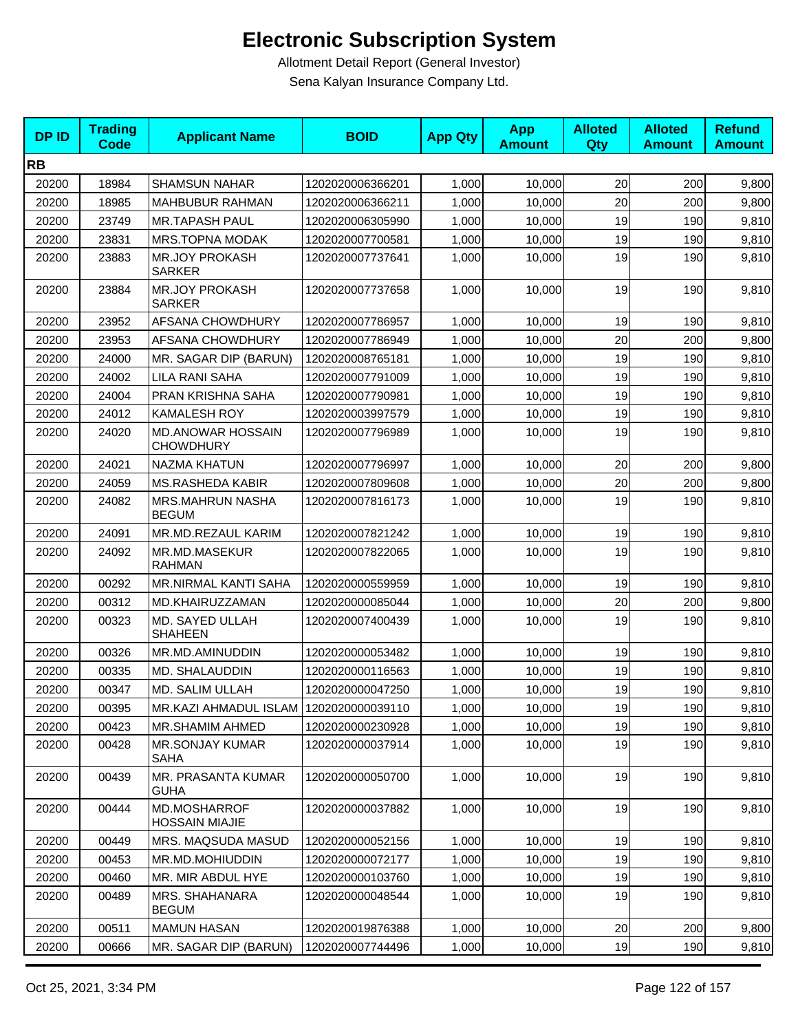| <b>DPID</b> | <b>Trading</b><br><b>Code</b> | <b>Applicant Name</b>                        | <b>BOID</b>      | <b>App Qty</b> | <b>App</b><br><b>Amount</b> | <b>Alloted</b><br>Qty | <b>Alloted</b><br><b>Amount</b> | <b>Refund</b><br><b>Amount</b> |
|-------------|-------------------------------|----------------------------------------------|------------------|----------------|-----------------------------|-----------------------|---------------------------------|--------------------------------|
| <b>RB</b>   |                               |                                              |                  |                |                             |                       |                                 |                                |
| 20200       | 18984                         | <b>SHAMSUN NAHAR</b>                         | 1202020006366201 | 1,000          | 10,000                      | 20                    | 200                             | 9,800                          |
| 20200       | 18985                         | MAHBUBUR RAHMAN                              | 1202020006366211 | 1,000          | 10,000                      | 20                    | 200                             | 9,800                          |
| 20200       | 23749                         | <b>MR.TAPASH PAUL</b>                        | 1202020006305990 | 1,000          | 10,000                      | 19                    | 190                             | 9,810                          |
| 20200       | 23831                         | MRS.TOPNA MODAK                              | 1202020007700581 | 1,000          | 10,000                      | 19                    | 190                             | 9,810                          |
| 20200       | 23883                         | <b>MR.JOY PROKASH</b><br><b>SARKER</b>       | 1202020007737641 | 1,000          | 10,000                      | 19                    | 190                             | 9,810                          |
| 20200       | 23884                         | <b>MR.JOY PROKASH</b><br><b>SARKER</b>       | 1202020007737658 | 1,000          | 10,000                      | 19                    | 190                             | 9,810                          |
| 20200       | 23952                         | AFSANA CHOWDHURY                             | 1202020007786957 | 1,000          | 10,000                      | 19                    | 190                             | 9,810                          |
| 20200       | 23953                         | AFSANA CHOWDHURY                             | 1202020007786949 | 1,000          | 10,000                      | 20                    | 200                             | 9,800                          |
| 20200       | 24000                         | MR. SAGAR DIP (BARUN)                        | 1202020008765181 | 1,000          | 10,000                      | 19                    | 190                             | 9,810                          |
| 20200       | 24002                         | LILA RANI SAHA                               | 1202020007791009 | 1,000          | 10,000                      | 19                    | 190                             | 9,810                          |
| 20200       | 24004                         | PRAN KRISHNA SAHA                            | 1202020007790981 | 1,000          | 10,000                      | 19                    | 190                             | 9,810                          |
| 20200       | 24012                         | KAMALESH ROY                                 | 1202020003997579 | 1,000          | 10,000                      | 19                    | 190                             | 9,810                          |
| 20200       | 24020                         | <b>MD.ANOWAR HOSSAIN</b><br><b>CHOWDHURY</b> | 1202020007796989 | 1,000          | 10,000                      | 19                    | 190                             | 9,810                          |
| 20200       | 24021                         | <b>NAZMA KHATUN</b>                          | 1202020007796997 | 1,000          | 10,000                      | 20                    | 200                             | 9,800                          |
| 20200       | 24059                         | <b>MS.RASHEDA KABIR</b>                      | 1202020007809608 | 1,000          | 10,000                      | 20                    | 200                             | 9,800                          |
| 20200       | 24082                         | <b>MRS.MAHRUN NASHA</b><br><b>BEGUM</b>      | 1202020007816173 | 1,000          | 10,000                      | 19                    | 190                             | 9,810                          |
| 20200       | 24091                         | MR.MD.REZAUL KARIM                           | 1202020007821242 | 1,000          | 10,000                      | 19                    | 190                             | 9,810                          |
| 20200       | 24092                         | MR.MD.MASEKUR<br><b>RAHMAN</b>               | 1202020007822065 | 1,000          | 10,000                      | 19                    | 190                             | 9,810                          |
| 20200       | 00292                         | MR.NIRMAL KANTI SAHA                         | 1202020000559959 | 1,000          | 10,000                      | 19                    | 190                             | 9,810                          |
| 20200       | 00312                         | MD.KHAIRUZZAMAN                              | 1202020000085044 | 1,000          | 10,000                      | 20                    | 200                             | 9,800                          |
| 20200       | 00323                         | MD. SAYED ULLAH<br><b>SHAHEEN</b>            | 1202020007400439 | 1,000          | 10,000                      | 19                    | 190                             | 9,810                          |
| 20200       | 00326                         | MR.MD.AMINUDDIN                              | 1202020000053482 | 1,000          | 10,000                      | 19                    | 190                             | 9,810                          |
| 20200       | 00335                         | MD. SHALAUDDIN                               | 1202020000116563 | 1,000          | 10,000                      | 19                    | 190                             | 9,810                          |
| 20200       | 00347                         | MD. SALIM ULLAH                              | 1202020000047250 | 1,000          | 10,000                      | 19                    | 190                             | 9,810                          |
| 20200       | 00395                         | MR.KAZI AHMADUL ISLAM 1202020000039110       |                  | 1,000          | 10,000                      | 19                    | 190                             | 9,810                          |
| 20200       | 00423                         | MR.SHAMIM AHMED                              | 1202020000230928 | 1,000          | 10,000                      | 19                    | 190                             | 9,810                          |
| 20200       | 00428                         | MR.SONJAY KUMAR<br><b>SAHA</b>               | 1202020000037914 | 1,000          | 10,000                      | 19                    | 190                             | 9,810                          |
| 20200       | 00439                         | MR. PRASANTA KUMAR<br><b>GUHA</b>            | 1202020000050700 | 1,000          | 10,000                      | 19                    | 190                             | 9,810                          |
| 20200       | 00444                         | MD.MOSHARROF<br><b>HOSSAIN MIAJIE</b>        | 1202020000037882 | 1,000          | 10,000                      | 19                    | 190                             | 9,810                          |
| 20200       | 00449                         | MRS. MAQSUDA MASUD                           | 1202020000052156 | 1,000          | 10,000                      | 19                    | 190                             | 9,810                          |
| 20200       | 00453                         | MR.MD.MOHIUDDIN                              | 1202020000072177 | 1,000          | 10,000                      | 19                    | 190                             | 9,810                          |
| 20200       | 00460                         | MR. MIR ABDUL HYE                            | 1202020000103760 | 1,000          | 10,000                      | 19                    | 190                             | 9,810                          |
| 20200       | 00489                         | MRS. SHAHANARA<br><b>BEGUM</b>               | 1202020000048544 | 1,000          | 10,000                      | 19                    | 190                             | 9,810                          |
| 20200       | 00511                         | <b>MAMUN HASAN</b>                           | 1202020019876388 | 1,000          | 10,000                      | 20                    | 200                             | 9,800                          |
| 20200       | 00666                         | MR. SAGAR DIP (BARUN)                        | 1202020007744496 | 1,000          | 10,000                      | 19                    | 190                             | 9,810                          |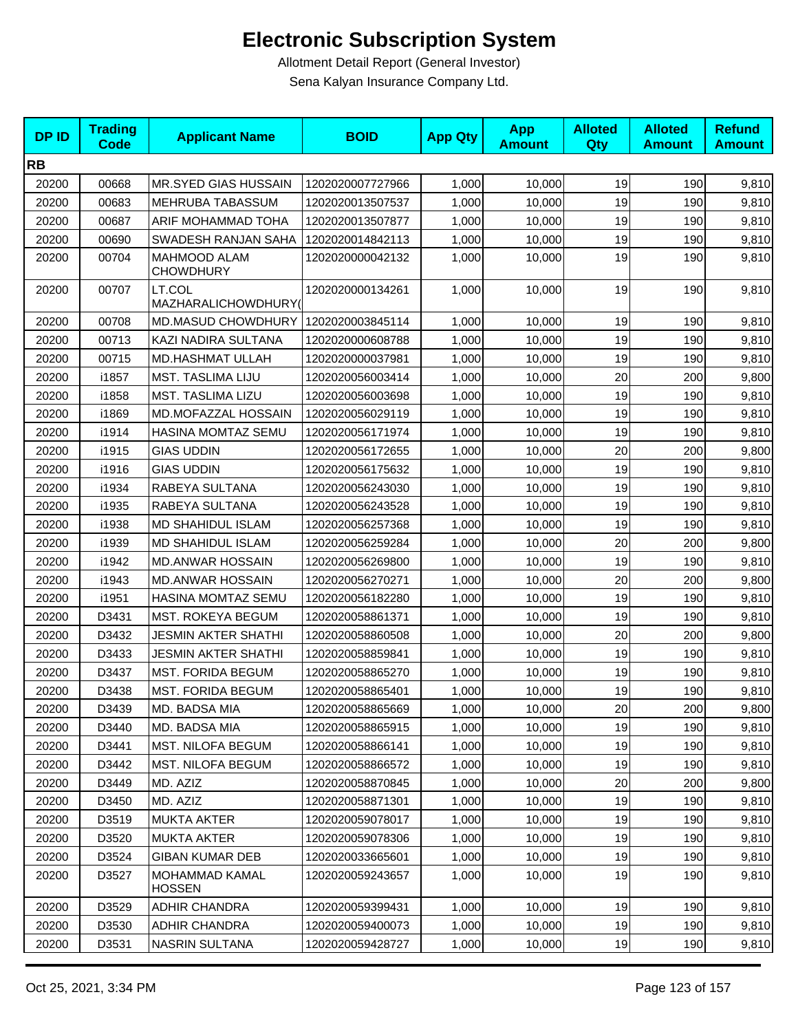| <b>DPID</b> | <b>Trading</b><br><b>Code</b> | <b>Applicant Name</b>                   | <b>BOID</b>      | <b>App Qty</b> | <b>App</b><br><b>Amount</b> | <b>Alloted</b><br>Qty | <b>Alloted</b><br><b>Amount</b> | <b>Refund</b><br><b>Amount</b> |
|-------------|-------------------------------|-----------------------------------------|------------------|----------------|-----------------------------|-----------------------|---------------------------------|--------------------------------|
| <b>RB</b>   |                               |                                         |                  |                |                             |                       |                                 |                                |
| 20200       | 00668                         | MR.SYED GIAS HUSSAIN                    | 1202020007727966 | 1,000          | 10,000                      | 19                    | 190                             | 9,810                          |
| 20200       | 00683                         | MEHRUBA TABASSUM                        | 1202020013507537 | 1,000          | 10,000                      | 19                    | 190                             | 9,810                          |
| 20200       | 00687                         | ARIF MOHAMMAD TOHA                      | 1202020013507877 | 1,000          | 10,000                      | 19                    | 190                             | 9,810                          |
| 20200       | 00690                         | SWADESH RANJAN SAHA                     | 1202020014842113 | 1,000          | 10,000                      | 19                    | 190                             | 9,810                          |
| 20200       | 00704                         | <b>MAHMOOD ALAM</b><br><b>CHOWDHURY</b> | 1202020000042132 | 1,000          | 10,000                      | 19                    | 190                             | 9,810                          |
| 20200       | 00707                         | LT.COL<br>MAZHARALICHOWDHURY(           | 1202020000134261 | 1,000          | 10,000                      | 19                    | 190                             | 9,810                          |
| 20200       | 00708                         | MD.MASUD CHOWDHURY                      | 1202020003845114 | 1,000          | 10,000                      | 19                    | 190                             | 9,810                          |
| 20200       | 00713                         | KAZI NADIRA SULTANA                     | 1202020000608788 | 1,000          | 10,000                      | 19                    | 190                             | 9,810                          |
| 20200       | 00715                         | MD.HASHMAT ULLAH                        | 1202020000037981 | 1,000          | 10,000                      | 19                    | 190                             | 9,810                          |
| 20200       | i1857                         | <b>MST. TASLIMA LIJU</b>                | 1202020056003414 | 1,000          | 10,000                      | 20                    | 200                             | 9,800                          |
| 20200       | i1858                         | <b>MST. TASLIMA LIZU</b>                | 1202020056003698 | 1,000          | 10,000                      | 19                    | 190                             | 9,810                          |
| 20200       | i1869                         | MD.MOFAZZAL HOSSAIN                     | 1202020056029119 | 1,000          | 10,000                      | 19                    | 190                             | 9,810                          |
| 20200       | i1914                         | HASINA MOMTAZ SEMU                      | 1202020056171974 | 1,000          | 10,000                      | 19                    | 190                             | 9,810                          |
| 20200       | i1915                         | <b>GIAS UDDIN</b>                       | 1202020056172655 | 1,000          | 10,000                      | 20                    | 200                             | 9,800                          |
| 20200       | i1916                         | <b>GIAS UDDIN</b>                       | 1202020056175632 | 1,000          | 10,000                      | 19                    | 190                             | 9,810                          |
| 20200       | i1934                         | RABEYA SULTANA                          | 1202020056243030 | 1,000          | 10,000                      | 19                    | 190                             | 9,810                          |
| 20200       | i1935                         | RABEYA SULTANA                          | 1202020056243528 | 1,000          | 10,000                      | 19                    | 190                             | 9,810                          |
| 20200       | i1938                         | MD SHAHIDUL ISLAM                       | 1202020056257368 | 1,000          | 10,000                      | 19                    | 190                             | 9,810                          |
| 20200       | i1939                         | <b>MD SHAHIDUL ISLAM</b>                | 1202020056259284 | 1,000          | 10,000                      | 20                    | 200                             | 9,800                          |
| 20200       | i1942                         | <b>MD.ANWAR HOSSAIN</b>                 | 1202020056269800 | 1,000          | 10,000                      | 19                    | 190                             | 9,810                          |
| 20200       | i1943                         | <b>MD.ANWAR HOSSAIN</b>                 | 1202020056270271 | 1,000          | 10,000                      | 20                    | 200                             | 9,800                          |
| 20200       | i1951                         | HASINA MOMTAZ SEMU                      | 1202020056182280 | 1,000          | 10,000                      | 19                    | 190                             | 9,810                          |
| 20200       | D3431                         | <b>MST. ROKEYA BEGUM</b>                | 1202020058861371 | 1,000          | 10,000                      | 19                    | 190                             | 9,810                          |
| 20200       | D3432                         | JESMIN AKTER SHATHI                     | 1202020058860508 | 1,000          | 10,000                      | 20                    | 200                             | 9,800                          |
| 20200       | D3433                         | <b>JESMIN AKTER SHATHI</b>              | 1202020058859841 | 1,000          | 10,000                      | 19                    | 190                             | 9,810                          |
| 20200       | D3437                         | <b>MST. FORIDA BEGUM</b>                | 1202020058865270 | 1,000          | 10,000                      | 19                    | 190                             | 9,810                          |
| 20200       | D3438                         | <b>MST. FORIDA BEGUM</b>                | 1202020058865401 | 1,000          | 10,000                      | 19                    | 190                             | 9,810                          |
| 20200       | D3439                         | MD. BADSA MIA                           | 1202020058865669 | 1,000          | 10,000                      | 20                    | 200                             | 9,800                          |
| 20200       | D3440                         | MD. BADSA MIA                           | 1202020058865915 | 1,000          | 10,000                      | 19                    | 190                             | 9,810                          |
| 20200       | D3441                         | <b>MST. NILOFA BEGUM</b>                | 1202020058866141 | 1,000          | 10,000                      | 19                    | 190                             | 9,810                          |
| 20200       | D3442                         | <b>MST. NILOFA BEGUM</b>                | 1202020058866572 | 1,000          | 10,000                      | 19                    | 190                             | 9,810                          |
| 20200       | D3449                         | MD. AZIZ                                | 1202020058870845 | 1,000          | 10,000                      | 20                    | 200                             | 9,800                          |
| 20200       | D3450                         | MD. AZIZ                                | 1202020058871301 | 1,000          | 10,000                      | 19                    | 190                             | 9,810                          |
| 20200       | D3519                         | <b>MUKTA AKTER</b>                      | 1202020059078017 | 1,000          | 10,000                      | 19                    | 190                             | 9,810                          |
| 20200       | D3520                         | <b>MUKTA AKTER</b>                      | 1202020059078306 | 1,000          | 10,000                      | 19                    | 190                             | 9,810                          |
| 20200       | D3524                         | <b>GIBAN KUMAR DEB</b>                  | 1202020033665601 | 1,000          | 10,000                      | 19                    | 190                             | 9,810                          |
| 20200       | D3527                         | <b>MOHAMMAD KAMAL</b><br><b>HOSSEN</b>  | 1202020059243657 | 1,000          | 10,000                      | 19                    | 190                             | 9,810                          |
| 20200       | D3529                         | ADHIR CHANDRA                           | 1202020059399431 | 1,000          | 10,000                      | 19                    | 190                             | 9,810                          |
| 20200       | D3530                         | <b>ADHIR CHANDRA</b>                    | 1202020059400073 | 1,000          | 10,000                      | 19                    | 190                             | 9,810                          |
| 20200       | D3531                         | <b>NASRIN SULTANA</b>                   | 1202020059428727 | 1,000          | 10,000                      | 19                    | 190                             | 9,810                          |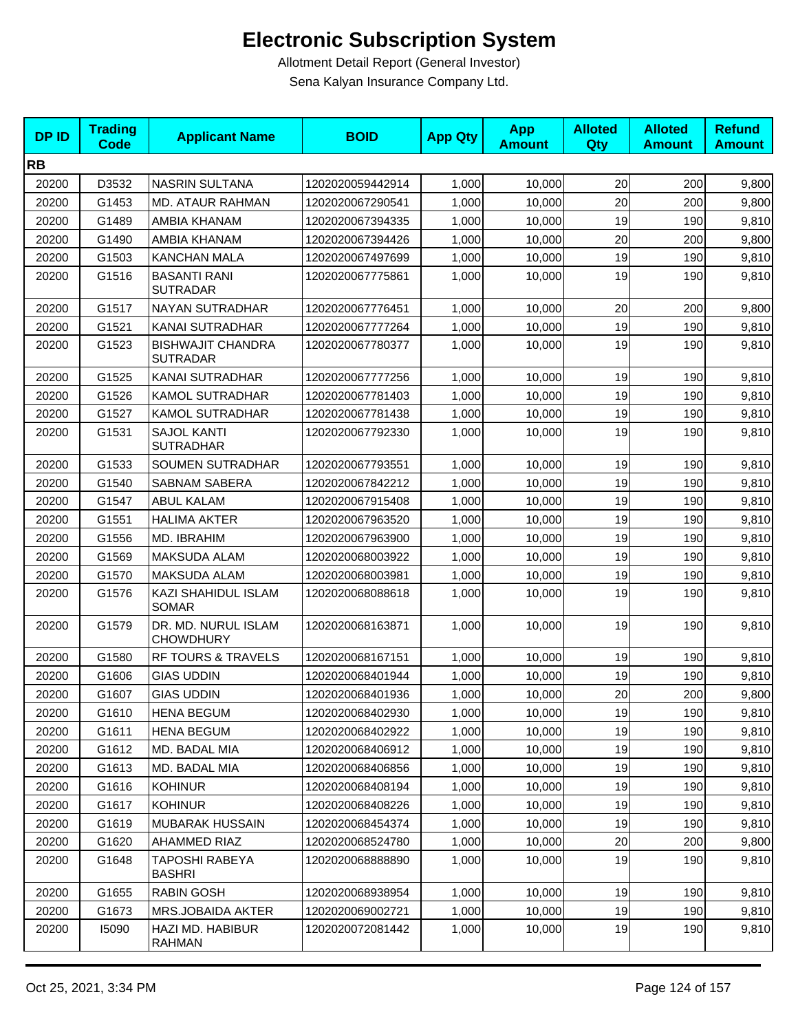| <b>DPID</b> | <b>Trading</b><br><b>Code</b> | <b>Applicant Name</b>                       | <b>BOID</b>      | <b>App Qty</b> | <b>App</b><br><b>Amount</b> | <b>Alloted</b><br>Qty | <b>Alloted</b><br><b>Amount</b> | <b>Refund</b><br><b>Amount</b> |
|-------------|-------------------------------|---------------------------------------------|------------------|----------------|-----------------------------|-----------------------|---------------------------------|--------------------------------|
| <b>RB</b>   |                               |                                             |                  |                |                             |                       |                                 |                                |
| 20200       | D3532                         | NASRIN SULTANA                              | 1202020059442914 | 1,000          | 10,000                      | 20                    | 200                             | 9,800                          |
| 20200       | G1453                         | MD. ATAUR RAHMAN                            | 1202020067290541 | 1,000          | 10,000                      | 20                    | 200                             | 9,800                          |
| 20200       | G1489                         | AMBIA KHANAM                                | 1202020067394335 | 1,000          | 10,000                      | 19                    | 190                             | 9,810                          |
| 20200       | G1490                         | AMBIA KHANAM                                | 1202020067394426 | 1,000          | 10,000                      | 20                    | 200                             | 9,800                          |
| 20200       | G1503                         | <b>KANCHAN MALA</b>                         | 1202020067497699 | 1,000          | 10,000                      | 19                    | 190                             | 9,810                          |
| 20200       | G1516                         | <b>BASANTI RANI</b><br><b>SUTRADAR</b>      | 1202020067775861 | 1,000          | 10,000                      | 19                    | 190                             | 9,810                          |
| 20200       | G1517                         | NAYAN SUTRADHAR                             | 1202020067776451 | 1,000          | 10,000                      | 20                    | 200                             | 9,800                          |
| 20200       | G1521                         | KANAI SUTRADHAR                             | 1202020067777264 | 1,000          | 10,000                      | 19                    | 190                             | 9,810                          |
| 20200       | G1523                         | <b>BISHWAJIT CHANDRA</b><br><b>SUTRADAR</b> | 1202020067780377 | 1,000          | 10,000                      | 19                    | 190                             | 9,810                          |
| 20200       | G1525                         | KANAI SUTRADHAR                             | 1202020067777256 | 1,000          | 10,000                      | 19                    | 190                             | 9,810                          |
| 20200       | G1526                         | <b>KAMOL SUTRADHAR</b>                      | 1202020067781403 | 1,000          | 10,000                      | 19                    | 190                             | 9,810                          |
| 20200       | G1527                         | <b>KAMOL SUTRADHAR</b>                      | 1202020067781438 | 1,000          | 10,000                      | 19                    | 190                             | 9,810                          |
| 20200       | G1531                         | <b>SAJOL KANTI</b><br><b>SUTRADHAR</b>      | 1202020067792330 | 1,000          | 10,000                      | 19                    | 190                             | 9,810                          |
| 20200       | G1533                         | SOUMEN SUTRADHAR                            | 1202020067793551 | 1,000          | 10,000                      | 19                    | 190                             | 9,810                          |
| 20200       | G1540                         | <b>SABNAM SABERA</b>                        | 1202020067842212 | 1,000          | 10,000                      | 19                    | 190                             | 9,810                          |
| 20200       | G1547                         | <b>ABUL KALAM</b>                           | 1202020067915408 | 1,000          | 10,000                      | 19                    | 190                             | 9,810                          |
| 20200       | G1551                         | <b>HALIMA AKTER</b>                         | 1202020067963520 | 1,000          | 10,000                      | 19                    | 190                             | 9,810                          |
| 20200       | G1556                         | MD. IBRAHIM                                 | 1202020067963900 | 1,000          | 10,000                      | 19                    | 190                             | 9,810                          |
| 20200       | G1569                         | <b>MAKSUDA ALAM</b>                         | 1202020068003922 | 1,000          | 10,000                      | 19                    | 190                             | 9,810                          |
| 20200       | G1570                         | <b>MAKSUDA ALAM</b>                         | 1202020068003981 | 1,000          | 10,000                      | 19                    | 190                             | 9,810                          |
| 20200       | G1576                         | KAZI SHAHIDUL ISLAM<br><b>SOMAR</b>         | 1202020068088618 | 1,000          | 10,000                      | 19                    | 190                             | 9,810                          |
| 20200       | G1579                         | DR. MD. NURUL ISLAM<br><b>CHOWDHURY</b>     | 1202020068163871 | 1,000          | 10,000                      | 19                    | 190                             | 9,810                          |
| 20200       | G1580                         | RF TOURS & TRAVELS                          | 1202020068167151 | 1,000          | 10,000                      | 19                    | 190                             | 9,810                          |
| 20200       | G1606                         | <b>GIAS UDDIN</b>                           | 1202020068401944 | 1,000          | 10,000                      | 19                    | 190                             | 9,810                          |
| 20200       | G1607                         | <b>GIAS UDDIN</b>                           | 1202020068401936 | 1,000          | 10,000                      | 20                    | 200                             | 9,800                          |
| 20200       | G1610                         | <b>HENA BEGUM</b>                           | 1202020068402930 | 1,000          | 10,000                      | 19                    | 190                             | 9,810                          |
| 20200       | G1611                         | <b>HENA BEGUM</b>                           | 1202020068402922 | 1,000          | 10,000                      | 19                    | 190                             | 9,810                          |
| 20200       | G1612                         | MD. BADAL MIA                               | 1202020068406912 | 1,000          | 10,000                      | 19                    | 190                             | 9,810                          |
| 20200       | G1613                         | MD. BADAL MIA                               | 1202020068406856 | 1,000          | 10,000                      | 19                    | 190                             | 9,810                          |
| 20200       | G1616                         | <b>KOHINUR</b>                              | 1202020068408194 | 1,000          | 10,000                      | 19                    | 190                             | 9,810                          |
| 20200       | G1617                         | <b>KOHINUR</b>                              | 1202020068408226 | 1,000          | 10,000                      | 19                    | 190                             | 9,810                          |
| 20200       | G1619                         | MUBARAK HUSSAIN                             | 1202020068454374 | 1,000          | 10,000                      | 19                    | 190                             | 9,810                          |
| 20200       | G1620                         | <b>AHAMMED RIAZ</b>                         | 1202020068524780 | 1,000          | 10,000                      | 20                    | 200                             | 9,800                          |
| 20200       | G1648                         | <b>TAPOSHI RABEYA</b><br><b>BASHRI</b>      | 1202020068888890 | 1,000          | 10,000                      | 19                    | 190                             | 9,810                          |
| 20200       | G1655                         | RABIN GOSH                                  | 1202020068938954 | 1,000          | 10,000                      | 19                    | 190                             | 9,810                          |
| 20200       | G1673                         | <b>MRS.JOBAIDA AKTER</b>                    | 1202020069002721 | 1,000          | 10,000                      | 19                    | 190                             | 9,810                          |
| 20200       | 15090                         | HAZI MD. HABIBUR<br><b>RAHMAN</b>           | 1202020072081442 | 1,000          | 10,000                      | 19                    | 190                             | 9,810                          |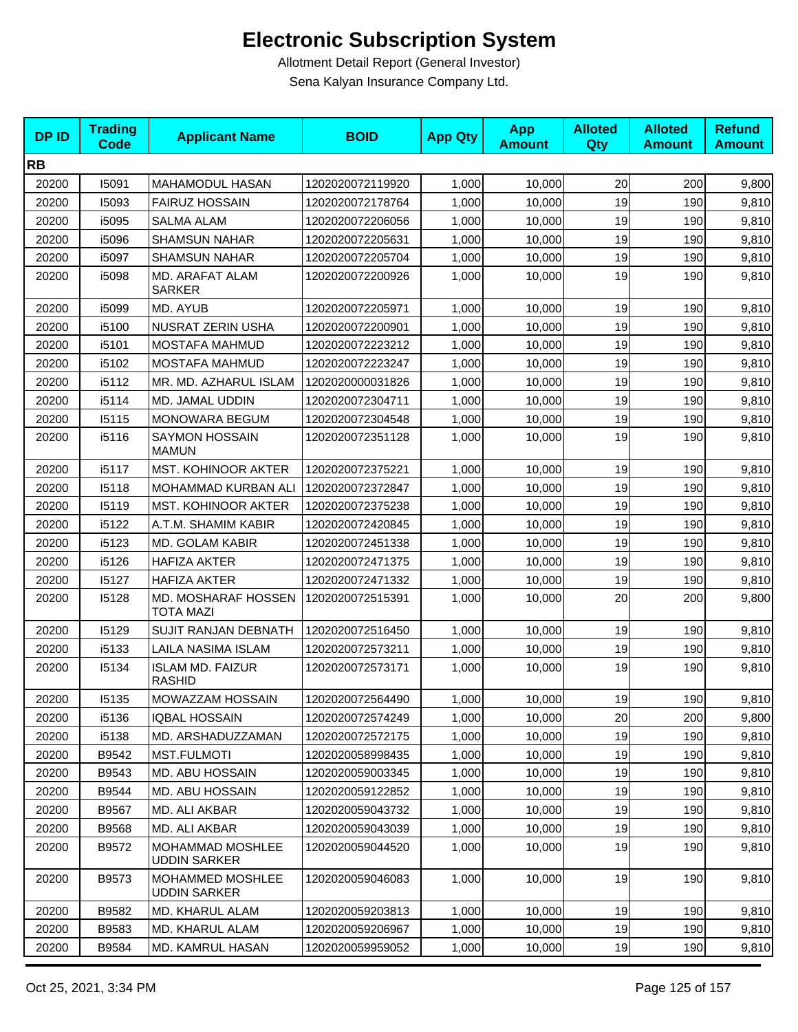| <b>DPID</b> | <b>Trading</b><br><b>Code</b> | <b>Applicant Name</b>                    | <b>BOID</b>      | <b>App Qty</b> | <b>App</b><br><b>Amount</b> | <b>Alloted</b><br><b>Qty</b> | <b>Alloted</b><br><b>Amount</b> | <b>Refund</b><br><b>Amount</b> |
|-------------|-------------------------------|------------------------------------------|------------------|----------------|-----------------------------|------------------------------|---------------------------------|--------------------------------|
| <b>RB</b>   |                               |                                          |                  |                |                             |                              |                                 |                                |
| 20200       | 15091                         | MAHAMODUL HASAN                          | 1202020072119920 | 1,000          | 10,000                      | 20                           | 200                             | 9,800                          |
| 20200       | 15093                         | <b>FAIRUZ HOSSAIN</b>                    | 1202020072178764 | 1,000          | 10,000                      | 19                           | 190                             | 9,810                          |
| 20200       | i5095                         | <b>SALMA ALAM</b>                        | 1202020072206056 | 1,000          | 10,000                      | 19                           | 190                             | 9,810                          |
| 20200       | i5096                         | <b>SHAMSUN NAHAR</b>                     | 1202020072205631 | 1,000          | 10,000                      | 19                           | 190                             | 9,810                          |
| 20200       | i5097                         | <b>SHAMSUN NAHAR</b>                     | 1202020072205704 | 1,000          | 10,000                      | 19                           | 190                             | 9,810                          |
| 20200       | i5098                         | MD. ARAFAT ALAM<br><b>SARKER</b>         | 1202020072200926 | 1,000          | 10,000                      | 19                           | 190                             | 9,810                          |
| 20200       | i5099                         | MD. AYUB                                 | 1202020072205971 | 1,000          | 10,000                      | 19                           | 190                             | 9,810                          |
| 20200       | i5100                         | <b>NUSRAT ZERIN USHA</b>                 | 1202020072200901 | 1,000          | 10,000                      | 19                           | 190                             | 9,810                          |
| 20200       | i5101                         | MOSTAFA MAHMUD                           | 1202020072223212 | 1,000          | 10,000                      | 19                           | 190                             | 9,810                          |
| 20200       | i5102                         | MOSTAFA MAHMUD                           | 1202020072223247 | 1,000          | 10,000                      | 19                           | 190                             | 9,810                          |
| 20200       | i5112                         | MR. MD. AZHARUL ISLAM                    | 1202020000031826 | 1,000          | 10,000                      | 19                           | 190                             | 9,810                          |
| 20200       | i5114                         | MD. JAMAL UDDIN                          | 1202020072304711 | 1,000          | 10,000                      | 19                           | 190                             | 9,810                          |
| 20200       | 15115                         | MONOWARA BEGUM                           | 1202020072304548 | 1,000          | 10,000                      | 19                           | 190                             | 9,810                          |
| 20200       | i5116                         | <b>SAYMON HOSSAIN</b><br><b>MAMUN</b>    | 1202020072351128 | 1,000          | 10,000                      | 19                           | 190                             | 9,810                          |
| 20200       | i5117                         | <b>MST. KOHINOOR AKTER</b>               | 1202020072375221 | 1,000          | 10,000                      | 19                           | 190                             | 9,810                          |
| 20200       | 15118                         | MOHAMMAD KURBAN ALI                      | 1202020072372847 | 1,000          | 10,000                      | 19                           | 190                             | 9,810                          |
| 20200       | 15119                         | MST. KOHINOOR AKTER                      | 1202020072375238 | 1,000          | 10,000                      | 19                           | 190                             | 9,810                          |
| 20200       | i5122                         | A.T.M. SHAMIM KABIR                      | 1202020072420845 | 1,000          | 10,000                      | 19                           | 190                             | 9,810                          |
| 20200       | i5123                         | <b>MD. GOLAM KABIR</b>                   | 1202020072451338 | 1,000          | 10,000                      | 19                           | 190                             | 9,810                          |
| 20200       | i5126                         | <b>HAFIZA AKTER</b>                      | 1202020072471375 | 1,000          | 10,000                      | 19                           | 190                             | 9,810                          |
| 20200       | 15127                         | <b>HAFIZA AKTER</b>                      | 1202020072471332 | 1,000          | 10,000                      | 19                           | 190                             | 9,810                          |
| 20200       | 15128                         | MD. MOSHARAF HOSSEN<br><b>TOTA MAZI</b>  | 1202020072515391 | 1,000          | 10,000                      | 20                           | 200                             | 9,800                          |
| 20200       | 15129                         | SUJIT RANJAN DEBNATH                     | 1202020072516450 | 1,000          | 10,000                      | 19                           | 190                             | 9,810                          |
| 20200       | i5133                         | LAILA NASIMA ISLAM                       | 1202020072573211 | 1,000          | 10,000                      | 19                           | 190                             | 9,810                          |
| 20200       | 15134                         | <b>ISLAM MD. FAIZUR</b><br><b>RASHID</b> | 1202020072573171 | 1,000          | 10,000                      | 19                           | 190                             | 9,810                          |
| 20200       | 15135                         | <b>MOWAZZAM HOSSAIN</b>                  | 1202020072564490 | 1,000          | 10,000                      | 19                           | 190                             | 9,810                          |
| 20200       | i5136                         | <b>IQBAL HOSSAIN</b>                     | 1202020072574249 | 1,000          | 10,000                      | 20                           | 200                             | 9,800                          |
| 20200       | i5138                         | MD. ARSHADUZZAMAN                        | 1202020072572175 | 1,000          | 10,000                      | 19                           | 190                             | 9,810                          |
| 20200       | B9542                         | <b>MST.FULMOTI</b>                       | 1202020058998435 | 1,000          | 10,000                      | 19                           | 190                             | 9,810                          |
| 20200       | B9543                         | MD. ABU HOSSAIN                          | 1202020059003345 | 1,000          | 10,000                      | 19                           | 190                             | 9,810                          |
| 20200       | B9544                         | MD. ABU HOSSAIN                          | 1202020059122852 | 1,000          | 10,000                      | 19                           | 190                             | 9,810                          |
| 20200       | B9567                         | MD. ALI AKBAR                            | 1202020059043732 | 1,000          | 10,000                      | 19                           | 190                             | 9,810                          |
| 20200       | B9568                         | MD. ALI AKBAR                            | 1202020059043039 | 1,000          | 10,000                      | 19                           | 190                             | 9,810                          |
| 20200       | B9572                         | MOHAMMAD MOSHLEE<br><b>UDDIN SARKER</b>  | 1202020059044520 | 1,000          | 10,000                      | 19                           | 190                             | 9,810                          |
| 20200       | B9573                         | MOHAMMED MOSHLEE<br><b>UDDIN SARKER</b>  | 1202020059046083 | 1,000          | 10,000                      | 19                           | 190                             | 9,810                          |
| 20200       | B9582                         | MD. KHARUL ALAM                          | 1202020059203813 | 1,000          | 10,000                      | 19                           | 190                             | 9,810                          |
| 20200       | B9583                         | MD. KHARUL ALAM                          | 1202020059206967 | 1,000          | 10,000                      | 19                           | 190                             | 9,810                          |
| 20200       | B9584                         | MD. KAMRUL HASAN                         | 1202020059959052 | 1,000          | 10,000                      | 19                           | 190                             | 9,810                          |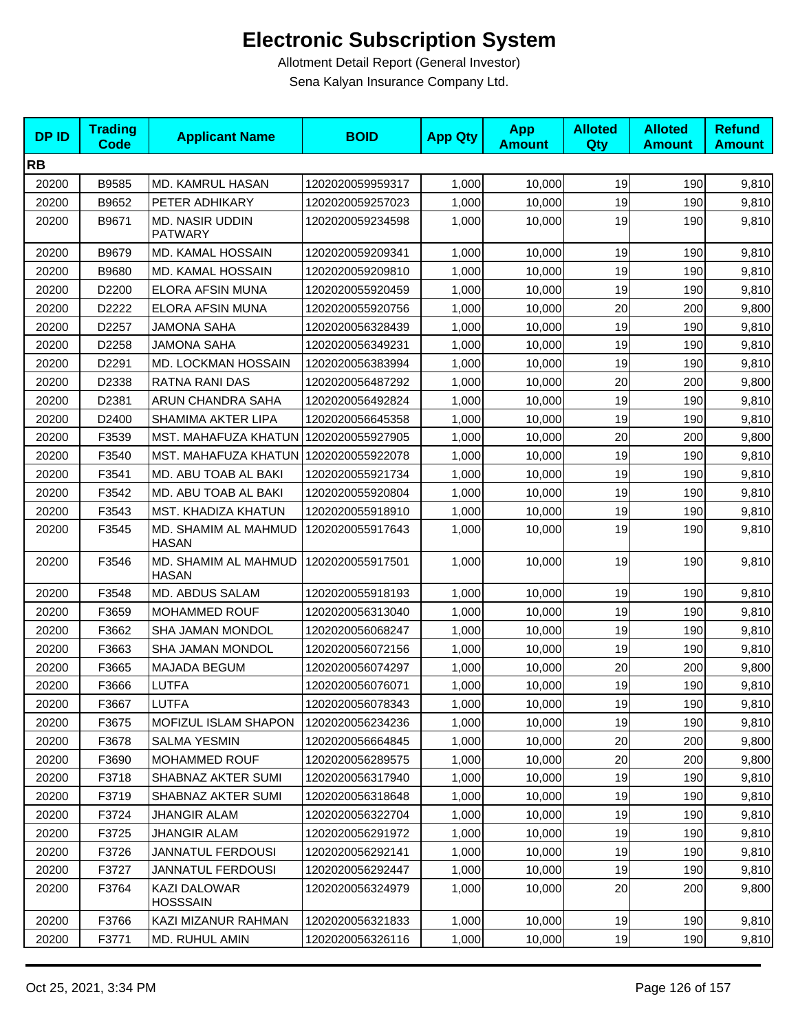| <b>DPID</b> | <b>Trading</b><br><b>Code</b> | <b>Applicant Name</b>                    | <b>BOID</b>      | <b>App Qty</b> | <b>App</b><br><b>Amount</b> | <b>Alloted</b><br>Qty | <b>Alloted</b><br><b>Amount</b> | <b>Refund</b><br><b>Amount</b> |
|-------------|-------------------------------|------------------------------------------|------------------|----------------|-----------------------------|-----------------------|---------------------------------|--------------------------------|
| <b>RB</b>   |                               |                                          |                  |                |                             |                       |                                 |                                |
| 20200       | B9585                         | MD. KAMRUL HASAN                         | 1202020059959317 | 1,000          | 10,000                      | 19                    | 190                             | 9,810                          |
| 20200       | B9652                         | PETER ADHIKARY                           | 1202020059257023 | 1,000          | 10,000                      | 19                    | 190                             | 9,810                          |
| 20200       | B9671                         | <b>MD. NASIR UDDIN</b><br><b>PATWARY</b> | 1202020059234598 | 1,000          | 10,000                      | 19                    | 190                             | 9,810                          |
| 20200       | B9679                         | MD. KAMAL HOSSAIN                        | 1202020059209341 | 1,000          | 10,000                      | 19                    | 190                             | 9,810                          |
| 20200       | B9680                         | MD. KAMAL HOSSAIN                        | 1202020059209810 | 1,000          | 10,000                      | 19                    | 190                             | 9,810                          |
| 20200       | D2200                         | ELORA AFSIN MUNA                         | 1202020055920459 | 1,000          | 10,000                      | 19                    | 190                             | 9,810                          |
| 20200       | D2222                         | ELORA AFSIN MUNA                         | 1202020055920756 | 1,000          | 10,000                      | 20                    | 200                             | 9,800                          |
| 20200       | D2257                         | <b>JAMONA SAHA</b>                       | 1202020056328439 | 1,000          | 10,000                      | 19                    | 190                             | 9,810                          |
| 20200       | D2258                         | JAMONA SAHA                              | 1202020056349231 | 1,000          | 10,000                      | 19                    | 190                             | 9,810                          |
| 20200       | D2291                         | MD. LOCKMAN HOSSAIN                      | 1202020056383994 | 1,000          | 10,000                      | 19                    | 190                             | 9,810                          |
| 20200       | D2338                         | RATNA RANI DAS                           | 1202020056487292 | 1,000          | 10,000                      | 20                    | 200                             | 9,800                          |
| 20200       | D2381                         | ARUN CHANDRA SAHA                        | 1202020056492824 | 1,000          | 10,000                      | 19                    | 190                             | 9,810                          |
| 20200       | D2400                         | SHAMIMA AKTER LIPA                       | 1202020056645358 | 1,000          | 10,000                      | 19                    | 190                             | 9,810                          |
| 20200       | F3539                         | MST. MAHAFUZA KHATUN   1202020055927905  |                  | 1,000          | 10,000                      | 20                    | 200                             | 9,800                          |
| 20200       | F3540                         | MST. MAHAFUZA KHATUN   1202020055922078  |                  | 1,000          | 10,000                      | 19                    | 190                             | 9,810                          |
| 20200       | F3541                         | MD. ABU TOAB AL BAKI                     | 1202020055921734 | 1,000          | 10,000                      | 19                    | 190                             | 9,810                          |
| 20200       | F3542                         | MD. ABU TOAB AL BAKI                     | 1202020055920804 | 1,000          | 10,000                      | 19                    | 190                             | 9,810                          |
| 20200       | F3543                         | MST. KHADIZA KHATUN                      | 1202020055918910 | 1,000          | 10,000                      | 19                    | 190                             | 9,810                          |
| 20200       | F3545                         | MD. SHAMIM AL MAHMUD<br><b>HASAN</b>     | 1202020055917643 | 1,000          | 10,000                      | 19                    | 190                             | 9,810                          |
| 20200       | F3546                         | MD. SHAMIM AL MAHMUD<br><b>HASAN</b>     | 1202020055917501 | 1,000          | 10,000                      | 19                    | 190                             | 9,810                          |
| 20200       | F3548                         | MD. ABDUS SALAM                          | 1202020055918193 | 1,000          | 10,000                      | 19                    | 190                             | 9,810                          |
| 20200       | F3659                         | <b>MOHAMMED ROUF</b>                     | 1202020056313040 | 1,000          | 10,000                      | 19                    | 190                             | 9,810                          |
| 20200       | F3662                         | SHA JAMAN MONDOL                         | 1202020056068247 | 1,000          | 10,000                      | 19                    | 190                             | 9,810                          |
| 20200       | F3663                         | SHA JAMAN MONDOL                         | 1202020056072156 | 1,000          | 10,000                      | 19                    | 190                             | 9,810                          |
| 20200       | F3665                         | MAJADA BEGUM                             | 1202020056074297 | 1,000          | 10,000                      | 20                    | 200                             | 9,800                          |
| 20200       | F3666                         | <b>LUTFA</b>                             | 1202020056076071 | 1,000          | 10,000                      | 19                    | 190                             | 9,810                          |
| 20200       | F3667                         | <b>LUTFA</b>                             | 1202020056078343 | 1,000          | 10,000                      | 19                    | 190                             | 9,810                          |
| 20200       | F3675                         | <b>MOFIZUL ISLAM SHAPON</b>              | 1202020056234236 | 1,000          | 10,000                      | 19                    | 190                             | 9,810                          |
| 20200       | F3678                         | <b>SALMA YESMIN</b>                      | 1202020056664845 | 1,000          | 10,000                      | 20                    | 200                             | 9,800                          |
| 20200       | F3690                         | MOHAMMED ROUF                            | 1202020056289575 | 1,000          | 10,000                      | 20                    | 200                             | 9,800                          |
| 20200       | F3718                         | SHABNAZ AKTER SUMI                       | 1202020056317940 | 1,000          | 10,000                      | 19                    | 190                             | 9,810                          |
| 20200       | F3719                         | SHABNAZ AKTER SUMI                       | 1202020056318648 | 1,000          | 10,000                      | 19                    | 190                             | 9,810                          |
| 20200       | F3724                         | JHANGIR ALAM                             | 1202020056322704 | 1,000          | 10,000                      | 19                    | 190                             | 9,810                          |
| 20200       | F3725                         | <b>JHANGIR ALAM</b>                      | 1202020056291972 | 1,000          | 10,000                      | 19                    | 190                             | 9,810                          |
| 20200       | F3726                         | JANNATUL FERDOUSI                        | 1202020056292141 | 1,000          | 10,000                      | 19                    | 190                             | 9,810                          |
| 20200       | F3727                         | <b>JANNATUL FERDOUSI</b>                 | 1202020056292447 | 1,000          | 10,000                      | 19                    | 190                             | 9,810                          |
| 20200       | F3764                         | KAZI DALOWAR<br><b>HOSSSAIN</b>          | 1202020056324979 | 1,000          | 10,000                      | 20                    | 200                             | 9,800                          |
| 20200       | F3766                         | KAZI MIZANUR RAHMAN                      | 1202020056321833 | 1,000          | 10,000                      | 19                    | 190                             | 9,810                          |
| 20200       | F3771                         | MD. RUHUL AMIN                           | 1202020056326116 | 1,000          | 10,000                      | 19                    | 190                             | 9,810                          |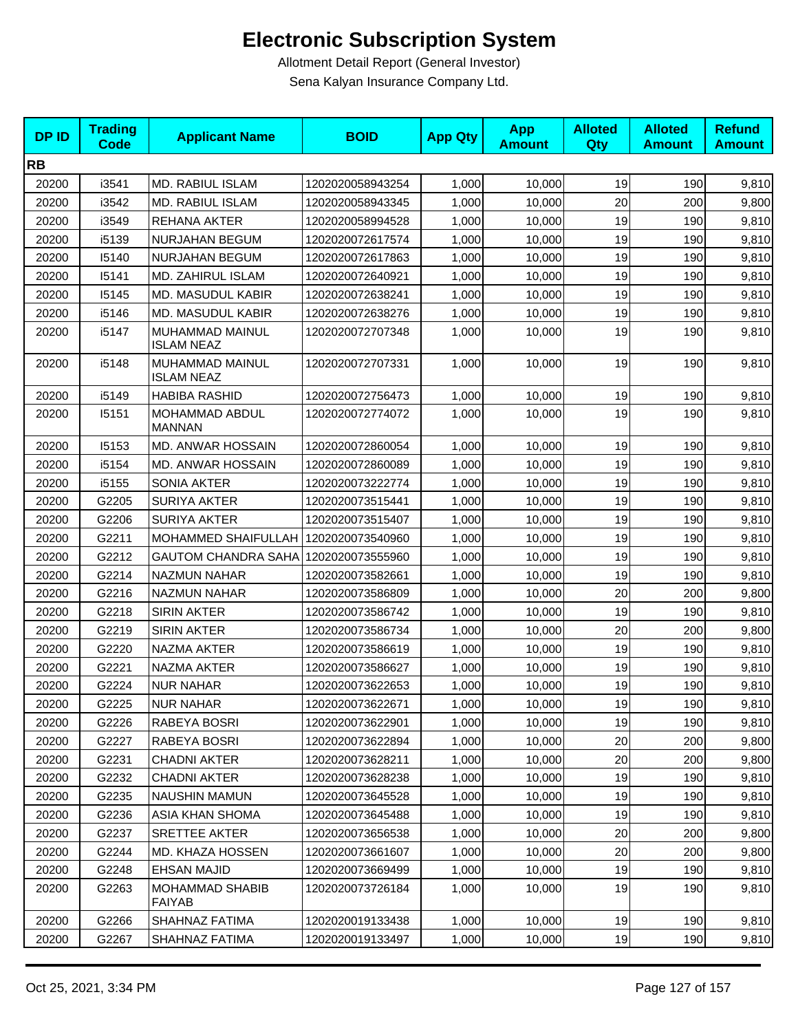| <b>DPID</b> | <b>Trading</b><br><b>Code</b> | <b>Applicant Name</b>                  | <b>BOID</b>      | <b>App Qty</b> | <b>App</b><br><b>Amount</b> | <b>Alloted</b><br>Qty | <b>Alloted</b><br><b>Amount</b> | <b>Refund</b><br><b>Amount</b> |
|-------------|-------------------------------|----------------------------------------|------------------|----------------|-----------------------------|-----------------------|---------------------------------|--------------------------------|
| <b>RB</b>   |                               |                                        |                  |                |                             |                       |                                 |                                |
| 20200       | i3541                         | MD. RABIUL ISLAM                       | 1202020058943254 | 1,000          | 10,000                      | 19                    | 190                             | 9,810                          |
| 20200       | i3542                         | MD. RABIUL ISLAM                       | 1202020058943345 | 1,000          | 10,000                      | 20                    | 200                             | 9,800                          |
| 20200       | i3549                         | REHANA AKTER                           | 1202020058994528 | 1,000          | 10,000                      | 19                    | 190                             | 9,810                          |
| 20200       | i5139                         | NURJAHAN BEGUM                         | 1202020072617574 | 1,000          | 10,000                      | 19                    | 190                             | 9,810                          |
| 20200       | 15140                         | <b>NURJAHAN BEGUM</b>                  | 1202020072617863 | 1,000          | 10,000                      | 19                    | 190                             | 9,810                          |
| 20200       | 15141                         | MD. ZAHIRUL ISLAM                      | 1202020072640921 | 1,000          | 10,000                      | 19                    | 190                             | 9,810                          |
| 20200       | 15145                         | MD. MASUDUL KABIR                      | 1202020072638241 | 1,000          | 10,000                      | 19                    | 190                             | 9,810                          |
| 20200       | i5146                         | MD. MASUDUL KABIR                      | 1202020072638276 | 1,000          | 10,000                      | 19                    | 190                             | 9,810                          |
| 20200       | i5147                         | MUHAMMAD MAINUL<br><b>ISLAM NEAZ</b>   | 1202020072707348 | 1,000          | 10,000                      | 19                    | 190                             | 9,810                          |
| 20200       | i5148                         | MUHAMMAD MAINUL<br><b>ISLAM NEAZ</b>   | 1202020072707331 | 1,000          | 10,000                      | 19                    | 190                             | 9,810                          |
| 20200       | i5149                         | <b>HABIBA RASHID</b>                   | 1202020072756473 | 1,000          | 10,000                      | 19                    | 190                             | 9,810                          |
| 20200       | 15151                         | MOHAMMAD ABDUL<br><b>MANNAN</b>        | 1202020072774072 | 1,000          | 10,000                      | 19                    | 190                             | 9,810                          |
| 20200       | 15153                         | MD. ANWAR HOSSAIN                      | 1202020072860054 | 1,000          | 10,000                      | 19                    | 190                             | 9,810                          |
| 20200       | i5154                         | MD. ANWAR HOSSAIN                      | 1202020072860089 | 1,000          | 10.000                      | 19                    | 190                             | 9,810                          |
| 20200       | i5155                         | <b>SONIA AKTER</b>                     | 1202020073222774 | 1,000          | 10,000                      | 19                    | 190                             | 9,810                          |
| 20200       | G2205                         | <b>SURIYA AKTER</b>                    | 1202020073515441 | 1,000          | 10,000                      | 19                    | 190                             | 9,810                          |
| 20200       | G2206                         | <b>SURIYA AKTER</b>                    | 1202020073515407 | 1,000          | 10,000                      | 19                    | 190                             | 9,810                          |
| 20200       | G2211                         | MOHAMMED SHAIFULLAH   1202020073540960 |                  | 1,000          | 10,000                      | 19                    | 190                             | 9,810                          |
| 20200       | G2212                         | <b>GAUTOM CHANDRA SAHA</b>             | 1202020073555960 | 1,000          | 10,000                      | 19                    | 190                             | 9,810                          |
| 20200       | G2214                         | <b>NAZMUN NAHAR</b>                    | 1202020073582661 | 1,000          | 10,000                      | 19                    | 190                             | 9,810                          |
| 20200       | G2216                         | NAZMUN NAHAR                           | 1202020073586809 | 1,000          | 10,000                      | 20                    | 200                             | 9,800                          |
| 20200       | G2218                         | <b>SIRIN AKTER</b>                     | 1202020073586742 | 1,000          | 10,000                      | 19                    | 190                             | 9,810                          |
| 20200       | G2219                         | <b>SIRIN AKTER</b>                     | 1202020073586734 | 1,000          | 10,000                      | 20                    | 200                             | 9,800                          |
| 20200       | G2220                         | NAZMA AKTER                            | 1202020073586619 | 1,000          | 10,000                      | 19                    | 190                             | 9,810                          |
| 20200       | G2221                         | NAZMA AKTER                            | 1202020073586627 | 1,000          | 10,000                      | 19                    | 190                             | 9,810                          |
| 20200       | G2224                         | <b>NUR NAHAR</b>                       | 1202020073622653 | 1,000          | 10,000                      | 19                    | 190                             | 9,810                          |
| 20200       | G2225                         | <b>NUR NAHAR</b>                       | 1202020073622671 | 1,000          | 10,000                      | 19                    | 190                             | 9,810                          |
| 20200       | G2226                         | RABEYA BOSRI                           | 1202020073622901 | 1,000          | 10.000                      | 19                    | 190                             | 9,810                          |
| 20200       | G2227                         | RABEYA BOSRI                           | 1202020073622894 | 1,000          | 10,000                      | 20                    | 200                             | 9,800                          |
| 20200       | G2231                         | <b>CHADNI AKTER</b>                    | 1202020073628211 | 1,000          | 10,000                      | 20                    | 200                             | 9,800                          |
| 20200       | G2232                         | <b>CHADNI AKTER</b>                    | 1202020073628238 | 1,000          | 10,000                      | 19                    | 190                             | 9,810                          |
| 20200       | G2235                         | <b>NAUSHIN MAMUN</b>                   | 1202020073645528 | 1,000          | 10,000                      | 19                    | 190                             | 9,810                          |
| 20200       | G2236                         | ASIA KHAN SHOMA                        | 1202020073645488 | 1,000          | 10,000                      | 19                    | 190                             | 9,810                          |
| 20200       | G2237                         | <b>SRETTEE AKTER</b>                   | 1202020073656538 | 1,000          | 10,000                      | 20                    | 200                             | 9,800                          |
| 20200       | G2244                         | MD. KHAZA HOSSEN                       | 1202020073661607 | 1,000          | 10,000                      | 20                    | 200                             | 9,800                          |
| 20200       | G2248                         | EHSAN MAJID                            | 1202020073669499 | 1,000          | 10,000                      | 19                    | 190                             | 9,810                          |
| 20200       | G2263                         | MOHAMMAD SHABIB<br><b>FAIYAB</b>       | 1202020073726184 | 1,000          | 10,000                      | 19                    | 190                             | 9,810                          |
| 20200       | G2266                         | SHAHNAZ FATIMA                         | 1202020019133438 | 1,000          | 10,000                      | 19                    | 190                             | 9,810                          |
| 20200       | G2267                         | SHAHNAZ FATIMA                         | 1202020019133497 | 1,000          | 10,000                      | 19                    | 190                             | 9,810                          |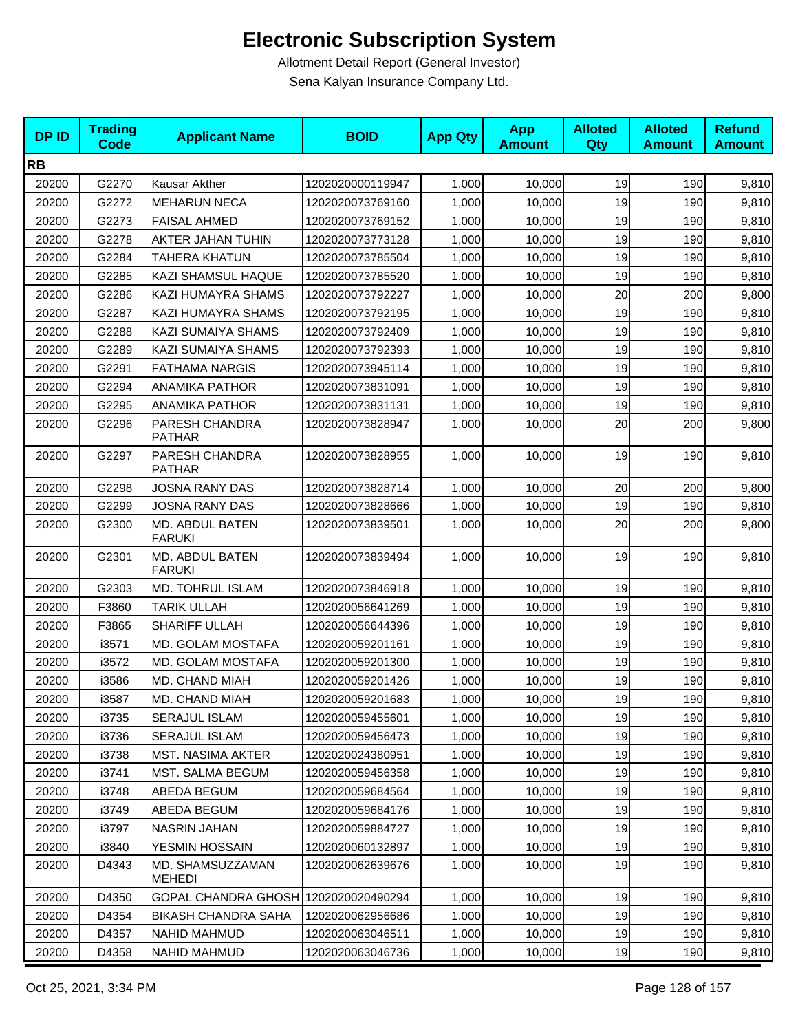| <b>DPID</b> | <b>Trading</b><br><b>Code</b> | <b>Applicant Name</b>                | <b>BOID</b>      | <b>App Qty</b> | <b>App</b><br><b>Amount</b> | <b>Alloted</b><br>Qty | <b>Alloted</b><br><b>Amount</b> | <b>Refund</b><br><b>Amount</b> |
|-------------|-------------------------------|--------------------------------------|------------------|----------------|-----------------------------|-----------------------|---------------------------------|--------------------------------|
| <b>RB</b>   |                               |                                      |                  |                |                             |                       |                                 |                                |
| 20200       | G2270                         | Kausar Akther                        | 1202020000119947 | 1,000          | 10,000                      | 19                    | 190                             | 9,810                          |
| 20200       | G2272                         | <b>MEHARUN NECA</b>                  | 1202020073769160 | 1,000          | 10,000                      | 19                    | 190                             | 9,810                          |
| 20200       | G2273                         | <b>FAISAL AHMED</b>                  | 1202020073769152 | 1,000          | 10,000                      | 19                    | 190                             | 9,810                          |
| 20200       | G2278                         | AKTER JAHAN TUHIN                    | 1202020073773128 | 1,000          | 10,000                      | 19                    | 190                             | 9,810                          |
| 20200       | G2284                         | <b>TAHERA KHATUN</b>                 | 1202020073785504 | 1,000          | 10,000                      | 19                    | 190                             | 9,810                          |
| 20200       | G2285                         | KAZI SHAMSUL HAQUE                   | 1202020073785520 | 1,000          | 10,000                      | 19                    | 190                             | 9,810                          |
| 20200       | G2286                         | KAZI HUMAYRA SHAMS                   | 1202020073792227 | 1,000          | 10,000                      | 20                    | 200                             | 9,800                          |
| 20200       | G2287                         | KAZI HUMAYRA SHAMS                   | 1202020073792195 | 1,000          | 10,000                      | 19                    | 190                             | 9,810                          |
| 20200       | G2288                         | KAZI SUMAIYA SHAMS                   | 1202020073792409 | 1,000          | 10,000                      | 19                    | 190                             | 9,810                          |
| 20200       | G2289                         | KAZI SUMAIYA SHAMS                   | 1202020073792393 | 1,000          | 10,000                      | 19                    | 190                             | 9,810                          |
| 20200       | G2291                         | <b>FATHAMA NARGIS</b>                | 1202020073945114 | 1,000          | 10,000                      | 19                    | 190                             | 9,810                          |
| 20200       | G2294                         | <b>ANAMIKA PATHOR</b>                | 1202020073831091 | 1,000          | 10,000                      | 19                    | 190                             | 9,810                          |
| 20200       | G2295                         | <b>ANAMIKA PATHOR</b>                | 1202020073831131 | 1,000          | 10,000                      | 19                    | 190                             | 9,810                          |
| 20200       | G2296                         | PARESH CHANDRA<br><b>PATHAR</b>      | 1202020073828947 | 1,000          | 10,000                      | 20                    | 200                             | 9,800                          |
| 20200       | G2297                         | PARESH CHANDRA<br><b>PATHAR</b>      | 1202020073828955 | 1,000          | 10,000                      | 19                    | 190                             | 9,810                          |
| 20200       | G2298                         | JOSNA RANY DAS                       | 1202020073828714 | 1,000          | 10.000                      | 20                    | 200                             | 9,800                          |
| 20200       | G2299                         | JOSNA RANY DAS                       | 1202020073828666 | 1,000          | 10,000                      | 19                    | 190                             | 9,810                          |
| 20200       | G2300                         | MD. ABDUL BATEN<br><b>FARUKI</b>     | 1202020073839501 | 1,000          | 10,000                      | 20                    | 200                             | 9,800                          |
| 20200       | G2301                         | MD. ABDUL BATEN<br><b>FARUKI</b>     | 1202020073839494 | 1,000          | 10,000                      | 19                    | 190                             | 9,810                          |
| 20200       | G2303                         | MD. TOHRUL ISLAM                     | 1202020073846918 | 1,000          | 10,000                      | 19                    | 190                             | 9,810                          |
| 20200       | F3860                         | <b>TARIK ULLAH</b>                   | 1202020056641269 | 1,000          | 10,000                      | 19                    | 190                             | 9,810                          |
| 20200       | F3865                         | <b>SHARIFF ULLAH</b>                 | 1202020056644396 | 1,000          | 10,000                      | 19                    | 190                             | 9,810                          |
| 20200       | i3571                         | MD. GOLAM MOSTAFA                    | 1202020059201161 | 1,000          | 10.000                      | 19                    | 190                             | 9,810                          |
| 20200       | i3572                         | MD. GOLAM MOSTAFA                    | 1202020059201300 | 1,000          | 10,000                      | 19                    | 190                             | 9,810                          |
| 20200       | i3586                         | MD. CHAND MIAH                       | 1202020059201426 | 1,000          | 10,000                      | 19                    | 190                             | 9,810                          |
| 20200       | i3587                         | MD. CHAND MIAH                       | 1202020059201683 | 1,000          | 10,000                      | 19                    | 190                             | 9,810                          |
| 20200       | i3735                         | SERAJUL ISLAM                        | 1202020059455601 | 1,000          | 10,000                      | 19                    | 190                             | 9,810                          |
| 20200       | i3736                         | <b>SERAJUL ISLAM</b>                 | 1202020059456473 | 1,000          | 10,000                      | 19                    | 190                             | 9,810                          |
| 20200       | i3738                         | MST. NASIMA AKTER                    | 1202020024380951 | 1,000          | 10,000                      | 19                    | 190                             | 9,810                          |
| 20200       | i3741                         | MST. SALMA BEGUM                     | 1202020059456358 | 1,000          | 10,000                      | 19                    | 190                             | 9,810                          |
| 20200       | i3748                         | ABEDA BEGUM                          | 1202020059684564 | 1,000          | 10,000                      | 19                    | 190                             | 9,810                          |
| 20200       | i3749                         | ABEDA BEGUM                          | 1202020059684176 | 1,000          | 10,000                      | 19                    | 190                             | 9,810                          |
| 20200       | i3797                         | <b>NASRIN JAHAN</b>                  | 1202020059884727 | 1,000          | 10,000                      | 19                    | 190                             | 9,810                          |
| 20200       | i3840                         | YESMIN HOSSAIN                       | 1202020060132897 | 1,000          | 10,000                      | 19                    | 190                             | 9,810                          |
| 20200       | D4343                         | MD. SHAMSUZZAMAN<br>MEHEDI           | 1202020062639676 | 1,000          | 10,000                      | 19                    | 190                             | 9,810                          |
| 20200       | D4350                         | GOPAL CHANDRA GHOSH 1202020020490294 |                  | 1,000          | 10,000                      | 19                    | 190                             | 9,810                          |
| 20200       | D4354                         | <b>BIKASH CHANDRA SAHA</b>           | 1202020062956686 | 1,000          | 10,000                      | 19                    | 190                             | 9,810                          |
| 20200       | D4357                         | <b>NAHID MAHMUD</b>                  | 1202020063046511 | 1,000          | 10,000                      | 19                    | 190                             | 9,810                          |
| 20200       | D4358                         | NAHID MAHMUD                         | 1202020063046736 | 1,000          | 10,000                      | 19                    | 190                             | 9,810                          |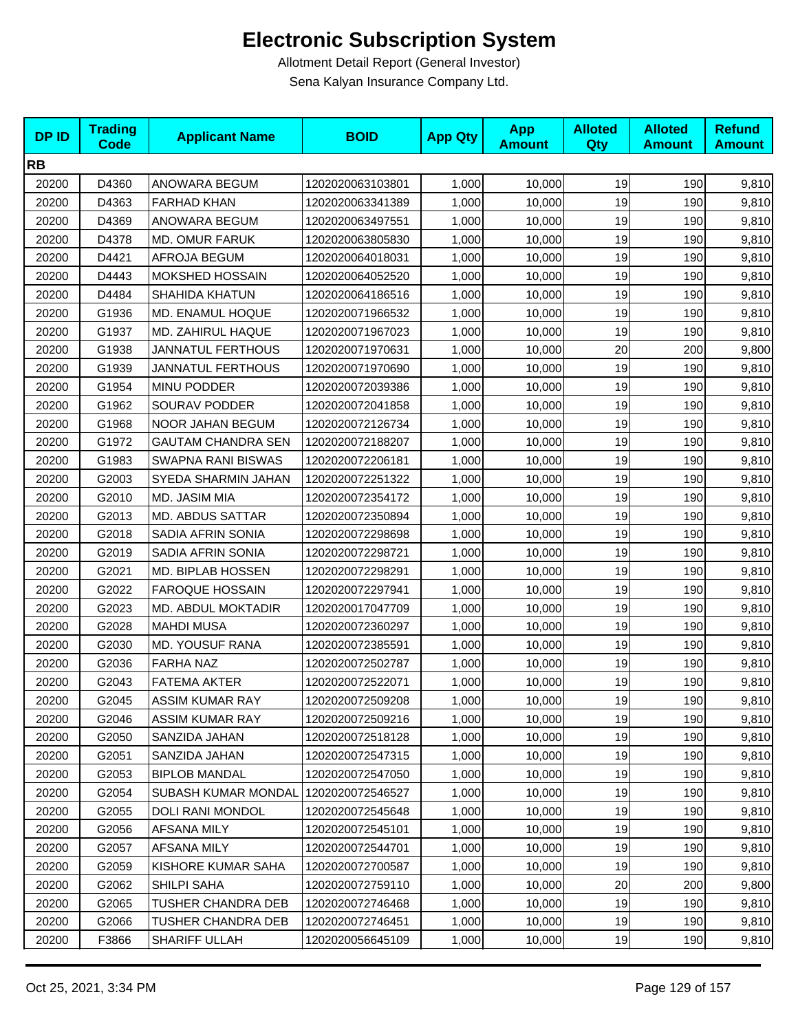| <b>DPID</b> | <b>Trading</b><br><b>Code</b> | <b>Applicant Name</b>      | <b>BOID</b>      | <b>App Qty</b> | <b>App</b><br><b>Amount</b> | <b>Alloted</b><br><b>Qty</b> | <b>Alloted</b><br><b>Amount</b> | <b>Refund</b><br><b>Amount</b> |
|-------------|-------------------------------|----------------------------|------------------|----------------|-----------------------------|------------------------------|---------------------------------|--------------------------------|
| <b>RB</b>   |                               |                            |                  |                |                             |                              |                                 |                                |
| 20200       | D4360                         | ANOWARA BEGUM              | 1202020063103801 | 1,000          | 10,000                      | 19                           | 190                             | 9,810                          |
| 20200       | D4363                         | <b>FARHAD KHAN</b>         | 1202020063341389 | 1,000          | 10,000                      | 19                           | 190                             | 9,810                          |
| 20200       | D4369                         | ANOWARA BEGUM              | 1202020063497551 | 1,000          | 10,000                      | 19                           | 190                             | 9,810                          |
| 20200       | D4378                         | <b>MD. OMUR FARUK</b>      | 1202020063805830 | 1,000          | 10,000                      | 19                           | 190                             | 9,810                          |
| 20200       | D4421                         | AFROJA BEGUM               | 1202020064018031 | 1,000          | 10,000                      | 19                           | 190                             | 9,810                          |
| 20200       | D4443                         | <b>MOKSHED HOSSAIN</b>     | 1202020064052520 | 1,000          | 10,000                      | 19                           | 190                             | 9,810                          |
| 20200       | D4484                         | <b>SHAHIDA KHATUN</b>      | 1202020064186516 | 1,000          | 10,000                      | 19                           | 190                             | 9,810                          |
| 20200       | G1936                         | MD. ENAMUL HOQUE           | 1202020071966532 | 1,000          | 10,000                      | 19                           | 190                             | 9,810                          |
| 20200       | G1937                         | MD. ZAHIRUL HAQUE          | 1202020071967023 | 1,000          | 10,000                      | 19                           | 190                             | 9,810                          |
| 20200       | G1938                         | <b>JANNATUL FERTHOUS</b>   | 1202020071970631 | 1,000          | 10,000                      | 20                           | 200                             | 9,800                          |
| 20200       | G1939                         | <b>JANNATUL FERTHOUS</b>   | 1202020071970690 | 1,000          | 10,000                      | 19                           | 190                             | 9,810                          |
| 20200       | G1954                         | MINU PODDER                | 1202020072039386 | 1,000          | 10,000                      | 19                           | 190                             | 9,810                          |
| 20200       | G1962                         | <b>SOURAV PODDER</b>       | 1202020072041858 | 1,000          | 10,000                      | 19                           | 190                             | 9,810                          |
| 20200       | G1968                         | NOOR JAHAN BEGUM           | 1202020072126734 | 1,000          | 10,000                      | 19                           | 190                             | 9,810                          |
| 20200       | G1972                         | <b>GAUTAM CHANDRA SEN</b>  | 1202020072188207 | 1,000          | 10,000                      | 19                           | 190                             | 9,810                          |
| 20200       | G1983                         | SWAPNA RANI BISWAS         | 1202020072206181 | 1,000          | 10,000                      | 19                           | 190                             | 9,810                          |
| 20200       | G2003                         | SYEDA SHARMIN JAHAN        | 1202020072251322 | 1,000          | 10,000                      | 19                           | 190                             | 9,810                          |
| 20200       | G2010                         | MD. JASIM MIA              | 1202020072354172 | 1,000          | 10,000                      | 19                           | 190                             | 9,810                          |
| 20200       | G2013                         | <b>MD. ABDUS SATTAR</b>    | 1202020072350894 | 1,000          | 10,000                      | 19                           | 190                             | 9,810                          |
| 20200       | G2018                         | SADIA AFRIN SONIA          | 1202020072298698 | 1,000          | 10,000                      | 19                           | 190                             | 9,810                          |
| 20200       | G2019                         | SADIA AFRIN SONIA          | 1202020072298721 | 1,000          | 10,000                      | 19                           | 190                             | 9,810                          |
| 20200       | G2021                         | MD. BIPLAB HOSSEN          | 1202020072298291 | 1,000          | 10,000                      | 19                           | 190                             | 9,810                          |
| 20200       | G2022                         | <b>FAROQUE HOSSAIN</b>     | 1202020072297941 | 1,000          | 10,000                      | 19                           | 190                             | 9,810                          |
| 20200       | G2023                         | MD. ABDUL MOKTADIR         | 1202020017047709 | 1,000          | 10,000                      | 19                           | 190                             | 9,810                          |
| 20200       | G2028                         | <b>MAHDI MUSA</b>          | 1202020072360297 | 1,000          | 10,000                      | 19                           | 190                             | 9,810                          |
| 20200       | G2030                         | MD. YOUSUF RANA            | 1202020072385591 | 1,000          | 10,000                      | 19                           | 190                             | 9,810                          |
| 20200       | G2036                         | <b>FARHA NAZ</b>           | 1202020072502787 | 1,000          | 10,000                      | 19                           | 190                             | 9,810                          |
| 20200       | G2043                         | <b>FATEMA AKTER</b>        | 1202020072522071 | 1,000          | 10,000                      | 19                           | 190                             | 9,810                          |
| 20200       | G2045                         | <b>ASSIM KUMAR RAY</b>     | 1202020072509208 | 1,000          | 10,000                      | 19                           | 190                             | 9,810                          |
| 20200       | G2046                         | <b>ASSIM KUMAR RAY</b>     | 1202020072509216 | 1,000          | 10.000                      | 19                           | 190                             | 9,810                          |
| 20200       | G2050                         | SANZIDA JAHAN              | 1202020072518128 | 1,000          | 10,000                      | 19                           | 190                             | 9,810                          |
| 20200       | G2051                         | SANZIDA JAHAN              | 1202020072547315 | 1,000          | 10,000                      | 19                           | 190                             | 9,810                          |
| 20200       | G2053                         | <b>BIPLOB MANDAL</b>       | 1202020072547050 | 1,000          | 10,000                      | 19                           | 190                             | 9,810                          |
| 20200       | G2054                         | <b>SUBASH KUMAR MONDAL</b> | 1202020072546527 | 1,000          | 10,000                      | 19                           | 190                             | 9,810                          |
| 20200       | G2055                         | DOLI RANI MONDOL           | 1202020072545648 | 1,000          | 10,000                      | 19                           | 190                             | 9,810                          |
| 20200       | G2056                         | AFSANA MILY                | 1202020072545101 | 1,000          | 10,000                      | 19                           | 190                             | 9,810                          |
| 20200       | G2057                         | AFSANA MILY                | 1202020072544701 | 1,000          | 10,000                      | 19                           | 190                             | 9,810                          |
| 20200       | G2059                         | KISHORE KUMAR SAHA         | 1202020072700587 | 1,000          | 10,000                      | 19                           | 190                             | 9,810                          |
| 20200       | G2062                         | SHILPI SAHA                | 1202020072759110 | 1,000          | 10,000                      | 20                           | 200                             | 9,800                          |
| 20200       | G2065                         | TUSHER CHANDRA DEB         | 1202020072746468 | 1,000          | 10,000                      | 19                           | 190                             | 9,810                          |
| 20200       | G2066                         | TUSHER CHANDRA DEB         | 1202020072746451 | 1,000          | 10,000                      | 19                           | 190                             | 9,810                          |
| 20200       | F3866                         | SHARIFF ULLAH              | 1202020056645109 | 1,000          | 10,000                      | 19                           | 190                             | 9,810                          |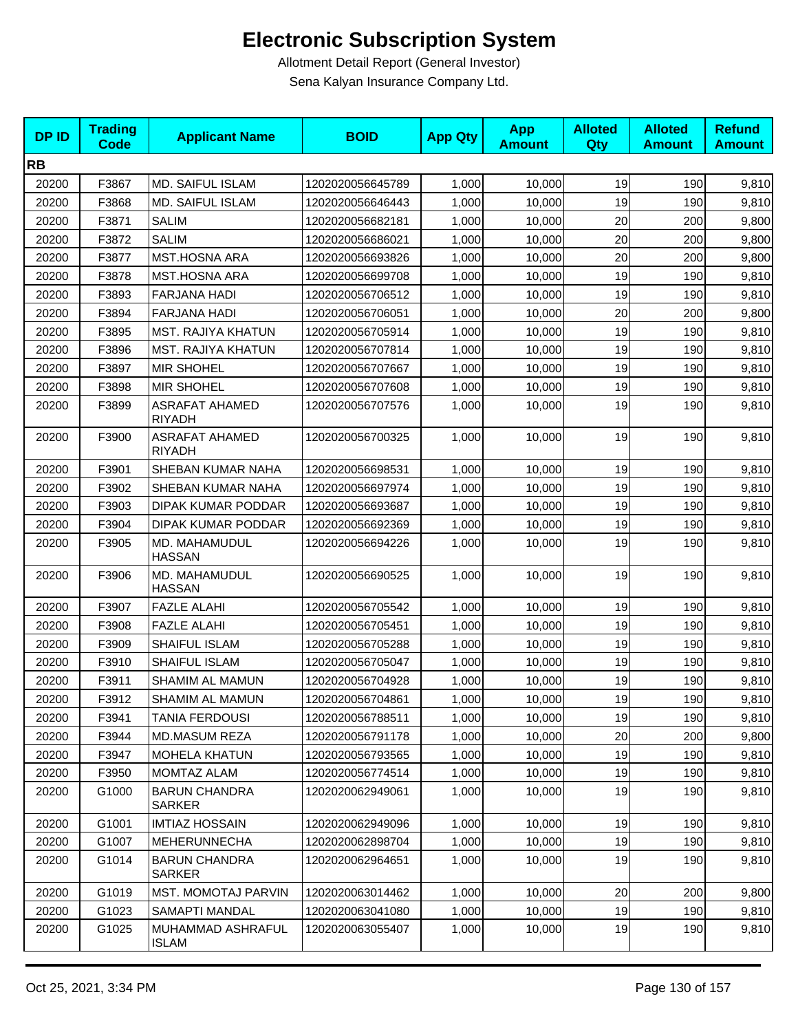| <b>DPID</b> | <b>Trading</b><br><b>Code</b> | <b>Applicant Name</b>                  | <b>BOID</b>      | <b>App Qty</b> | <b>App</b><br><b>Amount</b> | <b>Alloted</b><br>Qty | <b>Alloted</b><br><b>Amount</b> | <b>Refund</b><br><b>Amount</b> |
|-------------|-------------------------------|----------------------------------------|------------------|----------------|-----------------------------|-----------------------|---------------------------------|--------------------------------|
| <b>RB</b>   |                               |                                        |                  |                |                             |                       |                                 |                                |
| 20200       | F3867                         | MD. SAIFUL ISLAM                       | 1202020056645789 | 1,000          | 10,000                      | 19                    | 190                             | 9,810                          |
| 20200       | F3868                         | MD. SAIFUL ISLAM                       | 1202020056646443 | 1,000          | 10,000                      | 19                    | 190                             | 9,810                          |
| 20200       | F3871                         | <b>SALIM</b>                           | 1202020056682181 | 1,000          | 10,000                      | 20                    | 200                             | 9,800                          |
| 20200       | F3872                         | <b>SALIM</b>                           | 1202020056686021 | 1,000          | 10,000                      | 20                    | 200                             | 9,800                          |
| 20200       | F3877                         | <b>MST.HOSNA ARA</b>                   | 1202020056693826 | 1,000          | 10,000                      | 20                    | 200                             | 9,800                          |
| 20200       | F3878                         | <b>MST.HOSNA ARA</b>                   | 1202020056699708 | 1,000          | 10,000                      | 19                    | 190                             | 9,810                          |
| 20200       | F3893                         | <b>FARJANA HADI</b>                    | 1202020056706512 | 1,000          | 10,000                      | 19                    | 190                             | 9,810                          |
| 20200       | F3894                         | FARJANA HADI                           | 1202020056706051 | 1,000          | 10,000                      | 20                    | 200                             | 9,800                          |
| 20200       | F3895                         | <b>MST. RAJIYA KHATUN</b>              | 1202020056705914 | 1,000          | 10,000                      | 19                    | 190                             | 9,810                          |
| 20200       | F3896                         | MST. RAJIYA KHATUN                     | 1202020056707814 | 1,000          | 10,000                      | 19                    | 190                             | 9,810                          |
| 20200       | F3897                         | <b>MIR SHOHEL</b>                      | 1202020056707667 | 1,000          | 10,000                      | 19                    | 190                             | 9,810                          |
| 20200       | F3898                         | <b>MIR SHOHEL</b>                      | 1202020056707608 | 1,000          | 10,000                      | 19                    | 190                             | 9,810                          |
| 20200       | F3899                         | <b>ASRAFAT AHAMED</b><br><b>RIYADH</b> | 1202020056707576 | 1,000          | 10,000                      | 19                    | 190                             | 9,810                          |
| 20200       | F3900                         | <b>ASRAFAT AHAMED</b><br><b>RIYADH</b> | 1202020056700325 | 1,000          | 10,000                      | 19                    | 190                             | 9,810                          |
| 20200       | F3901                         | SHEBAN KUMAR NAHA                      | 1202020056698531 | 1,000          | 10,000                      | 19                    | 190                             | 9,810                          |
| 20200       | F3902                         | SHEBAN KUMAR NAHA                      | 1202020056697974 | 1,000          | 10,000                      | 19                    | 190                             | 9,810                          |
| 20200       | F3903                         | DIPAK KUMAR PODDAR                     | 1202020056693687 | 1,000          | 10,000                      | 19                    | 190                             | 9,810                          |
| 20200       | F3904                         | DIPAK KUMAR PODDAR                     | 1202020056692369 | 1,000          | 10,000                      | 19                    | 190                             | 9,810                          |
| 20200       | F3905                         | MD. MAHAMUDUL<br><b>HASSAN</b>         | 1202020056694226 | 1,000          | 10,000                      | 19                    | 190                             | 9,810                          |
| 20200       | F3906                         | MD. MAHAMUDUL<br><b>HASSAN</b>         | 1202020056690525 | 1,000          | 10,000                      | 19                    | 190                             | 9,810                          |
| 20200       | F3907                         | <b>FAZLE ALAHI</b>                     | 1202020056705542 | 1,000          | 10,000                      | 19                    | 190                             | 9,810                          |
| 20200       | F3908                         | <b>FAZLE ALAHI</b>                     | 1202020056705451 | 1,000          | 10.000                      | 19                    | 190                             | 9,810                          |
| 20200       | F3909                         | <b>SHAIFUL ISLAM</b>                   | 1202020056705288 | 1,000          | 10,000                      | 19                    | 190                             | 9,810                          |
| 20200       | F3910                         | SHAIFUL ISLAM                          | 1202020056705047 | 1,000          | 10,000                      | 19                    | 190                             | 9,810                          |
| 20200       | F3911                         | SHAMIM AL MAMUN                        | 1202020056704928 | 1,000          | 10,000                      | 19                    | 190                             | 9,810                          |
| 20200       | F3912                         | SHAMIM AL MAMUN                        | 1202020056704861 | 1,000          | 10,000                      | 19                    | 190                             | 9,810                          |
| 20200       | F3941                         | TANIA FERDOUSI                         | 1202020056788511 | 1,000          | 10,000                      | 19                    | 190                             | 9,810                          |
| 20200       | F3944                         | MD.MASUM REZA                          | 1202020056791178 | 1,000          | 10,000                      | 20                    | 200                             | 9,800                          |
| 20200       | F3947                         | <b>MOHELA KHATUN</b>                   | 1202020056793565 | 1,000          | 10,000                      | 19                    | 190                             | 9,810                          |
| 20200       | F3950                         | MOMTAZ ALAM                            | 1202020056774514 | 1,000          | 10,000                      | 19                    | 190                             | 9,810                          |
| 20200       | G1000                         | <b>BARUN CHANDRA</b><br><b>SARKER</b>  | 1202020062949061 | 1,000          | 10,000                      | 19                    | 190                             | 9,810                          |
| 20200       | G1001                         | <b>IMTIAZ HOSSAIN</b>                  | 1202020062949096 | 1,000          | 10,000                      | 19                    | 190                             | 9,810                          |
| 20200       | G1007                         | MEHERUNNECHA                           | 1202020062898704 | 1,000          | 10,000                      | 19                    | 190                             | 9,810                          |
| 20200       | G1014                         | <b>BARUN CHANDRA</b><br>SARKER         | 1202020062964651 | 1,000          | 10,000                      | 19                    | 190                             | 9,810                          |
| 20200       | G1019                         | <b>MST. MOMOTAJ PARVIN</b>             | 1202020063014462 | 1,000          | 10,000                      | 20                    | 200                             | 9,800                          |
| 20200       | G1023                         | SAMAPTI MANDAL                         | 1202020063041080 | 1,000          | 10,000                      | 19                    | 190                             | 9,810                          |
| 20200       | G1025                         | MUHAMMAD ASHRAFUL<br><b>ISLAM</b>      | 1202020063055407 | 1,000          | 10,000                      | 19                    | 190                             | 9,810                          |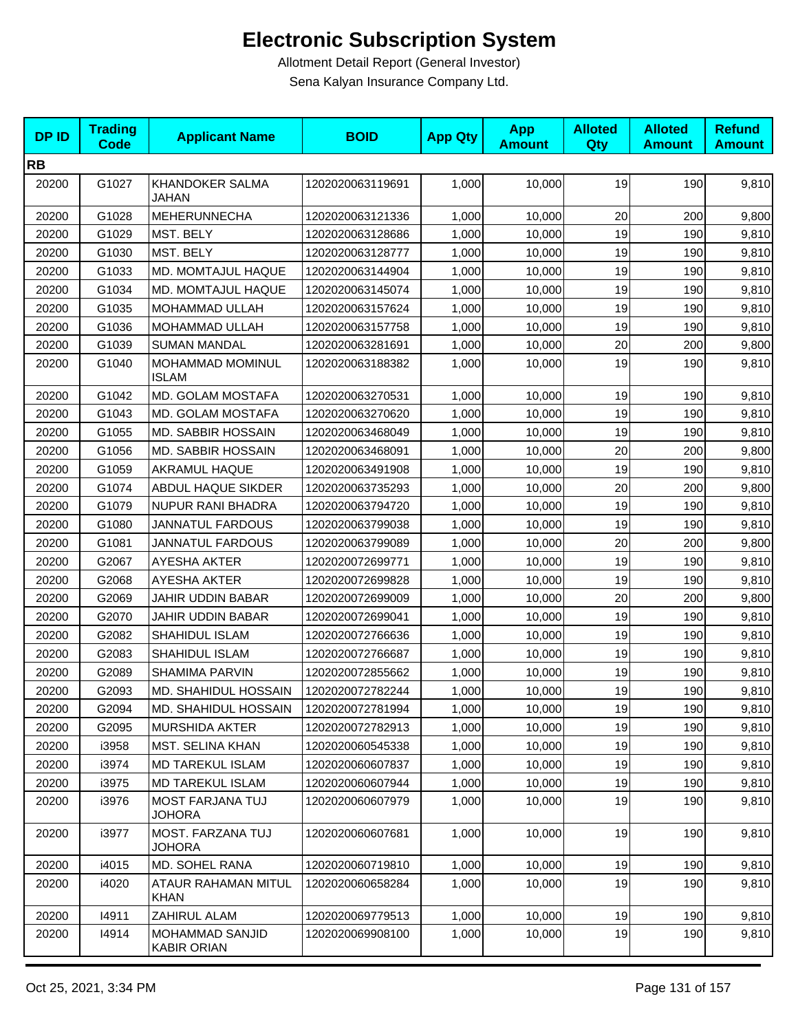| <b>DPID</b> | <b>Trading</b><br><b>Code</b> | <b>Applicant Name</b>                        | <b>BOID</b>      | <b>App Qty</b> | <b>App</b><br><b>Amount</b> | <b>Alloted</b><br><b>Qty</b> | <b>Alloted</b><br><b>Amount</b> | <b>Refund</b><br><b>Amount</b> |
|-------------|-------------------------------|----------------------------------------------|------------------|----------------|-----------------------------|------------------------------|---------------------------------|--------------------------------|
| <b>RB</b>   |                               |                                              |                  |                |                             |                              |                                 |                                |
| 20200       | G1027                         | KHANDOKER SALMA<br>JAHAN                     | 1202020063119691 | 1,000          | 10,000                      | 19                           | 190                             | 9,810                          |
| 20200       | G1028                         | <b>MEHERUNNECHA</b>                          | 1202020063121336 | 1,000          | 10,000                      | 20                           | 200                             | 9,800                          |
| 20200       | G1029                         | MST. BELY                                    | 1202020063128686 | 1,000          | 10,000                      | 19                           | 190                             | 9,810                          |
| 20200       | G1030                         | MST. BELY                                    | 1202020063128777 | 1,000          | 10,000                      | 19                           | 190                             | 9,810                          |
| 20200       | G1033                         | MD. MOMTAJUL HAQUE                           | 1202020063144904 | 1,000          | 10,000                      | 19                           | 190                             | 9,810                          |
| 20200       | G1034                         | MD. MOMTAJUL HAQUE                           | 1202020063145074 | 1,000          | 10,000                      | 19                           | 190                             | 9,810                          |
| 20200       | G1035                         | MOHAMMAD ULLAH                               | 1202020063157624 | 1,000          | 10,000                      | 19                           | 190                             | 9,810                          |
| 20200       | G1036                         | MOHAMMAD ULLAH                               | 1202020063157758 | 1,000          | 10,000                      | 19                           | 190                             | 9,810                          |
| 20200       | G1039                         | <b>SUMAN MANDAL</b>                          | 1202020063281691 | 1,000          | 10,000                      | $20\,$                       | 200                             | 9,800                          |
| 20200       | G1040                         | MOHAMMAD MOMINUL<br><b>ISLAM</b>             | 1202020063188382 | 1,000          | 10,000                      | 19                           | 190                             | 9,810                          |
| 20200       | G1042                         | MD. GOLAM MOSTAFA                            | 1202020063270531 | 1,000          | 10,000                      | 19                           | 190                             | 9,810                          |
| 20200       | G1043                         | MD. GOLAM MOSTAFA                            | 1202020063270620 | 1,000          | 10,000                      | 19                           | 190                             | 9,810                          |
| 20200       | G1055                         | MD. SABBIR HOSSAIN                           | 1202020063468049 | 1,000          | 10,000                      | 19                           | 190                             | 9,810                          |
| 20200       | G1056                         | MD. SABBIR HOSSAIN                           | 1202020063468091 | 1,000          | 10,000                      | 20                           | 200                             | 9,800                          |
| 20200       | G1059                         | <b>AKRAMUL HAQUE</b>                         | 1202020063491908 | 1,000          | 10,000                      | 19                           | 190                             | 9,810                          |
| 20200       | G1074                         | ABDUL HAQUE SIKDER                           | 1202020063735293 | 1,000          | 10,000                      | 20                           | 200                             | 9,800                          |
| 20200       | G1079                         | <b>NUPUR RANI BHADRA</b>                     | 1202020063794720 | 1,000          | 10,000                      | 19                           | 190                             | 9,810                          |
| 20200       | G1080                         | <b>JANNATUL FARDOUS</b>                      | 1202020063799038 | 1,000          | 10,000                      | 19                           | 190                             | 9,810                          |
| 20200       | G1081                         | <b>JANNATUL FARDOUS</b>                      | 1202020063799089 | 1,000          | 10,000                      | 20                           | 200                             | 9,800                          |
| 20200       | G2067                         | <b>AYESHA AKTER</b>                          | 1202020072699771 | 1,000          | 10,000                      | 19                           | 190                             | 9,810                          |
| 20200       | G2068                         | AYESHA AKTER                                 | 1202020072699828 | 1,000          | 10,000                      | 19                           | 190                             | 9,810                          |
| 20200       | G2069                         | JAHIR UDDIN BABAR                            | 1202020072699009 | 1,000          | 10,000                      | 20                           | 200                             | 9,800                          |
| 20200       | G2070                         | JAHIR UDDIN BABAR                            | 1202020072699041 | 1,000          | 10,000                      | 19                           | 190                             | 9,810                          |
| 20200       | G2082                         | SHAHIDUL ISLAM                               | 1202020072766636 | 1,000          | 10,000                      | 19                           | 190                             | 9,810                          |
| 20200       | G2083                         | SHAHIDUL ISLAM                               | 1202020072766687 | 1,000          | 10,000                      | 19                           | 190                             | 9,810                          |
| 20200       | G2089                         | <b>SHAMIMA PARVIN</b>                        | 1202020072855662 | 1,000          | 10,000                      | 19                           | 190                             | 9,810                          |
| 20200       | G2093                         | MD. SHAHIDUL HOSSAIN                         | 1202020072782244 | 1,000          | 10,000                      | 19                           | 190                             | 9,810                          |
| 20200       | G2094                         | <b>MD. SHAHIDUL HOSSAIN</b>                  | 1202020072781994 | 1,000          | 10,000                      | 19                           | 190                             | 9,810                          |
| 20200       | G2095                         | <b>MURSHIDA AKTER</b>                        | 1202020072782913 | 1,000          | 10,000                      | 19                           | 190                             | 9,810                          |
| 20200       | i3958                         | MST. SELINA KHAN                             | 1202020060545338 | 1,000          | 10,000                      | 19                           | 190                             | 9,810                          |
| 20200       | i3974                         | MD TAREKUL ISLAM                             | 1202020060607837 | 1,000          | 10,000                      | 19                           | 190                             | 9,810                          |
| 20200       | i3975                         | <b>MD TAREKUL ISLAM</b>                      | 1202020060607944 | 1,000          | 10,000                      | 19                           | 190                             | 9,810                          |
| 20200       | i3976                         | MOST FARJANA TUJ<br>JOHORA                   | 1202020060607979 | 1,000          | 10,000                      | 19                           | 190                             | 9,810                          |
| 20200       | i3977                         | MOST. FARZANA TUJ<br><b>JOHORA</b>           | 1202020060607681 | 1,000          | 10,000                      | 19                           | 190                             | 9,810                          |
| 20200       | i4015                         | MD. SOHEL RANA                               | 1202020060719810 | 1,000          | 10,000                      | 19                           | 190                             | 9,810                          |
| 20200       | i4020                         | ATAUR RAHAMAN MITUL<br><b>KHAN</b>           | 1202020060658284 | 1,000          | 10,000                      | 19                           | 190                             | 9,810                          |
| 20200       | 14911                         | ZAHIRUL ALAM                                 | 1202020069779513 | 1,000          | 10,000                      | 19                           | 190                             | 9,810                          |
| 20200       | 14914                         | <b>MOHAMMAD SANJID</b><br><b>KABIR ORIAN</b> | 1202020069908100 | 1,000          | 10,000                      | 19                           | 190                             | 9,810                          |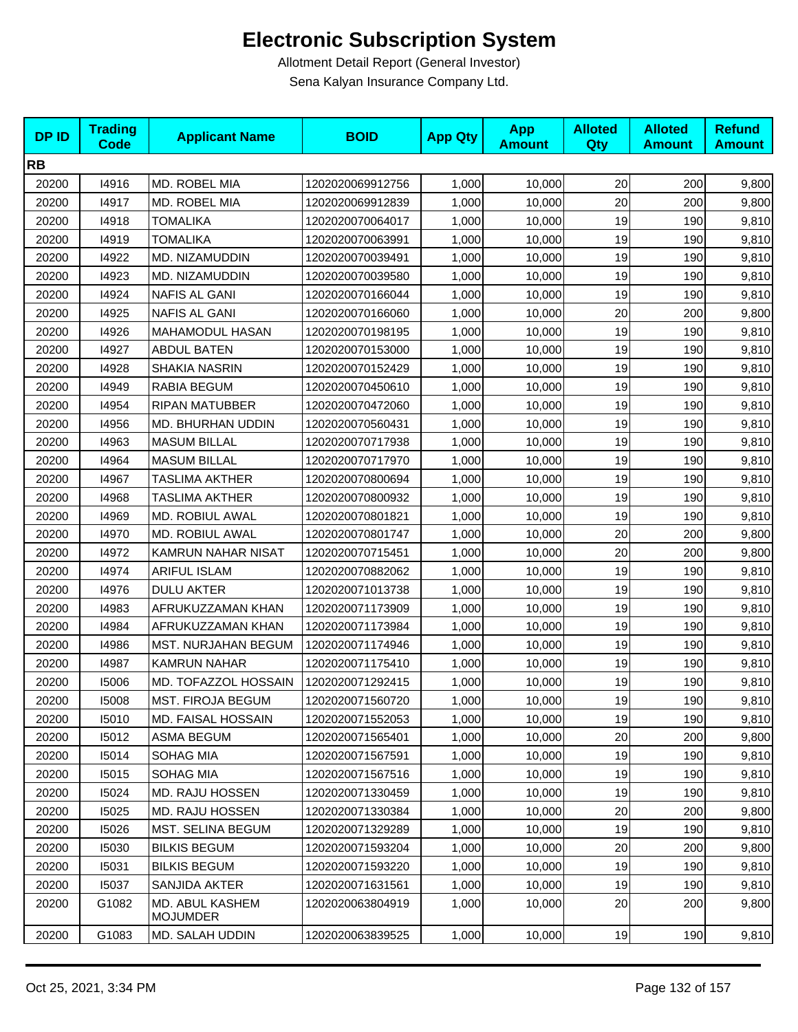| <b>DPID</b> | <b>Trading</b><br><b>Code</b> | <b>Applicant Name</b>              | <b>BOID</b>      | <b>App Qty</b> | <b>App</b><br><b>Amount</b> | <b>Alloted</b><br>Qty | <b>Alloted</b><br><b>Amount</b> | <b>Refund</b><br><b>Amount</b> |
|-------------|-------------------------------|------------------------------------|------------------|----------------|-----------------------------|-----------------------|---------------------------------|--------------------------------|
| <b>RB</b>   |                               |                                    |                  |                |                             |                       |                                 |                                |
| 20200       | 14916                         | MD. ROBEL MIA                      | 1202020069912756 | 1,000          | 10,000                      | 20                    | 200                             | 9,800                          |
| 20200       | 14917                         | MD. ROBEL MIA                      | 1202020069912839 | 1,000          | 10,000                      | 20                    | 200                             | 9,800                          |
| 20200       | 14918                         | <b>TOMALIKA</b>                    | 1202020070064017 | 1,000          | 10,000                      | 19                    | 190                             | 9,810                          |
| 20200       | 14919                         | <b>TOMALIKA</b>                    | 1202020070063991 | 1,000          | 10,000                      | 19                    | 190                             | 9,810                          |
| 20200       | 14922                         | MD. NIZAMUDDIN                     | 1202020070039491 | 1,000          | 10,000                      | 19                    | 190                             | 9,810                          |
| 20200       | 14923                         | MD. NIZAMUDDIN                     | 1202020070039580 | 1,000          | 10,000                      | 19                    | 190                             | 9,810                          |
| 20200       | 14924                         | NAFIS AL GANI                      | 1202020070166044 | 1,000          | 10,000                      | 19                    | 190                             | 9,810                          |
| 20200       | 14925                         | <b>NAFIS AL GANI</b>               | 1202020070166060 | 1,000          | 10,000                      | 20                    | 200                             | 9,800                          |
| 20200       | 14926                         | <b>MAHAMODUL HASAN</b>             | 1202020070198195 | 1,000          | 10,000                      | 19                    | 190                             | 9,810                          |
| 20200       | 14927                         | <b>ABDUL BATEN</b>                 | 1202020070153000 | 1,000          | 10,000                      | 19                    | 190                             | 9,810                          |
| 20200       | 14928                         | <b>SHAKIA NASRIN</b>               | 1202020070152429 | 1,000          | 10,000                      | 19                    | 190                             | 9,810                          |
| 20200       | 14949                         | RABIA BEGUM                        | 1202020070450610 | 1,000          | 10,000                      | 19                    | 190                             | 9,810                          |
| 20200       | 14954                         | <b>RIPAN MATUBBER</b>              | 1202020070472060 | 1,000          | 10,000                      | 19                    | 190                             | 9,810                          |
| 20200       | 14956                         | MD. BHURHAN UDDIN                  | 1202020070560431 | 1,000          | 10,000                      | 19                    | 190                             | 9,810                          |
| 20200       | 14963                         | <b>MASUM BILLAL</b>                | 1202020070717938 | 1,000          | 10,000                      | 19                    | 190                             | 9,810                          |
| 20200       | 14964                         | <b>MASUM BILLAL</b>                | 1202020070717970 | 1,000          | 10,000                      | 19                    | 190                             | 9,810                          |
| 20200       | 14967                         | <b>TASLIMA AKTHER</b>              | 1202020070800694 | 1,000          | 10,000                      | 19                    | 190                             | 9,810                          |
| 20200       | 14968                         | <b>TASLIMA AKTHER</b>              | 1202020070800932 | 1,000          | 10,000                      | 19                    | 190                             | 9,810                          |
| 20200       | 14969                         | MD. ROBIUL AWAL                    | 1202020070801821 | 1,000          | 10,000                      | 19                    | 190                             | 9,810                          |
| 20200       | 14970                         | MD. ROBIUL AWAL                    | 1202020070801747 | 1,000          | 10,000                      | 20                    | 200                             | 9,800                          |
| 20200       | 14972                         | <b>KAMRUN NAHAR NISAT</b>          | 1202020070715451 | 1,000          | 10,000                      | 20                    | 200                             | 9,800                          |
| 20200       | 14974                         | <b>ARIFUL ISLAM</b>                | 1202020070882062 | 1,000          | 10,000                      | 19                    | 190                             | 9,810                          |
| 20200       | 14976                         | <b>DULU AKTER</b>                  | 1202020071013738 | 1,000          | 10,000                      | 19                    | 190                             | 9,810                          |
| 20200       | 14983                         | AFRUKUZZAMAN KHAN                  | 1202020071173909 | 1,000          | 10,000                      | 19                    | 190                             | 9,810                          |
| 20200       | 14984                         | AFRUKUZZAMAN KHAN                  | 1202020071173984 | 1,000          | 10,000                      | 19                    | 190                             | 9,810                          |
| 20200       | 14986                         | MST. NURJAHAN BEGUM                | 1202020071174946 | 1,000          | 10,000                      | 19                    | 190                             | 9,810                          |
| 20200       | 14987                         | <b>KAMRUN NAHAR</b>                | 1202020071175410 | 1,000          | 10,000                      | 19                    | 190                             | 9,810                          |
| 20200       | 15006                         | MD. TOFAZZOL HOSSAIN               | 1202020071292415 | 1,000          | 10,000                      | 19                    | 190                             | 9,810                          |
| 20200       | 15008                         | MST. FIROJA BEGUM                  | 1202020071560720 | 1,000          | 10,000                      | 19                    | 190                             | 9,810                          |
| 20200       | 15010                         | <b>MD. FAISAL HOSSAIN</b>          | 1202020071552053 | 1,000          | 10,000                      | 19                    | 190                             | 9,810                          |
| 20200       | 15012                         | ASMA BEGUM                         | 1202020071565401 | 1,000          | 10,000                      | 20                    | 200                             | 9,800                          |
| 20200       | 15014                         | SOHAG MIA                          | 1202020071567591 | 1,000          | 10,000                      | 19                    | 190                             | 9,810                          |
| 20200       | 15015                         | SOHAG MIA                          | 1202020071567516 | 1,000          | 10,000                      | 19                    | 190                             | 9,810                          |
| 20200       | 15024                         | MD. RAJU HOSSEN                    | 1202020071330459 | 1,000          | 10,000                      | 19                    | 190                             | 9,810                          |
| 20200       | 15025                         | MD. RAJU HOSSEN                    | 1202020071330384 | 1,000          | 10,000                      | 20                    | 200                             | 9,800                          |
| 20200       | 15026                         | MST. SELINA BEGUM                  | 1202020071329289 | 1,000          | 10,000                      | 19                    | 190                             | 9,810                          |
| 20200       | 15030                         | <b>BILKIS BEGUM</b>                | 1202020071593204 | 1,000          | 10,000                      | 20                    | 200                             | 9,800                          |
| 20200       | 15031                         | <b>BILKIS BEGUM</b>                | 1202020071593220 | 1,000          | 10,000                      | 19                    | 190                             | 9,810                          |
| 20200       | 15037                         | SANJIDA AKTER                      | 1202020071631561 | 1,000          | 10,000                      | 19                    | 190                             | 9,810                          |
| 20200       | G1082                         | MD. ABUL KASHEM<br><b>MOJUMDER</b> | 1202020063804919 | 1,000          | 10,000                      | 20                    | 200                             | 9,800                          |
| 20200       | G1083                         | MD. SALAH UDDIN                    | 1202020063839525 | 1,000          | 10,000                      | 19                    | 190                             | 9,810                          |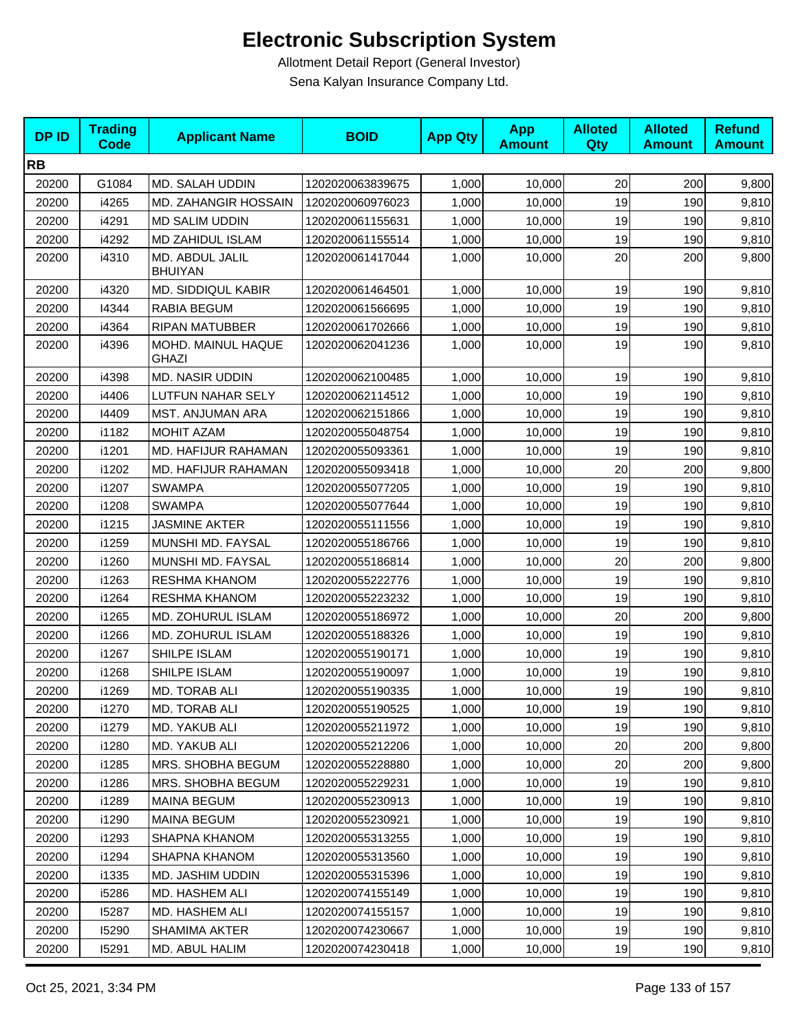| <b>DPID</b> | <b>Trading</b><br><b>Code</b> | <b>Applicant Name</b>              | <b>BOID</b>      | <b>App Qty</b> | <b>App</b><br><b>Amount</b> | <b>Alloted</b><br>Qty | <b>Alloted</b><br><b>Amount</b> | <b>Refund</b><br><b>Amount</b> |
|-------------|-------------------------------|------------------------------------|------------------|----------------|-----------------------------|-----------------------|---------------------------------|--------------------------------|
| <b>RB</b>   |                               |                                    |                  |                |                             |                       |                                 |                                |
| 20200       | G1084                         | MD. SALAH UDDIN                    | 1202020063839675 | 1,000          | 10,000                      | 20                    | 200                             | 9,800                          |
| 20200       | i4265                         | MD. ZAHANGIR HOSSAIN               | 1202020060976023 | 1,000          | 10,000                      | 19                    | 190                             | 9,810                          |
| 20200       | i4291                         | <b>MD SALIM UDDIN</b>              | 1202020061155631 | 1,000          | 10,000                      | 19                    | 190                             | 9,810                          |
| 20200       | i4292                         | MD ZAHIDUL ISLAM                   | 1202020061155514 | 1,000          | 10,000                      | 19                    | 190                             | 9,810                          |
| 20200       | i4310                         | MD. ABDUL JALIL<br><b>BHUIYAN</b>  | 1202020061417044 | 1,000          | 10,000                      | 20                    | 200                             | 9,800                          |
| 20200       | i4320                         | <b>MD. SIDDIQUL KABIR</b>          | 1202020061464501 | 1,000          | 10,000                      | 19                    | 190                             | 9,810                          |
| 20200       | 14344                         | RABIA BEGUM                        | 1202020061566695 | 1,000          | 10,000                      | 19                    | 190                             | 9,810                          |
| 20200       | i4364                         | <b>RIPAN MATUBBER</b>              | 1202020061702666 | 1,000          | 10,000                      | 19                    | 190                             | 9,810                          |
| 20200       | i4396                         | MOHD. MAINUL HAQUE<br><b>GHAZI</b> | 1202020062041236 | 1,000          | 10,000                      | 19                    | 190                             | 9,810                          |
| 20200       | i4398                         | MD. NASIR UDDIN                    | 1202020062100485 | 1,000          | 10,000                      | 19                    | 190                             | 9,810                          |
| 20200       | i4406                         | LUTFUN NAHAR SELY                  | 1202020062114512 | 1,000          | 10,000                      | 19                    | 190                             | 9,810                          |
| 20200       | 14409                         | MST. ANJUMAN ARA                   | 1202020062151866 | 1,000          | 10,000                      | 19                    | 190                             | 9,810                          |
| 20200       | i1182                         | <b>MOHIT AZAM</b>                  | 1202020055048754 | 1,000          | 10,000                      | 19                    | 190                             | 9,810                          |
| 20200       | i1201                         | MD. HAFIJUR RAHAMAN                | 1202020055093361 | 1,000          | 10,000                      | 19                    | 190                             | 9,810                          |
| 20200       | i1202                         | MD. HAFIJUR RAHAMAN                | 1202020055093418 | 1,000          | 10,000                      | 20                    | 200                             | 9,800                          |
| 20200       | i1207                         | <b>SWAMPA</b>                      | 1202020055077205 | 1,000          | 10,000                      | 19                    | 190                             | 9,810                          |
| 20200       | i1208                         | <b>SWAMPA</b>                      | 1202020055077644 | 1,000          | 10,000                      | 19                    | 190                             | 9,810                          |
| 20200       | i1215                         | JASMINE AKTER                      | 1202020055111556 | 1,000          | 10,000                      | 19                    | 190                             | 9,810                          |
| 20200       | i1259                         | MUNSHI MD. FAYSAL                  | 1202020055186766 | 1,000          | 10,000                      | 19                    | 190                             | 9,810                          |
| 20200       | i1260                         | MUNSHI MD. FAYSAL                  | 1202020055186814 | 1,000          | 10,000                      | 20                    | 200                             | 9,800                          |
| 20200       | i1263                         | RESHMA KHANOM                      | 1202020055222776 | 1,000          | 10,000                      | 19                    | 190                             | 9,810                          |
| 20200       | i1264                         | RESHMA KHANOM                      | 1202020055223232 | 1,000          | 10,000                      | 19                    | 190                             | 9,810                          |
| 20200       | i1265                         | MD. ZOHURUL ISLAM                  | 1202020055186972 | 1,000          | 10,000                      | 20                    | 200                             | 9,800                          |
| 20200       | i1266                         | MD. ZOHURUL ISLAM                  | 1202020055188326 | 1,000          | 10,000                      | 19                    | 190                             | 9,810                          |
| 20200       | i1267                         | SHILPE ISLAM                       | 1202020055190171 | 1,000          | 10,000                      | 19                    | 190                             | 9,810                          |
| 20200       | i1268                         | SHILPE ISLAM                       | 1202020055190097 | 1,000          | 10,000                      | 19                    | 190                             | 9,810                          |
| 20200       | i1269                         | MD. TORAB ALI                      | 1202020055190335 | 1,000          | 10,000                      | 19                    | 190                             | 9,810                          |
| 20200       | i1270                         | MD. TORAB ALI                      | 1202020055190525 | 1,000          | 10,000                      | 19                    | 190                             | 9,810                          |
| 20200       | i1279                         | MD. YAKUB ALI                      | 1202020055211972 | 1,000          | 10,000                      | 19                    | 190                             | 9,810                          |
| 20200       | i1280                         | MD. YAKUB ALI                      | 1202020055212206 | 1,000          | 10,000                      | 20                    | 200                             | 9,800                          |
| 20200       | i1285                         | MRS. SHOBHA BEGUM                  | 1202020055228880 | 1,000          | 10,000                      | 20                    | 200                             | 9,800                          |
| 20200       | i1286                         | MRS. SHOBHA BEGUM                  | 1202020055229231 | 1,000          | 10,000                      | 19                    | 190                             | 9,810                          |
| 20200       | i1289                         | <b>MAINA BEGUM</b>                 | 1202020055230913 | 1,000          | 10,000                      | 19                    | 190                             | 9,810                          |
| 20200       | i1290                         | <b>MAINA BEGUM</b>                 | 1202020055230921 | 1,000          | 10,000                      | 19                    | 190                             | 9,810                          |
| 20200       | i1293                         | <b>SHAPNA KHANOM</b>               | 1202020055313255 | 1,000          | 10,000                      | 19                    | 190                             | 9,810                          |
| 20200       | i1294                         | SHAPNA KHANOM                      | 1202020055313560 | 1,000          | 10,000                      | 19                    | 190                             | 9,810                          |
| 20200       | i1335                         | MD. JASHIM UDDIN                   | 1202020055315396 | 1,000          | 10,000                      | 19                    | 190                             | 9,810                          |
| 20200       | i5286                         | MD. HASHEM ALI                     | 1202020074155149 | 1,000          | 10,000                      | 19                    | 190                             | 9,810                          |
| 20200       | 15287                         | MD. HASHEM ALI                     | 1202020074155157 | 1,000          | 10,000                      | 19                    | 190                             | 9,810                          |
| 20200       | 15290                         | <b>SHAMIMA AKTER</b>               | 1202020074230667 | 1,000          | 10,000                      | 19                    | 190                             | 9,810                          |
| 20200       | 15291                         | MD. ABUL HALIM                     | 1202020074230418 | 1,000          | 10,000                      | 19                    | 190                             | 9,810                          |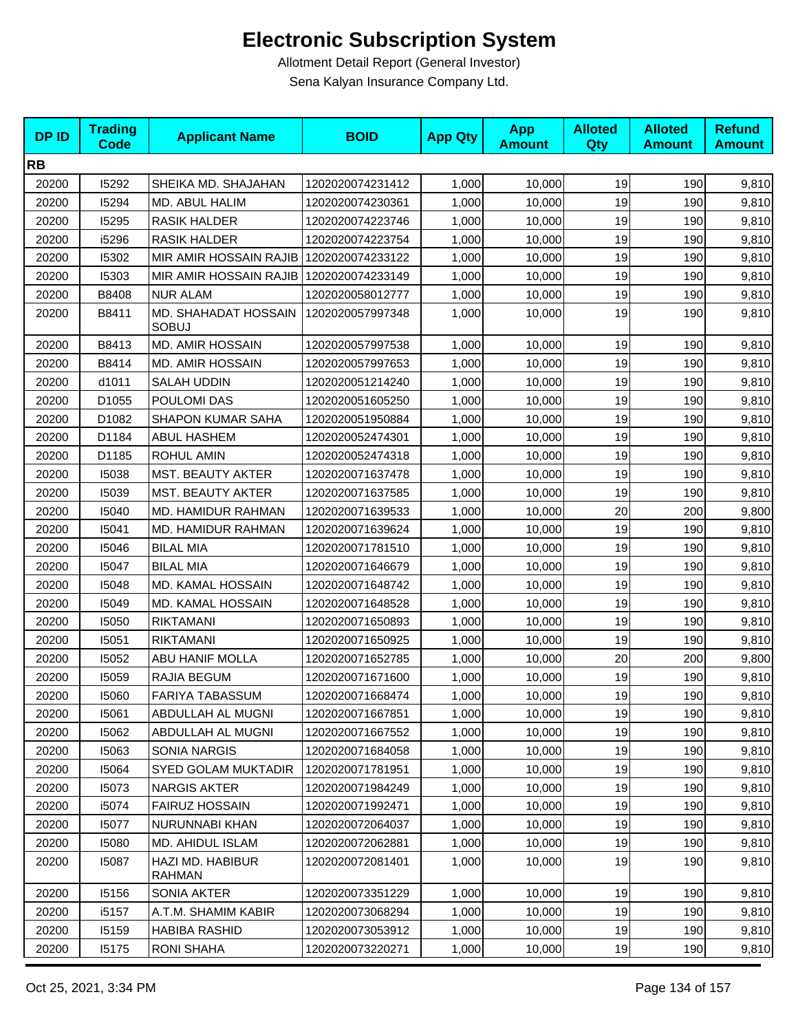| <b>DPID</b> | <b>Trading</b><br><b>Code</b> | <b>Applicant Name</b>                   | <b>BOID</b>      | <b>App Qty</b> | <b>App</b><br><b>Amount</b> | <b>Alloted</b><br>Qty | <b>Alloted</b><br><b>Amount</b> | <b>Refund</b><br><b>Amount</b> |
|-------------|-------------------------------|-----------------------------------------|------------------|----------------|-----------------------------|-----------------------|---------------------------------|--------------------------------|
| <b>RB</b>   |                               |                                         |                  |                |                             |                       |                                 |                                |
| 20200       | 15292                         | SHEIKA MD. SHAJAHAN                     | 1202020074231412 | 1,000          | 10,000                      | 19                    | 190                             | 9,810                          |
| 20200       | 15294                         | MD. ABUL HALIM                          | 1202020074230361 | 1,000          | 10,000                      | 19                    | 190                             | 9,810                          |
| 20200       | 15295                         | <b>RASIK HALDER</b>                     | 1202020074223746 | 1,000          | 10,000                      | 19                    | 190                             | 9,810                          |
| 20200       | i5296                         | <b>RASIK HALDER</b>                     | 1202020074223754 | 1,000          | 10,000                      | 19                    | 190                             | 9,810                          |
| 20200       | 15302                         | MIR AMIR HOSSAIN RAJIB                  | 1202020074233122 | 1,000          | 10,000                      | 19                    | 190                             | 9,810                          |
| 20200       | 15303                         | MIR AMIR HOSSAIN RAJIB 1202020074233149 |                  | 1,000          | 10,000                      | 19                    | 190                             | 9,810                          |
| 20200       | B8408                         | <b>NUR ALAM</b>                         | 1202020058012777 | 1,000          | 10,000                      | 19                    | 190                             | 9,810                          |
| 20200       | B8411                         | MD. SHAHADAT HOSSAIN<br><b>SOBUJ</b>    | 1202020057997348 | 1,000          | 10,000                      | 19                    | 190                             | 9,810                          |
| 20200       | B8413                         | <b>MD. AMIR HOSSAIN</b>                 | 1202020057997538 | 1,000          | 10,000                      | 19                    | 190                             | 9,810                          |
| 20200       | B8414                         | <b>MD. AMIR HOSSAIN</b>                 | 1202020057997653 | 1,000          | 10,000                      | 19                    | 190                             | 9,810                          |
| 20200       | d1011                         | <b>SALAH UDDIN</b>                      | 1202020051214240 | 1,000          | 10,000                      | 19                    | 190                             | 9,810                          |
| 20200       | D1055                         | POULOMI DAS                             | 1202020051605250 | 1,000          | 10,000                      | 19                    | 190                             | 9,810                          |
| 20200       | D1082                         | <b>SHAPON KUMAR SAHA</b>                | 1202020051950884 | 1,000          | 10,000                      | 19                    | 190                             | 9,810                          |
| 20200       | D1184                         | <b>ABUL HASHEM</b>                      | 1202020052474301 | 1,000          | 10,000                      | 19                    | 190                             | 9,810                          |
| 20200       | D1185                         | <b>ROHUL AMIN</b>                       | 1202020052474318 | 1,000          | 10,000                      | 19                    | 190                             | 9,810                          |
| 20200       | 15038                         | MST. BEAUTY AKTER                       | 1202020071637478 | 1,000          | 10,000                      | 19                    | 190                             | 9,810                          |
| 20200       | 15039                         | MST. BEAUTY AKTER                       | 1202020071637585 | 1,000          | 10,000                      | 19                    | 190                             | 9,810                          |
| 20200       | 15040                         | MD. HAMIDUR RAHMAN                      | 1202020071639533 | 1,000          | 10,000                      | 20                    | 200                             | 9,800                          |
| 20200       | 15041                         | MD. HAMIDUR RAHMAN                      | 1202020071639624 | 1,000          | 10,000                      | 19                    | 190                             | 9,810                          |
| 20200       | 15046                         | <b>BILAL MIA</b>                        | 1202020071781510 | 1,000          | 10,000                      | 19                    | 190                             | 9,810                          |
| 20200       | 15047                         | <b>BILAL MIA</b>                        | 1202020071646679 | 1,000          | 10,000                      | 19                    | 190                             | 9,810                          |
| 20200       | 15048                         | MD. KAMAL HOSSAIN                       | 1202020071648742 | 1,000          | 10,000                      | 19                    | 190                             | 9,810                          |
| 20200       | 15049                         | MD. KAMAL HOSSAIN                       | 1202020071648528 | 1,000          | 10,000                      | 19                    | 190                             | 9,810                          |
| 20200       | 15050                         | <b>RIKTAMANI</b>                        | 1202020071650893 | 1,000          | 10,000                      | 19                    | 190                             | 9,810                          |
| 20200       | 15051                         | <b>RIKTAMANI</b>                        | 1202020071650925 | 1,000          | 10,000                      | 19                    | 190                             | 9,810                          |
| 20200       | 15052                         | <b>ABU HANIF MOLLA</b>                  | 1202020071652785 | 1,000          | 10,000                      | 20                    | 200                             | 9,800                          |
| 20200       | 15059                         | RAJIA BEGUM                             | 1202020071671600 | 1,000          | 10,000                      | 19                    | 190                             | 9,810                          |
| 20200       | 15060                         | <b>FARIYA TABASSUM</b>                  | 1202020071668474 | 1,000          | 10,000                      | 19                    | 190                             | 9,810                          |
| 20200       | 15061                         | ABDULLAH AL MUGNI                       | 1202020071667851 | 1,000          | 10,000                      | 19                    | 190                             | 9,810                          |
| 20200       | 15062                         | ABDULLAH AL MUGNI                       | 1202020071667552 | 1,000          | 10,000                      | 19                    | 190                             | 9,810                          |
| 20200       | 15063                         | SONIA NARGIS                            | 1202020071684058 | 1,000          | 10,000                      | 19                    | 190                             | 9,810                          |
| 20200       | 15064                         | <b>SYED GOLAM MUKTADIR</b>              | 1202020071781951 | 1,000          | 10,000                      | 19                    | 190                             | 9,810                          |
| 20200       | 15073                         | <b>NARGIS AKTER</b>                     | 1202020071984249 | 1,000          | 10,000                      | 19                    | 190                             | 9,810                          |
| 20200       | i5074                         | <b>FAIRUZ HOSSAIN</b>                   | 1202020071992471 | 1,000          | 10,000                      | 19                    | 190                             | 9,810                          |
| 20200       | 15077                         | NURUNNABI KHAN                          | 1202020072064037 | 1,000          | 10,000                      | 19                    | 190                             | 9,810                          |
| 20200       | 15080                         | MD. AHIDUL ISLAM                        | 1202020072062881 | 1,000          | 10,000                      | 19                    | 190                             | 9,810                          |
| 20200       | 15087                         | HAZI MD. HABIBUR<br><b>RAHMAN</b>       | 1202020072081401 | 1,000          | 10,000                      | 19                    | 190                             | 9,810                          |
| 20200       | 15156                         | SONIA AKTER                             | 1202020073351229 | 1,000          | 10,000                      | 19                    | 190                             | 9,810                          |
| 20200       | i5157                         | A.T.M. SHAMIM KABIR                     | 1202020073068294 | 1,000          | 10,000                      | 19                    | 190                             | 9,810                          |
| 20200       | 15159                         | <b>HABIBA RASHID</b>                    | 1202020073053912 | 1,000          | 10,000                      | 19                    | 190                             | 9,810                          |
| 20200       | 15175                         | <b>RONI SHAHA</b>                       | 1202020073220271 | 1,000          | 10,000                      | 19                    | 190                             | 9,810                          |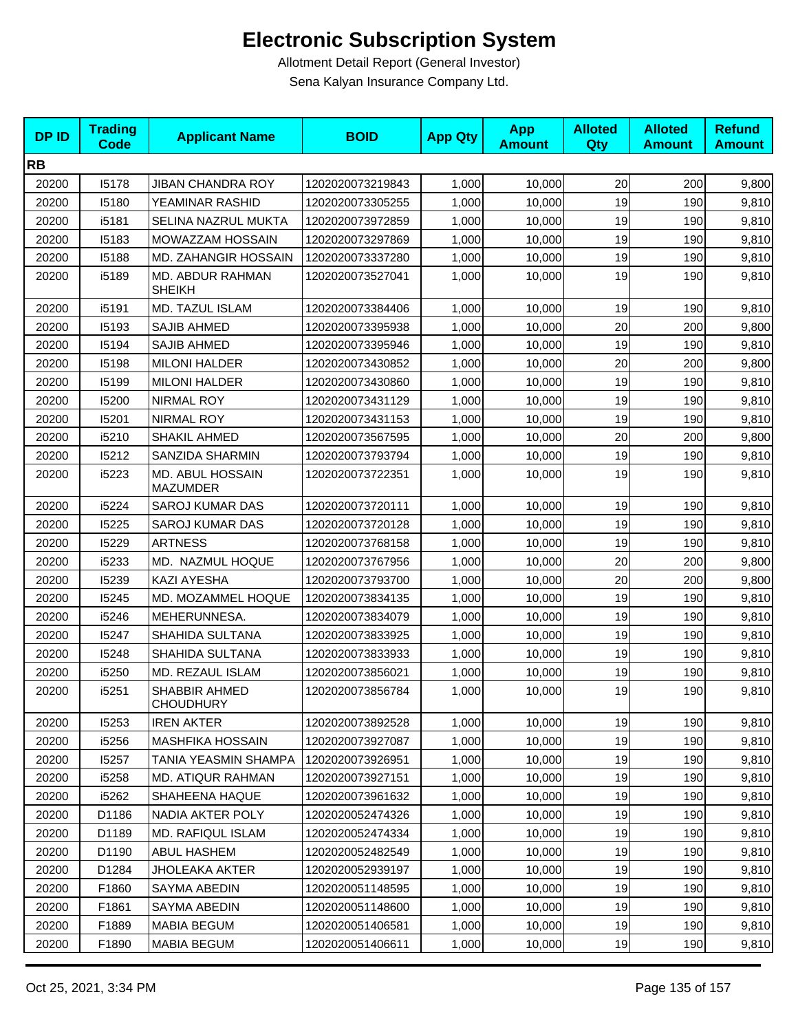| <b>DPID</b> | <b>Trading</b><br><b>Code</b> | <b>Applicant Name</b>                      | <b>BOID</b>      | <b>App Qty</b> | <b>App</b><br><b>Amount</b> | <b>Alloted</b><br>Qty | <b>Alloted</b><br><b>Amount</b> | <b>Refund</b><br><b>Amount</b> |
|-------------|-------------------------------|--------------------------------------------|------------------|----------------|-----------------------------|-----------------------|---------------------------------|--------------------------------|
| <b>RB</b>   |                               |                                            |                  |                |                             |                       |                                 |                                |
| 20200       | 15178                         | <b>JIBAN CHANDRA ROY</b>                   | 1202020073219843 | 1,000          | 10,000                      | 20                    | 200                             | 9,800                          |
| 20200       | 15180                         | YEAMINAR RASHID                            | 1202020073305255 | 1,000          | 10,000                      | 19                    | 190                             | 9,810                          |
| 20200       | i5181                         | SELINA NAZRUL MUKTA                        | 1202020073972859 | 1,000          | 10,000                      | 19                    | 190                             | 9,810                          |
| 20200       | 15183                         | MOWAZZAM HOSSAIN                           | 1202020073297869 | 1,000          | 10,000                      | 19                    | 190                             | 9,810                          |
| 20200       | 15188                         | MD. ZAHANGIR HOSSAIN                       | 1202020073337280 | 1,000          | 10,000                      | 19                    | 190                             | 9,810                          |
| 20200       | i5189                         | MD. ABDUR RAHMAN<br><b>SHEIKH</b>          | 1202020073527041 | 1,000          | 10,000                      | 19                    | 190                             | 9,810                          |
| 20200       | i5191                         | MD. TAZUL ISLAM                            | 1202020073384406 | 1,000          | 10,000                      | 19                    | 190                             | 9,810                          |
| 20200       | 15193                         | <b>SAJIB AHMED</b>                         | 1202020073395938 | 1,000          | 10,000                      | 20                    | 200                             | 9,800                          |
| 20200       | 15194                         | <b>SAJIB AHMED</b>                         | 1202020073395946 | 1,000          | 10,000                      | 19                    | 190                             | 9,810                          |
| 20200       | 15198                         | <b>MILONI HALDER</b>                       | 1202020073430852 | 1,000          | 10,000                      | 20                    | 200                             | 9,800                          |
| 20200       | 15199                         | <b>MILONI HALDER</b>                       | 1202020073430860 | 1,000          | 10,000                      | 19                    | 190                             | 9,810                          |
| 20200       | 15200                         | NIRMAL ROY                                 | 1202020073431129 | 1,000          | 10,000                      | 19                    | 190                             | 9,810                          |
| 20200       | 15201                         | NIRMAL ROY                                 | 1202020073431153 | 1,000          | 10,000                      | 19                    | 190                             | 9,810                          |
| 20200       | i5210                         | SHAKIL AHMED                               | 1202020073567595 | 1,000          | 10,000                      | 20                    | 200                             | 9,800                          |
| 20200       | 15212                         | SANZIDA SHARMIN                            | 1202020073793794 | 1,000          | 10,000                      | 19                    | 190                             | 9,810                          |
| 20200       | i5223                         | <b>MD. ABUL HOSSAIN</b><br><b>MAZUMDER</b> | 1202020073722351 | 1,000          | 10,000                      | 19                    | 190                             | 9,810                          |
| 20200       | i5224                         | <b>SAROJ KUMAR DAS</b>                     | 1202020073720111 | 1,000          | 10,000                      | 19                    | 190                             | 9,810                          |
| 20200       | 15225                         | <b>SAROJ KUMAR DAS</b>                     | 1202020073720128 | 1,000          | 10,000                      | 19                    | 190                             | 9,810                          |
| 20200       | 15229                         | <b>ARTNESS</b>                             | 1202020073768158 | 1,000          | 10,000                      | 19                    | 190                             | 9,810                          |
| 20200       | i5233                         | MD. NAZMUL HOQUE                           | 1202020073767956 | 1,000          | 10,000                      | 20                    | 200                             | 9,800                          |
| 20200       | 15239                         | <b>KAZI AYESHA</b>                         | 1202020073793700 | 1,000          | 10,000                      | 20                    | 200                             | 9,800                          |
| 20200       | 15245                         | MD. MOZAMMEL HOQUE                         | 1202020073834135 | 1,000          | 10,000                      | 19                    | 190                             | 9,810                          |
| 20200       | i5246                         | MEHERUNNESA.                               | 1202020073834079 | 1,000          | 10,000                      | 19                    | 190                             | 9,810                          |
| 20200       | 15247                         | SHAHIDA SULTANA                            | 1202020073833925 | 1,000          | 10,000                      | 19                    | 190                             | 9,810                          |
| 20200       | 15248                         | SHAHIDA SULTANA                            | 1202020073833933 | 1,000          | 10,000                      | 19                    | 190                             | 9,810                          |
| 20200       | i5250                         | MD. REZAUL ISLAM                           | 1202020073856021 | 1,000          | 10,000                      | 19                    | 190                             | 9,810                          |
| 20200       | i5251                         | SHABBIR AHMED<br><b>CHOUDHURY</b>          | 1202020073856784 | 1,000          | 10,000                      | 19                    | 190                             | 9,810                          |
| 20200       | 15253                         | <b>IREN AKTER</b>                          | 1202020073892528 | 1,000          | 10,000                      | 19                    | 190                             | 9,810                          |
| 20200       | i5256                         | <b>MASHFIKA HOSSAIN</b>                    | 1202020073927087 | 1,000          | 10,000                      | 19                    | 190                             | 9,810                          |
| 20200       | 15257                         | TANIA YEASMIN SHAMPA                       | 1202020073926951 | 1,000          | 10,000                      | 19                    | 190                             | 9,810                          |
| 20200       | i5258                         | <b>MD. ATIQUR RAHMAN</b>                   | 1202020073927151 | 1,000          | 10,000                      | 19                    | 190                             | 9,810                          |
| 20200       | i5262                         | SHAHEENA HAQUE                             | 1202020073961632 | 1,000          | 10,000                      | 19                    | 190                             | 9,810                          |
| 20200       | D1186                         | NADIA AKTER POLY                           | 1202020052474326 | 1,000          | 10,000                      | 19                    | 190                             | 9,810                          |
| 20200       | D1189                         | <b>MD. RAFIQUL ISLAM</b>                   | 1202020052474334 | 1,000          | 10,000                      | 19                    | 190                             | 9,810                          |
| 20200       | D1190                         | ABUL HASHEM                                | 1202020052482549 | 1,000          | 10,000                      | 19                    | 190                             | 9,810                          |
| 20200       | D1284                         | JHOLEAKA AKTER                             | 1202020052939197 | 1,000          | 10,000                      | 19                    | 190                             | 9,810                          |
| 20200       | F1860                         | SAYMA ABEDIN                               | 1202020051148595 | 1,000          | 10,000                      | 19                    | 190                             | 9,810                          |
| 20200       | F1861                         | SAYMA ABEDIN                               | 1202020051148600 | 1,000          | 10,000                      | 19                    | 190                             | 9,810                          |
| 20200       | F1889                         | <b>MABIA BEGUM</b>                         | 1202020051406581 | 1,000          | 10,000                      | 19                    | 190                             | 9,810                          |
| 20200       | F1890                         | MABIA BEGUM                                | 1202020051406611 | 1,000          | 10,000                      | 19                    | 190                             | 9,810                          |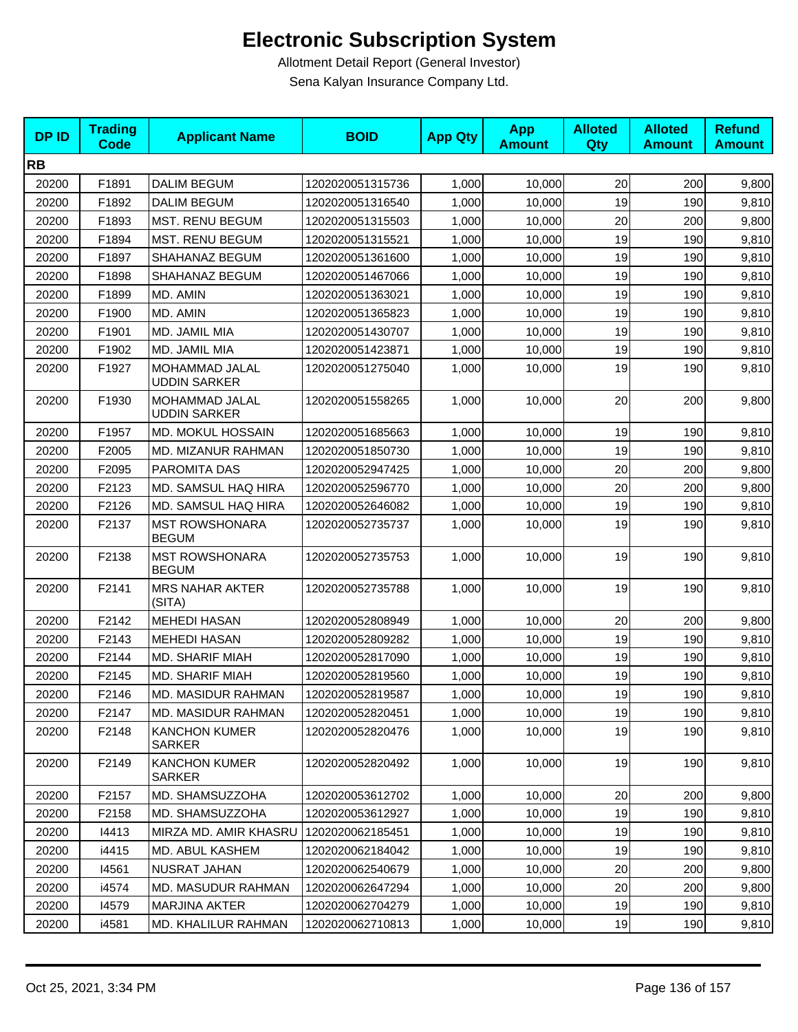| <b>DPID</b> | <b>Trading</b><br><b>Code</b> | <b>Applicant Name</b>                 | <b>BOID</b>      | <b>App Qty</b> | <b>App</b><br><b>Amount</b> | <b>Alloted</b><br><b>Qty</b> | <b>Alloted</b><br><b>Amount</b> | <b>Refund</b><br><b>Amount</b> |
|-------------|-------------------------------|---------------------------------------|------------------|----------------|-----------------------------|------------------------------|---------------------------------|--------------------------------|
| <b>RB</b>   |                               |                                       |                  |                |                             |                              |                                 |                                |
| 20200       | F1891                         | <b>DALIM BEGUM</b>                    | 1202020051315736 | 1,000          | 10,000                      | 20                           | 200                             | 9,800                          |
| 20200       | F1892                         | <b>DALIM BEGUM</b>                    | 1202020051316540 | 1,000          | 10,000                      | 19                           | 190                             | 9,810                          |
| 20200       | F1893                         | <b>MST. RENU BEGUM</b>                | 1202020051315503 | 1,000          | 10,000                      | 20                           | 200                             | 9,800                          |
| 20200       | F1894                         | MST. RENU BEGUM                       | 1202020051315521 | 1,000          | 10,000                      | 19                           | 190                             | 9,810                          |
| 20200       | F1897                         | SHAHANAZ BEGUM                        | 1202020051361600 | 1,000          | 10,000                      | 19                           | 190                             | 9,810                          |
| 20200       | F1898                         | SHAHANAZ BEGUM                        | 1202020051467066 | 1,000          | 10,000                      | 19                           | 190                             | 9,810                          |
| 20200       | F1899                         | MD. AMIN                              | 1202020051363021 | 1,000          | 10,000                      | 19                           | 190                             | 9,810                          |
| 20200       | F1900                         | MD. AMIN                              | 1202020051365823 | 1,000          | 10,000                      | 19                           | 190                             | 9,810                          |
| 20200       | F1901                         | MD. JAMIL MIA                         | 1202020051430707 | 1,000          | 10,000                      | 19                           | 190                             | 9,810                          |
| 20200       | F1902                         | MD. JAMIL MIA                         | 1202020051423871 | 1,000          | 10,000                      | 19                           | 190                             | 9,810                          |
| 20200       | F1927                         | MOHAMMAD JALAL<br><b>UDDIN SARKER</b> | 1202020051275040 | 1,000          | 10,000                      | 19                           | 190                             | 9,810                          |
| 20200       | F1930                         | MOHAMMAD JALAL<br><b>UDDIN SARKER</b> | 1202020051558265 | 1,000          | 10,000                      | 20                           | 200                             | 9,800                          |
| 20200       | F1957                         | <b>MD. MOKUL HOSSAIN</b>              | 1202020051685663 | 1,000          | 10,000                      | 19                           | 190                             | 9,810                          |
| 20200       | F2005                         | MD. MIZANUR RAHMAN                    | 1202020051850730 | 1,000          | 10,000                      | 19                           | 190                             | 9,810                          |
| 20200       | F2095                         | PAROMITA DAS                          | 1202020052947425 | 1,000          | 10,000                      | 20                           | 200                             | 9,800                          |
| 20200       | F2123                         | MD. SAMSUL HAQ HIRA                   | 1202020052596770 | 1,000          | 10.000                      | 20                           | 200                             | 9,800                          |
| 20200       | F2126                         | MD. SAMSUL HAQ HIRA                   | 1202020052646082 | 1,000          | 10,000                      | 19                           | 190                             | 9,810                          |
| 20200       | F2137                         | <b>MST ROWSHONARA</b><br><b>BEGUM</b> | 1202020052735737 | 1,000          | 10,000                      | 19                           | 190                             | 9,810                          |
| 20200       | F2138                         | <b>MST ROWSHONARA</b><br><b>BEGUM</b> | 1202020052735753 | 1,000          | 10,000                      | 19                           | 190                             | 9,810                          |
| 20200       | F2141                         | <b>MRS NAHAR AKTER</b><br>(SITA)      | 1202020052735788 | 1,000          | 10,000                      | 19                           | 190                             | 9,810                          |
| 20200       | F2142                         | <b>MEHEDI HASAN</b>                   | 1202020052808949 | 1,000          | 10,000                      | 20                           | 200                             | 9,800                          |
| 20200       | F2143                         | <b>MEHEDI HASAN</b>                   | 1202020052809282 | 1,000          | 10,000                      | 19                           | 190                             | 9,810                          |
| 20200       | F2144                         | <b>MD. SHARIF MIAH</b>                | 1202020052817090 | 1,000          | 10,000                      | 19                           | 190                             | 9,810                          |
| 20200       | F2145                         | <b>MD. SHARIF MIAH</b>                | 1202020052819560 | 1,000          | 10,000                      | 19                           | 190                             | 9,810                          |
| 20200       | F2146                         | MD. MASIDUR RAHMAN                    | 1202020052819587 | 1,000          | 10,000                      | 19                           | 190                             | 9,810                          |
| 20200       | F2147                         | MD. MASIDUR RAHMAN                    | 1202020052820451 | 1,000          | 10,000                      | 19                           | 190                             | 9,810                          |
| 20200       | F2148                         | <b>KANCHON KUMER</b><br><b>SARKER</b> | 1202020052820476 | 1,000          | 10,000                      | 19                           | 190                             | 9,810                          |
| 20200       | F2149                         | <b>KANCHON KUMER</b><br><b>SARKER</b> | 1202020052820492 | 1,000          | 10,000                      | 19                           | 190                             | 9,810                          |
| 20200       | F2157                         | MD. SHAMSUZZOHA                       | 1202020053612702 | 1,000          | 10,000                      | 20                           | 200                             | 9,800                          |
| 20200       | F2158                         | MD. SHAMSUZZOHA                       | 1202020053612927 | 1,000          | 10,000                      | 19                           | 190                             | 9,810                          |
| 20200       | 14413                         | MIRZA MD. AMIR KHASRU                 | 1202020062185451 | 1,000          | 10,000                      | 19                           | 190                             | 9,810                          |
| 20200       | i4415                         | MD. ABUL KASHEM                       | 1202020062184042 | 1,000          | 10,000                      | 19                           | 190                             | 9,810                          |
| 20200       | 14561                         | NUSRAT JAHAN                          | 1202020062540679 | 1,000          | 10,000                      | 20                           | 200                             | 9,800                          |
| 20200       | i4574                         | MD. MASUDUR RAHMAN                    | 1202020062647294 | 1,000          | 10,000                      | 20                           | 200                             | 9,800                          |
| 20200       | 14579                         | MARJINA AKTER                         | 1202020062704279 | 1,000          | 10,000                      | 19                           | 190                             | 9,810                          |
| 20200       | i4581                         | MD. KHALILUR RAHMAN                   | 1202020062710813 | 1,000          | 10,000                      | 19                           | 190                             | 9,810                          |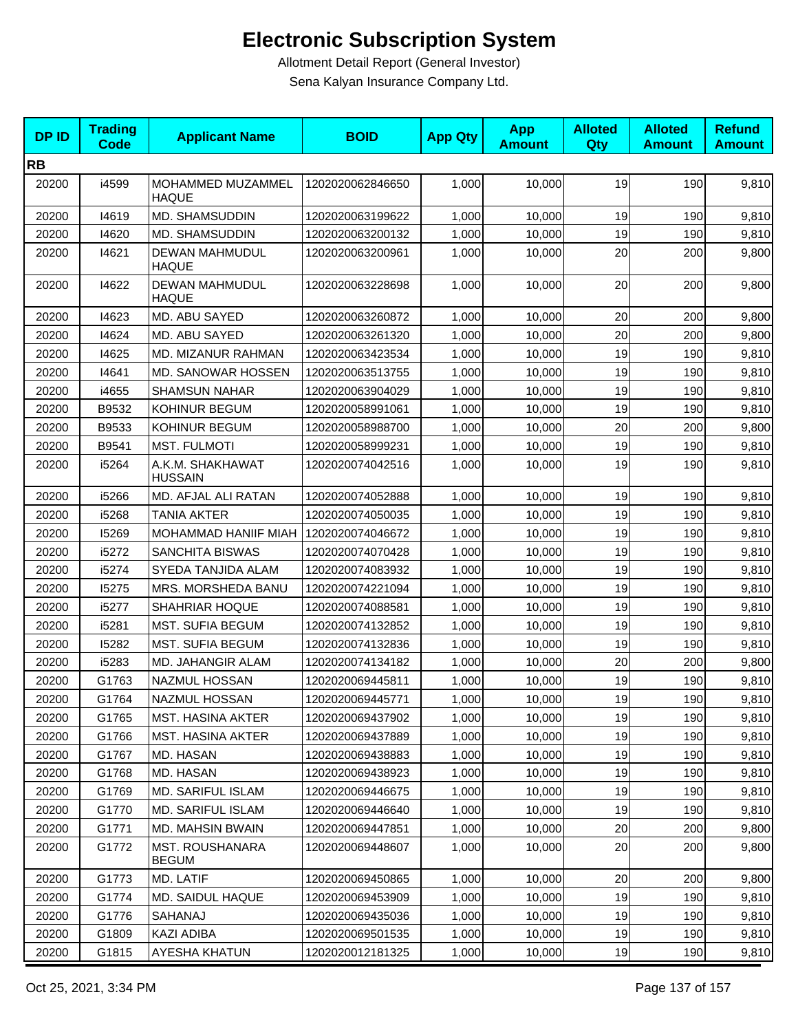| <b>DPID</b> | <b>Trading</b><br><b>Code</b> | <b>Applicant Name</b>                  | <b>BOID</b>      | <b>App Qty</b> | <b>App</b><br><b>Amount</b> | <b>Alloted</b><br><b>Qty</b> | <b>Alloted</b><br><b>Amount</b> | <b>Refund</b><br><b>Amount</b> |
|-------------|-------------------------------|----------------------------------------|------------------|----------------|-----------------------------|------------------------------|---------------------------------|--------------------------------|
| <b>RB</b>   |                               |                                        |                  |                |                             |                              |                                 |                                |
| 20200       | i4599                         | MOHAMMED MUZAMMEL<br><b>HAQUE</b>      | 1202020062846650 | 1,000          | 10,000                      | 19                           | 190                             | 9,810                          |
| 20200       | 14619                         | MD. SHAMSUDDIN                         | 1202020063199622 | 1,000          | 10,000                      | 19                           | 190                             | 9,810                          |
| 20200       | 14620                         | MD. SHAMSUDDIN                         | 1202020063200132 | 1,000          | 10,000                      | 19                           | 190                             | 9,810                          |
| 20200       | 14621                         | <b>DEWAN MAHMUDUL</b><br><b>HAQUE</b>  | 1202020063200961 | 1,000          | 10,000                      | 20                           | 200                             | 9,800                          |
| 20200       | 14622                         | <b>DEWAN MAHMUDUL</b><br>HAQUE         | 1202020063228698 | 1,000          | 10,000                      | 20                           | 200                             | 9,800                          |
| 20200       | 14623                         | MD. ABU SAYED                          | 1202020063260872 | 1,000          | 10,000                      | 20                           | 200                             | 9,800                          |
| 20200       | 14624                         | MD. ABU SAYED                          | 1202020063261320 | 1,000          | 10,000                      | 20                           | 200                             | 9,800                          |
| 20200       | 14625                         | MD. MIZANUR RAHMAN                     | 1202020063423534 | 1,000          | 10,000                      | 19                           | 190                             | 9,810                          |
| 20200       | 14641                         | <b>MD. SANOWAR HOSSEN</b>              | 1202020063513755 | 1,000          | 10,000                      | 19                           | 190                             | 9,810                          |
| 20200       | i4655                         | <b>SHAMSUN NAHAR</b>                   | 1202020063904029 | 1,000          | 10,000                      | 19                           | 190                             | 9,810                          |
| 20200       | B9532                         | KOHINUR BEGUM                          | 1202020058991061 | 1,000          | 10,000                      | 19                           | 190                             | 9,810                          |
| 20200       | B9533                         | KOHINUR BEGUM                          | 1202020058988700 | 1,000          | 10,000                      | 20                           | 200                             | 9,800                          |
| 20200       | B9541                         | <b>MST. FULMOTI</b>                    | 1202020058999231 | 1,000          | 10,000                      | 19                           | 190                             | 9,810                          |
| 20200       | i5264                         | A.K.M. SHAKHAWAT<br><b>HUSSAIN</b>     | 1202020074042516 | 1,000          | 10,000                      | 19                           | 190                             | 9,810                          |
| 20200       | i5266                         | MD. AFJAL ALI RATAN                    | 1202020074052888 | 1,000          | 10,000                      | 19                           | 190                             | 9,810                          |
| 20200       | i5268                         | <b>TANIA AKTER</b>                     | 1202020074050035 | 1,000          | 10,000                      | 19                           | 190                             | 9,810                          |
| 20200       | 15269                         | MOHAMMAD HANIIF MIAH                   | 1202020074046672 | 1,000          | 10,000                      | 19                           | 190                             | 9,810                          |
| 20200       | i5272                         | SANCHITA BISWAS                        | 1202020074070428 | 1,000          | 10,000                      | 19                           | 190                             | 9,810                          |
| 20200       | i5274                         | SYEDA TANJIDA ALAM                     | 1202020074083932 | 1,000          | 10,000                      | 19                           | 190                             | 9,810                          |
| 20200       | 15275                         | MRS. MORSHEDA BANU                     | 1202020074221094 | 1,000          | 10,000                      | 19                           | 190                             | 9,810                          |
| 20200       | i5277                         | <b>SHAHRIAR HOQUE</b>                  | 1202020074088581 | 1,000          | 10,000                      | 19                           | 190                             | 9,810                          |
| 20200       | i5281                         | <b>MST. SUFIA BEGUM</b>                | 1202020074132852 | 1,000          | 10,000                      | 19                           | 190                             | 9,810                          |
| 20200       | 15282                         | <b>MST. SUFIA BEGUM</b>                | 1202020074132836 | 1,000          | 10,000                      | 19                           | 190                             | 9,810                          |
| 20200       | i5283                         | MD. JAHANGIR ALAM                      | 1202020074134182 | 1,000          | 10,000                      | 20                           | 200                             | 9,800                          |
| 20200       | G1763                         | <b>NAZMUL HOSSAN</b>                   | 1202020069445811 | 1,000          | 10,000                      | 19                           | 190                             | 9,810                          |
| 20200       | G1764                         | NAZMUL HOSSAN                          | 1202020069445771 | 1,000          | 10,000                      | 19                           | 190                             | 9,810                          |
| 20200       | G1765                         | <b>MST. HASINA AKTER</b>               | 1202020069437902 | 1,000          | 10,000                      | 19                           | 190                             | 9,810                          |
| 20200       | G1766                         | <b>MST. HASINA AKTER</b>               | 1202020069437889 | 1,000          | 10,000                      | 19                           | 190                             | 9,810                          |
| 20200       | G1767                         | MD. HASAN                              | 1202020069438883 | 1,000          | 10,000                      | 19                           | 190                             | 9,810                          |
| 20200       | G1768                         | MD. HASAN                              | 1202020069438923 | 1,000          | 10,000                      | 19                           | 190                             | 9,810                          |
| 20200       | G1769                         | MD. SARIFUL ISLAM                      | 1202020069446675 | 1,000          | 10,000                      | 19                           | 190                             | 9,810                          |
| 20200       | G1770                         | MD. SARIFUL ISLAM                      | 1202020069446640 | 1,000          | 10,000                      | 19                           | 190                             | 9,810                          |
| 20200       | G1771                         | <b>MD. MAHSIN BWAIN</b>                | 1202020069447851 | 1,000          | 10,000                      | 20                           | 200                             | 9,800                          |
| 20200       | G1772                         | <b>MST. ROUSHANARA</b><br><b>BEGUM</b> | 1202020069448607 | 1,000          | 10,000                      | 20                           | 200                             | 9,800                          |
| 20200       | G1773                         | MD. LATIF                              | 1202020069450865 | 1,000          | 10,000                      | 20                           | 200                             | 9,800                          |
| 20200       | G1774                         | MD. SAIDUL HAQUE                       | 1202020069453909 | 1,000          | 10,000                      | 19                           | 190                             | 9,810                          |
| 20200       | G1776                         | SAHANAJ                                | 1202020069435036 | 1,000          | 10,000                      | 19                           | 190                             | 9,810                          |
| 20200       | G1809                         | KAZI ADIBA                             | 1202020069501535 | 1,000          | 10,000                      | 19                           | 190                             | 9,810                          |
| 20200       | G1815                         | AYESHA KHATUN                          | 1202020012181325 | 1,000          | 10,000                      | 19                           | 190                             | 9,810                          |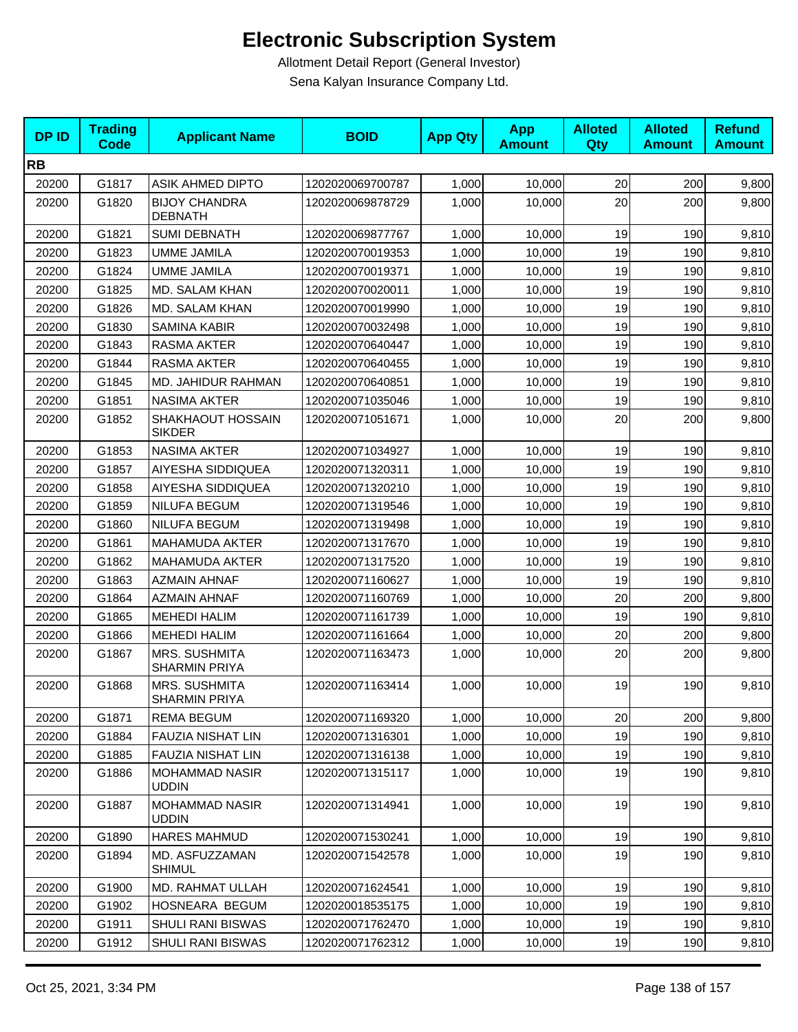| <b>DPID</b> | <b>Trading</b><br><b>Code</b> | <b>Applicant Name</b>                  | <b>BOID</b>      | <b>App Qty</b> | <b>App</b><br><b>Amount</b> | <b>Alloted</b><br>Qty | <b>Alloted</b><br><b>Amount</b> | <b>Refund</b><br><b>Amount</b> |
|-------------|-------------------------------|----------------------------------------|------------------|----------------|-----------------------------|-----------------------|---------------------------------|--------------------------------|
| <b>RB</b>   |                               |                                        |                  |                |                             |                       |                                 |                                |
| 20200       | G1817                         | <b>ASIK AHMED DIPTO</b>                | 1202020069700787 | 1,000          | 10,000                      | 20                    | 200                             | 9,800                          |
| 20200       | G1820                         | <b>BIJOY CHANDRA</b><br><b>DEBNATH</b> | 1202020069878729 | 1,000          | 10,000                      | 20                    | 200                             | 9,800                          |
| 20200       | G1821                         | <b>SUMI DEBNATH</b>                    | 1202020069877767 | 1,000          | 10,000                      | 19                    | 190                             | 9,810                          |
| 20200       | G1823                         | <b>UMME JAMILA</b>                     | 1202020070019353 | 1,000          | 10,000                      | 19                    | 190                             | 9,810                          |
| 20200       | G1824                         | <b>UMME JAMILA</b>                     | 1202020070019371 | 1,000          | 10,000                      | 19                    | 190                             | 9,810                          |
| 20200       | G1825                         | MD. SALAM KHAN                         | 1202020070020011 | 1,000          | 10,000                      | 19                    | 190                             | 9,810                          |
| 20200       | G1826                         | MD. SALAM KHAN                         | 1202020070019990 | 1,000          | 10,000                      | 19                    | 190                             | 9,810                          |
| 20200       | G1830                         | <b>SAMINA KABIR</b>                    | 1202020070032498 | 1,000          | 10,000                      | 19                    | 190                             | 9,810                          |
| 20200       | G1843                         | RASMA AKTER                            | 1202020070640447 | 1,000          | 10,000                      | 19                    | 190                             | 9,810                          |
| 20200       | G1844                         | RASMA AKTER                            | 1202020070640455 | 1,000          | 10,000                      | 19                    | 190                             | 9,810                          |
| 20200       | G1845                         | MD. JAHIDUR RAHMAN                     | 1202020070640851 | 1,000          | 10,000                      | 19                    | 190                             | 9,810                          |
| 20200       | G1851                         | NASIMA AKTER                           | 1202020071035046 | 1,000          | 10,000                      | 19                    | 190                             | 9,810                          |
| 20200       | G1852                         | SHAKHAOUT HOSSAIN<br><b>SIKDER</b>     | 1202020071051671 | 1,000          | 10,000                      | 20                    | 200                             | 9,800                          |
| 20200       | G1853                         | <b>NASIMA AKTER</b>                    | 1202020071034927 | 1,000          | 10,000                      | 19                    | 190                             | 9,810                          |
| 20200       | G1857                         | AIYESHA SIDDIQUEA                      | 1202020071320311 | 1,000          | 10,000                      | 19                    | 190                             | 9,810                          |
| 20200       | G1858                         | AIYESHA SIDDIQUEA                      | 1202020071320210 | 1,000          | 10,000                      | 19                    | 190                             | 9,810                          |
| 20200       | G1859                         | NILUFA BEGUM                           | 1202020071319546 | 1,000          | 10,000                      | 19                    | 190                             | 9,810                          |
| 20200       | G1860                         | NILUFA BEGUM                           | 1202020071319498 | 1,000          | 10,000                      | 19                    | 190                             | 9,810                          |
| 20200       | G1861                         | <b>MAHAMUDA AKTER</b>                  | 1202020071317670 | 1,000          | 10,000                      | 19                    | 190                             | 9,810                          |
| 20200       | G1862                         | <b>MAHAMUDA AKTER</b>                  | 1202020071317520 | 1,000          | 10,000                      | 19                    | 190                             | 9,810                          |
| 20200       | G1863                         | <b>AZMAIN AHNAF</b>                    | 1202020071160627 | 1,000          | 10,000                      | 19                    | 190                             | 9,810                          |
| 20200       | G1864                         | <b>AZMAIN AHNAF</b>                    | 1202020071160769 | 1,000          | 10,000                      | 20                    | 200                             | 9,800                          |
| 20200       | G1865                         | <b>MEHEDI HALIM</b>                    | 1202020071161739 | 1,000          | 10,000                      | 19                    | 190                             | 9,810                          |
| 20200       | G1866                         | <b>MEHEDI HALIM</b>                    | 1202020071161664 | 1,000          | 10,000                      | 20                    | 200                             | 9,800                          |
| 20200       | G1867                         | MRS. SUSHMITA<br><b>SHARMIN PRIYA</b>  | 1202020071163473 | 1,000          | 10,000                      | 20                    | 200                             | 9,800                          |
| 20200       | G1868                         | MRS. SUSHMITA<br>SHARMIN PRIYA         | 1202020071163414 | 1,000          | 10,000                      | 19                    | 190                             | 9,810                          |
| 20200       | G1871                         | <b>REMA BEGUM</b>                      | 1202020071169320 | 1,000          | 10,000                      | 20                    | 200                             | 9,800                          |
| 20200       | G1884                         | FAUZIA NISHAT LIN                      | 1202020071316301 | 1,000          | 10,000                      | 19                    | 190                             | 9,810                          |
| 20200       | G1885                         | FAUZIA NISHAT LIN                      | 1202020071316138 | 1,000          | 10,000                      | 19                    | 190                             | 9,810                          |
| 20200       | G1886                         | <b>MOHAMMAD NASIR</b><br><b>UDDIN</b>  | 1202020071315117 | 1,000          | 10,000                      | 19                    | 190                             | 9,810                          |
| 20200       | G1887                         | <b>MOHAMMAD NASIR</b><br><b>UDDIN</b>  | 1202020071314941 | 1,000          | 10,000                      | 19                    | 190                             | 9,810                          |
| 20200       | G1890                         | <b>HARES MAHMUD</b>                    | 1202020071530241 | 1,000          | 10,000                      | 19                    | 190                             | 9,810                          |
| 20200       | G1894                         | MD. ASFUZZAMAN<br><b>SHIMUL</b>        | 1202020071542578 | 1,000          | 10,000                      | 19                    | 190                             | 9,810                          |
| 20200       | G1900                         | MD. RAHMAT ULLAH                       | 1202020071624541 | 1,000          | 10,000                      | 19                    | 190                             | 9,810                          |
| 20200       | G1902                         | HOSNEARA BEGUM                         | 1202020018535175 | 1,000          | 10,000                      | 19                    | 190                             | 9,810                          |
| 20200       | G1911                         | SHULI RANI BISWAS                      | 1202020071762470 | 1,000          | 10,000                      | 19                    | 190                             | 9,810                          |
| 20200       | G1912                         | <b>SHULI RANI BISWAS</b>               | 1202020071762312 | 1,000          | 10,000                      | 19                    | 190                             | 9,810                          |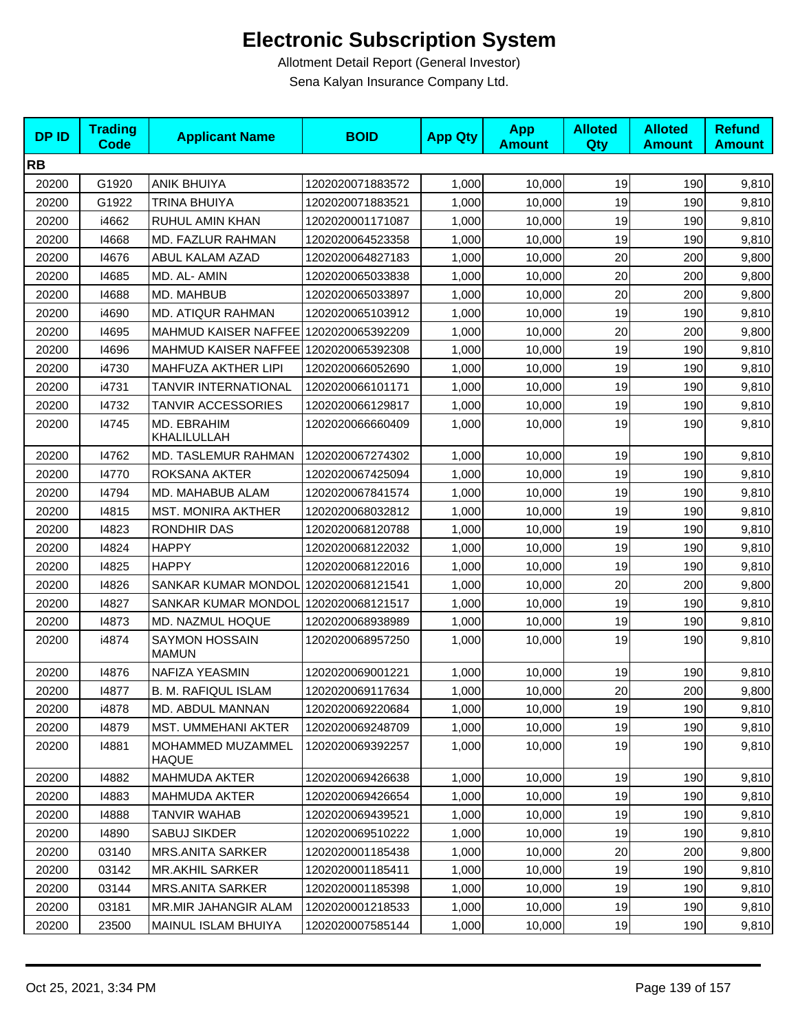| <b>DPID</b> | <b>Trading</b><br><b>Code</b> | <b>Applicant Name</b>                 | <b>BOID</b>      | <b>App Qty</b> | <b>App</b><br><b>Amount</b> | <b>Alloted</b><br>Qty | <b>Alloted</b><br><b>Amount</b> | <b>Refund</b><br><b>Amount</b> |
|-------------|-------------------------------|---------------------------------------|------------------|----------------|-----------------------------|-----------------------|---------------------------------|--------------------------------|
| <b>RB</b>   |                               |                                       |                  |                |                             |                       |                                 |                                |
| 20200       | G1920                         | <b>ANIK BHUIYA</b>                    | 1202020071883572 | 1,000          | 10,000                      | 19                    | 190                             | 9,810                          |
| 20200       | G1922                         | <b>TRINA BHUIYA</b>                   | 1202020071883521 | 1,000          | 10,000                      | 19                    | 190                             | 9,810                          |
| 20200       | i4662                         | RUHUL AMIN KHAN                       | 1202020001171087 | 1,000          | 10,000                      | 19                    | 190                             | 9,810                          |
| 20200       | 14668                         | MD. FAZLUR RAHMAN                     | 1202020064523358 | 1,000          | 10,000                      | 19                    | 190                             | 9,810                          |
| 20200       | 14676                         | ABUL KALAM AZAD                       | 1202020064827183 | 1,000          | 10,000                      | 20                    | 200                             | 9,800                          |
| 20200       | 14685                         | MD. AL- AMIN                          | 1202020065033838 | 1,000          | 10,000                      | 20                    | 200                             | 9,800                          |
| 20200       | 14688                         | MD. MAHBUB                            | 1202020065033897 | 1,000          | 10,000                      | 20                    | 200                             | 9,800                          |
| 20200       | i4690                         | MD. ATIQUR RAHMAN                     | 1202020065103912 | 1,000          | 10,000                      | 19                    | 190                             | 9,810                          |
| 20200       | 14695                         | MAHMUD KAISER NAFFEE 1202020065392209 |                  | 1,000          | 10,000                      | 20                    | 200                             | 9,800                          |
| 20200       | 14696                         | MAHMUD KAISER NAFFEE 1202020065392308 |                  | 1,000          | 10,000                      | 19                    | 190                             | 9,810                          |
| 20200       | i4730                         | MAHFUZA AKTHER LIPI                   | 1202020066052690 | 1,000          | 10,000                      | 19                    | 190                             | 9,810                          |
| 20200       | i4731                         | TANVIR INTERNATIONAL                  | 1202020066101171 | 1,000          | 10.000                      | 19                    | 190                             | 9,810                          |
| 20200       | 14732                         | <b>TANVIR ACCESSORIES</b>             | 1202020066129817 | 1,000          | 10,000                      | 19                    | 190                             | 9,810                          |
| 20200       | 14745                         | MD. EBRAHIM<br>KHALILULLAH            | 1202020066660409 | 1,000          | 10,000                      | 19                    | 190                             | 9,810                          |
| 20200       | 14762                         | MD. TASLEMUR RAHMAN                   | 1202020067274302 | 1,000          | 10,000                      | 19                    | 190                             | 9,810                          |
| 20200       | 14770                         | ROKSANA AKTER                         | 1202020067425094 | 1,000          | 10,000                      | 19                    | 190                             | 9,810                          |
| 20200       | 14794                         | MD. MAHABUB ALAM                      | 1202020067841574 | 1,000          | 10,000                      | 19                    | 190                             | 9,810                          |
| 20200       | 14815                         | <b>MST. MONIRA AKTHER</b>             | 1202020068032812 | 1,000          | 10,000                      | 19                    | 190                             | 9,810                          |
| 20200       | 14823                         | RONDHIR DAS                           | 1202020068120788 | 1,000          | 10,000                      | 19                    | 190                             | 9,810                          |
| 20200       | 14824                         | <b>HAPPY</b>                          | 1202020068122032 | 1,000          | 10,000                      | 19                    | 190                             | 9,810                          |
| 20200       | 14825                         | <b>HAPPY</b>                          | 1202020068122016 | 1,000          | 10,000                      | 19                    | 190                             | 9,810                          |
| 20200       | 14826                         | SANKAR KUMAR MONDOL                   | 1202020068121541 | 1,000          | 10,000                      | 20                    | 200                             | 9,800                          |
| 20200       | 14827                         | SANKAR KUMAR MONDOL                   | 1202020068121517 | 1,000          | 10,000                      | 19                    | 190                             | 9,810                          |
| 20200       | 14873                         | MD. NAZMUL HOQUE                      | 1202020068938989 | 1,000          | 10,000                      | 19                    | 190                             | 9,810                          |
| 20200       | i4874                         | <b>SAYMON HOSSAIN</b><br><b>MAMUN</b> | 1202020068957250 | 1,000          | 10,000                      | 19                    | 190                             | 9,810                          |
| 20200       | 14876                         | <b>NAFIZA YEASMIN</b>                 | 1202020069001221 | 1,000          | 10,000                      | 19                    | 190                             | 9,810                          |
| 20200       | 14877                         | <b>B. M. RAFIQUL ISLAM</b>            | 1202020069117634 | 1,000          | 10,000                      | 20                    | 200                             | 9,800                          |
| 20200       | i4878                         | MD. ABDUL MANNAN                      | 1202020069220684 | 1,000          | 10,000                      | 19                    | 190                             | 9,810                          |
| 20200       | 14879                         | <b>MST. UMMEHANI AKTER</b>            | 1202020069248709 | 1,000          | 10,000                      | 19                    | 190                             | 9,810                          |
| 20200       | 14881                         | MOHAMMED MUZAMMEL<br><b>HAQUE</b>     | 1202020069392257 | 1,000          | 10,000                      | 19                    | 190                             | 9,810                          |
| 20200       | 14882                         | <b>MAHMUDA AKTER</b>                  | 1202020069426638 | 1,000          | 10,000                      | 19                    | 190                             | 9,810                          |
| 20200       | 14883                         | MAHMUDA AKTER                         | 1202020069426654 | 1,000          | 10,000                      | 19                    | 190                             | 9,810                          |
| 20200       | 14888                         | <b>TANVIR WAHAB</b>                   | 1202020069439521 | 1,000          | 10,000                      | 19                    | 190                             | 9,810                          |
| 20200       | 14890                         | <b>SABUJ SIKDER</b>                   | 1202020069510222 | 1,000          | 10,000                      | 19                    | 190                             | 9,810                          |
| 20200       | 03140                         | <b>MRS.ANITA SARKER</b>               | 1202020001185438 | 1,000          | 10,000                      | 20                    | 200                             | 9,800                          |
| 20200       | 03142                         | <b>MR.AKHIL SARKER</b>                | 1202020001185411 | 1,000          | 10,000                      | 19                    | 190                             | 9,810                          |
| 20200       | 03144                         | MRS.ANITA SARKER                      | 1202020001185398 | 1,000          | 10,000                      | 19                    | 190                             | 9,810                          |
| 20200       | 03181                         | <b>MR.MIR JAHANGIR ALAM</b>           | 1202020001218533 | 1,000          | 10,000                      | 19                    | 190                             | 9,810                          |
| 20200       | 23500                         | MAINUL ISLAM BHUIYA                   | 1202020007585144 | 1,000          | 10,000                      | 19                    | 190                             | 9,810                          |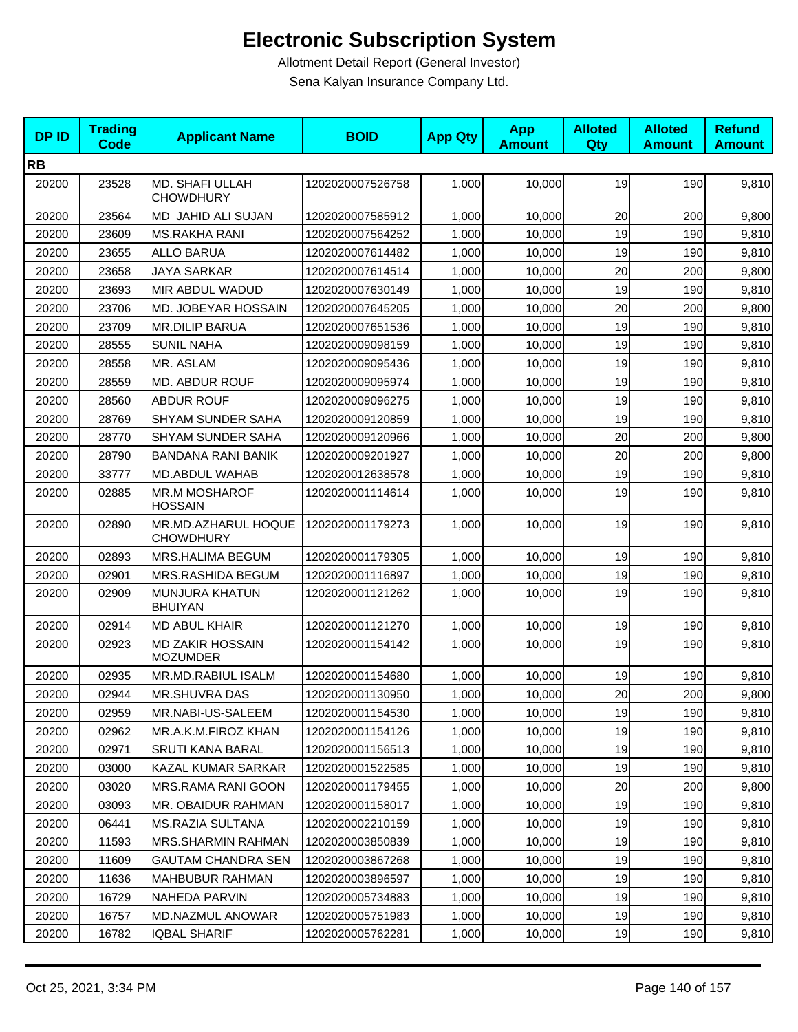| <b>DPID</b> | <b>Trading</b><br><b>Code</b> | <b>Applicant Name</b>                      | <b>BOID</b>      | <b>App Qty</b> | <b>App</b><br><b>Amount</b> | <b>Alloted</b><br><b>Qty</b> | <b>Alloted</b><br><b>Amount</b> | <b>Refund</b><br><b>Amount</b> |
|-------------|-------------------------------|--------------------------------------------|------------------|----------------|-----------------------------|------------------------------|---------------------------------|--------------------------------|
| <b>RB</b>   |                               |                                            |                  |                |                             |                              |                                 |                                |
| 20200       | 23528                         | MD. SHAFI ULLAH<br><b>CHOWDHURY</b>        | 1202020007526758 | 1,000          | 10,000                      | 19                           | 190                             | 9,810                          |
| 20200       | 23564                         | MD JAHID ALI SUJAN                         | 1202020007585912 | 1,000          | 10,000                      | 20                           | 200                             | 9,800                          |
| 20200       | 23609                         | <b>MS.RAKHA RANI</b>                       | 1202020007564252 | 1,000          | 10,000                      | 19                           | 190                             | 9,810                          |
| 20200       | 23655                         | <b>ALLO BARUA</b>                          | 1202020007614482 | 1,000          | 10,000                      | 19                           | 190                             | 9,810                          |
| 20200       | 23658                         | <b>JAYA SARKAR</b>                         | 1202020007614514 | 1,000          | 10,000                      | 20                           | 200                             | 9,800                          |
| 20200       | 23693                         | MIR ABDUL WADUD                            | 1202020007630149 | 1,000          | 10,000                      | 19                           | 190                             | 9,810                          |
| 20200       | 23706                         | MD. JOBEYAR HOSSAIN                        | 1202020007645205 | 1,000          | 10.000                      | 20                           | 200                             | 9,800                          |
| 20200       | 23709                         | <b>MR.DILIP BARUA</b>                      | 1202020007651536 | 1,000          | 10,000                      | 19                           | 190                             | 9,810                          |
| 20200       | 28555                         | <b>SUNIL NAHA</b>                          | 1202020009098159 | 1,000          | 10,000                      | 19                           | 190                             | 9,810                          |
| 20200       | 28558                         | MR. ASLAM                                  | 1202020009095436 | 1,000          | 10,000                      | 19                           | 190                             | 9,810                          |
| 20200       | 28559                         | MD. ABDUR ROUF                             | 1202020009095974 | 1,000          | 10,000                      | 19                           | 190                             | 9,810                          |
| 20200       | 28560                         | <b>ABDUR ROUF</b>                          | 1202020009096275 | 1,000          | 10,000                      | 19                           | 190                             | 9,810                          |
| 20200       | 28769                         | <b>SHYAM SUNDER SAHA</b>                   | 1202020009120859 | 1,000          | 10,000                      | 19                           | 190                             | 9,810                          |
| 20200       | 28770                         | <b>SHYAM SUNDER SAHA</b>                   | 1202020009120966 | 1,000          | 10,000                      | 20                           | 200                             | 9,800                          |
| 20200       | 28790                         | BANDANA RANI BANIK                         | 1202020009201927 | 1,000          | 10,000                      | 20                           | 200                             | 9,800                          |
| 20200       | 33777                         | MD.ABDUL WAHAB                             | 1202020012638578 | 1,000          | 10,000                      | 19                           | 190                             | 9,810                          |
| 20200       | 02885                         | <b>MR.M MOSHAROF</b><br><b>HOSSAIN</b>     | 1202020001114614 | 1,000          | 10,000                      | 19                           | 190                             | 9,810                          |
| 20200       | 02890                         | MR.MD.AZHARUL HOQUE<br><b>CHOWDHURY</b>    | 1202020001179273 | 1,000          | 10,000                      | 19                           | 190                             | 9,810                          |
| 20200       | 02893                         | <b>MRS.HALIMA BEGUM</b>                    | 1202020001179305 | 1,000          | 10,000                      | 19                           | 190                             | 9,810                          |
| 20200       | 02901                         | MRS.RASHIDA BEGUM                          | 1202020001116897 | 1,000          | 10,000                      | 19                           | 190                             | 9,810                          |
| 20200       | 02909                         | MUNJURA KHATUN<br><b>BHUIYAN</b>           | 1202020001121262 | 1,000          | 10,000                      | 19                           | 190                             | 9,810                          |
| 20200       | 02914                         | <b>MD ABUL KHAIR</b>                       | 1202020001121270 | 1,000          | 10,000                      | 19                           | 190                             | 9,810                          |
| 20200       | 02923                         | <b>MD ZAKIR HOSSAIN</b><br><b>MOZUMDER</b> | 1202020001154142 | 1,000          | 10,000                      | 19                           | 190                             | 9,810                          |
| 20200       | 02935                         | MR.MD.RABIUL ISALM                         | 1202020001154680 | 1,000          | 10,000                      | 19                           | 190                             | 9,810                          |
| 20200       | 02944                         | <b>MR.SHUVRA DAS</b>                       | 1202020001130950 | 1,000          | 10,000                      | 20                           | 200                             | 9,800                          |
| 20200       | 02959                         | MR.NABI-US-SALEEM                          | 1202020001154530 | 1,000          | 10,000                      | 19                           | 190                             | 9,810                          |
| 20200       | 02962                         | MR.A.K.M.FIROZ KHAN                        | 1202020001154126 | 1,000          | 10,000                      | 19                           | 190                             | 9,810                          |
| 20200       | 02971                         | SRUTI KANA BARAL                           | 1202020001156513 | 1,000          | 10,000                      | 19                           | 190                             | 9,810                          |
| 20200       | 03000                         | KAZAL KUMAR SARKAR                         | 1202020001522585 | 1,000          | 10,000                      | 19                           | 190                             | 9,810                          |
| 20200       | 03020                         | MRS.RAMA RANI GOON                         | 1202020001179455 | 1,000          | 10,000                      | 20                           | 200                             | 9,800                          |
| 20200       | 03093                         | MR. OBAIDUR RAHMAN                         | 1202020001158017 | 1,000          | 10,000                      | 19                           | 190                             | 9,810                          |
| 20200       | 06441                         | <b>MS.RAZIA SULTANA</b>                    | 1202020002210159 | 1,000          | 10,000                      | 19                           | 190                             | 9,810                          |
| 20200       | 11593                         | MRS.SHARMIN RAHMAN                         | 1202020003850839 | 1,000          | 10,000                      | 19                           | 190                             | 9,810                          |
| 20200       | 11609                         | <b>GAUTAM CHANDRA SEN</b>                  | 1202020003867268 | 1,000          | 10,000                      | 19                           | 190                             | 9,810                          |
| 20200       | 11636                         | <b>MAHBUBUR RAHMAN</b>                     | 1202020003896597 | 1,000          | 10,000                      | 19                           | 190                             | 9,810                          |
| 20200       | 16729                         | <b>NAHEDA PARVIN</b>                       | 1202020005734883 | 1,000          | 10,000                      | 19                           | 190                             | 9,810                          |
| 20200       | 16757                         | MD.NAZMUL ANOWAR                           | 1202020005751983 | 1,000          | 10,000                      | 19                           | 190                             | 9,810                          |
| 20200       | 16782                         | <b>IQBAL SHARIF</b>                        | 1202020005762281 | 1,000          | 10,000                      | 19                           | 190                             | 9,810                          |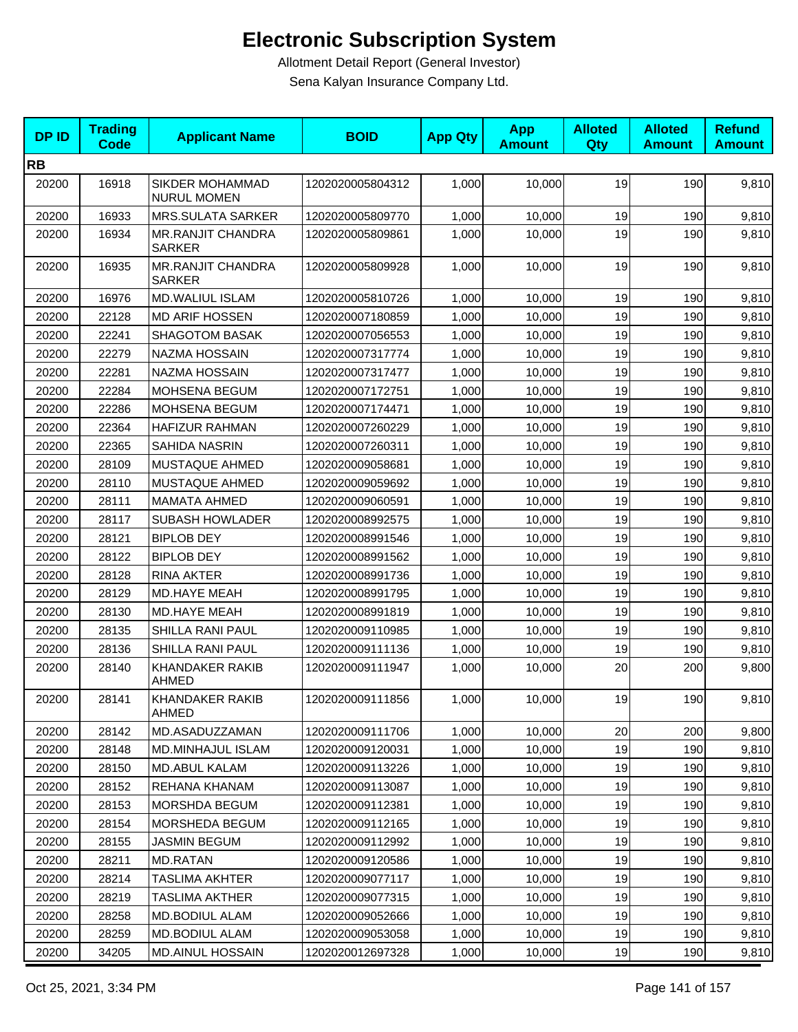| <b>DPID</b> | <b>Trading</b><br>Code | <b>Applicant Name</b>                     | <b>BOID</b>      | <b>App Qty</b> | <b>App</b><br><b>Amount</b> | <b>Alloted</b><br>Qty | <b>Alloted</b><br><b>Amount</b> | <b>Refund</b><br><b>Amount</b> |
|-------------|------------------------|-------------------------------------------|------------------|----------------|-----------------------------|-----------------------|---------------------------------|--------------------------------|
| <b>RB</b>   |                        |                                           |                  |                |                             |                       |                                 |                                |
| 20200       | 16918                  | SIKDER MOHAMMAD<br><b>NURUL MOMEN</b>     | 1202020005804312 | 1,000          | 10,000                      | 19                    | 190                             | 9,810                          |
| 20200       | 16933                  | <b>MRS.SULATA SARKER</b>                  | 1202020005809770 | 1,000          | 10,000                      | 19                    | 190                             | 9,810                          |
| 20200       | 16934                  | <b>MR.RANJIT CHANDRA</b><br><b>SARKER</b> | 1202020005809861 | 1,000          | 10,000                      | 19                    | 190                             | 9,810                          |
| 20200       | 16935                  | <b>MR.RANJIT CHANDRA</b><br><b>SARKER</b> | 1202020005809928 | 1,000          | 10,000                      | 19                    | 190                             | 9,810                          |
| 20200       | 16976                  | MD.WALIUL ISLAM                           | 1202020005810726 | 1,000          | 10,000                      | 19                    | 190                             | 9,810                          |
| 20200       | 22128                  | <b>MD ARIF HOSSEN</b>                     | 1202020007180859 | 1,000          | 10,000                      | 19                    | 190                             | 9,810                          |
| 20200       | 22241                  | SHAGOTOM BASAK                            | 1202020007056553 | 1,000          | 10,000                      | 19                    | 190                             | 9,810                          |
| 20200       | 22279                  | NAZMA HOSSAIN                             | 1202020007317774 | 1,000          | 10,000                      | 19                    | 190                             | 9,810                          |
| 20200       | 22281                  | NAZMA HOSSAIN                             | 1202020007317477 | 1,000          | 10,000                      | 19                    | 190                             | 9,810                          |
| 20200       | 22284                  | MOHSENA BEGUM                             | 1202020007172751 | 1,000          | 10,000                      | 19                    | 190                             | 9,810                          |
| 20200       | 22286                  | MOHSENA BEGUM                             | 1202020007174471 | 1,000          | 10,000                      | 19                    | 190                             | 9,810                          |
| 20200       | 22364                  | <b>HAFIZUR RAHMAN</b>                     | 1202020007260229 | 1,000          | 10,000                      | 19                    | 190                             | 9,810                          |
| 20200       | 22365                  | SAHIDA NASRIN                             | 1202020007260311 | 1,000          | 10,000                      | 19                    | 190                             | 9,810                          |
| 20200       | 28109                  | MUSTAQUE AHMED                            | 1202020009058681 | 1,000          | 10,000                      | 19                    | 190                             | 9,810                          |
| 20200       | 28110                  | MUSTAQUE AHMED                            | 1202020009059692 | 1,000          | 10,000                      | 19                    | 190                             | 9,810                          |
| 20200       | 28111                  | <b>MAMATA AHMED</b>                       | 1202020009060591 | 1,000          | 10,000                      | 19                    | 190                             | 9,810                          |
| 20200       | 28117                  | <b>SUBASH HOWLADER</b>                    | 1202020008992575 | 1,000          | 10,000                      | 19                    | 190                             | 9,810                          |
| 20200       | 28121                  | <b>BIPLOB DEY</b>                         | 1202020008991546 | 1,000          | 10,000                      | 19                    | 190                             | 9,810                          |
| 20200       | 28122                  | <b>BIPLOB DEY</b>                         | 1202020008991562 | 1,000          | 10,000                      | 19                    | 190                             | 9,810                          |
| 20200       | 28128                  | <b>RINA AKTER</b>                         | 1202020008991736 | 1,000          | 10,000                      | 19                    | 190                             | 9,810                          |
| 20200       | 28129                  | MD.HAYE MEAH                              | 1202020008991795 | 1,000          | 10,000                      | 19                    | 190                             | 9,810                          |
| 20200       | 28130                  | <b>MD.HAYE MEAH</b>                       | 1202020008991819 | 1,000          | 10,000                      | 19                    | 190                             | 9,810                          |
| 20200       | 28135                  | SHILLA RANI PAUL                          | 1202020009110985 | 1,000          | 10,000                      | 19                    | 190                             | 9,810                          |
| 20200       | 28136                  | SHILLA RANI PAUL                          | 1202020009111136 | 1,000          | 10,000                      | 19                    | 190                             | 9,810                          |
| 20200       | 28140                  | <b>KHANDAKER RAKIB</b><br>AHMED           | 1202020009111947 | 1,000          | 10,000                      | 20                    | 200                             | 9,800                          |
| 20200       | 28141                  | KHANDAKER RAKIB<br>AHMED                  | 1202020009111856 | 1,000          | 10,000                      | 19                    | <b>190</b>                      | 9,810                          |
| 20200       | 28142                  | MD.ASADUZZAMAN                            | 1202020009111706 | 1,000          | 10.000                      | 20                    | 200                             | 9,800                          |
| 20200       | 28148                  | MD.MINHAJUL ISLAM                         | 1202020009120031 | 1,000          | 10,000                      | 19                    | 190                             | 9,810                          |
| 20200       | 28150                  | <b>MD.ABUL KALAM</b>                      | 1202020009113226 | 1,000          | 10,000                      | 19                    | 190                             | 9,810                          |
| 20200       | 28152                  | REHANA KHANAM                             | 1202020009113087 | 1,000          | 10,000                      | 19                    | 190                             | 9,810                          |
| 20200       | 28153                  | MORSHDA BEGUM                             | 1202020009112381 | 1,000          | 10,000                      | 19                    | 190                             | 9,810                          |
| 20200       | 28154                  | MORSHEDA BEGUM                            | 1202020009112165 | 1,000          | 10,000                      | 19                    | 190                             | 9,810                          |
| 20200       | 28155                  | <b>JASMIN BEGUM</b>                       | 1202020009112992 | 1,000          | 10,000                      | 19                    | 190                             | 9,810                          |
| 20200       | 28211                  | MD.RATAN                                  | 1202020009120586 | 1,000          | 10,000                      | 19                    | 190                             | 9,810                          |
| 20200       | 28214                  | <b>TASLIMA AKHTER</b>                     | 1202020009077117 | 1,000          | 10,000                      | 19                    | 190                             | 9,810                          |
| 20200       | 28219                  | <b>TASLIMA AKTHER</b>                     | 1202020009077315 | 1,000          | 10,000                      | 19                    | 190                             | 9,810                          |
| 20200       | 28258                  | MD.BODIUL ALAM                            | 1202020009052666 | 1,000          | 10,000                      | 19                    | 190                             | 9,810                          |
| 20200       | 28259                  | <b>MD.BODIUL ALAM</b>                     | 1202020009053058 | 1,000          | 10,000                      | 19                    | 190                             | 9,810                          |
| 20200       | 34205                  | MD.AINUL HOSSAIN                          | 1202020012697328 | 1,000          | 10,000                      | 19                    | 190                             | 9,810                          |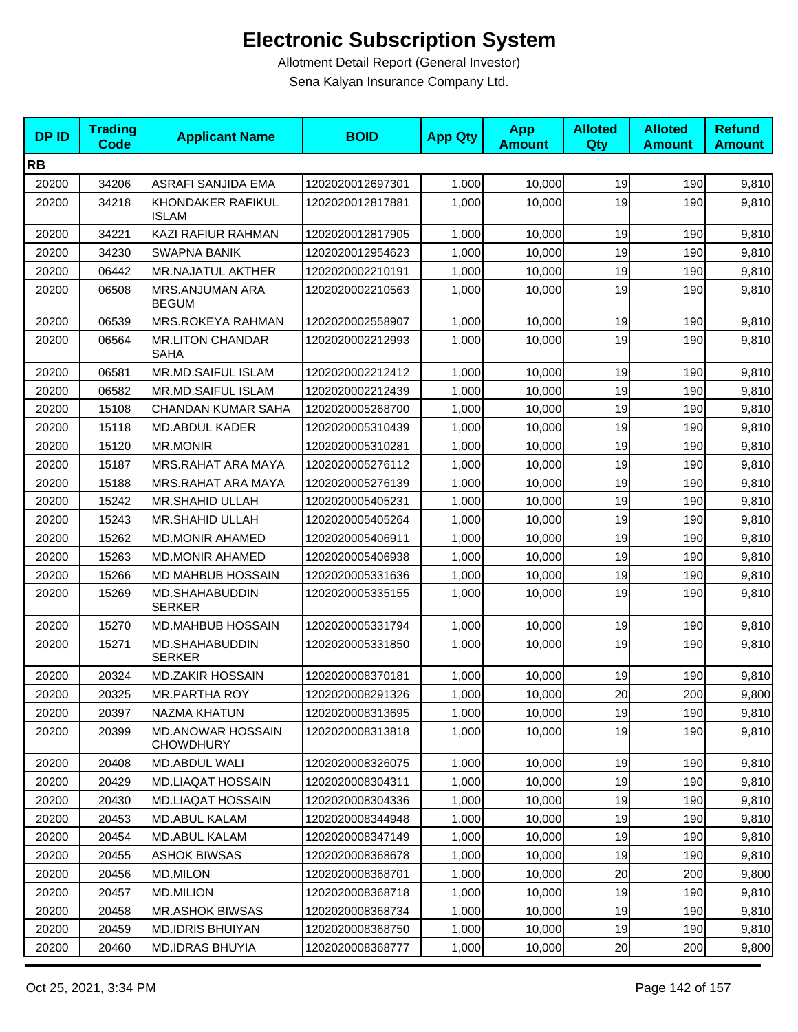| <b>DP ID</b> | <b>Trading</b><br><b>Code</b> | <b>Applicant Name</b>                        | <b>BOID</b>      | <b>App Qty</b> | <b>App</b><br><b>Amount</b> | <b>Alloted</b><br>Qty | <b>Alloted</b><br><b>Amount</b> | <b>Refund</b><br><b>Amount</b> |
|--------------|-------------------------------|----------------------------------------------|------------------|----------------|-----------------------------|-----------------------|---------------------------------|--------------------------------|
| <b>RB</b>    |                               |                                              |                  |                |                             |                       |                                 |                                |
| 20200        | 34206                         | ASRAFI SANJIDA EMA                           | 1202020012697301 | 1,000          | 10,000                      | 19                    | 190                             | 9,810                          |
| 20200        | 34218                         | KHONDAKER RAFIKUL<br><b>ISLAM</b>            | 1202020012817881 | 1,000          | 10,000                      | 19                    | 190                             | 9,810                          |
| 20200        | 34221                         | KAZI RAFIUR RAHMAN                           | 1202020012817905 | 1,000          | 10,000                      | 19                    | 190                             | 9,810                          |
| 20200        | 34230                         | <b>SWAPNA BANIK</b>                          | 1202020012954623 | 1,000          | 10,000                      | 19                    | 190                             | 9,810                          |
| 20200        | 06442                         | MR.NAJATUL AKTHER                            | 1202020002210191 | 1,000          | 10,000                      | 19                    | 190                             | 9,810                          |
| 20200        | 06508                         | MRS.ANJUMAN ARA<br><b>BEGUM</b>              | 1202020002210563 | 1,000          | 10,000                      | 19                    | 190                             | 9,810                          |
| 20200        | 06539                         | MRS.ROKEYA RAHMAN                            | 1202020002558907 | 1,000          | 10,000                      | 19                    | 190                             | 9,810                          |
| 20200        | 06564                         | <b>MR.LITON CHANDAR</b><br>SAHA              | 1202020002212993 | 1,000          | 10,000                      | 19                    | 190                             | 9,810                          |
| 20200        | 06581                         | <b>MR.MD.SAIFUL ISLAM</b>                    | 1202020002212412 | 1,000          | 10,000                      | 19                    | 190                             | 9,810                          |
| 20200        | 06582                         | MR.MD.SAIFUL ISLAM                           | 1202020002212439 | 1,000          | 10,000                      | 19                    | 190                             | 9,810                          |
| 20200        | 15108                         | <b>CHANDAN KUMAR SAHA</b>                    | 1202020005268700 | 1,000          | 10,000                      | 19                    | 190                             | 9,810                          |
| 20200        | 15118                         | MD.ABDUL KADER                               | 1202020005310439 | 1,000          | 10,000                      | 19                    | 190                             | 9,810                          |
| 20200        | 15120                         | <b>MR.MONIR</b>                              | 1202020005310281 | 1,000          | 10,000                      | 19                    | 190                             | 9,810                          |
| 20200        | 15187                         | MRS.RAHAT ARA MAYA                           | 1202020005276112 | 1,000          | 10,000                      | 19                    | 190                             | 9,810                          |
| 20200        | 15188                         | MRS.RAHAT ARA MAYA                           | 1202020005276139 | 1,000          | 10,000                      | 19                    | 190                             | 9,810                          |
| 20200        | 15242                         | MR.SHAHID ULLAH                              | 1202020005405231 | 1,000          | 10,000                      | 19                    | 190                             | 9,810                          |
| 20200        | 15243                         | MR.SHAHID ULLAH                              | 1202020005405264 | 1,000          | 10,000                      | 19                    | 190                             | 9,810                          |
| 20200        | 15262                         | <b>MD.MONIR AHAMED</b>                       | 1202020005406911 | 1,000          | 10,000                      | 19                    | 190                             | 9,810                          |
| 20200        | 15263                         | <b>MD.MONIR AHAMED</b>                       | 1202020005406938 | 1,000          | 10,000                      | 19                    | 190                             | 9,810                          |
| 20200        | 15266                         | MD MAHBUB HOSSAIN                            | 1202020005331636 | 1,000          | 10,000                      | 19                    | 190                             | 9,810                          |
| 20200        | 15269                         | MD.SHAHABUDDIN<br><b>SERKER</b>              | 1202020005335155 | 1,000          | 10,000                      | 19                    | 190                             | 9,810                          |
| 20200        | 15270                         | <b>MD.MAHBUB HOSSAIN</b>                     | 1202020005331794 | 1,000          | 10,000                      | 19                    | 190                             | 9,810                          |
| 20200        | 15271                         | MD.SHAHABUDDIN<br><b>SERKER</b>              | 1202020005331850 | 1,000          | 10,000                      | 19                    | 190                             | 9,810                          |
| 20200        | 20324                         | <b>MD.ZAKIR HOSSAIN</b>                      | 1202020008370181 | 1,000          | 10,000                      | 19                    | 190                             | 9,810                          |
| 20200        | 20325                         | <b>MR.PARTHA ROY</b>                         | 1202020008291326 | 1,000          | 10,000                      | 20                    | 200                             | 9,800                          |
| 20200        | 20397                         | <b>NAZMA KHATUN</b>                          | 1202020008313695 | 1,000          | 10,000                      | 19                    | 190                             | 9,810                          |
| 20200        | 20399                         | <b>MD.ANOWAR HOSSAIN</b><br><b>CHOWDHURY</b> | 1202020008313818 | 1,000          | 10,000                      | 19                    | 190                             | 9,810                          |
| 20200        | 20408                         | MD.ABDUL WALI                                | 1202020008326075 | 1,000          | 10,000                      | 19                    | 190                             | 9,810                          |
| 20200        | 20429                         | MD.LIAQAT HOSSAIN                            | 1202020008304311 | 1,000          | 10,000                      | 19                    | 190                             | 9,810                          |
| 20200        | 20430                         | <b>MD.LIAQAT HOSSAIN</b>                     | 1202020008304336 | 1,000          | 10,000                      | 19                    | 190                             | 9,810                          |
| 20200        | 20453                         | <b>MD.ABUL KALAM</b>                         | 1202020008344948 | 1,000          | 10,000                      | 19                    | 190                             | 9,810                          |
| 20200        | 20454                         | <b>MD.ABUL KALAM</b>                         | 1202020008347149 | 1,000          | 10,000                      | 19                    | 190                             | 9,810                          |
| 20200        | 20455                         | <b>ASHOK BIWSAS</b>                          | 1202020008368678 | 1,000          | 10,000                      | 19                    | 190                             | 9,810                          |
| 20200        | 20456                         | <b>MD.MILON</b>                              | 1202020008368701 | 1,000          | 10,000                      | 20                    | 200                             | 9,800                          |
| 20200        | 20457                         | <b>MD.MILION</b>                             | 1202020008368718 | 1,000          | 10,000                      | 19                    | 190                             | 9,810                          |
| 20200        | 20458                         | <b>MR.ASHOK BIWSAS</b>                       | 1202020008368734 | 1,000          | 10,000                      | 19                    | 190                             | 9,810                          |
| 20200        | 20459                         | <b>MD.IDRIS BHUIYAN</b>                      | 1202020008368750 | 1,000          | 10,000                      | 19                    | 190                             | 9,810                          |
| 20200        | 20460                         | MD.IDRAS BHUYIA                              | 1202020008368777 | 1,000          | 10,000                      | 20                    | 200                             | 9,800                          |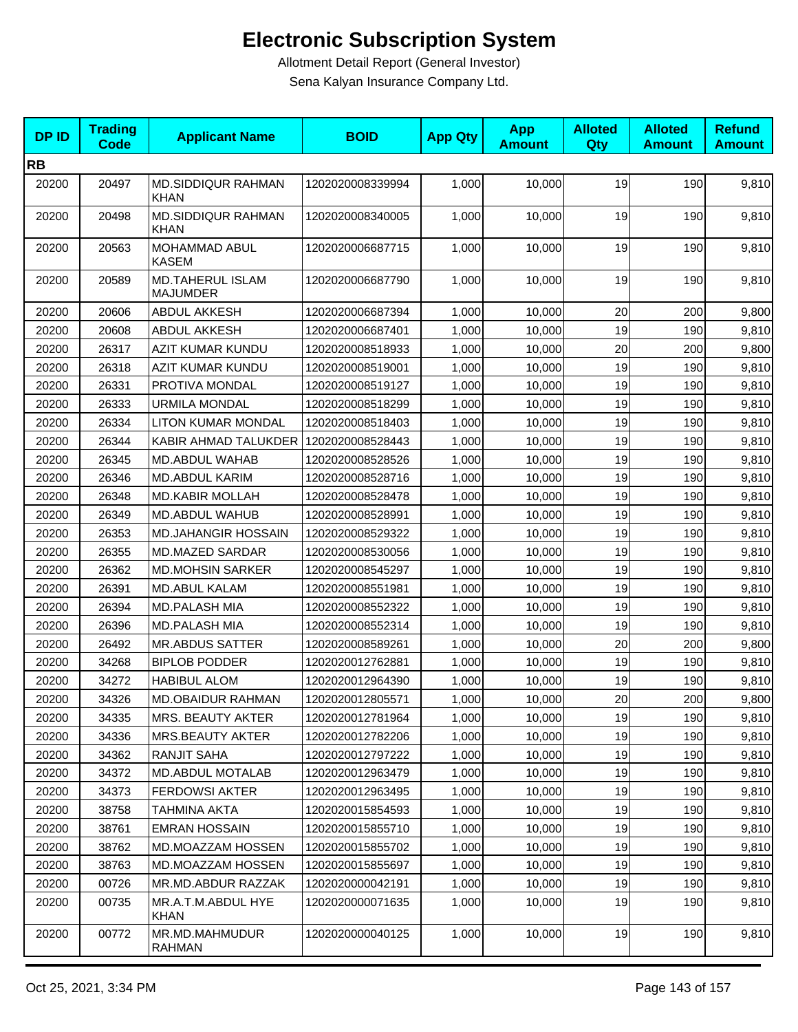| <b>DPID</b> | <b>Trading</b><br><b>Code</b> | <b>Applicant Name</b>                      | <b>BOID</b>      | <b>App Qty</b> | <b>App</b><br><b>Amount</b> | <b>Alloted</b><br>Qty | <b>Alloted</b><br><b>Amount</b> | <b>Refund</b><br><b>Amount</b> |
|-------------|-------------------------------|--------------------------------------------|------------------|----------------|-----------------------------|-----------------------|---------------------------------|--------------------------------|
| <b>RB</b>   |                               |                                            |                  |                |                             |                       |                                 |                                |
| 20200       | 20497                         | MD.SIDDIQUR RAHMAN<br><b>KHAN</b>          | 1202020008339994 | 1,000          | 10,000                      | 19                    | 190                             | 9,810                          |
| 20200       | 20498                         | <b>MD.SIDDIQUR RAHMAN</b><br><b>KHAN</b>   | 1202020008340005 | 1,000          | 10,000                      | 19                    | 190                             | 9,810                          |
| 20200       | 20563                         | MOHAMMAD ABUL<br><b>KASEM</b>              | 1202020006687715 | 1,000          | 10,000                      | 19                    | 190                             | 9,810                          |
| 20200       | 20589                         | <b>MD.TAHERUL ISLAM</b><br><b>MAJUMDER</b> | 1202020006687790 | 1,000          | 10,000                      | 19                    | 190                             | 9,810                          |
| 20200       | 20606                         | <b>ABDUL AKKESH</b>                        | 1202020006687394 | 1,000          | 10,000                      | 20                    | 200                             | 9,800                          |
| 20200       | 20608                         | ABDUL AKKESH                               | 1202020006687401 | 1,000          | 10,000                      | 19                    | 190                             | 9,810                          |
| 20200       | 26317                         | AZIT KUMAR KUNDU                           | 1202020008518933 | 1,000          | 10,000                      | 20                    | 200                             | 9,800                          |
| 20200       | 26318                         | AZIT KUMAR KUNDU                           | 1202020008519001 | 1,000          | 10,000                      | 19                    | 190                             | 9,810                          |
| 20200       | 26331                         | PROTIVA MONDAL                             | 1202020008519127 | 1,000          | 10,000                      | 19                    | 190                             | 9,810                          |
| 20200       | 26333                         | <b>URMILA MONDAL</b>                       | 1202020008518299 | 1,000          | 10,000                      | 19                    | 190                             | 9,810                          |
| 20200       | 26334                         | <b>LITON KUMAR MONDAL</b>                  | 1202020008518403 | 1,000          | 10,000                      | 19                    | 190                             | 9,810                          |
| 20200       | 26344                         | KABIR AHMAD TALUKDER                       | 1202020008528443 | 1,000          | 10,000                      | 19                    | 190                             | 9,810                          |
| 20200       | 26345                         | MD.ABDUL WAHAB                             | 1202020008528526 | 1,000          | 10,000                      | 19                    | 190                             | 9,810                          |
| 20200       | 26346                         | MD.ABDUL KARIM                             | 1202020008528716 | 1,000          | 10,000                      | 19                    | 190                             | 9,810                          |
| 20200       | 26348                         | <b>MD.KABIR MOLLAH</b>                     | 1202020008528478 | 1,000          | 10,000                      | 19                    | 190                             | 9,810                          |
| 20200       | 26349                         | MD.ABDUL WAHUB                             | 1202020008528991 | 1,000          | 10,000                      | 19                    | 190                             | 9,810                          |
| 20200       | 26353                         | <b>MD.JAHANGIR HOSSAIN</b>                 | 1202020008529322 | 1,000          | 10,000                      | 19                    | 190                             | 9,810                          |
| 20200       | 26355                         | MD.MAZED SARDAR                            | 1202020008530056 | 1,000          | 10,000                      | 19                    | 190                             | 9,810                          |
| 20200       | 26362                         | <b>MD.MOHSIN SARKER</b>                    | 1202020008545297 | 1,000          | 10,000                      | 19                    | 190                             | 9,810                          |
| 20200       | 26391                         | <b>MD.ABUL KALAM</b>                       | 1202020008551981 | 1,000          | 10,000                      | 19                    | 190                             | 9,810                          |
| 20200       | 26394                         | MD.PALASH MIA                              | 1202020008552322 | 1,000          | 10,000                      | 19                    | 190                             | 9,810                          |
| 20200       | 26396                         | <b>MD.PALASH MIA</b>                       | 1202020008552314 | 1,000          | 10,000                      | 19                    | 190                             | 9,810                          |
| 20200       | 26492                         | <b>MR.ABDUS SATTER</b>                     | 1202020008589261 | 1,000          | 10,000                      | 20                    | 200                             | 9,800                          |
| 20200       | 34268                         | <b>BIPLOB PODDER</b>                       | 1202020012762881 | 1,000          | 10,000                      | 19                    | 190                             | 9,810                          |
| 20200       | 34272                         | <b>HABIBUL ALOM</b>                        | 1202020012964390 | 1,000          | 10,000                      | 19                    | 190                             | 9,810                          |
| 20200       | 34326                         | MD.OBAIDUR RAHMAN                          | 1202020012805571 | 1,000          | 10,000                      | 20 <sub>l</sub>       | 200                             | 9,800                          |
| 20200       | 34335                         | MRS. BEAUTY AKTER                          | 1202020012781964 | 1,000          | 10,000                      | 19                    | 190                             | 9,810                          |
| 20200       | 34336                         | MRS.BEAUTY AKTER                           | 1202020012782206 | 1,000          | 10,000                      | 19                    | 190                             | 9,810                          |
| 20200       | 34362                         | <b>RANJIT SAHA</b>                         | 1202020012797222 | 1,000          | 10,000                      | 19                    | 190                             | 9,810                          |
| 20200       | 34372                         | <b>MD.ABDUL MOTALAB</b>                    | 1202020012963479 | 1,000          | 10.000                      | 19                    | 190                             | 9,810                          |
| 20200       | 34373                         | <b>FERDOWSI AKTER</b>                      | 1202020012963495 | 1,000          | 10,000                      | 19                    | 190                             | 9,810                          |
| 20200       | 38758                         | <b>TAHMINA AKTA</b>                        | 1202020015854593 | 1,000          | 10,000                      | 19                    | 190                             | 9,810                          |
| 20200       | 38761                         | <b>EMRAN HOSSAIN</b>                       | 1202020015855710 | 1,000          | 10,000                      | 19                    | 190                             | 9,810                          |
| 20200       | 38762                         | MD.MOAZZAM HOSSEN                          | 1202020015855702 | 1,000          | 10,000                      | 19                    | 190                             | 9,810                          |
| 20200       | 38763                         | MD.MOAZZAM HOSSEN                          | 1202020015855697 | 1,000          | 10,000                      | 19                    | 190                             | 9,810                          |
| 20200       | 00726                         | MR.MD.ABDUR RAZZAK                         | 1202020000042191 | 1,000          | 10,000                      | 19                    | 190                             | 9,810                          |
| 20200       | 00735                         | MR.A.T.M.ABDUL HYE<br>KHAN                 | 1202020000071635 | 1,000          | 10,000                      | 19                    | 190                             | 9,810                          |
| 20200       | 00772                         | MR.MD.MAHMUDUR<br>RAHMAN                   | 1202020000040125 | 1,000          | 10,000                      | 19                    | 190                             | 9,810                          |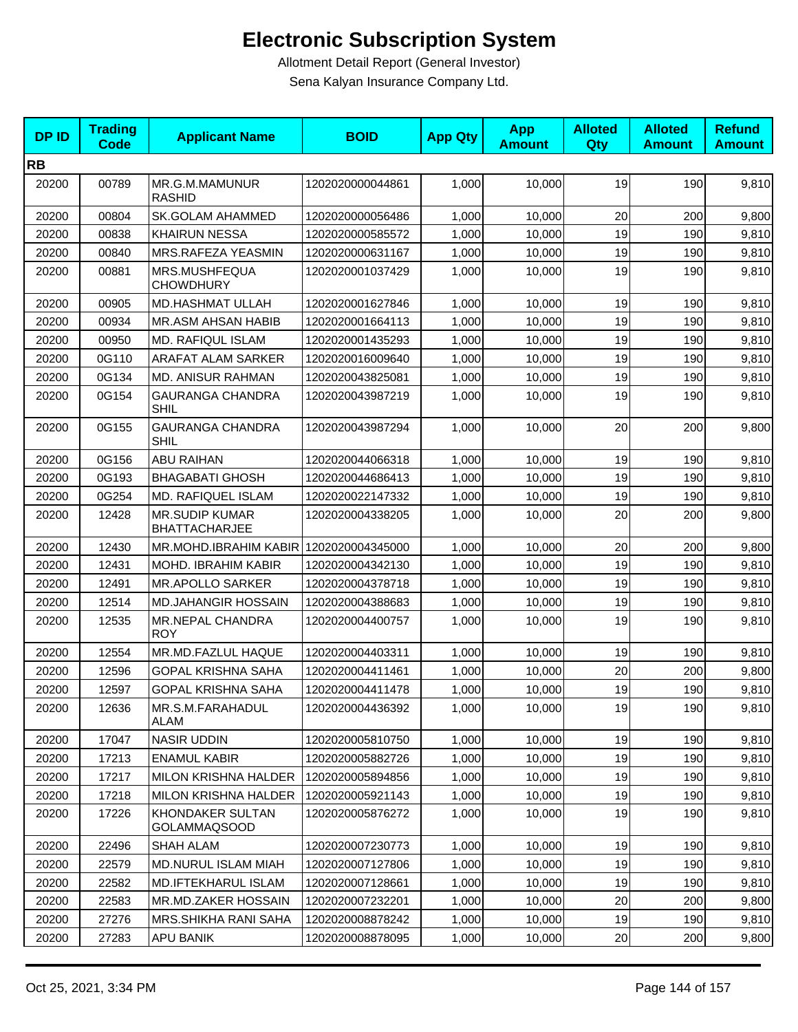| <b>DPID</b> | <b>Trading</b><br><b>Code</b> | <b>Applicant Name</b>                         | <b>BOID</b>      | <b>App Qty</b> | <b>App</b><br><b>Amount</b> | <b>Alloted</b><br>Qty | <b>Alloted</b><br><b>Amount</b> | <b>Refund</b><br><b>Amount</b> |
|-------------|-------------------------------|-----------------------------------------------|------------------|----------------|-----------------------------|-----------------------|---------------------------------|--------------------------------|
| <b>RB</b>   |                               |                                               |                  |                |                             |                       |                                 |                                |
| 20200       | 00789                         | MR.G.M.MAMUNUR<br><b>RASHID</b>               | 1202020000044861 | 1,000          | 10,000                      | 19                    | 190                             | 9,810                          |
| 20200       | 00804                         | <b>SK.GOLAM AHAMMED</b>                       | 1202020000056486 | 1,000          | 10,000                      | 20                    | 200                             | 9,800                          |
| 20200       | 00838                         | <b>KHAIRUN NESSA</b>                          | 1202020000585572 | 1,000          | 10,000                      | 19                    | 190                             | 9,810                          |
| 20200       | 00840                         | MRS.RAFEZA YEASMIN                            | 1202020000631167 | 1,000          | 10,000                      | 19                    | 190                             | 9,810                          |
| 20200       | 00881                         | MRS.MUSHFEQUA<br><b>CHOWDHURY</b>             | 1202020001037429 | 1,000          | 10,000                      | 19                    | 190                             | 9,810                          |
| 20200       | 00905                         | MD.HASHMAT ULLAH                              | 1202020001627846 | 1,000          | 10,000                      | 19                    | 190                             | 9,810                          |
| 20200       | 00934                         | MR.ASM AHSAN HABIB                            | 1202020001664113 | 1,000          | 10,000                      | 19                    | 190                             | 9,810                          |
| 20200       | 00950                         | MD. RAFIQUL ISLAM                             | 1202020001435293 | 1,000          | 10,000                      | 19                    | 190                             | 9,810                          |
| 20200       | 0G110                         | ARAFAT ALAM SARKER                            | 1202020016009640 | 1,000          | 10,000                      | 19                    | 190                             | 9,810                          |
| 20200       | 0G134                         | <b>MD. ANISUR RAHMAN</b>                      | 1202020043825081 | 1,000          | 10,000                      | 19                    | 190                             | 9,810                          |
| 20200       | 0G154                         | <b>GAURANGA CHANDRA</b><br><b>SHIL</b>        | 1202020043987219 | 1,000          | 10,000                      | 19                    | 190                             | 9,810                          |
| 20200       | 0G155                         | <b>GAURANGA CHANDRA</b><br>SHIL               | 1202020043987294 | 1,000          | 10,000                      | 20                    | 200                             | 9,800                          |
| 20200       | 0G156                         | <b>ABU RAIHAN</b>                             | 1202020044066318 | 1,000          | 10,000                      | 19                    | 190                             | 9,810                          |
| 20200       | 0G193                         | <b>BHAGABATI GHOSH</b>                        | 1202020044686413 | 1,000          | 10,000                      | 19                    | 190                             | 9,810                          |
| 20200       | 0G254                         | MD. RAFIQUEL ISLAM                            | 1202020022147332 | 1,000          | 10,000                      | 19                    | 190                             | 9,810                          |
| 20200       | 12428                         | <b>MR.SUDIP KUMAR</b><br><b>BHATTACHARJEE</b> | 1202020004338205 | 1,000          | 10,000                      | 20                    | 200                             | 9,800                          |
| 20200       | 12430                         | MR.MOHD.IBRAHIM KABIR 1202020004345000        |                  | 1,000          | 10,000                      | 20                    | 200                             | 9,800                          |
| 20200       | 12431                         | MOHD. IBRAHIM KABIR                           | 1202020004342130 | 1,000          | 10,000                      | 19                    | 190                             | 9,810                          |
| 20200       | 12491                         | <b>MR.APOLLO SARKER</b>                       | 1202020004378718 | 1,000          | 10,000                      | 19                    | 190                             | 9,810                          |
| 20200       | 12514                         | <b>MD.JAHANGIR HOSSAIN</b>                    | 1202020004388683 | 1,000          | 10,000                      | 19                    | 190                             | 9,810                          |
| 20200       | 12535                         | <b>MR.NEPAL CHANDRA</b><br><b>ROY</b>         | 1202020004400757 | 1,000          | 10,000                      | 19                    | 190                             | 9,810                          |
| 20200       | 12554                         | MR.MD.FAZLUL HAQUE                            | 1202020004403311 | 1,000          | 10,000                      | 19                    | 190                             | 9,810                          |
| 20200       | 12596                         | <b>GOPAL KRISHNA SAHA</b>                     | 1202020004411461 | 1,000          | 10,000                      | 20                    | 200                             | 9,800                          |
| 20200       | 12597                         | <b>GOPAL KRISHNA SAHA</b>                     | 1202020004411478 | 1,000          | 10,000                      | 19                    | 190                             | 9,810                          |
| 20200       | 12636                         | MR.S.M.FARAHADUL<br>ALAM                      | 1202020004436392 | 1,000          | 10,000                      | 19                    | 190                             | 9,810                          |
| 20200       | 17047                         | <b>NASIR UDDIN</b>                            | 1202020005810750 | 1,000          | 10,000                      | 19                    | <b>190</b>                      | 9,810                          |
| 20200       | 17213                         | <b>ENAMUL KABIR</b>                           | 1202020005882726 | 1,000          | 10,000                      | 19                    | 190                             | 9,810                          |
| 20200       | 17217                         | MILON KRISHNA HALDER                          | 1202020005894856 | 1,000          | 10.000                      | 19                    | 190                             | 9,810                          |
| 20200       | 17218                         | MILON KRISHNA HALDER                          | 1202020005921143 | 1,000          | 10,000                      | 19                    | 190                             | 9,810                          |
| 20200       | 17226                         | KHONDAKER SULTAN<br><b>GOLAMMAQSOOD</b>       | 1202020005876272 | 1,000          | 10,000                      | 19                    | 190                             | 9,810                          |
| 20200       | 22496                         | SHAH ALAM                                     | 1202020007230773 | 1,000          | 10,000                      | 19                    | 190                             | 9,810                          |
| 20200       | 22579                         | <b>MD.NURUL ISLAM MIAH</b>                    | 1202020007127806 | 1,000          | 10,000                      | 19                    | 190                             | 9,810                          |
| 20200       | 22582                         | MD.IFTEKHARUL ISLAM                           | 1202020007128661 | 1,000          | 10,000                      | 19                    | 190                             | 9,810                          |
| 20200       | 22583                         | MR.MD.ZAKER HOSSAIN                           | 1202020007232201 | 1,000          | 10,000                      | 20                    | 200                             | 9,800                          |
| 20200       | 27276                         | <b>MRS.SHIKHA RANI SAHA</b>                   | 1202020008878242 | 1,000          | 10,000                      | 19                    | 190                             | 9,810                          |
| 20200       | 27283                         | APU BANIK                                     | 1202020008878095 | 1,000          | 10,000                      | 20                    | 200                             | 9,800                          |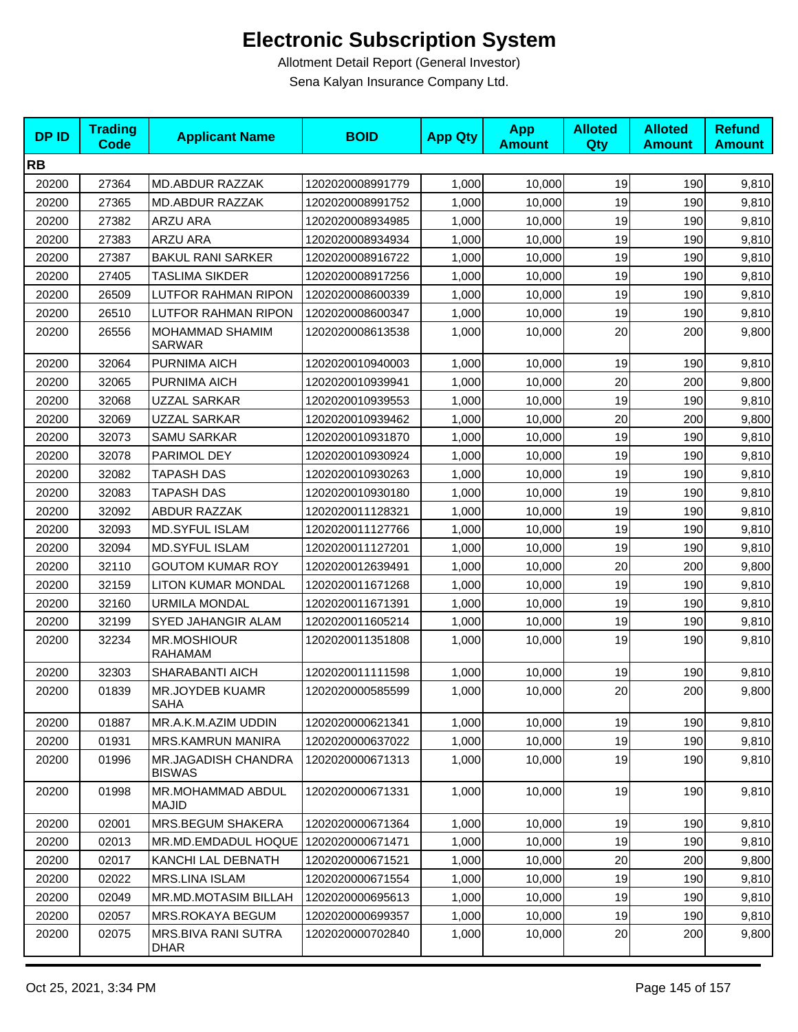| <b>DPID</b> | <b>Trading</b><br><b>Code</b> | <b>Applicant Name</b>                       | <b>BOID</b>      | <b>App Qty</b> | <b>App</b><br><b>Amount</b> | <b>Alloted</b><br>Qty | <b>Alloted</b><br><b>Amount</b> | <b>Refund</b><br><b>Amount</b> |
|-------------|-------------------------------|---------------------------------------------|------------------|----------------|-----------------------------|-----------------------|---------------------------------|--------------------------------|
| <b>RB</b>   |                               |                                             |                  |                |                             |                       |                                 |                                |
| 20200       | 27364                         | MD.ABDUR RAZZAK                             | 1202020008991779 | 1,000          | 10,000                      | 19                    | 190                             | 9,810                          |
| 20200       | 27365                         | MD.ABDUR RAZZAK                             | 1202020008991752 | 1,000          | 10,000                      | 19                    | 190                             | 9,810                          |
| 20200       | 27382                         | ARZU ARA                                    | 1202020008934985 | 1,000          | 10,000                      | 19                    | 190                             | 9,810                          |
| 20200       | 27383                         | <b>ARZU ARA</b>                             | 1202020008934934 | 1,000          | 10,000                      | 19                    | 190                             | 9,810                          |
| 20200       | 27387                         | <b>BAKUL RANI SARKER</b>                    | 1202020008916722 | 1,000          | 10,000                      | 19                    | 190                             | 9,810                          |
| 20200       | 27405                         | <b>TASLIMA SIKDER</b>                       | 1202020008917256 | 1,000          | 10,000                      | 19                    | 190                             | 9,810                          |
| 20200       | 26509                         | LUTFOR RAHMAN RIPON                         | 1202020008600339 | 1,000          | 10,000                      | 19                    | 190                             | 9,810                          |
| 20200       | 26510                         | <b>LUTFOR RAHMAN RIPON</b>                  | 1202020008600347 | 1,000          | 10,000                      | 19                    | 190                             | 9,810                          |
| 20200       | 26556                         | MOHAMMAD SHAMIM<br><b>SARWAR</b>            | 1202020008613538 | 1,000          | 10,000                      | 20                    | 200                             | 9,800                          |
| 20200       | 32064                         | PURNIMA AICH                                | 1202020010940003 | 1,000          | 10,000                      | 19                    | 190                             | 9,810                          |
| 20200       | 32065                         | PURNIMA AICH                                | 1202020010939941 | 1,000          | 10,000                      | 20                    | 200                             | 9,800                          |
| 20200       | 32068                         | UZZAL SARKAR                                | 1202020010939553 | 1,000          | 10,000                      | 19                    | 190                             | 9,810                          |
| 20200       | 32069                         | <b>UZZAL SARKAR</b>                         | 1202020010939462 | 1,000          | 10,000                      | 20                    | 200                             | 9,800                          |
| 20200       | 32073                         | <b>SAMU SARKAR</b>                          | 1202020010931870 | 1,000          | 10,000                      | 19                    | 190                             | 9,810                          |
| 20200       | 32078                         | PARIMOL DEY                                 | 1202020010930924 | 1,000          | 10,000                      | 19                    | 190                             | 9,810                          |
| 20200       | 32082                         | <b>TAPASH DAS</b>                           | 1202020010930263 | 1,000          | 10,000                      | 19                    | 190                             | 9,810                          |
| 20200       | 32083                         | <b>TAPASH DAS</b>                           | 1202020010930180 | 1,000          | 10,000                      | 19                    | 190                             | 9,810                          |
| 20200       | 32092                         | <b>ABDUR RAZZAK</b>                         | 1202020011128321 | 1,000          | 10,000                      | 19                    | 190                             | 9,810                          |
| 20200       | 32093                         | <b>MD.SYFUL ISLAM</b>                       | 1202020011127766 | 1,000          | 10,000                      | 19                    | 190                             | 9,810                          |
| 20200       | 32094                         | <b>MD.SYFUL ISLAM</b>                       | 1202020011127201 | 1,000          | 10,000                      | 19                    | 190                             | 9,810                          |
| 20200       | 32110                         | <b>GOUTOM KUMAR ROY</b>                     | 1202020012639491 | 1,000          | 10,000                      | 20                    | 200                             | 9,800                          |
| 20200       | 32159                         | <b>LITON KUMAR MONDAL</b>                   | 1202020011671268 | 1,000          | 10,000                      | 19                    | 190                             | 9,810                          |
| 20200       | 32160                         | <b>URMILA MONDAL</b>                        | 1202020011671391 | 1,000          | 10,000                      | 19                    | 190                             | 9,810                          |
| 20200       | 32199                         | SYED JAHANGIR ALAM                          | 1202020011605214 | 1,000          | 10,000                      | 19                    | 190                             | 9,810                          |
| 20200       | 32234                         | <b>MR.MOSHIOUR</b><br><b>RAHAMAM</b>        | 1202020011351808 | 1,000          | 10,000                      | 19                    | 190                             | 9,810                          |
| 20200       | 32303                         | SHARABANTI AICH                             | 1202020011111598 | 1,000          | 10,000                      | 19                    | 190                             | 9,810                          |
| 20200       | 01839                         | <b>MR.JOYDEB KUAMR</b><br><b>SAHA</b>       | 1202020000585599 | 1,000          | 10,000                      | 20                    | 200                             | 9,800                          |
| 20200       | 01887                         | MR.A.K.M.AZIM UDDIN                         | 1202020000621341 | 1,000          | 10,000                      | 19                    | 190                             | 9,810                          |
| 20200       | 01931                         | MRS.KAMRUN MANIRA                           | 1202020000637022 | 1,000          | 10,000                      | 19                    | 190                             | 9,810                          |
| 20200       | 01996                         | <b>MR.JAGADISH CHANDRA</b><br><b>BISWAS</b> | 1202020000671313 | 1,000          | 10,000                      | 19                    | 190                             | 9,810                          |
| 20200       | 01998                         | MR.MOHAMMAD ABDUL<br><b>MAJID</b>           | 1202020000671331 | 1,000          | 10,000                      | 19                    | 190                             | 9,810                          |
| 20200       | 02001                         | MRS.BEGUM SHAKERA                           | 1202020000671364 | 1,000          | 10,000                      | 19                    | 190                             | 9,810                          |
| 20200       | 02013                         | MR.MD.EMDADUL HOQUE   1202020000671471      |                  | 1,000          | 10,000                      | 19                    | 190                             | 9,810                          |
| 20200       | 02017                         | KANCHI LAL DEBNATH                          | 1202020000671521 | 1,000          | 10,000                      | 20                    | 200                             | 9,800                          |
| 20200       | 02022                         | MRS.LINA ISLAM                              | 1202020000671554 | 1,000          | 10,000                      | 19                    | 190                             | 9,810                          |
| 20200       | 02049                         | MR.MD.MOTASIM BILLAH                        | 1202020000695613 | 1,000          | 10,000                      | 19                    | 190                             | 9,810                          |
| 20200       | 02057                         | MRS.ROKAYA BEGUM                            | 1202020000699357 | 1,000          | 10,000                      | 19                    | 190                             | 9,810                          |
| 20200       | 02075                         | MRS.BIVA RANI SUTRA<br>DHAR                 | 1202020000702840 | 1,000          | 10,000                      | 20                    | 200                             | 9,800                          |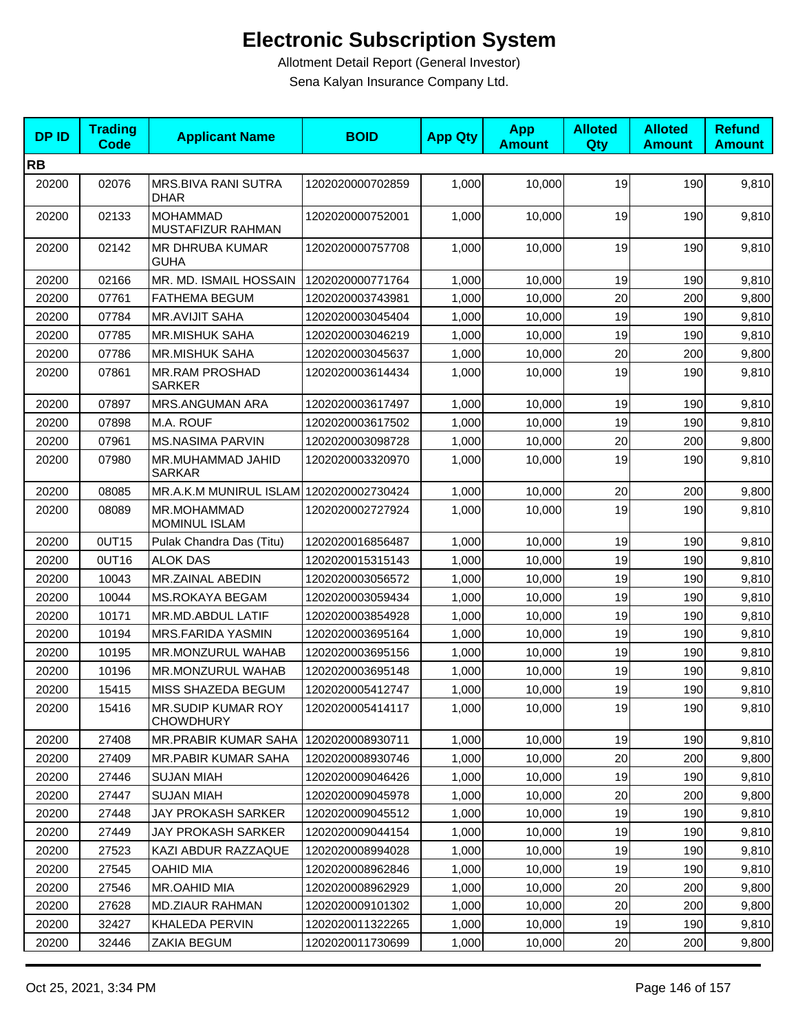| <b>DPID</b> | <b>Trading</b><br><b>Code</b> | <b>Applicant Name</b>                   | <b>BOID</b>      | <b>App Qty</b> | <b>App</b><br><b>Amount</b> | <b>Alloted</b><br>Qty | <b>Alloted</b><br><b>Amount</b> | <b>Refund</b><br><b>Amount</b> |
|-------------|-------------------------------|-----------------------------------------|------------------|----------------|-----------------------------|-----------------------|---------------------------------|--------------------------------|
| <b>RB</b>   |                               |                                         |                  |                |                             |                       |                                 |                                |
| 20200       | 02076                         | MRS.BIVA RANI SUTRA<br>DHAR             | 1202020000702859 | 1,000          | 10,000                      | 19                    | 190                             | 9,810                          |
| 20200       | 02133                         | <b>MOHAMMAD</b><br>MUSTAFIZUR RAHMAN    | 1202020000752001 | 1,000          | 10,000                      | 19                    | 190                             | 9,810                          |
| 20200       | 02142                         | MR DHRUBA KUMAR<br><b>GUHA</b>          | 1202020000757708 | 1,000          | 10,000                      | 19                    | 190                             | 9,810                          |
| 20200       | 02166                         | MR. MD. ISMAIL HOSSAIN                  | 1202020000771764 | 1,000          | 10,000                      | 19                    | 190                             | 9,810                          |
| 20200       | 07761                         | <b>FATHEMA BEGUM</b>                    | 1202020003743981 | 1,000          | 10,000                      | 20                    | 200                             | 9,800                          |
| 20200       | 07784                         | <b>MR.AVIJIT SAHA</b>                   | 1202020003045404 | 1,000          | 10,000                      | 19                    | 190                             | 9,810                          |
| 20200       | 07785                         | MR.MISHUK SAHA                          | 1202020003046219 | 1,000          | 10,000                      | 19                    | 190                             | 9,810                          |
| 20200       | 07786                         | <b>MR.MISHUK SAHA</b>                   | 1202020003045637 | 1,000          | 10,000                      | 20                    | 200                             | 9,800                          |
| 20200       | 07861                         | <b>MR.RAM PROSHAD</b><br><b>SARKER</b>  | 1202020003614434 | 1,000          | 10,000                      | 19                    | 190                             | 9,810                          |
| 20200       | 07897                         | <b>MRS.ANGUMAN ARA</b>                  | 1202020003617497 | 1,000          | 10,000                      | 19                    | 190                             | 9,810                          |
| 20200       | 07898                         | M.A. ROUF                               | 1202020003617502 | 1,000          | 10,000                      | 19                    | 190                             | 9,810                          |
| 20200       | 07961                         | <b>MS.NASIMA PARVIN</b>                 | 1202020003098728 | 1,000          | 10,000                      | 20                    | 200                             | 9,800                          |
| 20200       | 07980                         | MR.MUHAMMAD JAHID<br><b>SARKAR</b>      | 1202020003320970 | 1,000          | 10,000                      | 19                    | 190                             | 9,810                          |
| 20200       | 08085                         | MR.A.K.M MUNIRUL ISLAM 1202020002730424 |                  | 1,000          | 10,000                      | 20                    | 200                             | 9,800                          |
| 20200       | 08089                         | MR.MOHAMMAD<br><b>MOMINUL ISLAM</b>     | 1202020002727924 | 1,000          | 10,000                      | 19                    | 190                             | 9,810                          |
| 20200       | 0UT15                         | Pulak Chandra Das (Titu)                | 1202020016856487 | 1,000          | 10,000                      | 19                    | 190                             | 9,810                          |
| 20200       | OUT16                         | <b>ALOK DAS</b>                         | 1202020015315143 | 1,000          | 10,000                      | 19                    | 190                             | 9,810                          |
| 20200       | 10043                         | MR.ZAINAL ABEDIN                        | 1202020003056572 | 1,000          | 10,000                      | 19                    | 190                             | 9,810                          |
| 20200       | 10044                         | <b>MS.ROKAYA BEGAM</b>                  | 1202020003059434 | 1,000          | 10,000                      | 19                    | 190                             | 9,810                          |
| 20200       | 10171                         | MR.MD.ABDUL LATIF                       | 1202020003854928 | 1,000          | 10,000                      | 19                    | 190                             | 9,810                          |
| 20200       | 10194                         | <b>MRS.FARIDA YASMIN</b>                | 1202020003695164 | 1,000          | 10,000                      | 19                    | 190                             | 9,810                          |
| 20200       | 10195                         | MR.MONZURUL WAHAB                       | 1202020003695156 | 1,000          | 10,000                      | 19                    | 190                             | 9,810                          |
| 20200       | 10196                         | MR.MONZURUL WAHAB                       | 1202020003695148 | 1,000          | 10,000                      | 19                    | 190                             | 9,810                          |
| 20200       | 15415                         | MISS SHAZEDA BEGUM                      | 1202020005412747 | 1,000          | 10,000                      | 19                    | 190                             | 9,810                          |
| 20200       | 15416                         | MR.SUDIP KUMAR ROY<br><b>CHOWDHURY</b>  | 1202020005414117 | 1,000          | 10,000                      | 19                    | 190                             | 9,810                          |
| 20200       | 27408                         | MR.PRABIR KUMAR SAHA                    | 1202020008930711 | 1,000          | 10,000                      | 19                    | 190                             | 9,810                          |
| 20200       | 27409                         | <b>MR.PABIR KUMAR SAHA</b>              | 1202020008930746 | 1,000          | 10,000                      | 20                    | 200                             | 9,800                          |
| 20200       | 27446                         | <b>SUJAN MIAH</b>                       | 1202020009046426 | 1,000          | 10,000                      | 19                    | 190                             | 9,810                          |
| 20200       | 27447                         | <b>SUJAN MIAH</b>                       | 1202020009045978 | 1,000          | 10,000                      | 20                    | 200                             | 9,800                          |
| 20200       | 27448                         | JAY PROKASH SARKER                      | 1202020009045512 | 1,000          | 10,000                      | 19                    | 190                             | 9,810                          |
| 20200       | 27449                         | JAY PROKASH SARKER                      | 1202020009044154 | 1,000          | 10,000                      | 19                    | 190                             | 9,810                          |
| 20200       | 27523                         | KAZI ABDUR RAZZAQUE                     | 1202020008994028 | 1,000          | 10,000                      | 19                    | 190                             | 9,810                          |
| 20200       | 27545                         | <b>OAHID MIA</b>                        | 1202020008962846 | 1,000          | 10,000                      | 19                    | 190                             | 9,810                          |
| 20200       | 27546                         | MR.OAHID MIA                            | 1202020008962929 | 1,000          | 10,000                      | 20                    | 200                             | 9,800                          |
| 20200       | 27628                         | <b>MD.ZIAUR RAHMAN</b>                  | 1202020009101302 | 1,000          | 10,000                      | 20                    | 200                             | 9,800                          |
| 20200       | 32427                         | KHALEDA PERVIN                          | 1202020011322265 | 1,000          | 10,000                      | 19                    | 190                             | 9,810                          |
| 20200       | 32446                         | ZAKIA BEGUM                             | 1202020011730699 | 1,000          | 10,000                      | 20                    | 200                             | 9,800                          |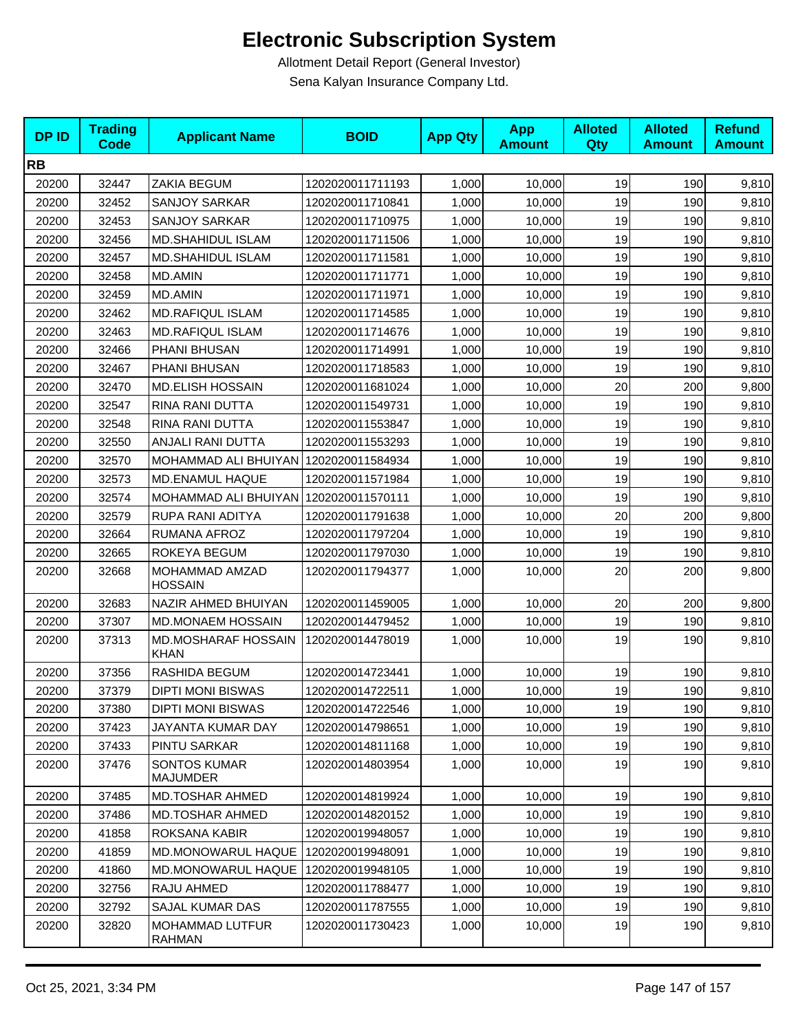| <b>DPID</b> | <b>Trading</b><br><b>Code</b> | <b>Applicant Name</b>                     | <b>BOID</b>      | <b>App Qty</b> | <b>App</b><br><b>Amount</b> | <b>Alloted</b><br>Qty | <b>Alloted</b><br><b>Amount</b> | <b>Refund</b><br><b>Amount</b> |
|-------------|-------------------------------|-------------------------------------------|------------------|----------------|-----------------------------|-----------------------|---------------------------------|--------------------------------|
| <b>RB</b>   |                               |                                           |                  |                |                             |                       |                                 |                                |
| 20200       | 32447                         | ZAKIA BEGUM                               | 1202020011711193 | 1,000          | 10,000                      | 19                    | 190                             | 9,810                          |
| 20200       | 32452                         | <b>SANJOY SARKAR</b>                      | 1202020011710841 | 1,000          | 10,000                      | 19                    | 190                             | 9,810                          |
| 20200       | 32453                         | <b>SANJOY SARKAR</b>                      | 1202020011710975 | 1,000          | 10,000                      | 19                    | 190                             | 9,810                          |
| 20200       | 32456                         | MD.SHAHIDUL ISLAM                         | 1202020011711506 | 1,000          | 10,000                      | 19                    | 190                             | 9,810                          |
| 20200       | 32457                         | MD.SHAHIDUL ISLAM                         | 1202020011711581 | 1,000          | 10,000                      | 19                    | 190                             | 9,810                          |
| 20200       | 32458                         | <b>MD.AMIN</b>                            | 1202020011711771 | 1,000          | 10,000                      | 19                    | 190                             | 9,810                          |
| 20200       | 32459                         | MD.AMIN                                   | 1202020011711971 | 1,000          | 10,000                      | 19                    | 190                             | 9,810                          |
| 20200       | 32462                         | <b>MD.RAFIQUL ISLAM</b>                   | 1202020011714585 | 1,000          | 10,000                      | 19                    | 190                             | 9,810                          |
| 20200       | 32463                         | <b>MD.RAFIQUL ISLAM</b>                   | 1202020011714676 | 1,000          | 10,000                      | 19                    | 190                             | 9,810                          |
| 20200       | 32466                         | PHANI BHUSAN                              | 1202020011714991 | 1,000          | 10,000                      | 19                    | 190                             | 9,810                          |
| 20200       | 32467                         | PHANI BHUSAN                              | 1202020011718583 | 1,000          | 10,000                      | 19                    | 190                             | 9,810                          |
| 20200       | 32470                         | <b>MD.ELISH HOSSAIN</b>                   | 1202020011681024 | 1,000          | 10,000                      | 20                    | 200                             | 9,800                          |
| 20200       | 32547                         | RINA RANI DUTTA                           | 1202020011549731 | 1,000          | 10,000                      | 19                    | 190                             | 9,810                          |
| 20200       | 32548                         | RINA RANI DUTTA                           | 1202020011553847 | 1,000          | 10,000                      | 19                    | 190                             | 9,810                          |
| 20200       | 32550                         | ANJALI RANI DUTTA                         | 1202020011553293 | 1,000          | 10,000                      | 19                    | 190                             | 9,810                          |
| 20200       | 32570                         | MOHAMMAD ALI BHUIYAN                      | 1202020011584934 | 1,000          | 10,000                      | 19                    | 190                             | 9,810                          |
| 20200       | 32573                         | <b>MD.ENAMUL HAQUE</b>                    | 1202020011571984 | 1,000          | 10,000                      | 19                    | 190                             | 9,810                          |
| 20200       | 32574                         | MOHAMMAD ALI BHUIYAN                      | 1202020011570111 | 1,000          | 10,000                      | 19                    | 190                             | 9,810                          |
| 20200       | 32579                         | RUPA RANI ADITYA                          | 1202020011791638 | 1,000          | 10,000                      | 20                    | 200                             | 9,800                          |
| 20200       | 32664                         | RUMANA AFROZ                              | 1202020011797204 | 1,000          | 10,000                      | 19                    | 190                             | 9,810                          |
| 20200       | 32665                         | ROKEYA BEGUM                              | 1202020011797030 | 1,000          | 10,000                      | 19                    | 190                             | 9,810                          |
| 20200       | 32668                         | MOHAMMAD AMZAD<br><b>HOSSAIN</b>          | 1202020011794377 | 1,000          | 10,000                      | 20                    | 200                             | 9,800                          |
| 20200       | 32683                         | NAZIR AHMED BHUIYAN                       | 1202020011459005 | 1,000          | 10,000                      | 20                    | 200                             | 9,800                          |
| 20200       | 37307                         | <b>MD.MONAEM HOSSAIN</b>                  | 1202020014479452 | 1,000          | 10,000                      | 19                    | 190                             | 9,810                          |
| 20200       | 37313                         | <b>MD.MOSHARAF HOSSAIN</b><br><b>KHAN</b> | 1202020014478019 | 1,000          | 10,000                      | 19                    | 190                             | 9,810                          |
| 20200       | 37356                         | RASHIDA BEGUM                             | 1202020014723441 | 1,000          | 10,000                      | 19                    | 190                             | 9,810                          |
| 20200       | 37379                         | <b>DIPTI MONI BISWAS</b>                  | 1202020014722511 | 1,000          | 10,000                      | 19                    | 190                             | 9,810                          |
| 20200       | 37380                         | <b>DIPTI MONI BISWAS</b>                  | 1202020014722546 | 1,000          | 10,000                      | 19                    | 190                             | 9,810                          |
| 20200       | 37423                         | JAYANTA KUMAR DAY                         | 1202020014798651 | 1,000          | 10,000                      | 19                    | 190                             | 9,810                          |
| 20200       | 37433                         | PINTU SARKAR                              | 1202020014811168 | 1,000          | 10,000                      | 19                    | 190                             | 9,810                          |
| 20200       | 37476                         | <b>SONTOS KUMAR</b><br>MAJUMDER           | 1202020014803954 | 1,000          | 10,000                      | 19                    | 190                             | 9,810                          |
| 20200       | 37485                         | MD.TOSHAR AHMED                           | 1202020014819924 | 1,000          | 10,000                      | 19                    | 190                             | 9,810                          |
| 20200       | 37486                         | <b>MD.TOSHAR AHMED</b>                    | 1202020014820152 | 1,000          | 10,000                      | 19                    | 190                             | 9,810                          |
| 20200       | 41858                         | ROKSANA KABIR                             | 1202020019948057 | 1,000          | 10,000                      | 19                    | 190                             | 9,810                          |
| 20200       | 41859                         | <b>MD.MONOWARUL HAQUE</b>                 | 1202020019948091 | 1,000          | 10,000                      | 19                    | 190                             | 9,810                          |
| 20200       | 41860                         | MD.MONOWARUL HAQUE                        | 1202020019948105 | 1,000          | 10,000                      | 19                    | 190                             | 9,810                          |
| 20200       | 32756                         | RAJU AHMED                                | 1202020011788477 | 1,000          | 10,000                      | 19                    | 190                             | 9,810                          |
| 20200       | 32792                         | SAJAL KUMAR DAS                           | 1202020011787555 | 1,000          | 10,000                      | 19                    | 190                             | 9,810                          |
| 20200       | 32820                         | MOHAMMAD LUTFUR<br>RAHMAN                 | 1202020011730423 | 1,000          | 10,000                      | 19                    | 190                             | 9,810                          |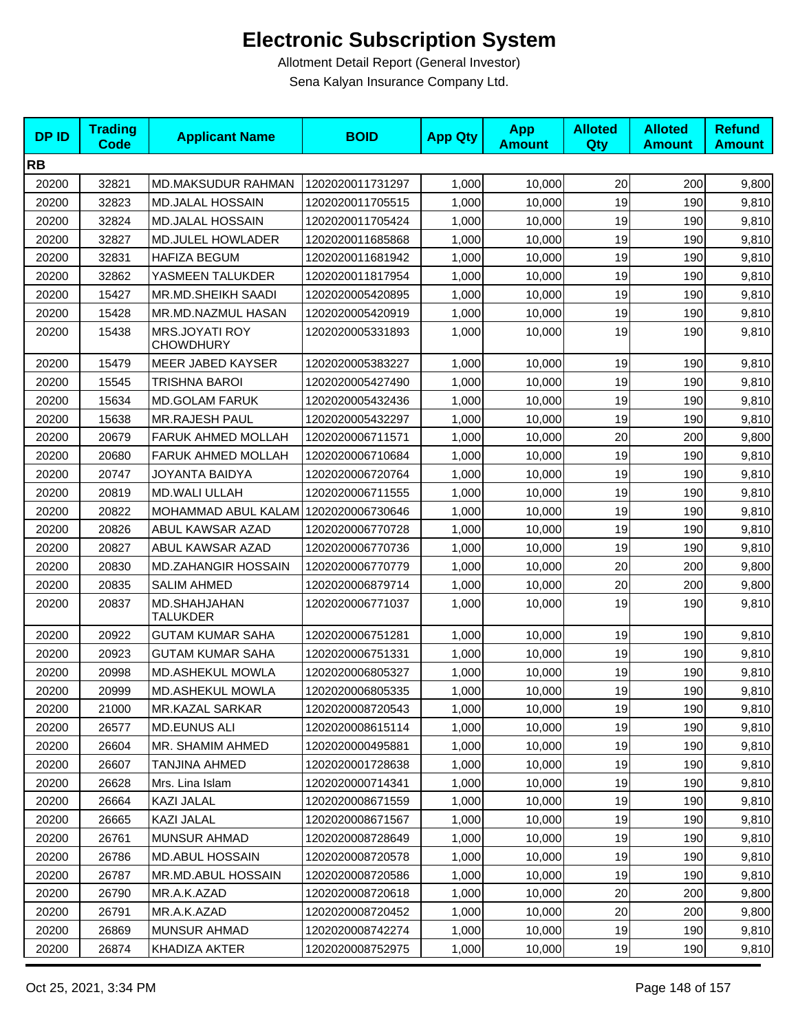| <b>DPID</b> | <b>Trading</b><br><b>Code</b> | <b>Applicant Name</b>                     | <b>BOID</b>      | <b>App Qty</b> | <b>App</b><br><b>Amount</b> | <b>Alloted</b><br>Qty | <b>Alloted</b><br><b>Amount</b> | <b>Refund</b><br><b>Amount</b> |
|-------------|-------------------------------|-------------------------------------------|------------------|----------------|-----------------------------|-----------------------|---------------------------------|--------------------------------|
| <b>RB</b>   |                               |                                           |                  |                |                             |                       |                                 |                                |
| 20200       | 32821                         | MD.MAKSUDUR RAHMAN                        | 1202020011731297 | 1,000          | 10,000                      | 20                    | 200                             | 9,800                          |
| 20200       | 32823                         | <b>MD.JALAL HOSSAIN</b>                   | 1202020011705515 | 1,000          | 10,000                      | 19                    | 190                             | 9,810                          |
| 20200       | 32824                         | <b>MD.JALAL HOSSAIN</b>                   | 1202020011705424 | 1,000          | 10,000                      | 19                    | 190                             | 9,810                          |
| 20200       | 32827                         | MD.JULEL HOWLADER                         | 1202020011685868 | 1,000          | 10,000                      | 19                    | 190                             | 9,810                          |
| 20200       | 32831                         | <b>HAFIZA BEGUM</b>                       | 1202020011681942 | 1,000          | 10,000                      | 19                    | 190                             | 9,810                          |
| 20200       | 32862                         | YASMEEN TALUKDER                          | 1202020011817954 | 1,000          | 10,000                      | 19                    | 190                             | 9,810                          |
| 20200       | 15427                         | MR.MD.SHEIKH SAADI                        | 1202020005420895 | 1,000          | 10,000                      | 19                    | 190                             | 9,810                          |
| 20200       | 15428                         | MR.MD.NAZMUL HASAN                        | 1202020005420919 | 1,000          | 10,000                      | 19                    | 190                             | 9,810                          |
| 20200       | 15438                         | <b>MRS.JOYATI ROY</b><br><b>CHOWDHURY</b> | 1202020005331893 | 1,000          | 10,000                      | 19                    | 190                             | 9,810                          |
| 20200       | 15479                         | MEER JABED KAYSER                         | 1202020005383227 | 1,000          | 10,000                      | 19                    | 190                             | 9,810                          |
| 20200       | 15545                         | <b>TRISHNA BAROI</b>                      | 1202020005427490 | 1,000          | 10,000                      | 19                    | 190                             | 9,810                          |
| 20200       | 15634                         | <b>MD.GOLAM FARUK</b>                     | 1202020005432436 | 1,000          | 10,000                      | 19                    | 190                             | 9,810                          |
| 20200       | 15638                         | <b>MR.RAJESH PAUL</b>                     | 1202020005432297 | 1,000          | 10,000                      | 19                    | 190                             | 9,810                          |
| 20200       | 20679                         | FARUK AHMED MOLLAH                        | 1202020006711571 | 1,000          | 10,000                      | 20                    | 200                             | 9,800                          |
| 20200       | 20680                         | <b>FARUK AHMED MOLLAH</b>                 | 1202020006710684 | 1,000          | 10,000                      | 19                    | 190                             | 9,810                          |
| 20200       | 20747                         | JOYANTA BAIDYA                            | 1202020006720764 | 1,000          | 10,000                      | 19                    | 190                             | 9,810                          |
| 20200       | 20819                         | <b>MD.WALI ULLAH</b>                      | 1202020006711555 | 1,000          | 10,000                      | 19                    | 190                             | 9,810                          |
| 20200       | 20822                         | MOHAMMAD ABUL KALAM 1202020006730646      |                  | 1,000          | 10,000                      | 19                    | 190                             | 9,810                          |
| 20200       | 20826                         | ABUL KAWSAR AZAD                          | 1202020006770728 | 1,000          | 10,000                      | 19                    | 190                             | 9,810                          |
| 20200       | 20827                         | ABUL KAWSAR AZAD                          | 1202020006770736 | 1,000          | 10,000                      | 19                    | 190                             | 9,810                          |
| 20200       | 20830                         | <b>MD.ZAHANGIR HOSSAIN</b>                | 1202020006770779 | 1,000          | 10,000                      | 20                    | 200                             | 9,800                          |
| 20200       | 20835                         | <b>SALIM AHMED</b>                        | 1202020006879714 | 1,000          | 10,000                      | 20                    | 200                             | 9,800                          |
| 20200       | 20837                         | MD.SHAHJAHAN<br>TALUKDER                  | 1202020006771037 | 1,000          | 10,000                      | 19                    | 190                             | 9,810                          |
| 20200       | 20922                         | <b>GUTAM KUMAR SAHA</b>                   | 1202020006751281 | 1,000          | 10,000                      | 19                    | 190                             | 9,810                          |
| 20200       | 20923                         | <b>GUTAM KUMAR SAHA</b>                   | 1202020006751331 | 1,000          | 10,000                      | 19                    | 190                             | 9,810                          |
| 20200       | 20998                         | <b>MD.ASHEKUL MOWLA</b>                   | 1202020006805327 | 1,000          | 10,000                      | 19                    | 190                             | 9,810                          |
| 20200       | 20999                         | MD.ASHEKUL MOWLA                          | 1202020006805335 | 1,000          | 10,000                      | 19                    | 190                             | 9,810                          |
| 20200       | 21000                         | <b>MR.KAZAL SARKAR</b>                    | 1202020008720543 | 1,000          | 10,000                      | 19                    | 190                             | 9,810                          |
| 20200       | 26577                         | <b>MD.EUNUS ALI</b>                       | 1202020008615114 | 1,000          | 10,000                      | 19                    | 190                             | 9,810                          |
| 20200       | 26604                         | MR. SHAMIM AHMED                          | 1202020000495881 | 1,000          | 10,000                      | 19                    | 190                             | 9,810                          |
| 20200       | 26607                         | TANJINA AHMED                             | 1202020001728638 | 1,000          | 10,000                      | 19                    | 190                             | 9,810                          |
| 20200       | 26628                         | Mrs. Lina Islam                           | 1202020000714341 | 1,000          | 10,000                      | 19                    | 190                             | 9,810                          |
| 20200       | 26664                         | KAZI JALAL                                | 1202020008671559 | 1,000          | 10,000                      | 19                    | 190                             | 9,810                          |
| 20200       | 26665                         | KAZI JALAL                                | 1202020008671567 | 1,000          | 10,000                      | 19                    | 190                             | 9,810                          |
| 20200       | 26761                         | MUNSUR AHMAD                              | 1202020008728649 | 1,000          | 10,000                      | 19                    | 190                             | 9,810                          |
| 20200       | 26786                         | MD.ABUL HOSSAIN                           | 1202020008720578 | 1,000          | 10,000                      | 19                    | 190                             | 9,810                          |
| 20200       | 26787                         | MR.MD.ABUL HOSSAIN                        | 1202020008720586 | 1,000          | 10,000                      | 19                    | 190                             | 9,810                          |
| 20200       | 26790                         | MR.A.K.AZAD                               | 1202020008720618 | 1,000          | 10,000                      | 20                    | 200                             | 9,800                          |
| 20200       | 26791                         | MR.A.K.AZAD                               | 1202020008720452 | 1,000          | 10,000                      | 20                    | 200                             | 9,800                          |
| 20200       | 26869                         | <b>MUNSUR AHMAD</b>                       | 1202020008742274 | 1,000          | 10,000                      | 19                    | 190                             | 9,810                          |
| 20200       | 26874                         | KHADIZA AKTER                             | 1202020008752975 | 1,000          | 10,000                      | 19                    | 190                             | 9,810                          |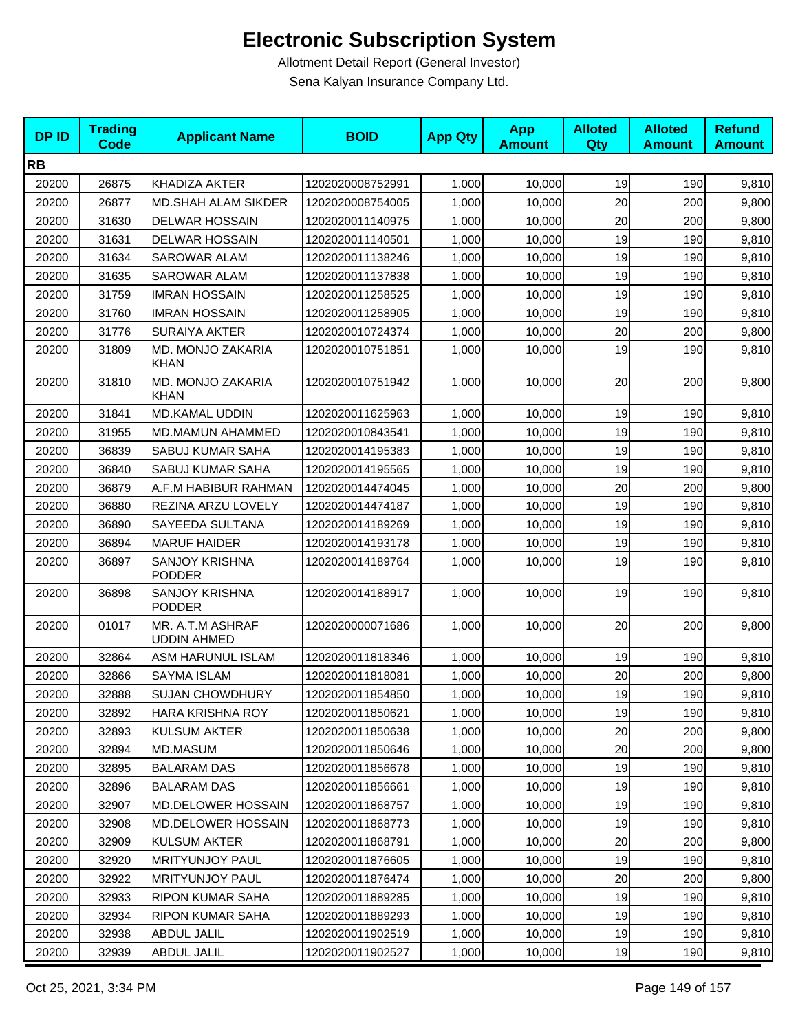| <b>DPID</b> | <b>Trading</b><br><b>Code</b> | <b>Applicant Name</b>                  | <b>BOID</b>      | <b>App Qty</b> | <b>App</b><br><b>Amount</b> | <b>Alloted</b><br><b>Qty</b> | <b>Alloted</b><br><b>Amount</b> | <b>Refund</b><br><b>Amount</b> |
|-------------|-------------------------------|----------------------------------------|------------------|----------------|-----------------------------|------------------------------|---------------------------------|--------------------------------|
| <b>RB</b>   |                               |                                        |                  |                |                             |                              |                                 |                                |
| 20200       | 26875                         | KHADIZA AKTER                          | 1202020008752991 | 1,000          | 10,000                      | 19                           | 190                             | 9,810                          |
| 20200       | 26877                         | <b>MD.SHAH ALAM SIKDER</b>             | 1202020008754005 | 1,000          | 10,000                      | 20                           | 200                             | 9,800                          |
| 20200       | 31630                         | <b>DELWAR HOSSAIN</b>                  | 1202020011140975 | 1,000          | 10,000                      | 20                           | 200                             | 9,800                          |
| 20200       | 31631                         | <b>DELWAR HOSSAIN</b>                  | 1202020011140501 | 1,000          | 10,000                      | 19                           | 190                             | 9,810                          |
| 20200       | 31634                         | <b>SAROWAR ALAM</b>                    | 1202020011138246 | 1,000          | 10,000                      | 19                           | 190                             | 9,810                          |
| 20200       | 31635                         | <b>SAROWAR ALAM</b>                    | 1202020011137838 | 1.000          | 10,000                      | 19                           | 190                             | 9,810                          |
| 20200       | 31759                         | <b>IMRAN HOSSAIN</b>                   | 1202020011258525 | 1,000          | 10,000                      | 19                           | 190                             | 9,810                          |
| 20200       | 31760                         | <b>IMRAN HOSSAIN</b>                   | 1202020011258905 | 1,000          | 10,000                      | 19                           | 190                             | 9,810                          |
| 20200       | 31776                         | <b>SURAIYA AKTER</b>                   | 1202020010724374 | 1,000          | 10,000                      | 20                           | 200                             | 9,800                          |
| 20200       | 31809                         | MD. MONJO ZAKARIA<br><b>KHAN</b>       | 1202020010751851 | 1,000          | 10,000                      | 19                           | 190                             | 9,810                          |
| 20200       | 31810                         | MD. MONJO ZAKARIA<br><b>KHAN</b>       | 1202020010751942 | 1,000          | 10,000                      | 20                           | 200                             | 9,800                          |
| 20200       | 31841                         | MD.KAMAL UDDIN                         | 1202020011625963 | 1,000          | 10,000                      | 19                           | 190                             | 9,810                          |
| 20200       | 31955                         | MD.MAMUN AHAMMED                       | 1202020010843541 | 1.000          | 10,000                      | 19                           | 190                             | 9,810                          |
| 20200       | 36839                         | <b>SABUJ KUMAR SAHA</b>                | 1202020014195383 | 1,000          | 10,000                      | 19                           | 190                             | 9,810                          |
| 20200       | 36840                         | SABUJ KUMAR SAHA                       | 1202020014195565 | 1,000          | 10,000                      | 19                           | 190                             | 9,810                          |
| 20200       | 36879                         | A.F.M HABIBUR RAHMAN                   | 1202020014474045 | 1,000          | 10,000                      | 20                           | 200                             | 9,800                          |
| 20200       | 36880                         | REZINA ARZU LOVELY                     | 1202020014474187 | 1,000          | 10,000                      | 19                           | 190                             | 9,810                          |
| 20200       | 36890                         | SAYEEDA SULTANA                        | 1202020014189269 | 1,000          | 10,000                      | 19                           | 190                             | 9,810                          |
| 20200       | 36894                         | <b>MARUF HAIDER</b>                    | 1202020014193178 | 1,000          | 10,000                      | 19                           | 190                             | 9,810                          |
| 20200       | 36897                         | <b>SANJOY KRISHNA</b><br><b>PODDER</b> | 1202020014189764 | 1,000          | 10,000                      | 19                           | 190                             | 9,810                          |
| 20200       | 36898                         | SANJOY KRISHNA<br><b>PODDER</b>        | 1202020014188917 | 1,000          | 10,000                      | 19                           | 190                             | 9,810                          |
| 20200       | 01017                         | MR. A.T.M ASHRAF<br><b>UDDIN AHMED</b> | 1202020000071686 | 1,000          | 10,000                      | 20                           | 200                             | 9,800                          |
| 20200       | 32864                         | ASM HARUNUL ISLAM                      | 1202020011818346 | 1,000          | 10,000                      | 19                           | 190                             | 9,810                          |
| 20200       | 32866                         | SAYMA ISLAM                            | 1202020011818081 | 1,000          | 10,000                      | 20                           | 200                             | 9,800                          |
| 20200       | 32888                         | <b>SUJAN CHOWDHURY</b>                 | 1202020011854850 | 1,000          | 10,000                      | 19                           | 190                             | 9,810                          |
| 20200       | 32892                         | HARA KRISHNA ROY                       | 1202020011850621 | 1,000          | 10,000                      | 19                           | 190                             | 9,810                          |
| 20200       | 32893                         | <b>KULSUM AKTER</b>                    | 1202020011850638 | 1,000          | 10,000                      | 20                           | 200                             | 9,800                          |
| 20200       | 32894                         | MD.MASUM                               | 1202020011850646 | 1,000          | 10,000                      | 20                           | 200                             | 9,800                          |
| 20200       | 32895                         | <b>BALARAM DAS</b>                     | 1202020011856678 | 1,000          | 10,000                      | 19                           | 190                             | 9,810                          |
| 20200       | 32896                         | <b>BALARAM DAS</b>                     | 1202020011856661 | 1,000          | 10,000                      | 19                           | 190                             | 9,810                          |
| 20200       | 32907                         | <b>MD.DELOWER HOSSAIN</b>              | 1202020011868757 | 1,000          | 10,000                      | 19                           | 190                             | 9,810                          |
| 20200       | 32908                         | <b>MD.DELOWER HOSSAIN</b>              | 1202020011868773 | 1,000          | 10,000                      | 19                           | 190                             | 9,810                          |
| 20200       | 32909                         | <b>KULSUM AKTER</b>                    | 1202020011868791 | 1,000          | 10,000                      | 20                           | 200                             | 9,800                          |
| 20200       | 32920                         | <b>MRITYUNJOY PAUL</b>                 | 1202020011876605 | 1,000          | 10,000                      | 19                           | 190                             | 9,810                          |
| 20200       | 32922                         | <b>MRITYUNJOY PAUL</b>                 | 1202020011876474 | 1,000          | 10,000                      | 20                           | 200                             | 9,800                          |
| 20200       | 32933                         | RIPON KUMAR SAHA                       | 1202020011889285 | 1,000          | 10,000                      | 19                           | 190                             | 9,810                          |
| 20200       | 32934                         | RIPON KUMAR SAHA                       | 1202020011889293 | 1,000          | 10,000                      | 19                           | 190                             | 9,810                          |
| 20200       | 32938                         | ABDUL JALIL                            | 1202020011902519 | 1,000          | 10,000                      | 19                           | 190                             | 9,810                          |
| 20200       | 32939                         | ABDUL JALIL                            | 1202020011902527 | 1,000          | 10,000                      | 19                           | 190                             | 9,810                          |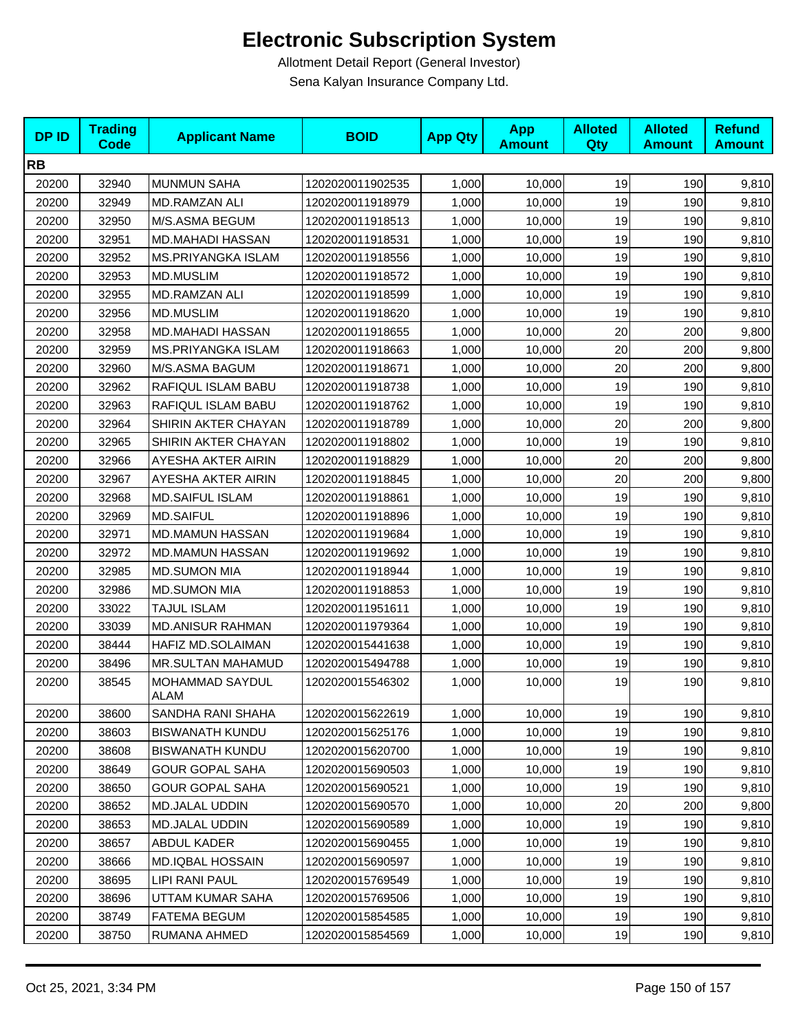| <b>DPID</b> | <b>Trading</b><br><b>Code</b> | <b>Applicant Name</b>     | <b>BOID</b>      | <b>App Qty</b> | <b>App</b><br><b>Amount</b> | <b>Alloted</b><br><b>Qty</b> | <b>Alloted</b><br><b>Amount</b> | <b>Refund</b><br><b>Amount</b> |
|-------------|-------------------------------|---------------------------|------------------|----------------|-----------------------------|------------------------------|---------------------------------|--------------------------------|
| <b>RB</b>   |                               |                           |                  |                |                             |                              |                                 |                                |
| 20200       | 32940                         | <b>MUNMUN SAHA</b>        | 1202020011902535 | 1,000          | 10,000                      | 19                           | 190                             | 9,810                          |
| 20200       | 32949                         | MD.RAMZAN ALI             | 1202020011918979 | 1,000          | 10,000                      | 19                           | 190                             | 9,810                          |
| 20200       | 32950                         | M/S.ASMA BEGUM            | 1202020011918513 | 1,000          | 10,000                      | 19                           | 190                             | 9,810                          |
| 20200       | 32951                         | <b>MD.MAHADI HASSAN</b>   | 1202020011918531 | 1,000          | 10,000                      | 19                           | 190                             | 9,810                          |
| 20200       | 32952                         | <b>MS.PRIYANGKA ISLAM</b> | 1202020011918556 | 1,000          | 10,000                      | 19                           | 190                             | 9,810                          |
| 20200       | 32953                         | <b>MD.MUSLIM</b>          | 1202020011918572 | 1,000          | 10,000                      | 19                           | 190                             | 9,810                          |
| 20200       | 32955                         | MD.RAMZAN ALI             | 1202020011918599 | 1,000          | 10,000                      | 19                           | 190                             | 9,810                          |
| 20200       | 32956                         | <b>MD.MUSLIM</b>          | 1202020011918620 | 1,000          | 10,000                      | 19                           | 190                             | 9,810                          |
| 20200       | 32958                         | <b>MD.MAHADI HASSAN</b>   | 1202020011918655 | 1,000          | 10,000                      | 20                           | 200                             | 9,800                          |
| 20200       | 32959                         | <b>MS.PRIYANGKA ISLAM</b> | 1202020011918663 | 1,000          | 10,000                      | 20                           | 200                             | 9,800                          |
| 20200       | 32960                         | M/S.ASMA BAGUM            | 1202020011918671 | 1,000          | 10,000                      | 20                           | 200                             | 9,800                          |
| 20200       | 32962                         | RAFIQUL ISLAM BABU        | 1202020011918738 | 1,000          | 10,000                      | 19                           | 190                             | 9,810                          |
| 20200       | 32963                         | RAFIQUL ISLAM BABU        | 1202020011918762 | 1,000          | 10,000                      | 19                           | 190                             | 9,810                          |
| 20200       | 32964                         | SHIRIN AKTER CHAYAN       | 1202020011918789 | 1,000          | 10,000                      | 20                           | 200                             | 9,800                          |
| 20200       | 32965                         | SHIRIN AKTER CHAYAN       | 1202020011918802 | 1,000          | 10,000                      | 19                           | 190                             | 9,810                          |
| 20200       | 32966                         | AYESHA AKTER AIRIN        | 1202020011918829 | 1,000          | 10,000                      | 20                           | 200                             | 9,800                          |
| 20200       | 32967                         | AYESHA AKTER AIRIN        | 1202020011918845 | 1,000          | 10,000                      | 20                           | 200                             | 9,800                          |
| 20200       | 32968                         | <b>MD.SAIFUL ISLAM</b>    | 1202020011918861 | 1,000          | 10,000                      | 19                           | 190                             | 9,810                          |
| 20200       | 32969                         | <b>MD.SAIFUL</b>          | 1202020011918896 | 1,000          | 10,000                      | 19                           | 190                             | 9,810                          |
| 20200       | 32971                         | <b>MD.MAMUN HASSAN</b>    | 1202020011919684 | 1,000          | 10,000                      | 19                           | 190                             | 9,810                          |
| 20200       | 32972                         | <b>MD.MAMUN HASSAN</b>    | 1202020011919692 | 1,000          | 10,000                      | 19                           | 190                             | 9,810                          |
| 20200       | 32985                         | <b>MD.SUMON MIA</b>       | 1202020011918944 | 1,000          | 10,000                      | 19                           | 190                             | 9,810                          |
| 20200       | 32986                         | <b>MD.SUMON MIA</b>       | 1202020011918853 | 1,000          | 10,000                      | 19                           | 190                             | 9,810                          |
| 20200       | 33022                         | <b>TAJUL ISLAM</b>        | 1202020011951611 | 1,000          | 10,000                      | 19                           | 190                             | 9,810                          |
| 20200       | 33039                         | <b>MD.ANISUR RAHMAN</b>   | 1202020011979364 | 1,000          | 10,000                      | 19                           | 190                             | 9,810                          |
| 20200       | 38444                         | HAFIZ MD.SOLAIMAN         | 1202020015441638 | 1,000          | 10,000                      | 19                           | 190                             | 9,810                          |
| 20200       | 38496                         | <b>MR.SULTAN MAHAMUD</b>  | 1202020015494788 | 1,000          | 10,000                      | 19                           | 190                             | 9,810                          |
| 20200       | 38545                         | MOHAMMAD SAYDUL<br>ALAM   | 1202020015546302 | 1,000          | 10,000                      | 19                           | 190                             | 9,810                          |
| 20200       | 38600                         | SANDHA RANI SHAHA         | 1202020015622619 | 1,000          | 10,000                      | 19                           | 190                             | 9,810                          |
| 20200       | 38603                         | <b>BISWANATH KUNDU</b>    | 1202020015625176 | 1,000          | 10,000                      | 19                           | 190                             | 9,810                          |
| 20200       | 38608                         | <b>BISWANATH KUNDU</b>    | 1202020015620700 | 1,000          | 10,000                      | 19                           | 190                             | 9,810                          |
| 20200       | 38649                         | <b>GOUR GOPAL SAHA</b>    | 1202020015690503 | 1,000          | 10,000                      | 19                           | 190                             | 9,810                          |
| 20200       | 38650                         | <b>GOUR GOPAL SAHA</b>    | 1202020015690521 | 1,000          | 10,000                      | 19                           | 190                             | 9,810                          |
| 20200       | 38652                         | <b>MD.JALAL UDDIN</b>     | 1202020015690570 | 1,000          | 10,000                      | 20                           | 200                             | 9,800                          |
| 20200       | 38653                         | MD.JALAL UDDIN            | 1202020015690589 | 1,000          | 10,000                      | 19                           | 190                             | 9,810                          |
| 20200       | 38657                         | ABDUL KADER               | 1202020015690455 | 1,000          | 10,000                      | 19                           | 190                             | 9,810                          |
| 20200       | 38666                         | MD.IQBAL HOSSAIN          | 1202020015690597 | 1,000          | 10,000                      | 19                           | 190                             | 9,810                          |
| 20200       | 38695                         | LIPI RANI PAUL            | 1202020015769549 | 1,000          | 10,000                      | 19                           | 190                             | 9,810                          |
| 20200       | 38696                         | UTTAM KUMAR SAHA          | 1202020015769506 | 1,000          | 10,000                      | 19                           | 190                             | 9,810                          |
| 20200       | 38749                         | FATEMA BEGUM              | 1202020015854585 | 1,000          | 10,000                      | 19                           | 190                             | 9,810                          |
| 20200       | 38750                         | RUMANA AHMED              | 1202020015854569 | 1,000          | 10,000                      | 19                           | 190                             | 9,810                          |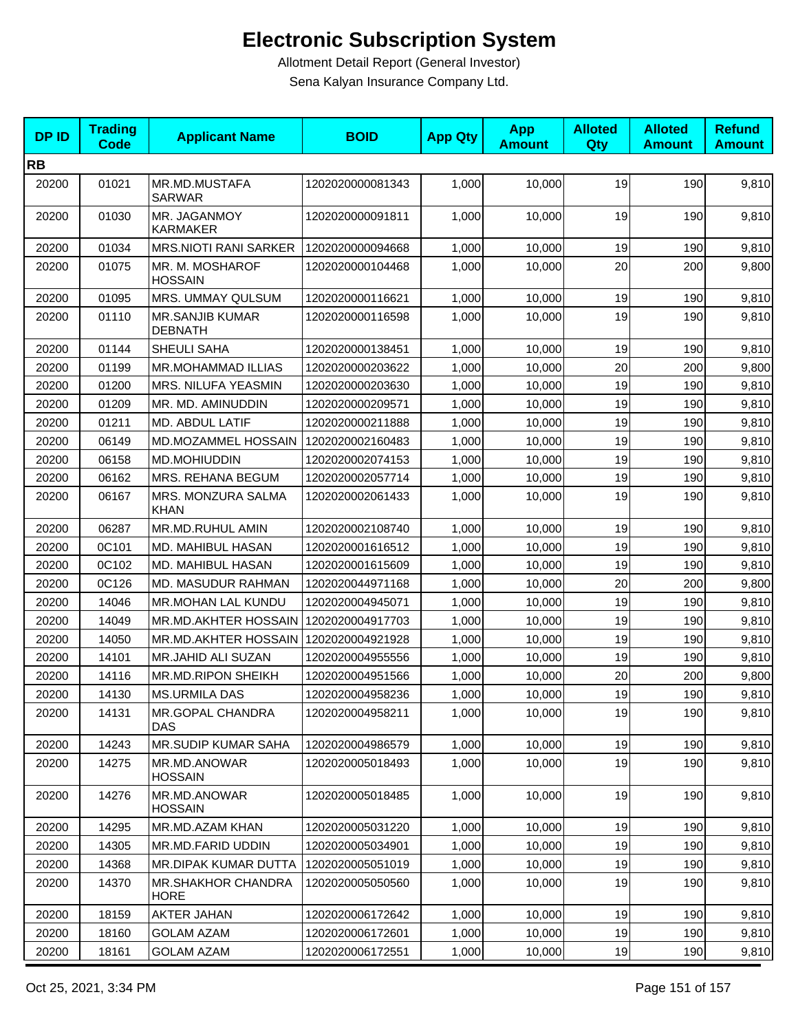| <b>DPID</b> | <b>Trading</b><br><b>Code</b> | <b>Applicant Name</b>                    | <b>BOID</b>      | <b>App Qty</b> | <b>App</b><br><b>Amount</b> | <b>Alloted</b><br>Qty | <b>Alloted</b><br><b>Amount</b> | <b>Refund</b><br><b>Amount</b> |
|-------------|-------------------------------|------------------------------------------|------------------|----------------|-----------------------------|-----------------------|---------------------------------|--------------------------------|
| <b>RB</b>   |                               |                                          |                  |                |                             |                       |                                 |                                |
| 20200       | 01021                         | MR.MD.MUSTAFA<br><b>SARWAR</b>           | 1202020000081343 | 1,000          | 10,000                      | 19                    | 190                             | 9,810                          |
| 20200       | 01030                         | MR. JAGANMOY<br><b>KARMAKER</b>          | 1202020000091811 | 1,000          | 10,000                      | 19                    | 190                             | 9,810                          |
| 20200       | 01034                         | <b>MRS.NIOTI RANI SARKER</b>             | 1202020000094668 | 1,000          | 10,000                      | 19                    | 190                             | 9,810                          |
| 20200       | 01075                         | MR. M. MOSHAROF<br><b>HOSSAIN</b>        | 1202020000104468 | 1,000          | 10,000                      | 20                    | 200                             | 9,800                          |
| 20200       | 01095                         | <b>MRS. UMMAY QULSUM</b>                 | 1202020000116621 | 1,000          | 10,000                      | 19                    | 190                             | 9,810                          |
| 20200       | 01110                         | <b>MR.SANJIB KUMAR</b><br><b>DEBNATH</b> | 1202020000116598 | 1,000          | 10,000                      | 19                    | 190                             | 9,810                          |
| 20200       | 01144                         | SHEULI SAHA                              | 1202020000138451 | 1,000          | 10,000                      | 19                    | 190                             | 9,810                          |
| 20200       | 01199                         | MR.MOHAMMAD ILLIAS                       | 1202020000203622 | 1,000          | 10,000                      | 20                    | 200                             | 9,800                          |
| 20200       | 01200                         | MRS. NILUFA YEASMIN                      | 1202020000203630 | 1,000          | 10,000                      | 19                    | 190                             | 9,810                          |
| 20200       | 01209                         | MR. MD. AMINUDDIN                        | 1202020000209571 | 1,000          | 10,000                      | 19                    | 190                             | 9,810                          |
| 20200       | 01211                         | MD. ABDUL LATIF                          | 1202020000211888 | 1,000          | 10,000                      | 19                    | 190                             | 9,810                          |
| 20200       | 06149                         | MD.MOZAMMEL HOSSAIN                      | 1202020002160483 | 1,000          | 10.000                      | 19                    | 190                             | 9,810                          |
| 20200       | 06158                         | MD.MOHIUDDIN                             | 1202020002074153 | 1,000          | 10,000                      | 19                    | 190                             | 9,810                          |
| 20200       | 06162                         | MRS. REHANA BEGUM                        | 1202020002057714 | 1,000          | 10,000                      | 19                    | 190                             | 9,810                          |
| 20200       | 06167                         | MRS. MONZURA SALMA<br><b>KHAN</b>        | 1202020002061433 | 1,000          | 10,000                      | 19                    | 190                             | 9,810                          |
| 20200       | 06287                         | MR.MD.RUHUL AMIN                         | 1202020002108740 | 1,000          | 10,000                      | 19                    | 190                             | 9,810                          |
| 20200       | 0C101                         | MD. MAHIBUL HASAN                        | 1202020001616512 | 1,000          | 10,000                      | 19                    | 190                             | 9,810                          |
| 20200       | 0C102                         | MD. MAHIBUL HASAN                        | 1202020001615609 | 1,000          | 10,000                      | 19                    | 190                             | 9,810                          |
| 20200       | 0C126                         | MD. MASUDUR RAHMAN                       | 1202020044971168 | 1,000          | 10,000                      | 20                    | 200                             | 9,800                          |
| 20200       | 14046                         | MR.MOHAN LAL KUNDU                       | 1202020004945071 | 1,000          | 10,000                      | 19                    | 190                             | 9,810                          |
| 20200       | 14049                         | MR.MD.AKHTER HOSSAIN                     | 1202020004917703 | 1,000          | 10,000                      | 19                    | 190                             | 9,810                          |
| 20200       | 14050                         | MR.MD.AKHTER HOSSAIN                     | 1202020004921928 | 1,000          | 10,000                      | 19                    | 190                             | 9,810                          |
| 20200       | 14101                         | MR.JAHID ALI SUZAN                       | 1202020004955556 | 1,000          | 10,000                      | 19                    | 190                             | 9,810                          |
| 20200       | 14116                         | MR.MD.RIPON SHEIKH                       | 1202020004951566 | 1,000          | 10,000                      | 20                    | 200                             | 9,800                          |
| 20200       | 14130                         | <b>MS.URMILA DAS</b>                     | 1202020004958236 | 1,000          | 10,000                      | 19                    | 190                             | 9,810                          |
| 20200       | 14131                         | MR.GOPAL CHANDRA<br><b>DAS</b>           | 1202020004958211 | 1,000          | 10,000                      | 19                    | 190                             | 9,810                          |
| 20200       | 14243                         | <b>MR.SUDIP KUMAR SAHA</b>               | 1202020004986579 | 1,000          | 10,000                      | 19                    | 190                             | 9,810                          |
| 20200       | 14275                         | MR.MD.ANOWAR<br><b>HOSSAIN</b>           | 1202020005018493 | 1,000          | 10,000                      | 19                    | 190                             | 9,810                          |
| 20200       | 14276                         | MR.MD.ANOWAR<br><b>HOSSAIN</b>           | 1202020005018485 | 1,000          | 10,000                      | 19                    | 190                             | 9,810                          |
| 20200       | 14295                         | MR.MD.AZAM KHAN                          | 1202020005031220 | 1,000          | 10,000                      | 19                    | 190                             | 9,810                          |
| 20200       | 14305                         | MR.MD.FARID UDDIN                        | 1202020005034901 | 1,000          | 10,000                      | 19                    | 190                             | 9,810                          |
| 20200       | 14368                         | MR.DIPAK KUMAR DUTTA                     | 1202020005051019 | 1,000          | 10,000                      | 19                    | 190                             | 9,810                          |
| 20200       | 14370                         | MR.SHAKHOR CHANDRA<br><b>HORE</b>        | 1202020005050560 | 1,000          | 10,000                      | 19                    | 190                             | 9,810                          |
| 20200       | 18159                         | <b>AKTER JAHAN</b>                       | 1202020006172642 | 1,000          | 10,000                      | 19                    | 190                             | 9,810                          |
| 20200       | 18160                         | <b>GOLAM AZAM</b>                        | 1202020006172601 | 1,000          | 10,000                      | 19                    | 190                             | 9,810                          |
| 20200       | 18161                         | <b>GOLAM AZAM</b>                        | 1202020006172551 | 1,000          | 10,000                      | 19                    | 190                             | 9,810                          |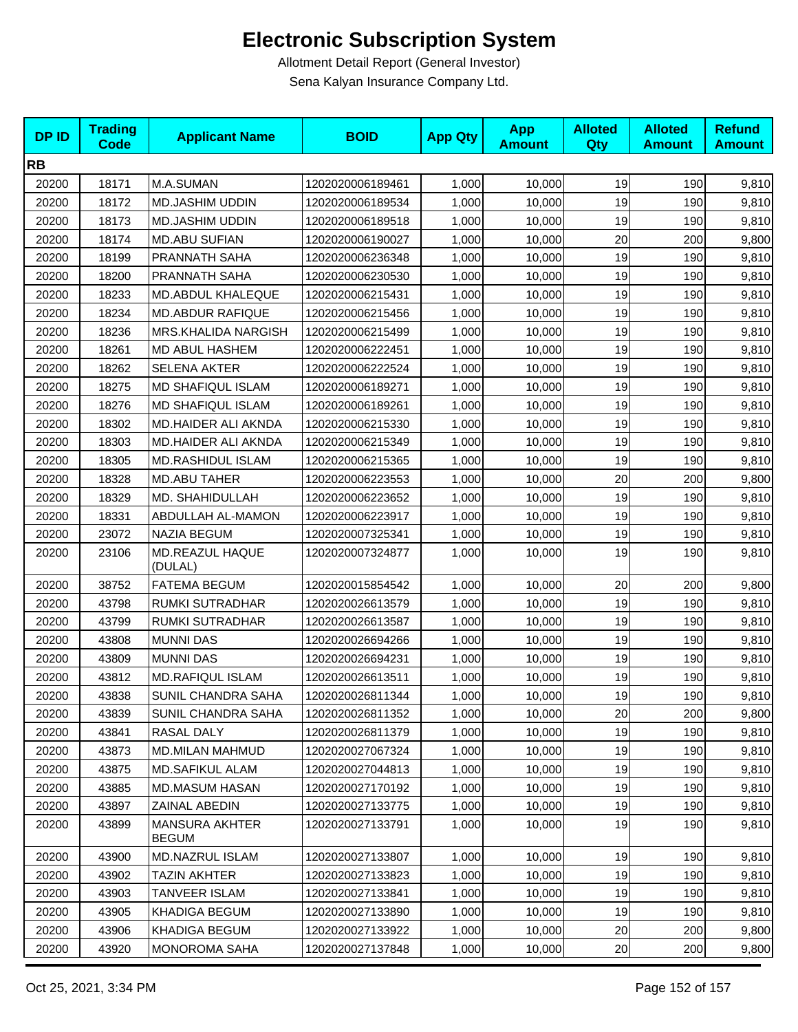| <b>DPID</b> | <b>Trading</b><br>Code | <b>Applicant Name</b>                 | <b>BOID</b>      | <b>App Qty</b> | <b>App</b><br><b>Amount</b> | <b>Alloted</b><br><b>Qty</b> | <b>Alloted</b><br><b>Amount</b> | <b>Refund</b><br><b>Amount</b> |
|-------------|------------------------|---------------------------------------|------------------|----------------|-----------------------------|------------------------------|---------------------------------|--------------------------------|
| <b>RB</b>   |                        |                                       |                  |                |                             |                              |                                 |                                |
| 20200       | 18171                  | M.A.SUMAN                             | 1202020006189461 | 1,000          | 10,000                      | 19                           | 190                             | 9,810                          |
| 20200       | 18172                  | <b>MD.JASHIM UDDIN</b>                | 1202020006189534 | 1,000          | 10,000                      | 19                           | 190                             | 9,810                          |
| 20200       | 18173                  | <b>MD.JASHIM UDDIN</b>                | 1202020006189518 | 1,000          | 10,000                      | 19                           | 190                             | 9,810                          |
| 20200       | 18174                  | <b>MD.ABU SUFIAN</b>                  | 1202020006190027 | 1,000          | 10,000                      | 20                           | 200                             | 9,800                          |
| 20200       | 18199                  | PRANNATH SAHA                         | 1202020006236348 | 1,000          | 10,000                      | 19                           | 190                             | 9,810                          |
| 20200       | 18200                  | PRANNATH SAHA                         | 1202020006230530 | 1,000          | 10,000                      | 19                           | 190                             | 9,810                          |
| 20200       | 18233                  | MD.ABDUL KHALEQUE                     | 1202020006215431 | 1,000          | 10,000                      | 19                           | 190                             | 9,810                          |
| 20200       | 18234                  | <b>MD.ABDUR RAFIQUE</b>               | 1202020006215456 | 1,000          | 10,000                      | 19                           | 190                             | 9,810                          |
| 20200       | 18236                  | MRS.KHALIDA NARGISH                   | 1202020006215499 | 1,000          | 10,000                      | 19                           | 190                             | 9,810                          |
| 20200       | 18261                  | MD ABUL HASHEM                        | 1202020006222451 | 1,000          | 10,000                      | 19                           | 190                             | 9,810                          |
| 20200       | 18262                  | <b>SELENA AKTER</b>                   | 1202020006222524 | 1,000          | 10,000                      | 19                           | 190                             | 9,810                          |
| 20200       | 18275                  | <b>MD SHAFIQUL ISLAM</b>              | 1202020006189271 | 1,000          | 10,000                      | 19                           | 190                             | 9,810                          |
| 20200       | 18276                  | <b>MD SHAFIQUL ISLAM</b>              | 1202020006189261 | 1,000          | 10,000                      | 19                           | 190                             | 9,810                          |
| 20200       | 18302                  | MD.HAIDER ALI AKNDA                   | 1202020006215330 | 1,000          | 10,000                      | 19                           | 190                             | 9,810                          |
| 20200       | 18303                  | MD.HAIDER ALI AKNDA                   | 1202020006215349 | 1,000          | 10,000                      | 19                           | 190                             | 9,810                          |
| 20200       | 18305                  | MD.RASHIDUL ISLAM                     | 1202020006215365 | 1,000          | 10,000                      | 19                           | 190                             | 9,810                          |
| 20200       | 18328                  | <b>MD.ABU TAHER</b>                   | 1202020006223553 | 1,000          | 10,000                      | 20                           | 200                             | 9,800                          |
| 20200       | 18329                  | MD. SHAHIDULLAH                       | 1202020006223652 | 1,000          | 10,000                      | 19                           | 190                             | 9,810                          |
| 20200       | 18331                  | ABDULLAH AL-MAMON                     | 1202020006223917 | 1,000          | 10,000                      | 19                           | 190                             | 9,810                          |
| 20200       | 23072                  | <b>NAZIA BEGUM</b>                    | 1202020007325341 | 1,000          | 10,000                      | 19                           | 190                             | 9,810                          |
| 20200       | 23106                  | MD.REAZUL HAQUE<br>(DULAL)            | 1202020007324877 | 1,000          | 10,000                      | 19                           | 190                             | 9,810                          |
| 20200       | 38752                  | <b>FATEMA BEGUM</b>                   | 1202020015854542 | 1,000          | 10,000                      | 20                           | 200                             | 9,800                          |
| 20200       | 43798                  | RUMKI SUTRADHAR                       | 1202020026613579 | 1,000          | 10,000                      | 19                           | 190                             | 9,810                          |
| 20200       | 43799                  | RUMKI SUTRADHAR                       | 1202020026613587 | 1,000          | 10,000                      | 19                           | 190                             | 9,810                          |
| 20200       | 43808                  | <b>MUNNI DAS</b>                      | 1202020026694266 | 1,000          | 10,000                      | 19                           | 190                             | 9,810                          |
| 20200       | 43809                  | <b>MUNNI DAS</b>                      | 1202020026694231 | 1,000          | 10,000                      | 19                           | 190                             | 9,810                          |
| 20200       | 43812                  | <b>MD.RAFIQUL ISLAM</b>               | 1202020026613511 | 1,000          | 10,000                      | 19                           | 190                             | 9,810                          |
| 20200       | 43838                  | SUNIL CHANDRA SAHA                    | 1202020026811344 | 1,000          | 10,000                      | 19                           | 190                             | 9,810                          |
| 20200       | 43839                  | SUNIL CHANDRA SAHA                    | 1202020026811352 | 1,000          | 10,000                      | 20                           | 200                             | 9,800                          |
| 20200       | 43841                  | RASAL DALY                            | 1202020026811379 | 1,000          | 10,000                      | 19                           | 190                             | 9,810                          |
| 20200       | 43873                  | MD.MILAN MAHMUD                       | 1202020027067324 | 1,000          | 10,000                      | 19                           | 190                             | 9,810                          |
| 20200       | 43875                  | <b>MD.SAFIKUL ALAM</b>                | 1202020027044813 | 1,000          | 10,000                      | 19                           | 190                             | 9,810                          |
| 20200       | 43885                  | <b>MD.MASUM HASAN</b>                 | 1202020027170192 | 1,000          | 10,000                      | 19                           | 190                             | 9,810                          |
| 20200       | 43897                  | ZAINAL ABEDIN                         | 1202020027133775 | 1,000          | 10,000                      | 19                           | 190                             | 9,810                          |
| 20200       | 43899                  | <b>MANSURA AKHTER</b><br><b>BEGUM</b> | 1202020027133791 | 1,000          | 10,000                      | 19                           | 190                             | 9,810                          |
| 20200       | 43900                  | MD.NAZRUL ISLAM                       | 1202020027133807 | 1,000          | 10,000                      | 19                           | 190                             | 9,810                          |
| 20200       | 43902                  | <b>TAZIN AKHTER</b>                   | 1202020027133823 | 1,000          | 10,000                      | 19                           | 190                             | 9,810                          |
| 20200       | 43903                  | TANVEER ISLAM                         | 1202020027133841 | 1,000          | 10,000                      | 19                           | 190                             | 9,810                          |
| 20200       | 43905                  | KHADIGA BEGUM                         | 1202020027133890 | 1,000          | 10,000                      | 19                           | 190                             | 9,810                          |
| 20200       | 43906                  | KHADIGA BEGUM                         | 1202020027133922 | 1,000          | 10,000                      | 20                           | 200                             | 9,800                          |
| 20200       | 43920                  | MONOROMA SAHA                         | 1202020027137848 | 1,000          | 10,000                      | 20                           | 200                             | 9,800                          |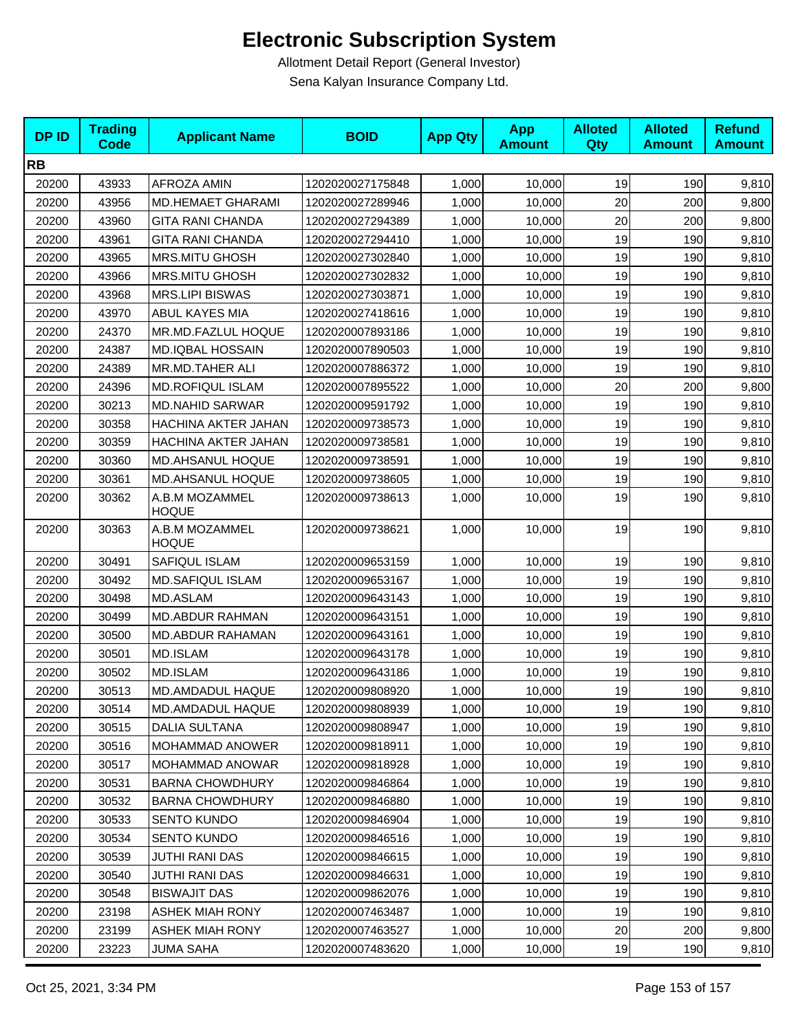| <b>DPID</b> | <b>Trading</b><br><b>Code</b> | <b>Applicant Name</b>          | <b>BOID</b>      | <b>App Qty</b> | <b>App</b><br><b>Amount</b> | <b>Alloted</b><br>Qty | <b>Alloted</b><br><b>Amount</b> | <b>Refund</b><br><b>Amount</b> |
|-------------|-------------------------------|--------------------------------|------------------|----------------|-----------------------------|-----------------------|---------------------------------|--------------------------------|
| <b>RB</b>   |                               |                                |                  |                |                             |                       |                                 |                                |
| 20200       | 43933                         | AFROZA AMIN                    | 1202020027175848 | 1,000          | 10,000                      | 19                    | 190                             | 9,810                          |
| 20200       | 43956                         | <b>MD.HEMAET GHARAMI</b>       | 1202020027289946 | 1,000          | 10,000                      | 20                    | 200                             | 9,800                          |
| 20200       | 43960                         | <b>GITA RANI CHANDA</b>        | 1202020027294389 | 1,000          | 10,000                      | 20                    | 200                             | 9,800                          |
| 20200       | 43961                         | <b>GITA RANI CHANDA</b>        | 1202020027294410 | 1,000          | 10,000                      | 19                    | 190                             | 9,810                          |
| 20200       | 43965                         | <b>MRS.MITU GHOSH</b>          | 1202020027302840 | 1,000          | 10,000                      | 19                    | 190                             | 9,810                          |
| 20200       | 43966                         | <b>MRS.MITU GHOSH</b>          | 1202020027302832 | 1,000          | 10,000                      | 19                    | 190                             | 9,810                          |
| 20200       | 43968                         | <b>MRS.LIPI BISWAS</b>         | 1202020027303871 | 1,000          | 10,000                      | 19                    | 190                             | 9,810                          |
| 20200       | 43970                         | ABUL KAYES MIA                 | 1202020027418616 | 1,000          | 10,000                      | 19                    | 190                             | 9,810                          |
| 20200       | 24370                         | MR.MD.FAZLUL HOQUE             | 1202020007893186 | 1,000          | 10,000                      | 19                    | 190                             | 9,810                          |
| 20200       | 24387                         | MD.IQBAL HOSSAIN               | 1202020007890503 | 1,000          | 10,000                      | 19                    | 190                             | 9,810                          |
| 20200       | 24389                         | MR.MD.TAHER ALI                | 1202020007886372 | 1,000          | 10,000                      | 19                    | 190                             | 9,810                          |
| 20200       | 24396                         | <b>MD.ROFIQUL ISLAM</b>        | 1202020007895522 | 1,000          | 10,000                      | 20                    | 200                             | 9,800                          |
| 20200       | 30213                         | <b>MD.NAHID SARWAR</b>         | 1202020009591792 | 1,000          | 10,000                      | 19                    | 190                             | 9,810                          |
| 20200       | 30358                         | HACHINA AKTER JAHAN            | 1202020009738573 | 1,000          | 10,000                      | 19                    | 190                             | 9,810                          |
| 20200       | 30359                         | HACHINA AKTER JAHAN            | 1202020009738581 | 1,000          | 10,000                      | 19                    | 190                             | 9,810                          |
| 20200       | 30360                         | MD.AHSANUL HOQUE               | 1202020009738591 | 1,000          | 10,000                      | 19                    | 190                             | 9,810                          |
| 20200       | 30361                         | MD.AHSANUL HOQUE               | 1202020009738605 | 1,000          | 10,000                      | 19                    | 190                             | 9,810                          |
| 20200       | 30362                         | A.B.M MOZAMMEL<br><b>HOQUE</b> | 1202020009738613 | 1,000          | 10,000                      | 19                    | 190                             | 9,810                          |
| 20200       | 30363                         | A.B.M MOZAMMEL<br><b>HOQUE</b> | 1202020009738621 | 1,000          | 10,000                      | 19                    | 190                             | 9,810                          |
| 20200       | 30491                         | SAFIQUL ISLAM                  | 1202020009653159 | 1,000          | 10,000                      | 19                    | 190                             | 9,810                          |
| 20200       | 30492                         | MD.SAFIQUL ISLAM               | 1202020009653167 | 1,000          | 10,000                      | 19                    | 190                             | 9,810                          |
| 20200       | 30498                         | MD.ASLAM                       | 1202020009643143 | 1,000          | 10,000                      | 19                    | 190                             | 9,810                          |
| 20200       | 30499                         | <b>MD.ABDUR RAHMAN</b>         | 1202020009643151 | 1,000          | 10,000                      | 19                    | 190                             | 9,810                          |
| 20200       | 30500                         | <b>MD.ABDUR RAHAMAN</b>        | 1202020009643161 | 1,000          | 10,000                      | 19                    | 190                             | 9,810                          |
| 20200       | 30501                         | MD.ISLAM                       | 1202020009643178 | 1,000          | 10,000                      | 19                    | 190                             | 9,810                          |
| 20200       | 30502                         | MD.ISLAM                       | 1202020009643186 | 1,000          | 10,000                      | 19                    | 190                             | 9,810                          |
| 20200       | 30513                         | MD.AMDADUL HAQUE               | 1202020009808920 | 1,000          | 10,000                      | 19                    | 190                             | 9,810                          |
| 20200       | 30514                         | MD.AMDADUL HAQUE               | 1202020009808939 | 1,000          | 10,000                      | 19                    | 190                             | 9,810                          |
| 20200       | 30515                         | <b>DALIA SULTANA</b>           | 1202020009808947 | 1,000          | 10,000                      | 19                    | 190                             | 9,810                          |
| 20200       | 30516                         | MOHAMMAD ANOWER                | 1202020009818911 | 1,000          | 10,000                      | 19                    | 190                             | 9,810                          |
| 20200       | 30517                         | MOHAMMAD ANOWAR                | 1202020009818928 | 1,000          | 10,000                      | 19                    | 190                             | 9,810                          |
| 20200       | 30531                         | <b>BARNA CHOWDHURY</b>         | 1202020009846864 | 1.000          | 10,000                      | 19                    | 190                             | 9,810                          |
| 20200       | 30532                         | <b>BARNA CHOWDHURY</b>         | 1202020009846880 | 1,000          | 10,000                      | 19                    | 190                             | 9,810                          |
| 20200       | 30533                         | <b>SENTO KUNDO</b>             | 1202020009846904 | 1,000          | 10,000                      | 19                    | 190                             | 9,810                          |
| 20200       | 30534                         | <b>SENTO KUNDO</b>             | 1202020009846516 | 1,000          | 10,000                      | 19                    | 190                             | 9,810                          |
| 20200       | 30539                         | <b>JUTHI RANI DAS</b>          | 1202020009846615 | 1,000          | 10,000                      | 19                    | 190                             | 9,810                          |
| 20200       | 30540                         | <b>JUTHI RANI DAS</b>          | 1202020009846631 | 1,000          | 10,000                      | 19                    | 190                             | 9,810                          |
| 20200       | 30548                         | <b>BISWAJIT DAS</b>            | 1202020009862076 | 1,000          | 10,000                      | 19                    | 190                             | 9,810                          |
| 20200       | 23198                         | <b>ASHEK MIAH RONY</b>         | 1202020007463487 | 1,000          | 10,000                      | 19                    | 190                             | 9,810                          |
| 20200       | 23199                         | <b>ASHEK MIAH RONY</b>         | 1202020007463527 | 1,000          | 10,000                      | 20                    | 200                             | 9,800                          |
| 20200       | 23223                         | <b>JUMA SAHA</b>               | 1202020007483620 | 1,000          | 10,000                      | 19                    | 190                             | 9,810                          |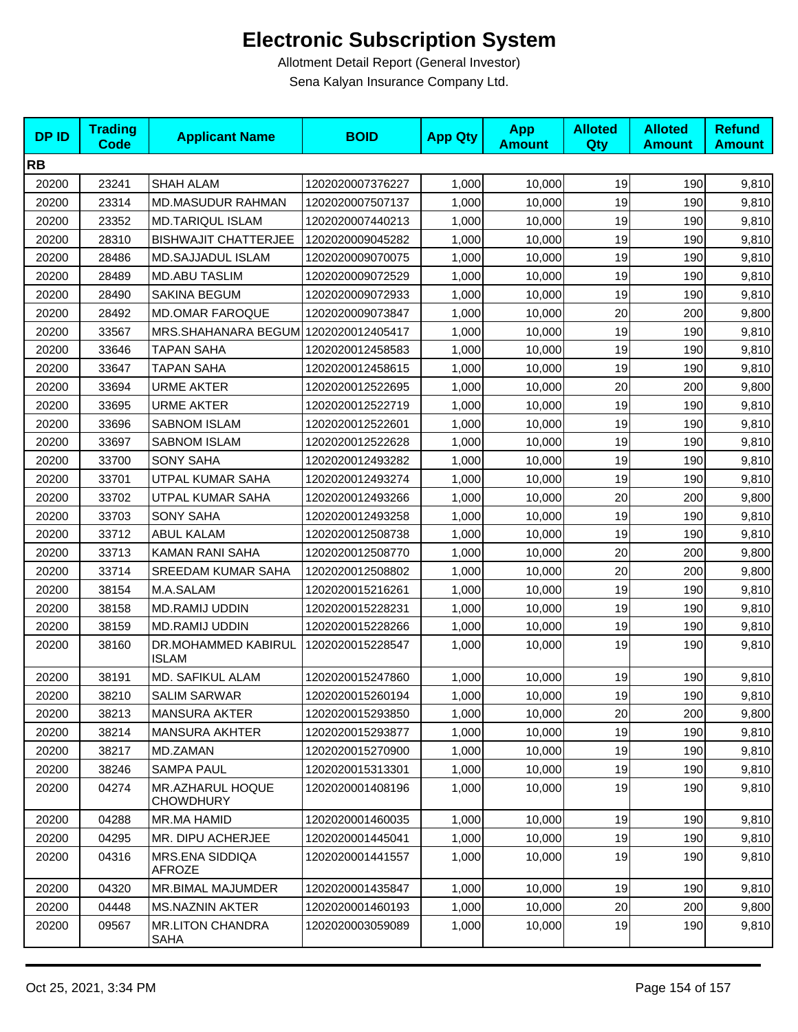| <b>DPID</b> | <b>Trading</b><br>Code | <b>Applicant Name</b>                | <b>BOID</b>      | <b>App Qty</b> | <b>App</b><br><b>Amount</b> | <b>Alloted</b><br><b>Qty</b> | <b>Alloted</b><br><b>Amount</b> | <b>Refund</b><br><b>Amount</b> |
|-------------|------------------------|--------------------------------------|------------------|----------------|-----------------------------|------------------------------|---------------------------------|--------------------------------|
| <b>RB</b>   |                        |                                      |                  |                |                             |                              |                                 |                                |
| 20200       | 23241                  | <b>SHAH ALAM</b>                     | 1202020007376227 | 1,000          | 10,000                      | 19                           | 190                             | 9,810                          |
| 20200       | 23314                  | <b>MD.MASUDUR RAHMAN</b>             | 1202020007507137 | 1,000          | 10,000                      | 19                           | 190                             | 9,810                          |
| 20200       | 23352                  | <b>MD.TARIQUL ISLAM</b>              | 1202020007440213 | 1,000          | 10,000                      | 19                           | 190                             | 9,810                          |
| 20200       | 28310                  | <b>BISHWAJIT CHATTERJEE</b>          | 1202020009045282 | 1,000          | 10,000                      | 19                           | 190                             | 9,810                          |
| 20200       | 28486                  | <b>MD.SAJJADUL ISLAM</b>             | 1202020009070075 | 1,000          | 10,000                      | 19                           | 190                             | 9,810                          |
| 20200       | 28489                  | <b>MD.ABU TASLIM</b>                 | 1202020009072529 | 1,000          | 10,000                      | 19                           | 190                             | 9,810                          |
| 20200       | 28490                  | SAKINA BEGUM                         | 1202020009072933 | 1,000          | 10,000                      | 19                           | 190                             | 9,810                          |
| 20200       | 28492                  | <b>MD.OMAR FAROQUE</b>               | 1202020009073847 | 1,000          | 10,000                      | 20                           | 200                             | 9,800                          |
| 20200       | 33567                  | MRS.SHAHANARA BEGUM 1202020012405417 |                  | 1,000          | 10,000                      | 19                           | 190                             | 9,810                          |
| 20200       | 33646                  | <b>TAPAN SAHA</b>                    | 1202020012458583 | 1,000          | 10,000                      | 19                           | 190                             | 9,810                          |
| 20200       | 33647                  | <b>TAPAN SAHA</b>                    | 1202020012458615 | 1,000          | 10,000                      | 19                           | 190                             | 9,810                          |
| 20200       | 33694                  | <b>URME AKTER</b>                    | 1202020012522695 | 1,000          | 10,000                      | 20                           | 200                             | 9,800                          |
| 20200       | 33695                  | <b>URME AKTER</b>                    | 1202020012522719 | 1,000          | 10,000                      | 19                           | 190                             | 9,810                          |
| 20200       | 33696                  | <b>SABNOM ISLAM</b>                  | 1202020012522601 | 1,000          | 10,000                      | 19                           | 190                             | 9,810                          |
| 20200       | 33697                  | <b>SABNOM ISLAM</b>                  | 1202020012522628 | 1,000          | 10,000                      | 19                           | 190                             | 9,810                          |
| 20200       | 33700                  | <b>SONY SAHA</b>                     | 1202020012493282 | 1,000          | 10,000                      | 19                           | 190                             | 9,810                          |
| 20200       | 33701                  | UTPAL KUMAR SAHA                     | 1202020012493274 | 1,000          | 10,000                      | 19                           | 190                             | 9,810                          |
| 20200       | 33702                  | UTPAL KUMAR SAHA                     | 1202020012493266 | 1,000          | 10,000                      | 20                           | 200                             | 9,800                          |
| 20200       | 33703                  | <b>SONY SAHA</b>                     | 1202020012493258 | 1,000          | 10,000                      | 19                           | 190                             | 9,810                          |
| 20200       | 33712                  | <b>ABUL KALAM</b>                    | 1202020012508738 | 1,000          | 10,000                      | 19                           | 190                             | 9,810                          |
| 20200       | 33713                  | KAMAN RANI SAHA                      | 1202020012508770 | 1,000          | 10,000                      | 20                           | 200                             | 9,800                          |
| 20200       | 33714                  | SREEDAM KUMAR SAHA                   | 1202020012508802 | 1,000          | 10,000                      | 20                           | 200                             | 9,800                          |
| 20200       | 38154                  | M.A.SALAM                            | 1202020015216261 | 1,000          | 10,000                      | 19                           | 190                             | 9,810                          |
| 20200       | 38158                  | <b>MD.RAMIJ UDDIN</b>                | 1202020015228231 | 1,000          | 10,000                      | 19                           | 190                             | 9,810                          |
| 20200       | 38159                  | <b>MD.RAMIJ UDDIN</b>                | 1202020015228266 | 1,000          | 10,000                      | 19                           | 190                             | 9,810                          |
| 20200       | 38160                  | DR.MOHAMMED KABIRUL<br><b>ISLAM</b>  | 1202020015228547 | 1,000          | 10,000                      | 19                           | 190                             | 9,810                          |
| 20200       | 38191                  | MD. SAFIKUL ALAM                     | 1202020015247860 | 1,000          | 10,000                      | 19                           | 190                             | 9,810                          |
| 20200       | 38210                  | <b>SALIM SARWAR</b>                  | 1202020015260194 | 1,000          | 10,000                      | 19                           | 190                             | 9,810                          |
| 20200       | 38213                  | <b>MANSURA AKTER</b>                 | 1202020015293850 | 1,000          | 10,000                      | 20                           | 200                             | 9,800                          |
| 20200       | 38214                  | <b>MANSURA AKHTER</b>                | 1202020015293877 | 1,000          | 10,000                      | 19                           | 190                             | 9,810                          |
| 20200       | 38217                  | MD.ZAMAN                             | 1202020015270900 | 1,000          | 10,000                      | 19                           | 190                             | 9,810                          |
| 20200       | 38246                  | <b>SAMPA PAUL</b>                    | 1202020015313301 | 1,000          | 10,000                      | 19                           | 190                             | 9,810                          |
| 20200       | 04274                  | MR.AZHARUL HOQUE<br><b>CHOWDHURY</b> | 1202020001408196 | 1,000          | 10,000                      | 19                           | 190                             | 9,810                          |
| 20200       | 04288                  | MR.MA HAMID                          | 1202020001460035 | 1,000          | 10,000                      | 19                           | 190                             | 9,810                          |
| 20200       | 04295                  | MR. DIPU ACHERJEE                    | 1202020001445041 | 1,000          | 10,000                      | 19                           | 190                             | 9,810                          |
| 20200       | 04316                  | MRS.ENA SIDDIQA<br><b>AFROZE</b>     | 1202020001441557 | 1,000          | 10,000                      | 19                           | 190                             | 9,810                          |
| 20200       | 04320                  | MR.BIMAL MAJUMDER                    | 1202020001435847 | 1,000          | 10,000                      | 19                           | 190                             | 9,810                          |
| 20200       | 04448                  | <b>MS.NAZNIN AKTER</b>               | 1202020001460193 | 1,000          | 10,000                      | 20                           | 200                             | 9,800                          |
| 20200       | 09567                  | <b>MR.LITON CHANDRA</b><br>SAHA      | 1202020003059089 | 1,000          | 10,000                      | 19                           | 190                             | 9,810                          |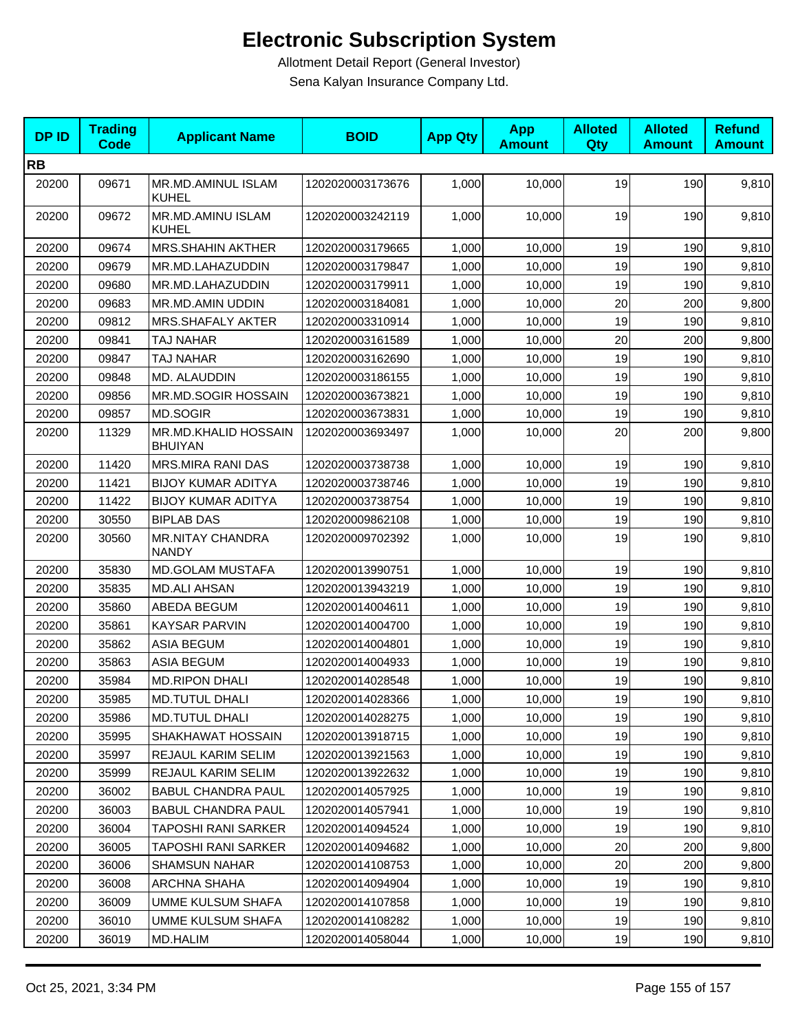| <b>DPID</b> | <b>Trading</b><br><b>Code</b> | <b>Applicant Name</b>                   | <b>BOID</b>      | <b>App Qty</b> | <b>App</b><br><b>Amount</b> | <b>Alloted</b><br>Qty | <b>Alloted</b><br><b>Amount</b> | <b>Refund</b><br><b>Amount</b> |
|-------------|-------------------------------|-----------------------------------------|------------------|----------------|-----------------------------|-----------------------|---------------------------------|--------------------------------|
| <b>RB</b>   |                               |                                         |                  |                |                             |                       |                                 |                                |
| 20200       | 09671                         | MR.MD.AMINUL ISLAM<br><b>KUHEL</b>      | 1202020003173676 | 1,000          | 10,000                      | 19                    | 190                             | 9,810                          |
| 20200       | 09672                         | MR.MD.AMINU ISLAM<br><b>KUHEL</b>       | 1202020003242119 | 1,000          | 10,000                      | 19                    | 190                             | 9,810                          |
| 20200       | 09674                         | <b>MRS.SHAHIN AKTHER</b>                | 1202020003179665 | 1,000          | 10,000                      | 19                    | 190                             | 9,810                          |
| 20200       | 09679                         | MR.MD.LAHAZUDDIN                        | 1202020003179847 | 1,000          | 10,000                      | 19                    | 190                             | 9,810                          |
| 20200       | 09680                         | MR.MD.LAHAZUDDIN                        | 1202020003179911 | 1,000          | 10,000                      | 19                    | 190                             | 9,810                          |
| 20200       | 09683                         | MR.MD.AMIN UDDIN                        | 1202020003184081 | 1,000          | 10,000                      | 20                    | 200                             | 9,800                          |
| 20200       | 09812                         | MRS.SHAFALY AKTER                       | 1202020003310914 | 1,000          | 10,000                      | 19                    | 190                             | 9,810                          |
| 20200       | 09841                         | TAJ NAHAR                               | 1202020003161589 | 1,000          | 10,000                      | 20                    | 200                             | 9,800                          |
| 20200       | 09847                         | TAJ NAHAR                               | 1202020003162690 | 1,000          | 10,000                      | 19                    | 190                             | 9,810                          |
| 20200       | 09848                         | MD. ALAUDDIN                            | 1202020003186155 | 1,000          | 10.000                      | 19                    | 190                             | 9,810                          |
| 20200       | 09856                         | MR.MD.SOGIR HOSSAIN                     | 1202020003673821 | 1,000          | 10,000                      | 19                    | 190                             | 9,810                          |
| 20200       | 09857                         | MD.SOGIR                                | 1202020003673831 | 1,000          | 10,000                      | 19                    | 190                             | 9,810                          |
| 20200       | 11329                         | MR.MD.KHALID HOSSAIN<br><b>BHUIYAN</b>  | 1202020003693497 | 1,000          | 10,000                      | 20                    | 200                             | 9,800                          |
| 20200       | 11420                         | MRS.MIRA RANI DAS                       | 1202020003738738 | 1,000          | 10,000                      | 19                    | 190                             | 9,810                          |
| 20200       | 11421                         | <b>BIJOY KUMAR ADITYA</b>               | 1202020003738746 | 1,000          | 10.000                      | 19                    | 190                             | 9,810                          |
| 20200       | 11422                         | <b>BIJOY KUMAR ADITYA</b>               | 1202020003738754 | 1,000          | 10,000                      | 19                    | 190                             | 9,810                          |
| 20200       | 30550                         | <b>BIPLAB DAS</b>                       | 1202020009862108 | 1,000          | 10,000                      | 19                    | 190                             | 9,810                          |
| 20200       | 30560                         | <b>MR.NITAY CHANDRA</b><br><b>NANDY</b> | 1202020009702392 | 1,000          | 10,000                      | 19                    | 190                             | 9,810                          |
| 20200       | 35830                         | <b>MD.GOLAM MUSTAFA</b>                 | 1202020013990751 | 1,000          | 10,000                      | 19                    | 190                             | 9,810                          |
| 20200       | 35835                         | <b>MD.ALI AHSAN</b>                     | 1202020013943219 | 1,000          | 10,000                      | 19                    | 190                             | 9,810                          |
| 20200       | 35860                         | ABEDA BEGUM                             | 1202020014004611 | 1,000          | 10,000                      | 19                    | 190                             | 9,810                          |
| 20200       | 35861                         | <b>KAYSAR PARVIN</b>                    | 1202020014004700 | 1,000          | 10,000                      | 19                    | 190                             | 9,810                          |
| 20200       | 35862                         | <b>ASIA BEGUM</b>                       | 1202020014004801 | 1,000          | 10,000                      | 19                    | 190                             | 9,810                          |
| 20200       | 35863                         | <b>ASIA BEGUM</b>                       | 1202020014004933 | 1,000          | 10,000                      | 19                    | 190                             | 9,810                          |
| 20200       | 35984                         | <b>MD.RIPON DHALI</b>                   | 1202020014028548 | 1,000          | 10,000                      | 19                    | 190                             | 9,810                          |
| 20200       | 35985                         | <b>MD.TUTUL DHALI</b>                   | 1202020014028366 | 1,000          | 10,000                      | 19                    | 190                             | 9,810                          |
| 20200       | 35986                         | <b>MD.TUTUL DHALI</b>                   | 1202020014028275 | 1,000          | 10,000                      | 19                    | 190                             | 9,810                          |
| 20200       | 35995                         | SHAKHAWAT HOSSAIN                       | 1202020013918715 | 1,000          | 10,000                      | 19                    | 190                             | 9,810                          |
| 20200       | 35997                         | REJAUL KARIM SELIM                      | 1202020013921563 | 1,000          | 10.000                      | 19                    | 190                             | 9,810                          |
| 20200       | 35999                         | REJAUL KARIM SELIM                      | 1202020013922632 | 1,000          | 10,000                      | 19                    | 190                             | 9,810                          |
| 20200       | 36002                         | <b>BABUL CHANDRA PAUL</b>               | 1202020014057925 | 1,000          | 10,000                      | 19                    | 190                             | 9,810                          |
| 20200       | 36003                         | <b>BABUL CHANDRA PAUL</b>               | 1202020014057941 | 1,000          | 10,000                      | 19                    | 190                             | 9,810                          |
| 20200       | 36004                         | TAPOSHI RANI SARKER                     | 1202020014094524 | 1,000          | 10,000                      | 19                    | 190                             | 9,810                          |
| 20200       | 36005                         | <b>TAPOSHI RANI SARKER</b>              | 1202020014094682 | 1,000          | 10,000                      | 20                    | 200                             | 9,800                          |
| 20200       | 36006                         | <b>SHAMSUN NAHAR</b>                    | 1202020014108753 | 1,000          | 10,000                      | 20                    | 200                             | 9,800                          |
| 20200       | 36008                         | ARCHNA SHAHA                            | 1202020014094904 | 1,000          | 10,000                      | 19                    | 190                             | 9,810                          |
| 20200       | 36009                         | UMME KULSUM SHAFA                       | 1202020014107858 | 1,000          | 10,000                      | 19                    | 190                             | 9,810                          |
| 20200       | 36010                         | <b>UMME KULSUM SHAFA</b>                | 1202020014108282 | 1,000          | 10,000                      | 19                    | 190                             | 9,810                          |
| 20200       | 36019                         | MD.HALIM                                | 1202020014058044 | 1,000          | 10,000                      | 19                    | 190                             | 9,810                          |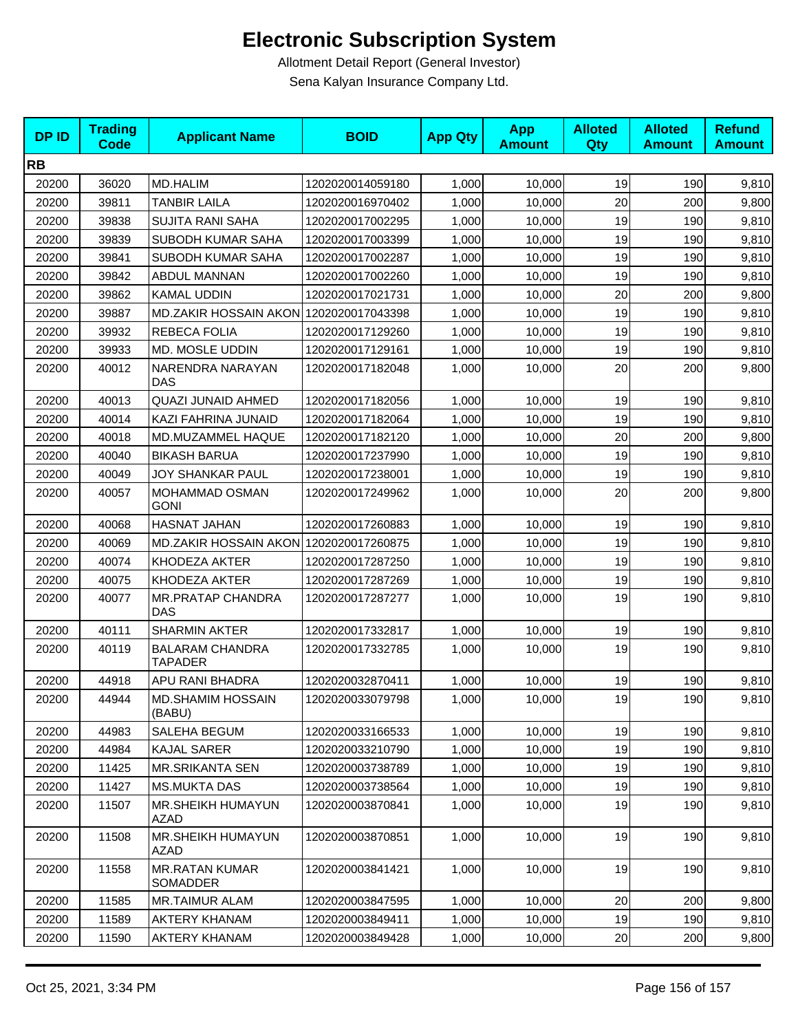| <b>DPID</b> | <b>Trading</b><br><b>Code</b> | <b>Applicant Name</b>                    | <b>BOID</b>      | <b>App Qty</b> | <b>App</b><br><b>Amount</b> | <b>Alloted</b><br><b>Qty</b> | <b>Alloted</b><br><b>Amount</b> | <b>Refund</b><br><b>Amount</b> |
|-------------|-------------------------------|------------------------------------------|------------------|----------------|-----------------------------|------------------------------|---------------------------------|--------------------------------|
| <b>RB</b>   |                               |                                          |                  |                |                             |                              |                                 |                                |
| 20200       | 36020                         | <b>MD.HALIM</b>                          | 1202020014059180 | 1,000          | 10,000                      | 19                           | 190                             | 9,810                          |
| 20200       | 39811                         | <b>TANBIR LAILA</b>                      | 1202020016970402 | 1,000          | 10.000                      | 20                           | 200                             | 9,800                          |
| 20200       | 39838                         | <b>SUJITA RANI SAHA</b>                  | 1202020017002295 | 1,000          | 10,000                      | 19                           | 190                             | 9,810                          |
| 20200       | 39839                         | SUBODH KUMAR SAHA                        | 1202020017003399 | 1,000          | 10,000                      | 19                           | 190                             | 9,810                          |
| 20200       | 39841                         | SUBODH KUMAR SAHA                        | 1202020017002287 | 1,000          | 10,000                      | 19                           | 190                             | 9,810                          |
| 20200       | 39842                         | ABDUL MANNAN                             | 1202020017002260 | 1,000          | 10,000                      | 19                           | 190                             | 9,810                          |
| 20200       | 39862                         | <b>KAMAL UDDIN</b>                       | 1202020017021731 | 1,000          | 10,000                      | 20                           | 200                             | 9,800                          |
| 20200       | 39887                         | MD.ZAKIR HOSSAIN AKON 1202020017043398   |                  | 1,000          | 10,000                      | 19                           | 190                             | 9,810                          |
| 20200       | 39932                         | REBECA FOLIA                             | 1202020017129260 | 1,000          | 10,000                      | 19                           | 190                             | 9,810                          |
| 20200       | 39933                         | MD. MOSLE UDDIN                          | 1202020017129161 | 1,000          | 10,000                      | 19                           | 190                             | 9,810                          |
| 20200       | 40012                         | NARENDRA NARAYAN<br>DAS                  | 1202020017182048 | 1,000          | 10,000                      | 20                           | 200                             | 9,800                          |
| 20200       | 40013                         | <b>QUAZI JUNAID AHMED</b>                | 1202020017182056 | 1,000          | 10,000                      | 19                           | 190                             | 9,810                          |
| 20200       | 40014                         | KAZI FAHRINA JUNAID                      | 1202020017182064 | 1,000          | 10,000                      | 19                           | 190                             | 9,810                          |
| 20200       | 40018                         | MD.MUZAMMEL HAQUE                        | 1202020017182120 | 1,000          | 10.000                      | 20                           | 200                             | 9,800                          |
| 20200       | 40040                         | <b>BIKASH BARUA</b>                      | 1202020017237990 | 1.000          | 10,000                      | 19                           | 190                             | 9,810                          |
| 20200       | 40049                         | JOY SHANKAR PAUL                         | 1202020017238001 | 1,000          | 10,000                      | 19                           | 190                             | 9,810                          |
| 20200       | 40057                         | MOHAMMAD OSMAN<br><b>GONI</b>            | 1202020017249962 | 1,000          | 10,000                      | 20                           | 200                             | 9,800                          |
| 20200       | 40068                         | HASNAT JAHAN                             | 1202020017260883 | 1,000          | 10,000                      | 19                           | 190                             | 9,810                          |
| 20200       | 40069                         | MD.ZAKIR HOSSAIN AKON 1202020017260875   |                  | 1,000          | 10,000                      | 19                           | 190                             | 9,810                          |
| 20200       | 40074                         | KHODEZA AKTER                            | 1202020017287250 | 1,000          | 10,000                      | 19                           | 190                             | 9,810                          |
| 20200       | 40075                         | KHODEZA AKTER                            | 1202020017287269 | 1,000          | 10,000                      | 19                           | 190                             | 9,810                          |
| 20200       | 40077                         | <b>MR.PRATAP CHANDRA</b><br>DAS          | 1202020017287277 | 1,000          | 10,000                      | 19                           | 190                             | 9,810                          |
| 20200       | 40111                         | <b>SHARMIN AKTER</b>                     | 1202020017332817 | 1,000          | 10,000                      | 19                           | 190                             | 9,810                          |
| 20200       | 40119                         | <b>BALARAM CHANDRA</b><br><b>TAPADER</b> | 1202020017332785 | 1,000          | 10,000                      | 19                           | 190                             | 9,810                          |
| 20200       | 44918                         | APU RANI BHADRA                          | 1202020032870411 | 1,000          | 10,000                      | 19                           | 190                             | 9,810                          |
| 20200       | 44944                         | <b>MD.SHAMIM HOSSAIN</b><br>(BABU)       | 1202020033079798 | 1,000          | 10,000                      | 19                           | 190                             | 9,810                          |
| 20200       | 44983                         | SALEHA BEGUM                             | 1202020033166533 | 1,000          | 10,000                      | 19                           | 190                             | 9,810                          |
| 20200       | 44984                         | <b>KAJAL SARER</b>                       | 1202020033210790 | 1,000          | 10,000                      | 19                           | 190                             | 9,810                          |
| 20200       | 11425                         | <b>MR.SRIKANTA SEN</b>                   | 1202020003738789 | 1,000          | 10,000                      | 19                           | 190                             | 9,810                          |
| 20200       | 11427                         | <b>MS.MUKTA DAS</b>                      | 1202020003738564 | 1,000          | 10,000                      | 19                           | 190                             | 9,810                          |
| 20200       | 11507                         | <b>MR.SHEIKH HUMAYUN</b><br><b>AZAD</b>  | 1202020003870841 | 1,000          | 10,000                      | 19                           | 190                             | 9,810                          |
| 20200       | 11508                         | MR.SHEIKH HUMAYUN<br>AZAD                | 1202020003870851 | 1,000          | 10,000                      | 19                           | 190                             | 9,810                          |
| 20200       | 11558                         | <b>MR.RATAN KUMAR</b><br>SOMADDER        | 1202020003841421 | 1,000          | 10,000                      | 19                           | 190                             | 9,810                          |
| 20200       | 11585                         | MR.TAIMUR ALAM                           | 1202020003847595 | 1,000          | 10,000                      | 20                           | 200                             | 9,800                          |
| 20200       | 11589                         | <b>AKTERY KHANAM</b>                     | 1202020003849411 | 1,000          | 10,000                      | 19                           | 190                             | 9,810                          |
| 20200       | 11590                         | <b>AKTERY KHANAM</b>                     | 1202020003849428 | 1,000          | 10,000                      | 20                           | 200                             | 9,800                          |